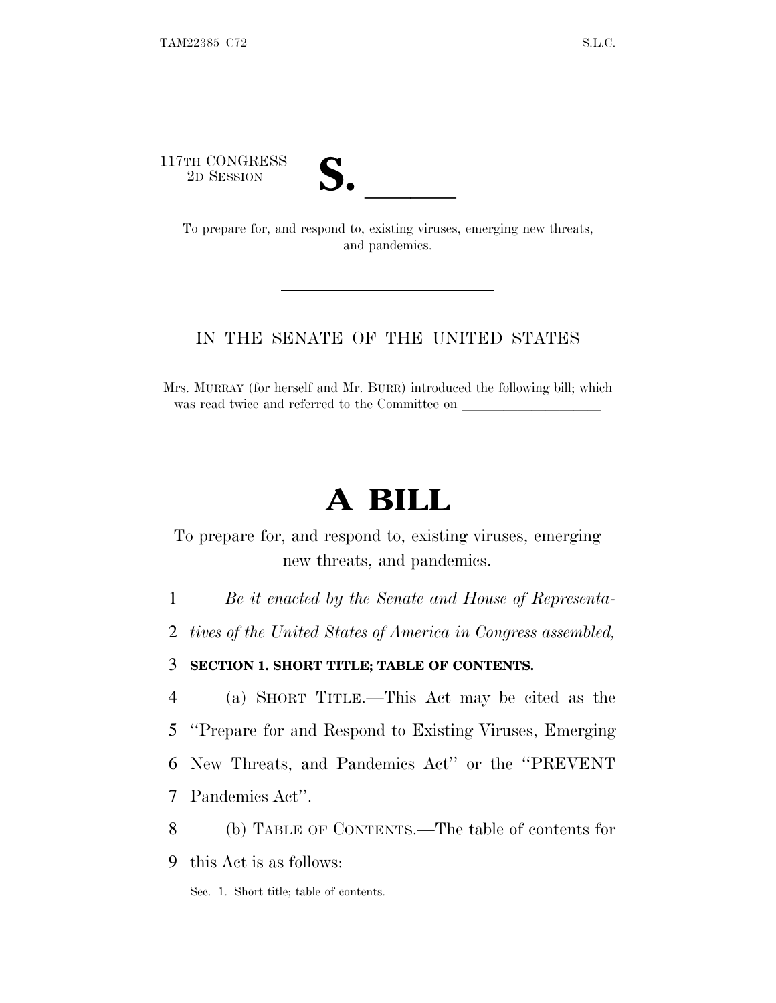117TH CONGRESS



TH CONGRESS<br>
2D SESSION<br>
To prepare for, and respond to, existing viruses, emerging new threats, and pandemics.

### IN THE SENATE OF THE UNITED STATES

Mrs. MURRAY (for herself and Mr. BURR) introduced the following bill; which was read twice and referred to the Committee on

# **A BILL**

To prepare for, and respond to, existing viruses, emerging new threats, and pandemics.

1 *Be it enacted by the Senate and House of Representa-*

2 *tives of the United States of America in Congress assembled,*

3 **SECTION 1. SHORT TITLE; TABLE OF CONTENTS.**

 (a) SHORT TITLE.—This Act may be cited as the ''Prepare for and Respond to Existing Viruses, Emerging New Threats, and Pandemics Act'' or the ''PREVENT Pandemics Act''.

8 (b) TABLE OF CONTENTS.—The table of contents for

9 this Act is as follows:

Sec. 1. Short title; table of contents.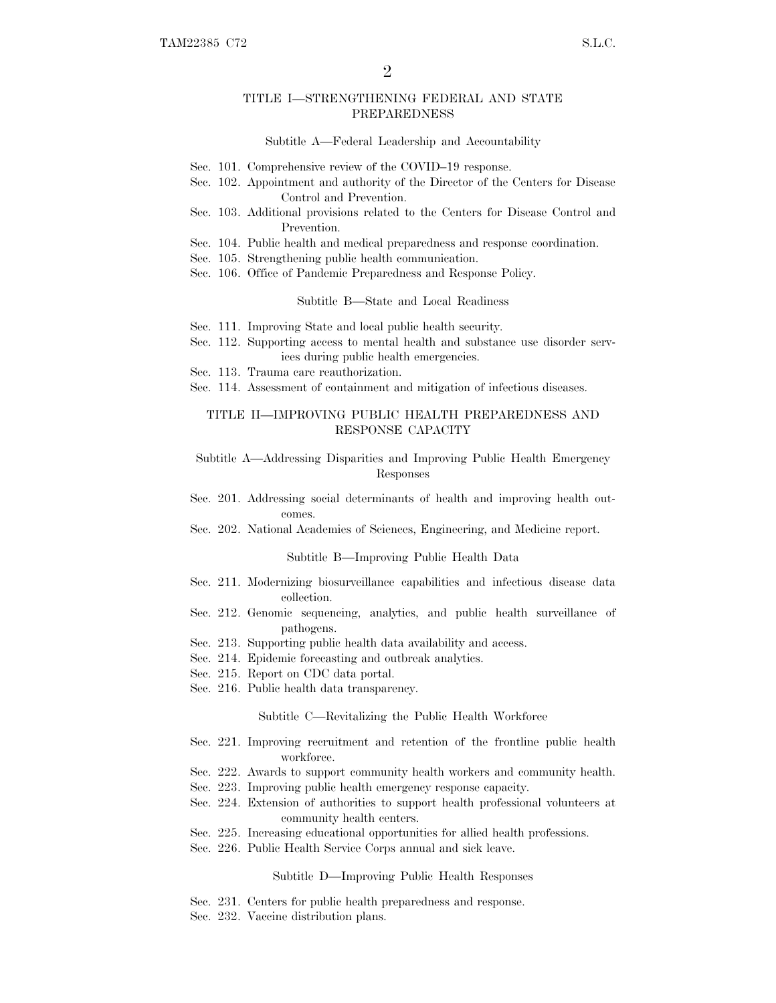#### TITLE I—STRENGTHENING FEDERAL AND STATE PREPAREDNESS

#### Subtitle A—Federal Leadership and Accountability

- Sec. 101. Comprehensive review of the COVID–19 response.
- Sec. 102. Appointment and authority of the Director of the Centers for Disease Control and Prevention.
- Sec. 103. Additional provisions related to the Centers for Disease Control and Prevention.
- Sec. 104. Public health and medical preparedness and response coordination.
- Sec. 105. Strengthening public health communication.
- Sec. 106. Office of Pandemic Preparedness and Response Policy.

Subtitle B—State and Local Readiness

- Sec. 111. Improving State and local public health security.
- Sec. 112. Supporting access to mental health and substance use disorder services during public health emergencies.
- Sec. 113. Trauma care reauthorization.
- Sec. 114. Assessment of containment and mitigation of infectious diseases.

#### TITLE II—IMPROVING PUBLIC HEALTH PREPAREDNESS AND RESPONSE CAPACITY

#### Subtitle A—Addressing Disparities and Improving Public Health Emergency Responses

- Sec. 201. Addressing social determinants of health and improving health outcomes.
- Sec. 202. National Academies of Sciences, Engineering, and Medicine report.

#### Subtitle B—Improving Public Health Data

- Sec. 211. Modernizing biosurveillance capabilities and infectious disease data collection.
- Sec. 212. Genomic sequencing, analytics, and public health surveillance of pathogens.
- Sec. 213. Supporting public health data availability and access.
- Sec. 214. Epidemic forecasting and outbreak analytics.
- Sec. 215. Report on CDC data portal.
- Sec. 216. Public health data transparency.

#### Subtitle C—Revitalizing the Public Health Workforce

- Sec. 221. Improving recruitment and retention of the frontline public health workforce.
- Sec. 222. Awards to support community health workers and community health.
- Sec. 223. Improving public health emergency response capacity.
- Sec. 224. Extension of authorities to support health professional volunteers at community health centers.
- Sec. 225. Increasing educational opportunities for allied health professions.
- Sec. 226. Public Health Service Corps annual and sick leave.

#### Subtitle D—Improving Public Health Responses

- Sec. 231. Centers for public health preparedness and response.
- Sec. 232. Vaccine distribution plans.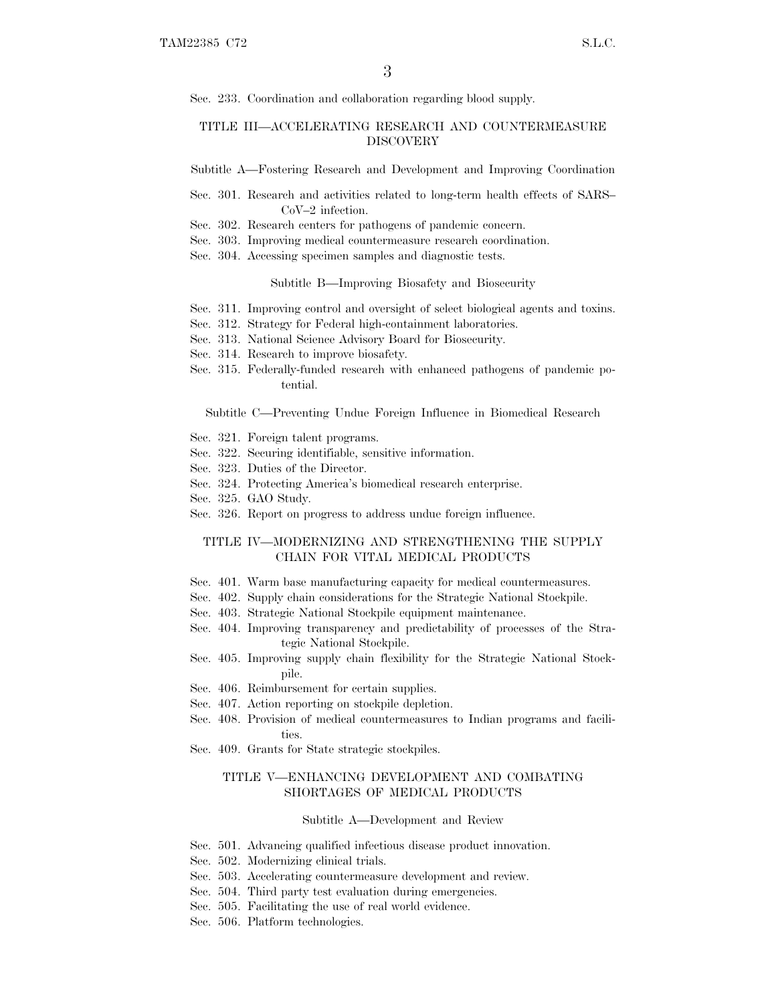Sec. 233. Coordination and collaboration regarding blood supply.

#### TITLE III—ACCELERATING RESEARCH AND COUNTERMEASURE **DISCOVERY**

Subtitle A—Fostering Research and Development and Improving Coordination

- Sec. 301. Research and activities related to long-term health effects of SARS– CoV–2 infection.
- Sec. 302. Research centers for pathogens of pandemic concern.
- Sec. 303. Improving medical countermeasure research coordination.
- Sec. 304. Accessing specimen samples and diagnostic tests.

Subtitle B—Improving Biosafety and Biosecurity

- Sec. 311. Improving control and oversight of select biological agents and toxins.
- Sec. 312. Strategy for Federal high-containment laboratories.
- Sec. 313. National Science Advisory Board for Biosecurity.
- Sec. 314. Research to improve biosafety.
- Sec. 315. Federally-funded research with enhanced pathogens of pandemic potential.

Subtitle C—Preventing Undue Foreign Influence in Biomedical Research

- Sec. 321. Foreign talent programs.
- Sec. 322. Securing identifiable, sensitive information.
- Sec. 323. Duties of the Director.
- Sec. 324. Protecting America's biomedical research enterprise.
- Sec. 325. GAO Study.
- Sec. 326. Report on progress to address undue foreign influence.

### TITLE IV—MODERNIZING AND STRENGTHENING THE SUPPLY CHAIN FOR VITAL MEDICAL PRODUCTS

- Sec. 401. Warm base manufacturing capacity for medical countermeasures.
- Sec. 402. Supply chain considerations for the Strategic National Stockpile.
- Sec. 403. Strategic National Stockpile equipment maintenance.
- Sec. 404. Improving transparency and predictability of processes of the Strategic National Stockpile.
- Sec. 405. Improving supply chain flexibility for the Strategic National Stockpile.
- Sec. 406. Reimbursement for certain supplies.
- Sec. 407. Action reporting on stockpile depletion.
- Sec. 408. Provision of medical countermeasures to Indian programs and facilities.
- Sec. 409. Grants for State strategic stockpiles.

#### TITLE V—ENHANCING DEVELOPMENT AND COMBATING SHORTAGES OF MEDICAL PRODUCTS

Subtitle A—Development and Review

- Sec. 501. Advancing qualified infectious disease product innovation.
- Sec. 502. Modernizing clinical trials.
- Sec. 503. Accelerating countermeasure development and review.
- Sec. 504. Third party test evaluation during emergencies.
- Sec. 505. Facilitating the use of real world evidence.
- Sec. 506. Platform technologies.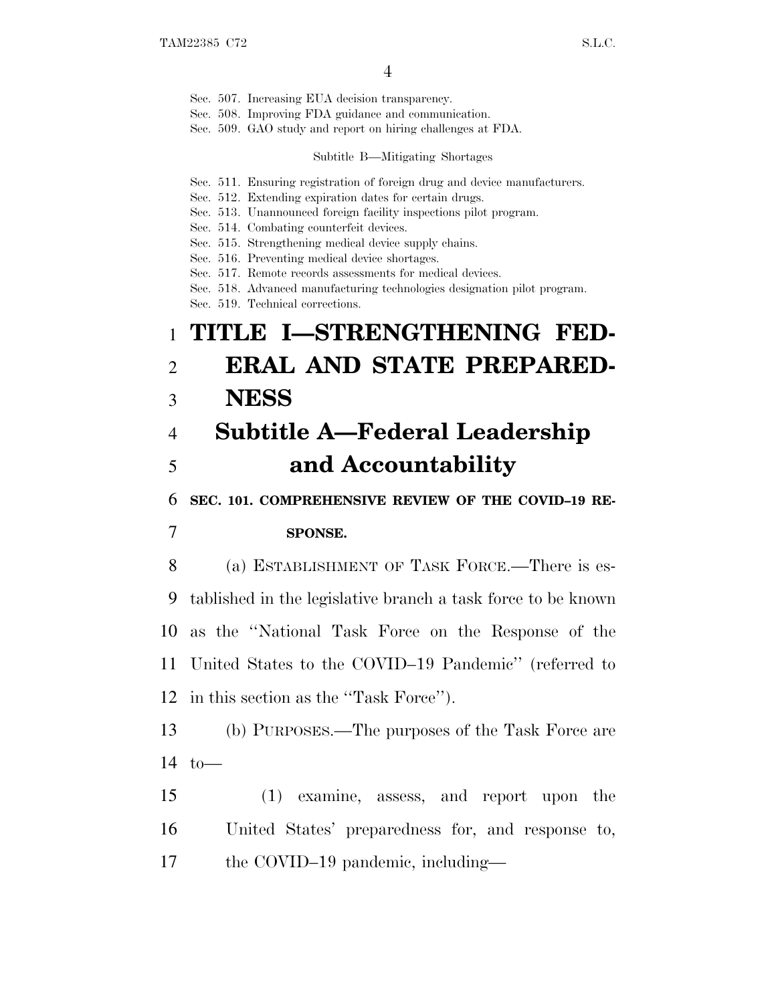- Sec. 507. Increasing EUA decision transparency.
- Sec. 508. Improving FDA guidance and communication.
- Sec. 509. GAO study and report on hiring challenges at FDA.

#### Subtitle B—Mitigating Shortages

- Sec. 511. Ensuring registration of foreign drug and device manufacturers.
- Sec. 512. Extending expiration dates for certain drugs.
- Sec. 513. Unannounced foreign facility inspections pilot program.
- Sec. 514. Combating counterfeit devices.
- Sec. 515. Strengthening medical device supply chains.
- Sec. 516. Preventing medical device shortages.
- Sec. 517. Remote records assessments for medical devices.
- Sec. 518. Advanced manufacturing technologies designation pilot program.
- Sec. 519. Technical corrections.

# 1 **TITLE I—STRENGTHENING FED-**2 **ERAL AND STATE PREPARED-**3 **NESS**

# 4 **Subtitle A—Federal Leadership** 5 **and Accountability**

6 **SEC. 101. COMPREHENSIVE REVIEW OF THE COVID–19 RE-**

### 7 **SPONSE.**

 (a) ESTABLISHMENT OF TASK FORCE.—There is es- tablished in the legislative branch a task force to be known as the ''National Task Force on the Response of the United States to the COVID–19 Pandemic'' (referred to in this section as the ''Task Force'').

13 (b) PURPOSES.—The purposes of the Task Force are  $14 \text{ to}$ —

15 (1) examine, assess, and report upon the 16 United States' preparedness for, and response to, 17 the COVID–19 pandemic, including—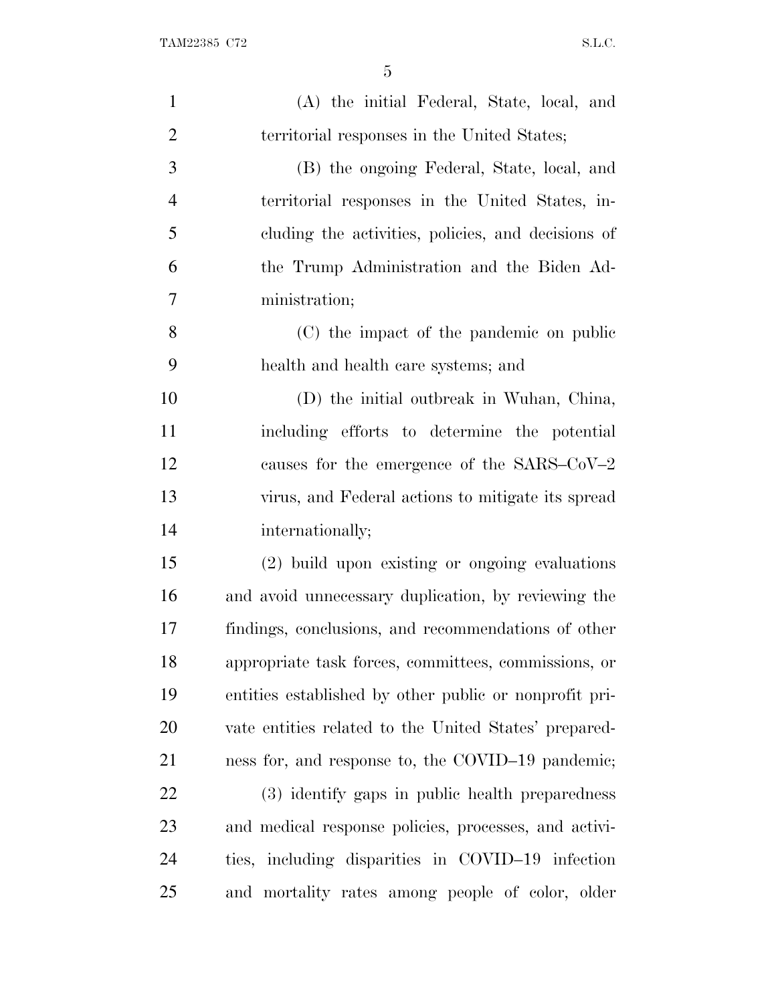| $\mathbf{1}$   | (A) the initial Federal, State, local, and             |
|----------------|--------------------------------------------------------|
| $\overline{2}$ | territorial responses in the United States;            |
| 3              | (B) the ongoing Federal, State, local, and             |
| $\overline{4}$ | territorial responses in the United States, in-        |
| 5              | cluding the activities, policies, and decisions of     |
| 6              | the Trump Administration and the Biden Ad-             |
| 7              | ministration;                                          |
| 8              | (C) the impact of the pandemic on public               |
| 9              | health and health care systems; and                    |
| 10             | (D) the initial outbreak in Wuhan, China,              |
| 11             | including efforts to determine the potential           |
| 12             | causes for the emergence of the $SARS-CoV-2$           |
| 13             | virus, and Federal actions to mitigate its spread      |
| 14             | internationally;                                       |
| 15             | (2) build upon existing or ongoing evaluations         |
| 16             | and avoid unnecessary duplication, by reviewing the    |
| 17             | findings, conclusions, and recommendations of other    |
| 18             | appropriate task forces, committees, commissions, or   |
| 19             | entities established by other public or nonprofit pri- |
| 20             | vate entities related to the United States' prepared-  |
| 21             | ness for, and response to, the COVID-19 pandemic;      |
| 22             | (3) identify gaps in public health preparedness        |
| 23             | and medical response policies, processes, and activi-  |
| 24             | ties, including disparities in COVID-19 infection      |
| 25             | and mortality rates among people of color, older       |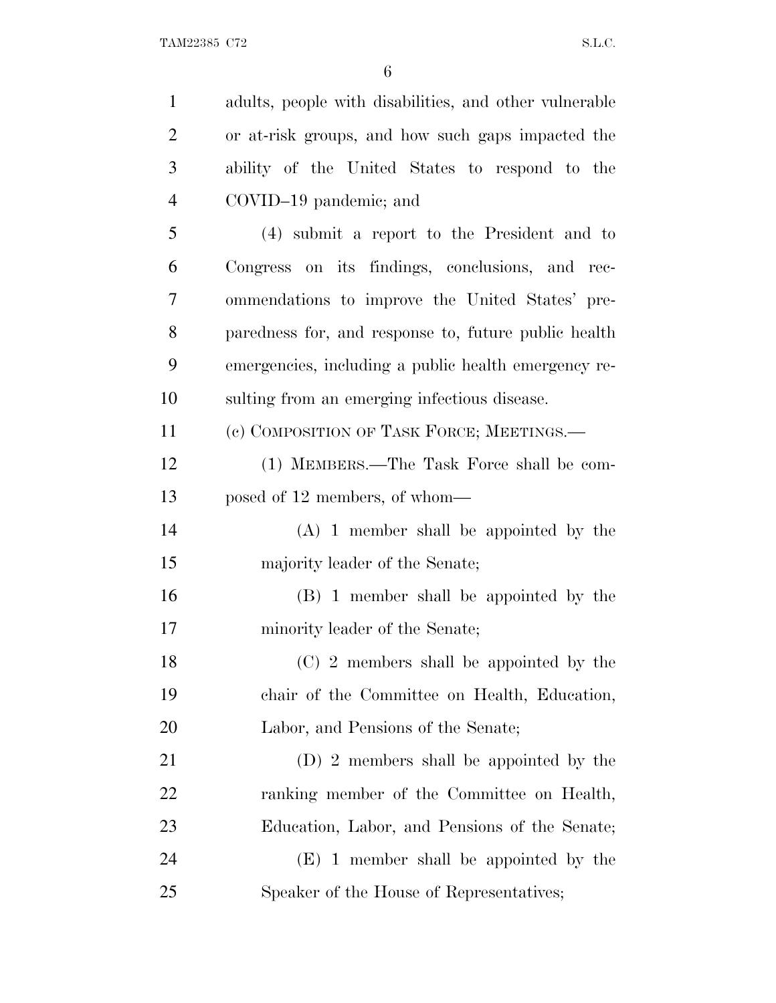| $\mathbf{1}$   | adults, people with disabilities, and other vulnerable |
|----------------|--------------------------------------------------------|
| $\overline{2}$ | or at-risk groups, and how such gaps impacted the      |
| 3              | ability of the United States to respond to the         |
| $\overline{4}$ | COVID-19 pandemic; and                                 |
| 5              | (4) submit a report to the President and to            |
| 6              | Congress on its findings, conclusions, and rec-        |
| 7              | ommendations to improve the United States' pre-        |
| 8              | paredness for, and response to, future public health   |
| 9              | emergencies, including a public health emergency re-   |
| 10             | sulting from an emerging infectious disease.           |
| 11             | (c) COMPOSITION OF TASK FORCE; MEETINGS.—              |
| 12             | (1) MEMBERS.—The Task Force shall be com-              |
| 13             | posed of 12 members, of whom—                          |
| 14             | $(A)$ 1 member shall be appointed by the               |
| 15             | majority leader of the Senate;                         |
| 16             | (B) 1 member shall be appointed by the                 |
| 17             | minority leader of the Senate;                         |
| 18             | (C) 2 members shall be appointed by the                |
| 19             | chair of the Committee on Health, Education,           |
| 20             | Labor, and Pensions of the Senate;                     |
| 21             | (D) 2 members shall be appointed by the                |
| 22             | ranking member of the Committee on Health,             |
| 23             | Education, Labor, and Pensions of the Senate;          |
| 24             | (E) 1 member shall be appointed by the                 |
| 25             | Speaker of the House of Representatives;               |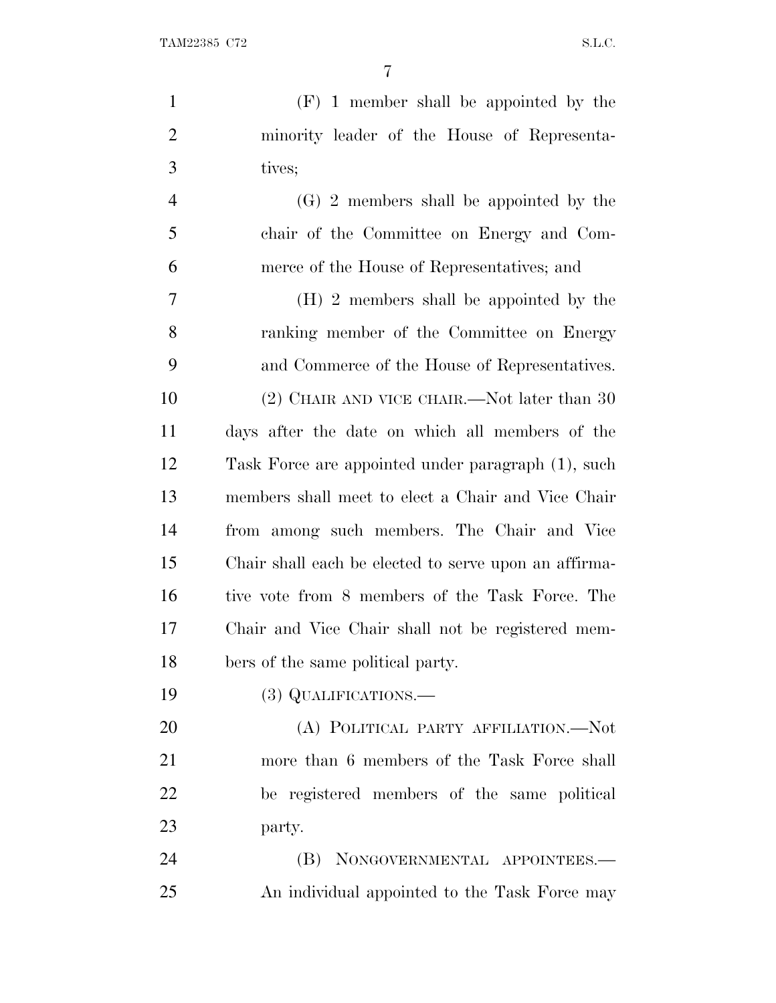| $\mathbf{1}$   | $(F)$ 1 member shall be appointed by the              |
|----------------|-------------------------------------------------------|
| $\overline{2}$ | minority leader of the House of Representa-           |
| 3              | tives;                                                |
| $\overline{4}$ | $(G)$ 2 members shall be appointed by the             |
| 5              | chair of the Committee on Energy and Com-             |
| 6              | merce of the House of Representatives; and            |
| 7              | (H) 2 members shall be appointed by the               |
| 8              | ranking member of the Committee on Energy             |
| 9              | and Commerce of the House of Representatives.         |
| 10             | (2) CHAIR AND VICE CHAIR.—Not later than 30           |
| 11             | days after the date on which all members of the       |
| 12             | Task Force are appointed under paragraph (1), such    |
| 13             | members shall meet to elect a Chair and Vice Chair    |
| 14             | from among such members. The Chair and Vice           |
| 15             | Chair shall each be elected to serve upon an affirma- |
| 16             | tive vote from 8 members of the Task Force. The       |
| 17             | Chair and Vice Chair shall not be registered mem-     |
| 18             | bers of the same political party.                     |
| 19             | (3) QUALIFICATIONS.—                                  |
| 20             | (A) POLITICAL PARTY AFFILIATION.—Not                  |
| 21             | more than 6 members of the Task Force shall           |
| 22             | be registered members of the same political           |
| 23             | party.                                                |
| 24             | (B) NONGOVERNMENTAL APPOINTEES.—                      |
| 25             | An individual appointed to the Task Force may         |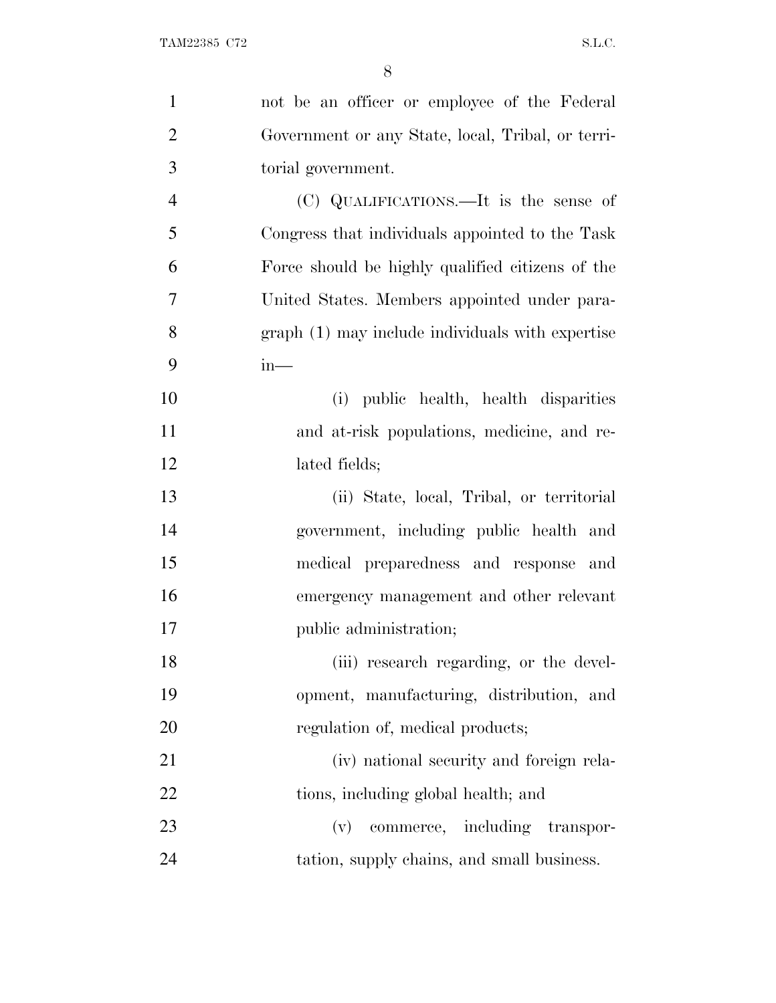| $\mathbf{1}$   | not be an officer or employee of the Federal      |
|----------------|---------------------------------------------------|
| $\overline{2}$ | Government or any State, local, Tribal, or terri- |
| 3              | torial government.                                |
| $\overline{4}$ | (C) QUALIFICATIONS.—It is the sense of            |
| 5              | Congress that individuals appointed to the Task   |
| 6              | Force should be highly qualified citizens of the  |
| $\overline{7}$ | United States. Members appointed under para-      |
| 8              | graph (1) may include individuals with expertise  |
| 9              | $in-$                                             |
| 10             | (i) public health, health disparities             |
| 11             | and at-risk populations, medicine, and re-        |
| 12             | lated fields;                                     |
| 13             | (ii) State, local, Tribal, or territorial         |
| 14             | government, including public health and           |
| 15             | medical preparedness and response and             |
| 16             | emergency management and other relevant           |
| 17             | public administration;                            |
| 18             | (iii) research regarding, or the devel-           |
| 19             | opment, manufacturing, distribution, and          |
| 20             | regulation of, medical products;                  |
| 21             | (iv) national security and foreign rela-          |
| 22             | tions, including global health; and               |
| 23             | (v) commerce, including transpor-                 |
| 24             | tation, supply chains, and small business.        |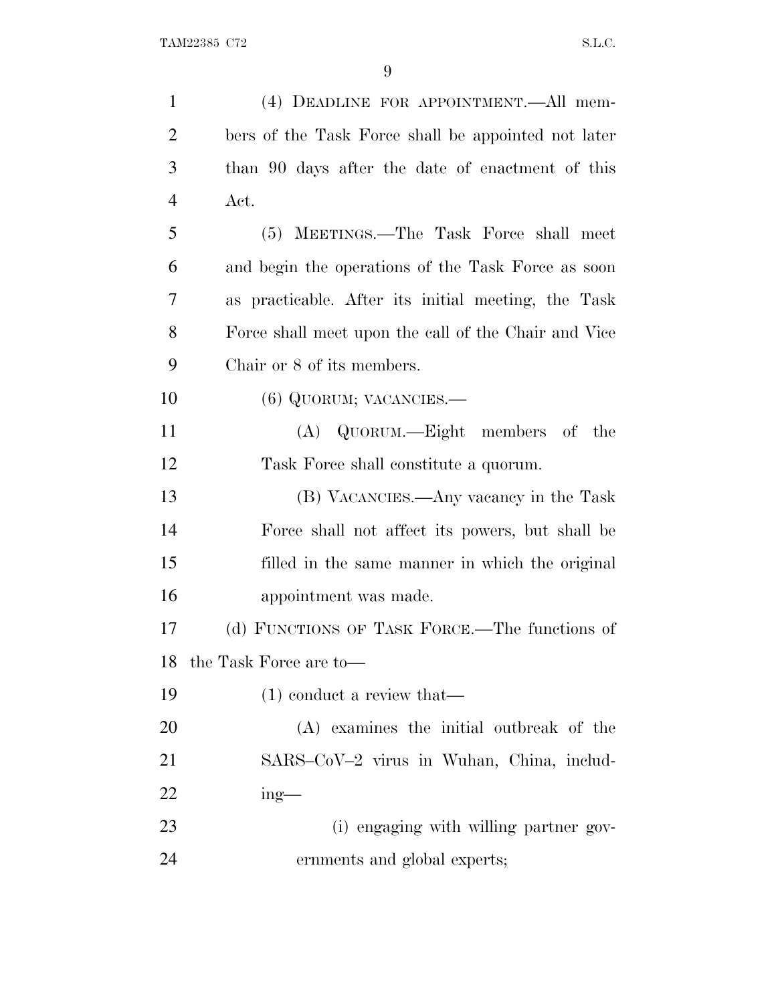| $\mathbf{1}$   | (4) DEADLINE FOR APPOINTMENT. All mem-               |
|----------------|------------------------------------------------------|
| $\overline{2}$ | bers of the Task Force shall be appointed not later  |
| 3              | than 90 days after the date of enactment of this     |
| $\overline{4}$ | Act.                                                 |
| 5              | (5) MEETINGS.—The Task Force shall meet              |
| 6              | and begin the operations of the Task Force as soon   |
| 7              | as practicable. After its initial meeting, the Task  |
| 8              | Force shall meet upon the call of the Chair and Vice |
| 9              | Chair or 8 of its members.                           |
| 10             | $(6)$ QUORUM; VACANCIES.—                            |
| 11             | (A) QUORUM.—Eight members of the                     |
| 12             | Task Force shall constitute a quorum.                |
| 13             | (B) VACANCIES.—Any vacancy in the Task               |
| 14             | Force shall not affect its powers, but shall be      |
| 15             | filled in the same manner in which the original      |
| 16             | appointment was made.                                |
| 17             | (d) FUNCTIONS OF TASK FORCE.—The functions of        |
| 18             | the Task Force are to-                               |
| 19             | $(1)$ conduct a review that—                         |
| 20             | (A) examines the initial outbreak of the             |
| 21             | SARS-CoV-2 virus in Wuhan, China, includ-            |
| 22             | $ing$ —                                              |
| 23             | (i) engaging with willing partner gov-               |
| 24             | ernments and global experts;                         |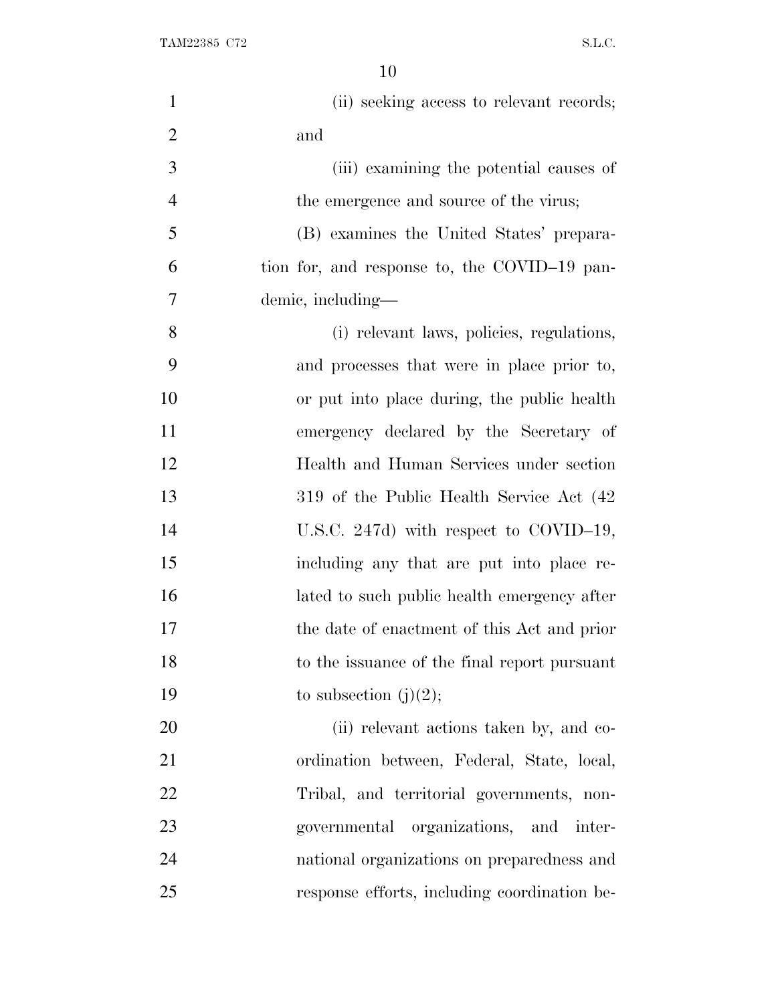| $\mathbf{1}$   | (ii) seeking access to relevant records;     |
|----------------|----------------------------------------------|
| $\overline{2}$ | and                                          |
| 3              | (iii) examining the potential causes of      |
| $\overline{4}$ | the emergence and source of the virus;       |
| 5              | (B) examines the United States' prepara-     |
| 6              | tion for, and response to, the COVID-19 pan- |
| 7              | demic, including—                            |
| 8              | (i) relevant laws, policies, regulations,    |
| 9              | and processes that were in place prior to,   |
| 10             | or put into place during, the public health  |
| 11             | emergency declared by the Secretary of       |
| 12             | Health and Human Services under section      |
| 13             | 319 of the Public Health Service Act (42)    |
| 14             | U.S.C. 247d) with respect to COVID-19,       |
| 15             | including any that are put into place re-    |
| 16             | lated to such public health emergency after  |
| 17             | the date of enactment of this Act and prior  |
| 18             | to the issuance of the final report pursuant |
| 19             | to subsection $(j)(2)$ ;                     |
| 20             | (ii) relevant actions taken by, and co-      |
| 21             | ordination between, Federal, State, local,   |
| 22             | Tribal, and territorial governments, non-    |
| 23             | organizations, and inter-<br>governmental    |
| 24             | national organizations on preparedness and   |
| 25             | response efforts, including coordination be- |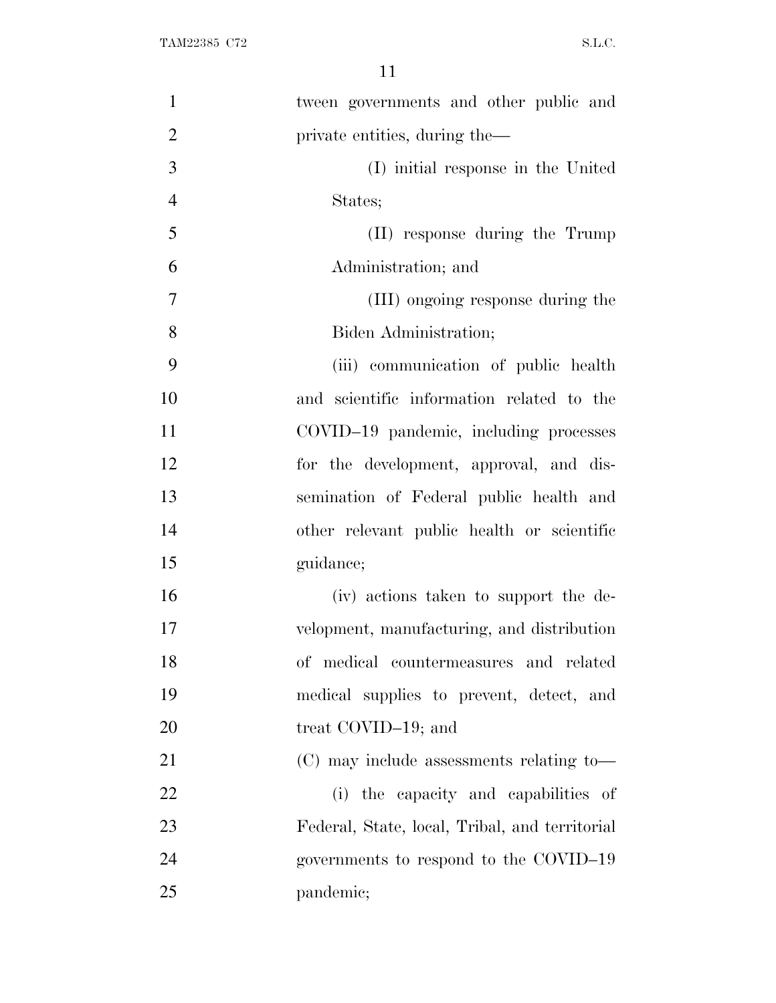| $\mathbf{1}$   | tween governments and other public and         |
|----------------|------------------------------------------------|
| $\overline{2}$ | private entities, during the—                  |
| 3              | (I) initial response in the United             |
| $\overline{4}$ | States;                                        |
| 5              | (II) response during the Trump                 |
| 6              | Administration; and                            |
| $\overline{7}$ | (III) ongoing response during the              |
| 8              | Biden Administration;                          |
| 9              | (iii) communication of public health           |
| 10             | and scientific information related to the      |
| 11             | COVID-19 pandemic, including processes         |
| 12             | for the development, approval, and dis-        |
| 13             | semination of Federal public health and        |
| 14             | other relevant public health or scientific     |
| 15             | guidance;                                      |
| 16             | (iv) actions taken to support the de-          |
| 17             | velopment, manufacturing, and distribution     |
| 18             | of medical countermeasures and related         |
| 19             | medical supplies to prevent, detect, and       |
| 20             | treat COVID-19; and                            |
| 21             | $(C)$ may include assessments relating to-     |
| 22             | (i) the capacity and capabilities of           |
| 23             | Federal, State, local, Tribal, and territorial |
| 24             | governments to respond to the COVID-19         |
| 25             | pandemic;                                      |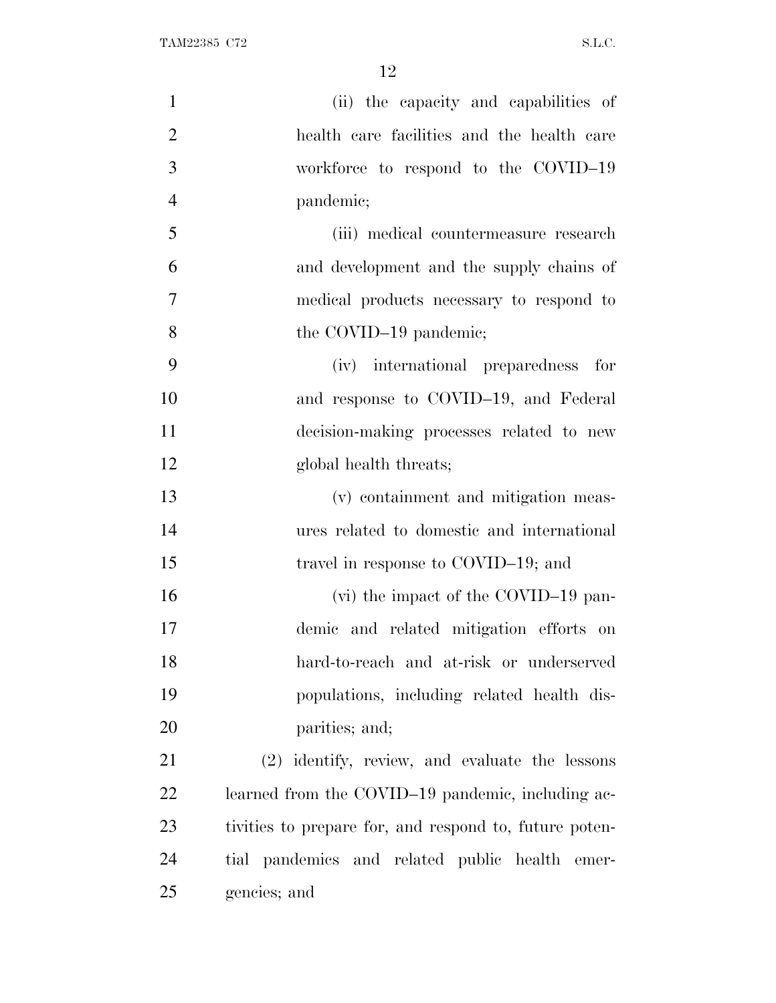| $\mathbf{1}$   | (ii) the capacity and capabilities of                  |
|----------------|--------------------------------------------------------|
| $\overline{2}$ | health care facilities and the health care             |
| 3              | workforce to respond to the COVID-19                   |
| $\overline{4}$ | pandemic;                                              |
| 5              | (iii) medical countermeasure research                  |
| 6              | and development and the supply chains of               |
| 7              | medical products necessary to respond to               |
| 8              | the COVID-19 pandemic;                                 |
| 9              | (iv) international preparedness for                    |
| 10             | and response to COVID-19, and Federal                  |
| 11             | decision-making processes related to new               |
| 12             | global health threats;                                 |
| 13             | (v) containment and mitigation meas-                   |
| 14             | ures related to domestic and international             |
| 15             | travel in response to COVID-19; and                    |
| 16             | (vi) the impact of the COVID-19 pan-                   |
| 17             | demic and related mitigation efforts on                |
| 18             | hard-to-reach and at-risk or underserved               |
| 19             | populations, including related health dis-             |
| 20             | parities; and;                                         |
| 21             | (2) identify, review, and evaluate the lessons         |
| 22             | learned from the COVID-19 pandemic, including ac-      |
| 23             | tivities to prepare for, and respond to, future poten- |
| 24             | tial pandemics and related public health emer-         |
| 25             | gencies; and                                           |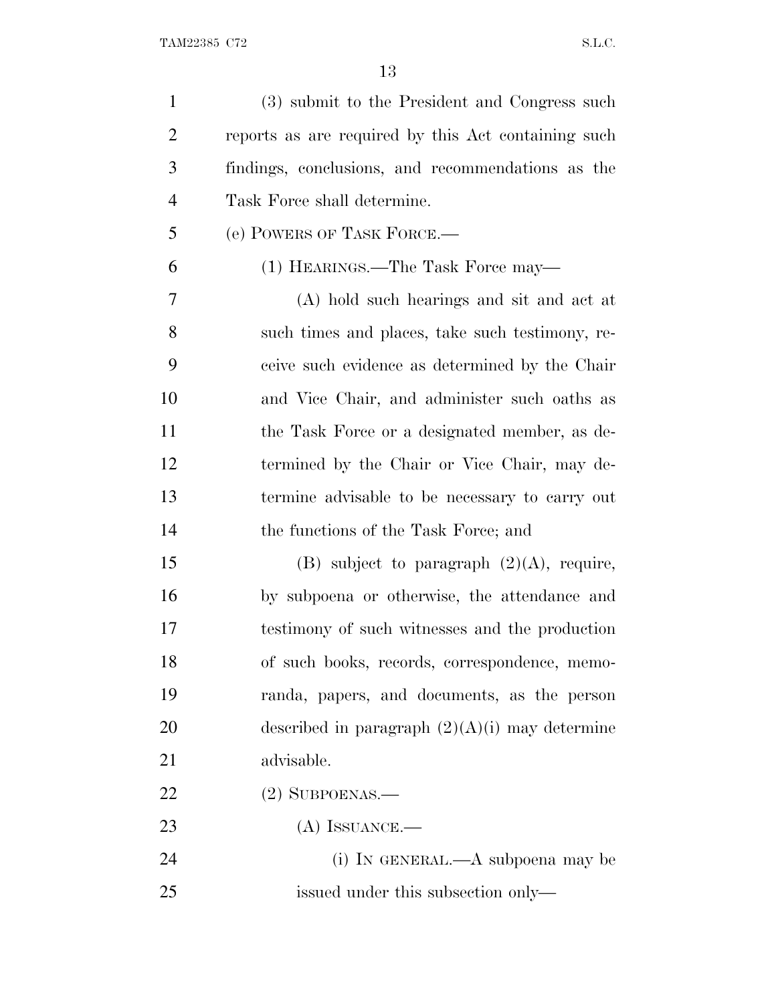| $\mathbf{1}$   | (3) submit to the President and Congress such       |
|----------------|-----------------------------------------------------|
| $\overline{2}$ | reports as are required by this Act containing such |
| 3              | findings, conclusions, and recommendations as the   |
| $\overline{4}$ | Task Force shall determine.                         |
| 5              | (e) POWERS OF TASK FORCE.                           |
| 6              | (1) HEARINGS.—The Task Force may—                   |
| 7              | (A) hold such hearings and sit and act at           |
| 8              | such times and places, take such testimony, re-     |
| 9              | ceive such evidence as determined by the Chair      |
| 10             | and Vice Chair, and administer such oaths as        |
| 11             | the Task Force or a designated member, as de-       |
| 12             | termined by the Chair or Vice Chair, may de-        |
| 13             | termine advisable to be necessary to carry out      |
| 14             | the functions of the Task Force; and                |
| 15             | (B) subject to paragraph $(2)(A)$ , require,        |
| 16             | by subpoena or otherwise, the attendance and        |
| 17             | testimony of such witnesses and the production      |
| 18             | of such books, records, correspondence, memo-       |
| 19             | randa, papers, and documents, as the person         |
| 20             | described in paragraph $(2)(A)(i)$ may determine    |
| 21             | advisable.                                          |
| 22             | $(2)$ SUBPOENAS.—                                   |
| 23             | $(A)$ ISSUANCE.—                                    |
| 24             | (i) IN GENERAL.—A subpoena may be                   |
| 25             | issued under this subsection only—                  |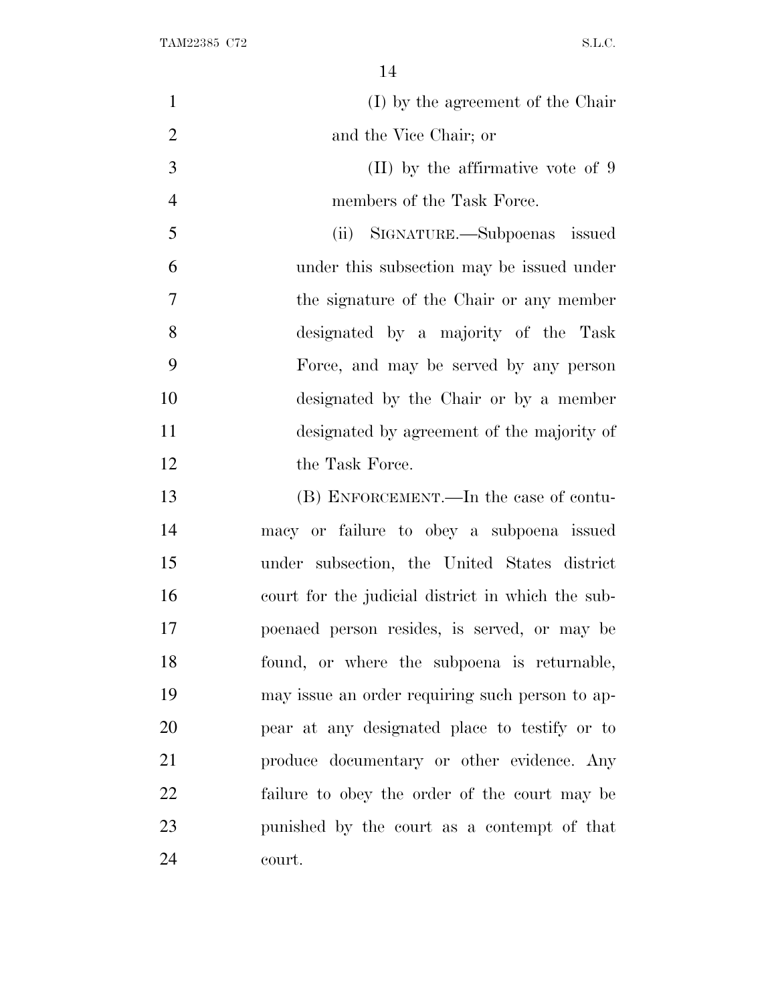| $\mathbf{1}$   | (I) by the agreement of the Chair                 |
|----------------|---------------------------------------------------|
| $\overline{2}$ | and the Vice Chair; or                            |
| 3              | $(II)$ by the affirmative vote of 9               |
| $\overline{4}$ | members of the Task Force.                        |
| 5              | (ii) SIGNATURE.—Subpoenas issued                  |
| 6              | under this subsection may be issued under         |
| 7              | the signature of the Chair or any member          |
| 8              | designated by a majority of the Task              |
| 9              | Force, and may be served by any person            |
| 10             | designated by the Chair or by a member            |
| 11             | designated by agreement of the majority of        |
| 12             | the Task Force.                                   |
| 13             | (B) ENFORCEMENT.—In the case of contu-            |
| 14             | macy or failure to obey a subpoena issued         |
| 15             | under subsection, the United States district      |
| 16             | court for the judicial district in which the sub- |
| 17             | poenaed person resides, is served, or may be      |
| 18             | found, or where the subpoena is returnable,       |
| 19             | may issue an order requiring such person to ap-   |
| 20             | pear at any designated place to testify or to     |
| 21             | produce documentary or other evidence. Any        |
| 22             | failure to obey the order of the court may be     |
| 23             | punished by the court as a contempt of that       |
| 24             | court.                                            |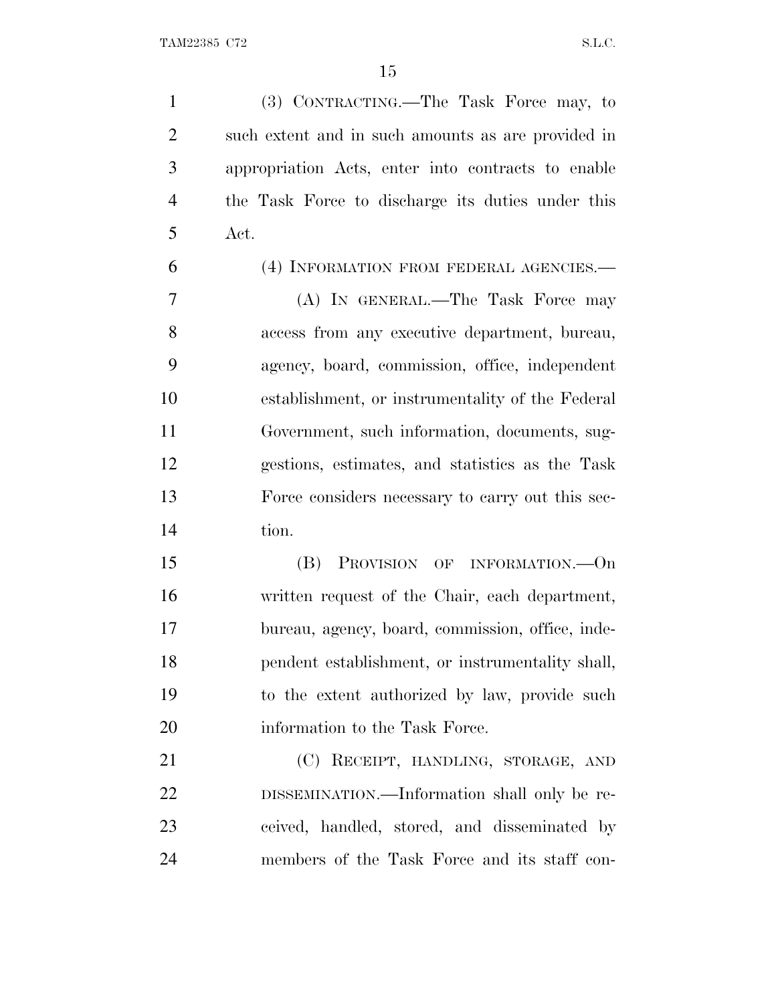(3) CONTRACTING.—The Task Force may, to such extent and in such amounts as are provided in appropriation Acts, enter into contracts to enable the Task Force to discharge its duties under this Act.

(4) INFORMATION FROM FEDERAL AGENCIES.—

 (A) IN GENERAL.—The Task Force may access from any executive department, bureau, agency, board, commission, office, independent establishment, or instrumentality of the Federal Government, such information, documents, sug- gestions, estimates, and statistics as the Task Force considers necessary to carry out this sec-tion.

 (B) PROVISION OF INFORMATION.—On written request of the Chair, each department, bureau, agency, board, commission, office, inde- pendent establishment, or instrumentality shall, to the extent authorized by law, provide such 20 information to the Task Force.

21 (C) RECEIPT, HANDLING, STORAGE, AND DISSEMINATION.—Information shall only be re- ceived, handled, stored, and disseminated by members of the Task Force and its staff con-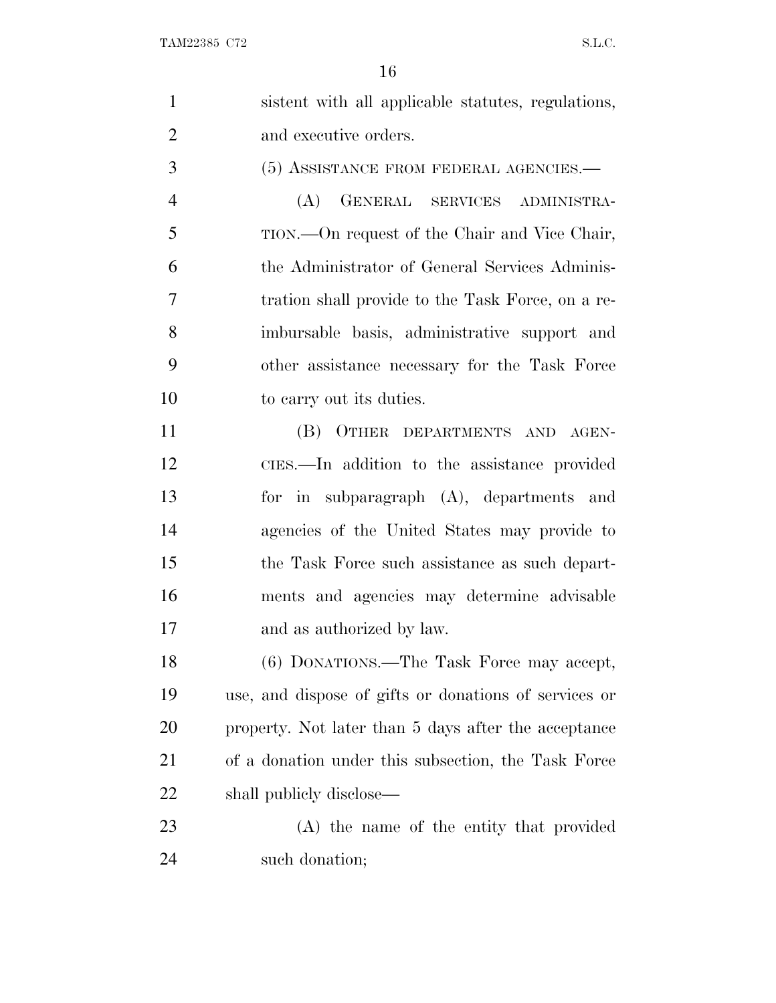| $\mathbf{1}$   | sistent with all applicable statutes, regulations,    |
|----------------|-------------------------------------------------------|
| $\overline{2}$ | and executive orders.                                 |
| 3              | (5) ASSISTANCE FROM FEDERAL AGENCIES.-                |
| $\overline{4}$ | (A) GENERAL SERVICES ADMINISTRA-                      |
| 5              | TION.—On request of the Chair and Vice Chair,         |
| 6              | the Administrator of General Services Adminis-        |
| 7              | tration shall provide to the Task Force, on a re-     |
| 8              | imbursable basis, administrative support and          |
| 9              | other assistance necessary for the Task Force         |
| 10             | to carry out its duties.                              |
| 11             | (B) OTHER DEPARTMENTS AND AGEN-                       |
| 12             | CIES.—In addition to the assistance provided          |
| 13             | for in subparagraph (A), departments and              |
| 14             | agencies of the United States may provide to          |
| 15             | the Task Force such assistance as such depart-        |
| 16             | ments and agencies may determine advisable            |
| 17             | and as authorized by law.                             |
| 18             | (6) DONATIONS.—The Task Force may accept,             |
| 19             | use, and dispose of gifts or donations of services or |
| <b>20</b>      | property. Not later than 5 days after the acceptance  |
| 21             | of a donation under this subsection, the Task Force   |
| 22             | shall publicly disclose—                              |
| 23             | (A) the name of the entity that provided              |

such donation;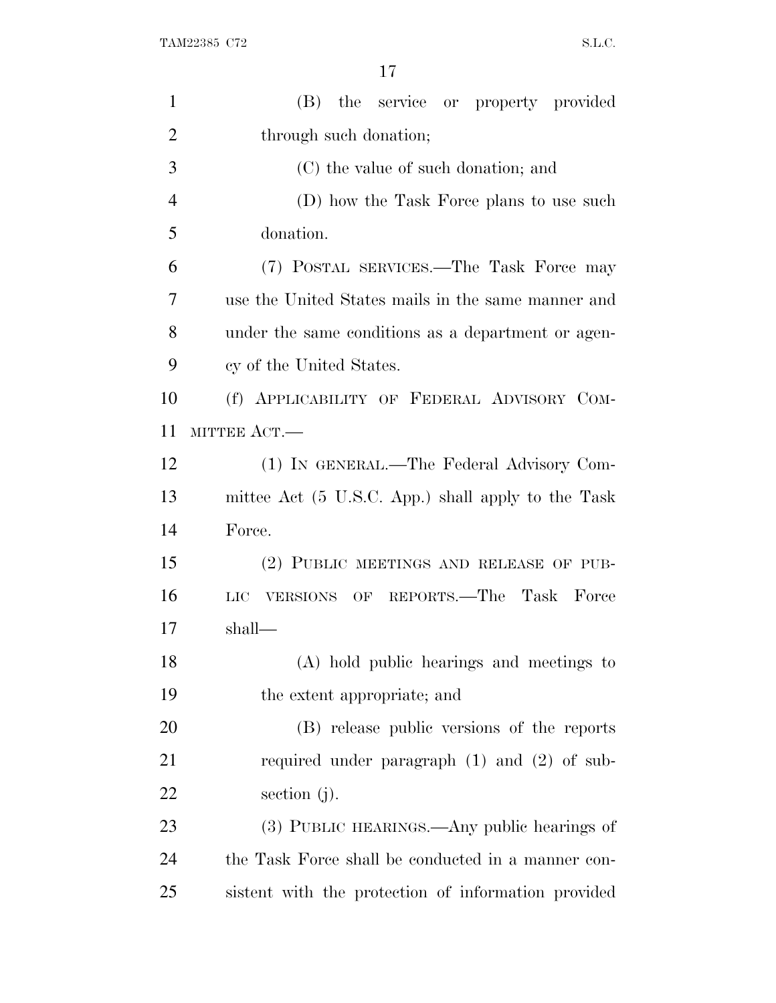| $\mathbf{1}$   | (B)<br>the service or property provided             |
|----------------|-----------------------------------------------------|
| $\overline{2}$ | through such donation;                              |
| 3              | (C) the value of such donation; and                 |
| $\overline{4}$ | (D) how the Task Force plans to use such            |
| 5              | donation.                                           |
| 6              | (7) POSTAL SERVICES.—The Task Force may             |
| 7              | use the United States mails in the same manner and  |
| 8              | under the same conditions as a department or agen-  |
| 9              | cy of the United States.                            |
| 10             | (f) APPLICABILITY OF FEDERAL ADVISORY COM-          |
| 11             | MITTEE ACT.-                                        |
| 12             | (1) IN GENERAL.—The Federal Advisory Com-           |
| 13             | mittee Act (5 U.S.C. App.) shall apply to the Task  |
| 14             | Force.                                              |
| 15             | (2) PUBLIC MEETINGS AND RELEASE OF PUB-             |
| 16             | VERSIONS OF REPORTS.—The Task Force<br>LIC          |
| 17             | shall—                                              |
| 18             | (A) hold public hearings and meetings to            |
| 19             | the extent appropriate; and                         |
| 20             | (B) release public versions of the reports          |
| 21             | required under paragraph $(1)$ and $(2)$ of sub-    |
| <u>22</u>      | section $(j)$ .                                     |
| 23             | (3) PUBLIC HEARINGS.—Any public hearings of         |
| 24             | the Task Force shall be conducted in a manner con-  |
| 25             | sistent with the protection of information provided |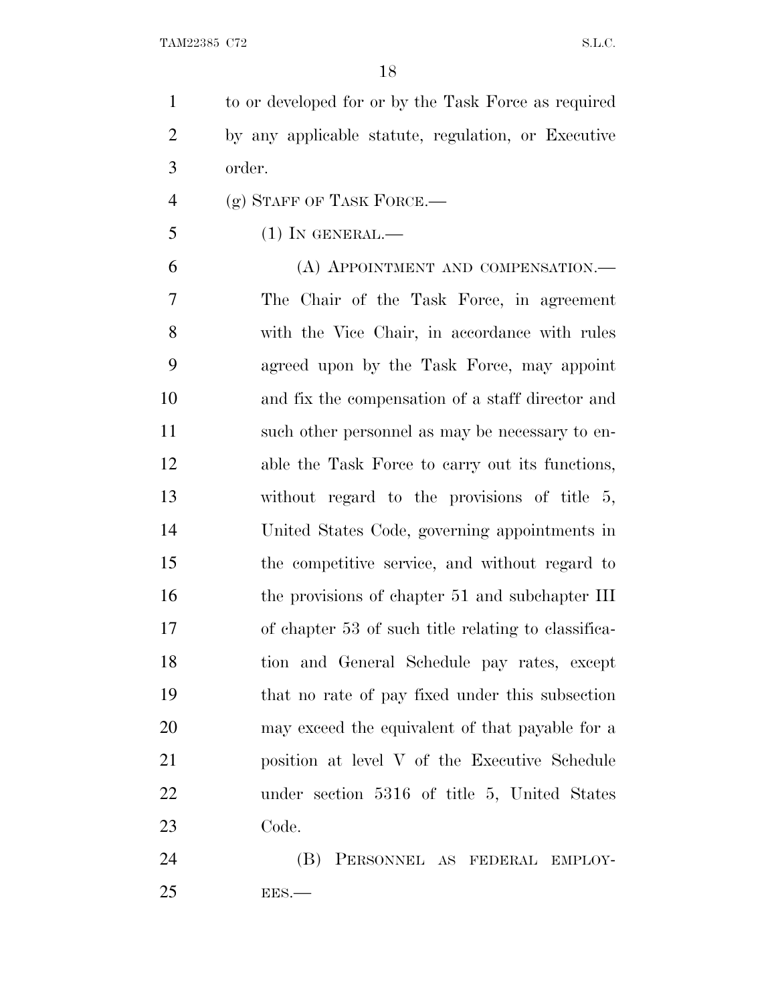to or developed for or by the Task Force as required by any applicable statute, regulation, or Executive order.

- (g) STAFF OF TASK FORCE.—
- (1) In GENERAL.—

 (A) APPOINTMENT AND COMPENSATION.— The Chair of the Task Force, in agreement with the Vice Chair, in accordance with rules agreed upon by the Task Force, may appoint and fix the compensation of a staff director and 11 such other personnel as may be necessary to en- able the Task Force to carry out its functions, without regard to the provisions of title 5, United States Code, governing appointments in the competitive service, and without regard to 16 the provisions of chapter 51 and subchapter III of chapter 53 of such title relating to classifica- tion and General Schedule pay rates, except that no rate of pay fixed under this subsection may exceed the equivalent of that payable for a position at level V of the Executive Schedule under section 5316 of title 5, United States Code.

 (B) PERSONNEL AS FEDERAL EMPLOY-EES.—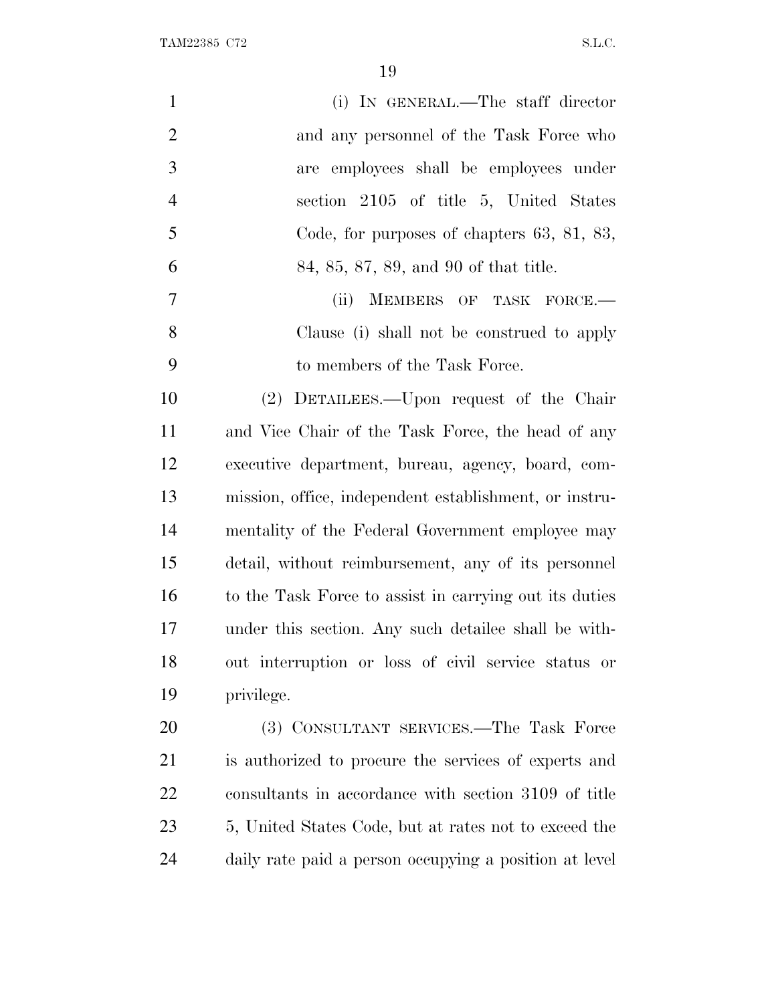TAM22385 C72 S.L.C.

| $\mathbf{1}$   | (i) IN GENERAL.—The staff director                     |
|----------------|--------------------------------------------------------|
| $\overline{2}$ | and any personnel of the Task Force who                |
| 3              | employees shall be employees under<br>are              |
| $\overline{4}$ | section 2105 of title 5, United States                 |
| 5              | Code, for purposes of chapters 63, 81, 83,             |
| 6              | 84, 85, 87, 89, and 90 of that title.                  |
| $\tau$         | (ii)<br>MEMBERS OF TASK FORCE.-                        |
| 8              | Clause (i) shall not be construed to apply             |
| 9              | to members of the Task Force.                          |
| 10             | (2) DETAILEES.—Upon request of the Chair               |
| 11             | and Vice Chair of the Task Force, the head of any      |
| 12             | executive department, bureau, agency, board, com-      |
| 13             | mission, office, independent establishment, or instru- |
| 14             | mentality of the Federal Government employee may       |
| 15             | detail, without reimbursement, any of its personnel    |
| 16             | to the Task Force to assist in carrying out its duties |
| 17             | under this section. Any such detailee shall be with-   |
| 18             | out interruption or loss of civil service status or    |
| 19             | privilege.                                             |
| 20             | (3) CONSULTANT SERVICES.—The Task Force                |
| 21             | is authorized to procure the services of experts and   |
| 22             | consultants in accordance with section 3109 of title   |
| 23             | 5, United States Code, but at rates not to exceed the  |
| 24             | daily rate paid a person occupying a position at level |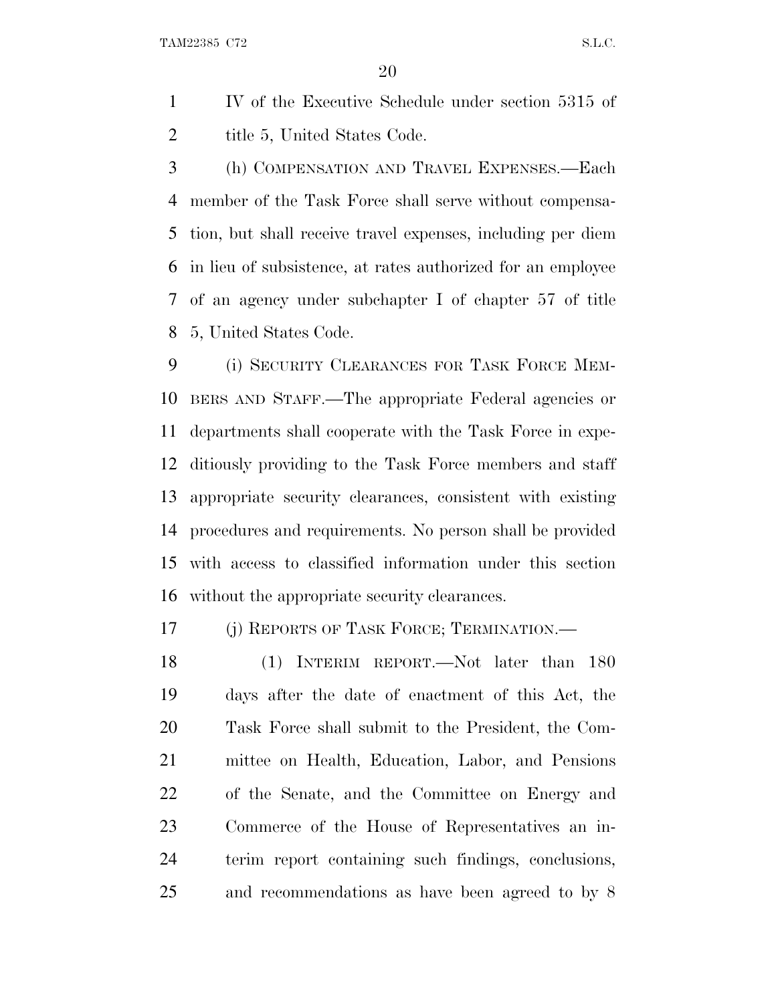TAM22385 C72 S.L.C.

 IV of the Executive Schedule under section 5315 of 2 title 5, United States Code.

 (h) COMPENSATION AND TRAVEL EXPENSES.—Each member of the Task Force shall serve without compensa- tion, but shall receive travel expenses, including per diem in lieu of subsistence, at rates authorized for an employee of an agency under subchapter I of chapter 57 of title 5, United States Code.

 (i) SECURITY CLEARANCES FOR TASK FORCE MEM- BERS AND STAFF.—The appropriate Federal agencies or departments shall cooperate with the Task Force in expe- ditiously providing to the Task Force members and staff appropriate security clearances, consistent with existing procedures and requirements. No person shall be provided with access to classified information under this section without the appropriate security clearances.

(j) REPORTS OF TASK FORCE; TERMINATION.—

18 (1) INTERIM REPORT.—Not later than 180 days after the date of enactment of this Act, the Task Force shall submit to the President, the Com- mittee on Health, Education, Labor, and Pensions of the Senate, and the Committee on Energy and Commerce of the House of Representatives an in- terim report containing such findings, conclusions, and recommendations as have been agreed to by 8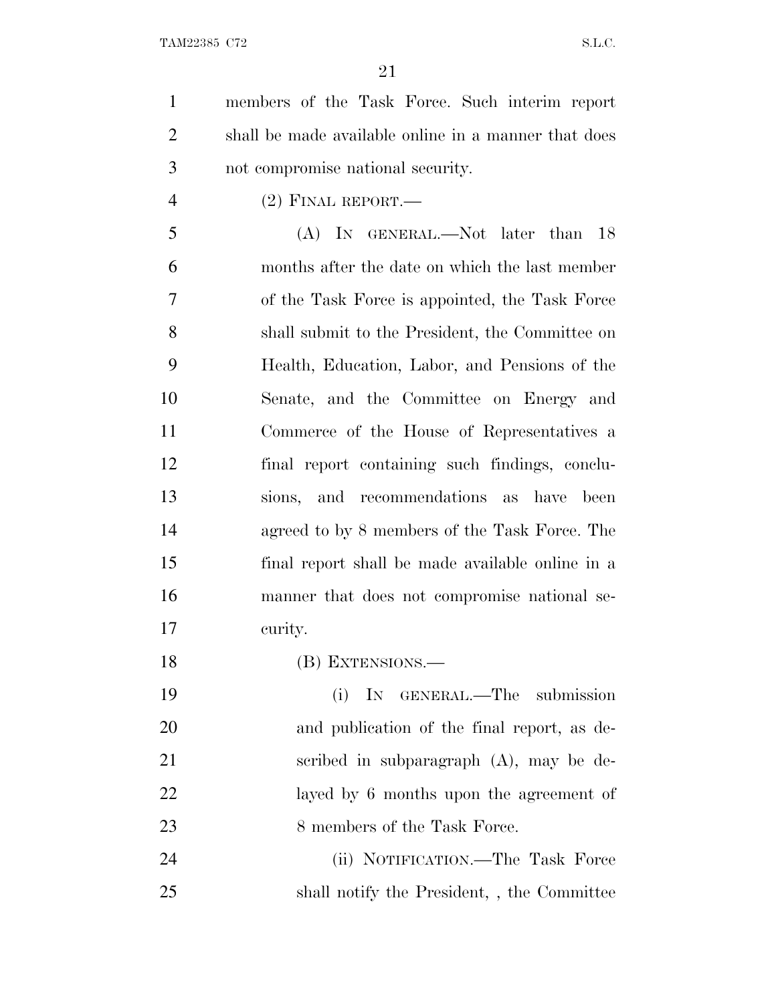| $\mathbf{1}$   | members of the Task Force. Such interim report       |
|----------------|------------------------------------------------------|
| $\overline{2}$ | shall be made available online in a manner that does |
| 3              | not compromise national security.                    |
| $\overline{4}$ | $(2)$ FINAL REPORT.—                                 |
| 5              | (A) IN GENERAL.—Not later than<br>18                 |
| 6              | months after the date on which the last member       |
| 7              | of the Task Force is appointed, the Task Force       |
| 8              | shall submit to the President, the Committee on      |
| 9              | Health, Education, Labor, and Pensions of the        |
| 10             | Senate, and the Committee on Energy and              |
| 11             | Commerce of the House of Representatives a           |
| 12             | final report containing such findings, conclu-       |
| 13             | sions, and recommendations as<br>have been           |
| 14             | agreed to by 8 members of the Task Force. The        |
| 15             | final report shall be made available online in a     |
| 16             | manner that does not compromise national se-         |
| 17             | curity.                                              |
| 18             | (B) EXTENSIONS.—                                     |
| 19             | IN<br>GENERAL.—The submission<br>(i)                 |
| 20             | and publication of the final report, as de-          |
| 21             | scribed in subparagraph $(A)$ , may be de-           |
|                |                                                      |

23 8 members of the Task Force.

 (ii) NOTIFICATION.—The Task Force shall notify the President, , the Committee

layed by 6 months upon the agreement of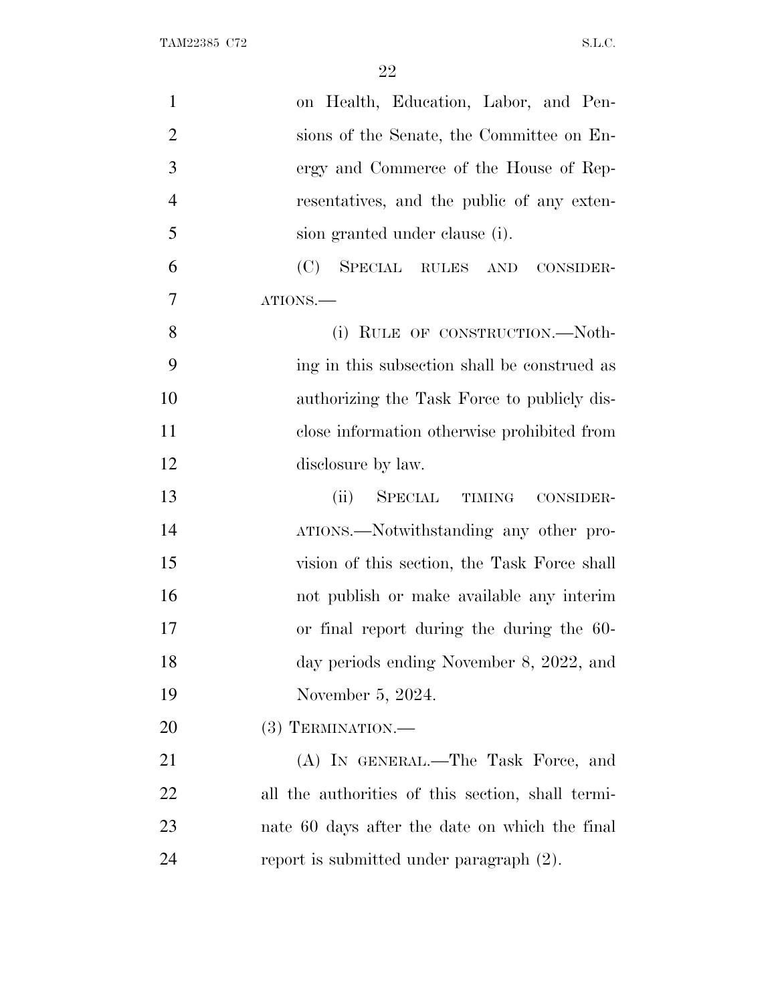| $\mathbf{1}$   | on Health, Education, Labor, and Pen-             |
|----------------|---------------------------------------------------|
| $\overline{2}$ | sions of the Senate, the Committee on En-         |
| 3              | ergy and Commerce of the House of Rep-            |
| $\overline{4}$ | resentatives, and the public of any exten-        |
| 5              | sion granted under clause (i).                    |
| 6              | SPECIAL RULES AND<br>(C)<br>CONSIDER-             |
| 7              | ATIONS.                                           |
| 8              | (i) RULE OF CONSTRUCTION.-Noth-                   |
| 9              | ing in this subsection shall be construed as      |
| 10             | authorizing the Task Force to publicly dis-       |
| 11             | close information otherwise prohibited from       |
| 12             | disclosure by law.                                |
| 13             | SPECIAL TIMING CONSIDER-<br>(ii)                  |
| 14             | ATIONS.—Notwithstanding any other pro-            |
| 15             | vision of this section, the Task Force shall      |
| 16             | not publish or make available any interim         |
| 17             | or final report during the during the 60-         |
| 18             | day periods ending November 8, 2022, and          |
| 19             | November 5, 2024.                                 |
| 20             | $(3)$ TERMINATION.—                               |
| 21             | (A) IN GENERAL.—The Task Force, and               |
| 22             | all the authorities of this section, shall termi- |
| 23             | nate 60 days after the date on which the final    |
| 24             | report is submitted under paragraph (2).          |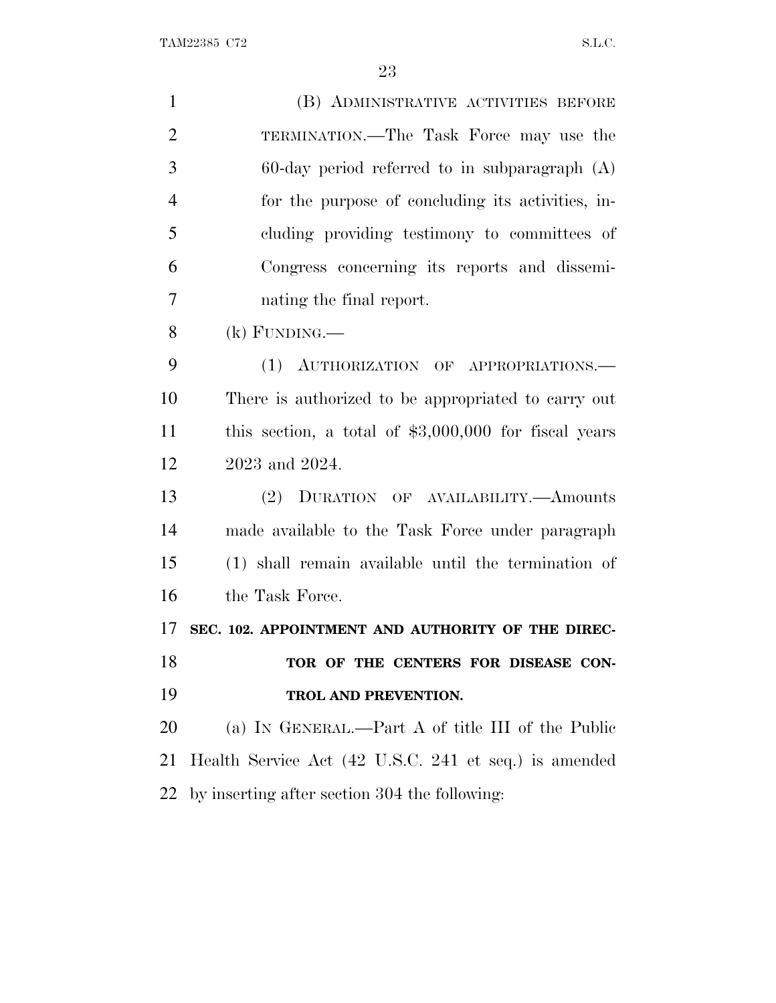TAM22385 C72 S.L.C.

| $\mathbf{1}$   | (B) ADMINISTRATIVE ACTIVITIES BEFORE                   |
|----------------|--------------------------------------------------------|
| $\overline{2}$ | TERMINATION.—The Task Force may use the                |
| 3              | $60$ -day period referred to in subparagraph $(A)$     |
| $\overline{4}$ | for the purpose of concluding its activities, in-      |
| 5              | cluding providing testimony to committees of           |
| 6              | Congress concerning its reports and dissemi-           |
| $\overline{7}$ | nating the final report.                               |
| 8              | $(k)$ FUNDING.—                                        |
| 9              | (1) AUTHORIZATION OF APPROPRIATIONS.                   |
| 10             | There is authorized to be appropriated to carry out    |
| 11             | this section, a total of $$3,000,000$ for fiscal years |
| 12             | 2023 and 2024.                                         |
| 13             | (2) DURATION OF AVAILABILITY.—Amounts                  |
| 14             | made available to the Task Force under paragraph       |
| 15             | (1) shall remain available until the termination of    |
| 16             | the Task Force.                                        |
| 17             | SEC. 102. APPOINTMENT AND AUTHORITY OF THE DIREC-      |
| 18             | TOR OF THE CENTERS FOR DISEASE CON-                    |
| 19             | TROL AND PREVENTION.                                   |
| 20             | (a) IN GENERAL.—Part A of title III of the Public      |
| 21             | Health Service Act (42 U.S.C. 241 et seq.) is amended  |
| 22             | by inserting after section 304 the following:          |
|                |                                                        |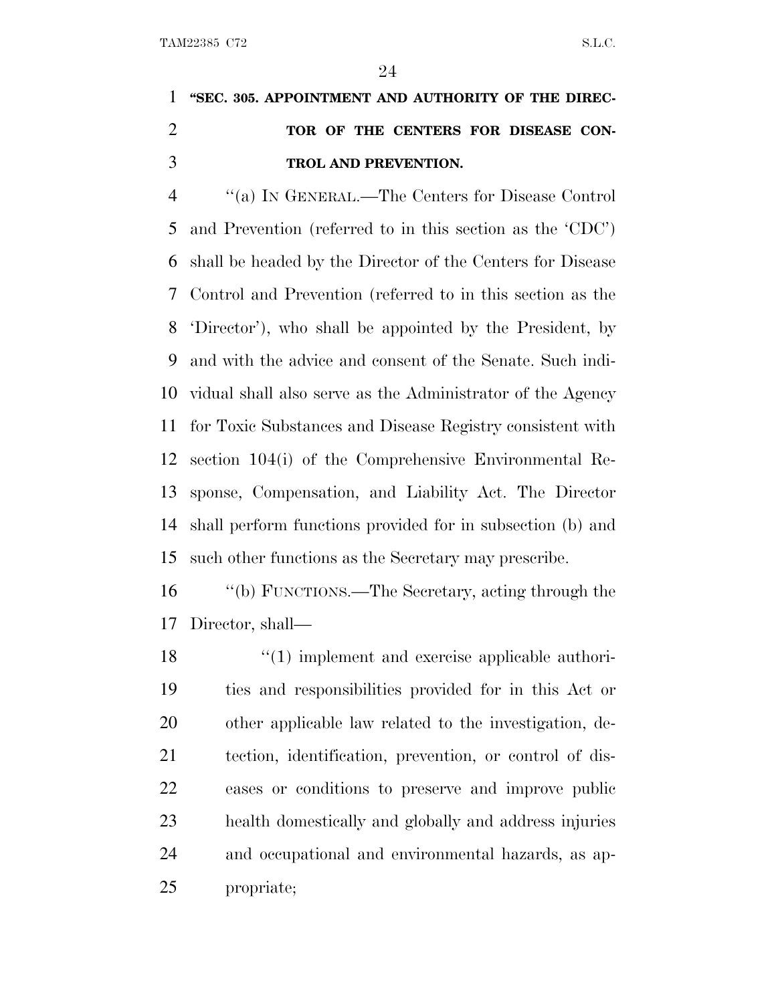### **''SEC. 305. APPOINTMENT AND AUTHORITY OF THE DIREC- TOR OF THE CENTERS FOR DISEASE CON-TROL AND PREVENTION.**

 ''(a) I<sup>N</sup> GENERAL.—The Centers for Disease Control and Prevention (referred to in this section as the 'CDC') shall be headed by the Director of the Centers for Disease Control and Prevention (referred to in this section as the 'Director'), who shall be appointed by the President, by and with the advice and consent of the Senate. Such indi- vidual shall also serve as the Administrator of the Agency for Toxic Substances and Disease Registry consistent with section 104(i) of the Comprehensive Environmental Re- sponse, Compensation, and Liability Act. The Director shall perform functions provided for in subsection (b) and such other functions as the Secretary may prescribe.

 ''(b) FUNCTIONS.—The Secretary, acting through the Director, shall—

18 ''(1) implement and exercise applicable authori- ties and responsibilities provided for in this Act or other applicable law related to the investigation, de- tection, identification, prevention, or control of dis- eases or conditions to preserve and improve public health domestically and globally and address injuries and occupational and environmental hazards, as ap-propriate;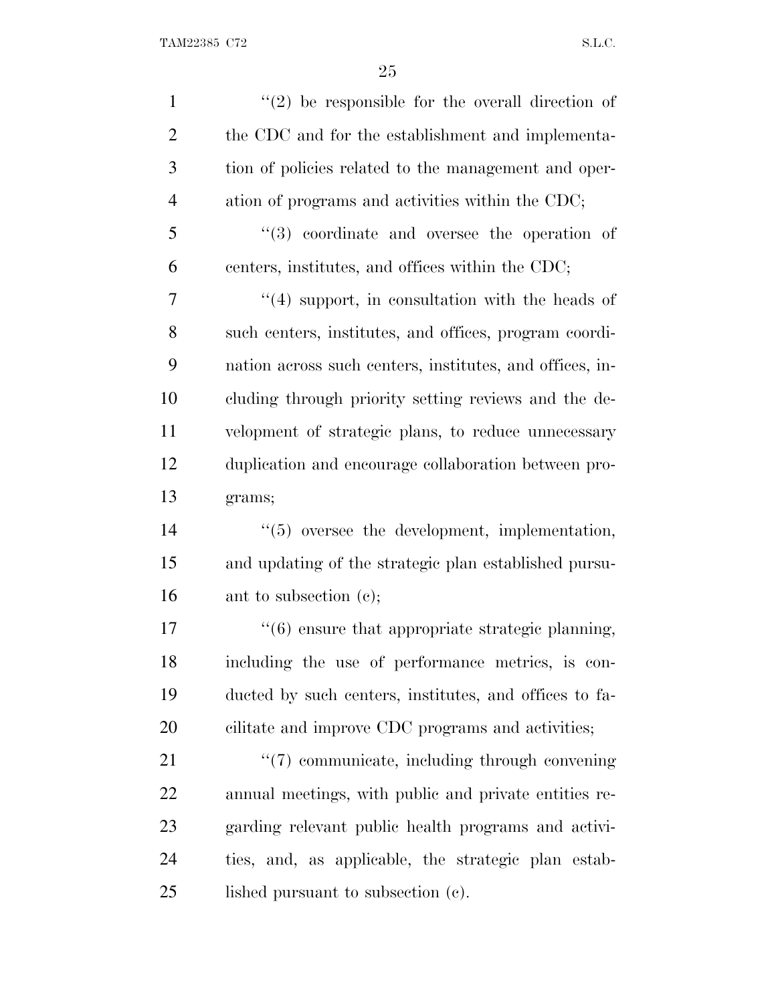| $\mathbf{1}$   | $(2)$ be responsible for the overall direction of                |
|----------------|------------------------------------------------------------------|
| $\overline{2}$ | the CDC and for the establishment and implementa-                |
| 3              | tion of policies related to the management and oper-             |
| $\overline{4}$ | ation of programs and activities within the CDC;                 |
| 5              | $(3)$ coordinate and oversee the operation of                    |
| 6              | centers, institutes, and offices within the CDC;                 |
| 7              | $\cdot$ (4) support, in consultation with the heads of           |
| 8              | such centers, institutes, and offices, program coordi-           |
| 9              | nation across such centers, institutes, and offices, in-         |
| 10             | cluding through priority setting reviews and the de-             |
| 11             | velopment of strategic plans, to reduce unnecessary              |
| 12             | duplication and encourage collaboration between pro-             |
| 13             | grams;                                                           |
| 14             | $\lq(5)$ oversee the development, implementation,                |
| 15             | and updating of the strategic plan established pursu-            |
| 16             | ant to subsection (c);                                           |
| 17             | $\cdot\cdot\cdot(6)$ ensure that appropriate strategic planning, |
| 18             | including the use of performance metrics, is con-                |
| 19             | ducted by such centers, institutes, and offices to fa-           |
| 20             | cilitate and improve CDC programs and activities;                |
| 21             | "(7) communicate, including through convening                    |
| 22             | annual meetings, with public and private entities re-            |
| 23             | garding relevant public health programs and activi-              |
| 24             | ties, and, as applicable, the strategic plan estab-              |
| 25             | lished pursuant to subsection (c).                               |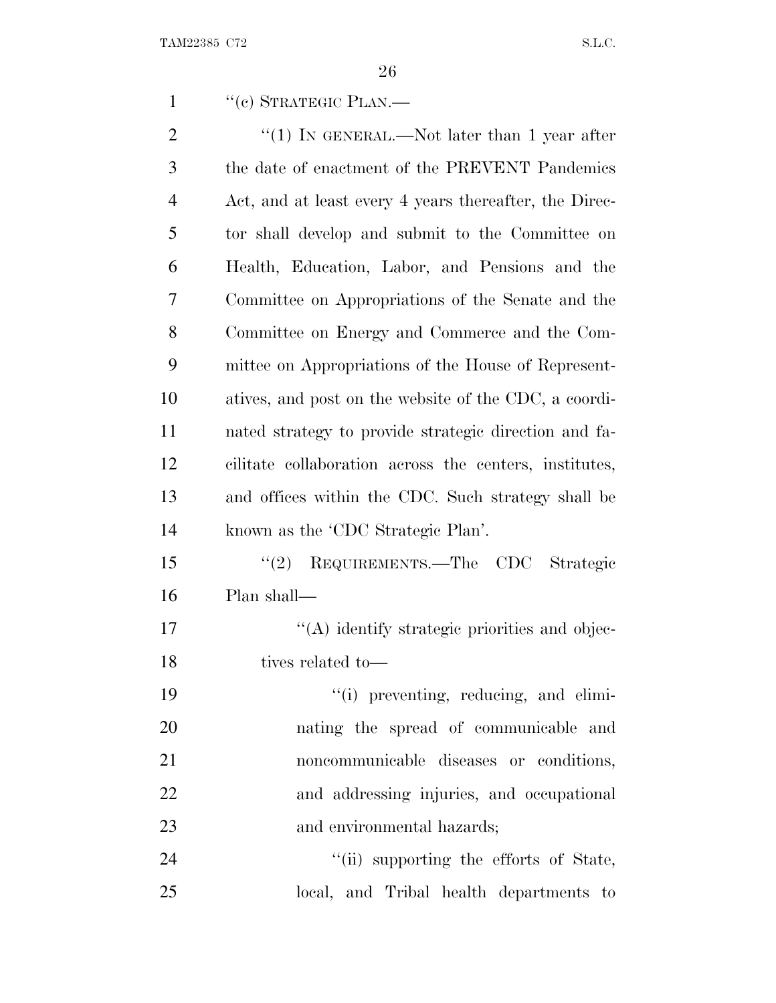1 "(e) STRATEGIC PLAN.—

| $\overline{2}$ | "(1) IN GENERAL.—Not later than 1 year after           |
|----------------|--------------------------------------------------------|
| 3              | the date of enactment of the PREVENT Pandemics         |
| $\overline{4}$ | Act, and at least every 4 years thereafter, the Direc- |
| 5              | tor shall develop and submit to the Committee on       |
| 6              | Health, Education, Labor, and Pensions and the         |
| 7              | Committee on Appropriations of the Senate and the      |
| 8              | Committee on Energy and Commerce and the Com-          |
| 9              | mittee on Appropriations of the House of Represent-    |
| 10             | atives, and post on the website of the CDC, a coordi-  |
| 11             | nated strategy to provide strategic direction and fa-  |
| 12             | cilitate collaboration across the centers, institutes, |
| 13             | and offices within the CDC. Such strategy shall be     |
| 14             | known as the 'CDC Strategic Plan'.                     |
| 15             | REQUIREMENTS.—The CDC Strategic<br>(2)                 |
| 16             | Plan shall—                                            |
| 17             | "(A) identify strategic priorities and objec-          |
| 18             | tives related to-                                      |
| 19             | "(i) preventing, reducing, and elimi-                  |
| 20             | nating the spread of communicable and                  |
| 21             | noncommunicable diseases or conditions,                |
| 22             | and addressing injuries, and occupational              |

24 ''(ii) supporting the efforts of State, local, and Tribal health departments to

and environmental hazards;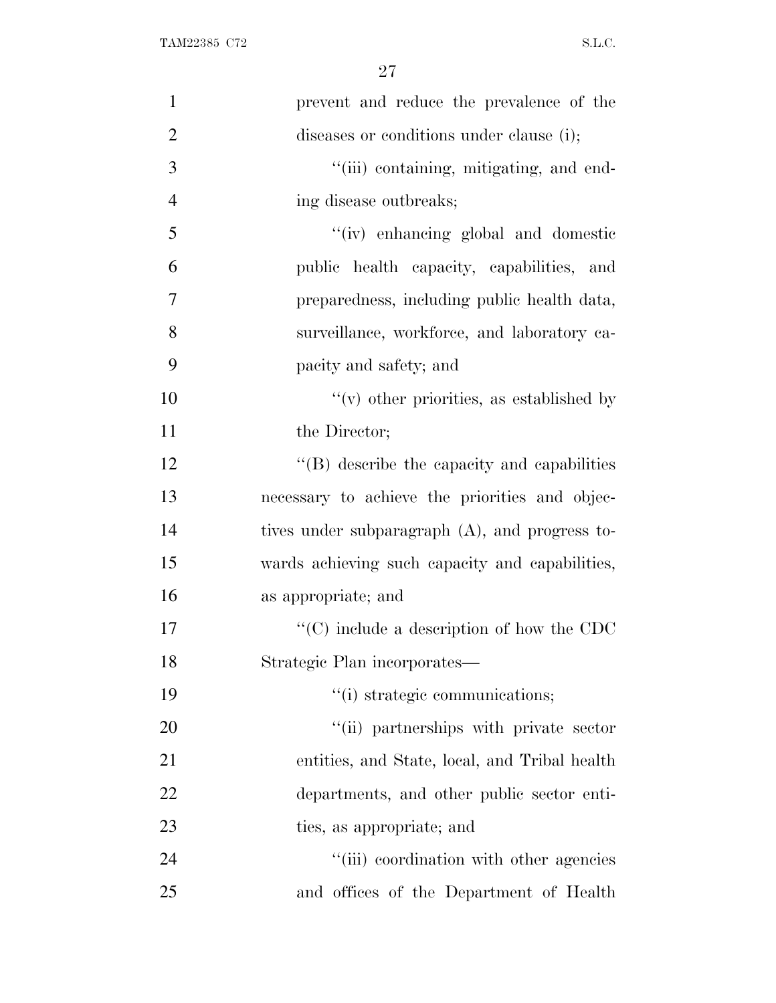| $\mathbf{1}$   | prevent and reduce the prevalence of the          |
|----------------|---------------------------------------------------|
| $\overline{2}$ | diseases or conditions under clause (i);          |
| 3              | "(iii) containing, mitigating, and end-           |
| $\overline{4}$ | ing disease outbreaks;                            |
| 5              | "(iv) enhancing global and domestic               |
| 6              | public health capacity, capabilities, and         |
| 7              | preparedness, including public health data,       |
| 8              | surveillance, workforce, and laboratory ca-       |
| 9              | pacity and safety; and                            |
| 10             | $f'(v)$ other priorities, as established by       |
| 11             | the Director;                                     |
| 12             | $\lq\lq$ describe the capacity and capabilities   |
| 13             | necessary to achieve the priorities and objec-    |
| 14             | tives under subparagraph (A), and progress to-    |
| 15             | wards achieving such capacity and capabilities,   |
| 16             | as appropriate; and                               |
| 17             | $\lq\lq$ (C) include a description of how the CDC |
| 18             | Strategic Plan incorporates—                      |
| 19             | "(i) strategic communications;                    |
| 20             | "(ii) partnerships with private sector            |
| 21             | entities, and State, local, and Tribal health     |
| 22             | departments, and other public sector enti-        |
| 23             | ties, as appropriate; and                         |
| 24             | "(iii) coordination with other agencies           |
| 25             | and offices of the Department of Health           |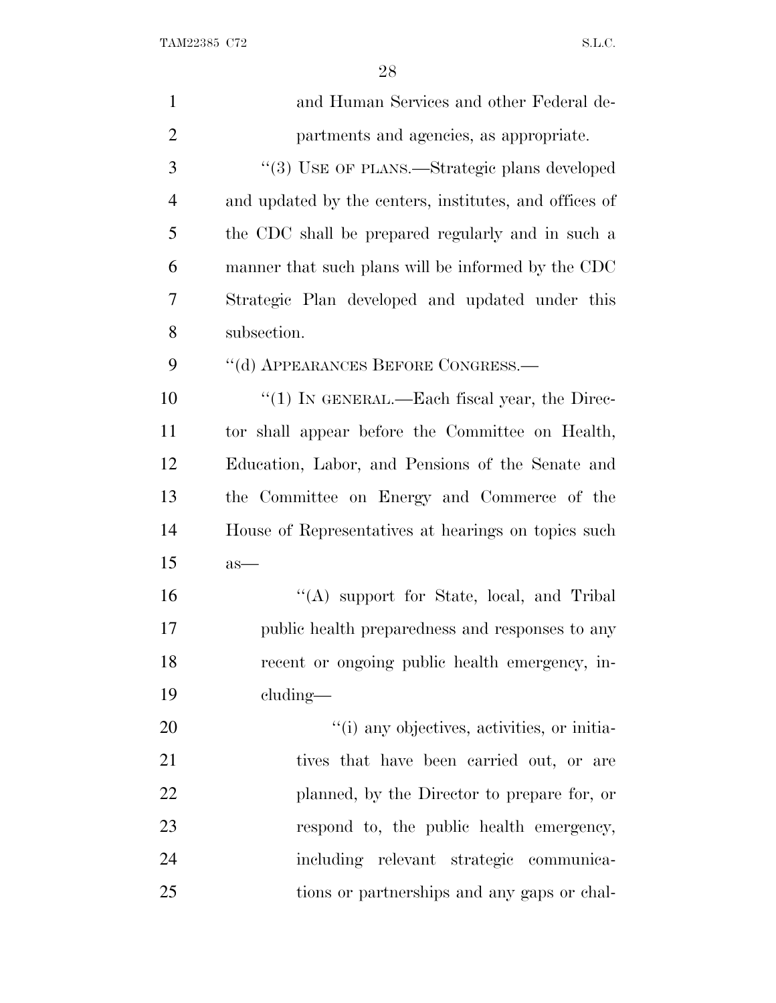TAM22385 C72 S.L.C.

| $\mathbf{1}$   | and Human Services and other Federal de-               |
|----------------|--------------------------------------------------------|
| $\overline{2}$ | partments and agencies, as appropriate.                |
| 3              | "(3) USE OF PLANS.—Strategic plans developed           |
| $\overline{4}$ | and updated by the centers, institutes, and offices of |
| 5              | the CDC shall be prepared regularly and in such a      |
| 6              | manner that such plans will be informed by the CDC     |
| 7              | Strategic Plan developed and updated under this        |
| 8              | subsection.                                            |
| 9              | "(d) APPEARANCES BEFORE CONGRESS.-                     |
| 10             | " $(1)$ In GENERAL.—Each fiscal year, the Direc-       |
| 11             | tor shall appear before the Committee on Health,       |
| 12             | Education, Labor, and Pensions of the Senate and       |
| 13             | the Committee on Energy and Commerce of the            |
| 14             | House of Representatives at hearings on topics such    |
| 15             | $as-$                                                  |
| 16             | "(A) support for State, local, and Tribal              |
| 17             | public health preparedness and responses to any        |
| 18             | recent or ongoing public health emergency, in-         |
| 19             | $cluding$ —                                            |
| 20             | "(i) any objectives, activities, or initia-            |
| 21             | tives that have been carried out, or are               |
| 22             | planned, by the Director to prepare for, or            |
| 23             | respond to, the public health emergency,               |
| 24             | including relevant strategic communica-                |
| 25             | tions or partnerships and any gaps or chal-            |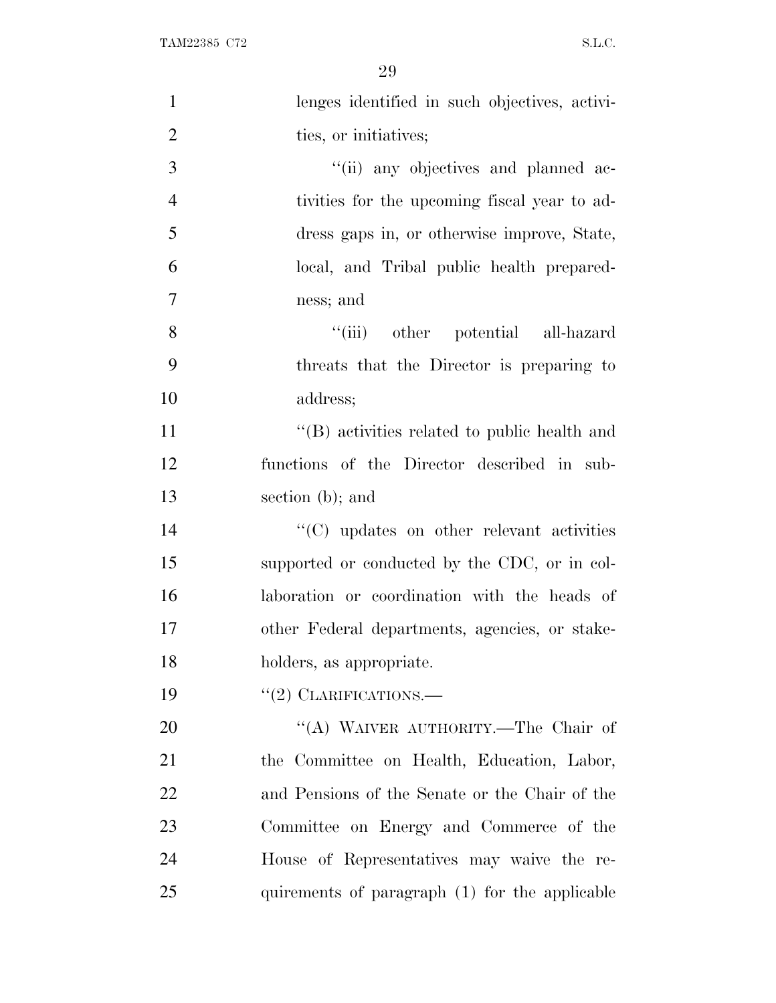TAM22385 C72 S.L.C.

| $\mathbf{1}$   | lenges identified in such objectives, activi-    |
|----------------|--------------------------------------------------|
| $\overline{2}$ | ties, or initiatives;                            |
| 3              | "(ii) any objectives and planned ac-             |
| $\overline{4}$ | tivities for the upcoming fiscal year to ad-     |
| 5              | dress gaps in, or otherwise improve, State,      |
| 6              | local, and Tribal public health prepared-        |
| 7              | ness; and                                        |
| 8              | "(iii) other potential all-hazard                |
| 9              | threats that the Director is preparing to        |
| 10             | address;                                         |
| 11             | "(B) activities related to public health and     |
| 12             | functions of the Director described in sub-      |
| 13             | section $(b)$ ; and                              |
| 14             | $\cdot$ (C) updates on other relevant activities |
| 15             | supported or conducted by the CDC, or in col-    |
| 16             | laboration or coordination with the heads of     |
| 17             | other Federal departments, agencies, or stake-   |
| 18             | holders, as appropriate.                         |
| 19             | $"(2)$ CLARIFICATIONS.—                          |
| 20             | "(A) WAIVER AUTHORITY.—The Chair of              |
| 21             | the Committee on Health, Education, Labor,       |
| 22             | and Pensions of the Senate or the Chair of the   |
| 23             | Committee on Energy and Commerce of the          |
| 24             | House of Representatives may waive the re-       |
| 25             | quirements of paragraph (1) for the applicable   |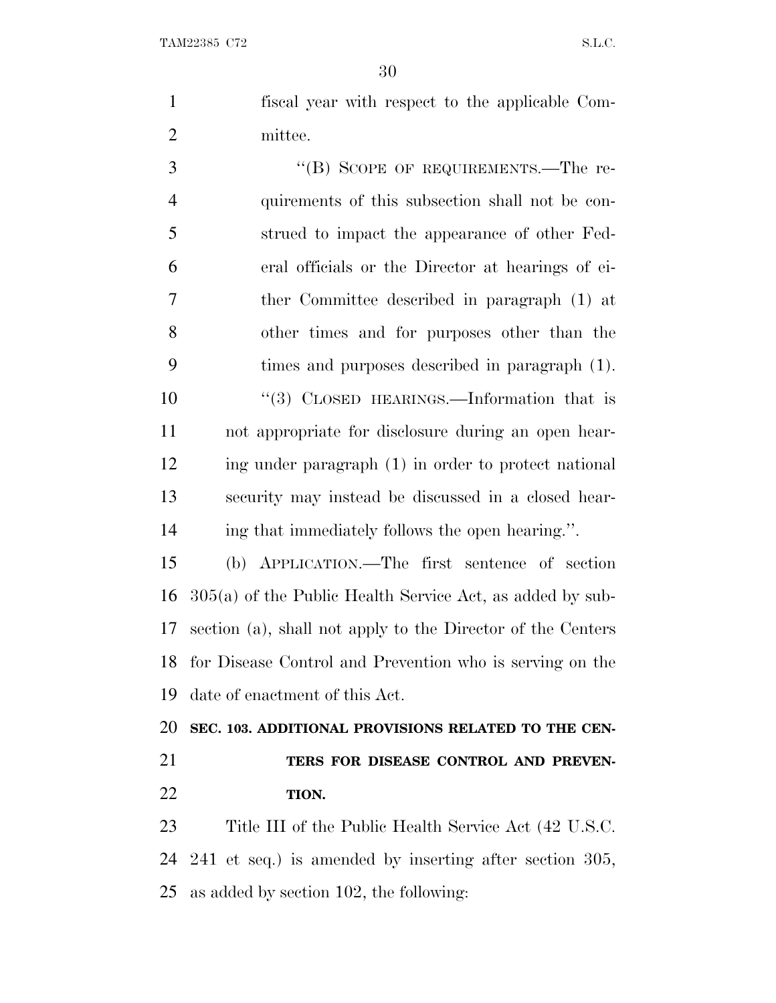fiscal year with respect to the applicable Com-mittee.

3 "(B) SCOPE OF REQUIREMENTS.—The re- quirements of this subsection shall not be con- strued to impact the appearance of other Fed- eral officials or the Director at hearings of ei- ther Committee described in paragraph (1) at other times and for purposes other than the times and purposes described in paragraph (1). 10 "(3) CLOSED HEARINGS.—Information that is not appropriate for disclosure during an open hear- ing under paragraph (1) in order to protect national security may instead be discussed in a closed hear-ing that immediately follows the open hearing.''.

 (b) APPLICATION.—The first sentence of section 305(a) of the Public Health Service Act, as added by sub- section (a), shall not apply to the Director of the Centers for Disease Control and Prevention who is serving on the date of enactment of this Act.

 **SEC. 103. ADDITIONAL PROVISIONS RELATED TO THE CEN- TERS FOR DISEASE CONTROL AND PREVEN-TION.**

 Title III of the Public Health Service Act (42 U.S.C. 241 et seq.) is amended by inserting after section 305, as added by section 102, the following: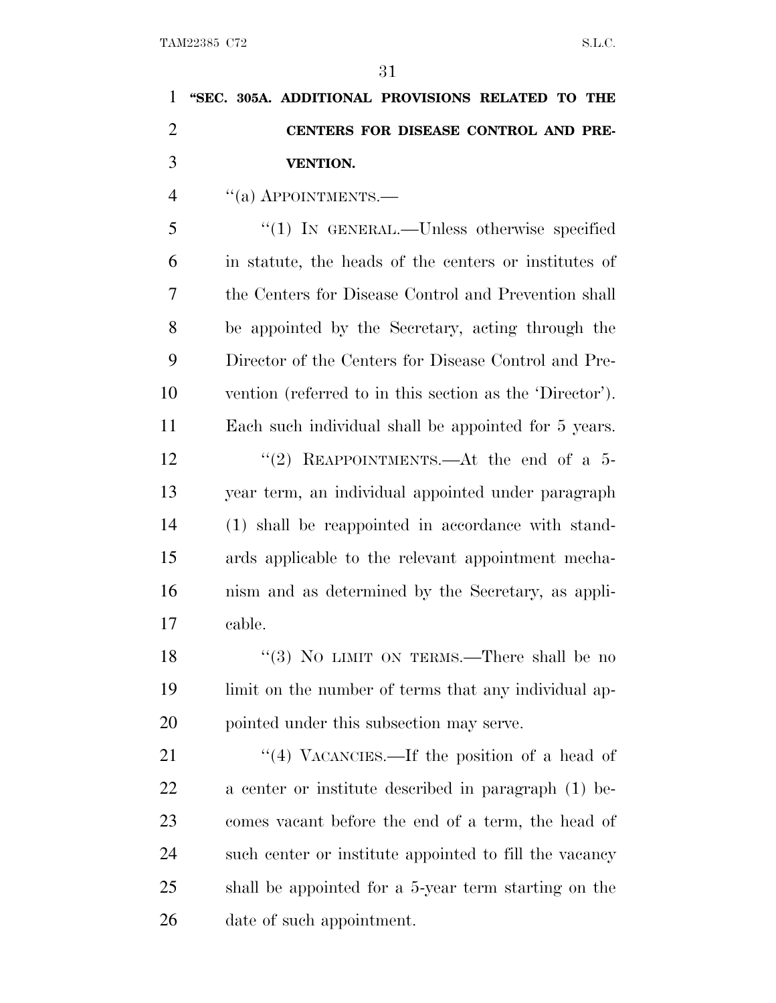| 1              | "SEC. 305A. ADDITIONAL PROVISIONS RELATED TO THE         |
|----------------|----------------------------------------------------------|
| $\overline{c}$ | CENTERS FOR DISEASE CONTROL AND PRE-                     |
| 3              | <b>VENTION.</b>                                          |
| $\overline{4}$ | $\cdot$ (a) APPOINTMENTS.—                               |
| 5              | " $(1)$ In GENERAL.—Unless otherwise specified           |
| 6              | in statute, the heads of the centers or institutes of    |
| 7              | the Centers for Disease Control and Prevention shall     |
| 8              | be appointed by the Secretary, acting through the        |
| 9              | Director of the Centers for Disease Control and Pre-     |
| 10             | vention (referred to in this section as the 'Director'). |
| 11             | Each such individual shall be appointed for 5 years.     |
| 12             | "(2) REAPPOINTMENTS.—At the end of a $5-$                |
| 13             | year term, an individual appointed under paragraph       |
| 14             | (1) shall be reappointed in accordance with stand-       |
| 15             | ards applicable to the relevant appointment mecha-       |
| 16             | nism and as determined by the Secretary, as appli-       |
| 17             | cable.                                                   |
| 18             | "(3) NO LIMIT ON TERMS.—There shall be no                |
| 19             | limit on the number of terms that any individual ap-     |
| 20             | pointed under this subsection may serve.                 |
| 21             | "(4) VACANCIES.—If the position of a head of             |
| 22             | a center or institute described in paragraph (1) be-     |
| 23             | comes vacant before the end of a term, the head of       |
| 24             | such center or institute appointed to fill the vacancy   |
| 25             | shall be appointed for a 5-year term starting on the     |
| 26             | date of such appointment.                                |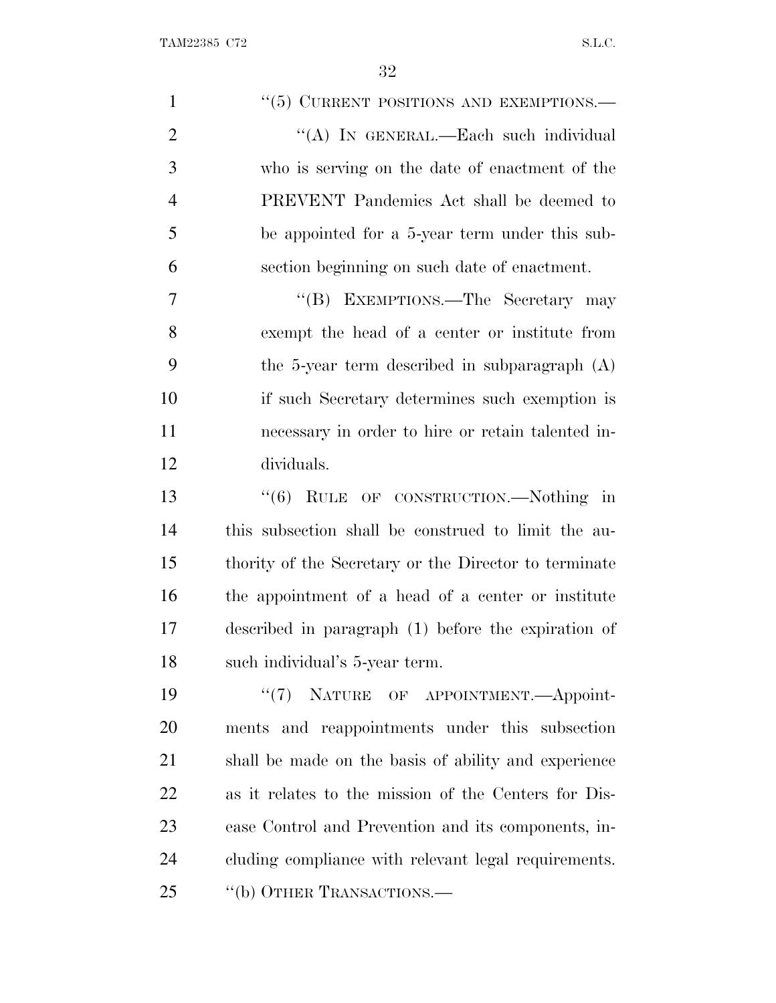TAM22385 C72 S.L.C.

| $\mathbf{1}$   | "(5) CURRENT POSITIONS AND EXEMPTIONS.-               |
|----------------|-------------------------------------------------------|
| $\overline{2}$ | "(A) IN GENERAL.—Each such individual                 |
| 3              | who is serving on the date of enactment of the        |
| $\overline{4}$ | PREVENT Pandemics Act shall be deemed to              |
| 5              | be appointed for a 5-year term under this sub-        |
| 6              | section beginning on such date of enactment.          |
| $\tau$         | "(B) EXEMPTIONS.—The Secretary may                    |
| 8              | exempt the head of a center or institute from         |
| 9              | the 5-year term described in subparagraph $(A)$       |
| 10             | if such Secretary determines such exemption is        |
| 11             | necessary in order to hire or retain talented in-     |
| 12             | dividuals.                                            |
| 13             | $\cdot\cdot\cdot(6)$ RULE OF CONSTRUCTION.—Nothing in |
| 14             | this subsection shall be construed to limit the au-   |
| 15             | thority of the Secretary or the Director to terminate |
| 16             | the appointment of a head of a center or institute    |
| 17             | described in paragraph (1) before the expiration of   |
| 18             | such individual's 5-year term.                        |
| 19             | "(7) NATURE OF APPOINTMENT.—Appoint-                  |
| 20             | ments and reappointments under this subsection        |
| 21             | shall be made on the basis of ability and experience  |
| 22             | as it relates to the mission of the Centers for Dis-  |
| 23             | ease Control and Prevention and its components, in-   |
| 24             | cluding compliance with relevant legal requirements.  |
| 25             | "(b) OTHER TRANSACTIONS.—                             |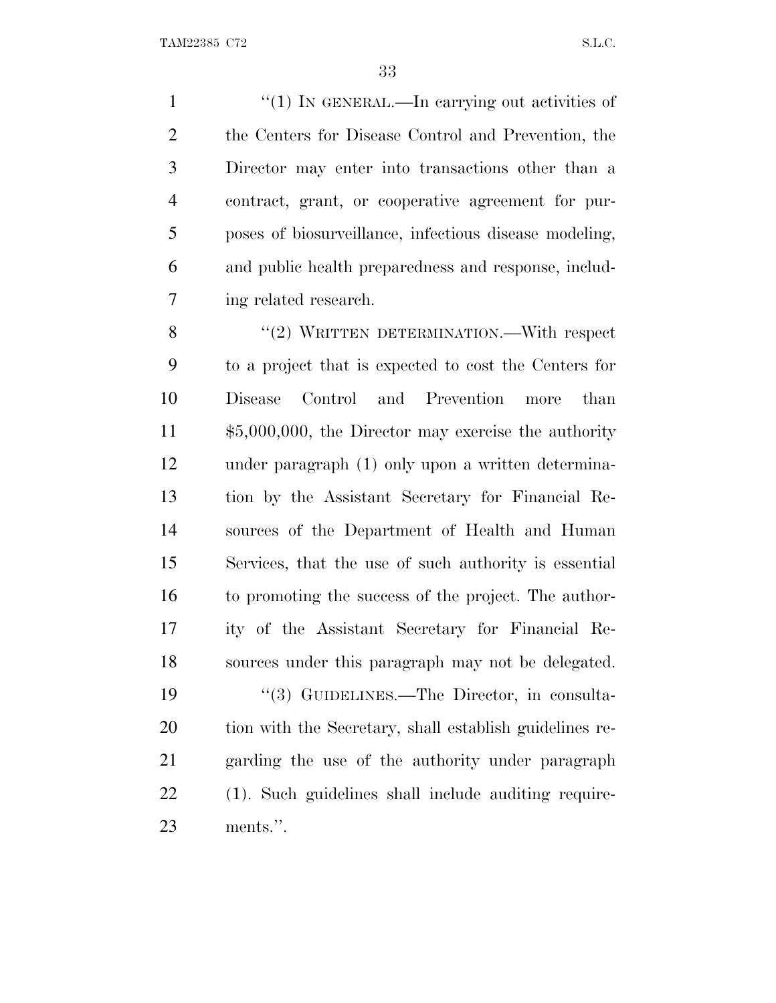$\frac{1}{1}$  In GENERAL.—In carrying out activities of the Centers for Disease Control and Prevention, the Director may enter into transactions other than a contract, grant, or cooperative agreement for pur- poses of biosurveillance, infectious disease modeling, and public health preparedness and response, includ-ing related research.

8 "(2) WRITTEN DETERMINATION.—With respect to a project that is expected to cost the Centers for Disease Control and Prevention more than \$5,000,000, the Director may exercise the authority under paragraph (1) only upon a written determina- tion by the Assistant Secretary for Financial Re- sources of the Department of Health and Human Services, that the use of such authority is essential to promoting the success of the project. The author- ity of the Assistant Secretary for Financial Re- sources under this paragraph may not be delegated. 19 "(3) GUIDELINES.—The Director, in consulta- tion with the Secretary, shall establish guidelines re- garding the use of the authority under paragraph (1). Such guidelines shall include auditing require-ments.''.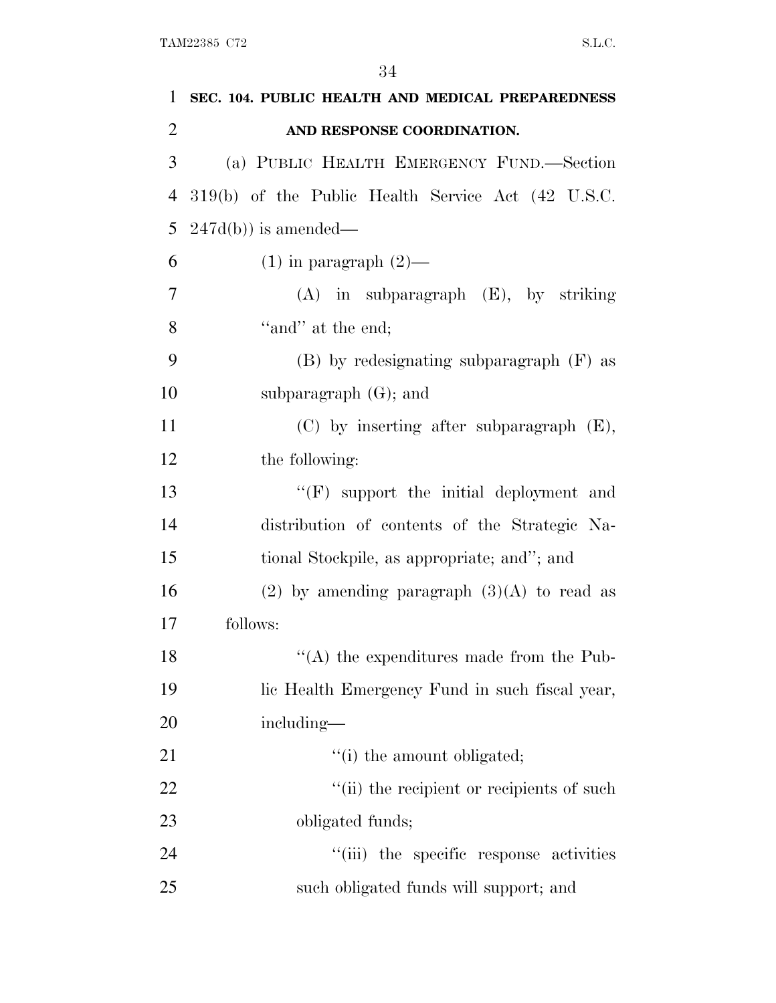| 1              | SEC. 104. PUBLIC HEALTH AND MEDICAL PREPAREDNESS   |
|----------------|----------------------------------------------------|
| $\overline{2}$ | AND RESPONSE COORDINATION.                         |
| 3              | (a) PUBLIC HEALTH EMERGENCY FUND.—Section          |
| $\overline{4}$ | 319(b) of the Public Health Service Act (42 U.S.C. |
| 5              | $247d(b)$ is amended—                              |
| 6              | $(1)$ in paragraph $(2)$ —                         |
| $\overline{7}$ | $(A)$ in subparagraph $(E)$ , by striking          |
| 8              | "and" at the end;                                  |
| 9              | $(B)$ by redesignating subparagraph $(F)$ as       |
| 10             | subparagraph $(G)$ ; and                           |
| 11             | $(C)$ by inserting after subparagraph $(E)$ ,      |
| 12             | the following:                                     |
| 13             | "(F) support the initial deployment and            |
| 14             | distribution of contents of the Strategic Na-      |
| 15             | tional Stockpile, as appropriate; and"; and        |
| 16             | $(2)$ by amending paragraph $(3)(A)$ to read as    |
| 17             | follows:                                           |
| 18             | $\lq($ A) the expenditures made from the Pub-      |
| 19             | lic Health Emergency Fund in such fiscal year,     |
| 20             | including—                                         |
| 21             | "(i) the amount obligated;                         |
| 22             | "(ii) the recipient or recipients of such          |
| 23             | obligated funds;                                   |
| 24             | "(iii) the specific response activities            |
| 25             | such obligated funds will support; and             |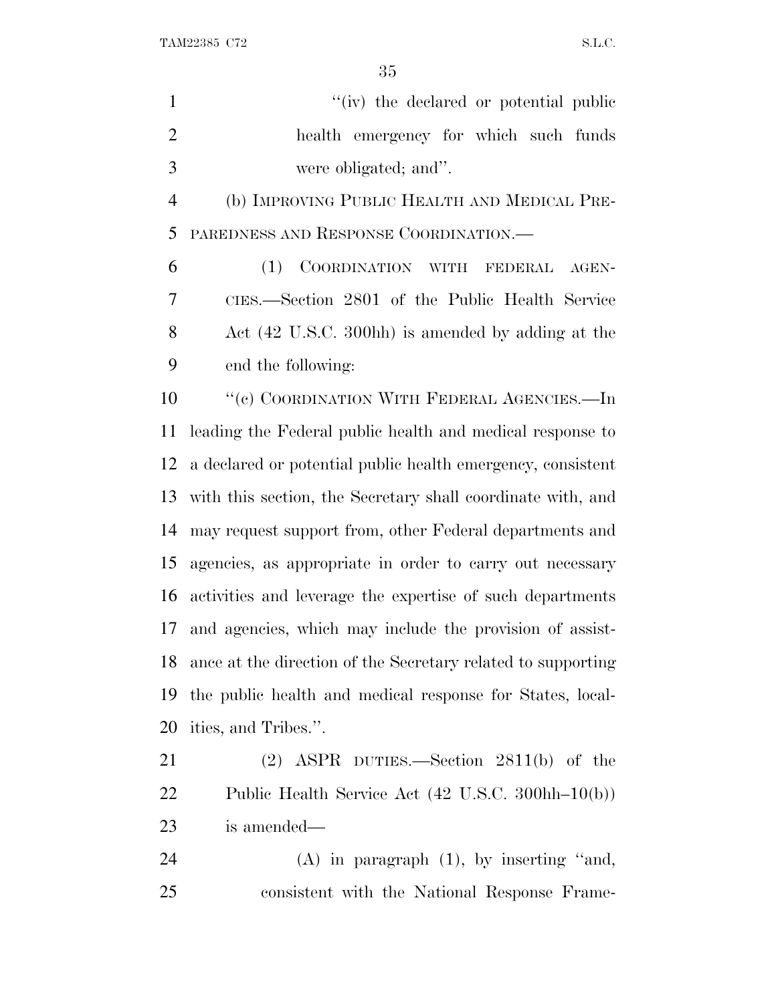$\begin{minipage}{0.9\linewidth} \textbf{TAM22385 C72} & \textbf{S.L.C.} \end{minipage}$ 

| $\mathbf{1}$   | "(iv) the declared or potential public                       |
|----------------|--------------------------------------------------------------|
| $\overline{2}$ | health emergency for which such funds                        |
| 3              | were obligated; and".                                        |
| $\overline{4}$ | (b) IMPROVING PUBLIC HEALTH AND MEDICAL PRE-                 |
| 5              | PAREDNESS AND RESPONSE COORDINATION.                         |
| 6              | (1)<br>COORDINATION WITH FEDERAL<br>AGEN-                    |
| 7              | CIES.—Section 2801 of the Public Health Service              |
| 8              | Act (42 U.S.C. 300hh) is amended by adding at the            |
| 9              | end the following:                                           |
| 10             | "(c) COORDINATION WITH FEDERAL AGENCIES.—In                  |
| 11             | leading the Federal public health and medical response to    |
| 12             | a declared or potential public health emergency, consistent  |
| 13             | with this section, the Secretary shall coordinate with, and  |
| 14             | may request support from, other Federal departments and      |
| 15             | agencies, as appropriate in order to carry out necessary     |
| 16             | activities and leverage the expertise of such departments    |
| 17             | and agencies, which may include the provision of assist-     |
| 18             | ance at the direction of the Secretary related to supporting |
| 19             | the public health and medical response for States, local-    |
| 20             | ities, and Tribes.".                                         |
| 21             | $(2)$ ASPR DUTIES.—Section 2811(b) of the                    |
| 22             | Public Health Service Act (42 U.S.C. 300hh-10(b))            |
| 23             | is amended—                                                  |
| 24             | $(A)$ in paragraph $(1)$ , by inserting "and,                |
|                |                                                              |

consistent with the National Response Frame-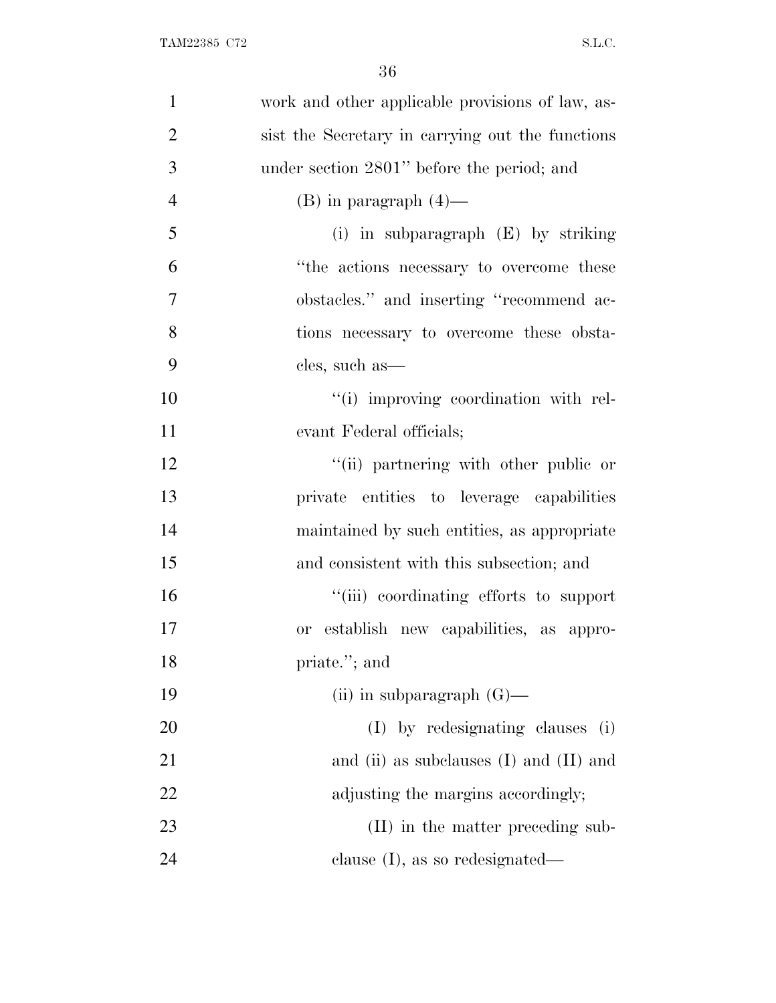| $\mathbf{1}$   | work and other applicable provisions of law, as- |
|----------------|--------------------------------------------------|
| $\overline{2}$ | sist the Secretary in carrying out the functions |
| 3              | under section 2801" before the period; and       |
| $\overline{4}$ | $(B)$ in paragraph $(4)$ —                       |
| 5              | (i) in subparagraph $(E)$ by striking            |
| 6              | "the actions necessary to overcome these         |
| $\overline{7}$ | obstacles." and inserting "recommend ac-         |
| 8              | tions necessary to overcome these obsta-         |
| 9              | cles, such as—                                   |
| 10             | "(i) improving coordination with rel-            |
| 11             | evant Federal officials;                         |
| 12             | "(ii) partnering with other public or            |
| 13             | private entities to leverage capabilities        |
| 14             | maintained by such entities, as appropriate      |
| 15             | and consistent with this subsection; and         |
| 16             | "(iii) coordinating efforts to support           |
| 17             | or establish new capabilities, as appro-         |
| 18             | priate."; and                                    |
| 19             | (ii) in subparagraph $(G)$ —                     |
| 20             | (I) by redesignating clauses (i)                 |
| 21             | and (ii) as subclauses $(I)$ and $(II)$ and      |
| 22             | adjusting the margins accordingly;               |
| 23             | (II) in the matter preceding sub-                |
| 24             | clause $(I)$ , as so redesignated—               |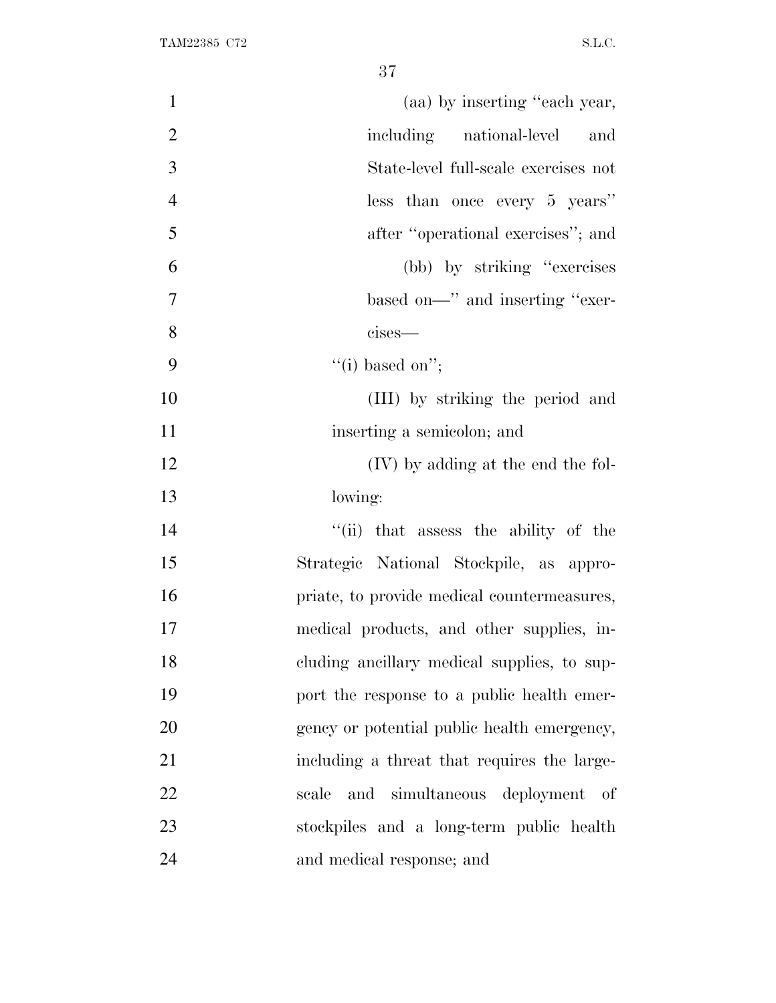| $\mathbf{1}$   | (aa) by inserting "each year,               |
|----------------|---------------------------------------------|
| $\overline{2}$ | including national-level and                |
| 3              | State-level full-scale exercises not        |
| $\overline{4}$ | less than once every 5 years"               |
| 5              | after "operational exercises"; and          |
| 6              | (bb) by striking "exercises"                |
| $\overline{7}$ | based on—" and inserting "exer-             |
| 8              | cises-                                      |
| 9              | "(i) based on";                             |
| 10             | (III) by striking the period and            |
| 11             | inserting a semicolon; and                  |
| 12             | (IV) by adding at the end the fol-          |
| 13             | lowing:                                     |
| 14             | "(ii) that assess the ability of the        |
| 15             | Strategic National Stockpile, as appro-     |
| 16             | priate, to provide medical countermeasures, |
| 17             | medical products, and other supplies, in-   |
| 18             | cluding ancillary medical supplies, to sup- |
| 19             | port the response to a public health emer-  |
| 20             | gency or potential public health emergency, |
| 21             | including a threat that requires the large- |
| 22             | and simultaneous deployment of<br>scale     |
| 23             | stockpiles and a long-term public health    |
| 24             | and medical response; and                   |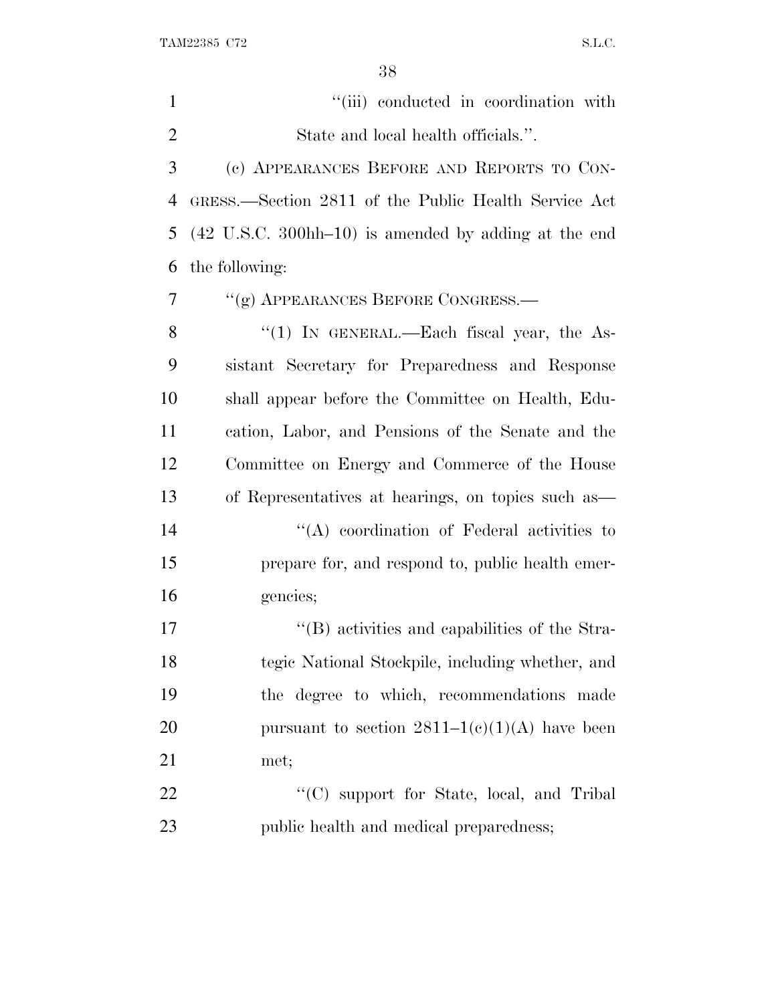| $\mathbf{1}$ | "(iii) conducted in coordination with                                     |
|--------------|---------------------------------------------------------------------------|
| 2            | State and local health officials.".                                       |
| 3            | (c) APPEARANCES BEFORE AND REPORTS TO CON-                                |
| 4            | GRESS.—Section 2811 of the Public Health Service Act                      |
| 5            | $(42 \text{ U.S.C. } 300 \text{hh} - 10)$ is amended by adding at the end |
| 6            | the following:                                                            |
| 7            | "(g) APPEARANCES BEFORE CONGRESS.—                                        |
| 8            | "(1) IN GENERAL.—Each fiscal year, the As-                                |
| 9            | sistant Secretary for Preparedness and Response                           |
| 10           | shall appear before the Committee on Health, Edu-                         |
| 11           | cation, Labor, and Pensions of the Senate and the                         |
| 12           | Committee on Energy and Commerce of the House                             |
| 13           | of Representatives at hearings, on topics such as                         |
| 14           | $\lq\lq$ coordination of Federal activities to                            |
| 15           | prepare for, and respond to, public health emer-                          |
| 16           | gencies;                                                                  |
| 17           | $\lq\lq$ (B) activities and capabilities of the Stra-                     |
| 18           | tegic National Stockpile, including whether, and                          |
| 19           | the degree to which, recommendations made                                 |
| 20           | pursuant to section $2811-1(c)(1)(A)$ have been                           |
| 21           | met;                                                                      |
| 22           | "(C) support for State, local, and Tribal                                 |
| 23           | public health and medical preparedness;                                   |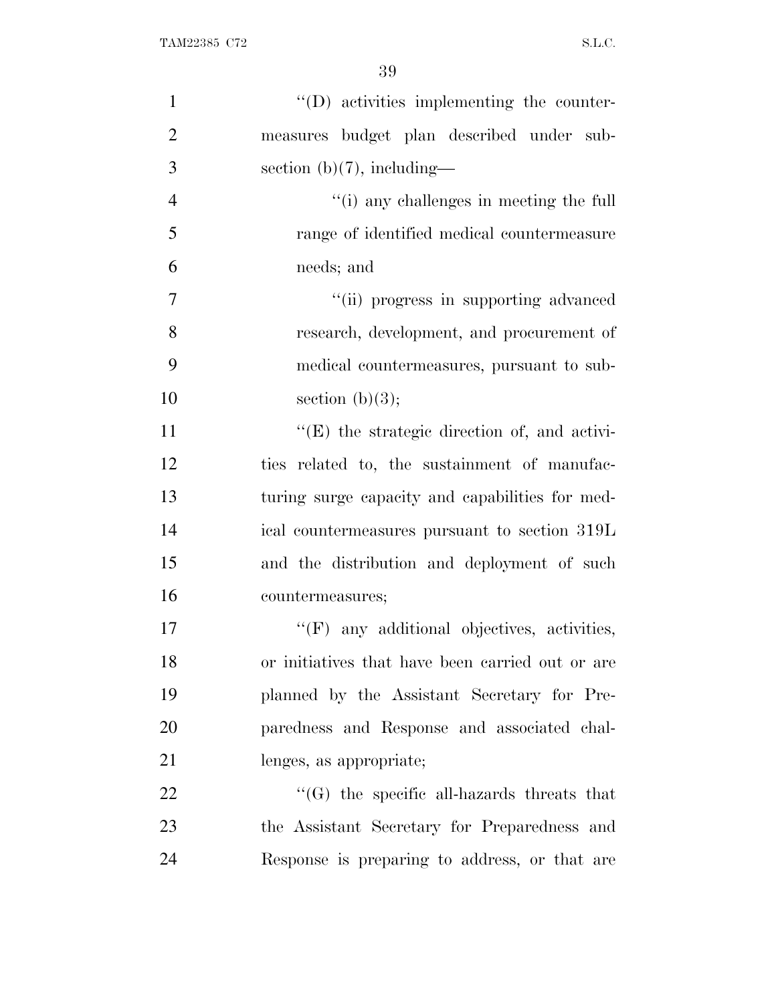| $\mathbf{1}$   | $\lq\lq$ (D) activities implementing the counter-    |
|----------------|------------------------------------------------------|
| $\overline{2}$ | measures budget plan described under sub-            |
| 3              | section $(b)(7)$ , including—                        |
| $\overline{4}$ | "(i) any challenges in meeting the full              |
| 5              | range of identified medical countermeasure           |
| 6              | needs; and                                           |
| $\overline{7}$ | "(ii) progress in supporting advanced                |
| 8              | research, development, and procurement of            |
| 9              | medical countermeasures, pursuant to sub-            |
| 10             | section $(b)(3);$                                    |
| 11             | $\lq\lq$ (E) the strategic direction of, and activi- |
| 12             | ties related to, the sustainment of manufac-         |
| 13             | turing surge capacity and capabilities for med-      |
| 14             | ical countermeasures pursuant to section 319L        |
| 15             | and the distribution and deployment of such          |
| 16             | countermeasures;                                     |
| 17             | $\lq\lq(F)$ any additional objectives, activities,   |
| 18             | or initiatives that have been carried out or are     |
| 19             | planned by the Assistant Secretary for Pre-          |
| 20             | paredness and Response and associated chal-          |
| 21             | lenges, as appropriate;                              |
| 22             | $\lq\lq(G)$ the specific all-hazards threats that    |
| 23             | the Assistant Secretary for Preparedness and         |
| 24             | Response is preparing to address, or that are        |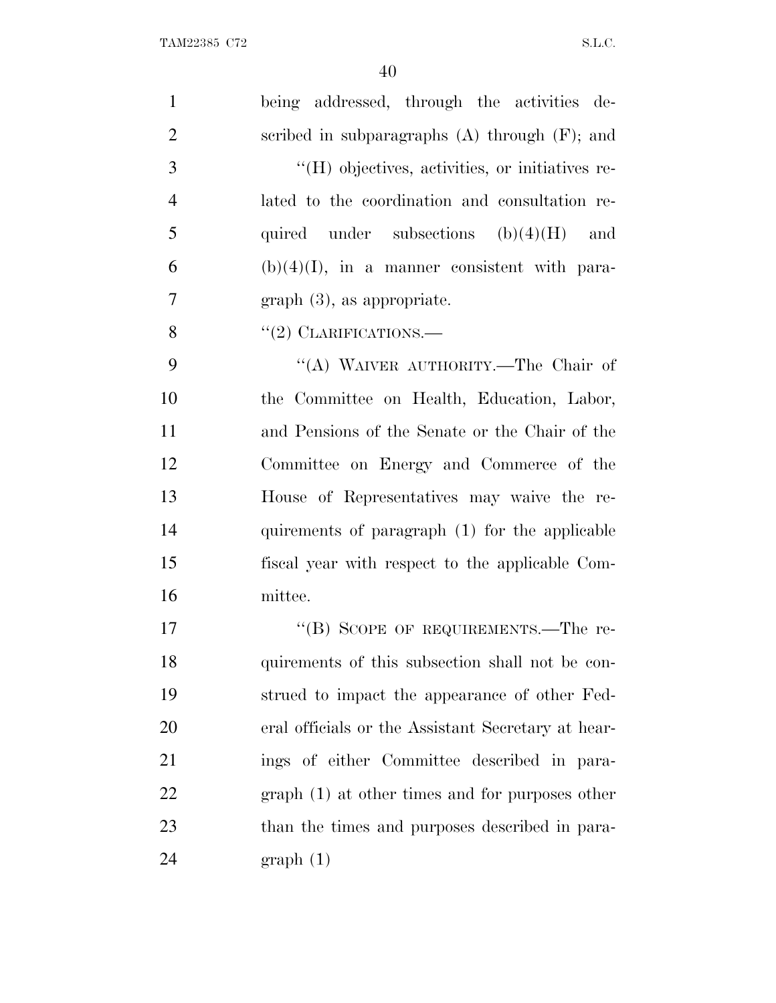| $\mathbf{1}$   | being addressed, through the activities de-        |
|----------------|----------------------------------------------------|
| $\overline{2}$ | scribed in subparagraphs $(A)$ through $(F)$ ; and |
| 3              | "(H) objectives, activities, or initiatives re-    |
| $\overline{4}$ | lated to the coordination and consultation re-     |
| 5              | quired under subsections $(b)(4)(H)$ and           |
| 6              | $(b)(4)(I)$ , in a manner consistent with para-    |
| $\overline{7}$ | $graph(3)$ , as appropriate.                       |
| 8              | $``(2)$ CLARIFICATIONS.—                           |
| 9              | "(A) WAIVER AUTHORITY.—The Chair of                |
| 10             | the Committee on Health, Education, Labor,         |
| 11             | and Pensions of the Senate or the Chair of the     |
| 12             | Committee on Energy and Commerce of the            |
| 13             | House of Representatives may waive the re-         |
| 14             | quirements of paragraph (1) for the applicable     |
| 15             | fiscal year with respect to the applicable Com-    |
| 16             | mittee.                                            |
| 17             | "(B) SCOPE OF REQUIREMENTS.—The re-                |
| 18             | quirements of this subsection shall not be con-    |
| 19             | strued to impact the appearance of other Fed-      |
| <b>20</b>      | eral officials or the Assistant Secretary at hear- |
| 21             | ings of either Committee described in para-        |
| 22             | $graph(1)$ at other times and for purposes other   |
| 23             | than the times and purposes described in para-     |
| 24             | graph(1)                                           |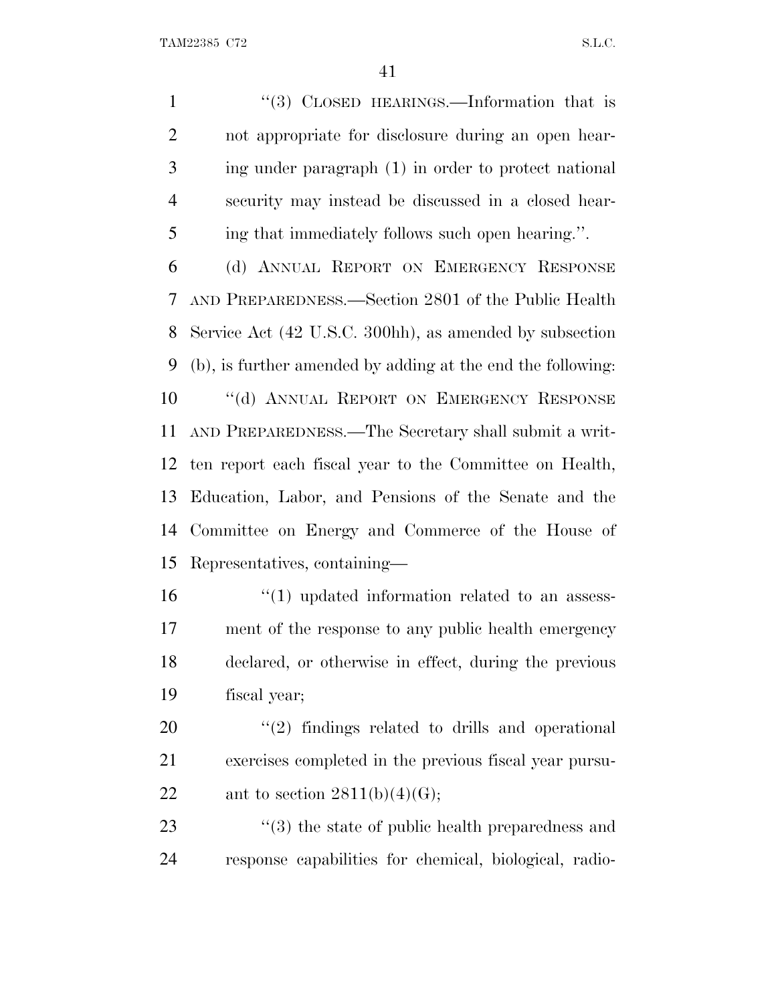1 "(3) CLOSED HEARINGS.—Information that is not appropriate for disclosure during an open hear- ing under paragraph (1) in order to protect national security may instead be discussed in a closed hear-ing that immediately follows such open hearing.''.

 (d) ANNUAL REPORT ON EMERGENCY RESPONSE AND PREPAREDNESS.—Section 2801 of the Public Health Service Act (42 U.S.C. 300hh), as amended by subsection (b), is further amended by adding at the end the following: 10 "(d) ANNUAL REPORT ON EMERGENCY RESPONSE AND PREPAREDNESS.—The Secretary shall submit a writ- ten report each fiscal year to the Committee on Health, Education, Labor, and Pensions of the Senate and the Committee on Energy and Commerce of the House of Representatives, containing—

 $\frac{1}{10}$  updated information related to an assess- ment of the response to any public health emergency declared, or otherwise in effect, during the previous fiscal year;

 ''(2) findings related to drills and operational exercises completed in the previous fiscal year pursu-22 ant to section  $2811(b)(4)(G);$ 

23 ''(3) the state of public health preparedness and response capabilities for chemical, biological, radio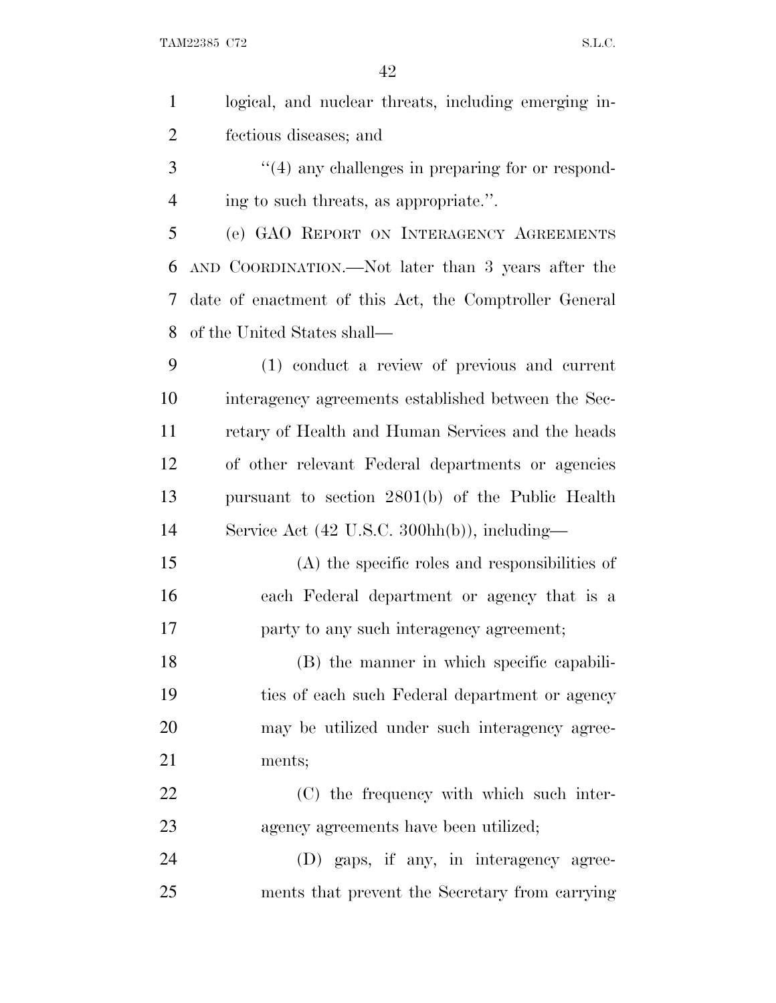TAM22385 C72 S.L.C.

| $\mathbf{1}$   | logical, and nuclear threats, including emerging in-    |
|----------------|---------------------------------------------------------|
| $\overline{2}$ | fectious diseases; and                                  |
| 3              | $\cdot$ (4) any challenges in preparing for or respond- |
| $\overline{4}$ | ing to such threats, as appropriate.".                  |
| 5              | (e) GAO REPORT ON INTERAGENCY AGREEMENTS                |
| 6              | AND COORDINATION.—Not later than 3 years after the      |
| 7              | date of enactment of this Act, the Comptroller General  |
| 8              | of the United States shall—                             |
| 9              | (1) conduct a review of previous and current            |
| 10             | interagency agreements established between the Sec-     |
| 11             | retary of Health and Human Services and the heads       |
| 12             | of other relevant Federal departments or agencies       |
| 13             | pursuant to section 2801(b) of the Public Health        |
| 14             | Service Act (42 U.S.C. 300hh(b)), including—            |
| 15             | (A) the specific roles and responsibilities of          |
| 16             | each Federal department or agency that is a             |
| 17             | party to any such interagency agreement;                |
| 18             | (B) the manner in which specific capabili-              |
| 19             | ties of each such Federal department or agency          |
| 20             | may be utilized under such interagency agree-           |
| 21             | ments;                                                  |
| 22             | (C) the frequency with which such inter-                |
| 23             | agency agreements have been utilized;                   |
| 24             | (D) gaps, if any, in interagency agree-                 |
| 25             | ments that prevent the Secretary from carrying          |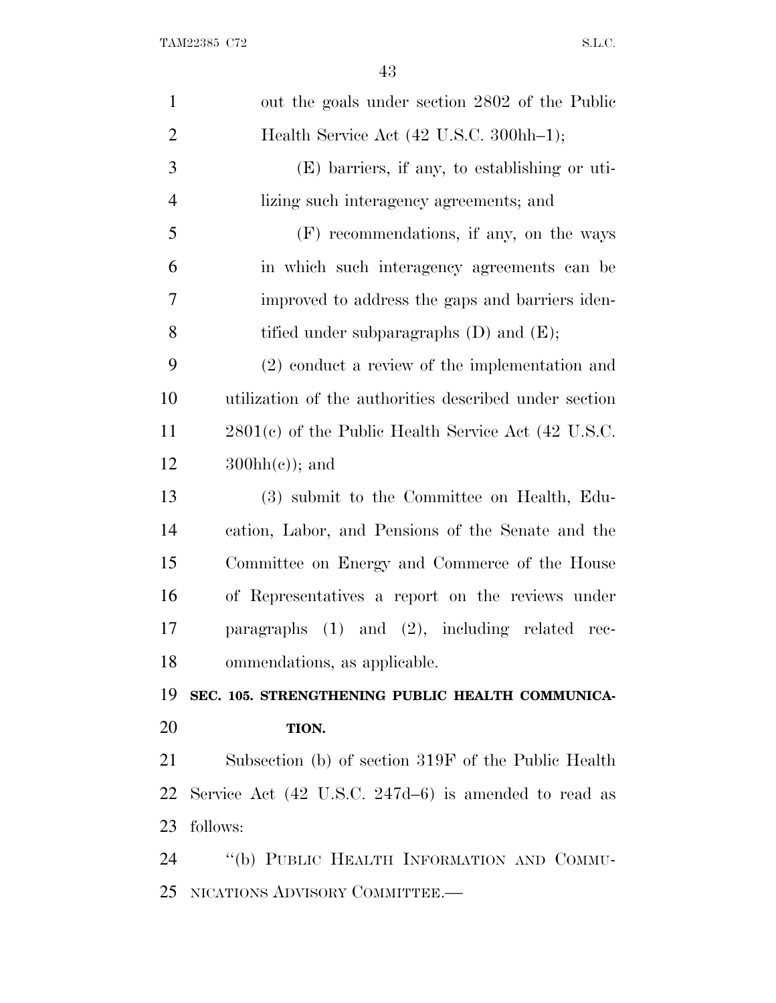| $\mathbf{1}$   | out the goals under section 2802 of the Public                  |
|----------------|-----------------------------------------------------------------|
| $\overline{2}$ | Health Service Act (42 U.S.C. 300hh-1);                         |
| 3              | $(E)$ barriers, if any, to establishing or uti-                 |
| $\overline{4}$ | lizing such interagency agreements; and                         |
| 5              | (F) recommendations, if any, on the ways                        |
| 6              | in which such interagency agreements can be                     |
| 7              | improved to address the gaps and barriers iden-                 |
| 8              | tified under subparagraphs $(D)$ and $(E)$ ;                    |
| 9              | $(2)$ conduct a review of the implementation and                |
| 10             | utilization of the authorities described under section          |
| 11             | $2801(c)$ of the Public Health Service Act (42 U.S.C.           |
| 12             | $300hh(c)$ ; and                                                |
| 13             | (3) submit to the Committee on Health, Edu-                     |
| 14             | cation, Labor, and Pensions of the Senate and the               |
| 15             | Committee on Energy and Commerce of the House                   |
| 16             | of Representatives a report on the reviews under                |
| 17             | paragraphs $(1)$ and $(2)$ , including related rec-             |
| 18             | ommendations, as applicable.                                    |
| 19             | SEC. 105. STRENGTHENING PUBLIC HEALTH COMMUNICA-                |
| 20             | TION.                                                           |
| 21             | Subsection (b) of section 319F of the Public Health             |
| 22             | Service Act $(42 \text{ U.S.C. } 247d-6)$ is amended to read as |
| 23             | follows:                                                        |
| 24             | "(b) PUBLIC HEALTH INFORMATION AND COMMU-                       |
| 25             | NICATIONS ADVISORY COMMITTEE.-                                  |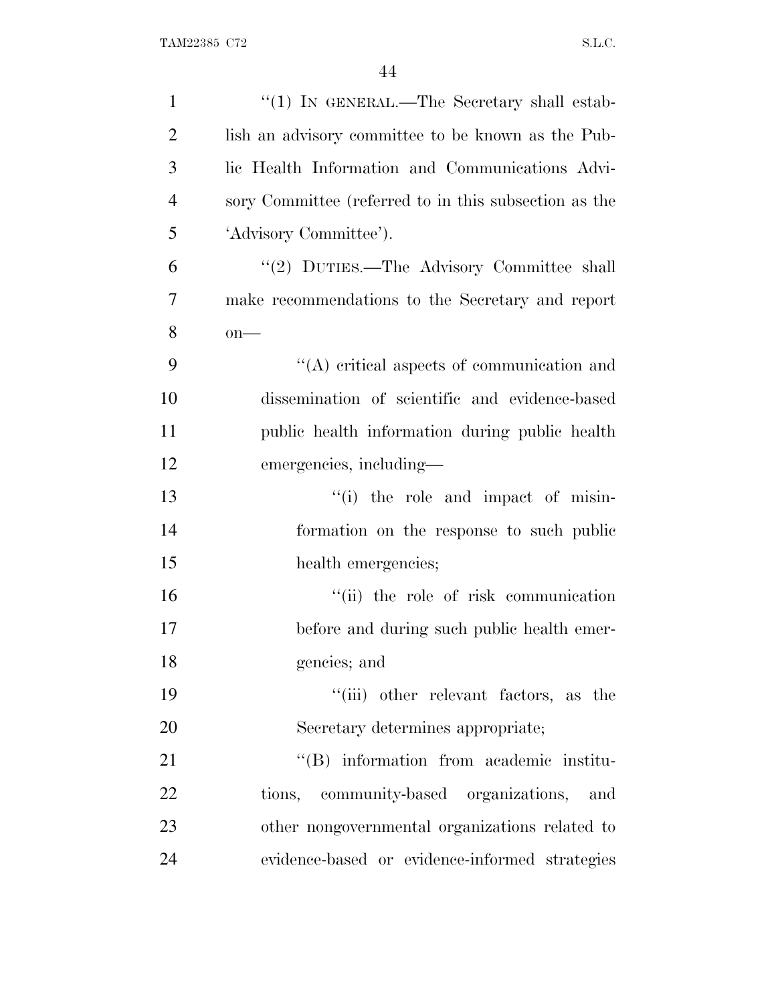| $\mathbf{1}$   | "(1) IN GENERAL.—The Secretary shall estab-           |
|----------------|-------------------------------------------------------|
| $\overline{2}$ | lish an advisory committee to be known as the Pub-    |
| 3              | lic Health Information and Communications Advi-       |
| $\overline{4}$ | sory Committee (referred to in this subsection as the |
| 5              | 'Advisory Committee').                                |
| 6              | "(2) DUTIES.—The Advisory Committee shall             |
| $\overline{7}$ | make recommendations to the Secretary and report      |
| 8              | $on$ —                                                |
| 9              | $\lq\lq$ critical aspects of communication and        |
| 10             | dissemination of scientific and evidence-based        |
| 11             | public health information during public health        |
| 12             | emergencies, including—                               |
| 13             | "(i) the role and impact of misin-                    |
| 14             | formation on the response to such public              |
| 15             | health emergencies;                                   |
| 16             | "(ii) the role of risk communication                  |
| 17             | before and during such public health emer-            |
| 18             | gencies; and                                          |
| 19             | "(iii) other relevant factors, as the                 |
| 20             | Secretary determines appropriate;                     |
| 21             | "(B) information from academic institu-               |
| 22             | tions, community-based organizations, and             |
| 23             | other nongovernmental organizations related to        |
| 24             | evidence-based or evidence-informed strategies        |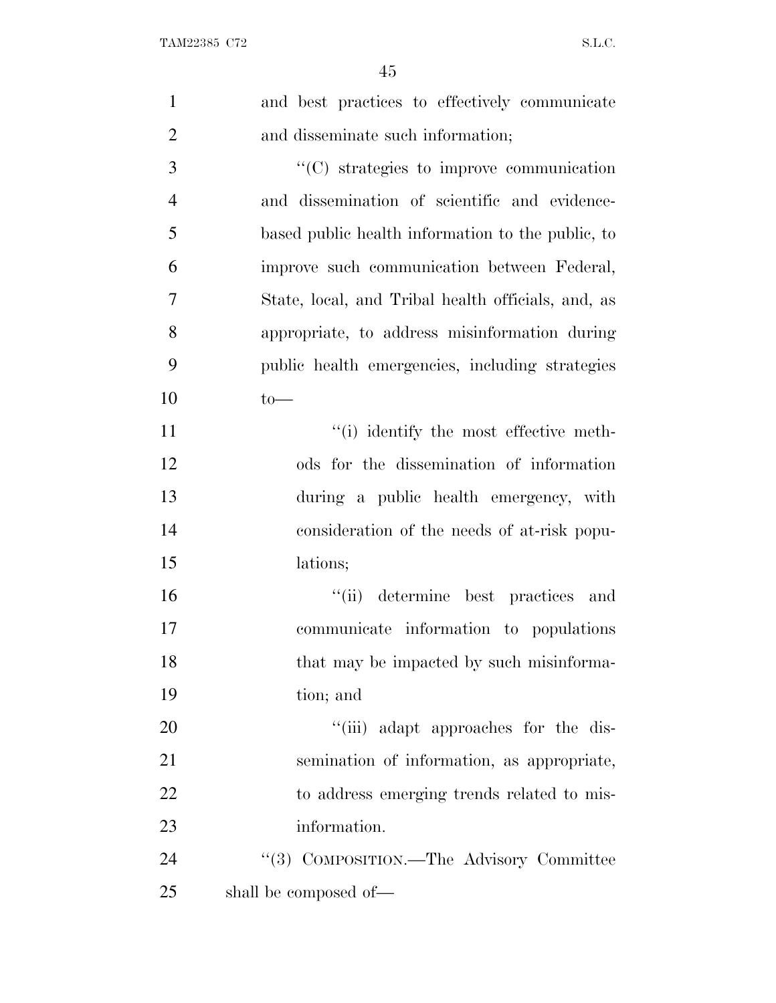| $\mathbf{1}$   | and best practices to effectively communicate      |
|----------------|----------------------------------------------------|
| $\overline{2}$ | and disseminate such information;                  |
| 3              | "(C) strategies to improve communication           |
| $\overline{4}$ | and dissemination of scientific and evidence-      |
| 5              | based public health information to the public, to  |
| 6              | improve such communication between Federal,        |
| 7              | State, local, and Tribal health officials, and, as |
| 8              | appropriate, to address misinformation during      |
| 9              | public health emergencies, including strategies    |
| 10             | $to-$                                              |
| 11             | "(i) identify the most effective meth-             |
| 12             | ods for the dissemination of information           |
| 13             | during a public health emergency, with             |
| 14             | consideration of the needs of at-risk popu-        |
| 15             | lations;                                           |
| 16             | "(ii) determine best practices and                 |
| 17             | communicate information to populations             |
| 18             | that may be impacted by such misinforma-           |
| 19             | tion; and                                          |
| 20             | "(iii) adapt approaches for the dis-               |
| 21             | semination of information, as appropriate,         |
| 22             | to address emerging trends related to mis-         |
| 23             | information.                                       |
| 24             | "(3) COMPOSITION.—The Advisory Committee           |
| 25             | shall be composed of—                              |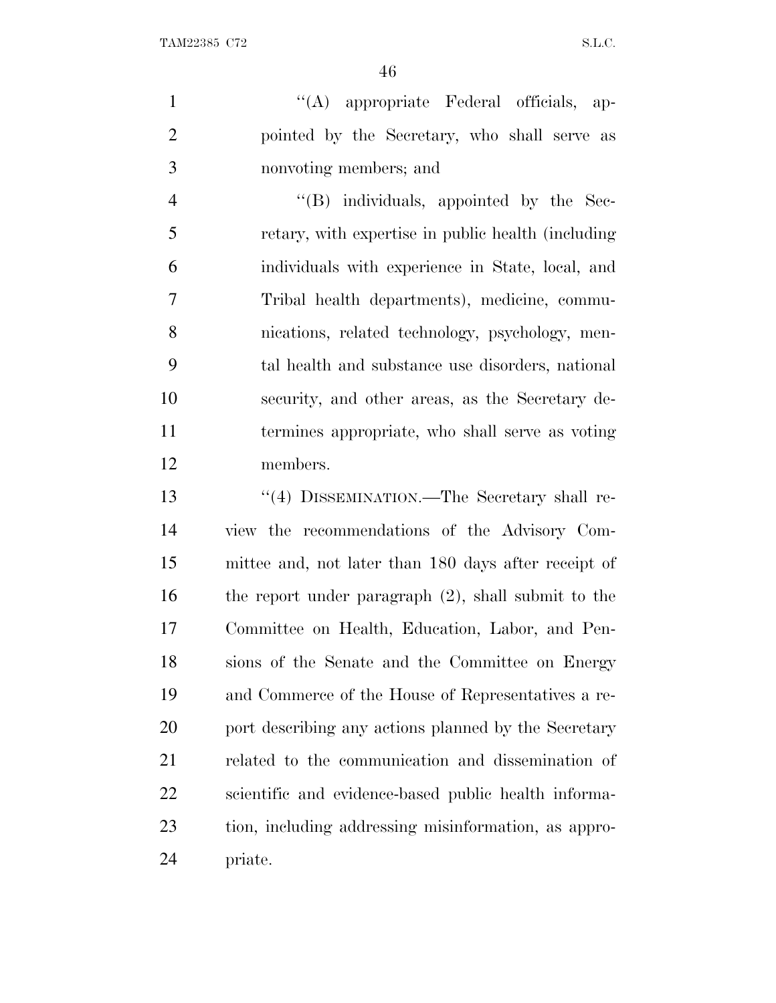1  $\langle (A)$  appropriate Federal officials, ap- pointed by the Secretary, who shall serve as nonvoting members; and

 ''(B) individuals, appointed by the Sec- retary, with expertise in public health (including individuals with experience in State, local, and Tribal health departments), medicine, commu- nications, related technology, psychology, men- tal health and substance use disorders, national security, and other areas, as the Secretary de- termines appropriate, who shall serve as voting members.

 ''(4) DISSEMINATION.—The Secretary shall re- view the recommendations of the Advisory Com- mittee and, not later than 180 days after receipt of the report under paragraph (2), shall submit to the Committee on Health, Education, Labor, and Pen- sions of the Senate and the Committee on Energy and Commerce of the House of Representatives a re-20 port describing any actions planned by the Secretary related to the communication and dissemination of scientific and evidence-based public health informa- tion, including addressing misinformation, as appro-priate.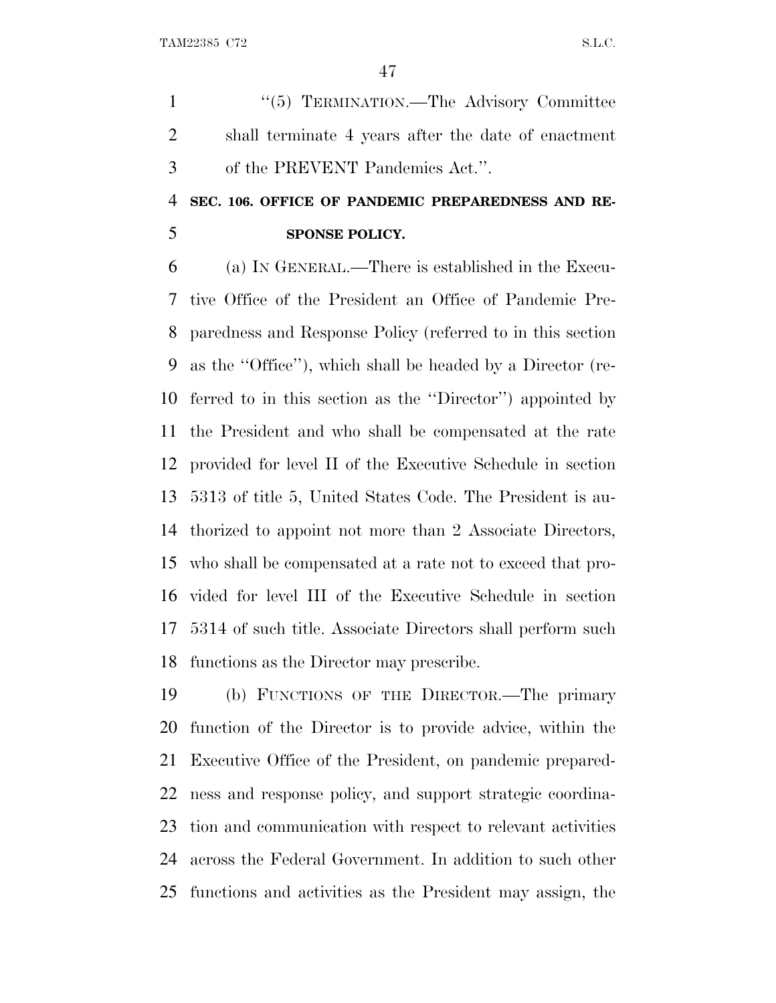1 "(5) TERMINATION.—The Advisory Committee shall terminate 4 years after the date of enactment of the PREVENT Pandemics Act.''.

## **SEC. 106. OFFICE OF PANDEMIC PREPAREDNESS AND RE-SPONSE POLICY.**

 (a) I<sup>N</sup> GENERAL.—There is established in the Execu- tive Office of the President an Office of Pandemic Pre- paredness and Response Policy (referred to in this section as the ''Office''), which shall be headed by a Director (re- ferred to in this section as the ''Director'') appointed by the President and who shall be compensated at the rate provided for level II of the Executive Schedule in section 5313 of title 5, United States Code. The President is au- thorized to appoint not more than 2 Associate Directors, who shall be compensated at a rate not to exceed that pro- vided for level III of the Executive Schedule in section 5314 of such title. Associate Directors shall perform such functions as the Director may prescribe.

 (b) FUNCTIONS OF THE DIRECTOR.—The primary function of the Director is to provide advice, within the Executive Office of the President, on pandemic prepared- ness and response policy, and support strategic coordina- tion and communication with respect to relevant activities across the Federal Government. In addition to such other functions and activities as the President may assign, the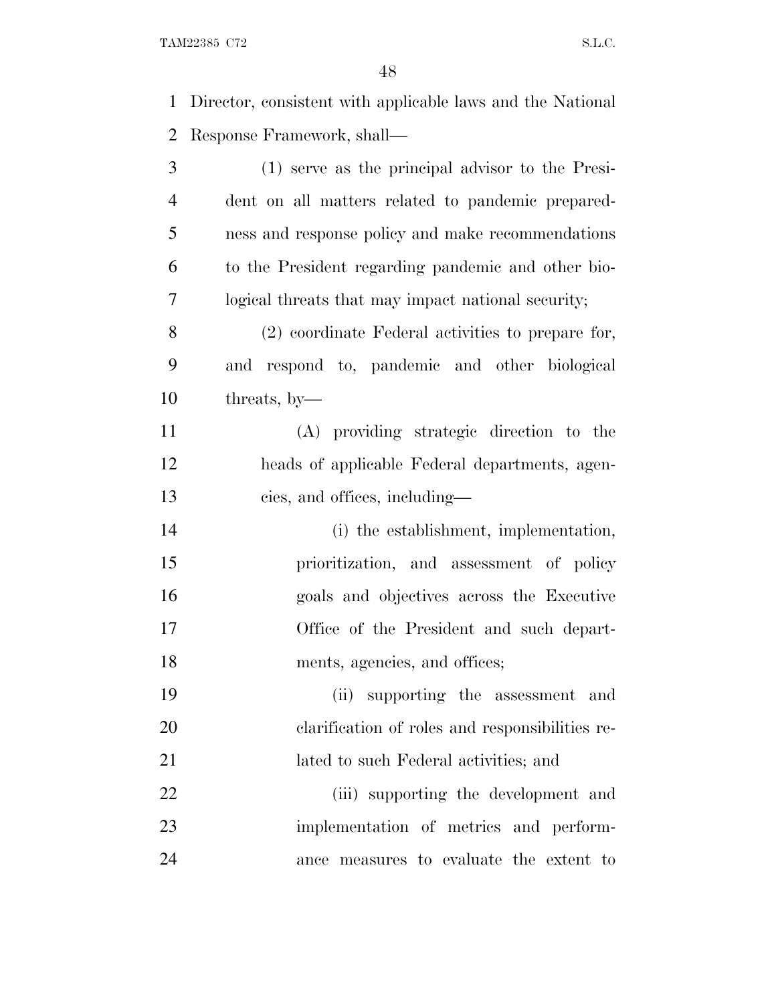TAM22385 C72 S.L.C.

 Director, consistent with applicable laws and the National Response Framework, shall— (1) serve as the principal advisor to the Presi- dent on all matters related to pandemic prepared- ness and response policy and make recommendations to the President regarding pandemic and other bio- logical threats that may impact national security; (2) coordinate Federal activities to prepare for, and respond to, pandemic and other biological threats, by— (A) providing strategic direction to the heads of applicable Federal departments, agen- cies, and offices, including— 14 (i) the establishment, implementation, prioritization, and assessment of policy goals and objectives across the Executive Office of the President and such depart-18 ments, agencies, and offices; (ii) supporting the assessment and clarification of roles and responsibilities re-lated to such Federal activities; and

22 (iii) supporting the development and implementation of metrics and perform-ance measures to evaluate the extent to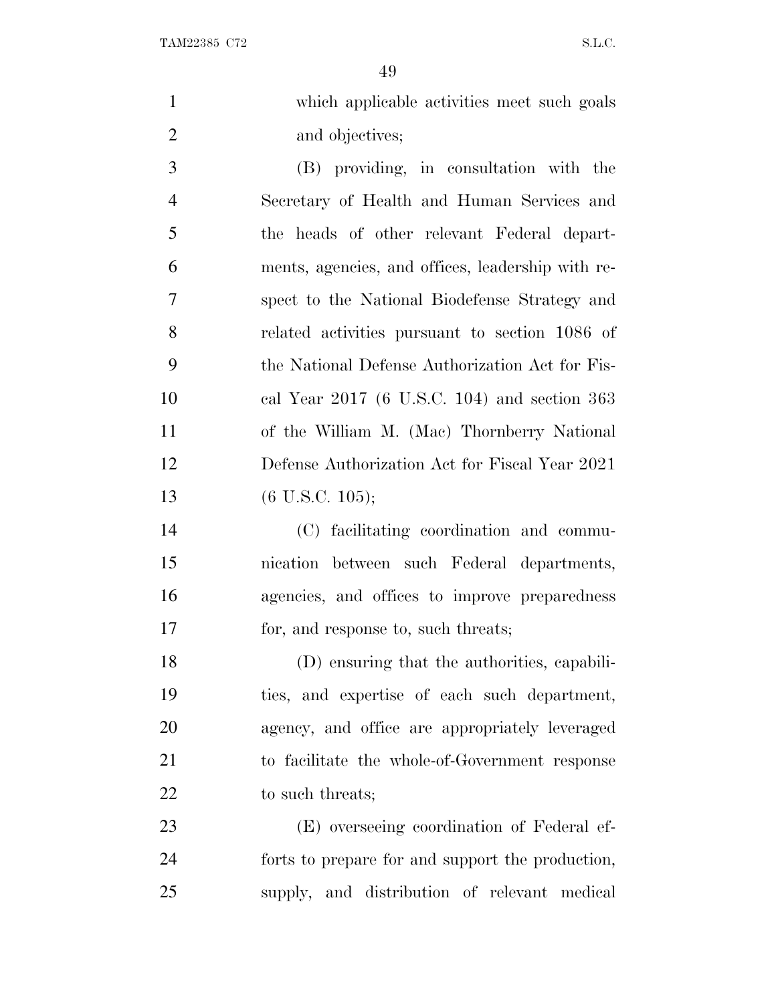|   | which applicable activities meet such goals |
|---|---------------------------------------------|
|   | and objectives;                             |
| 3 | (B) providing, in consultation with the     |

 Secretary of Health and Human Services and the heads of other relevant Federal depart- ments, agencies, and offices, leadership with re- spect to the National Biodefense Strategy and related activities pursuant to section 1086 of the National Defense Authorization Act for Fis- cal Year 2017 (6 U.S.C. 104) and section 363 of the William M. (Mac) Thornberry National Defense Authorization Act for Fiscal Year 2021 (6 U.S.C. 105);

 (C) facilitating coordination and commu- nication between such Federal departments, agencies, and offices to improve preparedness for, and response to, such threats;

 (D) ensuring that the authorities, capabili- ties, and expertise of each such department, agency, and office are appropriately leveraged to facilitate the whole-of-Government response 22 to such threats;

 (E) overseeing coordination of Federal ef- forts to prepare for and support the production, supply, and distribution of relevant medical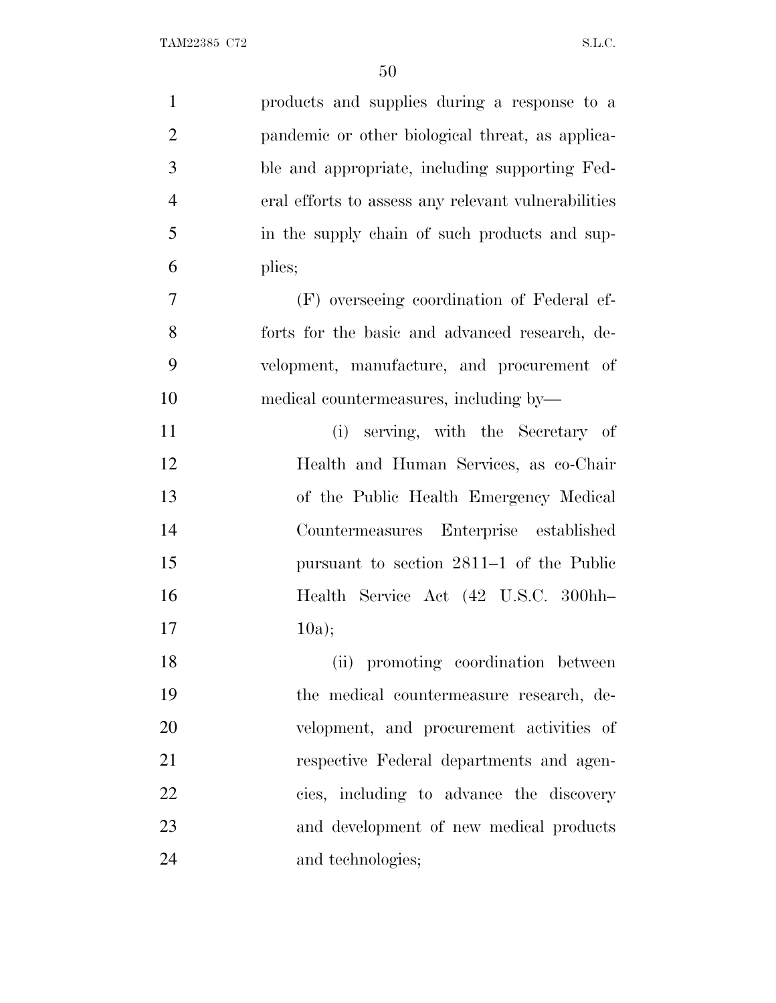| $\mathbf{1}$   | products and supplies during a response to a        |
|----------------|-----------------------------------------------------|
| $\overline{2}$ | pandemic or other biological threat, as applica-    |
| 3              | ble and appropriate, including supporting Fed-      |
| $\overline{4}$ | eral efforts to assess any relevant vulnerabilities |
| 5              | in the supply chain of such products and sup-       |
| 6              | plies;                                              |
| $\tau$         | (F) overseeing coordination of Federal ef-          |
| 8              | forts for the basic and advanced research, de-      |
| 9              | velopment, manufacture, and procurement of          |
| 10             | medical countermeasures, including by—              |
| 11             | (i) serving, with the Secretary of                  |
| 12             | Health and Human Services, as co-Chair              |
| 13             | of the Public Health Emergency Medical              |
| 14             | Countermeasures Enterprise established              |
| 15             | pursuant to section 2811–1 of the Public            |
| 16             | Health Service Act (42 U.S.C. 300hh-                |
| 17             | 10a);                                               |
| 18             | (ii) promoting coordination between                 |
| 19             | the medical countermeasure research, de-            |
| 20             | velopment, and procurement activities of            |
| 21             | respective Federal departments and agen-            |
| 22             | cies, including to advance the discovery            |
| 23             | and development of new medical products             |
| 24             | and technologies;                                   |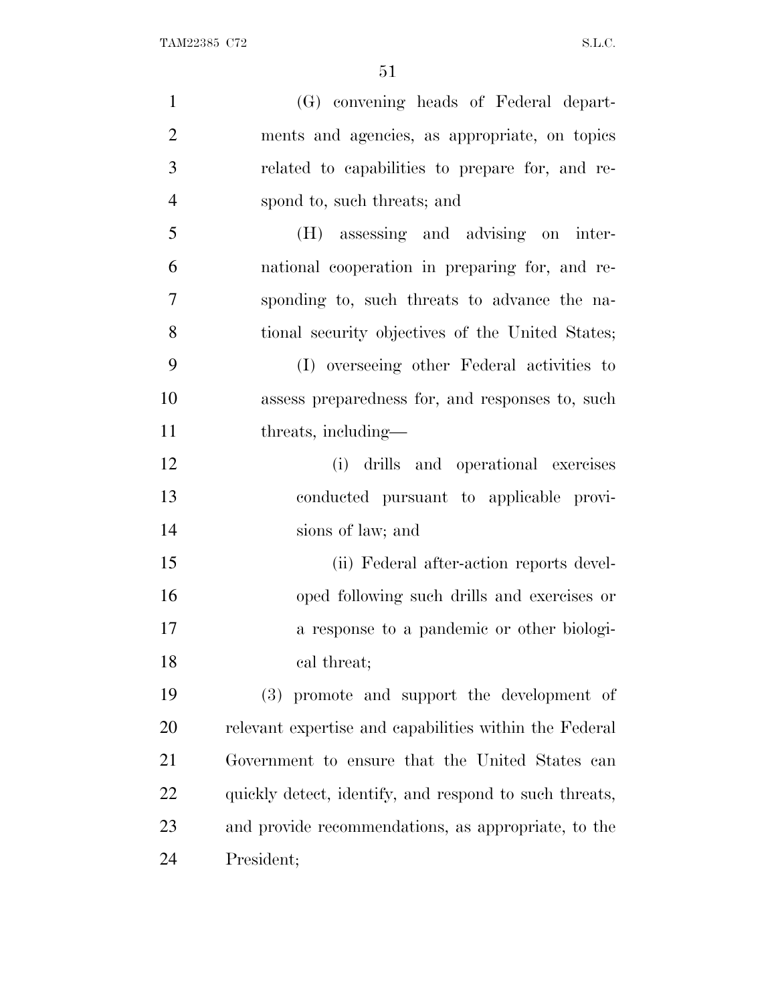| $\mathbf{1}$   | (G) convening heads of Federal depart-                 |
|----------------|--------------------------------------------------------|
| $\overline{2}$ | ments and agencies, as appropriate, on topics          |
| 3              | related to capabilities to prepare for, and re-        |
| $\overline{4}$ | spond to, such threats; and                            |
| 5              | (H) assessing and advising on inter-                   |
| 6              | national cooperation in preparing for, and re-         |
| 7              | sponding to, such threats to advance the na-           |
| 8              | tional security objectives of the United States;       |
| 9              | (I) overseeing other Federal activities to             |
| 10             | assess preparedness for, and responses to, such        |
| 11             | threats, including—                                    |
| 12             | (i) drills and operational exercises                   |
| 13             | conducted pursuant to applicable provi-                |
| 14             | sions of law; and                                      |
| 15             | (ii) Federal after-action reports devel-               |
| 16             | oped following such drills and exercises or            |
| 17             | a response to a pandemic or other biologi-             |
| 18             | cal threat;                                            |
| 19             | (3) promote and support the development of             |
| 20             | relevant expertise and capabilities within the Federal |
| 21             | Government to ensure that the United States can        |
| 22             | quickly detect, identify, and respond to such threats, |
| 23             | and provide recommendations, as appropriate, to the    |
| 24             | President;                                             |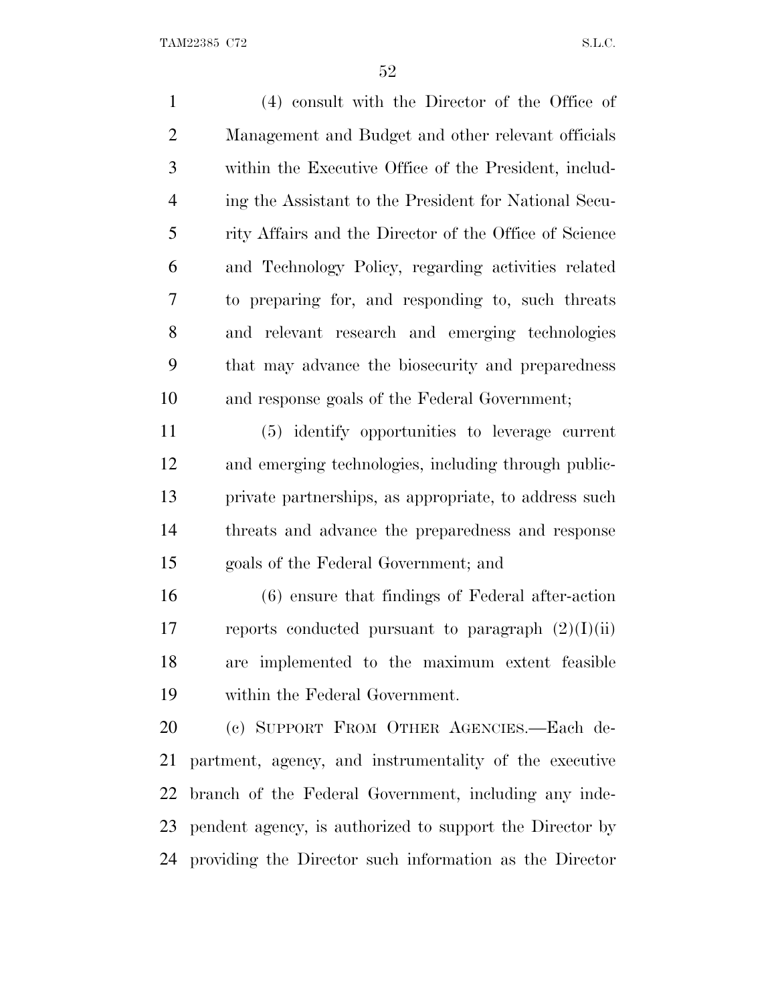(4) consult with the Director of the Office of Management and Budget and other relevant officials within the Executive Office of the President, includ- ing the Assistant to the President for National Secu- rity Affairs and the Director of the Office of Science and Technology Policy, regarding activities related to preparing for, and responding to, such threats and relevant research and emerging technologies that may advance the biosecurity and preparedness and response goals of the Federal Government;

 (5) identify opportunities to leverage current and emerging technologies, including through public- private partnerships, as appropriate, to address such threats and advance the preparedness and response goals of the Federal Government; and

 (6) ensure that findings of Federal after-action 17 reports conducted pursuant to paragraph  $(2)(I)(ii)$  are implemented to the maximum extent feasible within the Federal Government.

 (c) SUPPORT FROM OTHER AGENCIES.—Each de- partment, agency, and instrumentality of the executive branch of the Federal Government, including any inde- pendent agency, is authorized to support the Director by providing the Director such information as the Director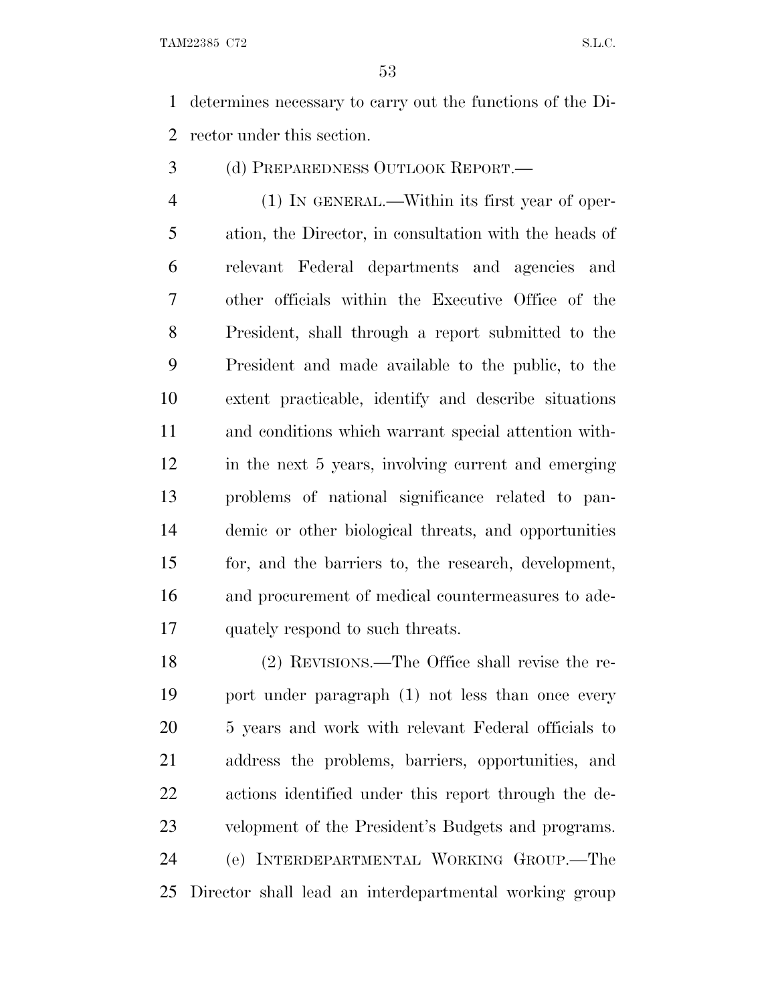determines necessary to carry out the functions of the Di-rector under this section.

(d) PREPAREDNESS OUTLOOK REPORT.—

 (1) IN GENERAL.—Within its first year of oper- ation, the Director, in consultation with the heads of relevant Federal departments and agencies and other officials within the Executive Office of the President, shall through a report submitted to the President and made available to the public, to the extent practicable, identify and describe situations and conditions which warrant special attention with- in the next 5 years, involving current and emerging problems of national significance related to pan- demic or other biological threats, and opportunities for, and the barriers to, the research, development, and procurement of medical countermeasures to ade-quately respond to such threats.

 (2) REVISIONS.—The Office shall revise the re- port under paragraph (1) not less than once every 5 years and work with relevant Federal officials to address the problems, barriers, opportunities, and actions identified under this report through the de- velopment of the President's Budgets and programs. (e) INTERDEPARTMENTAL WORKING GROUP.—The Director shall lead an interdepartmental working group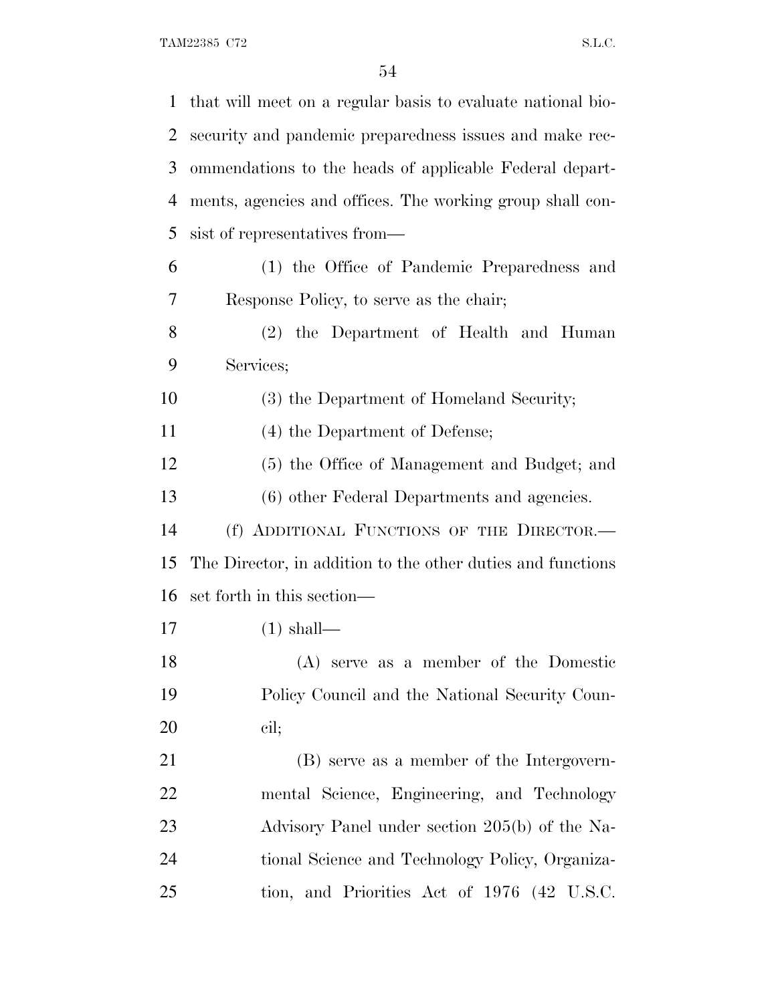| 1         | that will meet on a regular basis to evaluate national bio- |
|-----------|-------------------------------------------------------------|
| 2         | security and pandemic preparedness issues and make rec-     |
| 3         | ommendations to the heads of applicable Federal depart-     |
| 4         | ments, agencies and offices. The working group shall con-   |
| 5         | sist of representatives from—                               |
| 6         | (1) the Office of Pandemic Preparedness and                 |
| 7         | Response Policy, to serve as the chair;                     |
| 8         | (2) the Department of Health and Human                      |
| 9         | Services;                                                   |
| 10        | (3) the Department of Homeland Security;                    |
| 11        | (4) the Department of Defense;                              |
| 12        | (5) the Office of Management and Budget; and                |
| 13        | (6) other Federal Departments and agencies.                 |
| 14        | (f) ADDITIONAL FUNCTIONS OF THE DIRECTOR.-                  |
| 15        | The Director, in addition to the other duties and functions |
| 16        | set forth in this section—                                  |
| 17        | $(1)$ shall—                                                |
| 18        | (A) serve as a member of the Domestic                       |
| 19        | Policy Council and the National Security Coun-              |
| <b>20</b> | cil;                                                        |
| 21        | (B) serve as a member of the Intergovern-                   |
| <u>22</u> | mental Science, Engineering, and Technology                 |
| 23        | Advisory Panel under section 205(b) of the Na-              |
| 24        | tional Science and Technology Policy, Organiza-             |
| 25        | tion, and Priorities Act of 1976 (42 U.S.C.                 |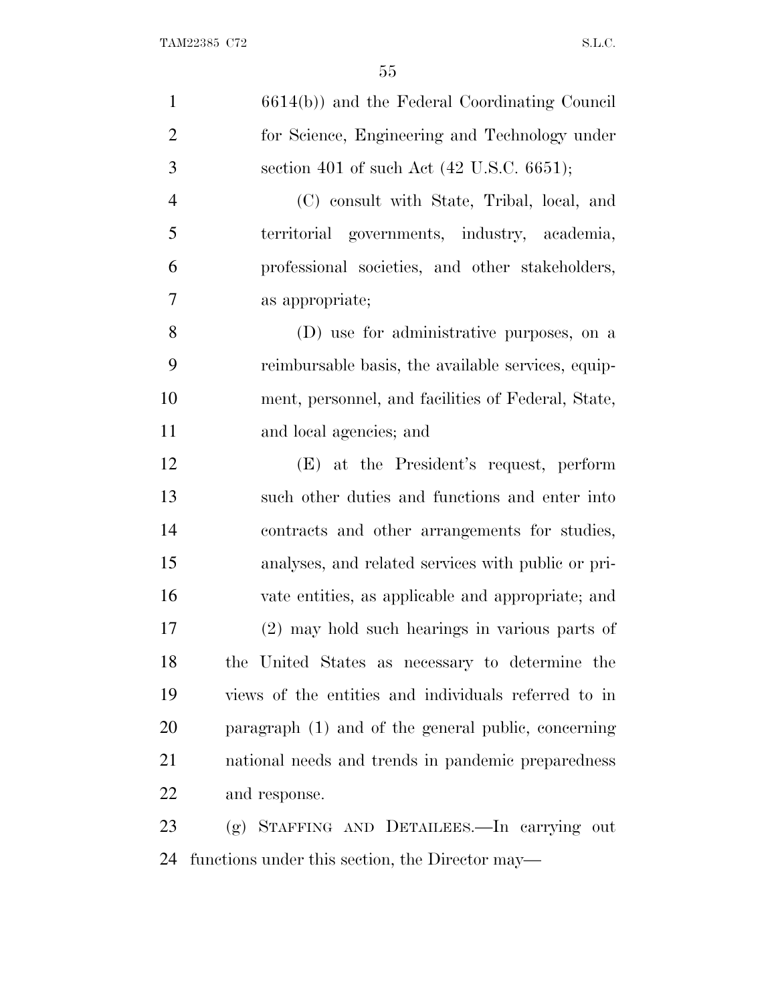| $\mathbf{1}$   | 6614(b)) and the Federal Coordinating Council        |
|----------------|------------------------------------------------------|
| $\overline{2}$ | for Science, Engineering and Technology under        |
| 3              | section 401 of such Act $(42 \text{ U.S.C. } 6651);$ |
| $\overline{4}$ | (C) consult with State, Tribal, local, and           |
| 5              | territorial governments, industry, academia,         |
| 6              | professional societies, and other stakeholders,      |
| 7              | as appropriate;                                      |
| 8              | (D) use for administrative purposes, on a            |
| 9              | reimbursable basis, the available services, equip-   |
| 10             | ment, personnel, and facilities of Federal, State,   |
| 11             | and local agencies; and                              |
| 12             | (E) at the President's request, perform              |
| 13             | such other duties and functions and enter into       |
| 14             | contracts and other arrangements for studies,        |
| 15             | analyses, and related services with public or pri-   |
| 16             | vate entities, as applicable and appropriate; and    |
| 17             | (2) may hold such hearings in various parts of       |
| 18             | the United States as necessary to determine the      |
| 19             | views of the entities and individuals referred to in |
| 20             | paragraph (1) and of the general public, concerning  |
| 21             | national needs and trends in pandemic preparedness   |
| 22             | and response.                                        |
| 23             | (g) STAFFING AND DETAILEES.—In carrying out          |
| 24             | functions under this section, the Director may—      |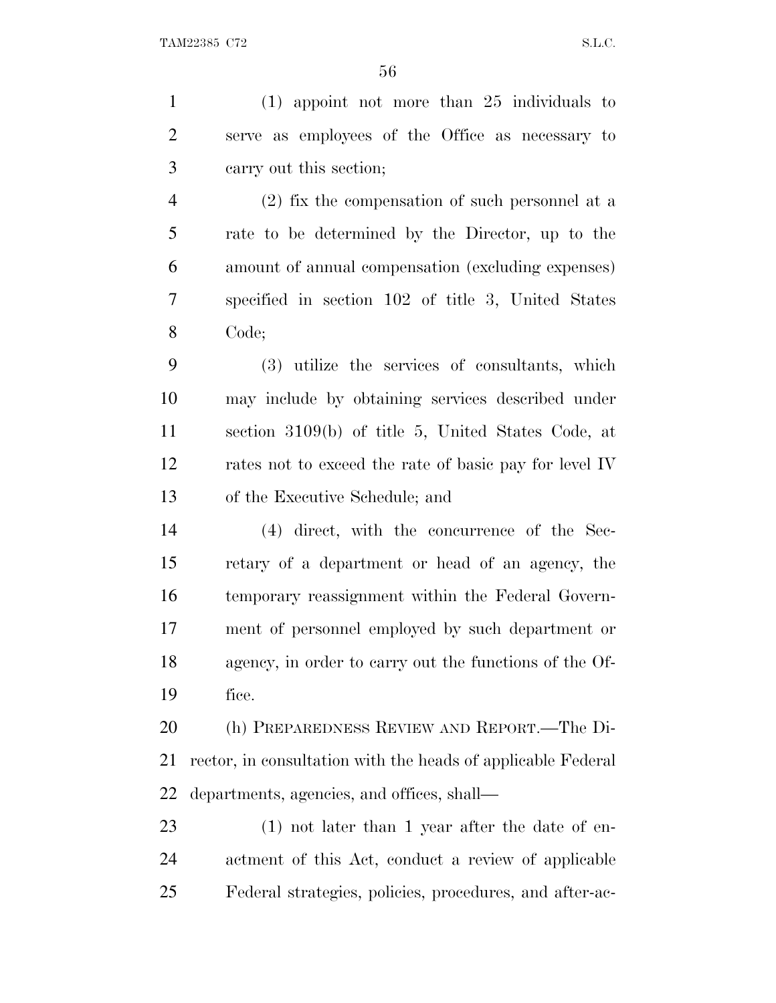(1) appoint not more than 25 individuals to serve as employees of the Office as necessary to carry out this section; (2) fix the compensation of such personnel at a rate to be determined by the Director, up to the amount of annual compensation (excluding expenses) specified in section 102 of title 3, United States Code; (3) utilize the services of consultants, which may include by obtaining services described under section 3109(b) of title 5, United States Code, at rates not to exceed the rate of basic pay for level IV of the Executive Schedule; and (4) direct, with the concurrence of the Sec- retary of a department or head of an agency, the temporary reassignment within the Federal Govern- ment of personnel employed by such department or agency, in order to carry out the functions of the Of- fice. (h) PREPAREDNESS REVIEW AND REPORT.—The Di- rector, in consultation with the heads of applicable Federal departments, agencies, and offices, shall— (1) not later than 1 year after the date of en- actment of this Act, conduct a review of applicable Federal strategies, policies, procedures, and after-ac-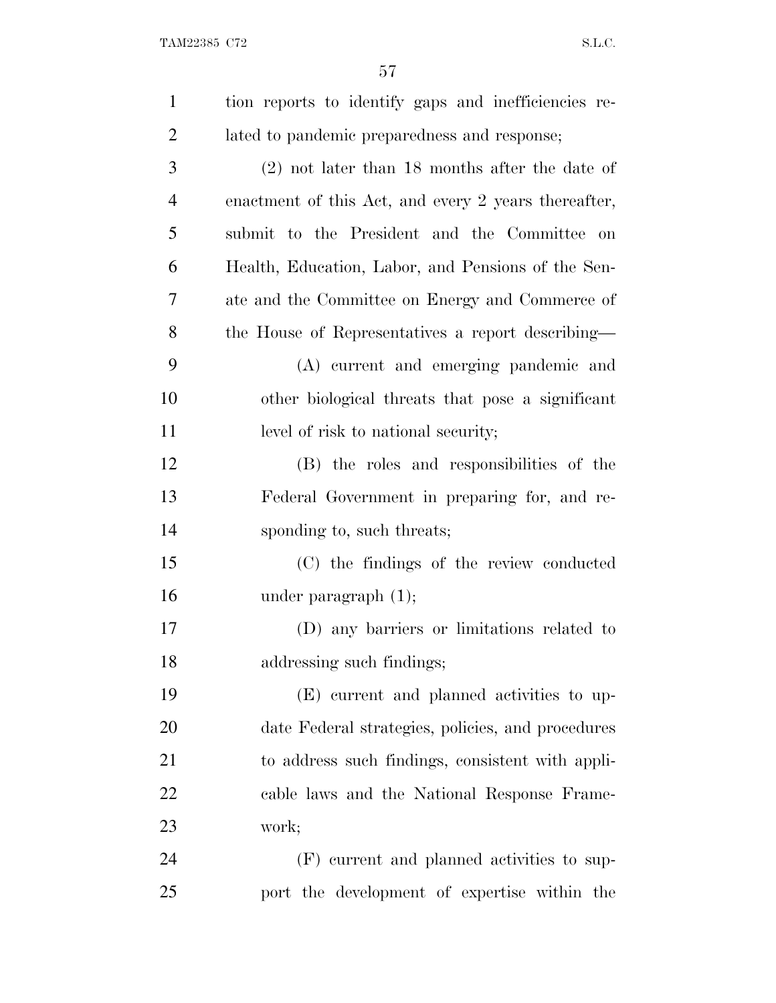| $\mathbf{1}$   | tion reports to identify gaps and inefficiencies re- |
|----------------|------------------------------------------------------|
| $\overline{2}$ | lated to pandemic preparedness and response;         |
| 3              | $(2)$ not later than 18 months after the date of     |
| $\overline{4}$ | enactment of this Act, and every 2 years thereafter, |
| 5              | submit to the President and the Committee on         |
| 6              | Health, Education, Labor, and Pensions of the Sen-   |
| 7              | ate and the Committee on Energy and Commerce of      |
| 8              | the House of Representatives a report describing—    |
| 9              | (A) current and emerging pandemic and                |
| 10             | other biological threats that pose a significant     |
| 11             | level of risk to national security;                  |
| 12             | (B) the roles and responsibilities of the            |
| 13             | Federal Government in preparing for, and re-         |
| 14             | sponding to, such threats;                           |
| 15             | (C) the findings of the review conducted             |
| 16             | under paragraph $(1)$ ;                              |
| 17             | (D) any barriers or limitations related to           |
| 18             | addressing such findings;                            |
| 19             | (E) current and planned activities to up-            |
| 20             | date Federal strategies, policies, and procedures    |
| 21             | to address such findings, consistent with appli-     |
| 22             | cable laws and the National Response Frame-          |
| 23             | work;                                                |
| 24             | (F) current and planned activities to sup-           |
| 25             | port the development of expertise within the         |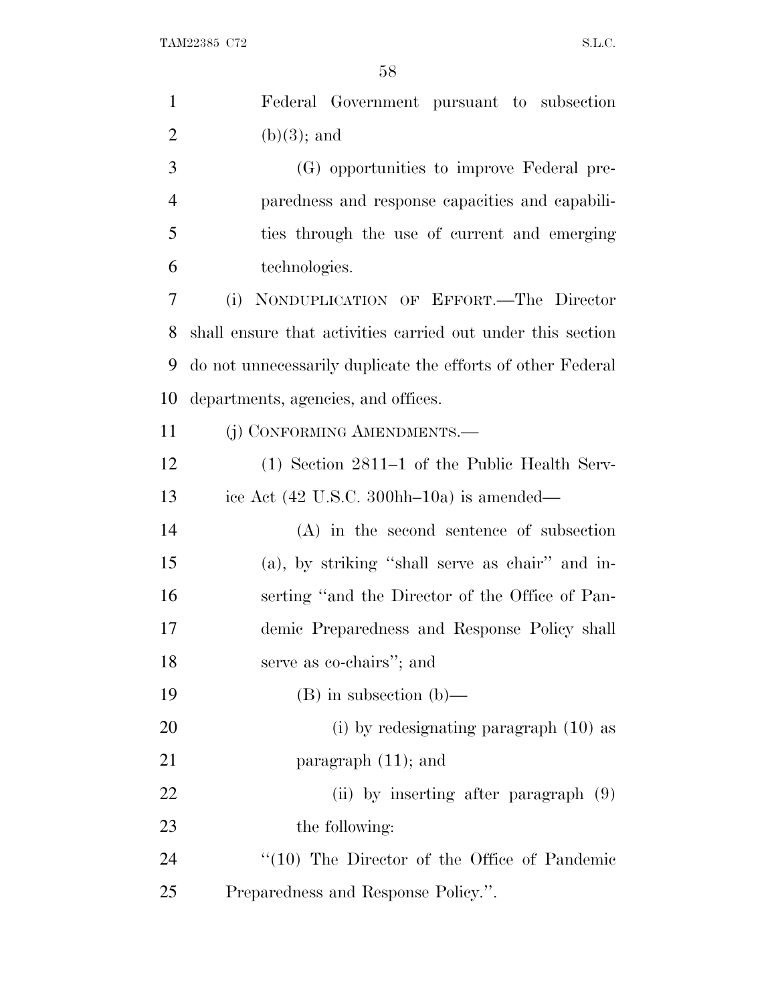| $\mathbf{1}$   | Federal Government pursuant to subsection                   |
|----------------|-------------------------------------------------------------|
| $\overline{2}$ | $(b)(3)$ ; and                                              |
| 3              | (G) opportunities to improve Federal pre-                   |
| $\overline{4}$ | paredness and response capacities and capabili-             |
| 5              | ties through the use of current and emerging                |
| 6              | technologies.                                               |
| 7              | NONDUPLICATION OF EFFORT.-The Director<br>(i)               |
| 8              | shall ensure that activities carried out under this section |
| 9              | do not unnecessarily duplicate the efforts of other Federal |
| 10             | departments, agencies, and offices.                         |
| 11             | (j) CONFORMING AMENDMENTS.—                                 |
| 12             | $(1)$ Section 2811–1 of the Public Health Serv-             |
| 13             | ice Act (42 U.S.C. 300hh-10a) is amended—                   |
| 14             | $(A)$ in the second sentence of subsection                  |
| 15             | (a), by striking "shall serve as chair" and in-             |
| 16             | serting "and the Director of the Office of Pan-             |
| 17             | demic Preparedness and Response Policy shall                |
| 18             | serve as co-chairs"; and                                    |
| 19             | $(B)$ in subsection $(b)$ —                                 |
| <b>20</b>      | $(i)$ by redesignating paragraph $(10)$ as                  |
| 21             | paragraph $(11)$ ; and                                      |
| 22             | (ii) by inserting after paragraph (9)                       |
| 23             | the following:                                              |
| 24             | "(10) The Director of the Office of Pandemic                |
| 25             | Preparedness and Response Policy.".                         |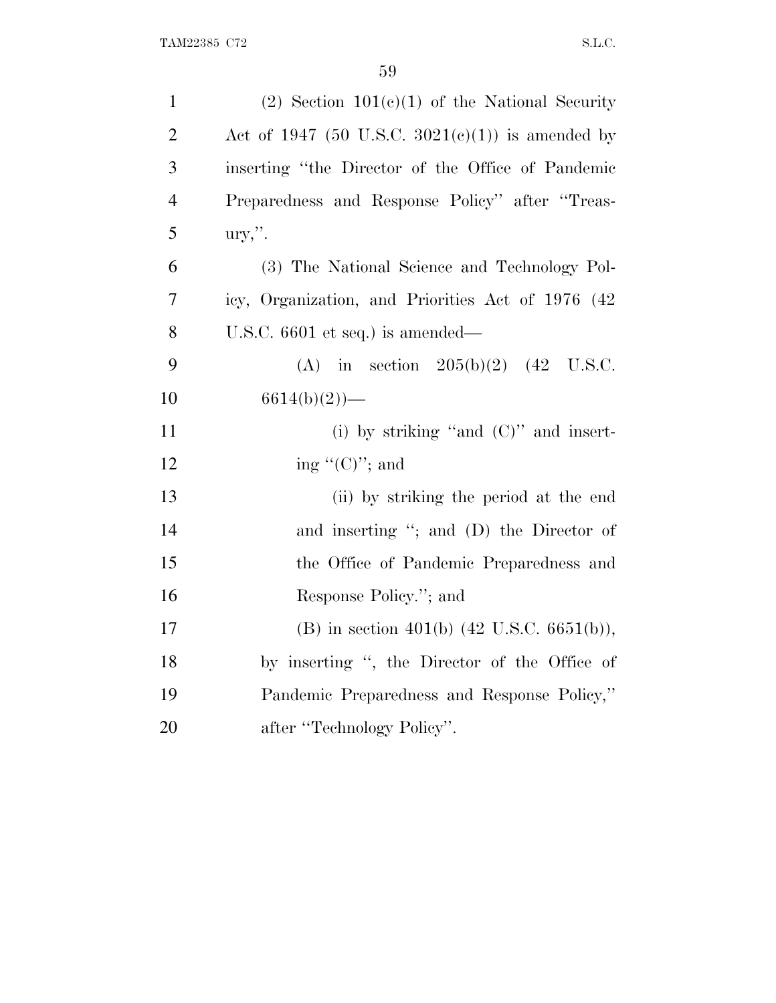| $\mathbf{1}$   | $(2)$ Section $101(c)(1)$ of the National Security    |
|----------------|-------------------------------------------------------|
| $\overline{2}$ | Act of 1947 (50 U.S.C. 3021(c)(1)) is amended by      |
| 3              | inserting "the Director of the Office of Pandemic     |
| $\overline{4}$ | Preparedness and Response Policy" after "Treas-       |
| 5              | $\text{ury,}$ ".                                      |
| 6              | (3) The National Science and Technology Pol-          |
| 7              | icy, Organization, and Priorities Act of 1976 (42)    |
| 8              | U.S.C. $6601$ et seq.) is amended—                    |
| 9              | (A) in section $205(b)(2)$ (42 U.S.C.                 |
| 10             | $6614(b)(2)$ —                                        |
| 11             | (i) by striking "and $(C)$ " and insert-              |
| 12             | ing " $(C)$ "; and                                    |
| 13             | (ii) by striking the period at the end                |
| 14             | and inserting "; and (D) the Director of              |
| 15             | the Office of Pandemic Preparedness and               |
| 16             | Response Policy."; and                                |
| 17             | (B) in section 401(b) $(42 \text{ U.S.C. } 6651(b)),$ |
| 18             | by inserting ", the Director of the Office of         |
| 19             | Pandemic Preparedness and Response Policy,"           |
| 20             | after "Technology Policy".                            |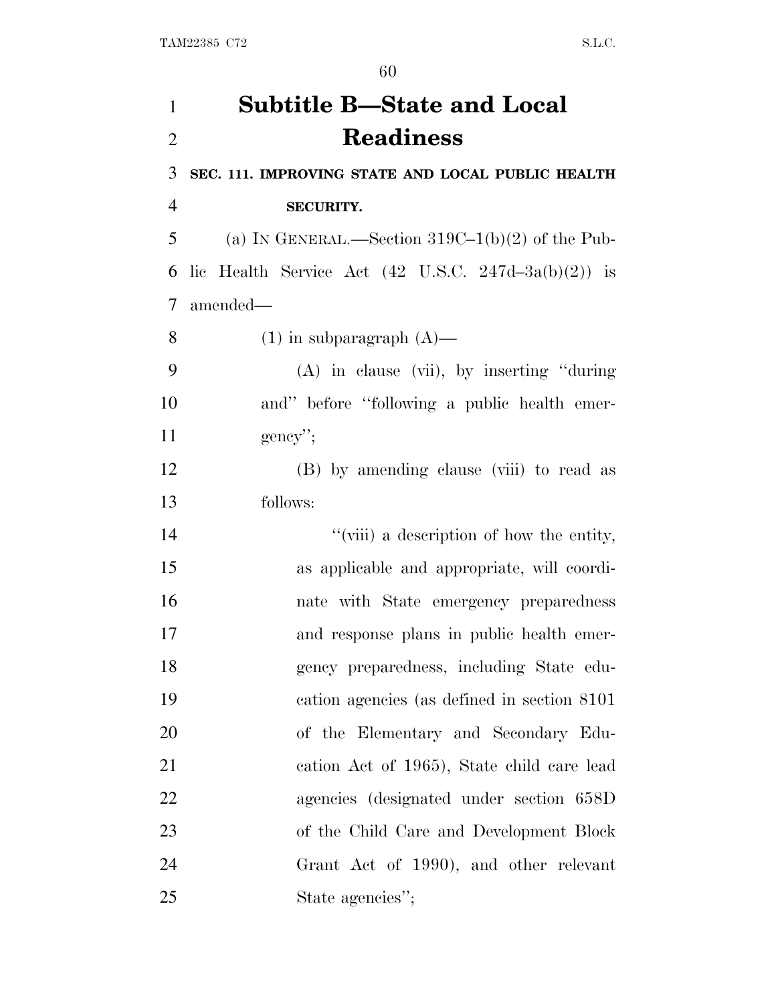## **Subtitle B—State and Local Readiness**

**SEC. 111. IMPROVING STATE AND LOCAL PUBLIC HEALTH**

## **SECURITY.**

5 (a) IN GENERAL.—Section  $319C-1(b)(2)$  of the Pub-6 lic Health Service Act  $(42 \text{ U.S.C. } 247d - 3a(b)(2))$  is amended—

8 (1) in subparagraph  $(A)$ —

 (A) in clause (vii), by inserting ''during and'' before ''following a public health emer-11 gency'';

 (B) by amending clause (viii) to read as follows:

 $''$ (viii) a description of how the entity, as applicable and appropriate, will coordi- nate with State emergency preparedness and response plans in public health emer- gency preparedness, including State edu- cation agencies (as defined in section 8101 of the Elementary and Secondary Edu- cation Act of 1965), State child care lead agencies (designated under section 658D of the Child Care and Development Block Grant Act of 1990), and other relevant 25 State agencies'';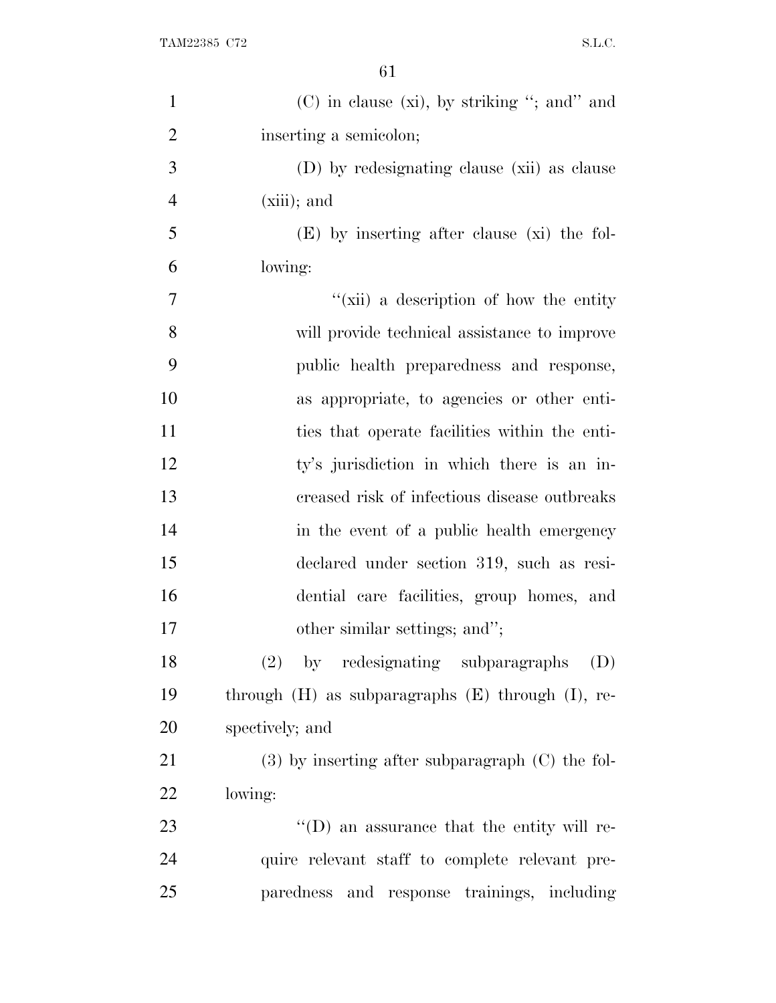| $\mathbf{1}$   | $(C)$ in clause (xi), by striking "; and" and            |
|----------------|----------------------------------------------------------|
| $\overline{2}$ | inserting a semicolon;                                   |
| 3              | (D) by redesignating clause (xii) as clause              |
| $\overline{4}$ | $(xiii)$ ; and                                           |
| 5              | $(E)$ by inserting after clause (xi) the fol-            |
| 6              | lowing:                                                  |
| 7              | "(xii) a description of how the entity                   |
| 8              | will provide technical assistance to improve             |
| 9              | public health preparedness and response,                 |
| 10             | as appropriate, to agencies or other enti-               |
| 11             | ties that operate facilities within the enti-            |
| 12             | ty's jurisdiction in which there is an in-               |
| 13             | creased risk of infectious disease outbreaks             |
| 14             | in the event of a public health emergency                |
| 15             | declared under section 319, such as resi-                |
| 16             | dential care facilities, group homes, and                |
| 17             | other similar settings; and";                            |
| 18             | by redesignating subparagraphs<br>(D)<br>(2)             |
| 19             | through $(H)$ as subparagraphs $(E)$ through $(I)$ , re- |
| 20             | spectively; and                                          |
| 21             | $(3)$ by inserting after subparagraph $(C)$ the fol-     |
| 22             | lowing:                                                  |
| 23             | $\lq\lq$ (D) an assurance that the entity will re-       |
| 24             | quire relevant staff to complete relevant pre-           |
| 25             | paredness and response trainings, including              |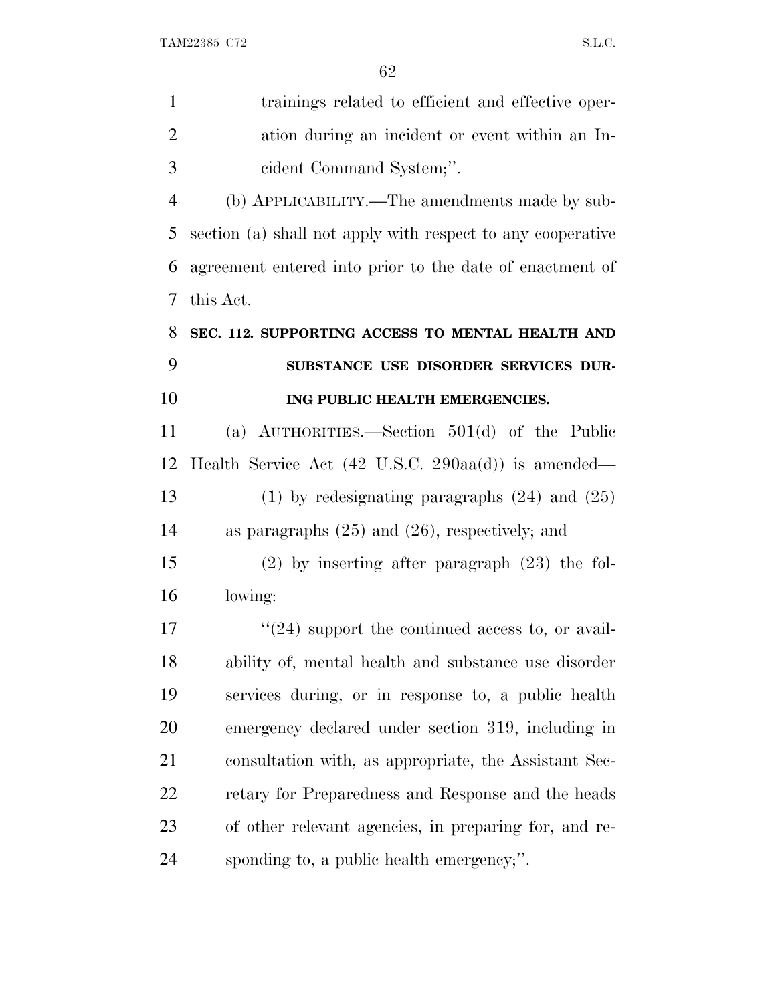| $\mathbf{1}$   | trainings related to efficient and effective oper-                     |
|----------------|------------------------------------------------------------------------|
| $\overline{2}$ | ation during an incident or event within an In-                        |
| 3              | cident Command System;".                                               |
| $\overline{4}$ | (b) APPLICABILITY.—The amendments made by sub-                         |
| 5              | section (a) shall not apply with respect to any cooperative            |
| 6              | agreement entered into prior to the date of enactment of               |
| 7              | this Act.                                                              |
| 8              | SEC. 112. SUPPORTING ACCESS TO MENTAL HEALTH AND                       |
| 9              | SUBSTANCE USE DISORDER SERVICES DUR-                                   |
| 10             | ING PUBLIC HEALTH EMERGENCIES.                                         |
| 11             | (a) $\text{AUTHORITIES.}$ Section 501(d) of the Public                 |
| 12             | Health Service Act $(42 \text{ U.S.C. } 290 \text{aa(d)})$ is amended— |
| 13             | $(1)$ by redesignating paragraphs $(24)$ and $(25)$                    |
| 14             | as paragraphs $(25)$ and $(26)$ , respectively; and                    |
| 15             | $(2)$ by inserting after paragraph $(23)$ the fol-                     |
| 16             | lowing:                                                                |
| 17             | $\cdot\cdot(24)$ support the continued access to, or avail-            |
| 18             | ability of, mental health and substance use disorder                   |
| 19             | services during, or in response to, a public health                    |
| 20             | emergency declared under section 319, including in                     |
| 21             | consultation with, as appropriate, the Assistant Sec-                  |
| 22             | retary for Preparedness and Response and the heads                     |
| 23             | of other relevant agencies, in preparing for, and re-                  |
| 24             | sponding to, a public health emergency;".                              |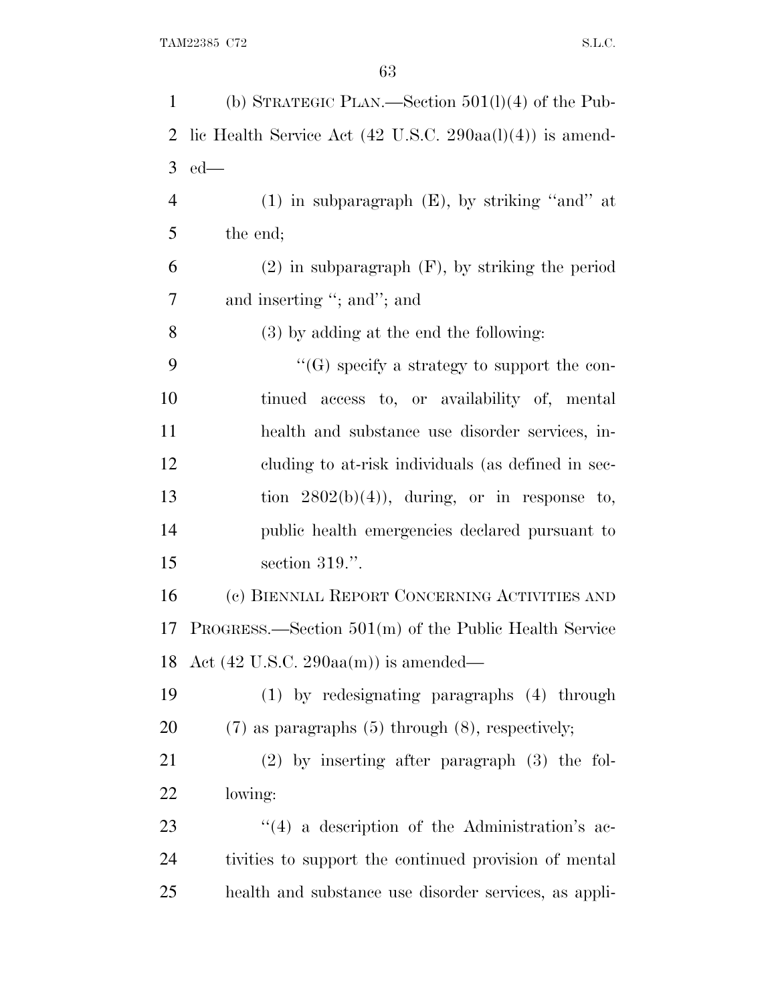| $\mathbf{1}$   | (b) STRATEGIC PLAN.—Section $501(1)(4)$ of the Pub-                         |
|----------------|-----------------------------------------------------------------------------|
| 2              | lic Health Service Act $(42 \text{ U.S.C. } 290 \text{aa}(l)(4))$ is amend- |
| 3              | $ed$ —                                                                      |
| $\overline{4}$ | $(1)$ in subparagraph $(E)$ , by striking "and" at                          |
| 5              | the end;                                                                    |
| 6              | $(2)$ in subparagraph $(F)$ , by striking the period                        |
| 7              | and inserting "; and"; and                                                  |
| 8              | (3) by adding at the end the following:                                     |
| 9              | "(G) specify a strategy to support the con-                                 |
| 10             | tinued access to, or availability of, mental                                |
| 11             | health and substance use disorder services, in-                             |
| 12             | cluding to at-risk individuals (as defined in sec-                          |
| 13             | tion $2802(b)(4)$ , during, or in response to,                              |
| 14             | public health emergencies declared pursuant to                              |
| 15             | section $319$ .".                                                           |
| 16             | (c) BIENNIAL REPORT CONCERNING ACTIVITIES AND                               |
| 17             | $PROGRESS.$ Section $501(m)$ of the Public Health Service                   |
|                | 18 Act $(42 \text{ U.S.C. } 290 \text{aa(m)})$ is amended—                  |
| 19             | (1) by redesignating paragraphs (4) through                                 |
| 20             | $(7)$ as paragraphs $(5)$ through $(8)$ , respectively;                     |
| 21             | $(2)$ by inserting after paragraph $(3)$ the fol-                           |
| 22             | lowing:                                                                     |
| 23             | $\lq(4)$ a description of the Administration's ac-                          |
| 24             | tivities to support the continued provision of mental                       |
| 25             | health and substance use disorder services, as appli-                       |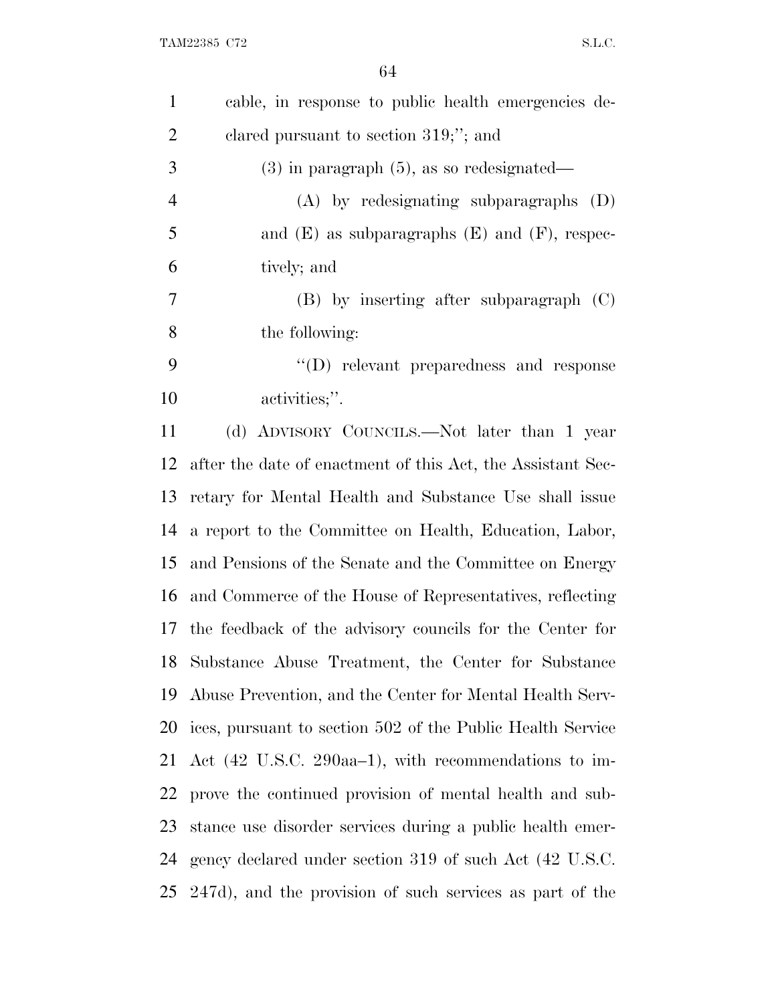| $\mathbf{1}$   | cable, in response to public health emergencies de-         |
|----------------|-------------------------------------------------------------|
| $\overline{2}$ | clared pursuant to section 319;"; and                       |
| 3              | $(3)$ in paragraph $(5)$ , as so redesignated—              |
| $\overline{4}$ | $(A)$ by redesignating subparagraphs $(D)$                  |
| 5              | and $(E)$ as subparagraphs $(E)$ and $(F)$ , respec-        |
| 6              | tively; and                                                 |
| 7              | $(B)$ by inserting after subparagraph $(C)$                 |
| 8              | the following:                                              |
| 9              | $\lq\lq$ relevant preparedness and response                 |
| 10             | activities;".                                               |
| 11             | (d) ADVISORY COUNCILS.—Not later than 1 year                |
| 12             | after the date of enactment of this Act, the Assistant Sec- |
| 13             | retary for Mental Health and Substance Use shall issue      |
| 14             | a report to the Committee on Health, Education, Labor,      |
| 15             | and Pensions of the Senate and the Committee on Energy      |
| 16             | and Commerce of the House of Representatives, reflecting    |
| 17             | the feedback of the advisory councils for the Center for    |
|                | 18 Substance Abuse Treatment, the Center for Substance      |
| 19             | Abuse Prevention, and the Center for Mental Health Serv-    |
| 20             | ices, pursuant to section 502 of the Public Health Service  |
| 21             | Act (42 U.S.C. 290aa–1), with recommendations to im-        |
| 22             | prove the continued provision of mental health and sub-     |
| 23             | stance use disorder services during a public health emer-   |
| 24             | gency declared under section 319 of such Act (42 U.S.C.     |
| 25             | 247d), and the provision of such services as part of the    |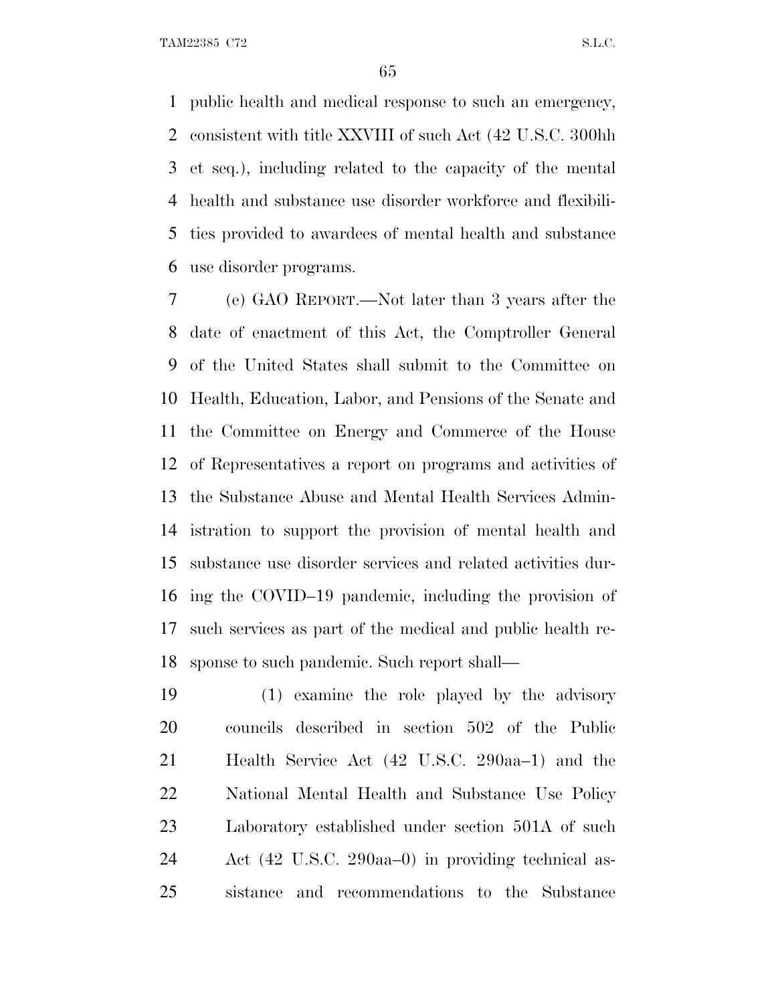TAM22385 C72 S.L.C.

 public health and medical response to such an emergency, consistent with title XXVIII of such Act (42 U.S.C. 300hh et seq.), including related to the capacity of the mental health and substance use disorder workforce and flexibili- ties provided to awardees of mental health and substance use disorder programs.

 (e) GAO REPORT.—Not later than 3 years after the date of enactment of this Act, the Comptroller General of the United States shall submit to the Committee on Health, Education, Labor, and Pensions of the Senate and the Committee on Energy and Commerce of the House of Representatives a report on programs and activities of the Substance Abuse and Mental Health Services Admin- istration to support the provision of mental health and substance use disorder services and related activities dur- ing the COVID–19 pandemic, including the provision of such services as part of the medical and public health re-sponse to such pandemic. Such report shall—

 (1) examine the role played by the advisory councils described in section 502 of the Public Health Service Act (42 U.S.C. 290aa–1) and the National Mental Health and Substance Use Policy Laboratory established under section 501A of such Act (42 U.S.C. 290aa–0) in providing technical as-sistance and recommendations to the Substance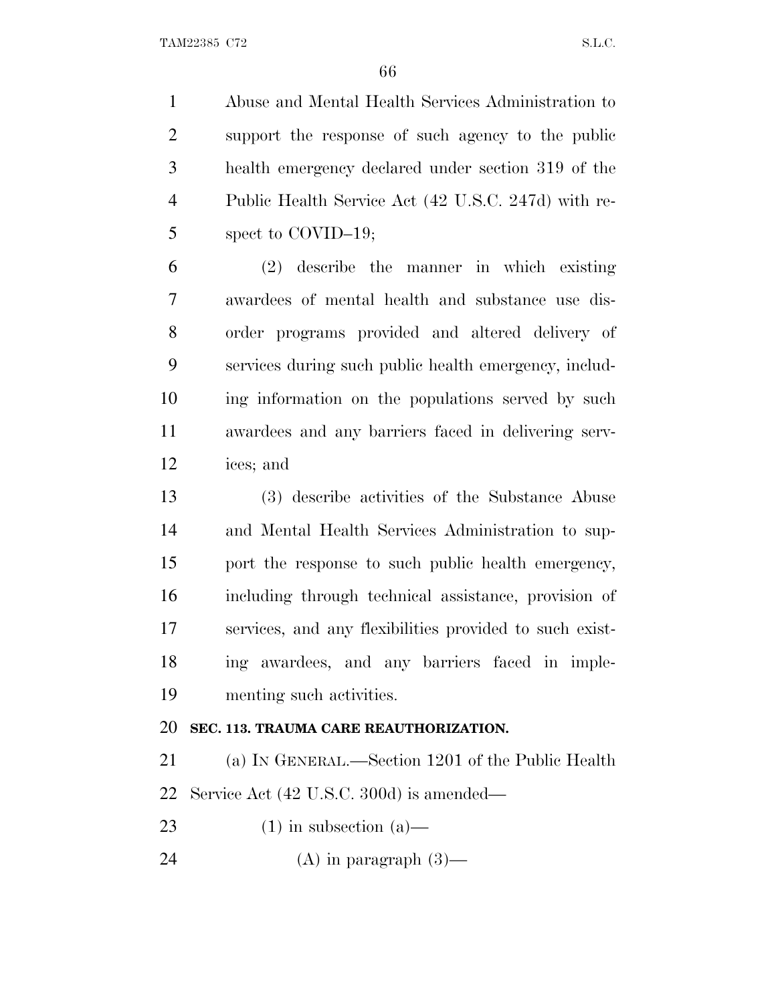Abuse and Mental Health Services Administration to support the response of such agency to the public health emergency declared under section 319 of the Public Health Service Act (42 U.S.C. 247d) with re-spect to COVID–19;

 (2) describe the manner in which existing awardees of mental health and substance use dis- order programs provided and altered delivery of services during such public health emergency, includ- ing information on the populations served by such awardees and any barriers faced in delivering serv-ices; and

 (3) describe activities of the Substance Abuse and Mental Health Services Administration to sup- port the response to such public health emergency, including through technical assistance, provision of services, and any flexibilities provided to such exist- ing awardees, and any barriers faced in imple-menting such activities.

## **SEC. 113. TRAUMA CARE REAUTHORIZATION.**

 (a) I<sup>N</sup> GENERAL.—Section 1201 of the Public Health Service Act (42 U.S.C. 300d) is amended—

23 (1) in subsection  $(a)$ —

24 (A) in paragraph  $(3)$ —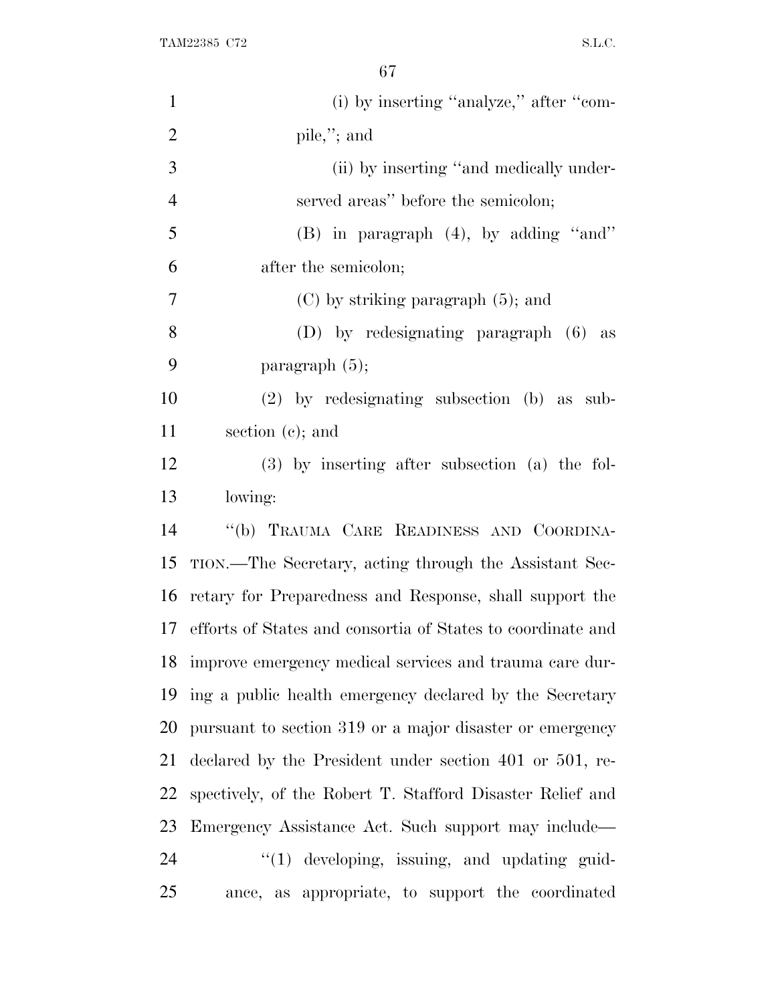TAM22385 C72 S.L.C.

| $\mathbf{1}$   | (i) by inserting "analyze," after "com-                     |
|----------------|-------------------------------------------------------------|
| $\overline{2}$ | pile,"; and                                                 |
| 3              | (ii) by inserting "and medically under-                     |
| $\overline{4}$ | served areas" before the semicolon;                         |
| 5              | $(B)$ in paragraph $(4)$ , by adding "and"                  |
| 6              | after the semicolon;                                        |
| 7              | $(C)$ by striking paragraph $(5)$ ; and                     |
| 8              | $(D)$ by redesignating paragraph $(6)$<br>as                |
| 9              | paragraph $(5)$ ;                                           |
| 10             | $(2)$ by redesignating subsection (b) as sub-               |
| 11             | section $(c)$ ; and                                         |
| 12             | $(3)$ by inserting after subsection $(a)$ the fol-          |
| 13             | lowing:                                                     |
| 14             | "(b) TRAUMA CARE READINESS AND COORDINA-                    |
| 15             | TION.—The Secretary, acting through the Assistant Sec-      |
| 16             | retary for Preparedness and Response, shall support the     |
| 17             | efforts of States and consortia of States to coordinate and |
| 18             | improve emergency medical services and trauma care dur-     |
| 19             | ing a public health emergency declared by the Secretary     |
| 20             | pursuant to section 319 or a major disaster or emergency    |
| 21             | declared by the President under section 401 or 501, re-     |
| 22             | spectively, of the Robert T. Stafford Disaster Relief and   |
| 23             | Emergency Assistance Act. Such support may include—         |
| 24             | $\lq(1)$ developing, issuing, and updating guid-            |
| 25             | ance, as appropriate, to support the coordinated            |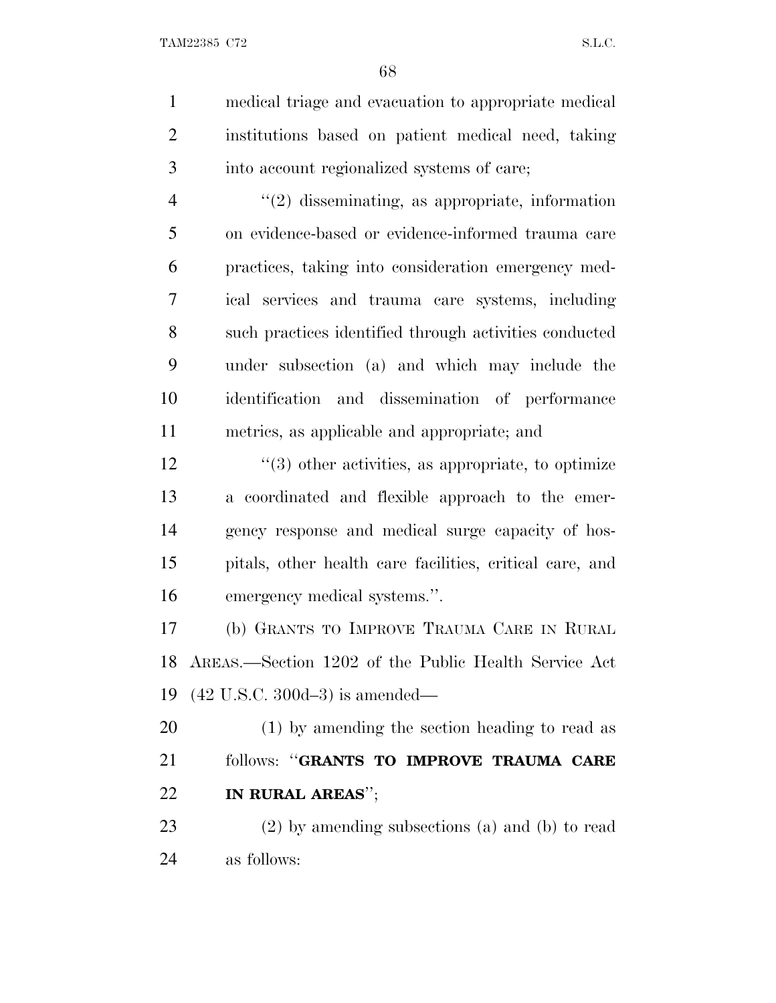medical triage and evacuation to appropriate medical institutions based on patient medical need, taking into account regionalized systems of care; ''(2) disseminating, as appropriate, information on evidence-based or evidence-informed trauma care practices, taking into consideration emergency med- ical services and trauma care systems, including such practices identified through activities conducted

 under subsection (a) and which may include the identification and dissemination of performance metrics, as applicable and appropriate; and

 $\frac{12}{2}$  ''(3) other activities, as appropriate, to optimize a coordinated and flexible approach to the emer- gency response and medical surge capacity of hos- pitals, other health care facilities, critical care, and emergency medical systems.''.

 (b) GRANTS TO IMPROVE TRAUMA CARE IN RURAL AREAS.—Section 1202 of the Public Health Service Act (42 U.S.C. 300d–3) is amended—

 (1) by amending the section heading to read as follows: ''**GRANTS TO IMPROVE TRAUMA CARE IN RURAL AREAS**'';

 (2) by amending subsections (a) and (b) to read as follows: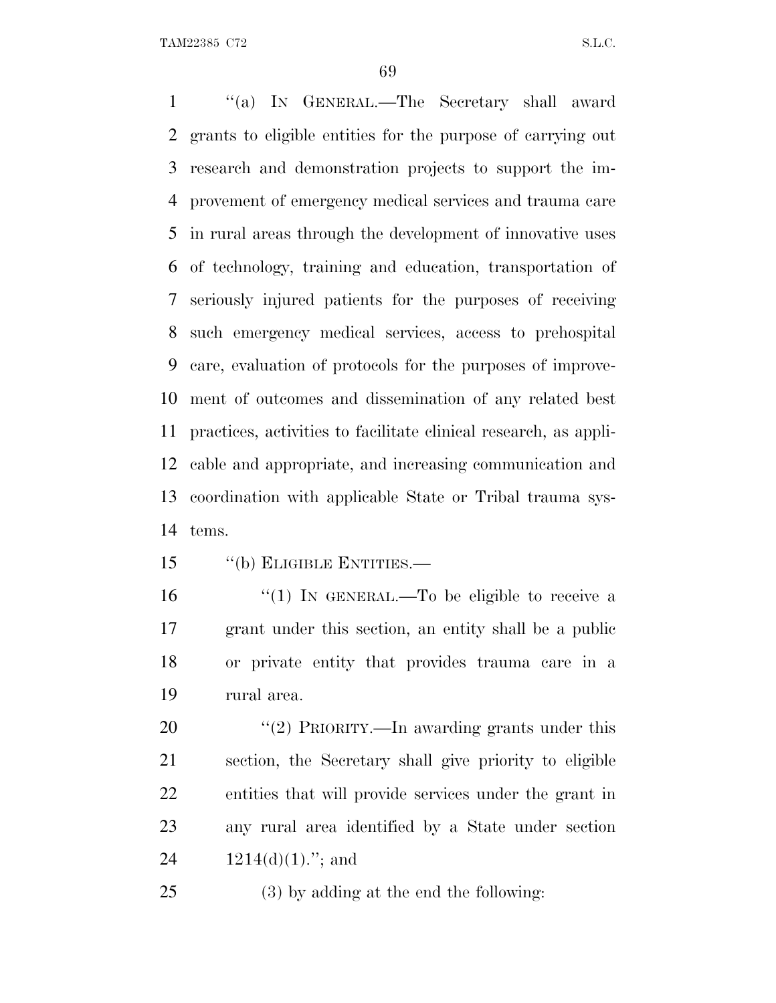TAM22385 C72 S.L.C.

 ''(a) I<sup>N</sup> GENERAL.—The Secretary shall award grants to eligible entities for the purpose of carrying out research and demonstration projects to support the im- provement of emergency medical services and trauma care in rural areas through the development of innovative uses of technology, training and education, transportation of seriously injured patients for the purposes of receiving such emergency medical services, access to prehospital care, evaluation of protocols for the purposes of improve- ment of outcomes and dissemination of any related best practices, activities to facilitate clinical research, as appli- cable and appropriate, and increasing communication and coordination with applicable State or Tribal trauma sys-tems.

- ''(b) ELIGIBLE ENTITIES.—
- 16  $\frac{1}{1}$  IN GENERAL.—To be eligible to receive a grant under this section, an entity shall be a public or private entity that provides trauma care in a rural area.

20 "(2) PRIORITY.—In awarding grants under this section, the Secretary shall give priority to eligible entities that will provide services under the grant in any rural area identified by a State under section  $1214(d)(1)$ ."; and

(3) by adding at the end the following: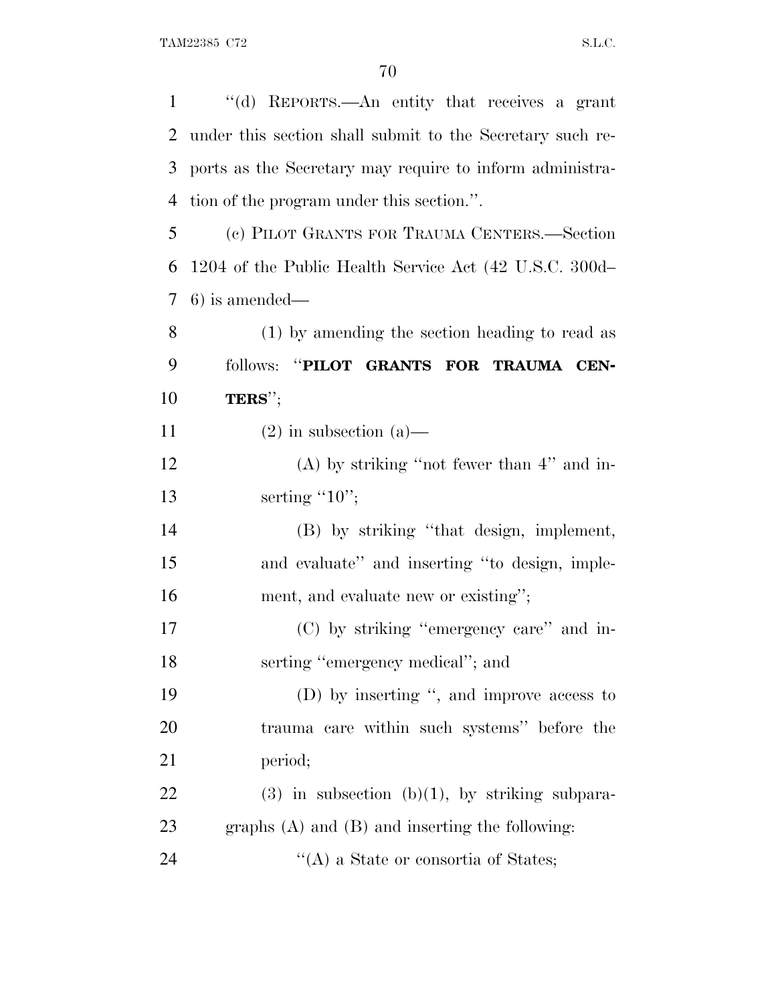| $\mathbf{1}$   | "(d) REPORTS.—An entity that receives a grant             |
|----------------|-----------------------------------------------------------|
| 2              | under this section shall submit to the Secretary such re- |
| 3              | ports as the Secretary may require to inform administra-  |
| $\overline{4}$ | tion of the program under this section.".                 |
| 5              | (c) PILOT GRANTS FOR TRAUMA CENTERS.—Section              |
| 6              | 1204 of the Public Health Service Act (42 U.S.C. 300d-    |
| 7              | $6)$ is amended—                                          |
| 8              | (1) by amending the section heading to read as            |
| 9              | "PILOT GRANTS FOR TRAUMA CEN-<br>follows:                 |
| 10             | TERS";                                                    |
| 11             | $(2)$ in subsection $(a)$ —                               |
| 12             | $(A)$ by striking "not fewer than 4" and in-              |
| 13             | serting $"10"$ ;                                          |
| 14             | (B) by striking "that design, implement,                  |
| 15             | and evaluate" and inserting "to design, imple-            |
| 16             | ment, and evaluate new or existing";                      |
| 17             | (C) by striking "emergency care" and in-                  |
| 18             | serting "emergency medical"; and                          |
| 19             | (D) by inserting ", and improve access to                 |
| 20             | trauma care within such systems" before the               |
| 21             | period;                                                   |
| 22             | $(3)$ in subsection $(b)(1)$ , by striking subpara-       |
| 23             | graphs $(A)$ and $(B)$ and inserting the following:       |
| 24             | $\lq\lq$ (A) a State or consortia of States;              |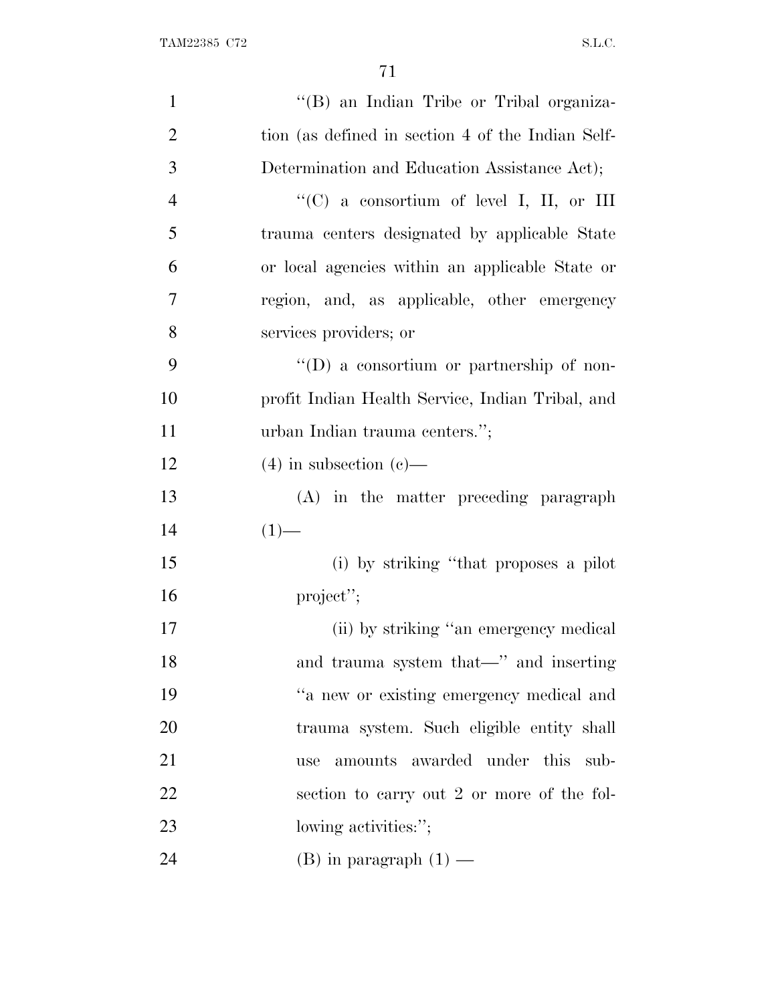| $\mathbf{1}$   | "(B) an Indian Tribe or Tribal organiza-          |
|----------------|---------------------------------------------------|
| $\overline{2}$ | tion (as defined in section 4 of the Indian Self- |
| $\mathfrak{Z}$ | Determination and Education Assistance Act);      |
| $\overline{4}$ | "(C) a consortium of level I, II, or III          |
| 5              | trauma centers designated by applicable State     |
| 6              | or local agencies within an applicable State or   |
| $\tau$         | region, and, as applicable, other emergency       |
| $8\,$          | services providers; or                            |
| 9              | $\lq\lq$ a consortium or partnership of non-      |
| 10             | profit Indian Health Service, Indian Tribal, and  |
| 11             | urban Indian trauma centers.";                    |
| 12             | $(4)$ in subsection $(e)$ —                       |
| 13             | (A) in the matter preceding paragraph             |
| 14             | $(1)$ —                                           |
| 15             | (i) by striking "that proposes a pilot            |
| 16             | project";                                         |
| 17             | (ii) by striking "an emergency medical            |
| 18             | and trauma system that—" and inserting            |
| 19             | "a new or existing emergency medical and          |
| 20             | trauma system. Such eligible entity shall         |
| 21             | amounts awarded under this sub-<br>use            |
| 22             | section to carry out 2 or more of the fol-        |
| 23             | lowing activities:";                              |
| 24             | (B) in paragraph $(1)$ —                          |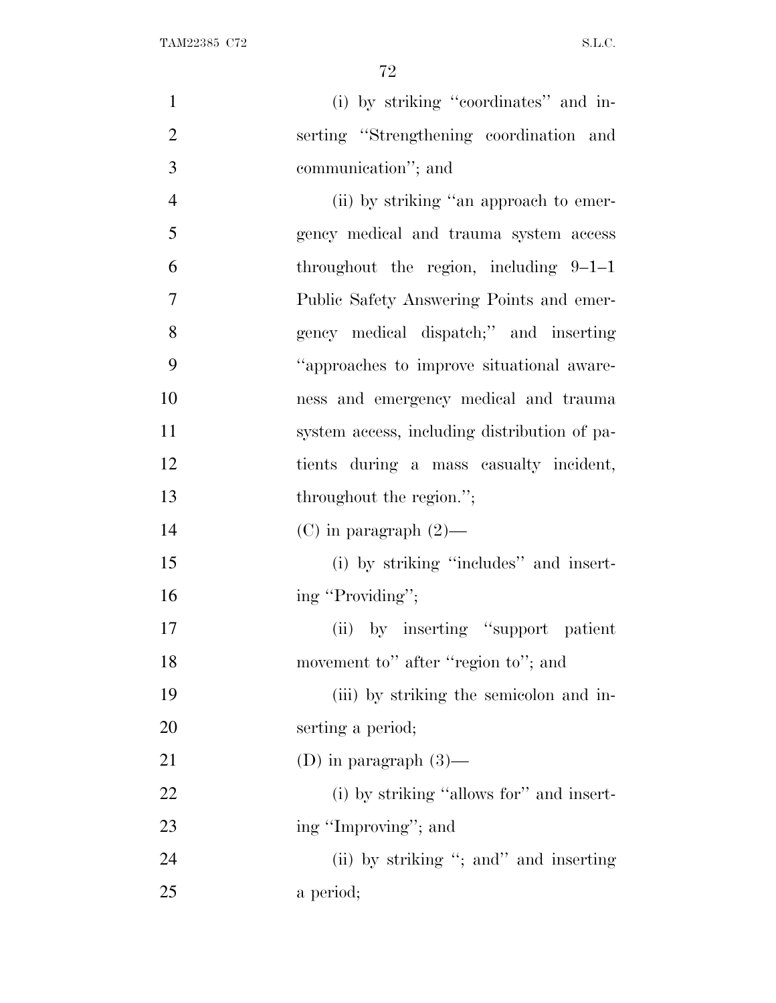| $\mathbf{1}$   | (i) by striking "coordinates" and in-        |
|----------------|----------------------------------------------|
| $\overline{2}$ | serting "Strengthening coordination and      |
| 3              | communication"; and                          |
| $\overline{4}$ | (ii) by striking "an approach to emer-       |
| 5              | gency medical and trauma system access       |
| 6              | throughout the region, including $9-1-1$     |
| $\overline{7}$ | Public Safety Answering Points and emer-     |
| 8              | gency medical dispatch;" and inserting       |
| 9              | "approaches to improve situational aware-    |
| 10             | ness and emergency medical and trauma        |
| 11             | system access, including distribution of pa- |
| 12             | tients during a mass casualty incident,      |
| 13             | throughout the region.";                     |
| 14             | (C) in paragraph $(2)$ —                     |
| 15             | (i) by striking "includes" and insert-       |
| 16             | ing "Providing";                             |
| 17             | (ii) by inserting "support patient           |
| 18             | movement to" after "region to"; and          |
| 19             | (iii) by striking the semicolon and in-      |
| 20             | serting a period;                            |
| 21             | (D) in paragraph $(3)$ —                     |
| 22             | (i) by striking "allows for" and insert-     |
| 23             | ing "Improving"; and                         |
| 24             | (ii) by striking "; and" and inserting       |
| 25             | a period;                                    |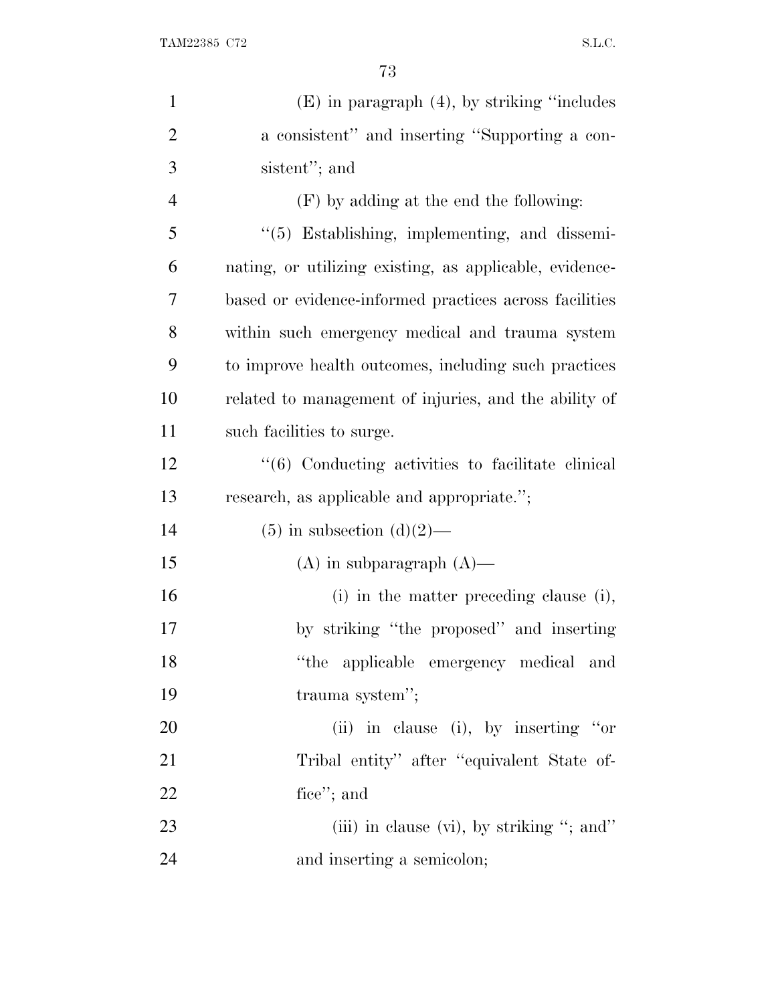| $\mathbf{1}$   | $(E)$ in paragraph $(4)$ , by striking "includes"                 |
|----------------|-------------------------------------------------------------------|
| $\overline{2}$ | a consistent" and inserting "Supporting a con-                    |
| 3              | sistent"; and                                                     |
| $\overline{4}$ | (F) by adding at the end the following:                           |
| 5              | "(5) Establishing, implementing, and dissemi-                     |
| 6              | nating, or utilizing existing, as applicable, evidence-           |
| 7              | based or evidence-informed practices across facilities            |
| 8              | within such emergency medical and trauma system                   |
| 9              | to improve health outcomes, including such practices              |
| 10             | related to management of injuries, and the ability of             |
| 11             | such facilities to surge.                                         |
| 12             | $\cdot\cdot\cdot(6)$ Conducting activities to facilitate clinical |
| 13             | research, as applicable and appropriate.";                        |
| 14             | $(5)$ in subsection $(d)(2)$ —                                    |
| 15             | $(A)$ in subparagraph $(A)$ —                                     |
| 16             | (i) in the matter preceding clause (i),                           |
| 17             | by striking "the proposed" and inserting                          |
| 18             | "the applicable emergency medical and                             |
| 19             | trauma system";                                                   |
| 20             | (ii) in clause (i), by inserting "or                              |
| 21             | Tribal entity" after "equivalent State of-                        |
| 22             | fice"; and                                                        |
| 23             | (iii) in clause (vi), by striking "; and"                         |
| 24             | and inserting a semicolon;                                        |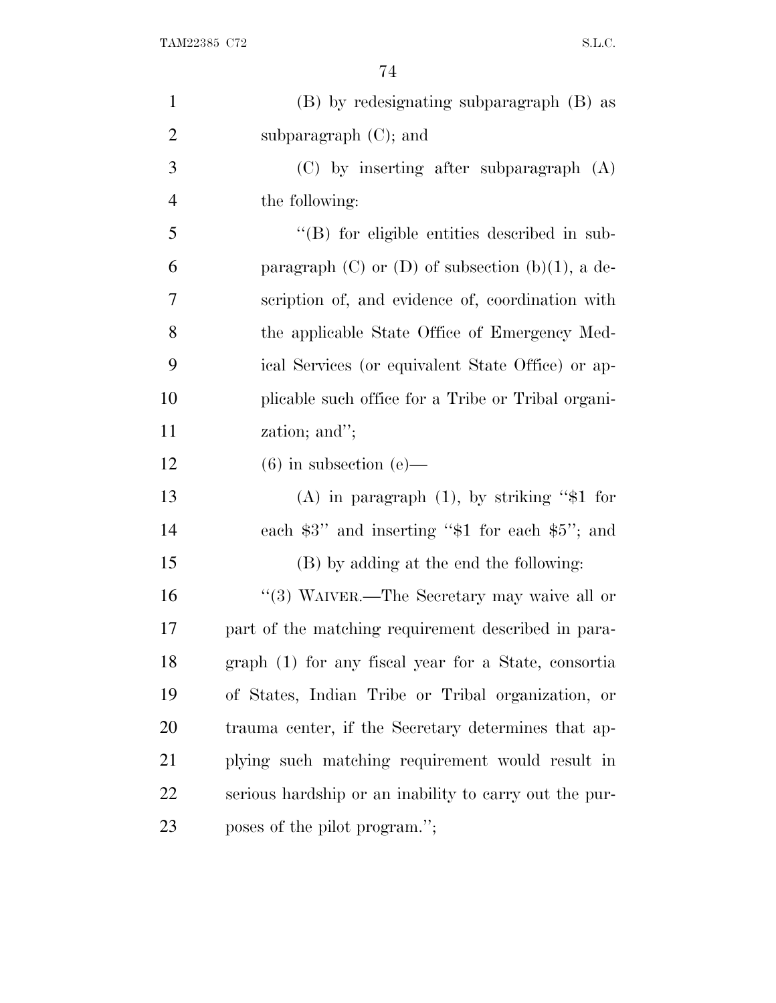| $\mathbf{1}$   | (B) by redesignating subparagraph (B) as                |
|----------------|---------------------------------------------------------|
| $\overline{2}$ | subparagraph $(C)$ ; and                                |
| 3              | (C) by inserting after subparagraph (A)                 |
| $\overline{4}$ | the following:                                          |
| 5              | $\lq\lq$ for eligible entities described in sub-        |
| 6              | paragraph $(C)$ or $(D)$ of subsection $(b)(1)$ , a de- |
| 7              | scription of, and evidence of, coordination with        |
| 8              | the applicable State Office of Emergency Med-           |
| 9              | ical Services (or equivalent State Office) or ap-       |
| 10             | plicable such office for a Tribe or Tribal organi-      |
| 11             | zation; and";                                           |
| 12             | $(6)$ in subsection $(e)$ —                             |
| 13             | (A) in paragraph $(1)$ , by striking "\$1 for           |
| 14             | each $$3"$ and inserting " $$1$ for each $$5"$ ; and    |
| 15             | (B) by adding at the end the following:                 |
| 16             | "(3) WAIVER.—The Secretary may waive all or             |
| 17             | part of the matching requirement described in para-     |
| 18             | graph (1) for any fiscal year for a State, consortia    |
| 19             | of States, Indian Tribe or Tribal organization, or      |
| 20             | trauma center, if the Secretary determines that ap-     |
| 21             | plying such matching requirement would result in        |
| 22             | serious hardship or an inability to carry out the pur-  |
| 23             | poses of the pilot program.";                           |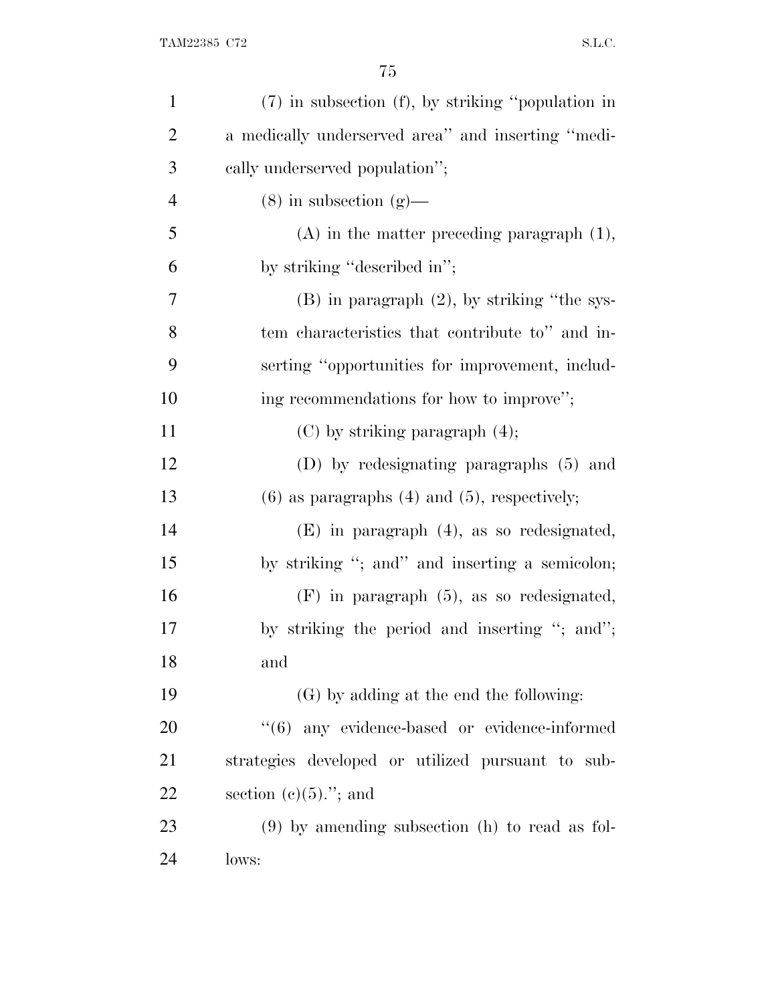| $\mathbf{1}$   | (7) in subsection (f), by striking "population in   |
|----------------|-----------------------------------------------------|
| $\overline{2}$ | a medically underserved area" and inserting "medi-  |
| 3              | cally underserved population";                      |
| $\overline{4}$ | $(8)$ in subsection $(g)$ —                         |
| 5              | $(A)$ in the matter preceding paragraph $(1)$ ,     |
| 6              | by striking "described in";                         |
| 7              | $(B)$ in paragraph $(2)$ , by striking "the sys-    |
| 8              | tem characteristics that contribute to" and in-     |
| 9              | serting "opportunities for improvement, includ-     |
| 10             | ing recommendations for how to improve";            |
| 11             | $(C)$ by striking paragraph $(4)$ ;                 |
| 12             | (D) by redesignating paragraphs (5) and             |
| 13             | $(6)$ as paragraphs $(4)$ and $(5)$ , respectively; |
| 14             | $(E)$ in paragraph $(4)$ , as so redesignated,      |
| 15             | by striking "; and" and inserting a semicolon;      |
| 16             | $(F)$ in paragraph $(5)$ , as so redesignated,      |
| 17             | by striking the period and inserting "; and";       |
| 18             | and                                                 |
| 19             | (G) by adding at the end the following:             |
| 20             | $(6)$ any evidence-based or evidence-informed       |
| 21             | strategies developed or utilized pursuant to sub-   |
| 22             | section $(c)(5)$ ."; and                            |
| 23             | $(9)$ by amending subsection (h) to read as fol-    |
| 24             | lows:                                               |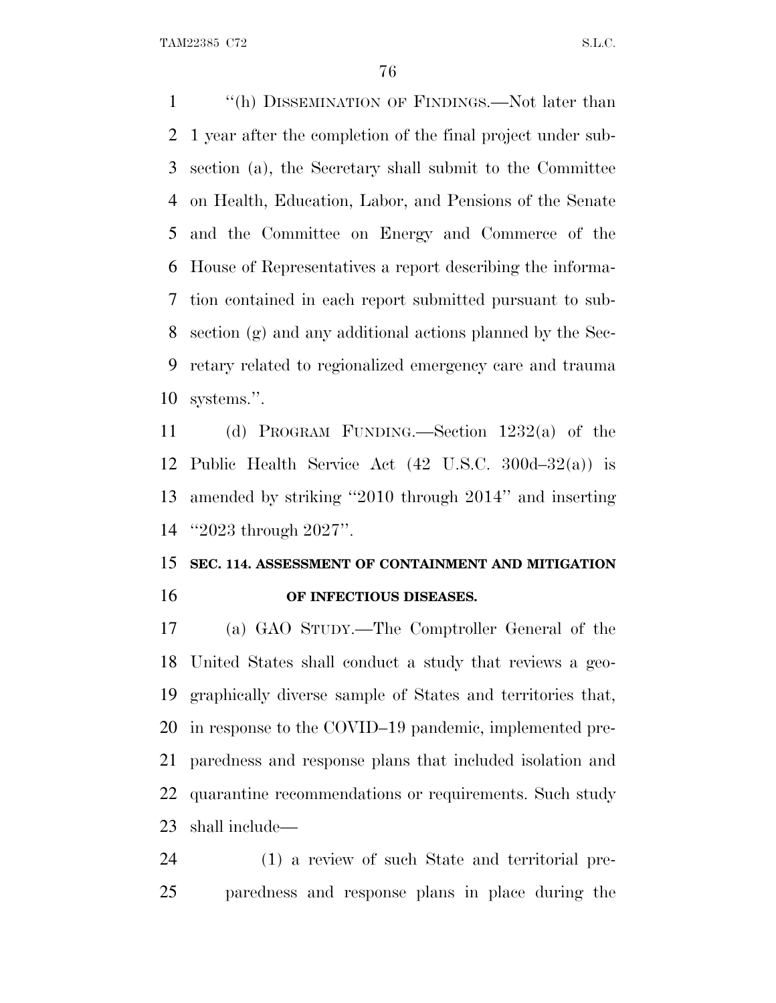''(h) DISSEMINATION OF FINDINGS.—Not later than 1 year after the completion of the final project under sub- section (a), the Secretary shall submit to the Committee on Health, Education, Labor, and Pensions of the Senate and the Committee on Energy and Commerce of the House of Representatives a report describing the informa- tion contained in each report submitted pursuant to sub- section (g) and any additional actions planned by the Sec- retary related to regionalized emergency care and trauma systems.''.

 (d) PROGRAM FUNDING.—Section 1232(a) of the Public Health Service Act (42 U.S.C. 300d–32(a)) is amended by striking ''2010 through 2014'' and inserting ''2023 through 2027''.

## **SEC. 114. ASSESSMENT OF CONTAINMENT AND MITIGATION OF INFECTIOUS DISEASES.**

 (a) GAO STUDY.—The Comptroller General of the United States shall conduct a study that reviews a geo- graphically diverse sample of States and territories that, in response to the COVID–19 pandemic, implemented pre- paredness and response plans that included isolation and quarantine recommendations or requirements. Such study shall include—

 (1) a review of such State and territorial pre-paredness and response plans in place during the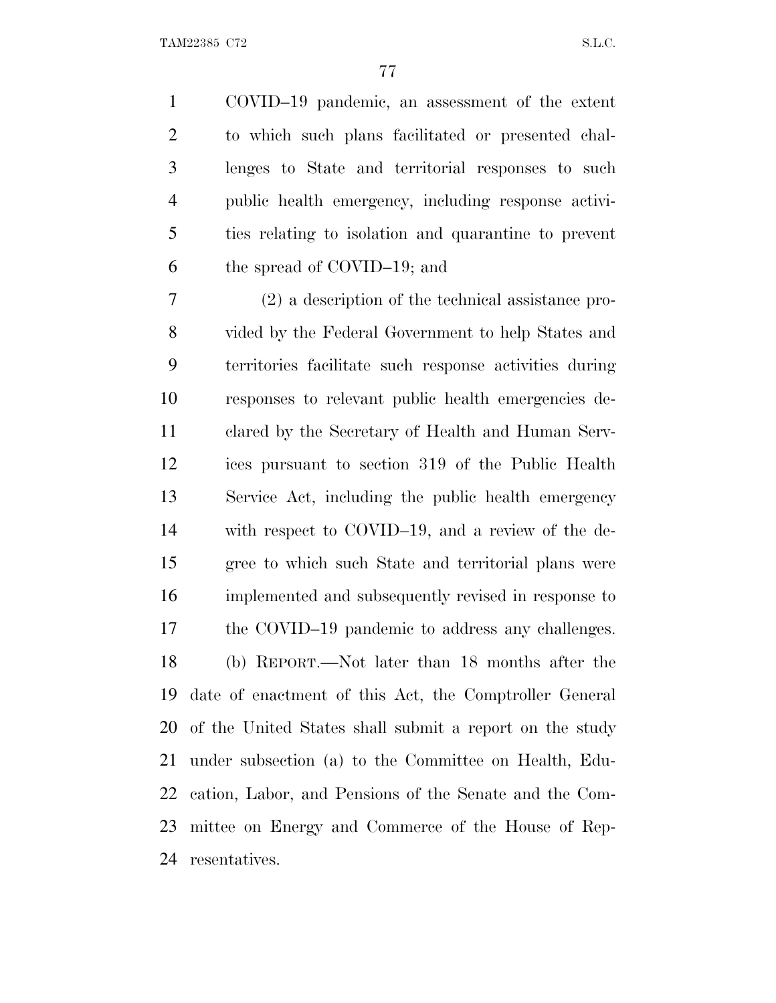COVID–19 pandemic, an assessment of the extent to which such plans facilitated or presented chal- lenges to State and territorial responses to such public health emergency, including response activi- ties relating to isolation and quarantine to prevent the spread of COVID–19; and

 (2) a description of the technical assistance pro- vided by the Federal Government to help States and territories facilitate such response activities during responses to relevant public health emergencies de- clared by the Secretary of Health and Human Serv- ices pursuant to section 319 of the Public Health Service Act, including the public health emergency with respect to COVID–19, and a review of the de- gree to which such State and territorial plans were implemented and subsequently revised in response to 17 the COVID–19 pandemic to address any challenges. (b) REPORT.—Not later than 18 months after the date of enactment of this Act, the Comptroller General of the United States shall submit a report on the study under subsection (a) to the Committee on Health, Edu- cation, Labor, and Pensions of the Senate and the Com- mittee on Energy and Commerce of the House of Rep-resentatives.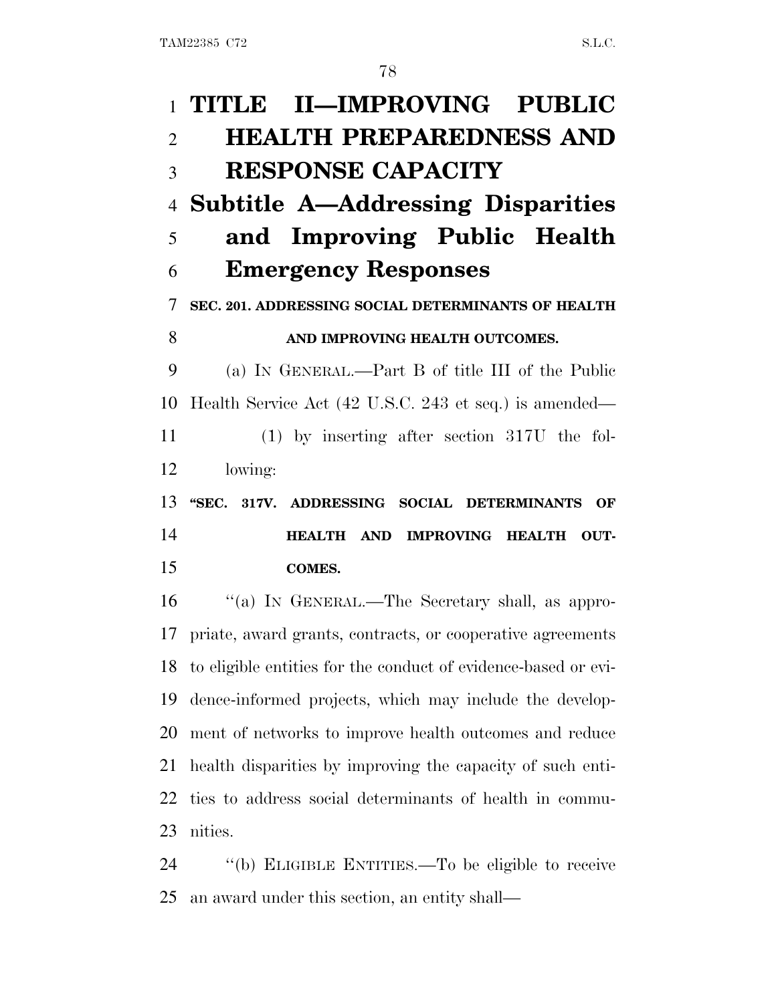| $\mathbf{1}$   | TITLE II—IMPROVING PUBLIC                                      |
|----------------|----------------------------------------------------------------|
| $\overline{2}$ | <b>HEALTH PREPAREDNESS AND</b>                                 |
| 3              | <b>RESPONSE CAPACITY</b>                                       |
| $\overline{4}$ | <b>Subtitle A—Addressing Disparities</b>                       |
| 5              | and Improving Public Health                                    |
| 6              | <b>Emergency Responses</b>                                     |
| 7              | SEC. 201. ADDRESSING SOCIAL DETERMINANTS OF HEALTH             |
| 8              | AND IMPROVING HEALTH OUTCOMES.                                 |
| 9              | (a) IN GENERAL.—Part B of title III of the Public              |
| 10             | Health Service Act (42 U.S.C. 243 et seq.) is amended—         |
| 11             | $(1)$ by inserting after section 317U the fol-                 |
| 12             | lowing:                                                        |
|                |                                                                |
| 13             | "SEC. 317V. ADDRESSING SOCIAL DETERMINANTS<br>OF               |
|                | HEALTH AND IMPROVING HEALTH<br>OUT-                            |
|                | <b>COMES.</b>                                                  |
| 14<br>15<br>16 | "(a) IN GENERAL.—The Secretary shall, as appro-                |
|                | 17 priate, award grants, contracts, or cooperative agreements  |
| 18             | to eligible entities for the conduct of evidence-based or evi- |
|                | dence-informed projects, which may include the develop-        |
| 19<br>20       | ment of networks to improve health outcomes and reduce         |
| 21             | health disparities by improving the capacity of such enti-     |
| 22             | ties to address social determinants of health in commu-        |
| 23             | nities.                                                        |

an award under this section, an entity shall—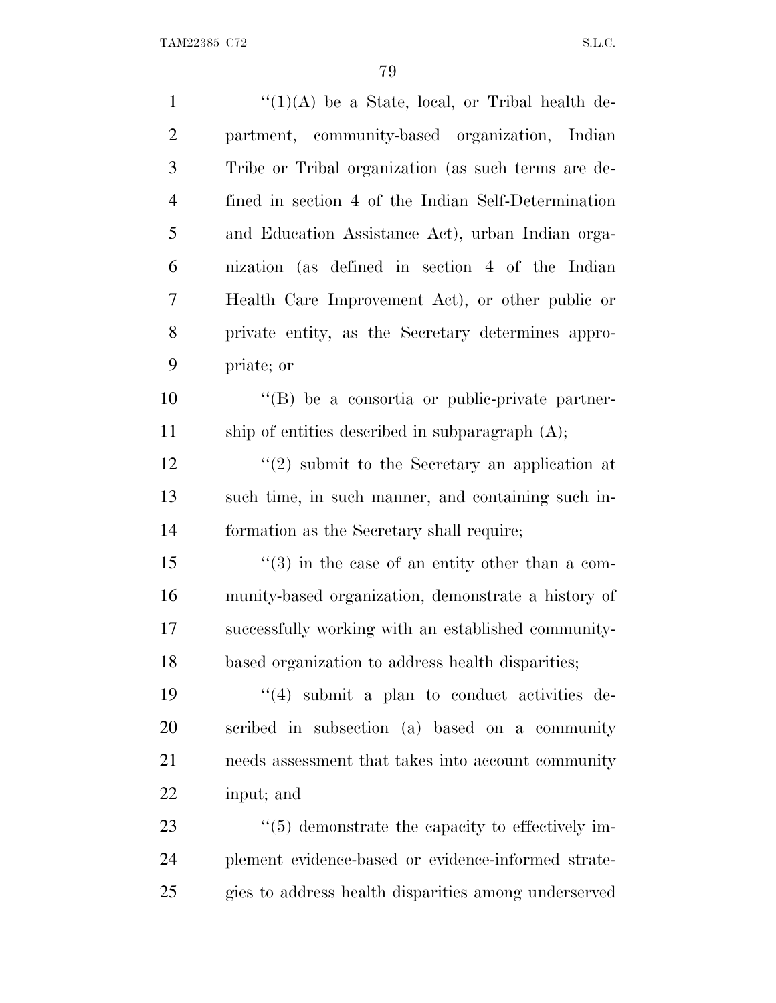| $\mathbf{1}$   | " $(1)(A)$ be a State, local, or Tribal health de-               |
|----------------|------------------------------------------------------------------|
| $\overline{2}$ | partment, community-based organization, Indian                   |
| 3              | Tribe or Tribal organization (as such terms are de-              |
| $\overline{4}$ | fined in section 4 of the Indian Self-Determination              |
| 5              | and Education Assistance Act), urban Indian orga-                |
| 6              | nization (as defined in section 4 of the Indian                  |
| 7              | Health Care Improvement Act), or other public or                 |
| 8              | private entity, as the Secretary determines appro-               |
| 9              | priate; or                                                       |
| 10             | "(B) be a consortia or public-private partner-                   |
| 11             | ship of entities described in subparagraph $(A)$ ;               |
| 12             | $\cdot\cdot\cdot(2)$ submit to the Secretary an application at   |
| 13             | such time, in such manner, and containing such in-               |
| 14             | formation as the Secretary shall require;                        |
| 15             | $\cdot\cdot(3)$ in the case of an entity other than a com-       |
| 16             | munity-based organization, demonstrate a history of              |
| 17             | successfully working with an established community-              |
| 18             | based organization to address health disparities;                |
| 19             | $\cdot$ (4) submit a plan to conduct activities de-              |
| 20             | scribed in subsection (a) based on a community                   |
| 21             | needs assessment that takes into account community               |
| 22             | input; and                                                       |
| 23             | $\cdot\cdot\cdot(5)$ demonstrate the capacity to effectively im- |
| 24             | plement evidence-based or evidence-informed strate-              |
| 25             | gies to address health disparities among underserved             |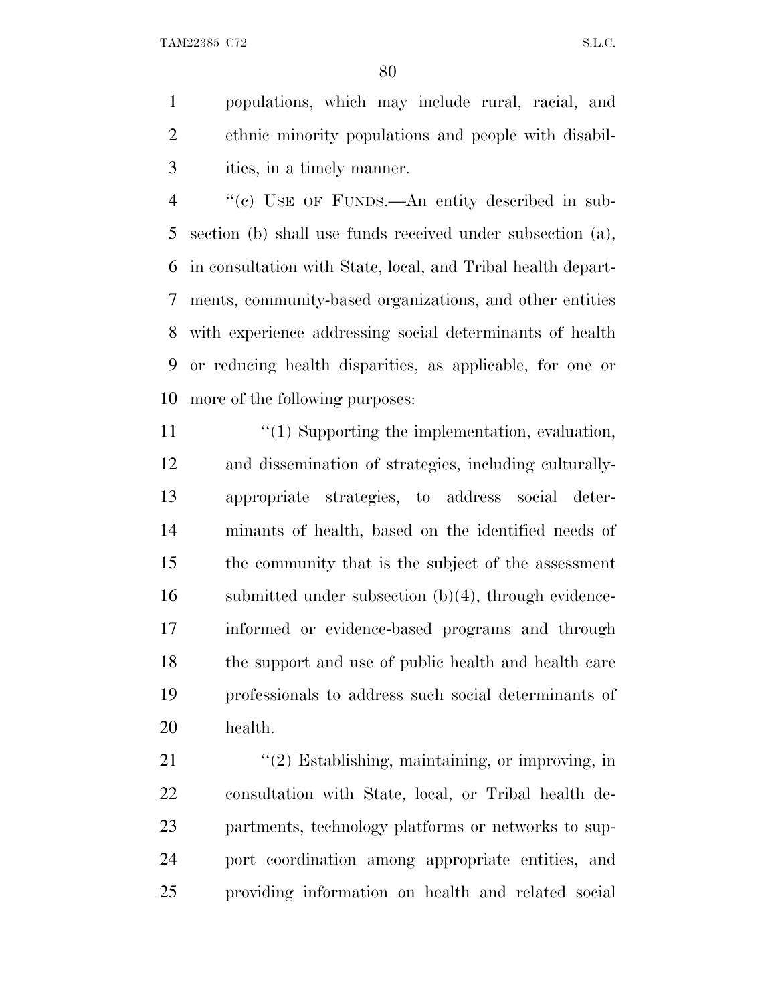populations, which may include rural, racial, and ethnic minority populations and people with disabil-ities, in a timely manner.

 ''(c) USE OF FUNDS.—An entity described in sub- section (b) shall use funds received under subsection (a), in consultation with State, local, and Tribal health depart- ments, community-based organizations, and other entities with experience addressing social determinants of health or reducing health disparities, as applicable, for one or more of the following purposes:

11 ''(1) Supporting the implementation, evaluation, and dissemination of strategies, including culturally- appropriate strategies, to address social deter- minants of health, based on the identified needs of the community that is the subject of the assessment submitted under subsection (b)(4), through evidence- informed or evidence-based programs and through the support and use of public health and health care professionals to address such social determinants of health.

21 ''(2) Establishing, maintaining, or improving, in consultation with State, local, or Tribal health de- partments, technology platforms or networks to sup- port coordination among appropriate entities, and providing information on health and related social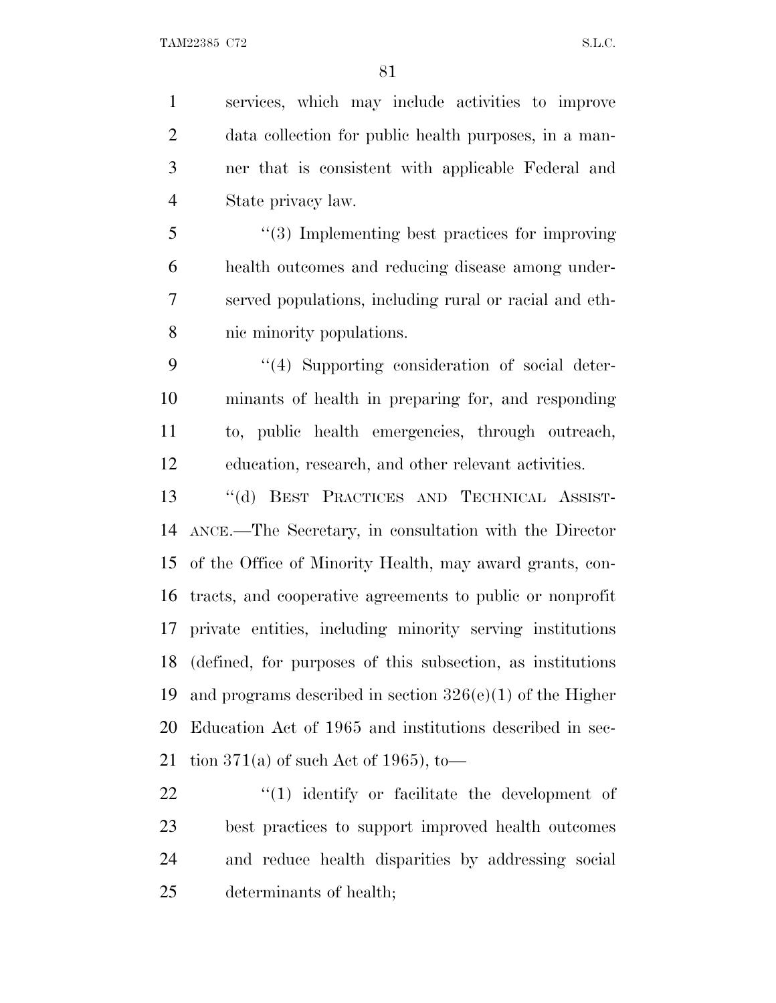services, which may include activities to improve data collection for public health purposes, in a man- ner that is consistent with applicable Federal and State privacy law.

 ''(3) Implementing best practices for improving health outcomes and reducing disease among under- served populations, including rural or racial and eth-nic minority populations.

 ''(4) Supporting consideration of social deter- minants of health in preparing for, and responding to, public health emergencies, through outreach, education, research, and other relevant activities.

 ''(d) BEST PRACTICES AND TECHNICAL ASSIST- ANCE.—The Secretary, in consultation with the Director of the Office of Minority Health, may award grants, con- tracts, and cooperative agreements to public or nonprofit private entities, including minority serving institutions (defined, for purposes of this subsection, as institutions 19 and programs described in section  $326(e)(1)$  of the Higher Education Act of 1965 and institutions described in sec-21 tion 371(a) of such Act of 1965), to—

 $\frac{1}{2}$  (1) identify or facilitate the development of best practices to support improved health outcomes and reduce health disparities by addressing social determinants of health;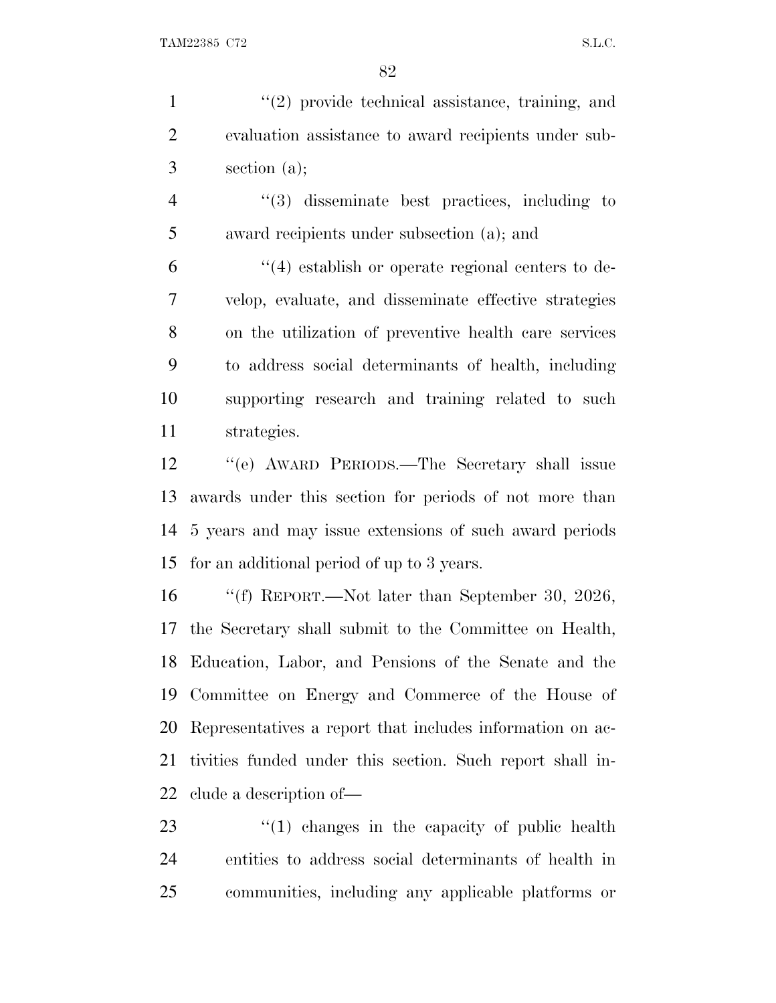1 ''(2) provide technical assistance, training, and evaluation assistance to award recipients under sub-section (a);

 ''(3) disseminate best practices, including to award recipients under subsection (a); and

 ''(4) establish or operate regional centers to de- velop, evaluate, and disseminate effective strategies on the utilization of preventive health care services to address social determinants of health, including supporting research and training related to such strategies.

 ''(e) AWARD PERIODS.—The Secretary shall issue awards under this section for periods of not more than 5 years and may issue extensions of such award periods for an additional period of up to 3 years.

 ''(f) REPORT.—Not later than September 30, 2026, the Secretary shall submit to the Committee on Health, Education, Labor, and Pensions of the Senate and the Committee on Energy and Commerce of the House of Representatives a report that includes information on ac- tivities funded under this section. Such report shall in-clude a description of—

23 ''(1) changes in the capacity of public health entities to address social determinants of health in communities, including any applicable platforms or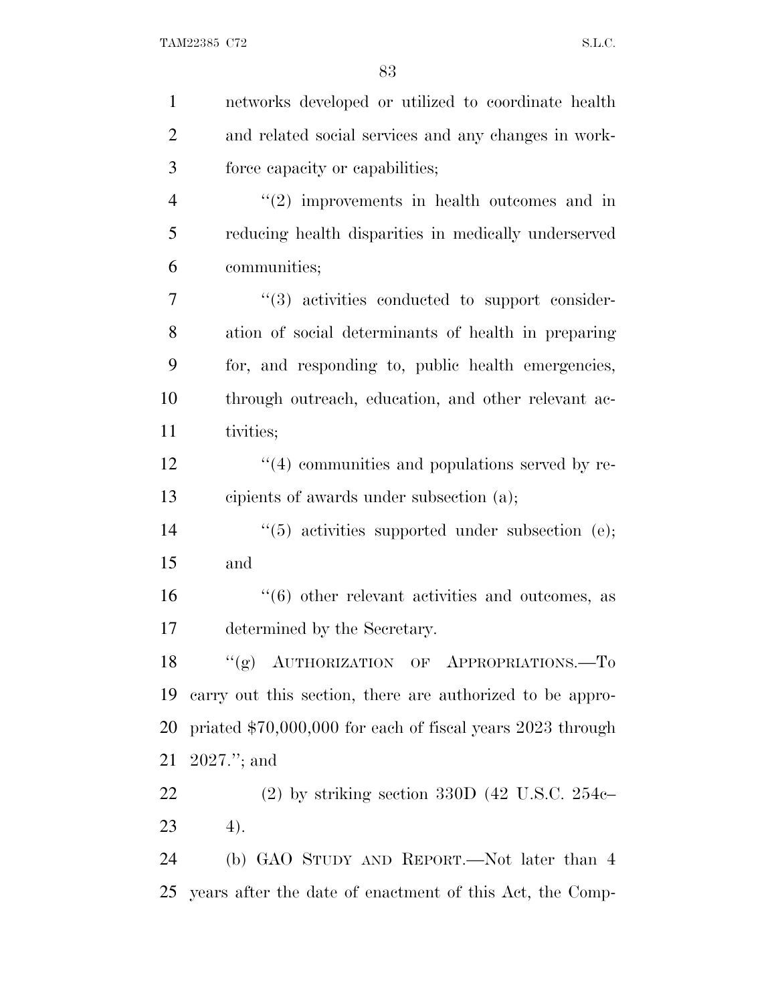| $\mathbf{1}$   | networks developed or utilized to coordinate health             |
|----------------|-----------------------------------------------------------------|
| $\overline{2}$ | and related social services and any changes in work-            |
| 3              | force capacity or capabilities;                                 |
| 4              | $\lq(2)$ improvements in health outcomes and in                 |
| 5              | reducing health disparities in medically underserved            |
| 6              | communities;                                                    |
| 7              | $\cdot$ (3) activities conducted to support consider-           |
| 8              | ation of social determinants of health in preparing             |
| 9              | for, and responding to, public health emergencies,              |
| 10             | through outreach, education, and other relevant ac-             |
| 11             | tivities;                                                       |
| 12             | $(4)$ communities and populations served by re-                 |
| 13             | cipients of awards under subsection (a);                        |
| 14             | $(5)$ activities supported under subsection (e);                |
| 15             | and                                                             |
| 16             | $\cdot\cdot\cdot(6)$ other relevant activities and outcomes, as |
| 17             | determined by the Secretary.                                    |
| 18             | "(g) AUTHORIZATION OF APPROPRIATIONS.-To                        |
| 19             | carry out this section, there are authorized to be appro-       |
| 20             | priated \$70,000,000 for each of fiscal years 2023 through      |
| 21             | $2027."$ ; and                                                  |
| 22             | $(2)$ by striking section 330D $(42 \text{ U.S.C. } 254c-$      |
| 23             | 4).                                                             |
| 24             | (b) GAO STUDY AND REPORT.—Not later than 4                      |
| 25             | years after the date of enactment of this Act, the Comp-        |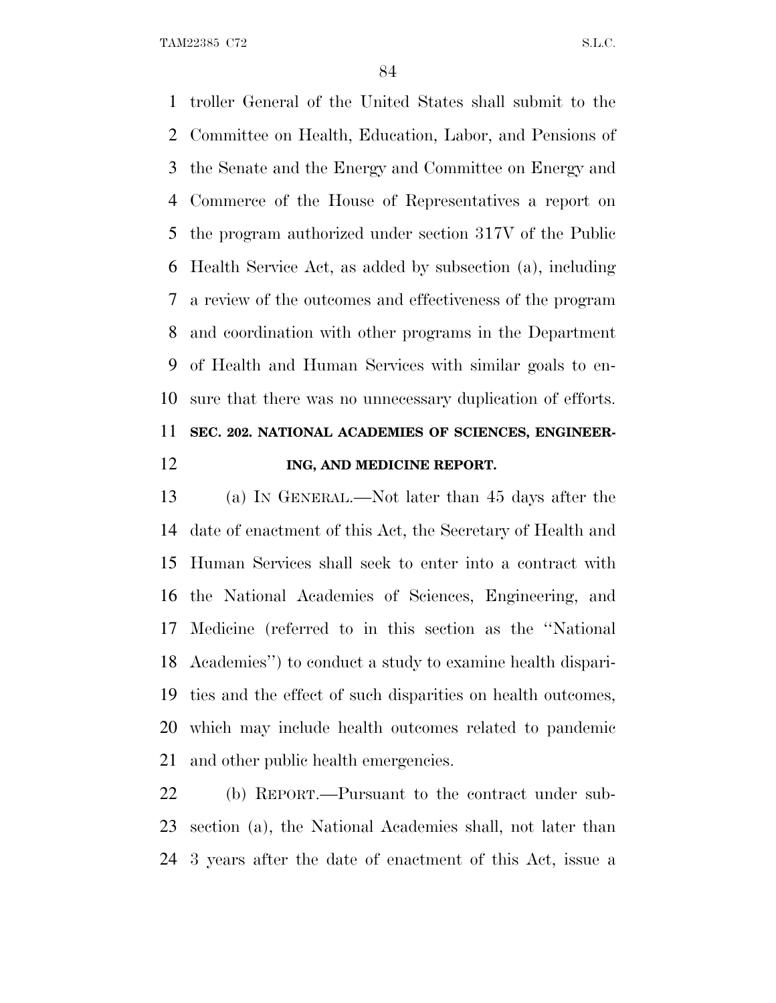troller General of the United States shall submit to the Committee on Health, Education, Labor, and Pensions of the Senate and the Energy and Committee on Energy and Commerce of the House of Representatives a report on the program authorized under section 317V of the Public Health Service Act, as added by subsection (a), including a review of the outcomes and effectiveness of the program and coordination with other programs in the Department of Health and Human Services with similar goals to en- sure that there was no unnecessary duplication of efforts. **SEC. 202. NATIONAL ACADEMIES OF SCIENCES, ENGINEER-**

## **ING, AND MEDICINE REPORT.**

 (a) I<sup>N</sup> GENERAL.—Not later than 45 days after the date of enactment of this Act, the Secretary of Health and Human Services shall seek to enter into a contract with the National Academies of Sciences, Engineering, and Medicine (referred to in this section as the ''National Academies'') to conduct a study to examine health dispari- ties and the effect of such disparities on health outcomes, which may include health outcomes related to pandemic and other public health emergencies.

 (b) REPORT.—Pursuant to the contract under sub- section (a), the National Academies shall, not later than 3 years after the date of enactment of this Act, issue a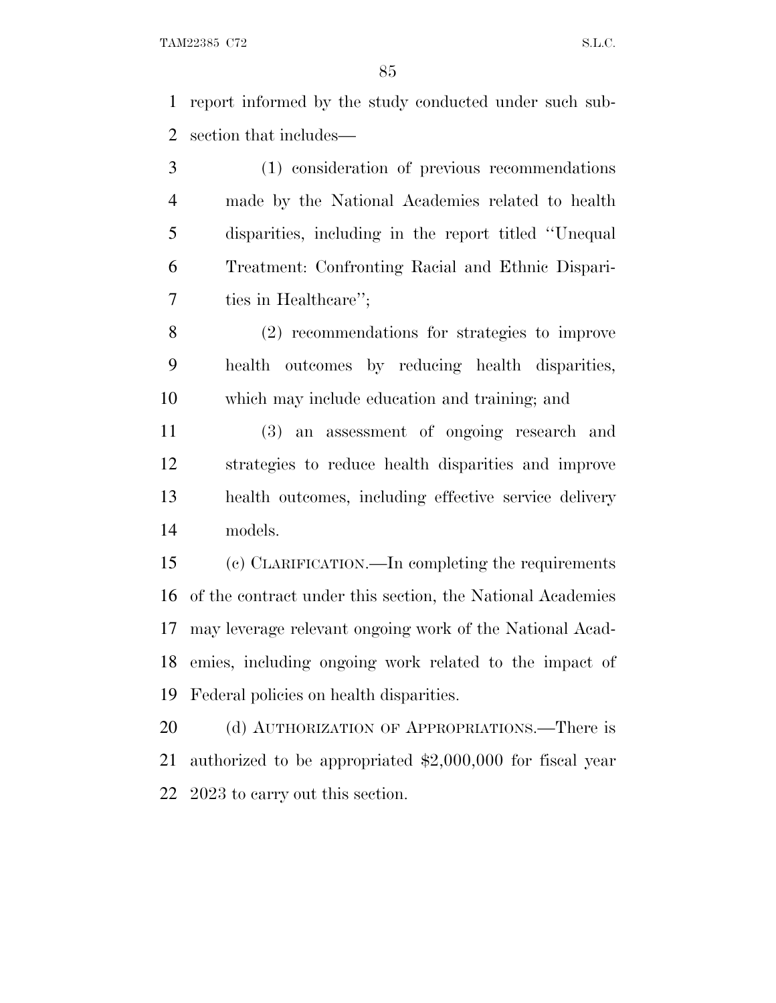report informed by the study conducted under such sub-section that includes—

 (1) consideration of previous recommendations made by the National Academies related to health disparities, including in the report titled ''Unequal Treatment: Confronting Racial and Ethnic Dispari-ties in Healthcare'';

 (2) recommendations for strategies to improve health outcomes by reducing health disparities, which may include education and training; and

 (3) an assessment of ongoing research and strategies to reduce health disparities and improve health outcomes, including effective service delivery models.

 (c) CLARIFICATION.—In completing the requirements of the contract under this section, the National Academies may leverage relevant ongoing work of the National Acad- emies, including ongoing work related to the impact of Federal policies on health disparities.

20 (d) AUTHORIZATION OF APPROPRIATIONS.—There is authorized to be appropriated \$2,000,000 for fiscal year 2023 to carry out this section.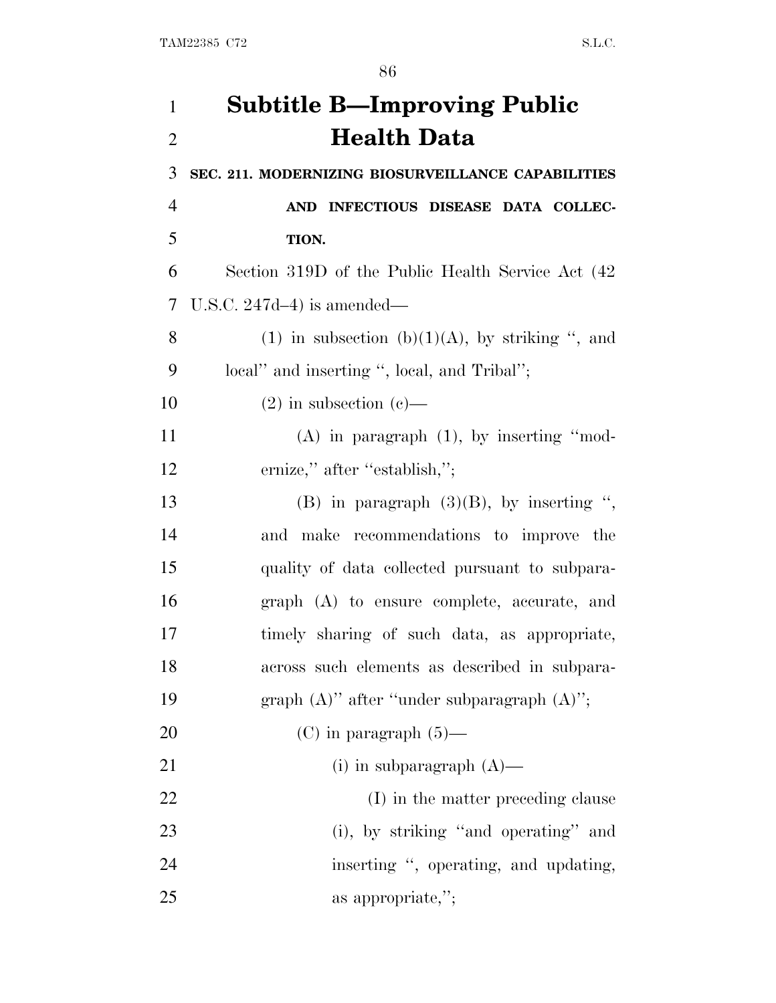| $\mathbf{1}$   | <b>Subtitle B-Improving Public</b>                 |
|----------------|----------------------------------------------------|
| $\overline{2}$ | <b>Health Data</b>                                 |
| 3              | SEC. 211. MODERNIZING BIOSURVEILLANCE CAPABILITIES |
| 4              | AND INFECTIOUS DISEASE DATA COLLEC-                |
| 5              | TION.                                              |
| 6              | Section 319D of the Public Health Service Act (42) |
| 7              | U.S.C. $247d-4$ ) is amended—                      |
| 8              | (1) in subsection (b)(1)(A), by striking ", and    |
| 9              | local" and inserting ", local, and Tribal";        |
| 10             | $(2)$ in subsection $(e)$ —                        |
| 11             | $(A)$ in paragraph $(1)$ , by inserting "mod-      |
| 12             | ernize," after "establish,";                       |
| 13             | (B) in paragraph $(3)(B)$ , by inserting ",        |
| 14             | and make recommendations to improve the            |
| 15             | quality of data collected pursuant to subpara-     |
| 16             | graph (A) to ensure complete, accurate, and        |
| 17             | timely sharing of such data, as appropriate,       |
| 18             | across such elements as described in subpara-      |
| 19             | graph $(A)$ " after "under subparagraph $(A)$ ";   |
| 20             | $(C)$ in paragraph $(5)$ —                         |
| 21             | (i) in subparagraph $(A)$ —                        |
| 22             | (I) in the matter preceding clause                 |
| 23             | (i), by striking "and operating" and               |
| 24             | inserting ", operating, and updating,              |
| 25             | as appropriate,";                                  |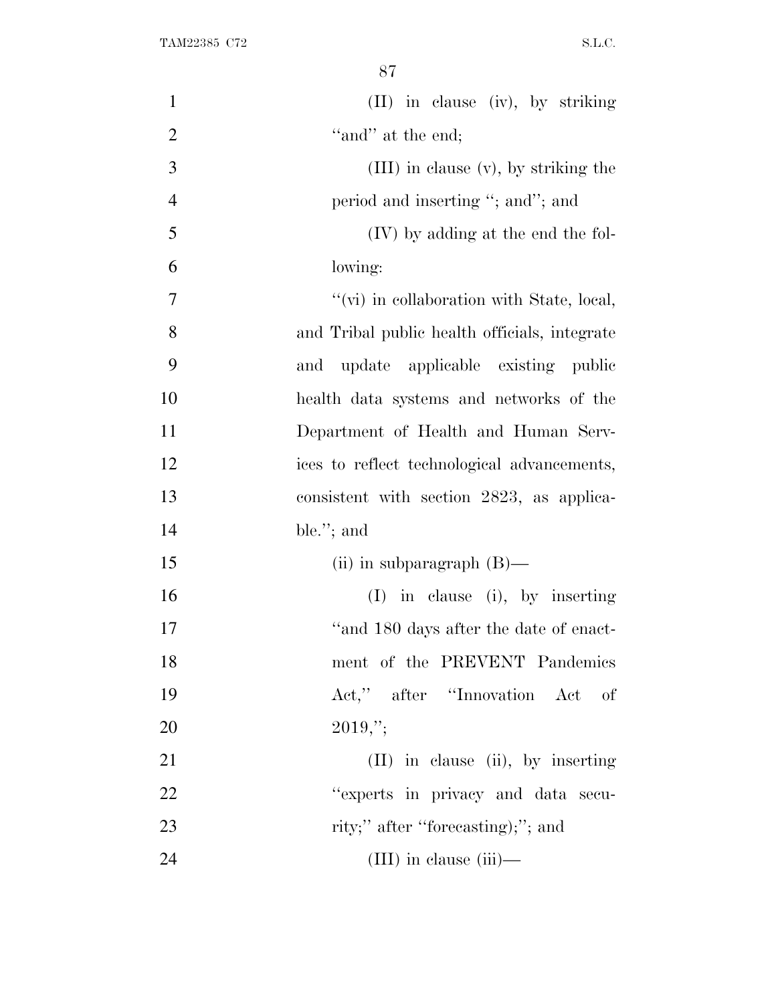| $\mathbf{1}$   | (II) in clause (iv), by striking              |
|----------------|-----------------------------------------------|
| $\overline{2}$ | "and" at the end;                             |
| 3              | (III) in clause (v), by striking the          |
| $\overline{4}$ | period and inserting "; and"; and             |
| 5              | (IV) by adding at the end the fol-            |
| 6              | lowing:                                       |
| 7              | "(vi) in collaboration with State, local,     |
| 8              | and Tribal public health officials, integrate |
| 9              | update applicable existing public<br>and      |
| 10             | health data systems and networks of the       |
| 11             | Department of Health and Human Serv-          |
| 12             | ices to reflect technological advancements,   |
| 13             | consistent with section 2823, as applica-     |
| 14             | ble."; and                                    |
| 15             | (ii) in subparagraph $(B)$ —                  |
| 16             | $(I)$ in clause (i), by inserting             |
| 17             | "and 180 days after the date of enact-        |
| 18             | ment of the PREVENT Pandemics                 |
| 19             | Act," after "Innovation Act of                |
| 20             | $2019,$ ";                                    |
| 21             | $(II)$ in clause (ii), by inserting           |
| 22             | "experts in privacy and data secu-            |
| 23             | rity;" after "forecasting);"; and             |
| 24             | $(III)$ in clause $(iii)$ —                   |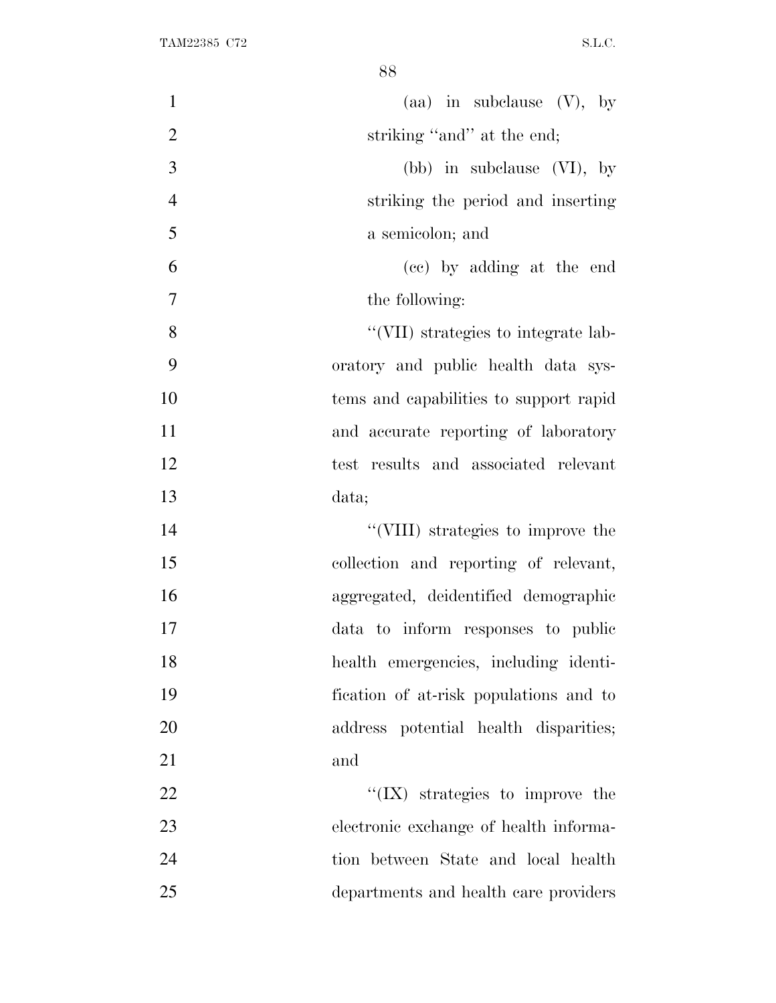| $\mathbf{1}$   | (aa) in subclause $(V)$ , by            |
|----------------|-----------------------------------------|
| $\overline{2}$ | striking "and" at the end;              |
| 3              | (bb) in subclause $(VI)$ , by           |
| $\overline{4}$ | striking the period and inserting       |
| 5              | a semicolon; and                        |
| 6              | (cc) by adding at the end               |
| $\overline{7}$ | the following:                          |
| 8              | "(VII) strategies to integrate lab-     |
| 9              | oratory and public health data sys-     |
| 10             | tems and capabilities to support rapid  |
| 11             | and accurate reporting of laboratory    |
| 12             | test results and associated relevant    |
| 13             | data;                                   |
| 14             | "(VIII) strategies to improve the       |
| 15             | collection and reporting of relevant,   |
| 16             | aggregated, deidentified demographic    |
| 17             | data to inform responses to public      |
| 18             | health emergencies, including identi-   |
| 19             | fication of at-risk populations and to  |
| 20             | address potential health disparities;   |
| 21             | and                                     |
| 22             | $\lq\lq$ (IX) strategies to improve the |
| 23             | electronic exchange of health informa-  |
| 24             | tion between State and local health     |
| 25             | departments and health care providers   |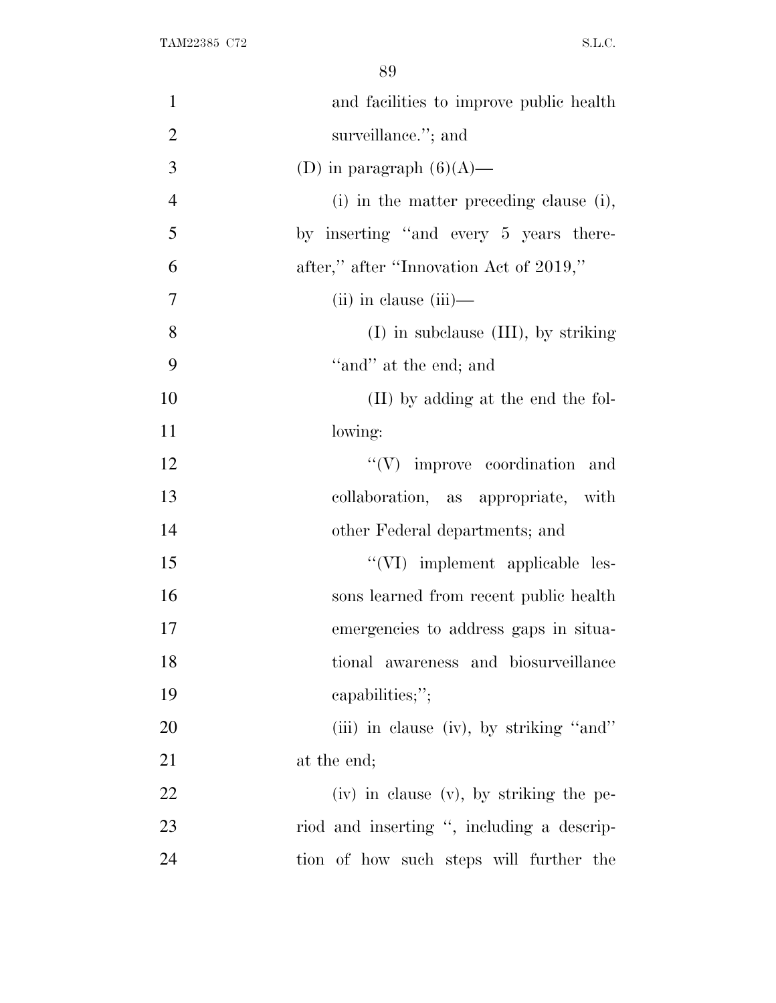| $\mathbf{1}$   | and facilities to improve public health      |
|----------------|----------------------------------------------|
| $\overline{2}$ | surveillance."; and                          |
| 3              | (D) in paragraph $(6)(A)$ —                  |
| $\overline{4}$ | (i) in the matter preceding clause (i),      |
| 5              | by inserting "and every 5 years there-       |
| 6              | after," after "Innovation Act of 2019,"      |
| $\overline{7}$ | $(ii)$ in clause $(iii)$ —                   |
| 8              | $(I)$ in subclause $(III)$ , by striking     |
| 9              | "and" at the end; and                        |
| 10             | (II) by adding at the end the fol-           |
| 11             | lowing:                                      |
| 12             | $\lq\lq(V)$ improve coordination and         |
| 13             | collaboration, as appropriate, with          |
| 14             | other Federal departments; and               |
| 15             | "(VI) implement applicable les-              |
| 16             | sons learned from recent public health       |
| 17             | emergencies to address gaps in situa-        |
| 18             | tional awareness and biosurveillance         |
| 19             | capabilities;";                              |
| 20             | (iii) in clause (iv), by striking "and"      |
| 21             | at the end;                                  |
| 22             | $(iv)$ in clause $(v)$ , by striking the pe- |
| 23             | riod and inserting ", including a descrip-   |
| 24             | tion of how such steps will further the      |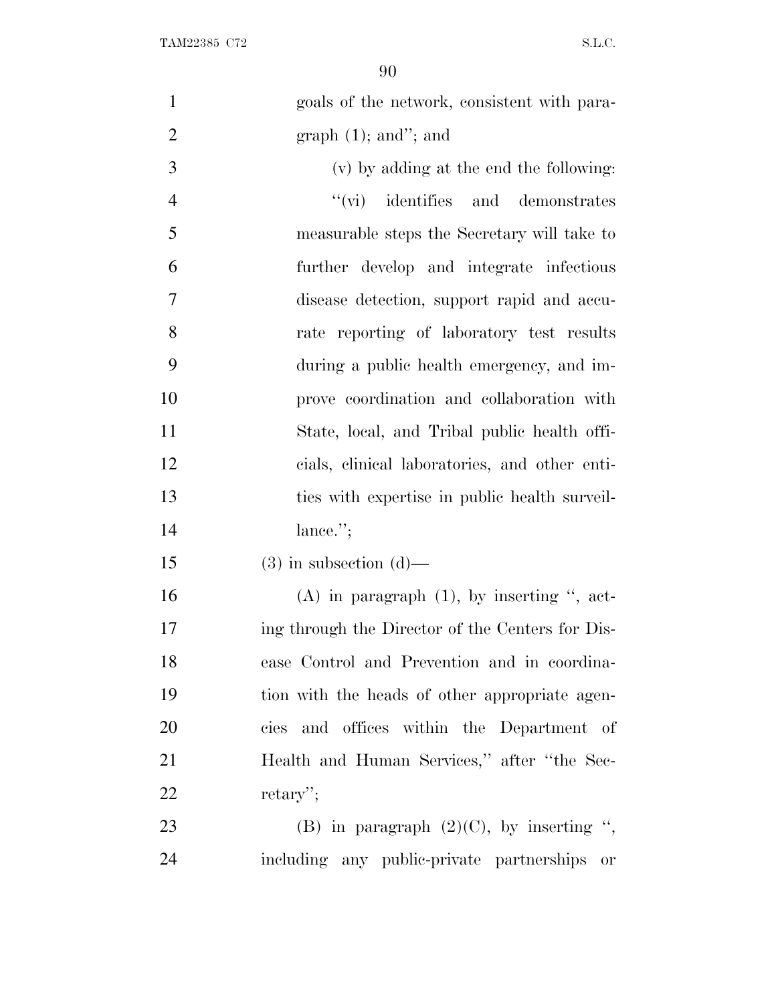| goals of the network, consistent with para-      |
|--------------------------------------------------|
| graph $(1)$ ; and"; and                          |
| (v) by adding at the end the following:          |
| $\lq\lq$ (vi) identifies and demonstrates        |
| measurable steps the Secretary will take to      |
| further develop and integrate infectious         |
| disease detection, support rapid and accu-       |
| rate reporting of laboratory test results        |
| during a public health emergency, and im-        |
| prove coordination and collaboration with        |
| State, local, and Tribal public health offi-     |
| cials, clinical laboratories, and other enti-    |
| ties with expertise in public health surveil-    |
| lance."                                          |
| $(3)$ in subsection $(d)$ —                      |
| $(A)$ in paragraph $(1)$ , by inserting ", act-  |
| ing through the Director of the Centers for Dis- |
| ease Control and Prevention and in coordina-     |
| tion with the heads of other appropriate agen-   |
| cies and offices within the Department of        |
| Health and Human Services," after "the Sec-      |
| $return$ .                                       |
| (B) in paragraph $(2)(C)$ , by inserting ",      |
| including any public-private partnerships<br>or  |
|                                                  |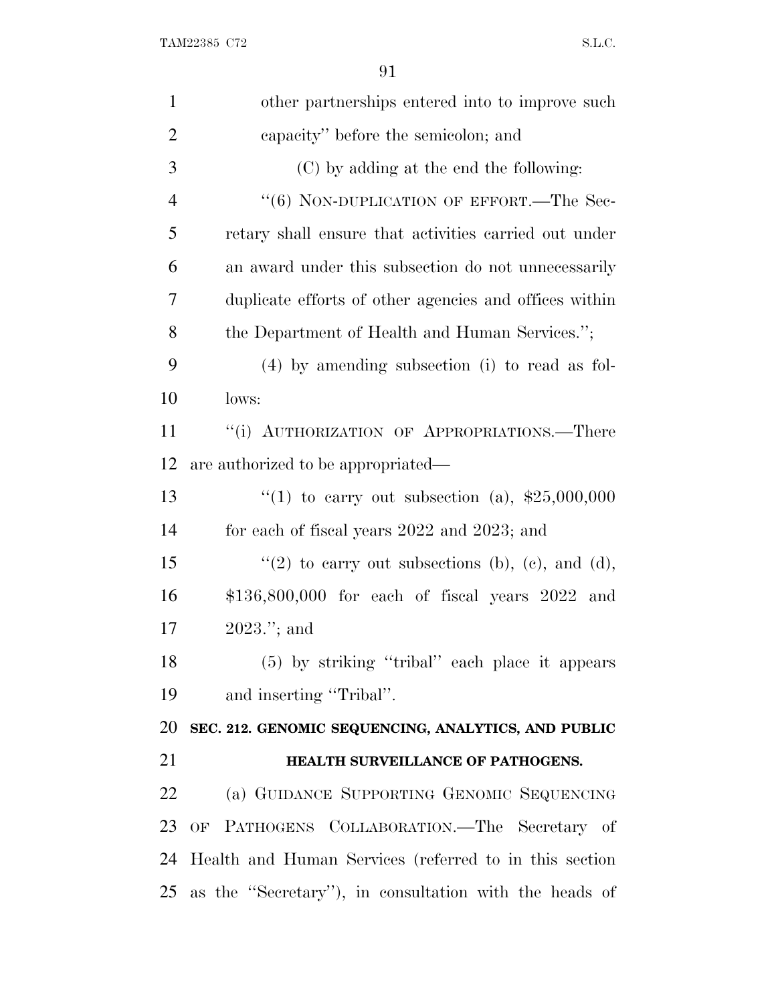| $\mathbf{1}$   | other partnerships entered into to improve such           |
|----------------|-----------------------------------------------------------|
| $\overline{2}$ | capacity" before the semicolon; and                       |
| 3              | (C) by adding at the end the following:                   |
| $\overline{4}$ | "(6) NON-DUPLICATION OF EFFORT.—The Sec-                  |
| 5              | retary shall ensure that activities carried out under     |
| 6              | an award under this subsection do not unnecessarily       |
| 7              | duplicate efforts of other agencies and offices within    |
| 8              | the Department of Health and Human Services.";            |
| 9              | $(4)$ by amending subsection (i) to read as fol-          |
| 10             | lows:                                                     |
| 11             | "(i) AUTHORIZATION OF APPROPRIATIONS.—There               |
| 12             | are authorized to be appropriated—                        |
| 13             | "(1) to carry out subsection (a), $$25,000,000$           |
| 14             | for each of fiscal years 2022 and 2023; and               |
| 15             | "(2) to carry out subsections (b), (c), and (d),          |
| 16             | $$136,800,000$ for each of fiscal years $2022$ and        |
| 17             | $2023$ ."; and                                            |
| 18             | $(5)$ by striking "tribal" each place it appears          |
| 19             | and inserting "Tribal".                                   |
| 20             | SEC. 212. GENOMIC SEQUENCING, ANALYTICS, AND PUBLIC       |
| 21             | HEALTH SURVEILLANCE OF PATHOGENS.                         |
| 22             | (a) GUIDANCE SUPPORTING GENOMIC SEQUENCING                |
| 23             | OF PATHOGENS COLLABORATION. The Secretary of              |
|                | 24 Health and Human Services (referred to in this section |
|                | 25 as the "Secretary"), in consultation with the heads of |
|                |                                                           |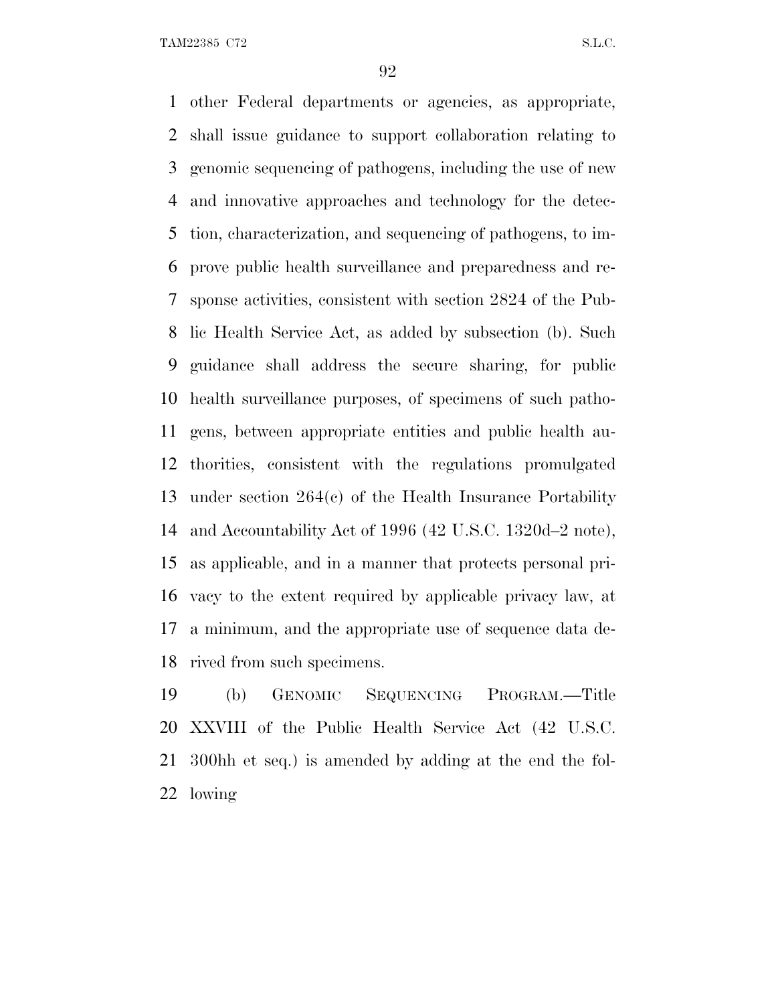other Federal departments or agencies, as appropriate, shall issue guidance to support collaboration relating to genomic sequencing of pathogens, including the use of new and innovative approaches and technology for the detec- tion, characterization, and sequencing of pathogens, to im- prove public health surveillance and preparedness and re- sponse activities, consistent with section 2824 of the Pub- lic Health Service Act, as added by subsection (b). Such guidance shall address the secure sharing, for public health surveillance purposes, of specimens of such patho- gens, between appropriate entities and public health au- thorities, consistent with the regulations promulgated under section 264(c) of the Health Insurance Portability and Accountability Act of 1996 (42 U.S.C. 1320d–2 note), as applicable, and in a manner that protects personal pri- vacy to the extent required by applicable privacy law, at a minimum, and the appropriate use of sequence data de-rived from such specimens.

 (b) GENOMIC SEQUENCING PROGRAM.—Title XXVIII of the Public Health Service Act (42 U.S.C. 300hh et seq.) is amended by adding at the end the fol-lowing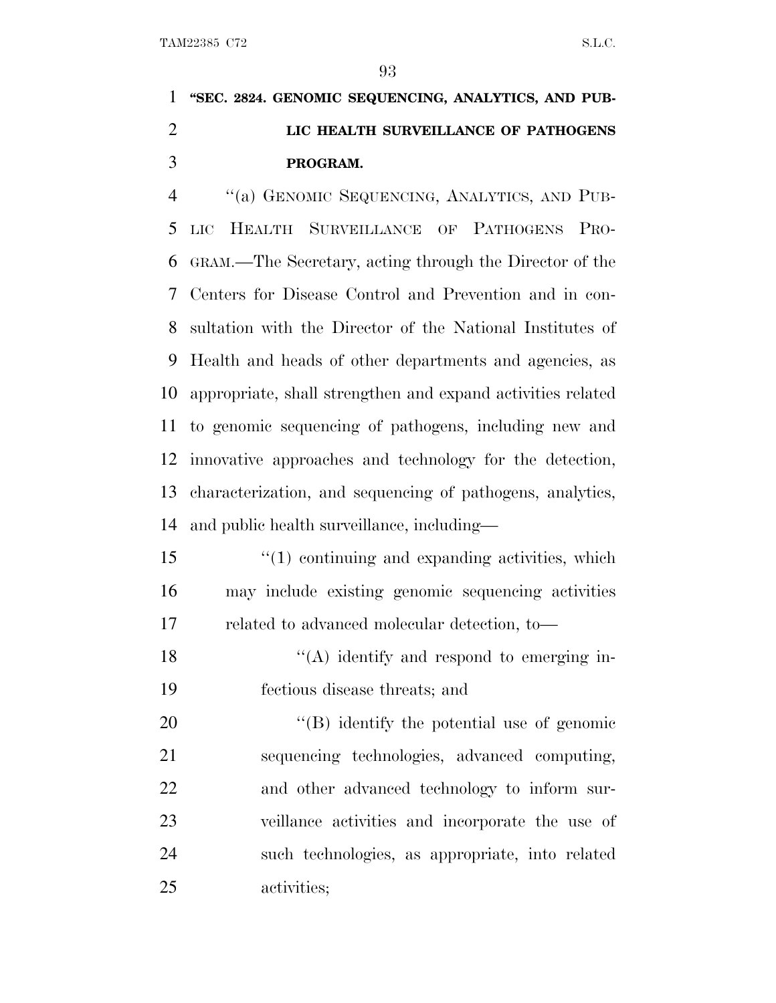**''SEC. 2824. GENOMIC SEQUENCING, ANALYTICS, AND PUB- LIC HEALTH SURVEILLANCE OF PATHOGENS PROGRAM.**

 ''(a) GENOMIC SEQUENCING, ANALYTICS, AND PUB- LIC HEALTH SURVEILLANCE OF PATHOGENS PRO- GRAM.—The Secretary, acting through the Director of the Centers for Disease Control and Prevention and in con- sultation with the Director of the National Institutes of Health and heads of other departments and agencies, as appropriate, shall strengthen and expand activities related to genomic sequencing of pathogens, including new and innovative approaches and technology for the detection, characterization, and sequencing of pathogens, analytics, and public health surveillance, including—

 ''(1) continuing and expanding activities, which may include existing genomic sequencing activities related to advanced molecular detection, to—

18 ''(A) identify and respond to emerging in-fectious disease threats; and

 $\langle$  (B) identify the potential use of genomic sequencing technologies, advanced computing, and other advanced technology to inform sur- veillance activities and incorporate the use of such technologies, as appropriate, into related activities;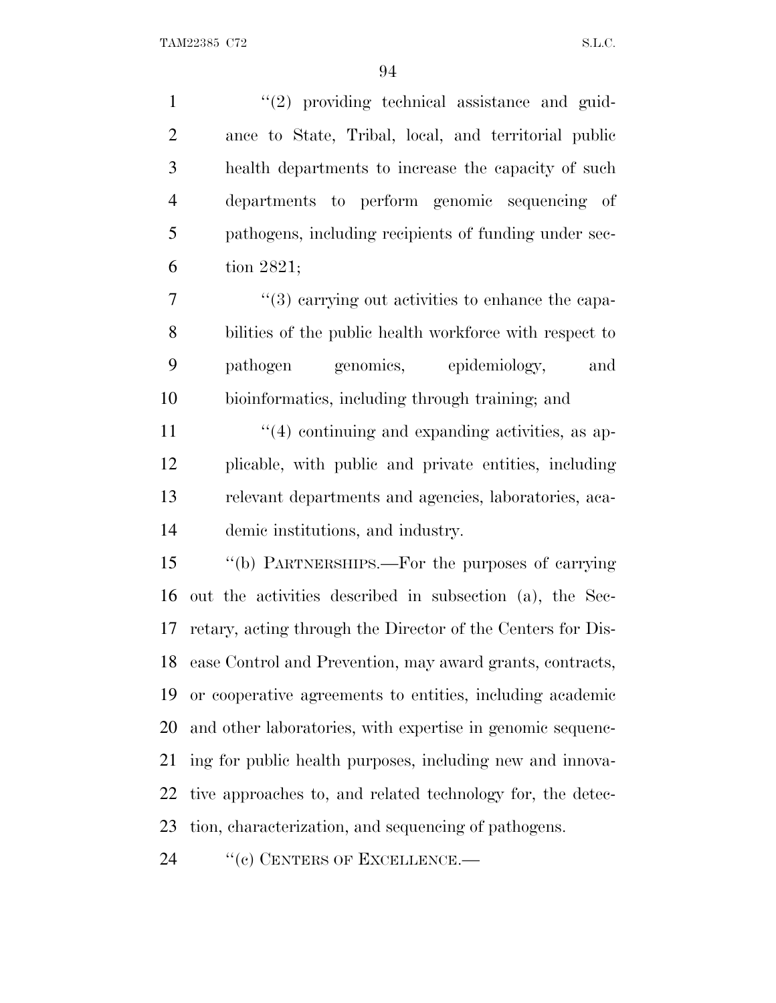1 ''(2) providing technical assistance and guid- ance to State, Tribal, local, and territorial public health departments to increase the capacity of such departments to perform genomic sequencing of pathogens, including recipients of funding under sec-tion 2821;

 $\frac{1}{3}$  carrying out activities to enhance the capa- bilities of the public health workforce with respect to pathogen genomics, epidemiology, and bioinformatics, including through training; and

11 ''(4) continuing and expanding activities, as ap- plicable, with public and private entities, including relevant departments and agencies, laboratories, aca-demic institutions, and industry.

 ''(b) PARTNERSHIPS.—For the purposes of carrying out the activities described in subsection (a), the Sec- retary, acting through the Director of the Centers for Dis- ease Control and Prevention, may award grants, contracts, or cooperative agreements to entities, including academic and other laboratories, with expertise in genomic sequenc- ing for public health purposes, including new and innova- tive approaches to, and related technology for, the detec-tion, characterization, and sequencing of pathogens.

24 "(c) CENTERS OF EXCELLENCE.—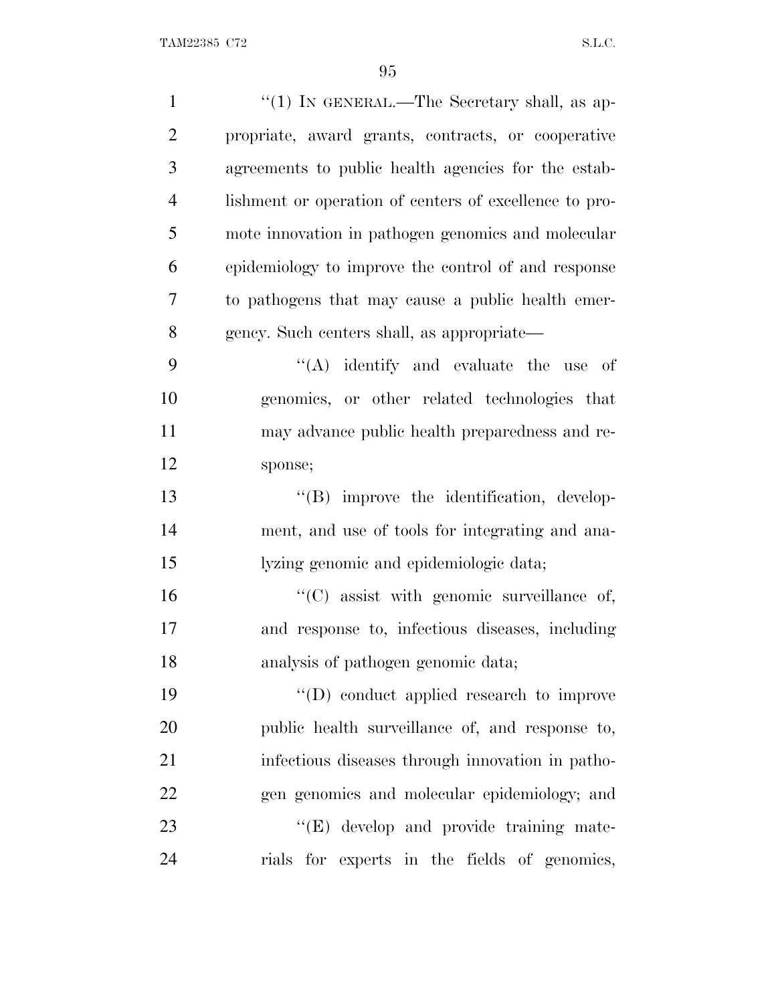| $\mathbf{1}$   | "(1) IN GENERAL.—The Secretary shall, as ap-           |
|----------------|--------------------------------------------------------|
| $\overline{2}$ | propriate, award grants, contracts, or cooperative     |
| 3              | agreements to public health agencies for the estab-    |
| $\overline{4}$ | lishment or operation of centers of excellence to pro- |
| 5              | mote innovation in pathogen genomics and molecular     |
| 6              | epidemiology to improve the control of and response    |
| $\tau$         | to pathogens that may cause a public health emer-      |
| 8              | gency. Such centers shall, as appropriate—             |
| 9              | $\lq\lq$ identify and evaluate the use of              |
| 10             | genomics, or other related technologies that           |
| 11             | may advance public health preparedness and re-         |
| 12             | sponse;                                                |
| 13             | "(B) improve the identification, develop-              |
| 14             | ment, and use of tools for integrating and ana-        |
| 15             | lyzing genomic and epidemiologic data;                 |
| 16             | $\lq\lq$ (C) assist with genomic surveillance of,      |
| 17             | and response to, infectious diseases, including        |
| 18             | analysis of pathogen genomic data;                     |
| 19             | "(D) conduct applied research to improve               |
| 20             | public health surveillance of, and response to,        |
| 21             | infectious diseases through innovation in patho-       |
| 22             | gen genomics and molecular epidemiology; and           |
| 23             | $\lq\lq(E)$ develop and provide training mate-         |
| 24             | rials for experts in the fields of genomics,           |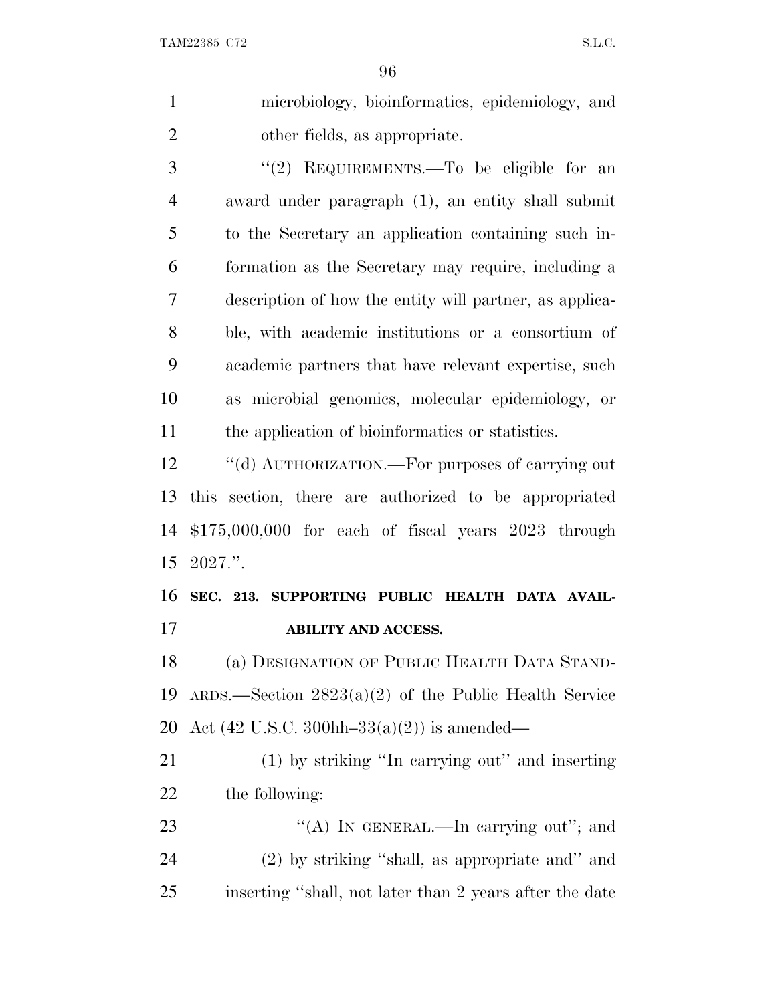| $\mathbf{1}$   | microbiology, bioinformatics, epidemiology, and                 |
|----------------|-----------------------------------------------------------------|
| $\overline{2}$ | other fields, as appropriate.                                   |
| 3              | "(2) REQUIREMENTS.—To be eligible for an                        |
| $\overline{4}$ | award under paragraph (1), an entity shall submit               |
| 5              | to the Secretary an application containing such in-             |
| 6              | formation as the Secretary may require, including a             |
| 7              | description of how the entity will partner, as applica-         |
| 8              | ble, with a cademic institutions or a consortium of             |
| 9              | academic partners that have relevant expertise, such            |
| 10             | as microbial genomics, molecular epidemiology, or               |
| 11             | the application of bioinformatics or statistics.                |
| 12             | "(d) AUTHORIZATION.—For purposes of carrying out                |
| 13             | this section, there are authorized to be appropriated           |
| 14             | $$175,000,000$ for each of fiscal years $2023$ through          |
| 15             | $2027$ .".                                                      |
| 16             | SEC. 213. SUPPORTING PUBLIC HEALTH DATA AVAIL-                  |
| 17             | <b>ABILITY AND ACCESS.</b>                                      |
| 18             | (a) DESIGNATION OF PUBLIC HEALTH DATA STAND-                    |
| 19             | $ARDS.$ Section 2823(a)(2) of the Public Health Service         |
| 20             | Act $(42 \text{ U.S.C. } 300 \text{hh} - 33(a)(2))$ is amended— |
| 21             | (1) by striking "In carrying out" and inserting                 |
| 22             | the following:                                                  |
| 23             | "(A) IN GENERAL.—In carrying out"; and                          |

 (2) by striking ''shall, as appropriate and'' and inserting ''shall, not later than 2 years after the date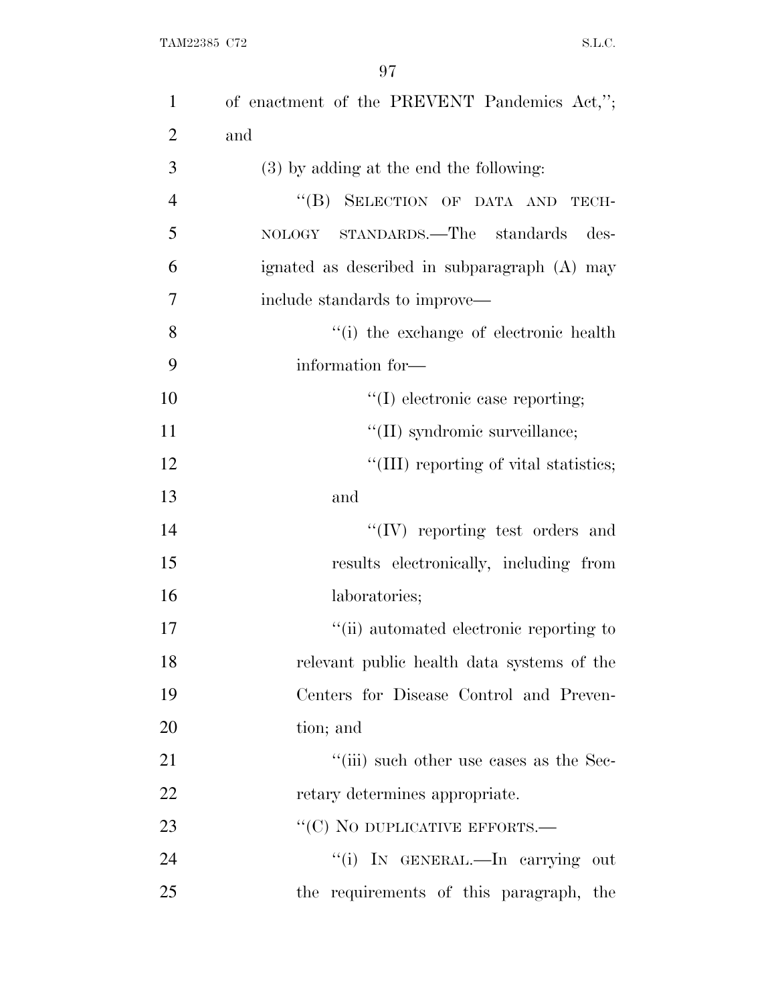| $\mathbf{1}$   | of enactment of the PREVENT Pandemics Act,"; |
|----------------|----------------------------------------------|
| $\overline{2}$ | and                                          |
| 3              | (3) by adding at the end the following:      |
| $\overline{4}$ | "(B) SELECTION OF DATA AND TECH-             |
| 5              | NOLOGY STANDARDS.—The standards<br>des-      |
| 6              | ignated as described in subparagraph (A) may |
| 7              | include standards to improve—                |
| 8              | "(i) the exchange of electronic health       |
| 9              | information for-                             |
| 10             | "(I) electronic case reporting;              |
| 11             | "(II) syndromic surveillance;                |
| 12             | "(III) reporting of vital statistics;        |
| 13             | and                                          |
| 14             | $``(IV)$ reporting test orders and           |
| 15             | results electronically, including from       |
| 16             | laboratories;                                |
| 17             | "(ii) automated electronic reporting to      |
| 18             | relevant public health data systems of the   |
| 19             | Centers for Disease Control and Preven-      |
| 20             | tion; and                                    |
| 21             | "(iii) such other use cases as the Sec-      |
| 22             | retary determines appropriate.               |
| 23             | "(C) NO DUPLICATIVE EFFORTS.—                |
| 24             | "(i) IN GENERAL.—In carrying out             |
| 25             | the requirements of this paragraph, the      |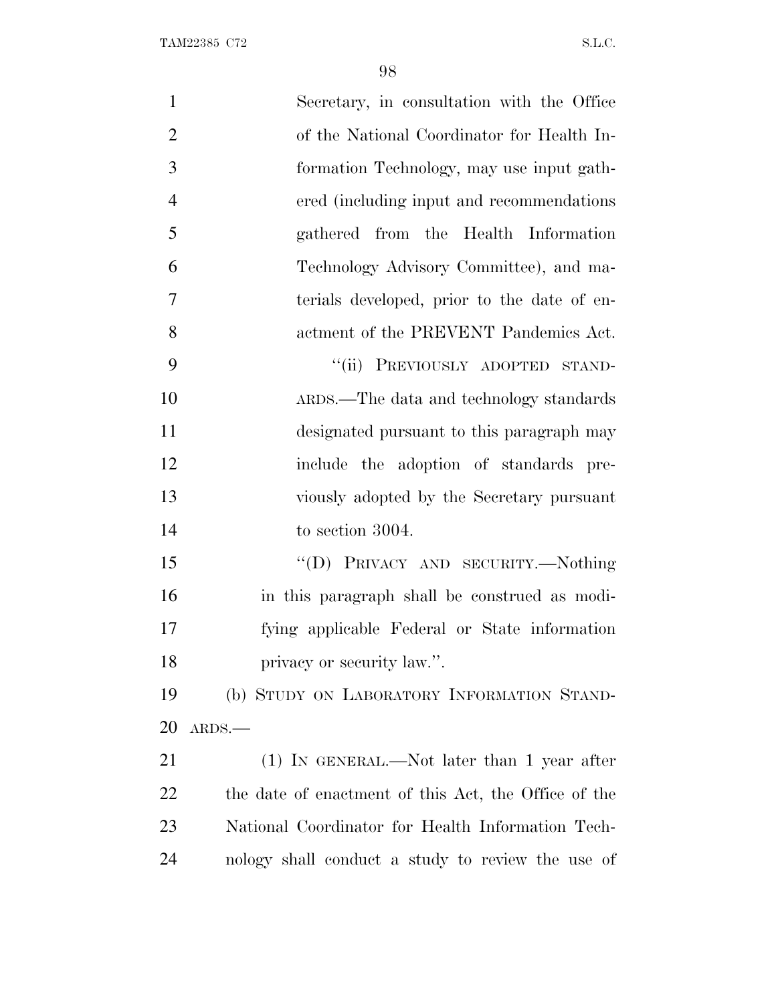| $\mathbf{1}$   | Secretary, in consultation with the Office           |
|----------------|------------------------------------------------------|
| $\overline{2}$ | of the National Coordinator for Health In-           |
| 3              | formation Technology, may use input gath-            |
| $\overline{4}$ | ered (including input and recommendations)           |
| 5              | gathered from the Health Information                 |
| 6              | Technology Advisory Committee), and ma-              |
| 7              | terials developed, prior to the date of en-          |
| 8              | actment of the PREVENT Pandemics Act.                |
| 9              | "(ii) PREVIOUSLY ADOPTED STAND-                      |
| 10             | ARDS.—The data and technology standards              |
| 11             | designated pursuant to this paragraph may            |
| 12             | include the adoption of standards pre-               |
| 13             | viously adopted by the Secretary pursuant            |
| 14             | to section 3004.                                     |
| 15             | "(D) PRIVACY AND SECURITY.--Nothing                  |
| 16             | in this paragraph shall be construed as modi-        |
| 17             | fying applicable Federal or State information        |
| 18             | privacy or security law.".                           |
| 19             | (b) STUDY ON LABORATORY INFORMATION STAND-           |
| 20             | ARDS.                                                |
| 21             | $(1)$ In GENERAL.—Not later than 1 year after        |
| 22             | the date of enactment of this Act, the Office of the |
| 23             | National Coordinator for Health Information Tech-    |
| 24             | nology shall conduct a study to review the use of    |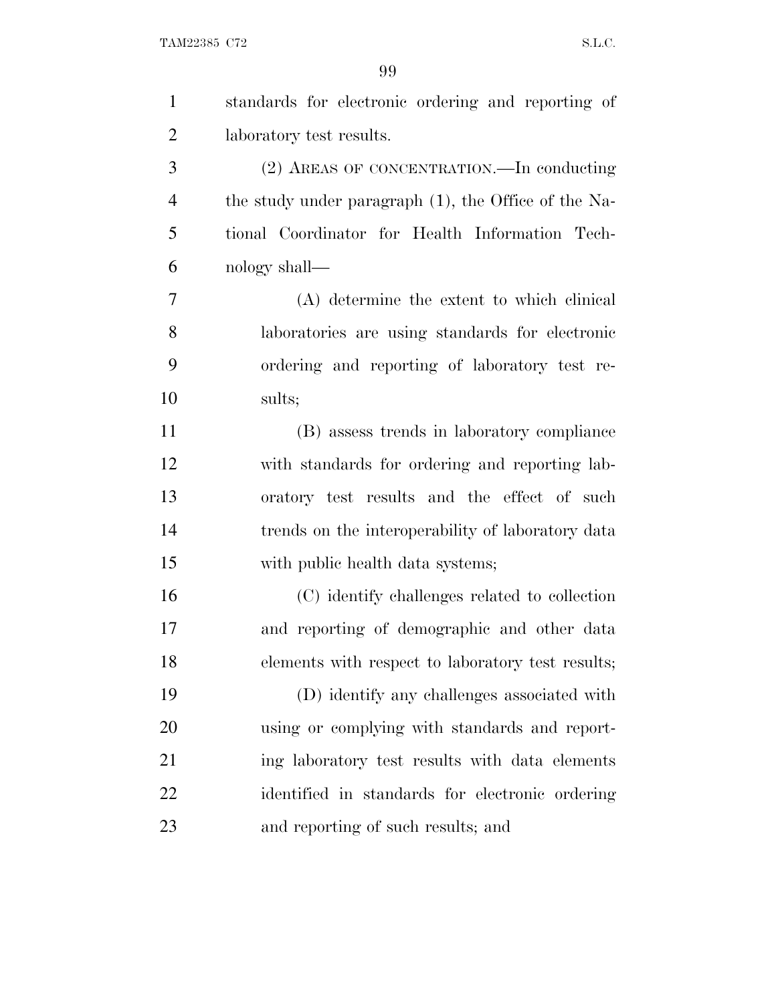$\begin{minipage}{0.9\linewidth} \textbf{TAM22385 C72} \end{minipage}$ 

| $\mathbf{1}$   | standards for electronic ordering and reporting of   |
|----------------|------------------------------------------------------|
| $\overline{2}$ | laboratory test results.                             |
| 3              | (2) AREAS OF CONCENTRATION.—In conducting            |
| $\overline{4}$ | the study under paragraph (1), the Office of the Na- |
| 5              | tional Coordinator for Health Information Tech-      |
| 6              | nology shall—                                        |
| 7              | (A) determine the extent to which clinical           |
| 8              | laboratories are using standards for electronic      |
| 9              | ordering and reporting of laboratory test re-        |
| 10             | sults;                                               |
| 11             | (B) assess trends in laboratory compliance           |
| 12             | with standards for ordering and reporting lab-       |
| 13             | oratory test results and the effect of such          |
| 14             | trends on the interoperability of laboratory data    |
| 15             | with public health data systems;                     |
| 16             | (C) identify challenges related to collection        |
| 17             | and reporting of demographic and other data          |
| 18             | elements with respect to laboratory test results;    |
| 19             | (D) identify any challenges associated with          |
| 20             | using or complying with standards and report-        |
| 21             | ing laboratory test results with data elements       |
| <u>22</u>      | identified in standards for electronic ordering      |
| 23             | and reporting of such results; and                   |
|                |                                                      |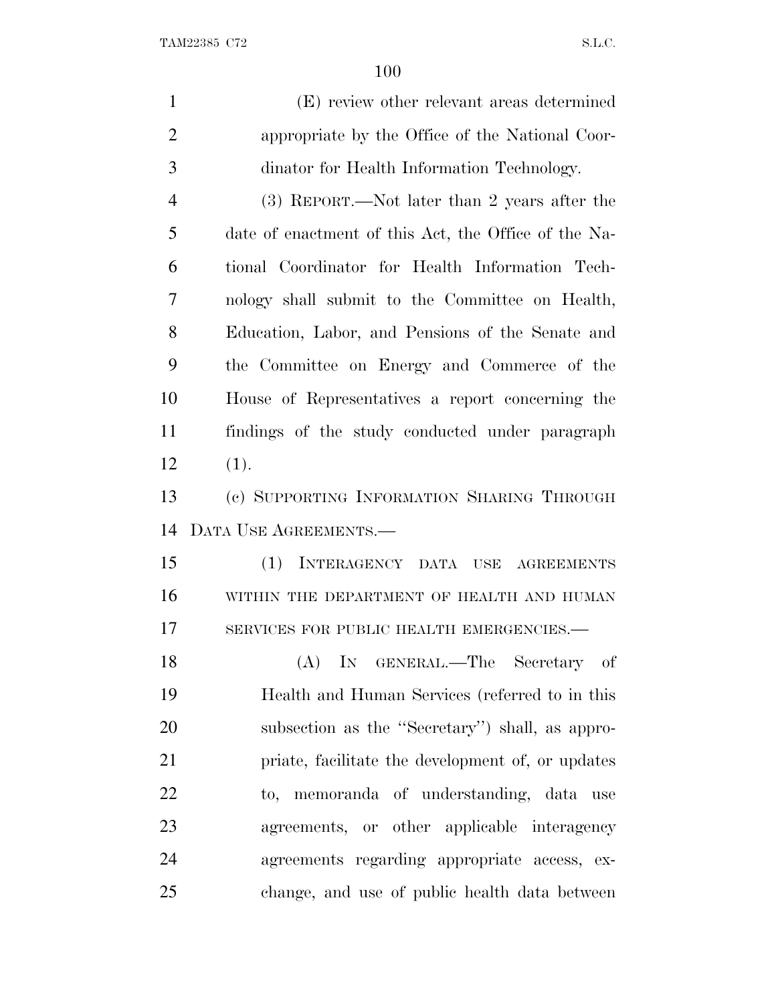| $\mathbf{1}$   | (E) review other relevant areas determined           |
|----------------|------------------------------------------------------|
| $\overline{2}$ | appropriate by the Office of the National Coor-      |
| 3              | dinator for Health Information Technology.           |
| $\overline{4}$ | (3) REPORT.—Not later than 2 years after the         |
| 5              | date of enactment of this Act, the Office of the Na- |
| 6              | tional Coordinator for Health Information Tech-      |
| 7              | nology shall submit to the Committee on Health,      |
| 8              | Education, Labor, and Pensions of the Senate and     |
| 9              | the Committee on Energy and Commerce of the          |
| 10             | House of Representatives a report concerning the     |
| 11             | findings of the study conducted under paragraph      |
| 12             | (1).                                                 |
| 13             | (c) SUPPORTING INFORMATION SHARING THROUGH           |
| 14             | DATA USE AGREEMENTS.                                 |
| 15             | (1)<br>INTERAGENCY DATA USE<br><b>AGREEMENTS</b>     |
| 16             | WITHIN THE DEPARTMENT OF HEALTH AND HUMAN            |
| 17             | SERVICES FOR PUBLIC HEALTH EMERGENCIES.-             |
| 18             | (A) IN GENERAL.—The Secretary of                     |
| 19             | Health and Human Services (referred to in this       |
| 20             | subsection as the "Secretary") shall, as appro-      |
| 21             | priate, facilitate the development of, or updates    |
| 22             | to, memoranda of understanding, data use             |
| 23             | agreements, or other applicable interagency          |
| 24             | agreements regarding appropriate access, ex-         |
| 25             | change, and use of public health data between        |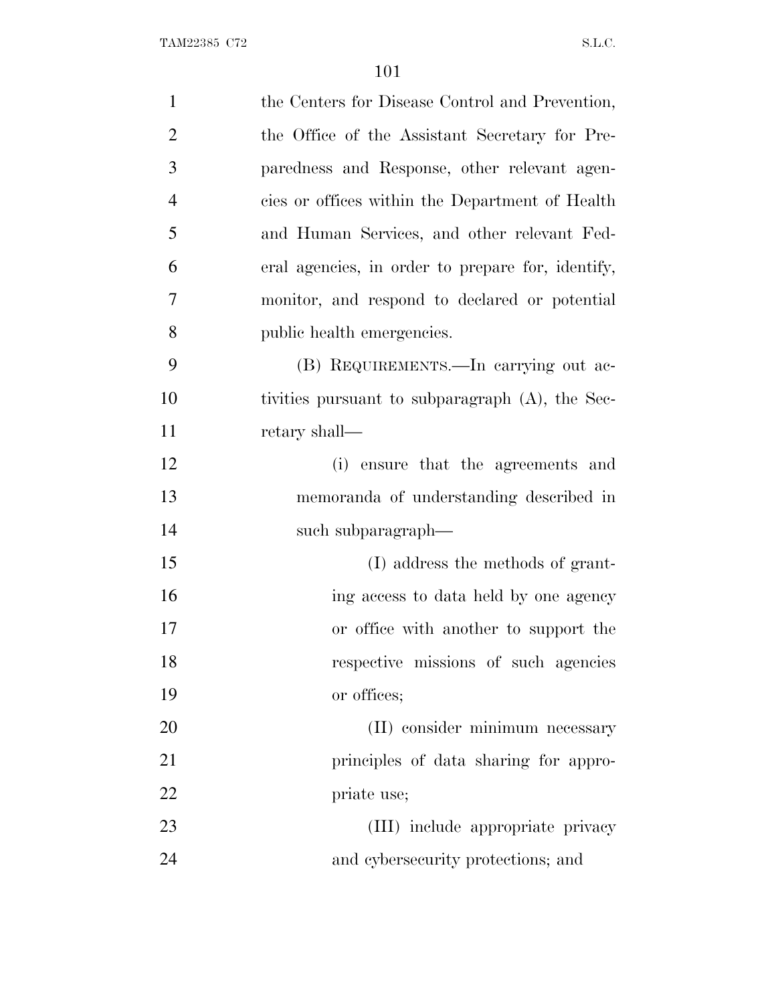| $\mathbf{1}$   | the Centers for Disease Control and Prevention,   |
|----------------|---------------------------------------------------|
| $\overline{2}$ | the Office of the Assistant Secretary for Pre-    |
| 3              | paredness and Response, other relevant agen-      |
| $\overline{4}$ | cies or offices within the Department of Health   |
| 5              | and Human Services, and other relevant Fed-       |
| 6              | eral agencies, in order to prepare for, identify, |
| 7              | monitor, and respond to declared or potential     |
| 8              | public health emergencies.                        |
| 9              | (B) REQUIREMENTS.—In carrying out ac-             |
| 10             | tivities pursuant to subparagraph (A), the Sec-   |
| 11             | retary shall-                                     |
| 12             | (i) ensure that the agreements and                |
| 13             | memoranda of understanding described in           |
| 14             | such subparagraph—                                |
| 15             | (I) address the methods of grant-                 |
| 16             | ing access to data held by one agency             |
| 17             | or office with another to support the             |
| 18             | respective missions of such agencies              |
| 19             | or offices;                                       |
| <b>20</b>      | (II) consider minimum necessary                   |
| 21             | principles of data sharing for appro-             |
| 22             | priate use;                                       |
| 23             | (III) include appropriate privacy                 |
| 24             | and cybersecurity protections; and                |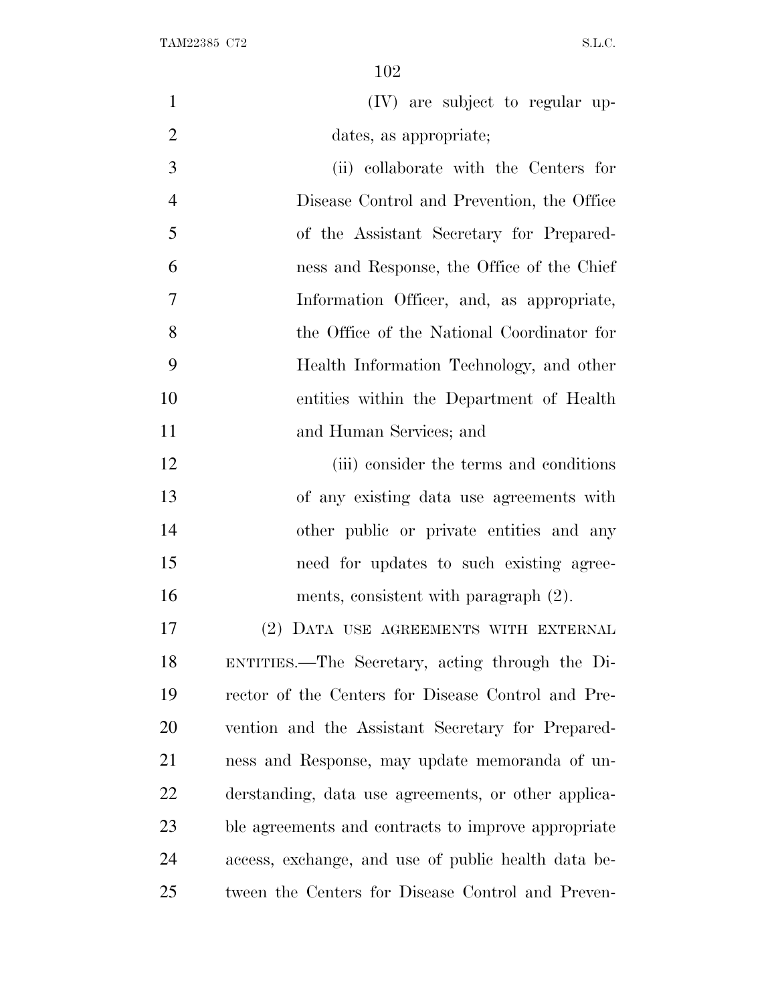| $\overline{1}$ | (IV) are subject to regular up-            |
|----------------|--------------------------------------------|
| 2              | dates, as appropriate;                     |
| 3              | (ii) collaborate with the Centers for      |
| $\overline{4}$ | Disease Control and Prevention, the Office |
| 5              | of the Assistant Secretary for Prepared-   |

 ness and Response, the Office of the Chief Information Officer, and, as appropriate, the Office of the National Coordinator for Health Information Technology, and other entities within the Department of Health and Human Services; and

12 (iii) consider the terms and conditions of any existing data use agreements with other public or private entities and any need for updates to such existing agree-ments, consistent with paragraph (2).

 (2) DATA USE AGREEMENTS WITH EXTERNAL ENTITIES.—The Secretary, acting through the Di- rector of the Centers for Disease Control and Pre- vention and the Assistant Secretary for Prepared- ness and Response, may update memoranda of un- derstanding, data use agreements, or other applica- ble agreements and contracts to improve appropriate access, exchange, and use of public health data be-tween the Centers for Disease Control and Preven-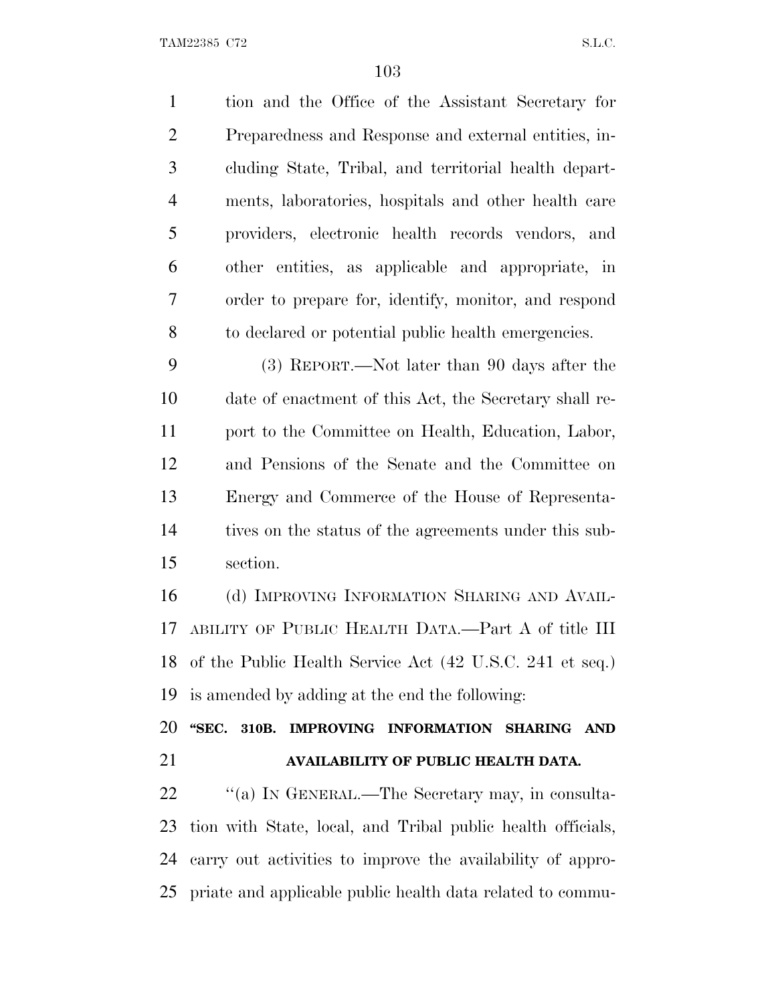tion and the Office of the Assistant Secretary for Preparedness and Response and external entities, in- cluding State, Tribal, and territorial health depart- ments, laboratories, hospitals and other health care providers, electronic health records vendors, and other entities, as applicable and appropriate, in order to prepare for, identify, monitor, and respond to declared or potential public health emergencies. (3) REPORT.—Not later than 90 days after the date of enactment of this Act, the Secretary shall re- port to the Committee on Health, Education, Labor, and Pensions of the Senate and the Committee on Energy and Commerce of the House of Representa- tives on the status of the agreements under this sub- section. (d) IMPROVING INFORMATION SHARING AND AVAIL-

 ABILITY OF PUBLIC HEALTH DATA.—Part A of title III of the Public Health Service Act (42 U.S.C. 241 et seq.) is amended by adding at the end the following:

 **''SEC. 310B. IMPROVING INFORMATION SHARING AND AVAILABILITY OF PUBLIC HEALTH DATA.**

22 ""(a) In GENERAL.—The Secretary may, in consulta- tion with State, local, and Tribal public health officials, carry out activities to improve the availability of appro-priate and applicable public health data related to commu-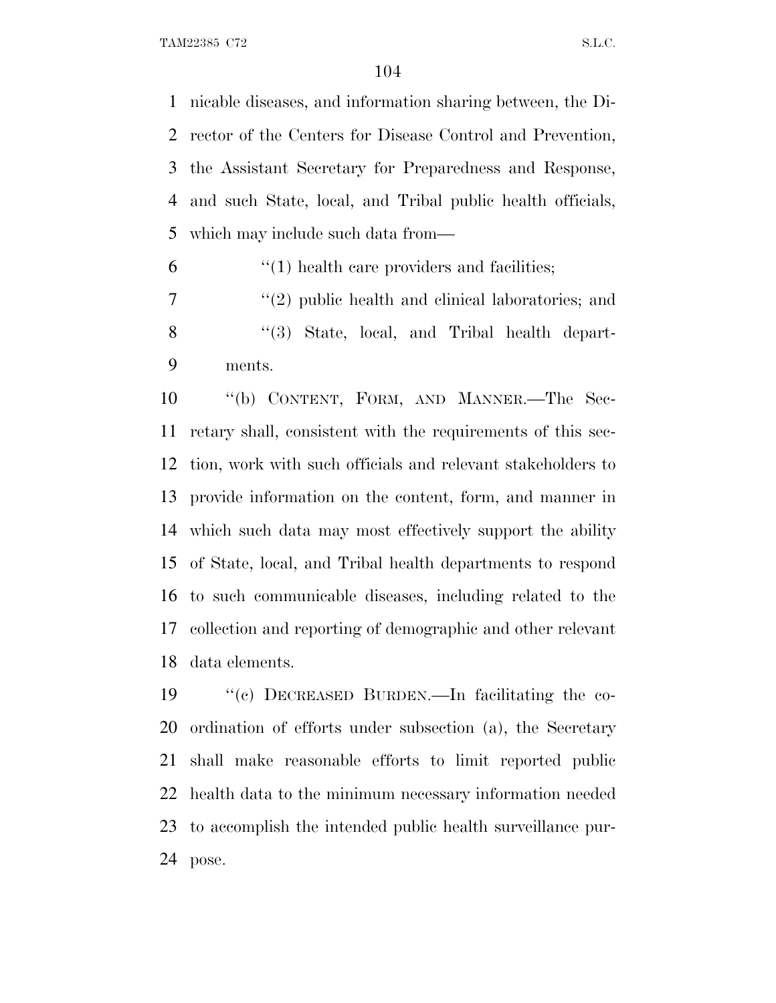nicable diseases, and information sharing between, the Di- rector of the Centers for Disease Control and Prevention, the Assistant Secretary for Preparedness and Response, and such State, local, and Tribal public health officials, which may include such data from—

 $(1)$  health care providers and facilities;

 ''(2) public health and clinical laboratories; and 8 "(3) State, local, and Tribal health depart-ments.

 ''(b) CONTENT, FORM, AND MANNER.—The Sec- retary shall, consistent with the requirements of this sec- tion, work with such officials and relevant stakeholders to provide information on the content, form, and manner in which such data may most effectively support the ability of State, local, and Tribal health departments to respond to such communicable diseases, including related to the collection and reporting of demographic and other relevant data elements.

 ''(c) DECREASED BURDEN.—In facilitating the co- ordination of efforts under subsection (a), the Secretary shall make reasonable efforts to limit reported public health data to the minimum necessary information needed to accomplish the intended public health surveillance pur-pose.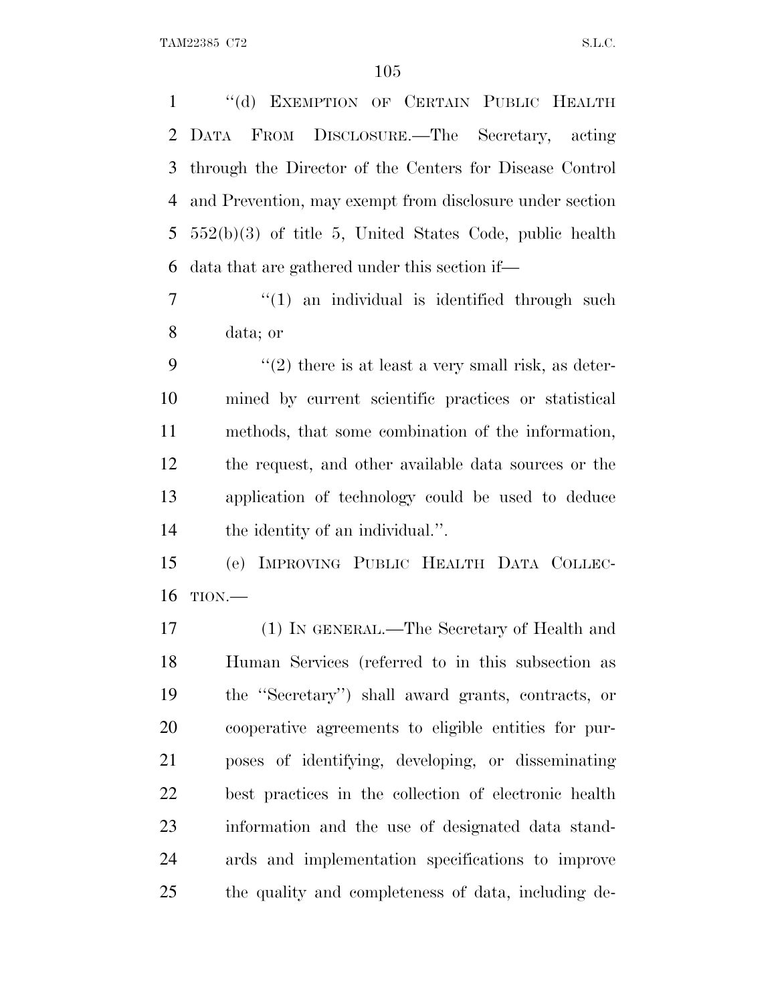''(d) EXEMPTION OF CERTAIN PUBLIC HEALTH DATA FROM DISCLOSURE.—The Secretary, acting through the Director of the Centers for Disease Control and Prevention, may exempt from disclosure under section 552(b)(3) of title 5, United States Code, public health data that are gathered under this section if—

 $7 \t\t\t\t\t''(1)$  an individual is identified through such data; or

 $\frac{1}{2}$  there is at least a very small risk, as deter- mined by current scientific practices or statistical methods, that some combination of the information, the request, and other available data sources or the application of technology could be used to deduce the identity of an individual.''.

 (e) IMPROVING PUBLIC HEALTH DATA COLLEC-TION.—

 (1) IN GENERAL.—The Secretary of Health and Human Services (referred to in this subsection as the ''Secretary'') shall award grants, contracts, or cooperative agreements to eligible entities for pur- poses of identifying, developing, or disseminating best practices in the collection of electronic health information and the use of designated data stand- ards and implementation specifications to improve the quality and completeness of data, including de-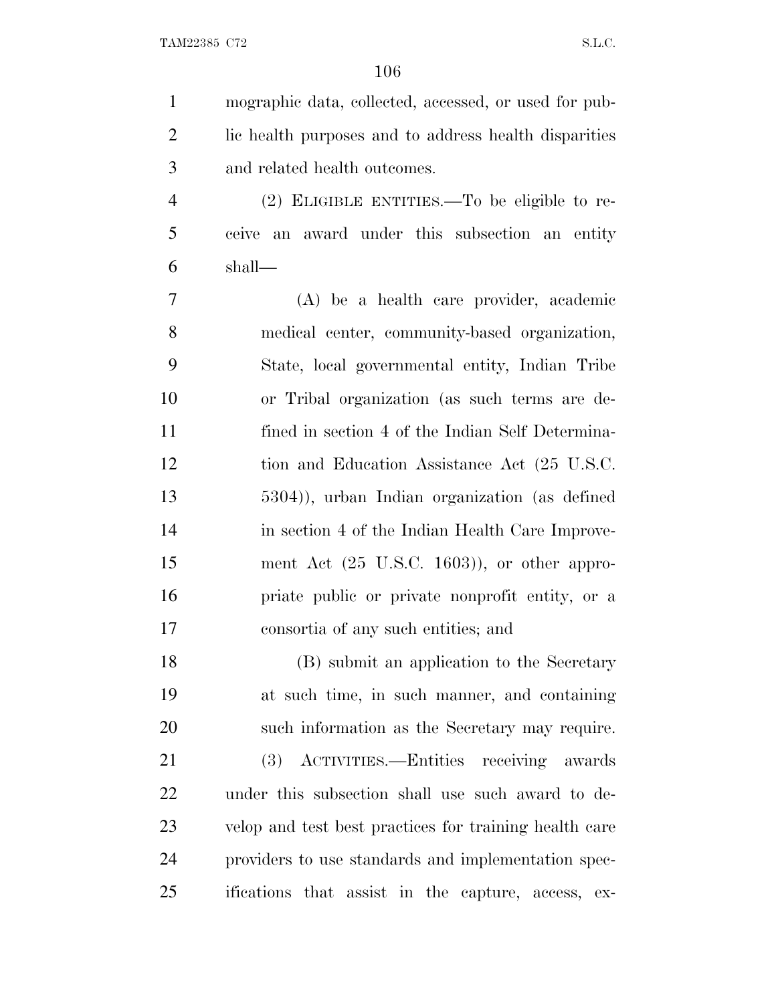| $\mathbf{1}$   | mographic data, collected, accessed, or used for pub-   |
|----------------|---------------------------------------------------------|
| $\overline{2}$ | lic health purposes and to address health disparities   |
| 3              | and related health outcomes.                            |
| $\overline{4}$ | $(2)$ ELIGIBLE ENTITIES.—To be eligible to re-          |
| 5              | ceive an award under this subsection an entity          |
| 6              | shall—                                                  |
| 7              | (A) be a health care provider, academic                 |
| 8              | medical center, community-based organization,           |
| 9              | State, local governmental entity, Indian Tribe          |
| 10             | or Tribal organization (as such terms are de-           |
| 11             | fined in section 4 of the Indian Self Determina-        |
| 12             | tion and Education Assistance Act (25 U.S.C.            |
| 13             | 5304)), urban Indian organization (as defined           |
| 14             | in section 4 of the Indian Health Care Improve-         |
| 15             | ment Act $(25 \text{ U.S.C. } 1603)$ ), or other appro- |
| 16             | priate public or private nonprofit entity, or a         |
| 17             | consortia of any such entities; and                     |
| 18             | (B) submit an application to the Secretary              |
| 19             | at such time, in such manner, and containing            |
| 20             | such information as the Secretary may require.          |
| 21             | (3) ACTIVITIES.—Entities receiving awards               |
| 22             | under this subsection shall use such award to de-       |
| 23             | velop and test best practices for training health care  |
| 24             | providers to use standards and implementation spec-     |
| 25             | ifications that assist in the capture, access, ex-      |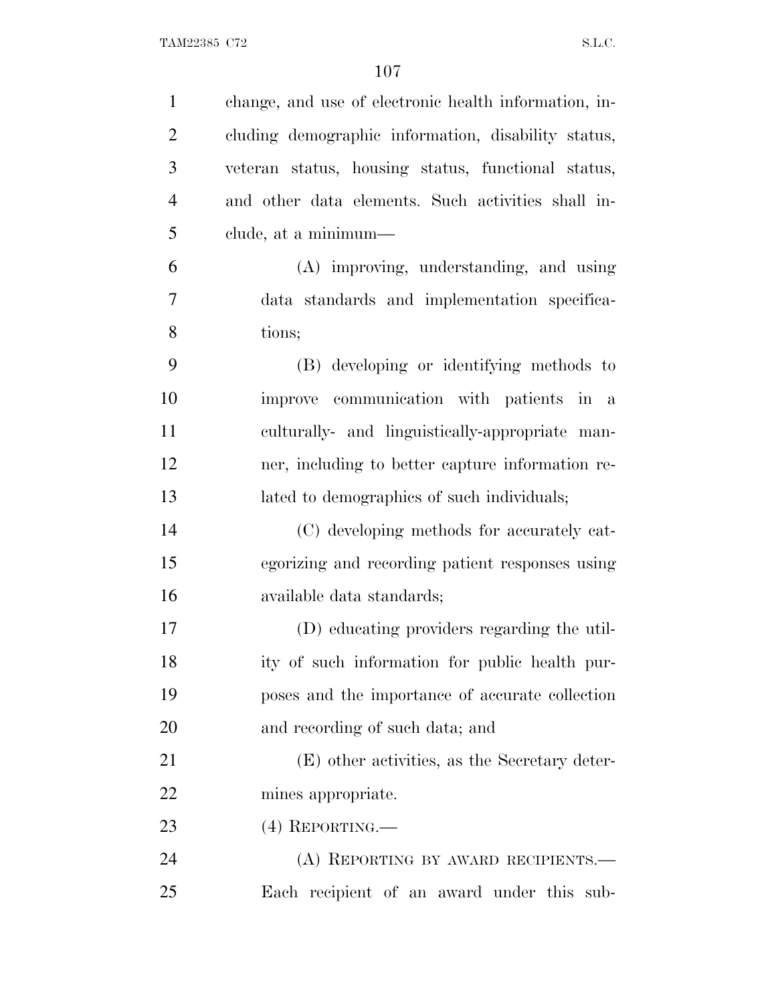| $\mathbf{1}$   | change, and use of electronic health information, in- |
|----------------|-------------------------------------------------------|
| $\overline{c}$ | cluding demographic information, disability status,   |
| 3              | veteran status, housing status, functional status,    |
| $\overline{4}$ | and other data elements. Such activities shall in-    |
| 5              | clude, at a minimum—                                  |
| 6              | (A) improving, understanding, and using               |
| $\overline{7}$ | data standards and implementation specifica-          |
| 8              | tions;                                                |
| 9              | (B) developing or identifying methods to              |
| 10             | improve communication with patients in a              |
| 11             | culturally- and linguistically-appropriate man-       |
| 12             | ner, including to better capture information re-      |
| 13             | lated to demographics of such individuals;            |
| 14             | (C) developing methods for accurately cat-            |
| 15             | egorizing and recording patient responses using       |
| 16             | available data standards;                             |
| 17             | (D) educating providers regarding the util-           |
| 18             | ity of such information for public health pur-        |
| 19             | poses and the importance of accurate collection       |
| <b>20</b>      | and recording of such data; and                       |
| 21             | (E) other activities, as the Secretary deter-         |
| 22             | mines appropriate.                                    |
| 23             | $(4)$ REPORTING.—                                     |
| 24             | (A) REPORTING BY AWARD RECIPIENTS.—                   |
| 25             | Each recipient of an award under this sub-            |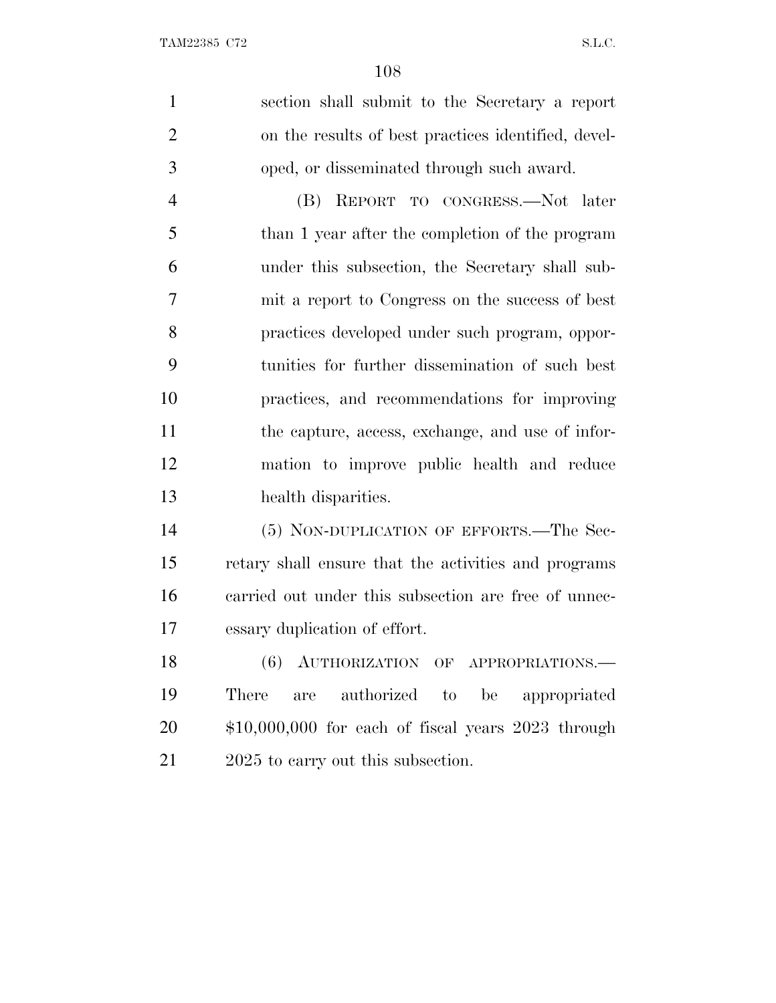|                | 108                                                  |
|----------------|------------------------------------------------------|
| $\mathbf{1}$   | section shall submit to the Secretary a report       |
| $\overline{2}$ | on the results of best practices identified, devel-  |
| 3              | oped, or disseminated through such award.            |
| $\overline{4}$ | REPORT TO CONGRESS.-Not later<br>(B)                 |
| 5              | than 1 year after the completion of the program      |
| 6              | under this subsection, the Secretary shall sub-      |
| 7              | mit a report to Congress on the success of best      |
| 8              | practices developed under such program, oppor-       |
| 9              | tunities for further dissemination of such best      |
| 10             | practices, and recommendations for improving         |
| 11             | the capture, access, exchange, and use of infor-     |
| 12             | mation to improve public health and reduce           |
| 13             | health disparities.                                  |
| 14             | (5) NON-DUPLICATION OF EFFORTS.—The Sec-             |
| 15             | retary shall ensure that the activities and programs |
| 16             | carried out under this subsection are free of unnec- |
| 17             | essary duplication of effort.                        |
|                |                                                      |

18 (6) AUTHORIZATION OF APPROPRIATIONS. There are authorized to be appropriated \$10,000,000 for each of fiscal years 2023 through 21 2025 to carry out this subsection.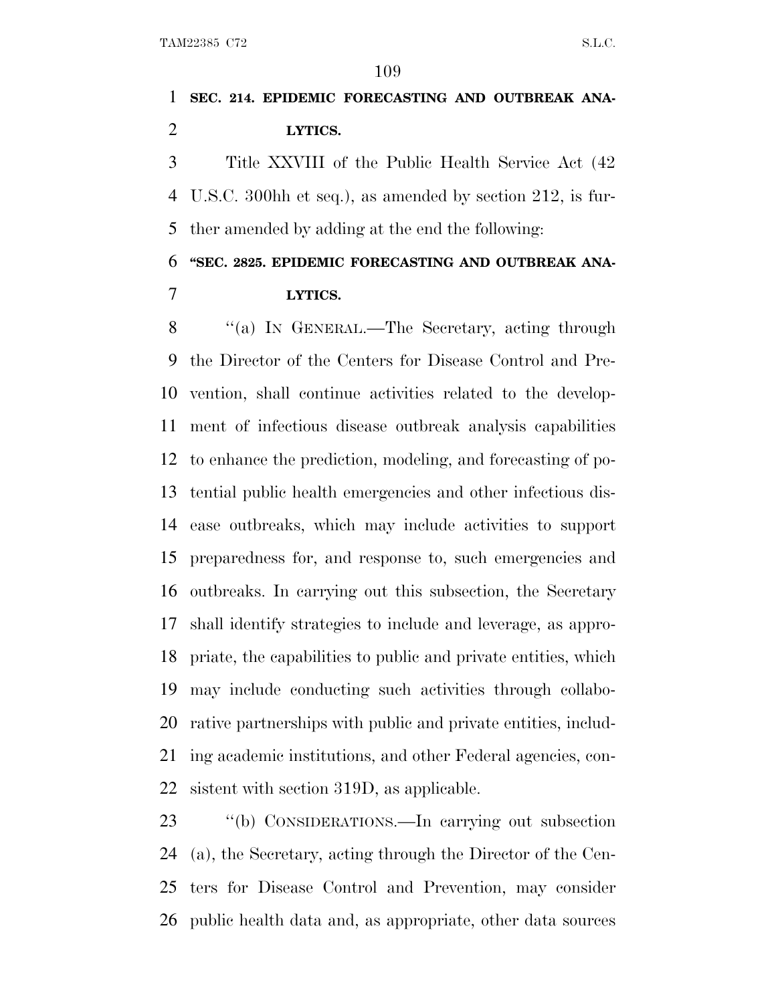## **SEC. 214. EPIDEMIC FORECASTING AND OUTBREAK ANA-LYTICS.**

 Title XXVIII of the Public Health Service Act (42 U.S.C. 300hh et seq.), as amended by section 212, is fur-ther amended by adding at the end the following:

**''SEC. 2825. EPIDEMIC FORECASTING AND OUTBREAK ANA-**

### **LYTICS.**

8 "(a) In GENERAL.—The Secretary, acting through the Director of the Centers for Disease Control and Pre- vention, shall continue activities related to the develop- ment of infectious disease outbreak analysis capabilities to enhance the prediction, modeling, and forecasting of po- tential public health emergencies and other infectious dis- ease outbreaks, which may include activities to support preparedness for, and response to, such emergencies and outbreaks. In carrying out this subsection, the Secretary shall identify strategies to include and leverage, as appro- priate, the capabilities to public and private entities, which may include conducting such activities through collabo- rative partnerships with public and private entities, includ- ing academic institutions, and other Federal agencies, con-sistent with section 319D, as applicable.

 ''(b) CONSIDERATIONS.—In carrying out subsection (a), the Secretary, acting through the Director of the Cen- ters for Disease Control and Prevention, may consider public health data and, as appropriate, other data sources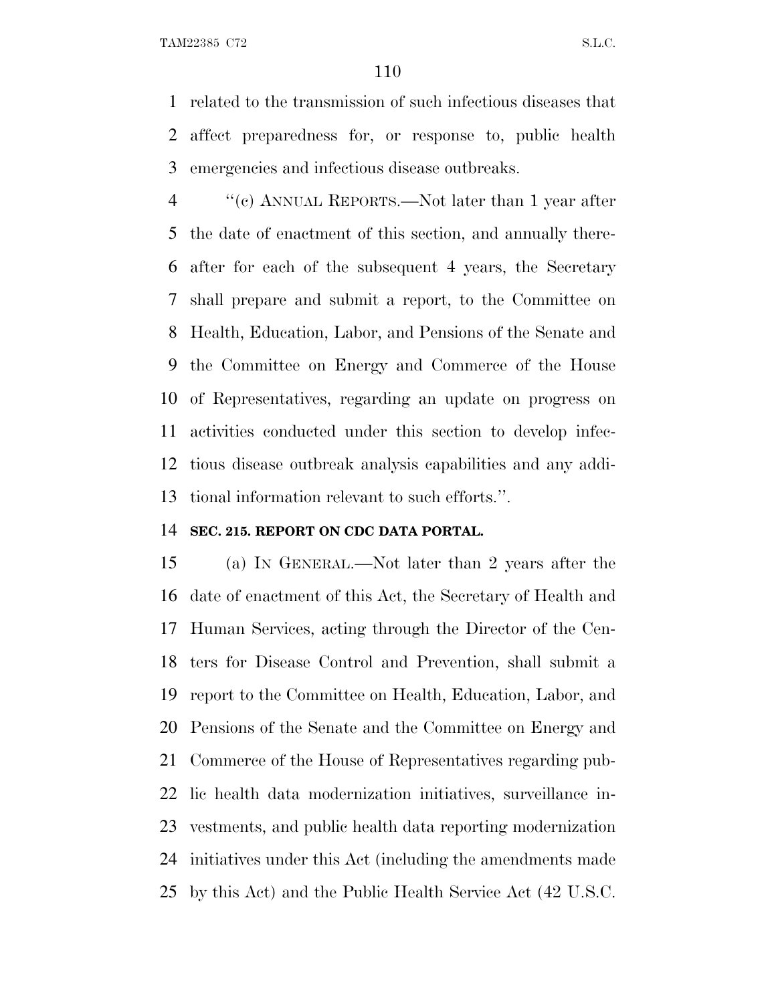related to the transmission of such infectious diseases that affect preparedness for, or response to, public health emergencies and infectious disease outbreaks.

 ''(c) ANNUAL REPORTS.—Not later than 1 year after the date of enactment of this section, and annually there- after for each of the subsequent 4 years, the Secretary shall prepare and submit a report, to the Committee on Health, Education, Labor, and Pensions of the Senate and the Committee on Energy and Commerce of the House of Representatives, regarding an update on progress on activities conducted under this section to develop infec- tious disease outbreak analysis capabilities and any addi-tional information relevant to such efforts.''.

#### **SEC. 215. REPORT ON CDC DATA PORTAL.**

 (a) I<sup>N</sup> GENERAL.—Not later than 2 years after the date of enactment of this Act, the Secretary of Health and Human Services, acting through the Director of the Cen- ters for Disease Control and Prevention, shall submit a report to the Committee on Health, Education, Labor, and Pensions of the Senate and the Committee on Energy and Commerce of the House of Representatives regarding pub- lic health data modernization initiatives, surveillance in- vestments, and public health data reporting modernization initiatives under this Act (including the amendments made by this Act) and the Public Health Service Act (42 U.S.C.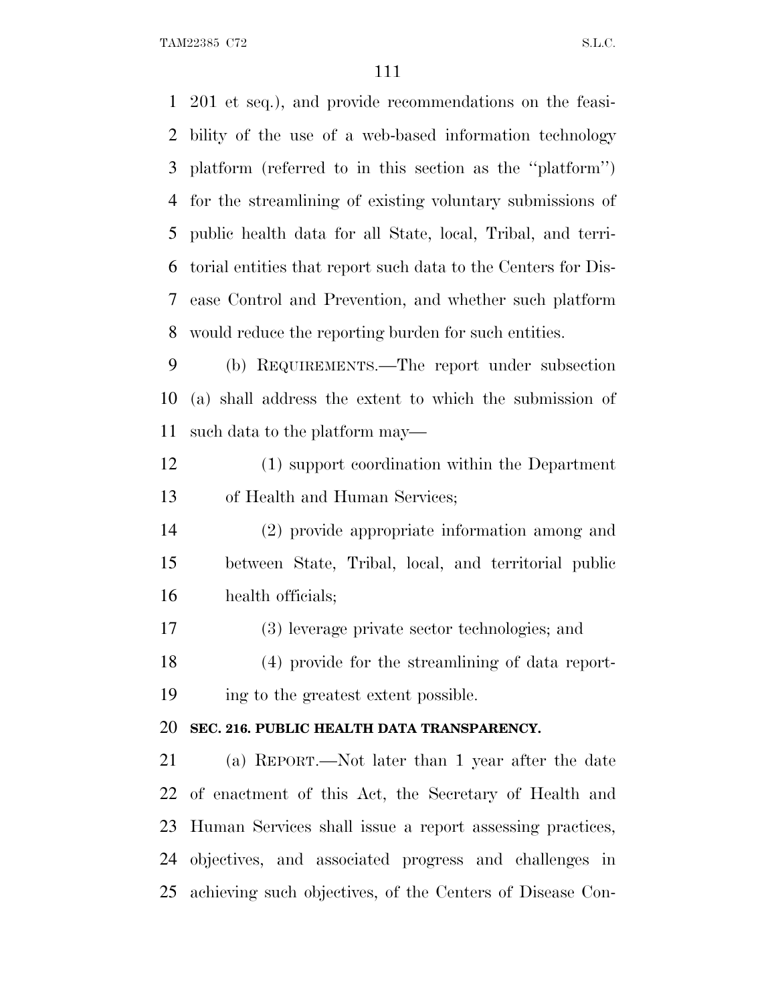201 et seq.), and provide recommendations on the feasi- bility of the use of a web-based information technology platform (referred to in this section as the ''platform'') for the streamlining of existing voluntary submissions of public health data for all State, local, Tribal, and terri- torial entities that report such data to the Centers for Dis- ease Control and Prevention, and whether such platform would reduce the reporting burden for such entities. (b) REQUIREMENTS.—The report under subsection (a) shall address the extent to which the submission of such data to the platform may— (1) support coordination within the Department

of Health and Human Services;

 (2) provide appropriate information among and between State, Tribal, local, and territorial public health officials;

(3) leverage private sector technologies; and

 (4) provide for the streamlining of data report-ing to the greatest extent possible.

#### **SEC. 216. PUBLIC HEALTH DATA TRANSPARENCY.**

 (a) REPORT.—Not later than 1 year after the date of enactment of this Act, the Secretary of Health and Human Services shall issue a report assessing practices, objectives, and associated progress and challenges in achieving such objectives, of the Centers of Disease Con-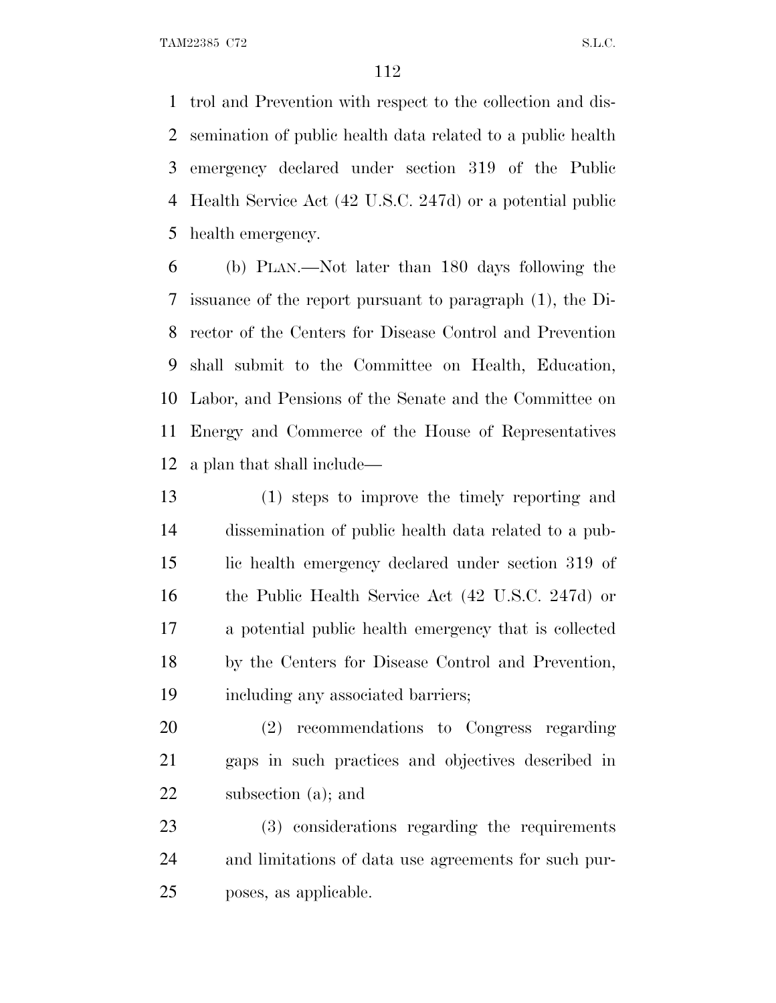trol and Prevention with respect to the collection and dis- semination of public health data related to a public health emergency declared under section 319 of the Public Health Service Act (42 U.S.C. 247d) or a potential public health emergency.

 (b) PLAN.—Not later than 180 days following the issuance of the report pursuant to paragraph (1), the Di- rector of the Centers for Disease Control and Prevention shall submit to the Committee on Health, Education, Labor, and Pensions of the Senate and the Committee on Energy and Commerce of the House of Representatives a plan that shall include—

 (1) steps to improve the timely reporting and dissemination of public health data related to a pub- lic health emergency declared under section 319 of the Public Health Service Act (42 U.S.C. 247d) or a potential public health emergency that is collected by the Centers for Disease Control and Prevention, including any associated barriers;

 (2) recommendations to Congress regarding gaps in such practices and objectives described in subsection (a); and

 (3) considerations regarding the requirements and limitations of data use agreements for such pur-poses, as applicable.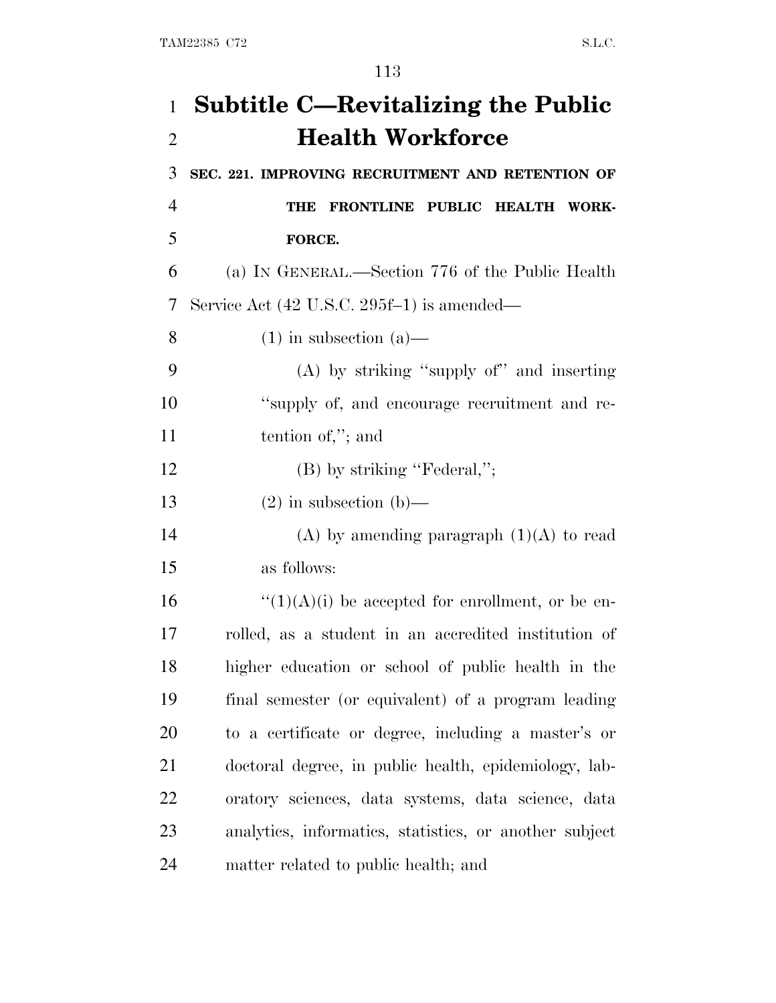| $\mathbf{1}$   | <b>Subtitle C—Revitalizing the Public</b>              |
|----------------|--------------------------------------------------------|
| $\overline{2}$ | <b>Health Workforce</b>                                |
| 3              | SEC. 221. IMPROVING RECRUITMENT AND RETENTION OF       |
| $\overline{4}$ | FRONTLINE PUBLIC HEALTH WORK-<br>THE                   |
| 5              | FORCE.                                                 |
| 6              | (a) IN GENERAL.—Section 776 of the Public Health       |
| 7              | Service Act (42 U.S.C. 295f-1) is amended—             |
| 8              | $(1)$ in subsection $(a)$ —                            |
| 9              | $(A)$ by striking "supply of" and inserting            |
| 10             | "supply of, and encourage recruitment and re-          |
| 11             | tention of,"; and                                      |
| 12             | $(B)$ by striking "Federal,";                          |
| 13             | $(2)$ in subsection $(b)$ —                            |
| 14             | (A) by amending paragraph $(1)(A)$ to read             |
| 15             | as follows:                                            |
| 16             | $\lq(1)(A)(i)$ be accepted for enrollment, or be en-   |
| 17             | rolled, as a student in an accredited institution of   |
| 18             | higher education or school of public health in the     |
| 19             | final semester (or equivalent) of a program leading    |
| 20             | to a certificate or degree, including a master's or    |
| 21             | doctoral degree, in public health, epidemiology, lab-  |
| 22             | oratory sciences, data systems, data science, data     |
| 23             | analytics, informatics, statistics, or another subject |
| 24             | matter related to public health; and                   |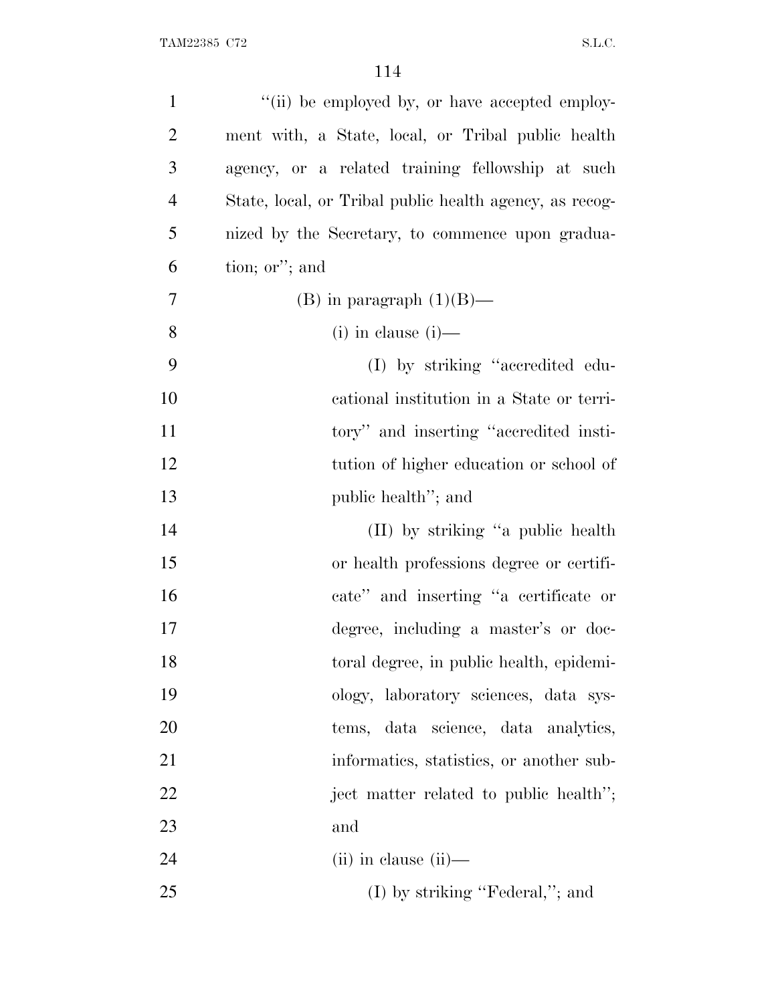| $\mathbf{1}$   | "(ii) be employed by, or have accepted employ-          |
|----------------|---------------------------------------------------------|
| $\overline{2}$ | ment with, a State, local, or Tribal public health      |
| 3              | agency, or a related training fellowship at such        |
| $\overline{4}$ | State, local, or Tribal public health agency, as recog- |
| 5              | nized by the Secretary, to commence upon gradua-        |
| 6              | tion; or"; and                                          |
| 7              | (B) in paragraph $(1)(B)$ —                             |
| 8              | $(i)$ in clause $(i)$ —                                 |
| 9              | (I) by striking "accredited edu-                        |
| 10             | cational institution in a State or terri-               |
| 11             | tory" and inserting "accredited insti-                  |
| 12             | tution of higher education or school of                 |
| 13             | public health"; and                                     |
| 14             | (II) by striking "a public health                       |
| 15             | or health professions degree or certifi-                |
| 16             | cate" and inserting "a certificate or                   |
| 17             | degree, including a master's or doc-                    |
| 18             | toral degree, in public health, epidemi-                |
| 19             | ology, laboratory sciences, data sys-                   |
| 20             | tems, data science, data analytics,                     |
| 21             | informatics, statistics, or another sub-                |
| 22             | ject matter related to public health";                  |
| 23             | and                                                     |
| 24             | $(ii)$ in clause $(ii)$ —                               |
| 25             | $(I)$ by striking "Federal,"; and                       |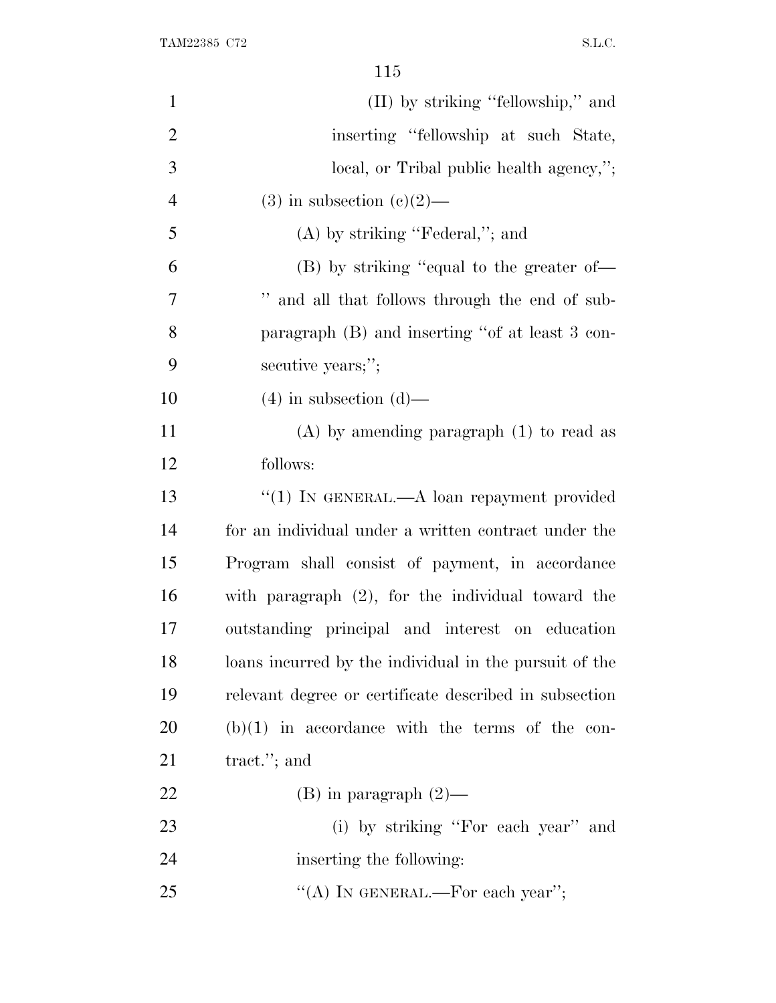| $\mathbf{1}$   | (II) by striking "fellowship," and                     |
|----------------|--------------------------------------------------------|
| $\overline{2}$ | inserting "fellowship at such State,                   |
| 3              | local, or Tribal public health agency,";               |
| $\overline{4}$ | $(3)$ in subsection $(c)(2)$ —                         |
| 5              | $(A)$ by striking "Federal,"; and                      |
| 6              | (B) by striking "equal to the greater of—              |
| 7              | " and all that follows through the end of sub-         |
| 8              | paragraph (B) and inserting "of at least 3 con-        |
| 9              | secutive years;";                                      |
| 10             | $(4)$ in subsection $(d)$ —                            |
| 11             | $(A)$ by amending paragraph $(1)$ to read as           |
| 12             | follows:                                               |
| 13             | "(1) IN GENERAL.—A loan repayment provided             |
| 14             | for an individual under a written contract under the   |
| 15             | Program shall consist of payment, in accordance        |
| 16             | with paragraph $(2)$ , for the individual toward the   |
| 17             | outstanding principal and interest on education        |
| 18             | loans incurred by the individual in the pursuit of the |
| 19             | relevant degree or certificate described in subsection |
| 20             | $(b)(1)$ in accordance with the terms of the con-      |
| 21             | tract."; and                                           |
| 22             | $(B)$ in paragraph $(2)$ —                             |
| 23             | (i) by striking "For each year" and                    |
| 24             | inserting the following:                               |
| 25             | "(A) IN GENERAL.—For each year";                       |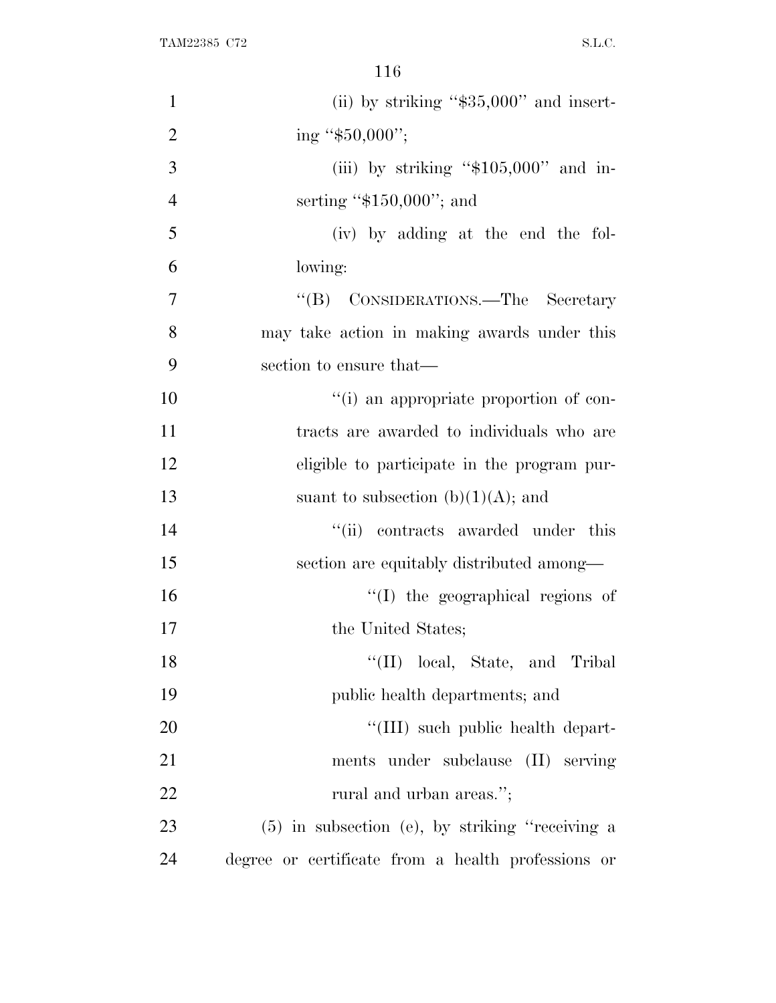| $\mathbf{1}$   | (ii) by striking " $$35,000"$ and insert-          |
|----------------|----------------------------------------------------|
| $\overline{2}$ | ing " $$50,000$ ";                                 |
| 3              | (iii) by striking " $$105,000"$ and in-            |
| $\overline{4}$ | serting " $$150,000$ "; and                        |
| 5              | (iv) by adding at the end the fol-                 |
| 6              | lowing:                                            |
| $\overline{7}$ | "(B) CONSIDERATIONS.—The Secretary                 |
| 8              | may take action in making awards under this        |
| 9              | section to ensure that—                            |
| 10             | "(i) an appropriate proportion of con-             |
| 11             | tracts are awarded to individuals who are          |
| 12             | eligible to participate in the program pur-        |
| 13             | suant to subsection (b) $(1)(A)$ ; and             |
| 14             | "(ii) contracts awarded under this                 |
| 15             | section are equitably distributed among—           |
| 16             | "(I) the geographical regions of                   |
| 17             | the United States;                                 |
| 18             | "(II) local, State, and Tribal                     |
| 19             | public health departments; and                     |
| 20             | "(III) such public health depart-                  |
| 21             | ments under subclause (II) serving                 |
| 22             | rural and urban areas.";                           |
| 23             | (5) in subsection (e), by striking "receiving a    |
| 24             | degree or certificate from a health professions or |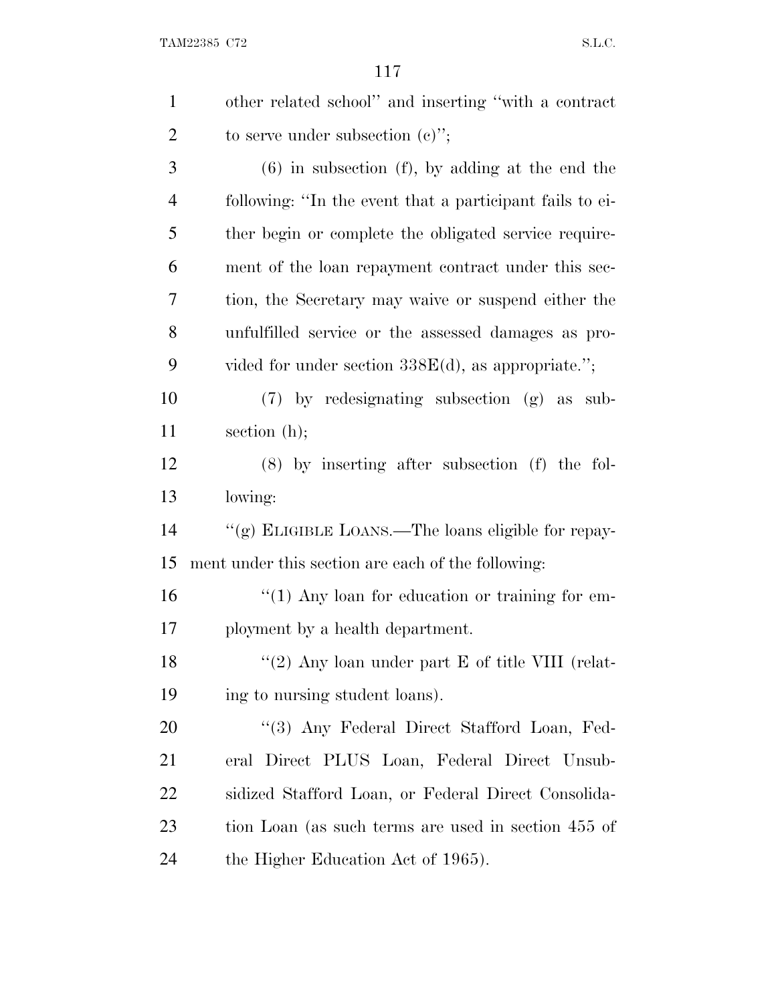| $\mathbf{1}$   | other related school" and inserting "with a contract     |
|----------------|----------------------------------------------------------|
| $\overline{2}$ | to serve under subsection $(e)$ ";                       |
| 3              | $(6)$ in subsection $(f)$ , by adding at the end the     |
| $\overline{4}$ | following: "In the event that a participant fails to ei- |
| 5              | ther begin or complete the obligated service require-    |
| 6              | ment of the loan repayment contract under this sec-      |
| 7              | tion, the Secretary may waive or suspend either the      |
| 8              | unfulfilled service or the assessed damages as pro-      |
| 9              | vided for under section $338E(d)$ , as appropriate.";    |
| 10             | $(7)$ by redesignating subsection $(g)$ as sub-          |
| 11             | section $(h)$ ;                                          |
| 12             | $(8)$ by inserting after subsection $(f)$ the fol-       |
| 13             | lowing:                                                  |
| 14             | "(g) ELIGIBLE LOANS.—The loans eligible for repay-       |
| 15             | ment under this section are each of the following:       |
| 16             | $\lq(1)$ Any loan for education or training for em-      |
| 17             | ployment by a health department.                         |
| 18             | "(2) Any loan under part $E$ of title VIII (relat-       |
| 19             | ing to nursing student loans).                           |
| 20             | "(3) Any Federal Direct Stafford Loan, Fed-              |
| 21             | eral Direct PLUS Loan, Federal Direct Unsub-             |
| 22             | sidized Stafford Loan, or Federal Direct Consolida-      |
| 23             | tion Loan (as such terms are used in section 455 of      |
| 24             | the Higher Education Act of 1965).                       |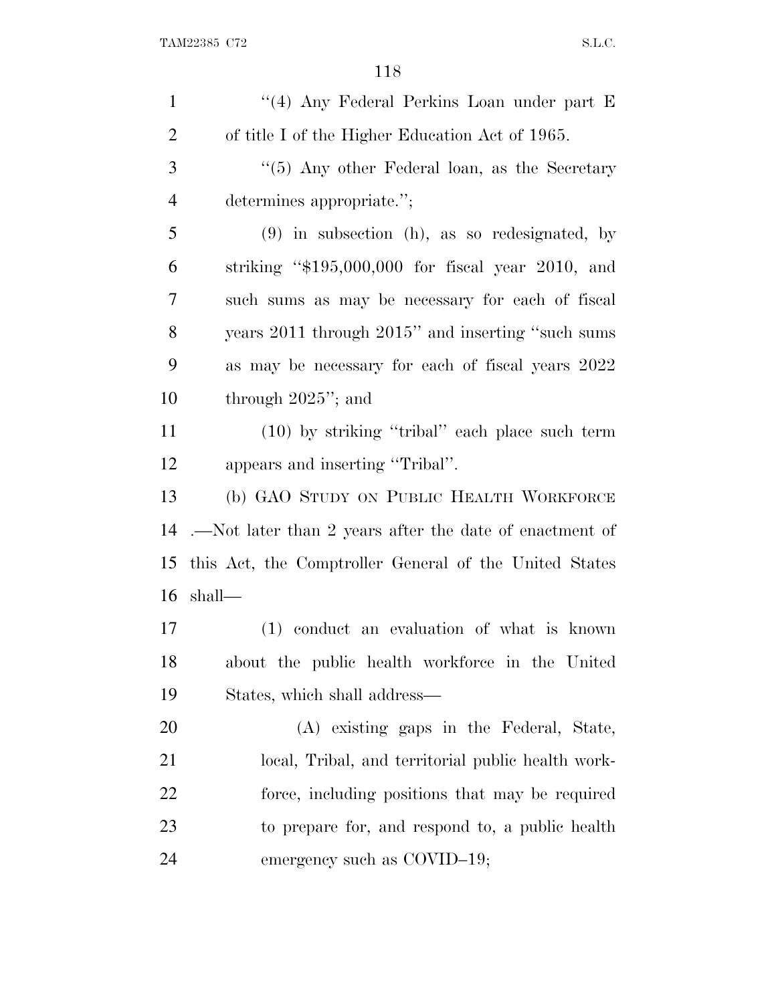| $\mathbf{1}$   | "(4) Any Federal Perkins Loan under part E              |
|----------------|---------------------------------------------------------|
| $\overline{2}$ | of title I of the Higher Education Act of 1965.         |
| 3              | "(5) Any other Federal loan, as the Secretary           |
| $\overline{4}$ | determines appropriate.";                               |
| 5              | $(9)$ in subsection (h), as so redesignated, by         |
| 6              | striking " $$195,000,000$ for fiscal year 2010, and     |
| 7              | such sums as may be necessary for each of fiscal        |
| 8              | years 2011 through 2015" and inserting "such sums       |
| 9              | as may be necessary for each of fiscal years 2022       |
| 10             | through $2025$ "; and                                   |
| 11             | $(10)$ by striking "tribal" each place such term        |
| 12             | appears and inserting "Tribal".                         |
| 13             | (b) GAO STUDY ON PUBLIC HEALTH WORKFORCE                |
| 14             | .—Not later than 2 years after the date of enactment of |
| 15             | this Act, the Comptroller General of the United States  |
| 16             | shall—                                                  |
| 17             | (1) conduct an evaluation of what is known              |
| 18             | about the public health workforce in the United         |
| 19             | States, which shall address—                            |
| 20             | (A) existing gaps in the Federal, State,                |
| 21             | local, Tribal, and territorial public health work-      |
| 22             | force, including positions that may be required         |
| 23             | to prepare for, and respond to, a public health         |
| 24             | emergency such as COVID-19;                             |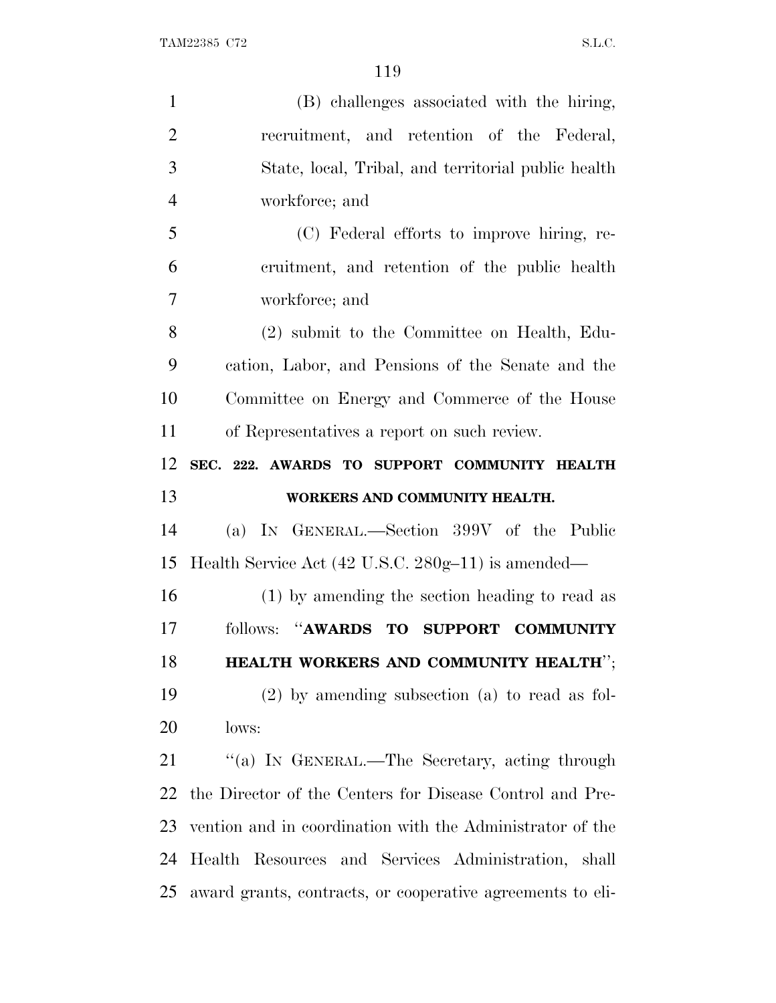| $\mathbf{1}$   | (B) challenges associated with the hiring,                |
|----------------|-----------------------------------------------------------|
| $\overline{2}$ | recruitment, and retention of the Federal,                |
| 3              | State, local, Tribal, and territorial public health       |
| $\overline{4}$ | workforce; and                                            |
| 5              | (C) Federal efforts to improve hiring, re-                |
| 6              | cruitment, and retention of the public health             |
| $\overline{7}$ | workforce; and                                            |
| 8              | (2) submit to the Committee on Health, Edu-               |
| 9              | cation, Labor, and Pensions of the Senate and the         |
| 10             | Committee on Energy and Commerce of the House             |
| 11             | of Representatives a report on such review.               |
| 12             | SEC. 222. AWARDS TO SUPPORT COMMUNITY HEALTH              |
| 13             | WORKERS AND COMMUNITY HEALTH.                             |
| 14             | (a) IN GENERAL.—Section 399V of the Public                |
| 15             | Health Service Act (42 U.S.C. 280g-11) is amended—        |
| 16             | (1) by amending the section heading to read as            |
| 17             | follows: "AWARDS TO SUPPORT COMMUNITY                     |
| 18             | HEALTH WORKERS AND COMMUNITY HEALTH";                     |
| 19             | $(2)$ by amending subsection $(a)$ to read as fol-        |
| 20             | lows:                                                     |
| 21             | "(a) IN GENERAL.—The Secretary, acting through            |
| 22             | the Director of the Centers for Disease Control and Pre-  |
|                |                                                           |
| 23             | vention and in coordination with the Administrator of the |
| 24             | Health Resources and Services Administration, shall       |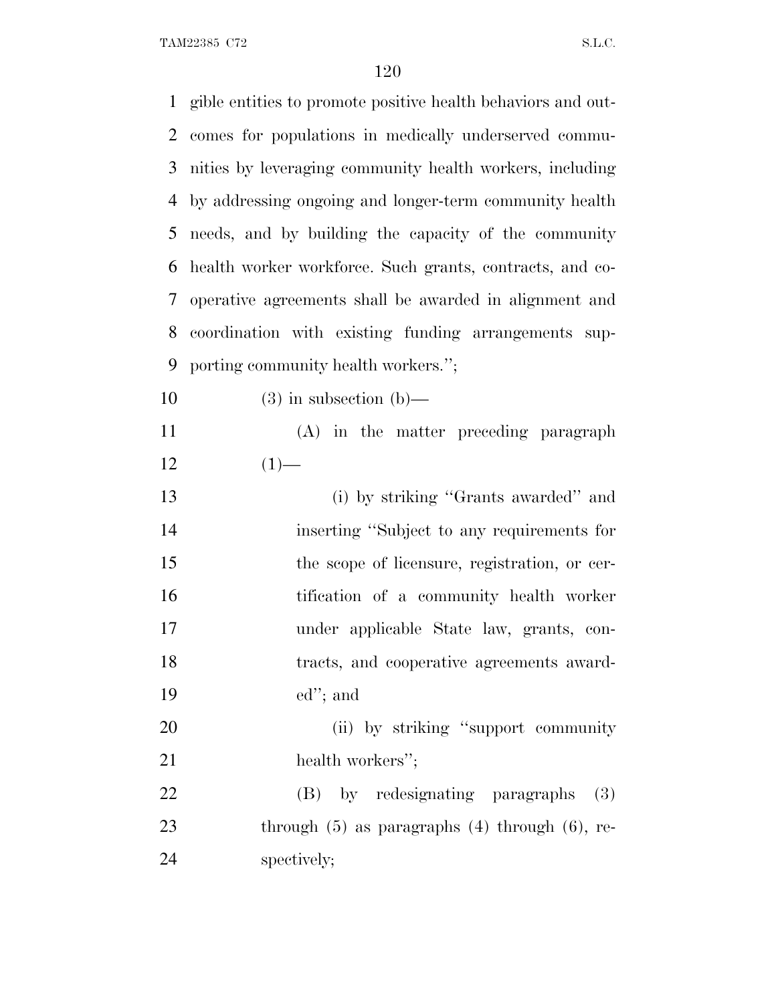| $\mathbf{1}$ | gible entities to promote positive health behaviors and out- |
|--------------|--------------------------------------------------------------|
| 2            | comes for populations in medically underserved commu-        |
| 3            | nities by leveraging community health workers, including     |
| 4            | by addressing ongoing and longer-term community health       |
| 5            | needs, and by building the capacity of the community         |
| 6            | health worker workforce. Such grants, contracts, and co-     |
| 7            | operative agreements shall be awarded in alignment and       |
| 8            | coordination with existing funding arrangements sup-         |
| 9            | porting community health workers.";                          |
| 10           | $(3)$ in subsection $(b)$ —                                  |
| 11           | (A) in the matter preceding paragraph                        |
| 12           | $(1)$ —                                                      |
| 13           | (i) by striking "Grants awarded" and                         |
| 14           | inserting "Subject to any requirements for                   |
| 15           | the scope of licensure, registration, or cer-                |
| 16           | tification of a community health worker                      |
| 17           | under applicable State law, grants, con-                     |
| 18           | tracts, and cooperative agreements award-                    |
| 19           | $ed$ "; and                                                  |
| 20           | (ii) by striking "support community"                         |
| 21           | health workers";                                             |
| 22           | (B) by redesignating paragraphs<br>(3)                       |
| 23           | through $(5)$ as paragraphs $(4)$ through $(6)$ , re-        |
| 24           | spectively;                                                  |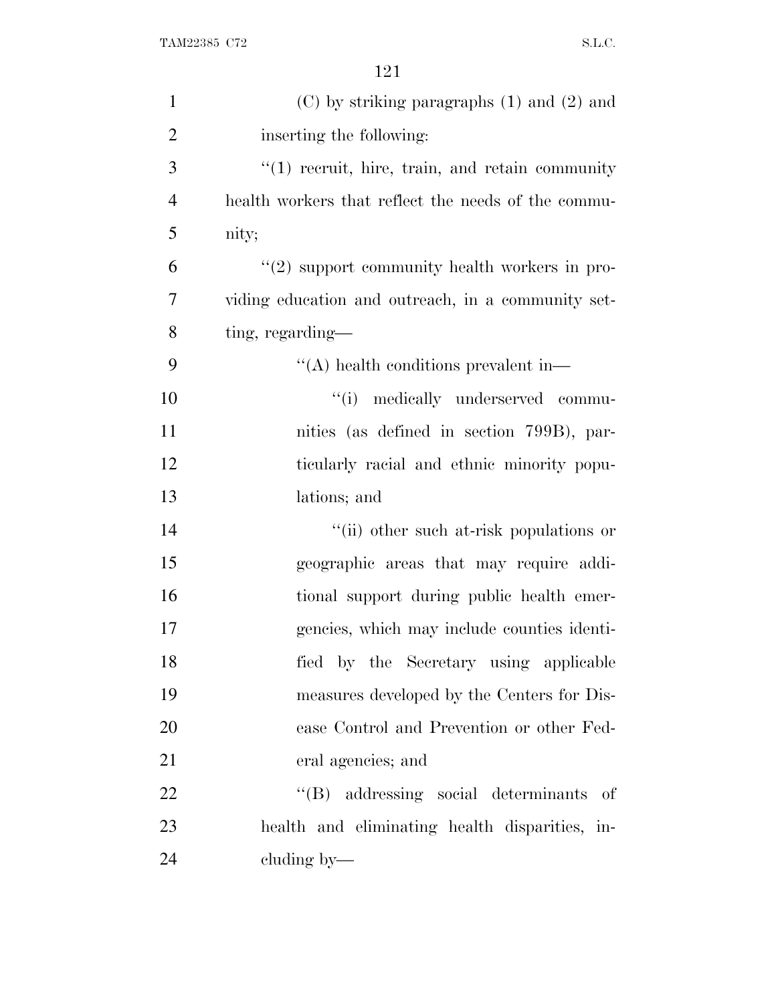| $\mathbf{1}$   | $(C)$ by striking paragraphs $(1)$ and $(2)$ and    |
|----------------|-----------------------------------------------------|
| $\overline{2}$ | inserting the following:                            |
| 3              | $"(1)$ recruit, hire, train, and retain community   |
| $\overline{4}$ | health workers that reflect the needs of the commu- |
| 5              | nity;                                               |
| 6              | $"(2)$ support community health workers in pro-     |
| 7              | viding education and outreach, in a community set-  |
| 8              | ting, regarding—                                    |
| 9              | $\lq\lq$ health conditions prevalent in-            |
| 10             | "(i) medically underserved commu-                   |
| 11             | nities (as defined in section 799B), par-           |
| 12             | ticularly racial and ethnic minority popu-          |
| 13             | lations; and                                        |
| 14             | "(ii) other such at-risk populations or             |
| 15             | geographic areas that may require addi-             |
| 16             | tional support during public health emer-           |
| 17             | gencies, which may include counties identi-         |
| 18             | fied by the Secretary using applicable              |
| 19             | measures developed by the Centers for Dis-          |
| 20             | ease Control and Prevention or other Fed-           |
| 21             | eral agencies; and                                  |
| 22             | "(B) addressing social determinants of              |
| 23             | health and eliminating health disparities, in-      |
| 24             | cluding by—                                         |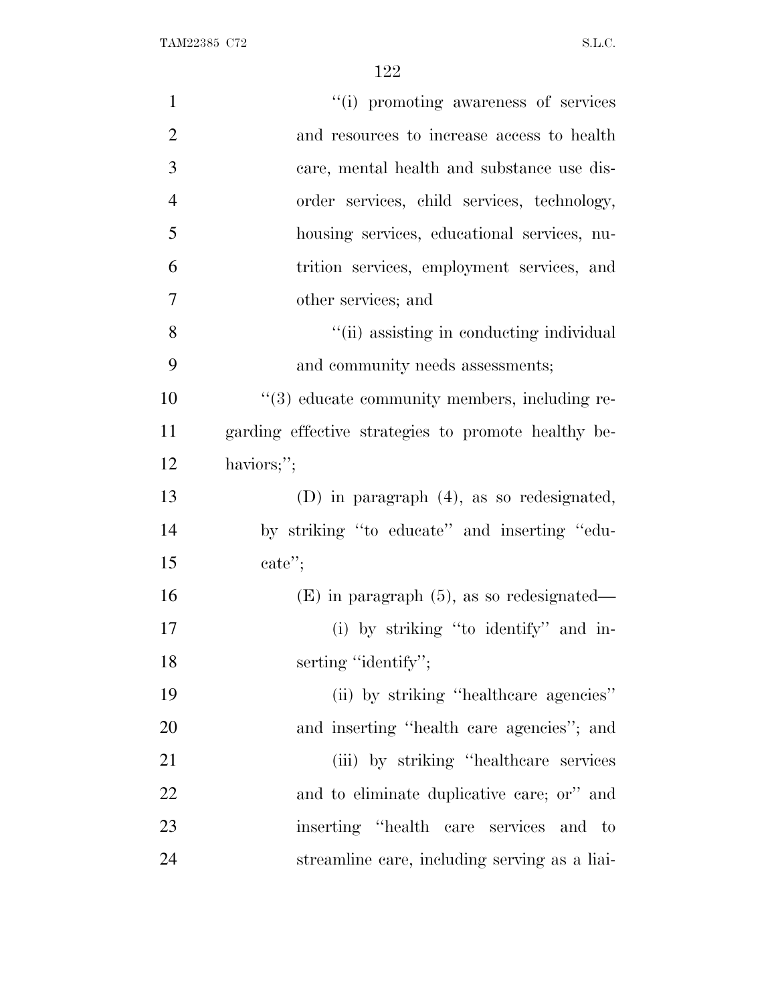| $\mathbf{1}$   | "(i) promoting awareness of services                |
|----------------|-----------------------------------------------------|
| $\overline{2}$ | and resources to increase access to health          |
| 3              | care, mental health and substance use dis-          |
| $\overline{4}$ | order services, child services, technology,         |
| 5              | housing services, educational services, nu-         |
| 6              | trition services, employment services, and          |
| $\overline{7}$ | other services; and                                 |
| 8              | "(ii) assisting in conducting individual            |
| 9              | and community needs assessments;                    |
| 10             | "(3) educate community members, including re-       |
| 11             | garding effective strategies to promote healthy be- |
| 12             | haviors;";                                          |
| 13             | $(D)$ in paragraph $(4)$ , as so redesignated,      |
| 14             | by striking "to educate" and inserting "edu-        |
| 15             | $\text{cate}$ ";                                    |
| 16             | $(E)$ in paragraph $(5)$ , as so redesignated—      |
| 17             | (i) by striking "to identify" and in-               |
| 18             | serting "identify";                                 |
| 19             | (ii) by striking "healthcare agencies"              |
| 20             | and inserting "health care agencies"; and           |
| 21             | (iii) by striking "healthcare services"             |
| 22             | and to eliminate duplicative care; or" and          |
| 23             | inserting "health care services and to              |
| 24             | streamline care, including serving as a liai-       |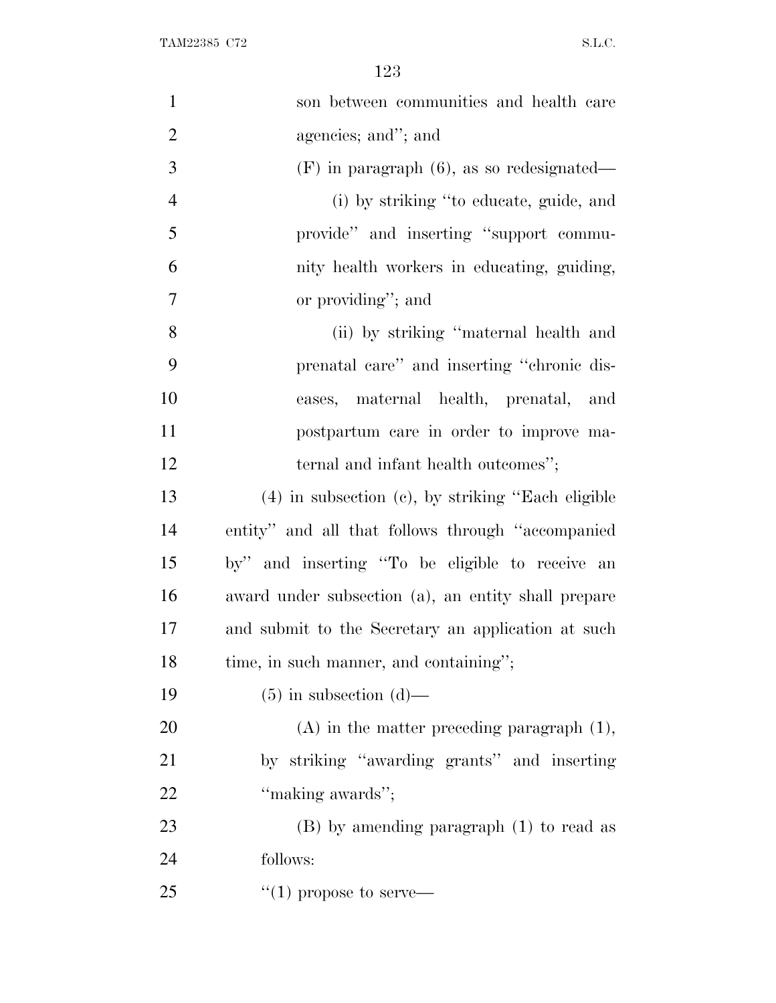| $\mathbf{1}$   | son between communities and health care                 |
|----------------|---------------------------------------------------------|
| $\overline{2}$ | agencies; and"; and                                     |
| 3              | $(F)$ in paragraph $(6)$ , as so redesignated—          |
| $\overline{4}$ | (i) by striking "to educate, guide, and                 |
| 5              | provide" and inserting "support commu-                  |
| 6              | nity health workers in educating, guiding,              |
| 7              | or providing"; and                                      |
| 8              | (ii) by striking "maternal health and                   |
| 9              | prenatal care" and inserting "chronic dis-              |
| 10             | eases, maternal health, prenatal, and                   |
| 11             | postpartum care in order to improve ma-                 |
| 12             | ternal and infant health outcomes";                     |
| 13             | $(4)$ in subsection $(c)$ , by striking "Each eligible" |
| 14             | entity" and all that follows through "accompanied"      |
| 15             | by" and inserting "To be eligible to receive an         |
| 16             | award under subsection (a), an entity shall prepare     |
| 17             | and submit to the Secretary an application at such      |
| 18             | time, in such manner, and containing";                  |
| 19             | $(5)$ in subsection $(d)$ —                             |
| 20             | $(A)$ in the matter preceding paragraph $(1)$ ,         |
| 21             | by striking "awarding grants" and inserting             |
| 22             | "making awards";                                        |
| 23             | $(B)$ by amending paragraph $(1)$ to read as            |
| 24             | follows:                                                |
| 25             | $\lq(1)$ propose to serve—                              |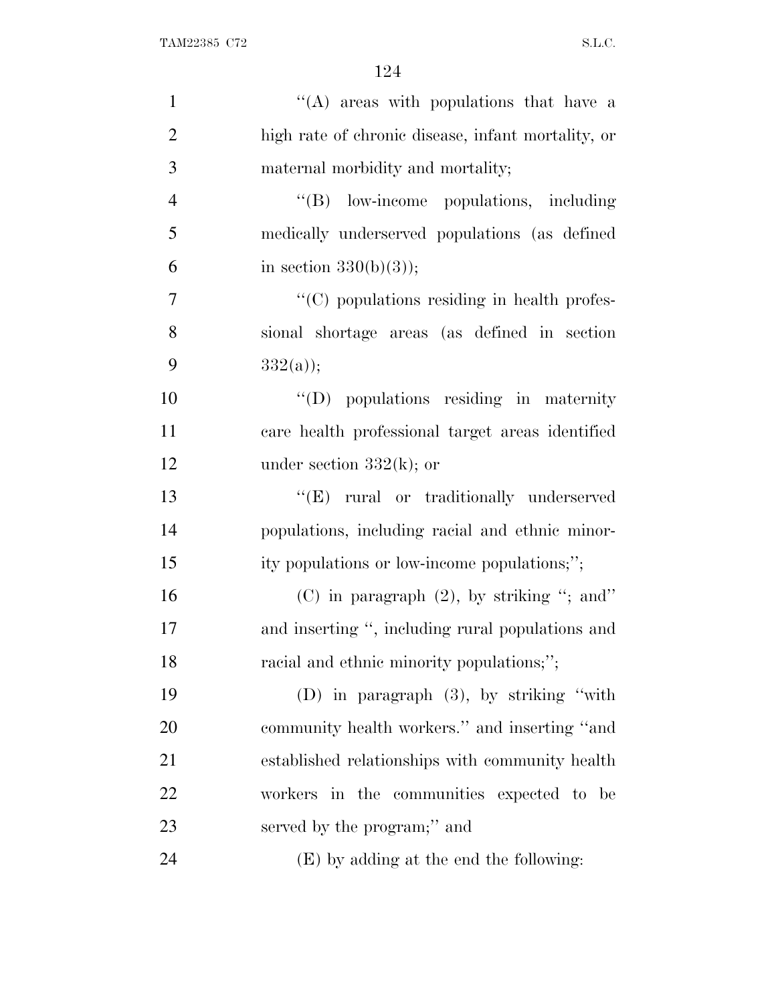| $\mathbf{1}$   | "(A) areas with populations that have a            |
|----------------|----------------------------------------------------|
| $\overline{2}$ | high rate of chronic disease, infant mortality, or |
| 3              | maternal morbidity and mortality;                  |
| $\overline{4}$ | "(B) low-income populations, including             |
| 5              | medically underserved populations (as defined      |
| 6              | in section $330(b)(3)$ ;                           |
| 7              | "(C) populations residing in health profes-        |
| 8              | sional shortage areas (as defined in section       |
| 9              | $332(a)$ ;                                         |
| 10             | "(D) populations residing in maternity             |
| 11             | care health professional target areas identified   |
| 12             | under section $332(k)$ ; or                        |
| 13             | "(E) rural or traditionally underserved            |
| 14             | populations, including racial and ethnic minor-    |
| 15             | ity populations or low-income populations;";       |
| 16             | (C) in paragraph $(2)$ , by striking "; and"       |
| 17             | and inserting ", including rural populations and   |
| 18             | racial and ethnic minority populations;";          |
| 19             | (D) in paragraph $(3)$ , by striking "with         |
| 20             | community health workers." and inserting "and      |
| 21             | established relationships with community health    |
| 22             | workers in the communities expected to be          |
| 23             | served by the program;" and                        |
| 24             | (E) by adding at the end the following:            |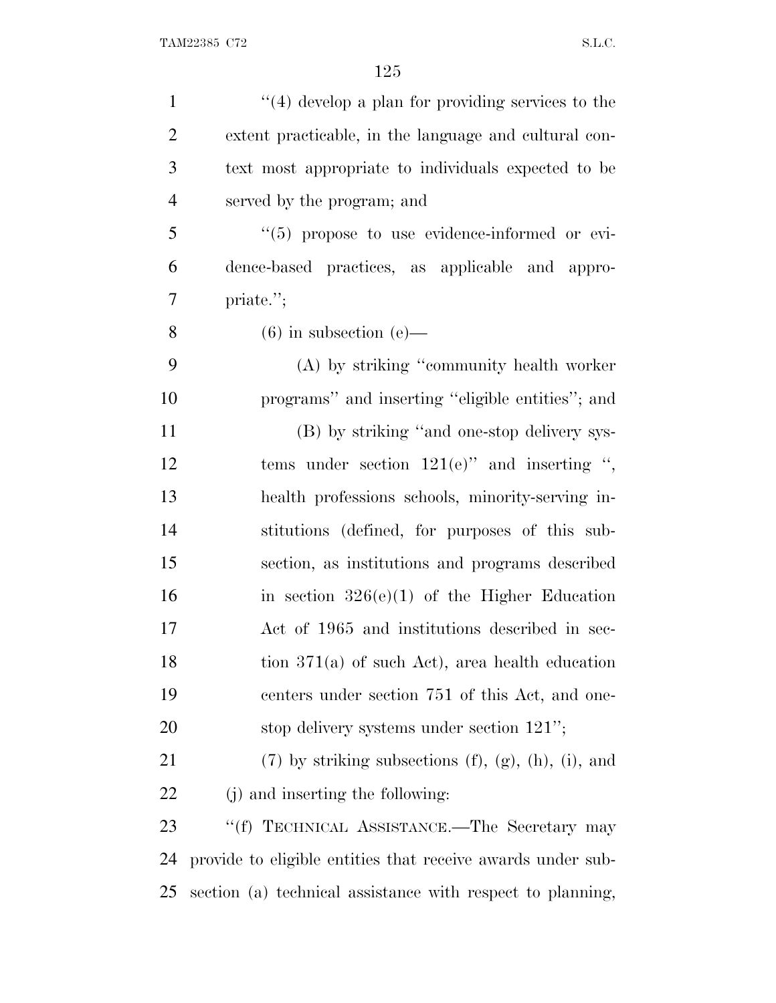| $\mathbf{1}$   | $\lq(4)$ develop a plan for providing services to the             |
|----------------|-------------------------------------------------------------------|
| $\overline{2}$ | extent practicable, in the language and cultural con-             |
| 3              | text most appropriate to individuals expected to be               |
| $\overline{4}$ | served by the program; and                                        |
| 5              | $\lq(5)$ propose to use evidence-informed or evi-                 |
| 6              | dence-based practices, as applicable and appro-                   |
| 7              | priate.";                                                         |
| 8              | $(6)$ in subsection $(e)$ —                                       |
| 9              | (A) by striking "community health worker                          |
| 10             | programs" and inserting "eligible entities"; and                  |
| 11             | (B) by striking "and one-stop delivery sys-                       |
| 12             | tems under section $121(e)$ " and inserting ",                    |
| 13             | health professions schools, minority-serving in-                  |
| 14             | stitutions (defined, for purposes of this sub-                    |
| 15             | section, as institutions and programs described                   |
| 16             | in section $326(e)(1)$ of the Higher Education                    |
| 17             | Act of 1965 and institutions described in sec-                    |
| 18             | tion $371(a)$ of such Act), area health education                 |
| 19             | centers under section 751 of this Act, and one-                   |
| 20             | stop delivery systems under section $121$ ";                      |
| 21             | $(7)$ by striking subsections $(f)$ , $(g)$ , $(h)$ , $(i)$ , and |
| 22             | (j) and inserting the following:                                  |
| 23             | "(f) TECHNICAL ASSISTANCE.—The Secretary may                      |
| 24             | provide to eligible entities that receive awards under sub-       |
| 25             | section (a) technical assistance with respect to planning,        |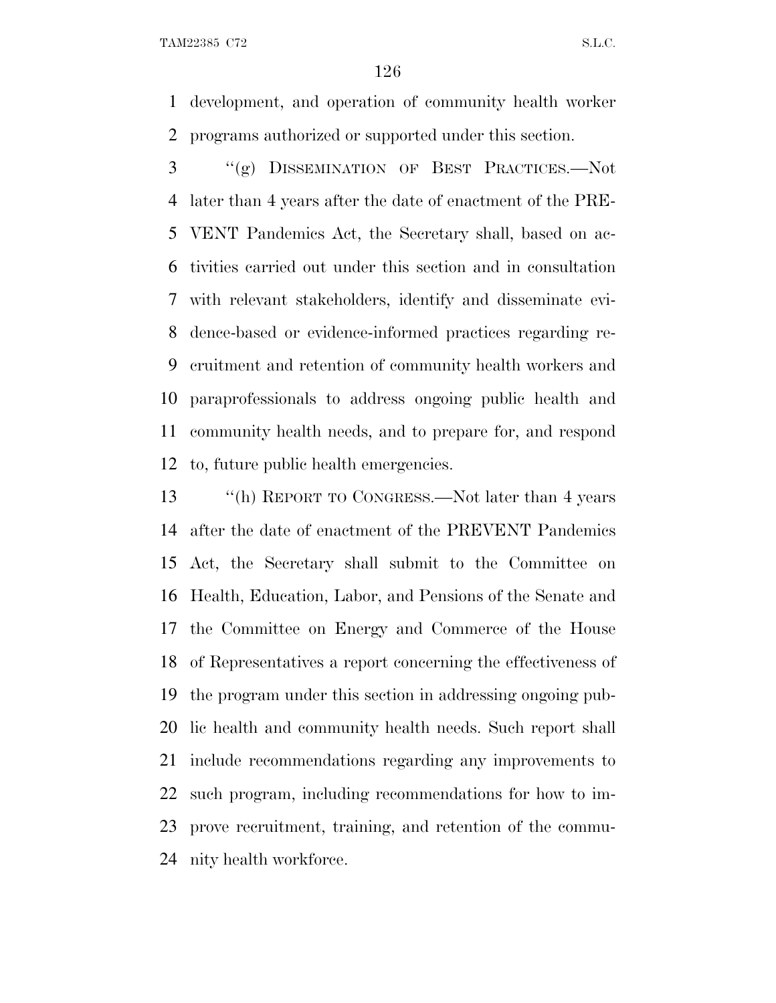development, and operation of community health worker programs authorized or supported under this section.

 ''(g) DISSEMINATION OF BEST PRACTICES.—Not later than 4 years after the date of enactment of the PRE- VENT Pandemics Act, the Secretary shall, based on ac- tivities carried out under this section and in consultation with relevant stakeholders, identify and disseminate evi- dence-based or evidence-informed practices regarding re- cruitment and retention of community health workers and paraprofessionals to address ongoing public health and community health needs, and to prepare for, and respond to, future public health emergencies.

 ''(h) REPORT TO CONGRESS.—Not later than 4 years after the date of enactment of the PREVENT Pandemics Act, the Secretary shall submit to the Committee on Health, Education, Labor, and Pensions of the Senate and the Committee on Energy and Commerce of the House of Representatives a report concerning the effectiveness of the program under this section in addressing ongoing pub- lic health and community health needs. Such report shall include recommendations regarding any improvements to such program, including recommendations for how to im- prove recruitment, training, and retention of the commu-nity health workforce.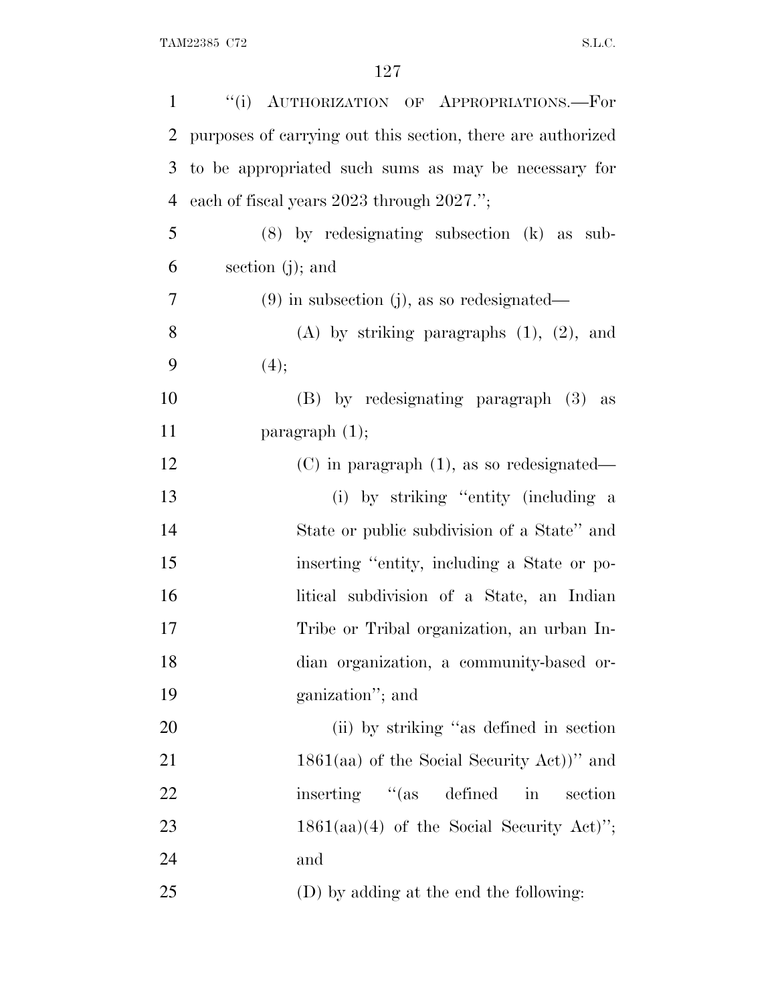| $\mathbf{1}$   | "(i) AUTHORIZATION OF APPROPRIATIONS.-For                   |
|----------------|-------------------------------------------------------------|
| 2              | purposes of carrying out this section, there are authorized |
| 3              | to be appropriated such sums as may be necessary for        |
| $\overline{4}$ | each of fiscal years 2023 through 2027.";                   |
| 5              | $(8)$ by redesignating subsection $(k)$ as sub-             |
| 6              | section $(j)$ ; and                                         |
| 7              | $(9)$ in subsection (j), as so redesignated—                |
| 8              | $(A)$ by striking paragraphs $(1)$ , $(2)$ , and            |
| 9              | (4);                                                        |
| 10             | (B) by redesignating paragraph (3) as                       |
| 11             | paragraph $(1)$ ;                                           |
| 12             | $(C)$ in paragraph $(1)$ , as so redesignated—              |
| 13             | (i) by striking "entity (including a                        |
| 14             | State or public subdivision of a State" and                 |
| 15             | inserting "entity, including a State or po-                 |
| 16             | litical subdivision of a State, an Indian                   |
| 17             | Tribe or Tribal organization, an urban In-                  |
| 18             | dian organization, a community-based or-                    |
| 19             | ganization"; and                                            |
| 20             | (ii) by striking "as defined in section                     |
| 21             | $1861(aa)$ of the Social Security Act))" and                |
| 22             | inserting "(as defined<br>$\operatorname{in}$<br>section    |
| 23             | $1861(aa)(4)$ of the Social Security Act)";                 |
| 24             | and                                                         |
| 25             | (D) by adding at the end the following:                     |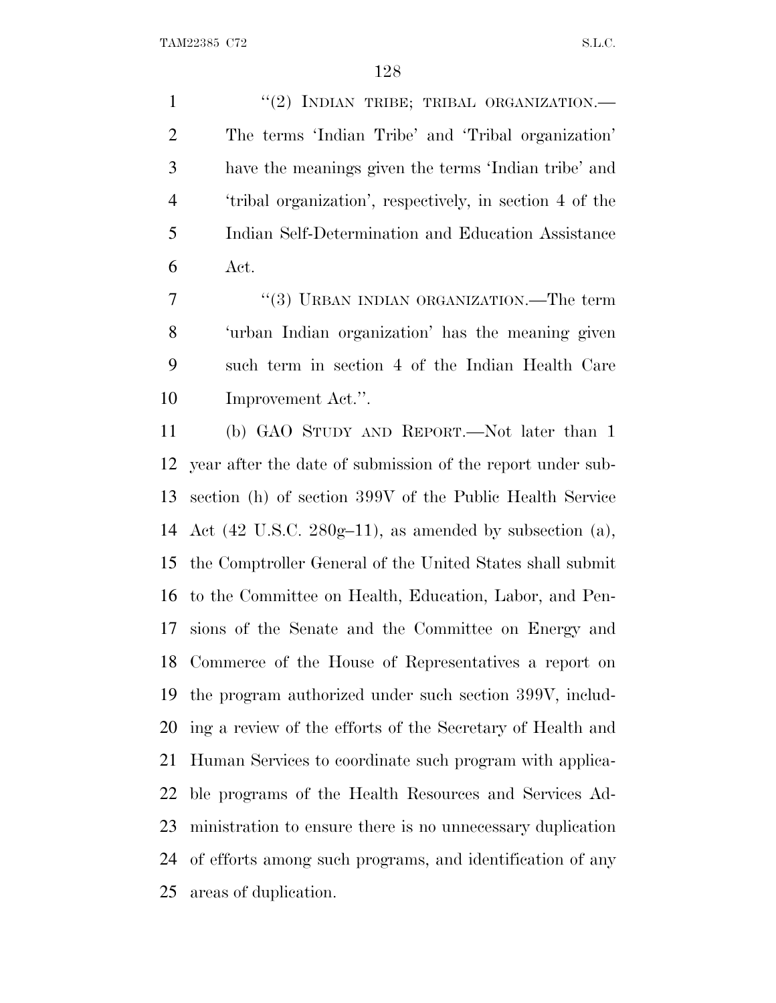1 "(2) INDIAN TRIBE; TRIBAL ORGANIZATION.— The terms 'Indian Tribe' and 'Tribal organization' have the meanings given the terms 'Indian tribe' and 'tribal organization', respectively, in section 4 of the Indian Self-Determination and Education Assistance Act.

7 "(3) URBAN INDIAN ORGANIZATION.—The term 'urban Indian organization' has the meaning given such term in section 4 of the Indian Health Care Improvement Act.''.

 (b) GAO STUDY AND REPORT.—Not later than 1 year after the date of submission of the report under sub- section (h) of section 399V of the Public Health Service Act (42 U.S.C. 280g–11), as amended by subsection (a), the Comptroller General of the United States shall submit to the Committee on Health, Education, Labor, and Pen- sions of the Senate and the Committee on Energy and Commerce of the House of Representatives a report on the program authorized under such section 399V, includ- ing a review of the efforts of the Secretary of Health and Human Services to coordinate such program with applica- ble programs of the Health Resources and Services Ad- ministration to ensure there is no unnecessary duplication of efforts among such programs, and identification of any areas of duplication.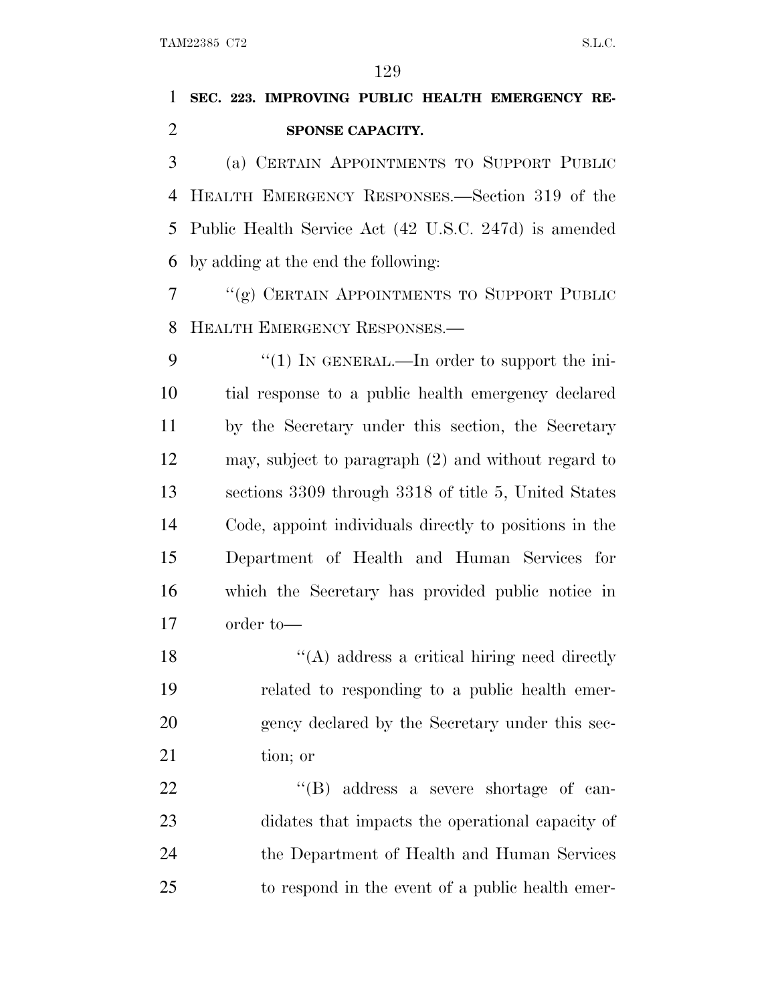## **SEC. 223. IMPROVING PUBLIC HEALTH EMERGENCY RE-SPONSE CAPACITY.**

 (a) CERTAIN APPOINTMENTS TO SUPPORT PUBLIC HEALTH EMERGENCY RESPONSES.—Section 319 of the Public Health Service Act (42 U.S.C. 247d) is amended by adding at the end the following:

 ''(g) CERTAIN APPOINTMENTS TO SUPPORT PUBLIC HEALTH EMERGENCY RESPONSES.—

9 "(1) IN GENERAL.—In order to support the ini- tial response to a public health emergency declared by the Secretary under this section, the Secretary may, subject to paragraph (2) and without regard to sections 3309 through 3318 of title 5, United States Code, appoint individuals directly to positions in the Department of Health and Human Services for which the Secretary has provided public notice in order to—

18 ''(A) address a critical hiring need directly related to responding to a public health emer-20 gency declared by the Secretary under this sec-21 tion; or

 $\text{``(B)}$  address a severe shortage of can- didates that impacts the operational capacity of the Department of Health and Human Services to respond in the event of a public health emer-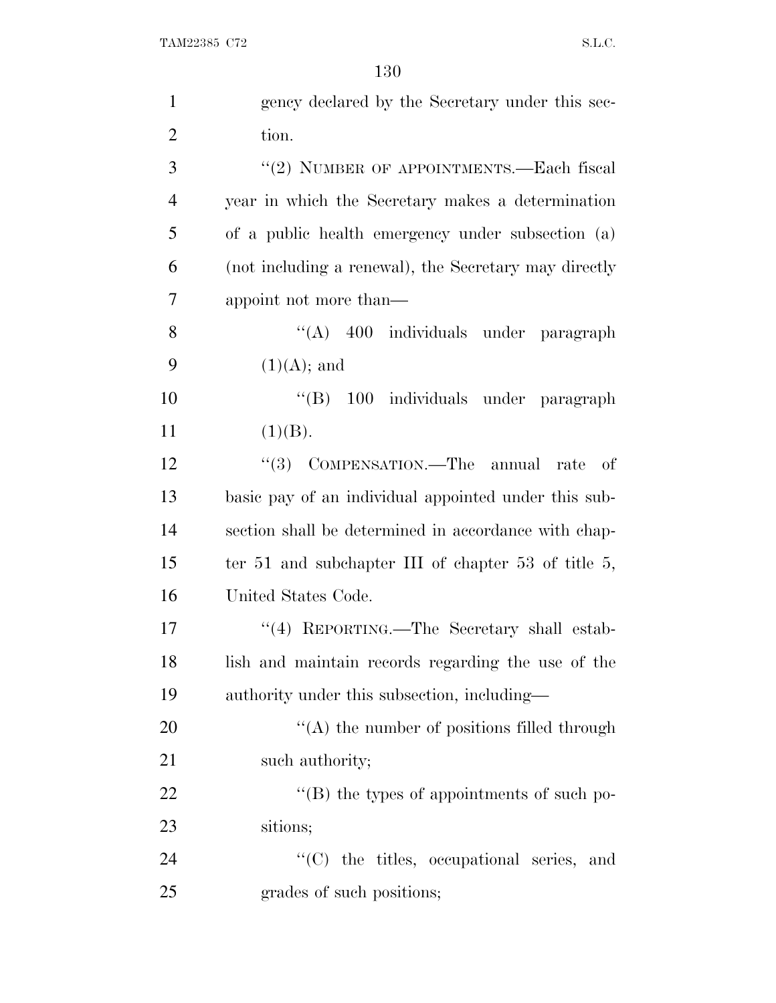| $\mathbf{1}$   | gency declared by the Secretary under this sec-        |
|----------------|--------------------------------------------------------|
| $\overline{2}$ | tion.                                                  |
| 3              | "(2) NUMBER OF APPOINTMENTS.—Each fiscal               |
| $\overline{4}$ | year in which the Secretary makes a determination      |
| 5              | of a public health emergency under subsection (a)      |
| 6              | (not including a renewal), the Secretary may directly  |
| 7              | appoint not more than—                                 |
| 8              | "(A) 400 individuals under paragraph                   |
| 9              | $(1)(A)$ ; and                                         |
| 10             | "(B) 100 individuals under paragraph                   |
| 11             | (1)(B).                                                |
| 12             | "(3) COMPENSATION.—The annual rate<br>- of             |
| 13             | basic pay of an individual appointed under this sub-   |
| 14             | section shall be determined in accordance with chap-   |
| 15             | ter 51 and subchapter III of chapter 53 of title $5$ , |
| 16             | United States Code.                                    |
| 17             | "(4) REPORTING.—The Secretary shall estab-             |
| 18             | lish and maintain records regarding the use of the     |
| 19             | authority under this subsection, including—            |
| 20             | "(A) the number of positions filled through            |
| 21             | such authority;                                        |
| 22             | "(B) the types of appointments of such po-             |
| 23             | sitions;                                               |
| 24             | "(C) the titles, occupational series, and              |
| 25             | grades of such positions;                              |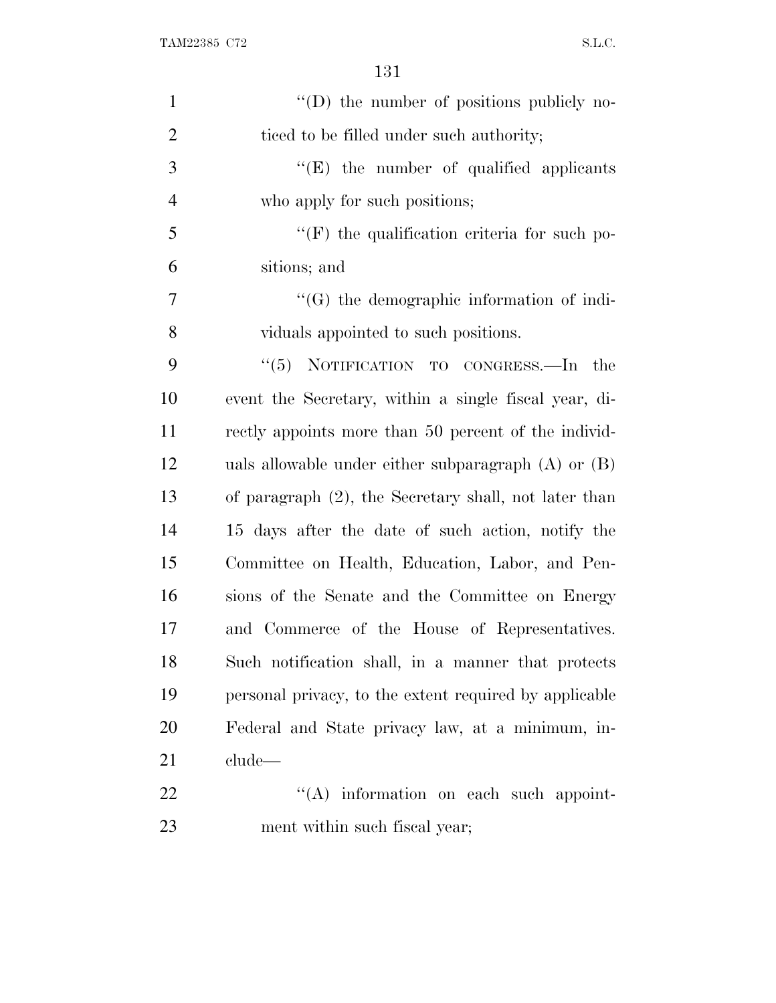| $\mathbf{1}$   | $\lq\lq$ the number of positions publicly no-           |
|----------------|---------------------------------------------------------|
| $\overline{2}$ | ticed to be filled under such authority;                |
| 3              | $\lq\lq$ (E) the number of qualified applicants         |
| $\overline{4}$ | who apply for such positions;                           |
| 5              | $\lq\lq(F)$ the qualification criteria for such po-     |
| 6              | sitions; and                                            |
| $\overline{7}$ | $\lq\lq(G)$ the demographic information of indi-        |
| 8              | viduals appointed to such positions.                    |
| 9              | " $(5)$ NOTIFICATION TO CONGRESS.—In the                |
| 10             | event the Secretary, within a single fiscal year, di-   |
| 11             | rectly appoints more than 50 percent of the individ-    |
| 12             | uals allowable under either subparagraph $(A)$ or $(B)$ |
| 13             | of paragraph (2), the Secretary shall, not later than   |
| 14             | 15 days after the date of such action, notify the       |
| 15             | Committee on Health, Education, Labor, and Pen-         |
| 16             | sions of the Senate and the Committee on Energy         |
| 17             | and Commerce of the House of Representatives.           |
| 18             | Such notification shall, in a manner that protects      |
| 19             | personal privacy, to the extent required by applicable  |
| 20             | Federal and State privacy law, at a minimum, in-        |
| 21             | clude—                                                  |
| 22             | "(A) information on each such appoint-                  |
| 23             | ment within such fiscal year;                           |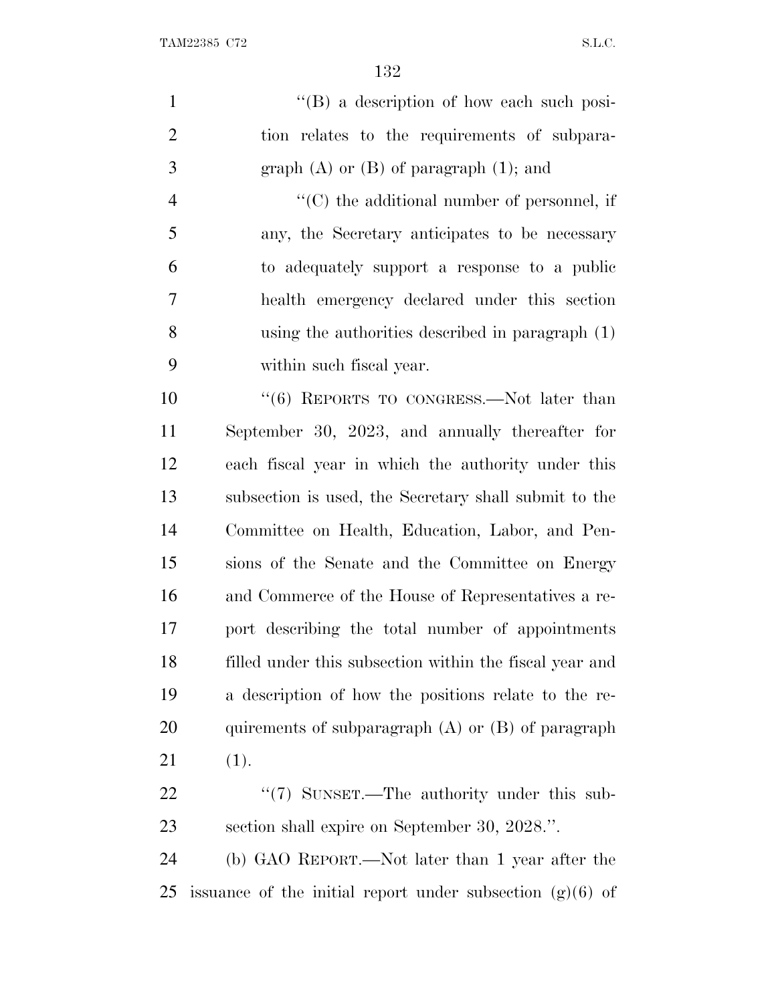| $\mathbf{1}$   | "(B) a description of how each such posi-                   |
|----------------|-------------------------------------------------------------|
| $\overline{2}$ | tion relates to the requirements of subpara-                |
| 3              | graph $(A)$ or $(B)$ of paragraph $(1)$ ; and               |
| $\overline{4}$ | "(C) the additional number of personnel, if                 |
| 5              | any, the Secretary anticipates to be necessary              |
| 6              | to adequately support a response to a public                |
| 7              | health emergency declared under this section                |
| 8              | using the authorities described in paragraph (1)            |
| 9              | within such fiscal year.                                    |
| 10             | "(6) REPORTS TO CONGRESS.—Not later than                    |
| 11             | September 30, 2023, and annually thereafter for             |
| 12             | each fiscal year in which the authority under this          |
| 13             | subsection is used, the Secretary shall submit to the       |
| 14             | Committee on Health, Education, Labor, and Pen-             |
| 15             | sions of the Senate and the Committee on Energy             |
| 16             | and Commerce of the House of Representatives a re-          |
| 17             | port describing the total number of appointments            |
| 18             | filled under this subsection within the fiscal year and     |
| 19             | a description of how the positions relate to the re-        |
| 20             | quirements of subparagraph $(A)$ or $(B)$ of paragraph      |
| 21             | (1).                                                        |
| 22             | "(7) SUNSET.—The authority under this sub-                  |
| 23             | section shall expire on September 30, 2028.".               |
| 24             | (b) GAO REPORT.—Not later than 1 year after the             |
| 25             | issuance of the initial report under subsection $(g)(6)$ of |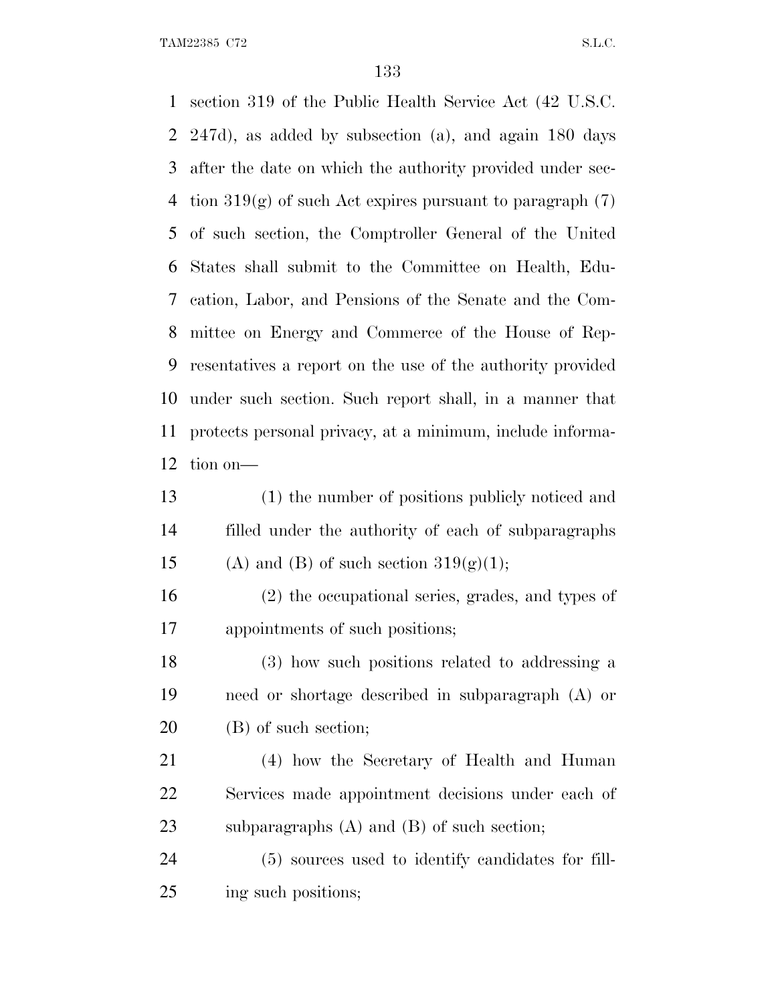section 319 of the Public Health Service Act (42 U.S.C. 247d), as added by subsection (a), and again 180 days after the date on which the authority provided under sec-4 tion  $319(g)$  of such Act expires pursuant to paragraph  $(7)$  of such section, the Comptroller General of the United States shall submit to the Committee on Health, Edu- cation, Labor, and Pensions of the Senate and the Com- mittee on Energy and Commerce of the House of Rep- resentatives a report on the use of the authority provided under such section. Such report shall, in a manner that protects personal privacy, at a minimum, include informa-tion on—

 (1) the number of positions publicly noticed and filled under the authority of each of subparagraphs 15 (A) and (B) of such section  $319(g)(1)$ ;

 (2) the occupational series, grades, and types of appointments of such positions;

 (3) how such positions related to addressing a need or shortage described in subparagraph (A) or (B) of such section;

 (4) how the Secretary of Health and Human Services made appointment decisions under each of subparagraphs (A) and (B) of such section;

 (5) sources used to identify candidates for fill-ing such positions;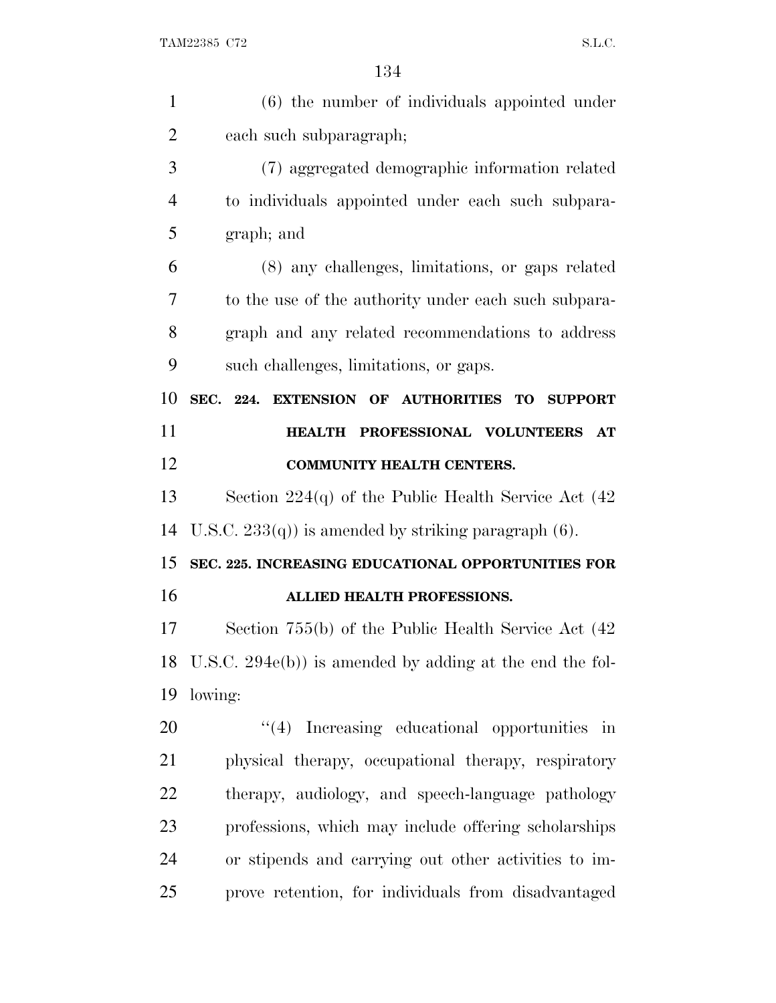| $\mathbf{1}$   | $(6)$ the number of individuals appointed under             |
|----------------|-------------------------------------------------------------|
| $\overline{2}$ | each such subparagraph;                                     |
| 3              | (7) aggregated demographic information related              |
| $\overline{4}$ | to individuals appointed under each such subpara-           |
| 5              | graph; and                                                  |
| 6              | (8) any challenges, limitations, or gaps related            |
| 7              | to the use of the authority under each such subpara-        |
| 8              | graph and any related recommendations to address            |
| 9              | such challenges, limitations, or gaps.                      |
| 10             | SEC. 224. EXTENSION OF AUTHORITIES TO SUPPORT               |
| 11             | HEALTH PROFESSIONAL VOLUNTEERS<br>$\bf AT$                  |
| 12             | <b>COMMUNITY HEALTH CENTERS.</b>                            |
| 13             | Section $224(q)$ of the Public Health Service Act $(42)$    |
| 14             | U.S.C. $233(q)$ is amended by striking paragraph (6).       |
| 15             | SEC. 225. INCREASING EDUCATIONAL OPPORTUNITIES FOR          |
| 16             | ALLIED HEALTH PROFESSIONS.                                  |
| 17             | Section 755(b) of the Public Health Service Act (42)        |
|                | 18 U.S.C. 294e(b)) is amended by adding at the end the fol- |
| 19             | lowing:                                                     |
| 20             | $\lq(4)$ Increasing educational opportunities in            |
| 21             | physical therapy, occupational therapy, respiratory         |
| 22             | therapy, audiology, and speech-language pathology           |
| 23             | professions, which may include offering scholarships        |
| 24             | or stipends and carrying out other activities to im-        |
| 25             | prove retention, for individuals from disadvantaged         |
|                |                                                             |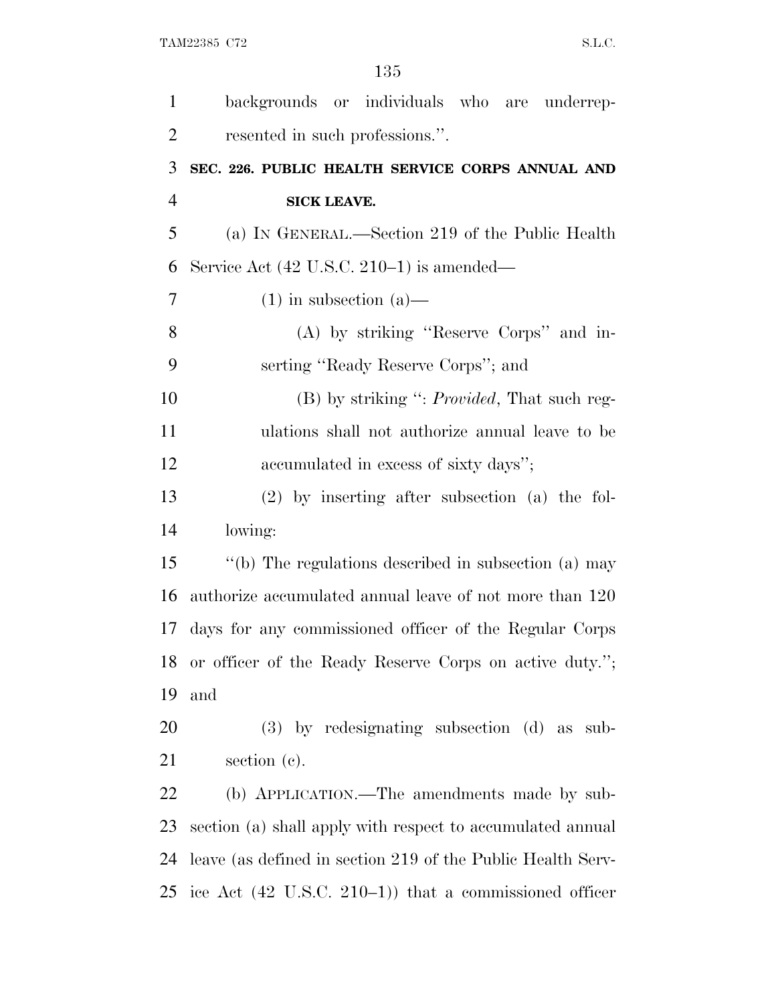| $\mathbf{1}$   | backgrounds or individuals who are underrep-                        |
|----------------|---------------------------------------------------------------------|
| $\overline{2}$ | resented in such professions.".                                     |
| 3              | SEC. 226. PUBLIC HEALTH SERVICE CORPS ANNUAL AND                    |
| $\overline{4}$ | <b>SICK LEAVE.</b>                                                  |
| 5              | (a) IN GENERAL.—Section 219 of the Public Health                    |
| 6              | Service Act $(42 \text{ U.S.C. } 210-1)$ is amended—                |
| $\overline{7}$ | $(1)$ in subsection $(a)$ —                                         |
| 8              | (A) by striking "Reserve Corps" and in-                             |
| 9              | serting "Ready Reserve Corps"; and                                  |
| 10             | (B) by striking ": <i>Provided</i> , That such reg-                 |
| 11             | ulations shall not authorize annual leave to be                     |
| 12             | accumulated in excess of sixty days";                               |
| 13             | $(2)$ by inserting after subsection $(a)$ the fol-                  |
| 14             | lowing:                                                             |
| 15             | "(b) The regulations described in subsection (a) may                |
| 16             | authorize accumulated annual leave of not more than 120             |
| 17             | days for any commissioned officer of the Regular Corps              |
|                | 18 or officer of the Ready Reserve Corps on active duty.";          |
| 19             | and                                                                 |
| 20             | $(3)$ by redesignating subsection $(d)$ as sub-                     |
| 21             | section $(c)$ .                                                     |
| 22             | (b) APPLICATION.—The amendments made by sub-                        |
| 23             | section (a) shall apply with respect to accumulated annual          |
| 24             | leave (as defined in section 219 of the Public Health Serv-         |
|                | 25 ice Act $(42 \text{ U.S.C. } 210-1)$ that a commissioned officer |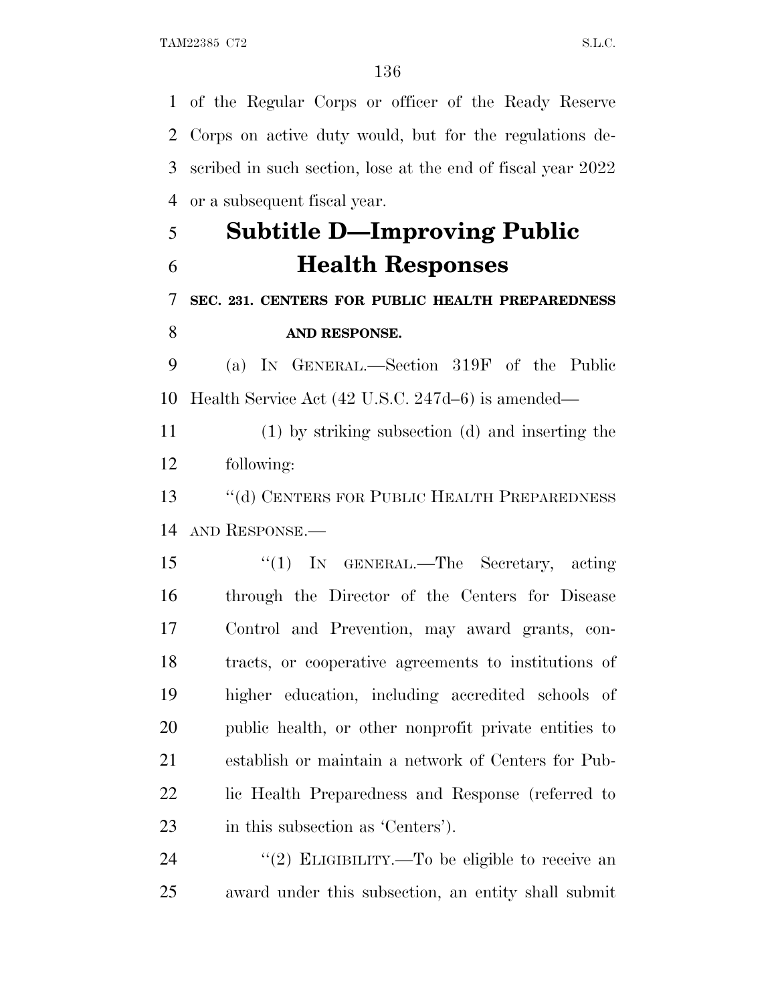of the Regular Corps or officer of the Ready Reserve Corps on active duty would, but for the regulations de- scribed in such section, lose at the end of fiscal year 2022 or a subsequent fiscal year.

## **Subtitle D—Improving Public Health Responses**

### **SEC. 231. CENTERS FOR PUBLIC HEALTH PREPAREDNESS AND RESPONSE.**

 (a) I<sup>N</sup> GENERAL.—Section 319F of the Public Health Service Act (42 U.S.C. 247d–6) is amended—

 (1) by striking subsection (d) and inserting the following:

 ''(d) CENTERS FOR PUBLIC HEALTH PREPAREDNESS AND RESPONSE.—

 ''(1) IN GENERAL.—The Secretary, acting through the Director of the Centers for Disease Control and Prevention, may award grants, con- tracts, or cooperative agreements to institutions of higher education, including accredited schools of public health, or other nonprofit private entities to establish or maintain a network of Centers for Pub- lic Health Preparedness and Response (referred to in this subsection as 'Centers').

24  $\frac{1}{2}$  ELIGIBILITY.—To be eligible to receive an award under this subsection, an entity shall submit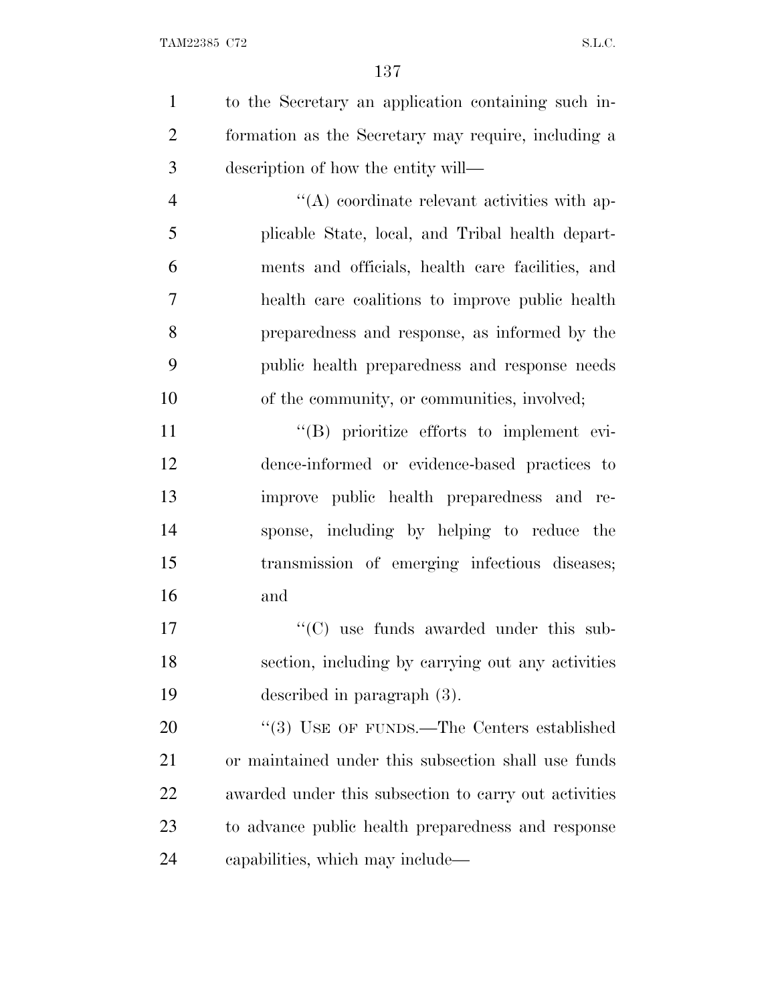to the Secretary an application containing such in- formation as the Secretary may require, including a description of how the entity will—

 ''(A) coordinate relevant activities with ap- plicable State, local, and Tribal health depart- ments and officials, health care facilities, and health care coalitions to improve public health preparedness and response, as informed by the public health preparedness and response needs of the community, or communities, involved;

 $''(B)$  prioritize efforts to implement evi- dence-informed or evidence-based practices to improve public health preparedness and re- sponse, including by helping to reduce the transmission of emerging infectious diseases; and

17  $\lq\lq$  (C) use funds awarded under this sub- section, including by carrying out any activities described in paragraph (3).

20 "(3) USE OF FUNDS.—The Centers established or maintained under this subsection shall use funds awarded under this subsection to carry out activities to advance public health preparedness and response capabilities, which may include—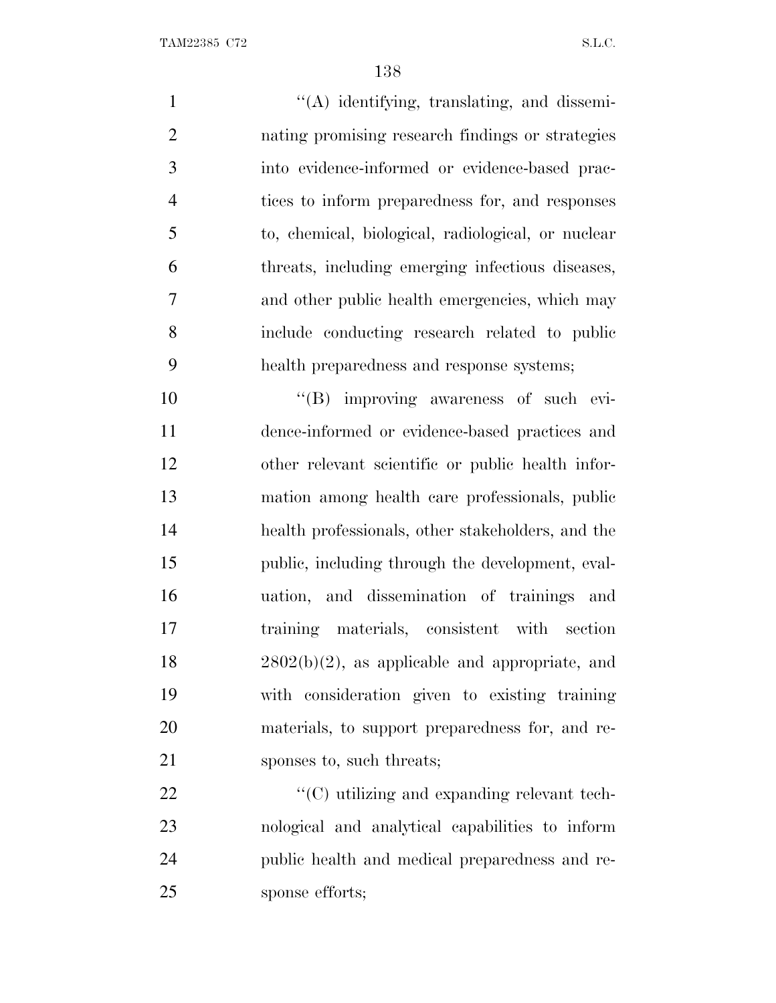1 ''(A) identifying, translating, and dissemi- nating promising research findings or strategies into evidence-informed or evidence-based prac- tices to inform preparedness for, and responses to, chemical, biological, radiological, or nuclear threats, including emerging infectious diseases, and other public health emergencies, which may include conducting research related to public health preparedness and response systems;  $((B)$  improving awareness of such evi-

 dence-informed or evidence-based practices and other relevant scientific or public health infor- mation among health care professionals, public health professionals, other stakeholders, and the public, including through the development, eval- uation, and dissemination of trainings and training materials, consistent with section  $18 \t 2802(b)(2)$ , as applicable and appropriate, and with consideration given to existing training materials, to support preparedness for, and re-21 sponses to, such threats;

 $\mathcal{L}(C)$  utilizing and expanding relevant tech- nological and analytical capabilities to inform public health and medical preparedness and re-sponse efforts;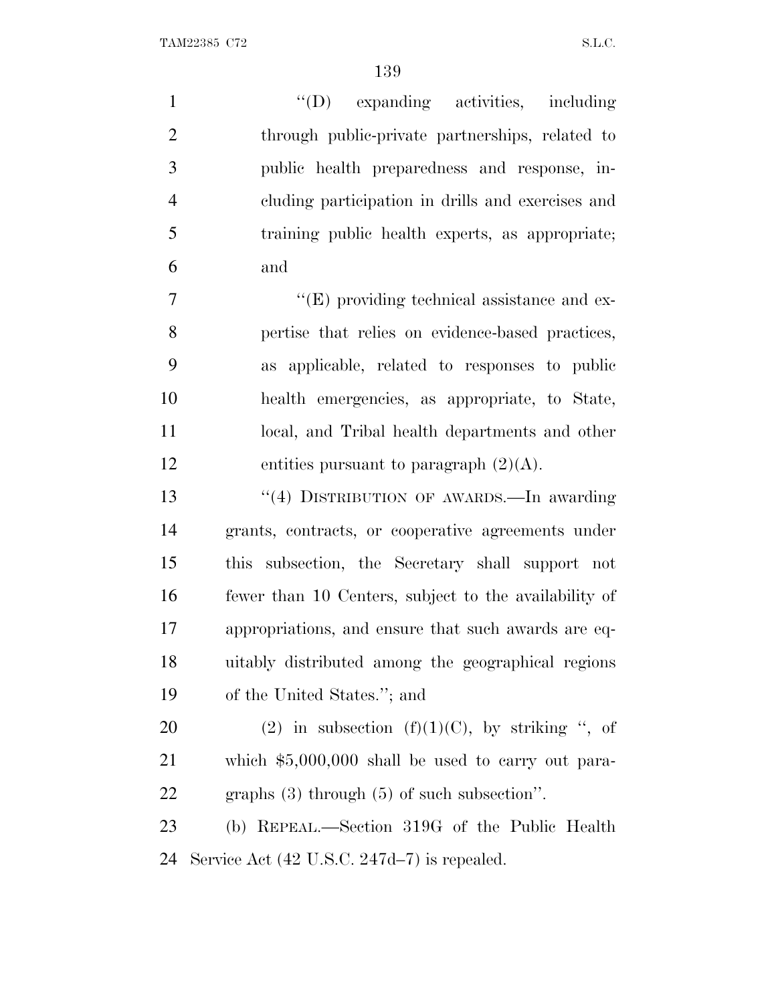$\begin{minipage}{0.9\linewidth} \textbf{TAM22385} \quad \textbf{C72} \qquad \qquad \textbf{S.L.C.} \end{minipage}$ 

| $\mathbf{1}$   | $\lq\lq$ (D) expanding activities, including          |
|----------------|-------------------------------------------------------|
| $\overline{2}$ | through public-private partnerships, related to       |
| 3              | public health preparedness and response, in-          |
| $\overline{4}$ | cluding participation in drills and exercises and     |
| 5              | training public health experts, as appropriate;       |
| 6              | and                                                   |
| 7              | $\lq\lq$ (E) providing technical assistance and ex-   |
| 8              | pertise that relies on evidence-based practices,      |
| 9              | as applicable, related to responses to public         |
| 10             | health emergencies, as appropriate, to State,         |
| 11             | local, and Tribal health departments and other        |
| 12             | entities pursuant to paragraph $(2)(A)$ .             |
| 13             | "(4) DISTRIBUTION OF AWARDS.—In awarding              |
| 14             | grants, contracts, or cooperative agreements under    |
| 15             | this subsection, the Secretary shall support not      |
| 16             | fewer than 10 Centers, subject to the availability of |
| 17             | appropriations, and ensure that such awards are eq-   |
| 18             | uitably distributed among the geographical regions    |
| 19             | of the United States."; and                           |
| 20             | (2) in subsection (f)(1)(C), by striking ", of        |
| 21             | which $$5,000,000$ shall be used to carry out para-   |
| <u>22</u>      | graphs $(3)$ through $(5)$ of such subsection".       |
| 23             | (b) REPEAL.—Section 319G of the Public Health         |

Service Act (42 U.S.C. 247d–7) is repealed.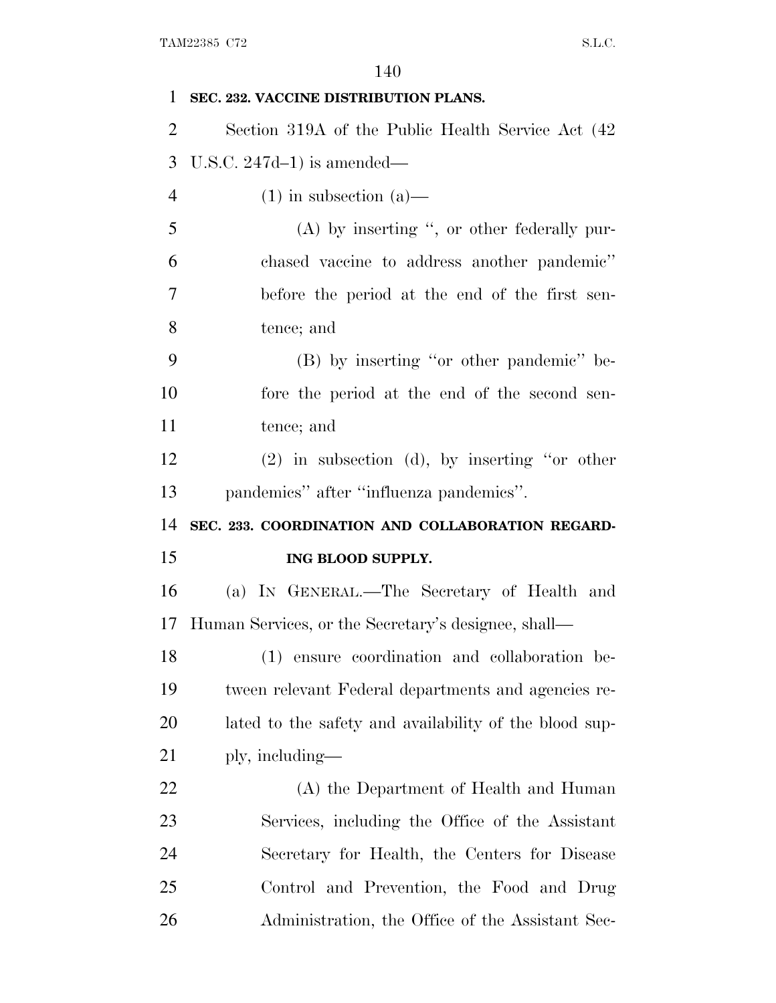| 1                          | SEC. 232. VACCINE DISTRIBUTION PLANS.                  |
|----------------------------|--------------------------------------------------------|
| $\overline{2}$             | Section 319A of the Public Health Service Act (42)     |
| 3                          | U.S.C. $247d-1$ ) is amended—                          |
| $\overline{4}$             | $(1)$ in subsection $(a)$ —                            |
| 5                          | $(A)$ by inserting ", or other federally pur-          |
| 6                          | chased vaccine to address another pandemic"            |
| 7                          | before the period at the end of the first sen-         |
| 8                          | tence; and                                             |
| 9                          | (B) by inserting "or other pandemic" be-               |
| 10                         | fore the period at the end of the second sen-          |
| 11                         | tence; and                                             |
| 12                         | $(2)$ in subsection (d), by inserting "or other        |
| 13                         | pandemics" after "influenza pandemics".                |
|                            |                                                        |
|                            | SEC. 233. COORDINATION AND COLLABORATION REGARD-       |
|                            | ING BLOOD SUPPLY.                                      |
| 14<br>15<br>16             | (a) IN GENERAL.—The Secretary of Health and            |
| 17                         | Human Services, or the Secretary's designee, shall—    |
|                            | (1) ensure coordination and collaboration be-          |
|                            | tween relevant Federal departments and agencies re-    |
|                            | lated to the safety and availability of the blood sup- |
|                            | ply, including—                                        |
| 18<br>19<br>20<br>21<br>22 | (A) the Department of Health and Human                 |
| 23                         | Services, including the Office of the Assistant        |
| 24                         | Secretary for Health, the Centers for Disease          |
| 25                         | Control and Prevention, the Food and Drug              |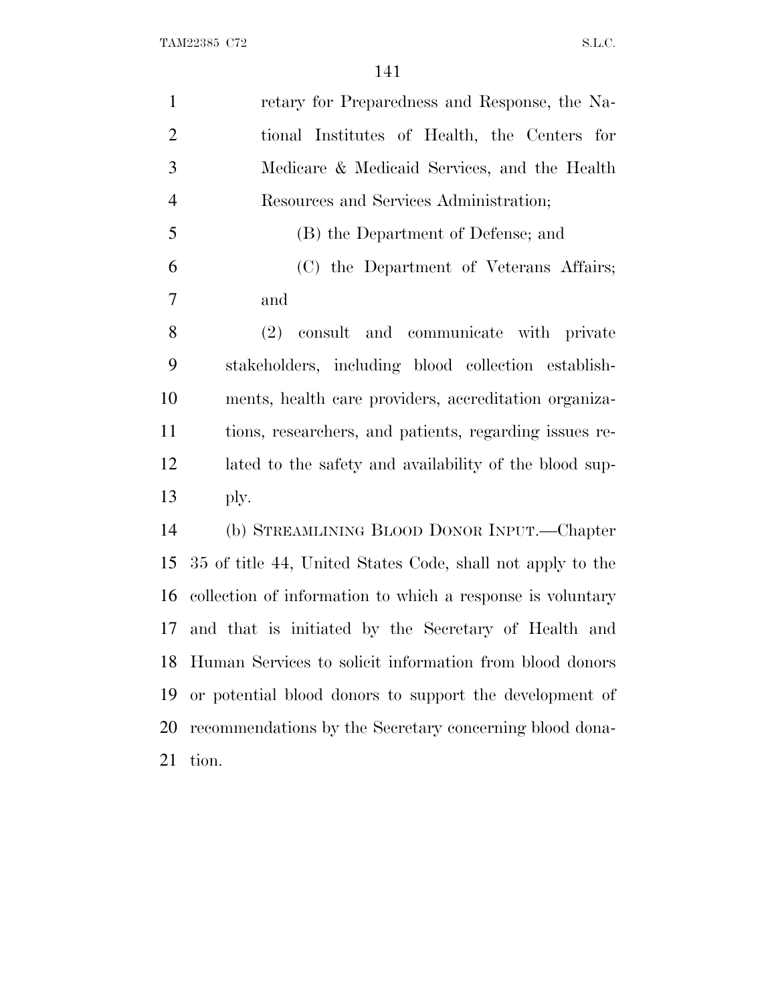| $\mathbf{1}$   | retary for Preparedness and Response, the Na-              |
|----------------|------------------------------------------------------------|
| $\overline{2}$ | tional Institutes of Health, the Centers for               |
| 3              | Medicare & Medicaid Services, and the Health               |
| $\overline{4}$ | Resources and Services Administration;                     |
| 5              | (B) the Department of Defense; and                         |
| 6              | (C) the Department of Veterans Affairs;                    |
| 7              | and                                                        |
| 8              | (2) consult and communicate with private                   |
| 9              | stakeholders, including blood collection establish-        |
| 10             | ments, health care providers, accreditation organiza-      |
| 11             | tions, researchers, and patients, regarding issues re-     |
| 12             | lated to the safety and availability of the blood sup-     |
| 13             | ply.                                                       |
| 14             | (b) STREAMLINING BLOOD DONOR INPUT.—Chapter                |
| 15             | 35 of title 44, United States Code, shall not apply to the |
| 16             | collection of information to which a response is voluntary |
| 17             | and that is initiated by the Secretary of Health and       |
| 18             | Human Services to solicit information from blood donors    |
| 19             | or potential blood donors to support the development of    |
| 20             | recommendations by the Secretary concerning blood dona-    |
| 21             | tion.                                                      |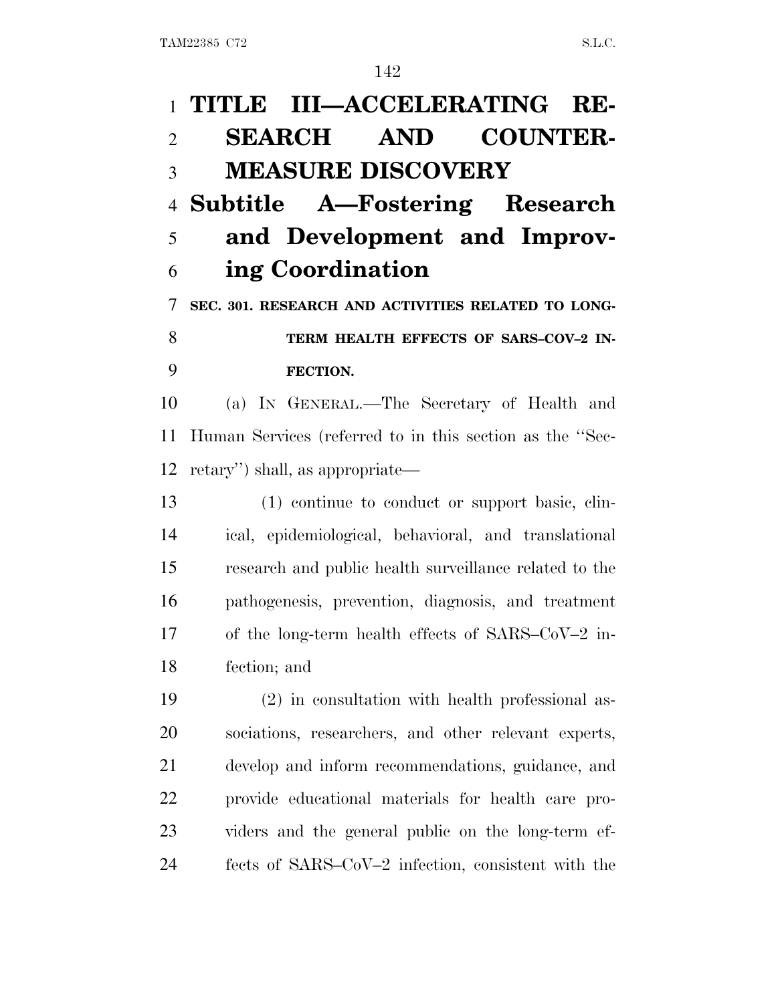# **TITLE III—ACCELERATING RE- SEARCH AND COUNTER- MEASURE DISCOVERY Subtitle A—Fostering Research and Development and Improv- ing Coordination SEC. 301. RESEARCH AND ACTIVITIES RELATED TO LONG- TERM HEALTH EFFECTS OF SARS–COV–2 IN- FECTION.** (a) I<sup>N</sup> GENERAL.—The Secretary of Health and Human Services (referred to in this section as the ''Sec- retary'') shall, as appropriate— (1) continue to conduct or support basic, clin- ical, epidemiological, behavioral, and translational research and public health surveillance related to the pathogenesis, prevention, diagnosis, and treatment of the long-term health effects of SARS–CoV–2 in- fection; and (2) in consultation with health professional as- sociations, researchers, and other relevant experts, develop and inform recommendations, guidance, and

 provide educational materials for health care pro-viders and the general public on the long-term ef-

fects of SARS–CoV–2 infection, consistent with the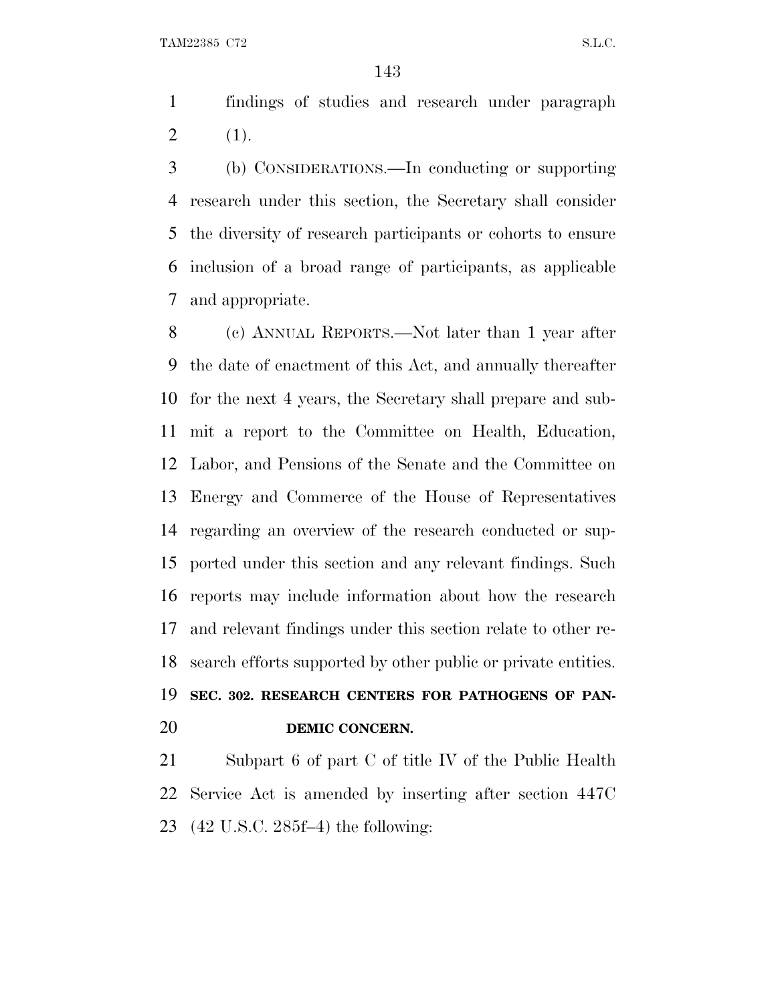findings of studies and research under paragraph 2  $(1).$ 

 (b) CONSIDERATIONS.—In conducting or supporting research under this section, the Secretary shall consider the diversity of research participants or cohorts to ensure inclusion of a broad range of participants, as applicable and appropriate.

 (c) ANNUAL REPORTS.—Not later than 1 year after the date of enactment of this Act, and annually thereafter for the next 4 years, the Secretary shall prepare and sub- mit a report to the Committee on Health, Education, Labor, and Pensions of the Senate and the Committee on Energy and Commerce of the House of Representatives regarding an overview of the research conducted or sup- ported under this section and any relevant findings. Such reports may include information about how the research and relevant findings under this section relate to other re- search efforts supported by other public or private entities. **SEC. 302. RESEARCH CENTERS FOR PATHOGENS OF PAN-**

### **DEMIC CONCERN.**

 Subpart 6 of part C of title IV of the Public Health Service Act is amended by inserting after section 447C (42 U.S.C. 285f–4) the following: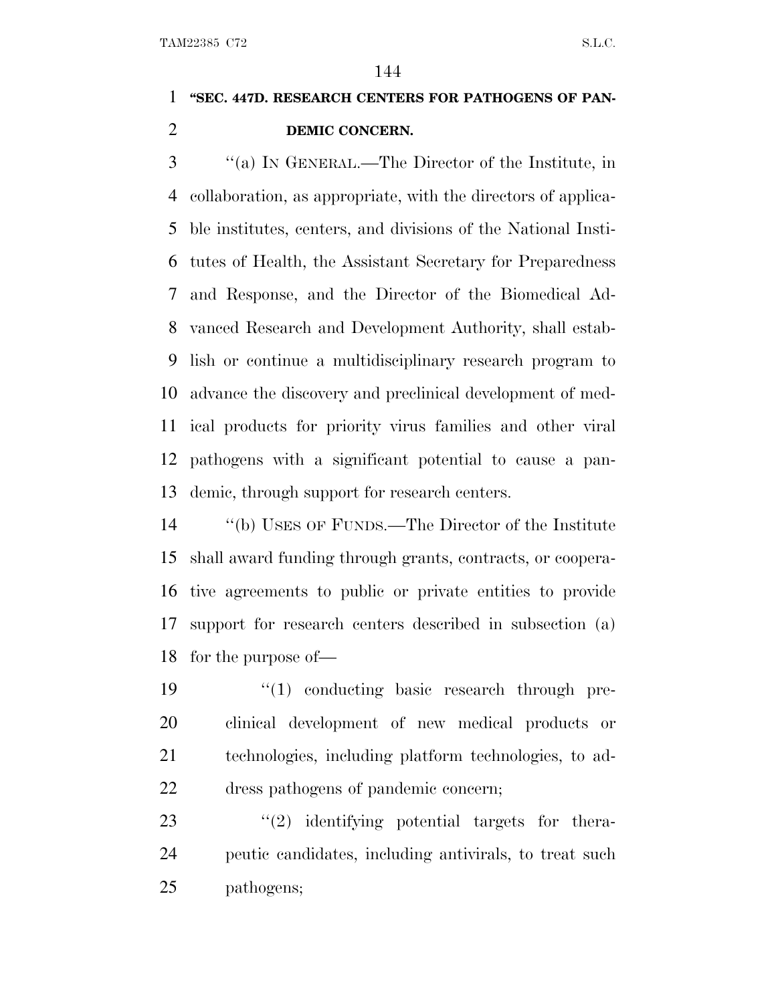### **''SEC. 447D. RESEARCH CENTERS FOR PATHOGENS OF PAN-DEMIC CONCERN.**

 ''(a) I<sup>N</sup> GENERAL.—The Director of the Institute, in collaboration, as appropriate, with the directors of applica- ble institutes, centers, and divisions of the National Insti- tutes of Health, the Assistant Secretary for Preparedness and Response, and the Director of the Biomedical Ad- vanced Research and Development Authority, shall estab- lish or continue a multidisciplinary research program to advance the discovery and preclinical development of med- ical products for priority virus families and other viral pathogens with a significant potential to cause a pan-demic, through support for research centers.

 ''(b) USES OF FUNDS.—The Director of the Institute shall award funding through grants, contracts, or coopera- tive agreements to public or private entities to provide support for research centers described in subsection (a) for the purpose of—

 $\frac{1}{2}$  (1) conducting basic research through pre- clinical development of new medical products or technologies, including platform technologies, to ad-dress pathogens of pandemic concern;

23 ''(2) identifying potential targets for thera- peutic candidates, including antivirals, to treat such pathogens;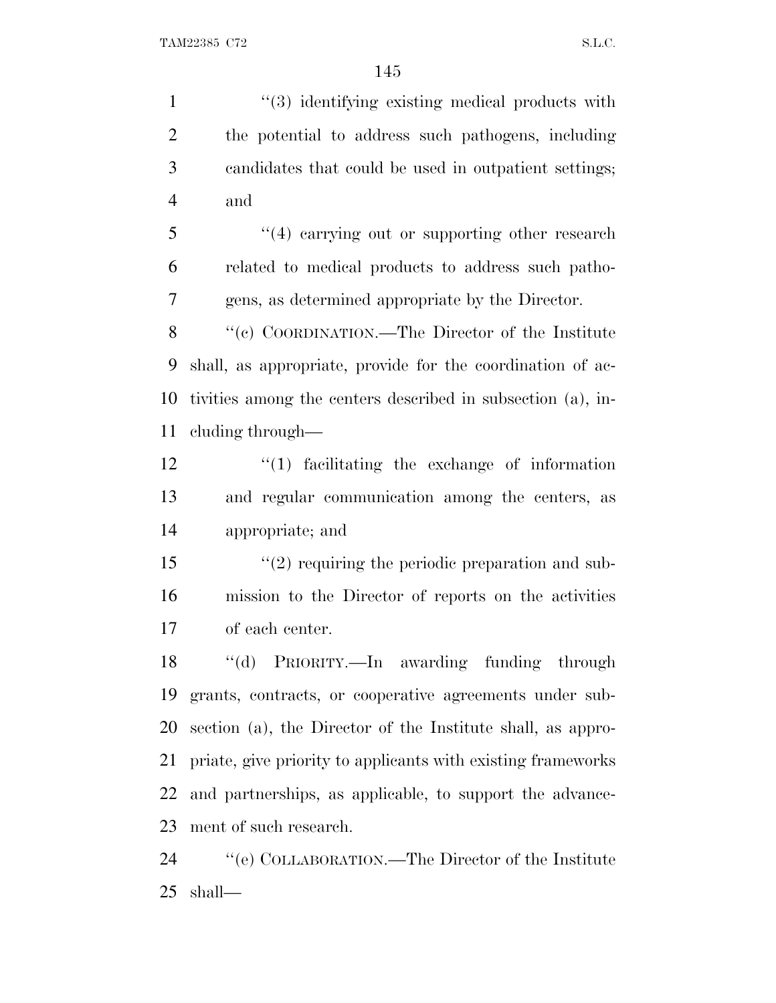1 ''(3) identifying existing medical products with the potential to address such pathogens, including candidates that could be used in outpatient settings; and 5 "(4) carrying out or supporting other research related to medical products to address such patho- gens, as determined appropriate by the Director. ''(c) COORDINATION.—The Director of the Institute shall, as appropriate, provide for the coordination of ac- tivities among the centers described in subsection (a), in- cluding through— ''(1) facilitating the exchange of information and regular communication among the centers, as appropriate; and 15 "(2) requiring the periodic preparation and sub- mission to the Director of reports on the activities of each center. ''(d) PRIORITY.—In awarding funding through grants, contracts, or cooperative agreements under sub- section (a), the Director of the Institute shall, as appro- priate, give priority to applicants with existing frameworks and partnerships, as applicable, to support the advance- ment of such research. ''(e) COLLABORATION.—The Director of the Institute shall—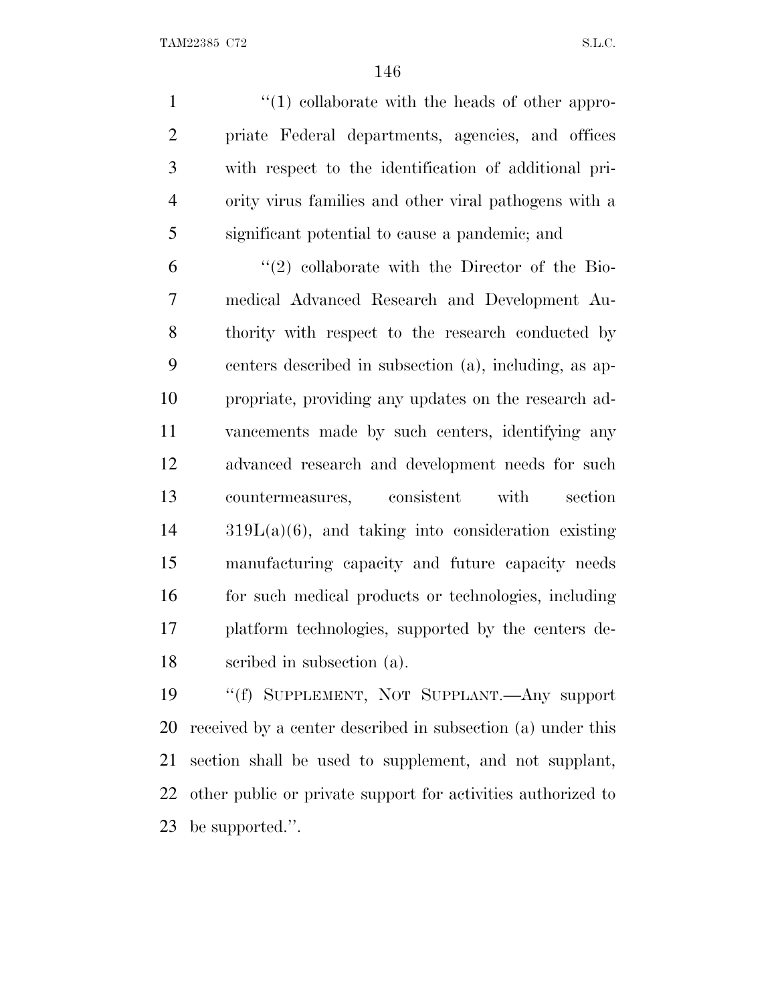$\frac{1}{2}$  (1) collaborate with the heads of other appro- priate Federal departments, agencies, and offices with respect to the identification of additional pri- ority virus families and other viral pathogens with a significant potential to cause a pandemic; and

 $(2)$  collaborate with the Director of the Bio- medical Advanced Research and Development Au- thority with respect to the research conducted by centers described in subsection (a), including, as ap- propriate, providing any updates on the research ad- vancements made by such centers, identifying any advanced research and development needs for such countermeasures, consistent with section 319L(a)(6), and taking into consideration existing manufacturing capacity and future capacity needs for such medical products or technologies, including platform technologies, supported by the centers de-scribed in subsection (a).

 ''(f) SUPPLEMENT, NOT SUPPLANT.—Any support received by a center described in subsection (a) under this section shall be used to supplement, and not supplant, other public or private support for activities authorized to be supported.''.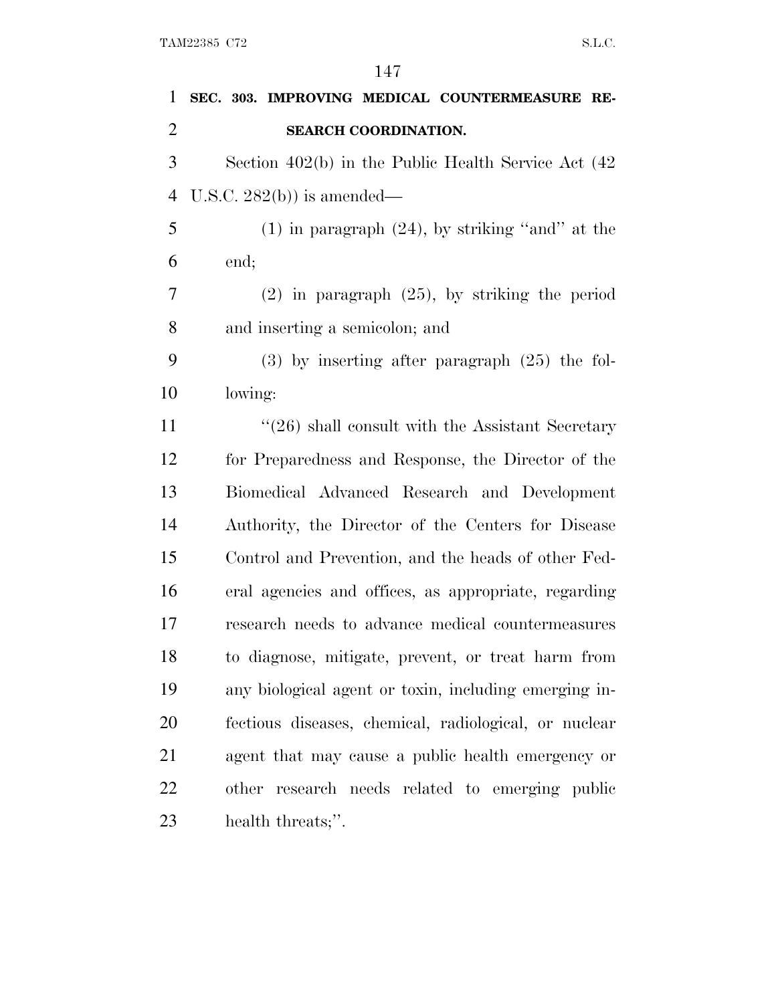| 1              | SEC. 303. IMPROVING MEDICAL COUNTERMEASURE RE-           |
|----------------|----------------------------------------------------------|
| $\overline{2}$ | SEARCH COORDINATION.                                     |
| 3              | Section $402(b)$ in the Public Health Service Act $(42)$ |
| 4              | U.S.C. $282(b)$ is amended—                              |
| 5              | $(1)$ in paragraph $(24)$ , by striking "and" at the     |
| 6              | end;                                                     |
| 7              | $(2)$ in paragraph $(25)$ , by striking the period       |
| 8              | and inserting a semicolon; and                           |
| 9              | $(3)$ by inserting after paragraph $(25)$ the fol-       |
| 10             | lowing:                                                  |
| 11             | $\cdot$ (26) shall consult with the Assistant Secretary  |
| 12             | for Preparedness and Response, the Director of the       |
| 13             | Biomedical Advanced Research and Development             |
| 14             | Authority, the Director of the Centers for Disease       |
| 15             | Control and Prevention, and the heads of other Fed-      |
| 16             | eral agencies and offices, as appropriate, regarding     |
| 17             | research needs to advance medical countermeasures        |
| 18             | to diagnose, mitigate, prevent, or treat harm from       |
| 19             | any biological agent or toxin, including emerging in-    |
| 20             | fectious diseases, chemical, radiological, or nuclear    |
| 21             | agent that may cause a public health emergency or        |
| 22             | other research needs related to emerging public          |
| 23             | health threats;".                                        |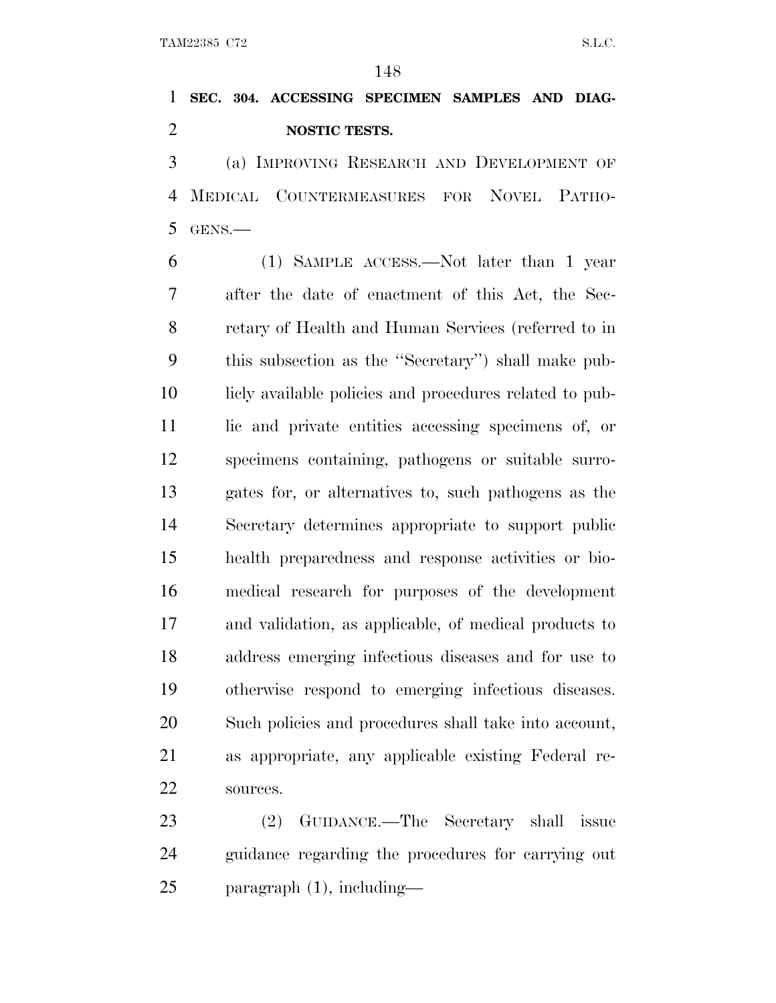**SEC. 304. ACCESSING SPECIMEN SAMPLES AND DIAG-NOSTIC TESTS.**

 (a) IMPROVING RESEARCH AND DEVELOPMENT OF MEDICAL COUNTERMEASURES FOR NOVEL PATHO-GENS.—

 (1) SAMPLE ACCESS.—Not later than 1 year after the date of enactment of this Act, the Sec- retary of Health and Human Services (referred to in this subsection as the ''Secretary'') shall make pub- licly available policies and procedures related to pub- lic and private entities accessing specimens of, or specimens containing, pathogens or suitable surro- gates for, or alternatives to, such pathogens as the Secretary determines appropriate to support public health preparedness and response activities or bio- medical research for purposes of the development and validation, as applicable, of medical products to address emerging infectious diseases and for use to otherwise respond to emerging infectious diseases. Such policies and procedures shall take into account, as appropriate, any applicable existing Federal re-sources.

 (2) GUIDANCE.—The Secretary shall issue guidance regarding the procedures for carrying out paragraph (1), including—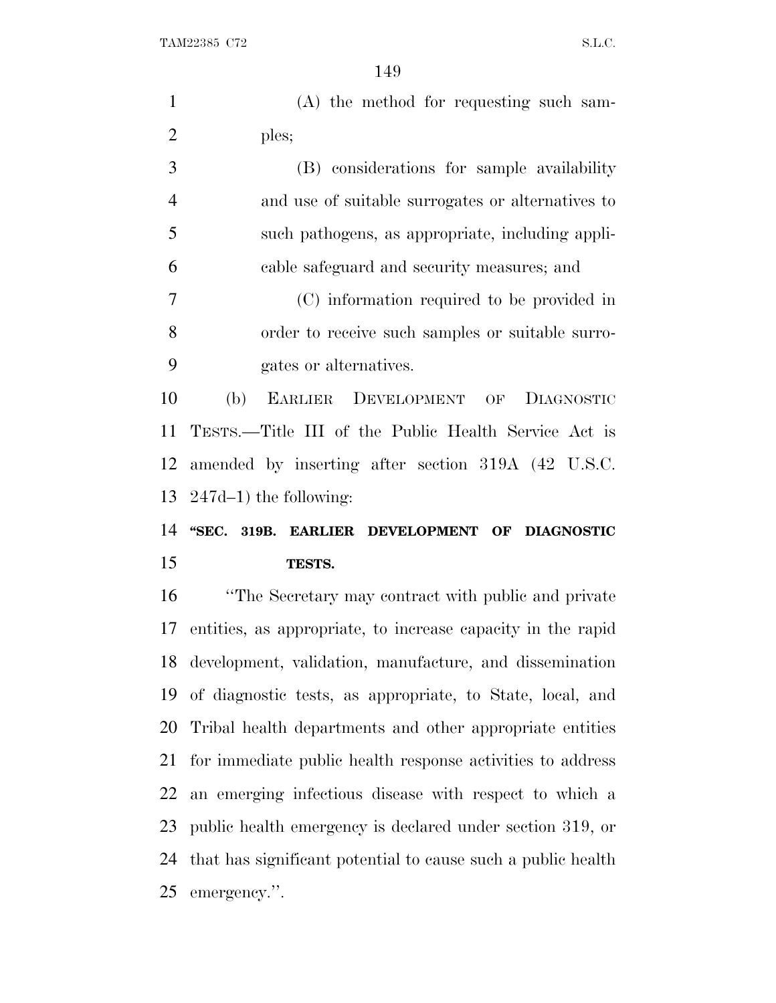| $\mathbf{1}$   | (A) the method for requesting such sam-                      |
|----------------|--------------------------------------------------------------|
| $\overline{2}$ | ples;                                                        |
| 3              | (B) considerations for sample availability                   |
| $\overline{4}$ | and use of suitable surrogates or alternatives to            |
| 5              | such pathogens, as appropriate, including appli-             |
| 6              | cable safeguard and security measures; and                   |
| 7              | (C) information required to be provided in                   |
| 8              | order to receive such samples or suitable surro-             |
| 9              | gates or alternatives.                                       |
| 10             | (b)<br>EARLIER DEVELOPMENT OF<br><b>DIAGNOSTIC</b>           |
| 11             | TESTS.—Title III of the Public Health Service Act is         |
| 12             | amended by inserting after section 319A (42 U.S.C.           |
|                | $247d-1$ ) the following:                                    |
|                |                                                              |
| 13<br>14       | "SEC. 319B. EARLIER DEVELOPMENT OF DIAGNOSTIC                |
| 15             | TESTS.                                                       |
| 16             | "The Secretary may contract with public and private          |
| 17             | entities, as appropriate, to increase capacity in the rapid  |
| 18             | development, validation, manufacture, and dissemination      |
| 19             | of diagnostic tests, as appropriate, to State, local, and    |
| 20             | Tribal health departments and other appropriate entities     |
| 21             | for immediate public health response activities to address   |
| 22             | an emerging infectious disease with respect to which a       |
| 23             | public health emergency is declared under section 319, or    |
| 24             | that has significant potential to cause such a public health |
| 25             | emergency.".                                                 |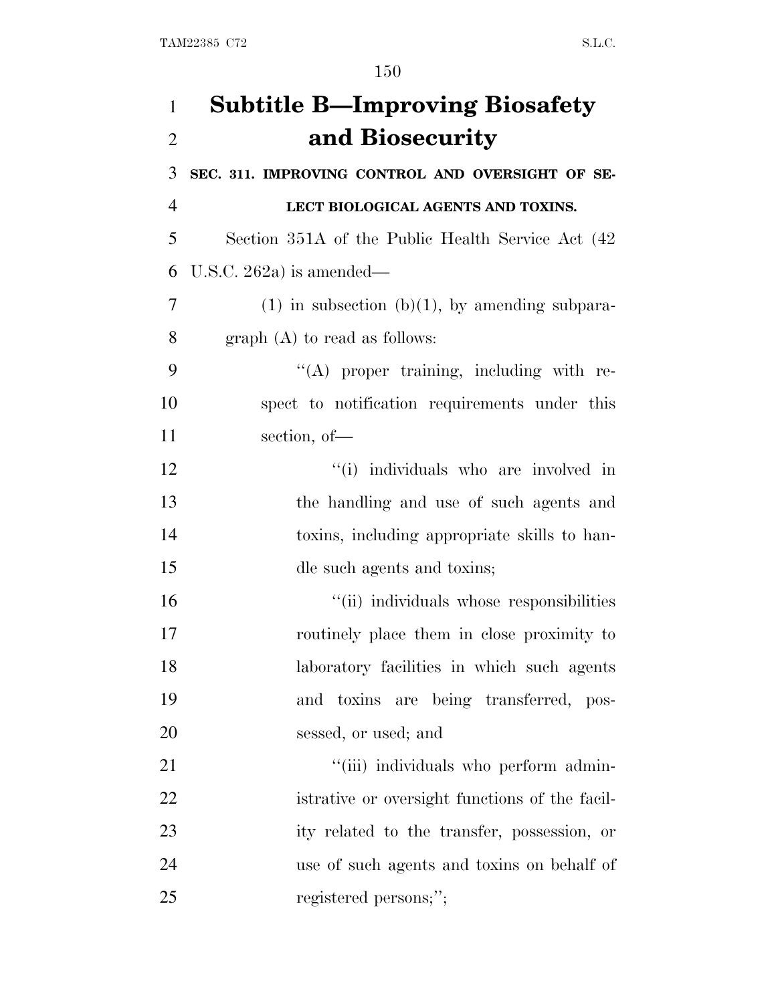| $\mathbf{1}$   | <b>Subtitle B—Improving Biosafety</b>               |
|----------------|-----------------------------------------------------|
| $\overline{2}$ | and Biosecurity                                     |
| 3              | SEC. 311. IMPROVING CONTROL AND OVERSIGHT OF SE-    |
| $\overline{4}$ | LECT BIOLOGICAL AGENTS AND TOXINS.                  |
| 5              | Section 351A of the Public Health Service Act (42)  |
| 6              | U.S.C. 262a) is amended—                            |
| 7              | $(1)$ in subsection $(b)(1)$ , by amending subpara- |
| 8              | $graph(A)$ to read as follows:                      |
| 9              | "(A) proper training, including with re-            |
| 10             | spect to notification requirements under this       |
| 11             | section, of-                                        |
| 12             | "(i) individuals who are involved in                |
| 13             | the handling and use of such agents and             |
| 14             | toxins, including appropriate skills to han-        |
| 15             | dle such agents and toxins;                         |
| 16             | "(ii) individuals whose responsibilities            |
| 17             | routinely place them in close proximity to          |
| 18             | laboratory facilities in which such agents          |
| 19             | and toxins are being transferred, pos-              |
| 20             | sessed, or used; and                                |
| 21             | "(iii) individuals who perform admin-               |
| <u>22</u>      | istrative or oversight functions of the facil-      |
| 23             | ity related to the transfer, possession, or         |
| 24             | use of such agents and toxins on behalf of          |
| 25             | registered persons;";                               |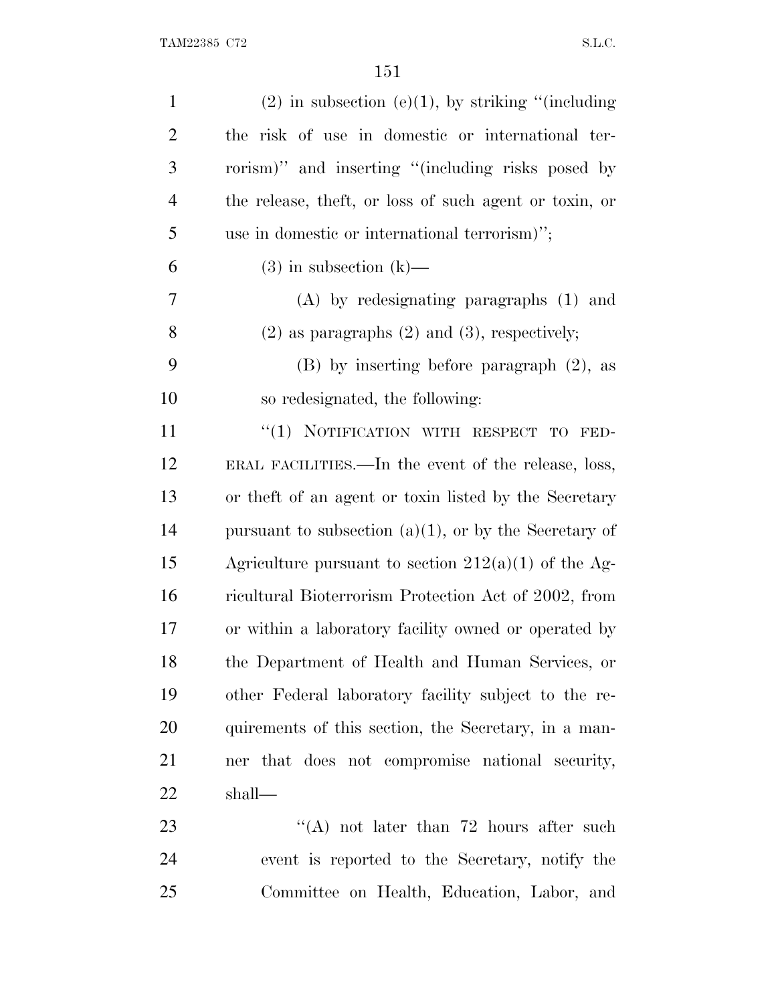| $\mathbf{1}$   | $(2)$ in subsection $(e)(1)$ , by striking "(including   |
|----------------|----------------------------------------------------------|
| $\overline{2}$ | the risk of use in domestic or international ter-        |
| 3              | rorism)" and inserting "(including risks posed by        |
| $\overline{4}$ | the release, theft, or loss of such agent or toxin, or   |
| 5              | use in domestic or international terrorism)";            |
| 6              | $(3)$ in subsection $(k)$ —                              |
| 7              | $(A)$ by redesignating paragraphs $(1)$ and              |
| 8              | $(2)$ as paragraphs $(2)$ and $(3)$ , respectively;      |
| 9              | $(B)$ by inserting before paragraph $(2)$ , as           |
| 10             | so redesignated, the following:                          |
| 11             | "(1) NOTIFICATION WITH RESPECT TO<br>FED-                |
| 12             | ERAL FACILITIES.—In the event of the release, loss,      |
| 13             | or the ft of an agent or toxin listed by the Secretary   |
| 14             | pursuant to subsection $(a)(1)$ , or by the Secretary of |
| 15             | Agriculture pursuant to section $212(a)(1)$ of the Ag-   |
| 16             | ricultural Bioterrorism Protection Act of 2002, from     |
| 17             | or within a laboratory facility owned or operated by     |
| 18             | the Department of Health and Human Services, or          |
| 19             | other Federal laboratory facility subject to the re-     |
| 20             | quirements of this section, the Secretary, in a man-     |
| 21             | ner that does not compromise national security,          |
| 22             | shall—                                                   |
| 23             | "(A) not later than $72$ hours after such                |
| 24             | event is reported to the Secretary, notify the           |
| 25             | Committee on Health, Education, Labor, and               |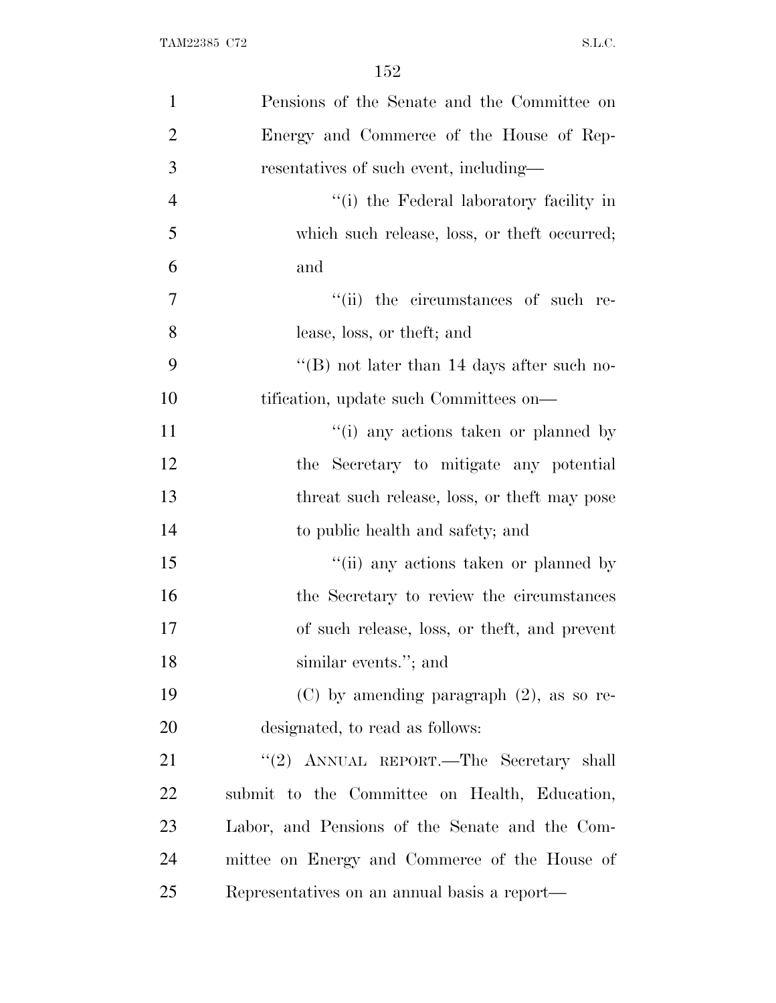| $\mathbf{1}$   | Pensions of the Senate and the Committee on    |
|----------------|------------------------------------------------|
| $\overline{2}$ | Energy and Commerce of the House of Rep-       |
| 3              | resentatives of such event, including—         |
| $\overline{4}$ | "(i) the Federal laboratory facility in        |
| 5              | which such release, loss, or theft occurred;   |
| 6              | and                                            |
| $\overline{7}$ | "(ii) the circumstances of such re-            |
| 8              | lease, loss, or theft; and                     |
| 9              | "(B) not later than 14 days after such no-     |
| 10             | tification, update such Committees on—         |
| 11             | "(i) any actions taken or planned by           |
| 12             | the Secretary to mitigate any potential        |
| 13             | threat such release, loss, or the ft may pose  |
| 14             | to public health and safety; and               |
| 15             | "(ii) any actions taken or planned by          |
| 16             | the Secretary to review the circumstances      |
| 17             | of such release, loss, or theft, and prevent   |
| 18             | similar events."; and                          |
| 19             | $(C)$ by amending paragraph $(2)$ , as so re-  |
| 20             | designated, to read as follows:                |
| 21             | "(2) ANNUAL REPORT.—The Secretary shall        |
| 22             | submit to the Committee on Health, Education,  |
| 23             | Labor, and Pensions of the Senate and the Com- |
| 24             | mittee on Energy and Commerce of the House of  |
| 25             | Representatives on an annual basis a report—   |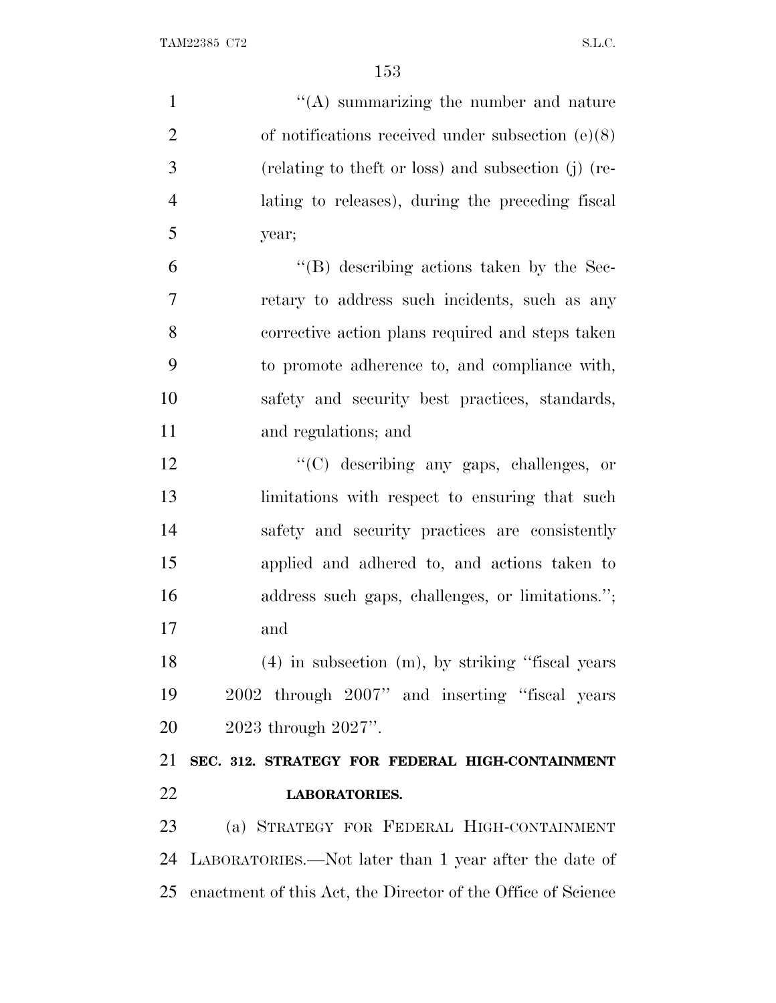| $\mathbf{1}$   | "(A) summarizing the number and nature                          |
|----------------|-----------------------------------------------------------------|
| $\overline{2}$ | of notifications received under subsection $(e)(8)$             |
| 3              | (relating to theft or loss) and subsection (j) (re-             |
| $\overline{4}$ | lating to releases), during the preceding fiscal                |
| 5              | year;                                                           |
| 6              | $\lq\lq$ describing actions taken by the Sec-                   |
| 7              | retary to address such incidents, such as any                   |
| 8              | corrective action plans required and steps taken                |
| 9              | to promote adherence to, and compliance with,                   |
| 10             | safety and security best practices, standards,                  |
| 11             | and regulations; and                                            |
| 12             | "(C) describing any gaps, challenges, or                        |
| 13             | limitations with respect to ensuring that such                  |
| 14             | safety and security practices are consistently                  |
| 15             | applied and adhered to, and actions taken to                    |
| 16             | address such gaps, challenges, or limitations.";                |
| 17             | and                                                             |
| 18             | $(4)$ in subsection $(m)$ , by striking "fiscal years"          |
| 19             | 2002 through 2007" and inserting "fiscal years                  |
| 20             | 2023 through 2027".                                             |
| 21             | SEC. 312. STRATEGY FOR FEDERAL HIGH-CONTAINMENT                 |
| 22             | <b>LABORATORIES.</b>                                            |
| 23             | (a) STRATEGY FOR FEDERAL HIGH-CONTAINMENT                       |
| 24             | LABORATORIES.—Not later than 1 year after the date of           |
|                | 25 enactment of this Act, the Director of the Office of Science |
|                |                                                                 |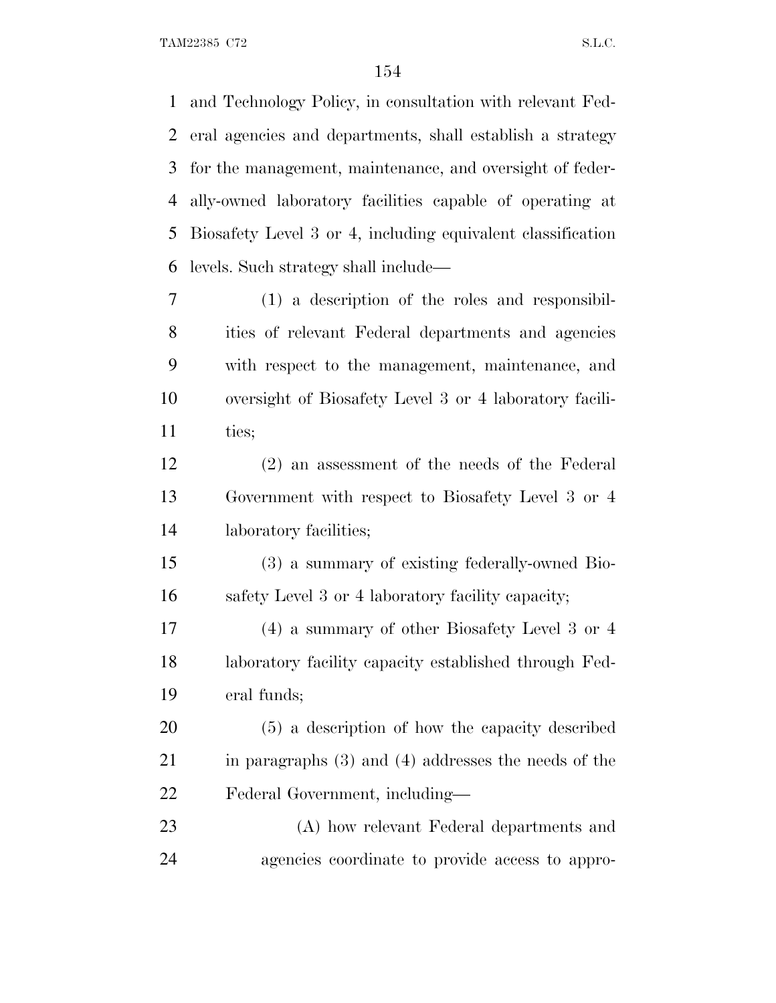and Technology Policy, in consultation with relevant Fed- eral agencies and departments, shall establish a strategy for the management, maintenance, and oversight of feder- ally-owned laboratory facilities capable of operating at Biosafety Level 3 or 4, including equivalent classification levels. Such strategy shall include— (1) a description of the roles and responsibil-

 ities of relevant Federal departments and agencies with respect to the management, maintenance, and oversight of Biosafety Level 3 or 4 laboratory facili-11 ties;

 (2) an assessment of the needs of the Federal Government with respect to Biosafety Level 3 or 4 laboratory facilities;

 (3) a summary of existing federally-owned Bio-safety Level 3 or 4 laboratory facility capacity;

 (4) a summary of other Biosafety Level 3 or 4 laboratory facility capacity established through Fed-eral funds;

 (5) a description of how the capacity described in paragraphs (3) and (4) addresses the needs of the Federal Government, including—

 (A) how relevant Federal departments and agencies coordinate to provide access to appro-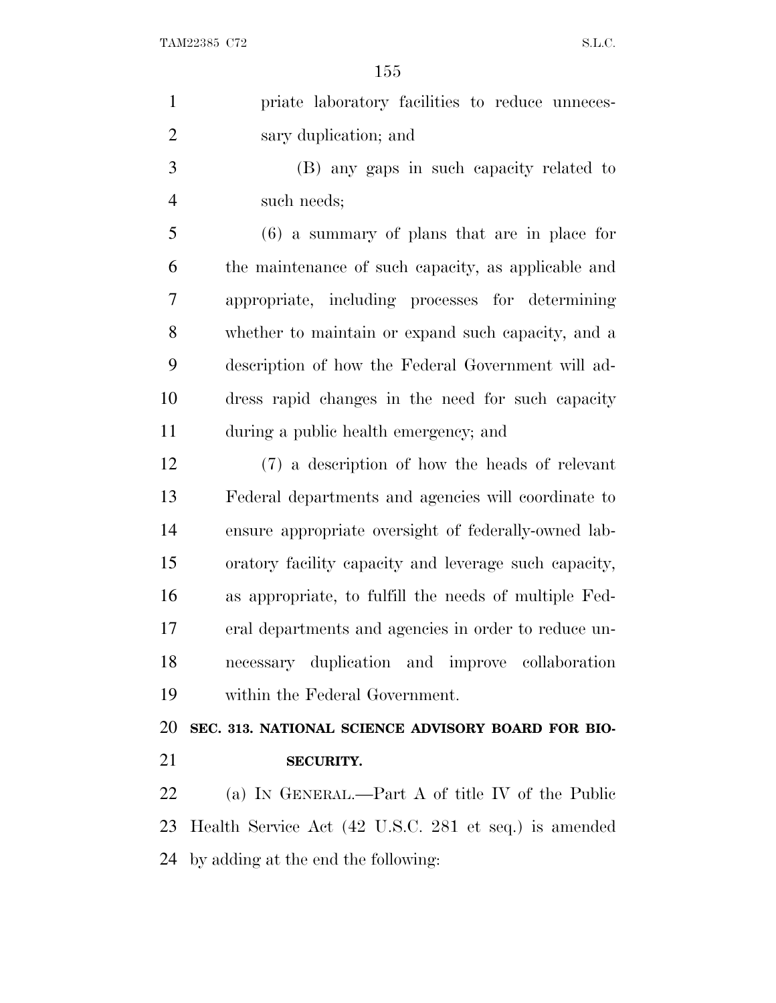| $\mathbf{1}$   | priate laboratory facilities to reduce unneces-       |
|----------------|-------------------------------------------------------|
| $\overline{2}$ | sary duplication; and                                 |
| 3              | (B) any gaps in such capacity related to              |
| $\overline{4}$ | such needs;                                           |
| 5              | $(6)$ a summary of plans that are in place for        |
| 6              | the maintenance of such capacity, as applicable and   |
| 7              | appropriate, including processes for determining      |
| 8              | whether to maintain or expand such capacity, and a    |
| 9              | description of how the Federal Government will ad-    |
| 10             | dress rapid changes in the need for such capacity     |
| 11             | during a public health emergency; and                 |
| 12             | (7) a description of how the heads of relevant        |
| 13             | Federal departments and agencies will coordinate to   |
| 14             | ensure appropriate oversight of federally-owned lab-  |
| 15             | oratory facility capacity and leverage such capacity, |
| 16             | as appropriate, to fulfill the needs of multiple Fed- |
| 17             | eral departments and agencies in order to reduce un-  |
| 18             | necessary duplication and improve collaboration       |
| 19             | within the Federal Government.                        |
| 20             | SEC. 313. NATIONAL SCIENCE ADVISORY BOARD FOR BIO-    |
| 21             | <b>SECURITY.</b>                                      |
| 22             | (a) IN GENERAL.—Part A of title IV of the Public      |
| 23             | Health Service Act (42 U.S.C. 281 et seq.) is amended |
| 24             | by adding at the end the following:                   |
|                |                                                       |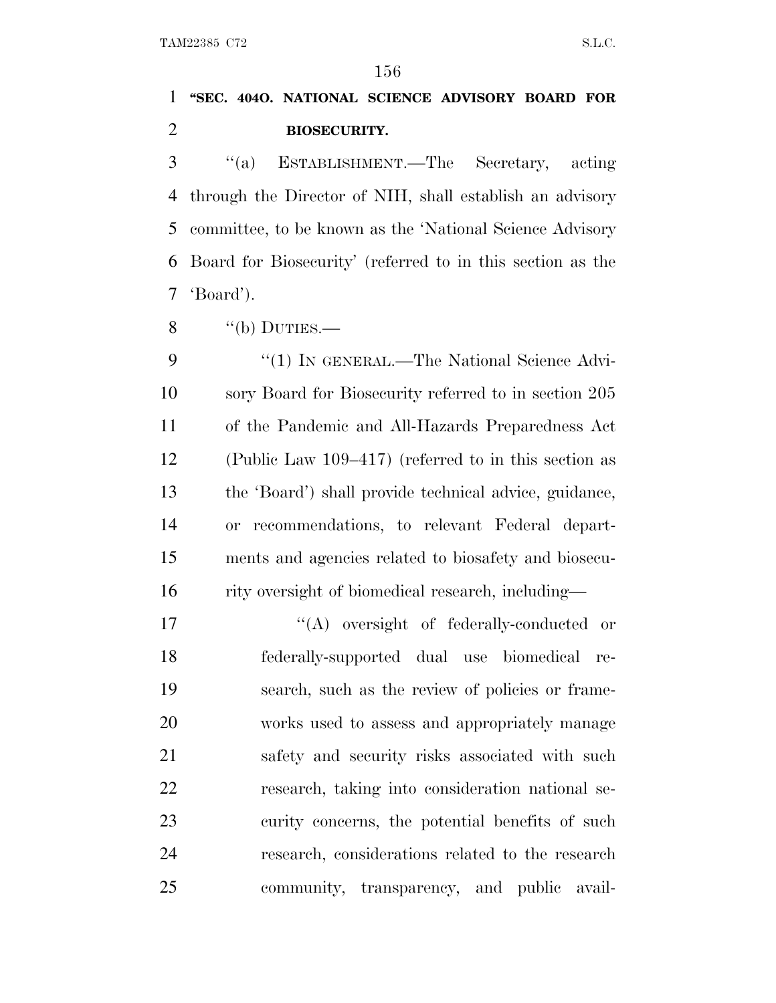### **''SEC. 404O. NATIONAL SCIENCE ADVISORY BOARD FOR BIOSECURITY.**

 ''(a) ESTABLISHMENT.—The Secretary, acting through the Director of NIH, shall establish an advisory committee, to be known as the 'National Science Advisory Board for Biosecurity' (referred to in this section as the 'Board').

 $\frac{8}{100}$  ''(b) DUTIES.—

9 "(1) IN GENERAL.—The National Science Advi- sory Board for Biosecurity referred to in section 205 of the Pandemic and All-Hazards Preparedness Act (Public Law 109–417) (referred to in this section as the 'Board') shall provide technical advice, guidance, or recommendations, to relevant Federal depart- ments and agencies related to biosafety and biosecu-16 rity oversight of biomedical research, including—

 $\langle (A)$  oversight of federally-conducted or federally-supported dual use biomedical re- search, such as the review of policies or frame- works used to assess and appropriately manage 21 safety and security risks associated with such research, taking into consideration national se- curity concerns, the potential benefits of such research, considerations related to the research community, transparency, and public avail-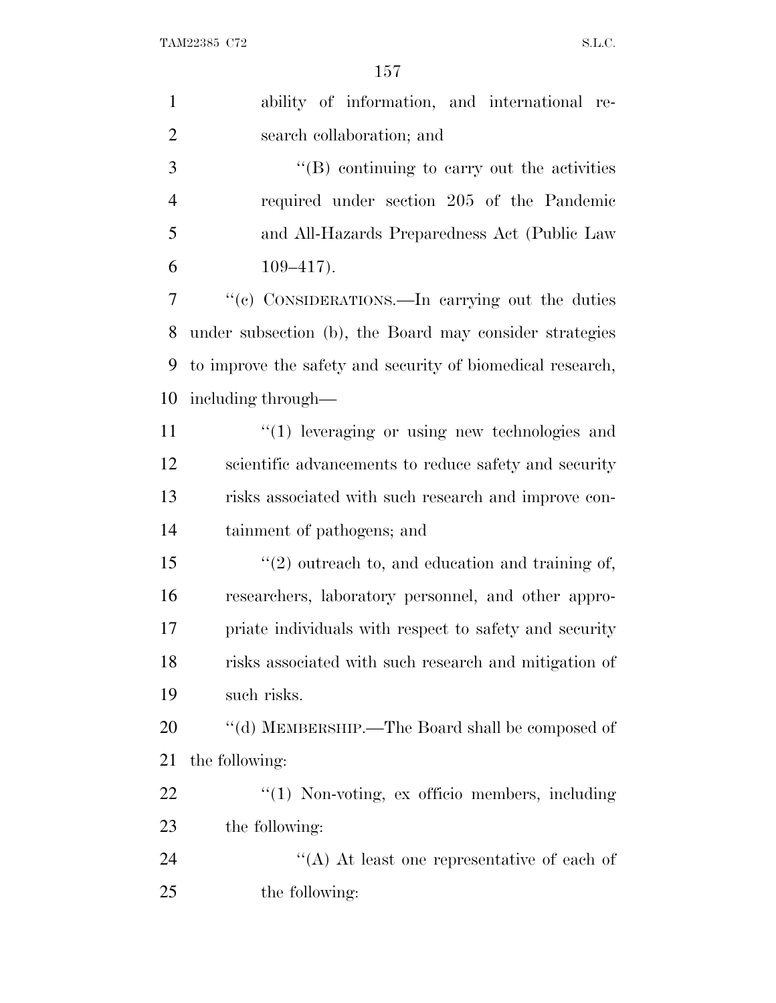| $\mathbf{1}$   | ability of information, and international re-              |
|----------------|------------------------------------------------------------|
| $\overline{2}$ | search collaboration; and                                  |
| 3              | $\lq\lq (B)$ continuing to carry out the activities        |
| $\overline{4}$ | required under section 205 of the Pandemic                 |
| 5              | and All-Hazards Preparedness Act (Public Law               |
| 6              | $109 - 417$ .                                              |
| 7              | "(c) CONSIDERATIONS.—In carrying out the duties            |
| 8              | under subsection (b), the Board may consider strategies    |
| 9              | to improve the safety and security of biomedical research, |
| 10             | including through—                                         |
| 11             | $\lq(1)$ leveraging or using new technologies and          |
| 12             | scientific advancements to reduce safety and security      |
| 13             | risks associated with such research and improve con-       |
| 14             | tainment of pathogens; and                                 |
| 15             | $\lq(2)$ outreach to, and education and training of,       |
| 16             | researchers, laboratory personnel, and other appro-        |
| 17             | priate individuals with respect to safety and security     |
| 18             | risks associated with such research and mitigation of      |
| 19             | such risks.                                                |
| 20             | "(d) MEMBERSHIP.—The Board shall be composed of            |
| 21             | the following:                                             |
| 22             | "(1) Non-voting, ex officio members, including             |
| 23             | the following:                                             |
| 24             | "(A) At least one representative of each of                |
| 25             | the following:                                             |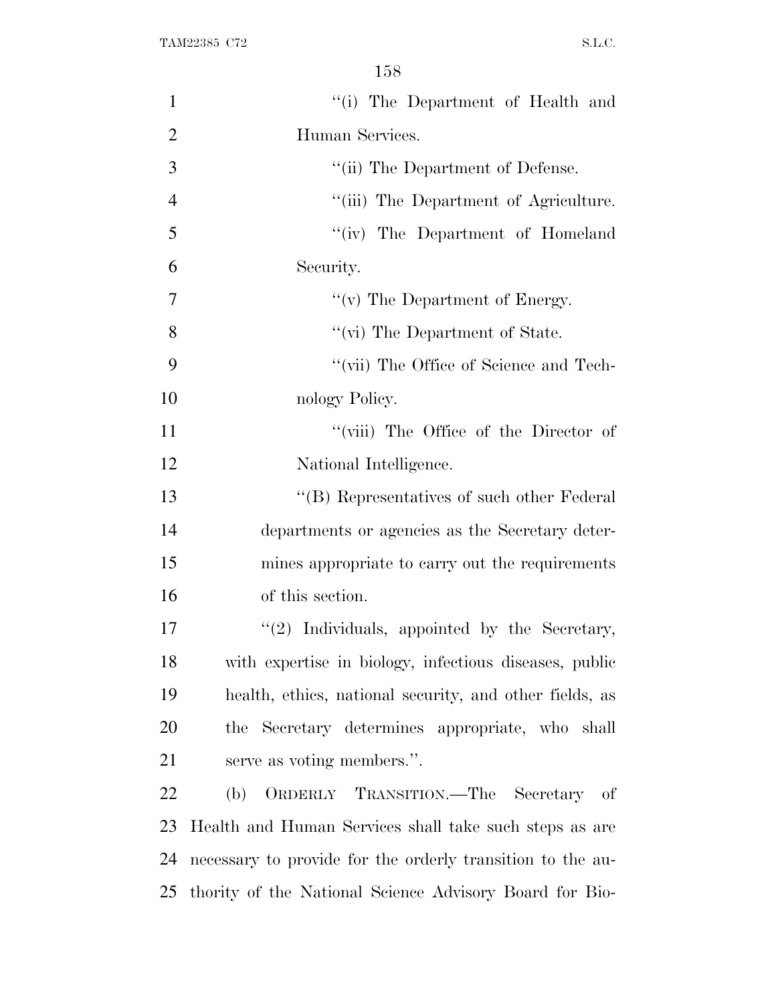| $\mathbf{1}$   | "(i) The Department of Health and                          |
|----------------|------------------------------------------------------------|
| $\overline{2}$ | Human Services.                                            |
| 3              | "(ii) The Department of Defense.                           |
| $\overline{4}$ | "(iii) The Department of Agriculture.                      |
| 5              | "(iv) The Department of Homeland                           |
| 6              | Security.                                                  |
| 7              | " $(v)$ The Department of Energy.                          |
| 8              | "(vi) The Department of State.                             |
| 9              | "(vii) The Office of Science and Tech-                     |
| 10             | nology Policy.                                             |
| 11             | "(viii) The Office of the Director of                      |
| 12             | National Intelligence.                                     |
| 13             | "(B) Representatives of such other Federal                 |
| 14             | departments or agencies as the Secretary deter-            |
| 15             | mines appropriate to carry out the requirements            |
| 16             | of this section.                                           |
| 17             | "(2) Individuals, appointed by the Secretary,              |
| 18             | with expertise in biology, infectious diseases, public     |
| 19             | health, ethics, national security, and other fields, as    |
| 20             | the Secretary determines appropriate, who shall            |
| 21             | serve as voting members.".                                 |
| 22             | ORDERLY TRANSITION.—The Secretary of<br>(b)                |
| 23             | Health and Human Services shall take such steps as are     |
| 24             | necessary to provide for the orderly transition to the au- |
| 25             | thority of the National Science Advisory Board for Bio-    |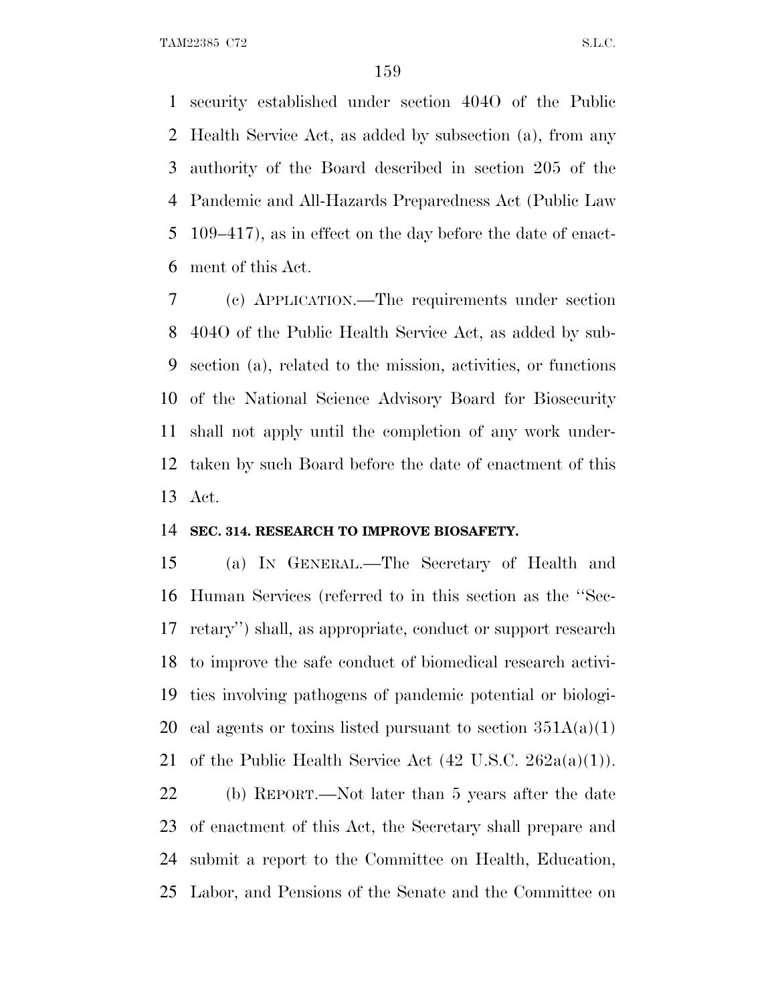security established under section 404O of the Public Health Service Act, as added by subsection (a), from any authority of the Board described in section 205 of the Pandemic and All-Hazards Preparedness Act (Public Law 109–417), as in effect on the day before the date of enact-ment of this Act.

 (c) APPLICATION.—The requirements under section 404O of the Public Health Service Act, as added by sub- section (a), related to the mission, activities, or functions of the National Science Advisory Board for Biosecurity shall not apply until the completion of any work under- taken by such Board before the date of enactment of this Act.

#### **SEC. 314. RESEARCH TO IMPROVE BIOSAFETY.**

 (a) I<sup>N</sup> GENERAL.—The Secretary of Health and Human Services (referred to in this section as the ''Sec- retary'') shall, as appropriate, conduct or support research to improve the safe conduct of biomedical research activi- ties involving pathogens of pandemic potential or biologi-20 cal agents or toxins listed pursuant to section  $351A(a)(1)$ 21 of the Public Health Service Act  $(42 \text{ U.S.C. } 262a(a)(1)).$ 

 (b) REPORT.—Not later than 5 years after the date of enactment of this Act, the Secretary shall prepare and submit a report to the Committee on Health, Education, Labor, and Pensions of the Senate and the Committee on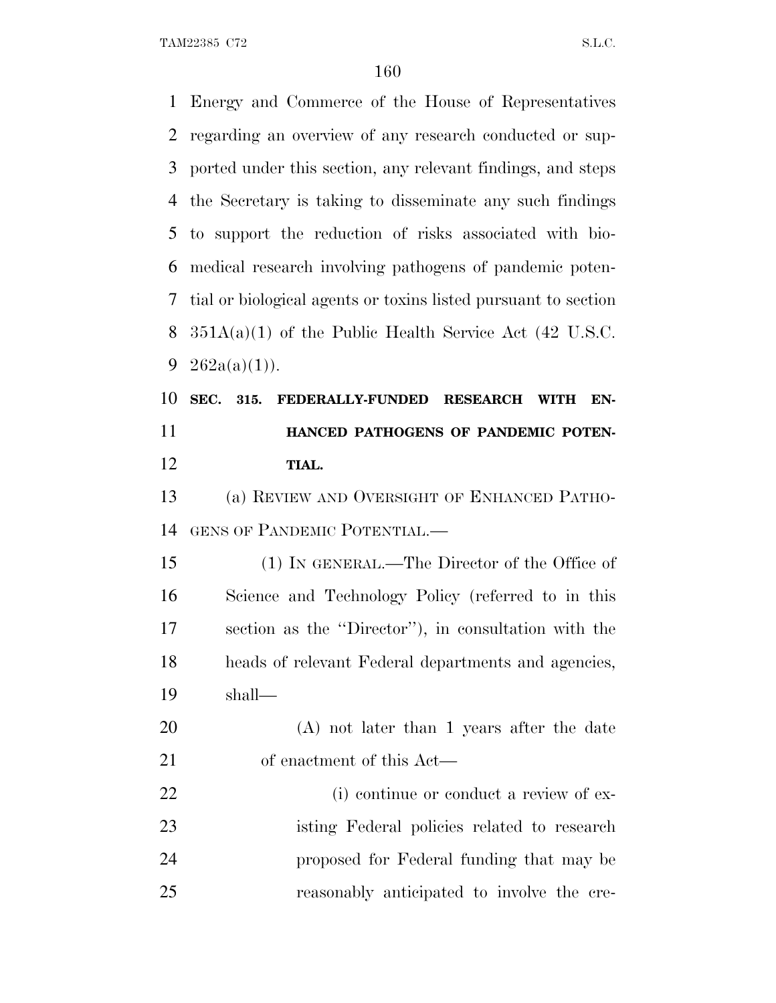Energy and Commerce of the House of Representatives regarding an overview of any research conducted or sup- ported under this section, any relevant findings, and steps the Secretary is taking to disseminate any such findings to support the reduction of risks associated with bio- medical research involving pathogens of pandemic poten- tial or biological agents or toxins listed pursuant to section  $351A(a)(1)$  of the Public Health Service Act (42 U.S.C.  $262a(a)(1)$ . **SEC. 315. FEDERALLY-FUNDED RESEARCH WITH EN- HANCED PATHOGENS OF PANDEMIC POTEN- TIAL.** (a) REVIEW AND OVERSIGHT OF ENHANCED PATHO- GENS OF PANDEMIC POTENTIAL.— (1) IN GENERAL.—The Director of the Office of Science and Technology Policy (referred to in this section as the ''Director''), in consultation with the heads of relevant Federal departments and agencies, shall— (A) not later than 1 years after the date of enactment of this Act— 22 (i) continue or conduct a review of ex- isting Federal policies related to research proposed for Federal funding that may be reasonably anticipated to involve the cre-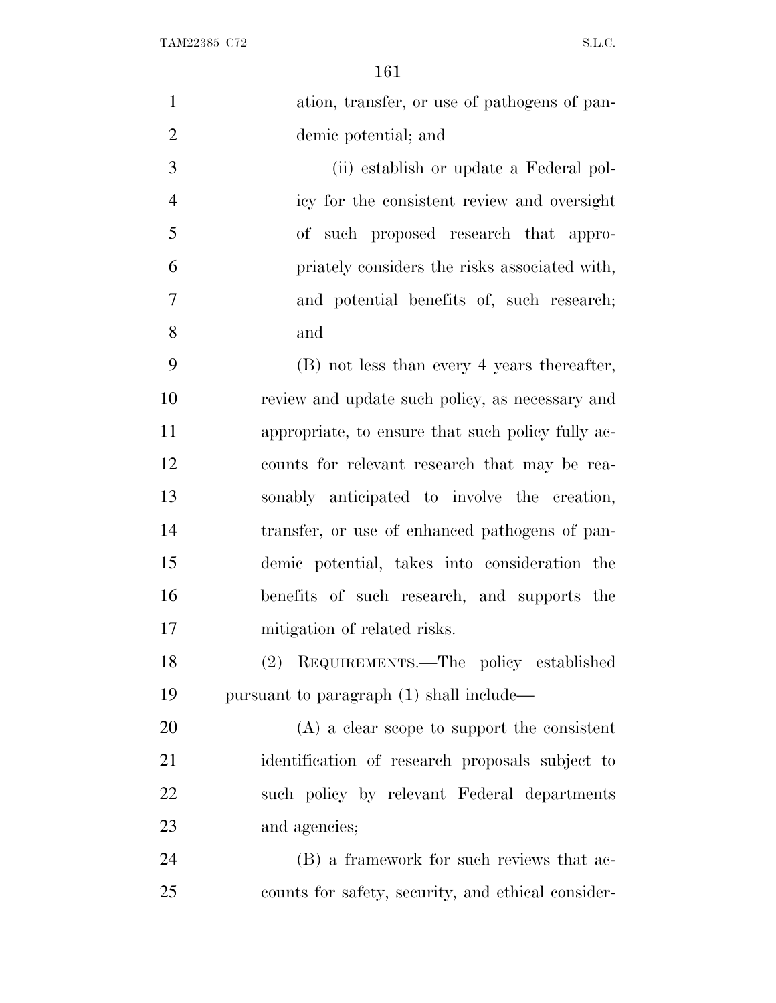| $\mathbf{1}$   | ation, transfer, or use of pathogens of pan-       |
|----------------|----------------------------------------------------|
| $\overline{2}$ | demic potential; and                               |
| 3              | (ii) establish or update a Federal pol-            |
| $\overline{4}$ | icy for the consistent review and oversight        |
| 5              | of such proposed research that appro-              |
| 6              | priately considers the risks associated with,      |
| 7              | and potential benefits of, such research;          |
| 8              | and                                                |
| 9              | (B) not less than every 4 years thereafter,        |
| 10             | review and update such policy, as necessary and    |
| 11             | appropriate, to ensure that such policy fully ac-  |
| 12             | counts for relevant research that may be rea-      |
| 13             | sonably anticipated to involve the creation,       |
| 14             | transfer, or use of enhanced pathogens of pan-     |
| 15             | demic potential, takes into consideration the      |
| 16             | benefits of such research, and supports the        |
| 17             | mitigation of related risks.                       |
| 18             | (2) REQUIREMENTS.—The policy established           |
| 19             | pursuant to paragraph (1) shall include—           |
| 20             | $(A)$ a clear scope to support the consistent      |
| 21             | identification of research proposals subject to    |
| 22             | such policy by relevant Federal departments        |
| 23             | and agencies;                                      |
| 24             | (B) a framework for such reviews that ac-          |
| 25             | counts for safety, security, and ethical consider- |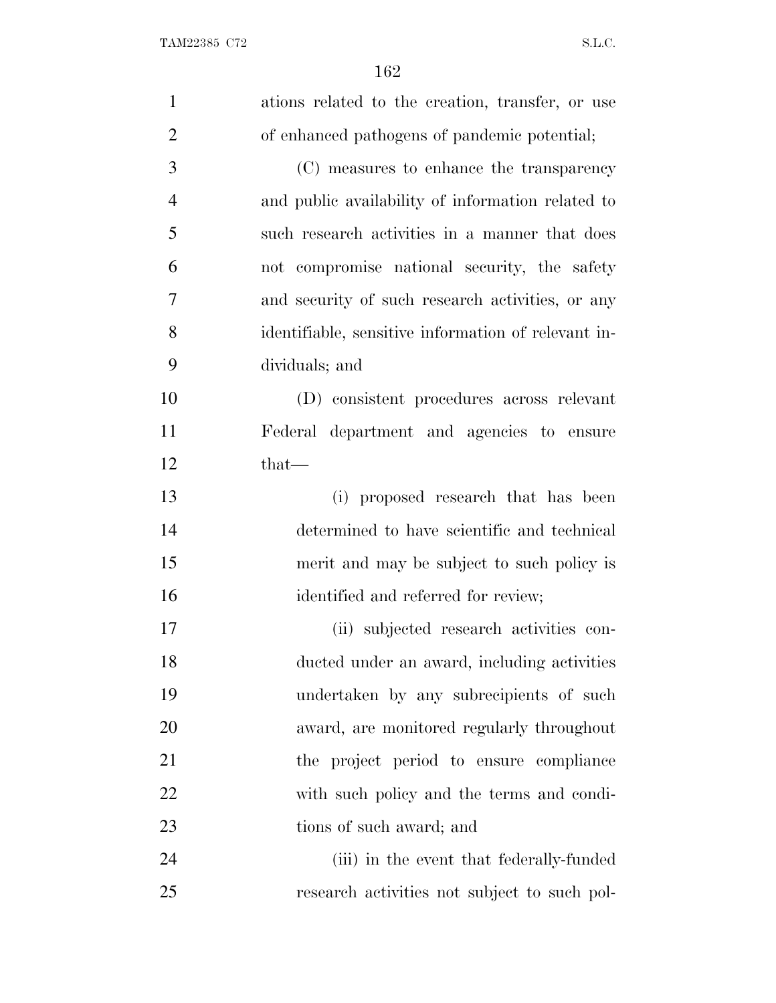| $\mathbf{1}$   | ations related to the creation, transfer, or use    |
|----------------|-----------------------------------------------------|
| $\overline{2}$ | of enhanced pathogens of pandemic potential;        |
| 3              | (C) measures to enhance the transparency            |
| $\overline{4}$ | and public availability of information related to   |
| 5              | such research activities in a manner that does      |
| 6              | not compromise national security, the safety        |
| 7              | and security of such research activities, or any    |
| 8              | identifiable, sensitive information of relevant in- |
| 9              | dividuals; and                                      |
| 10             | (D) consistent procedures across relevant           |
| 11             | Federal department and agencies to ensure           |
| 12             | $that-$                                             |
| 13             | (i) proposed research that has been                 |
| 14             | determined to have scientific and technical         |
| 15             | merit and may be subject to such policy is          |
| 16             | identified and referred for review;                 |
| 17             | (ii) subjected research activities con-             |
| 18             | ducted under an award, including activities         |
| 19             | undertaken by any subrecipients of such             |
| 20             | award, are monitored regularly throughout           |
| 21             | the project period to ensure compliance             |
| 22             | with such policy and the terms and condi-           |
| 23             | tions of such award; and                            |
| 24             | (iii) in the event that federally-funded            |
| 25             | research activities not subject to such pol-        |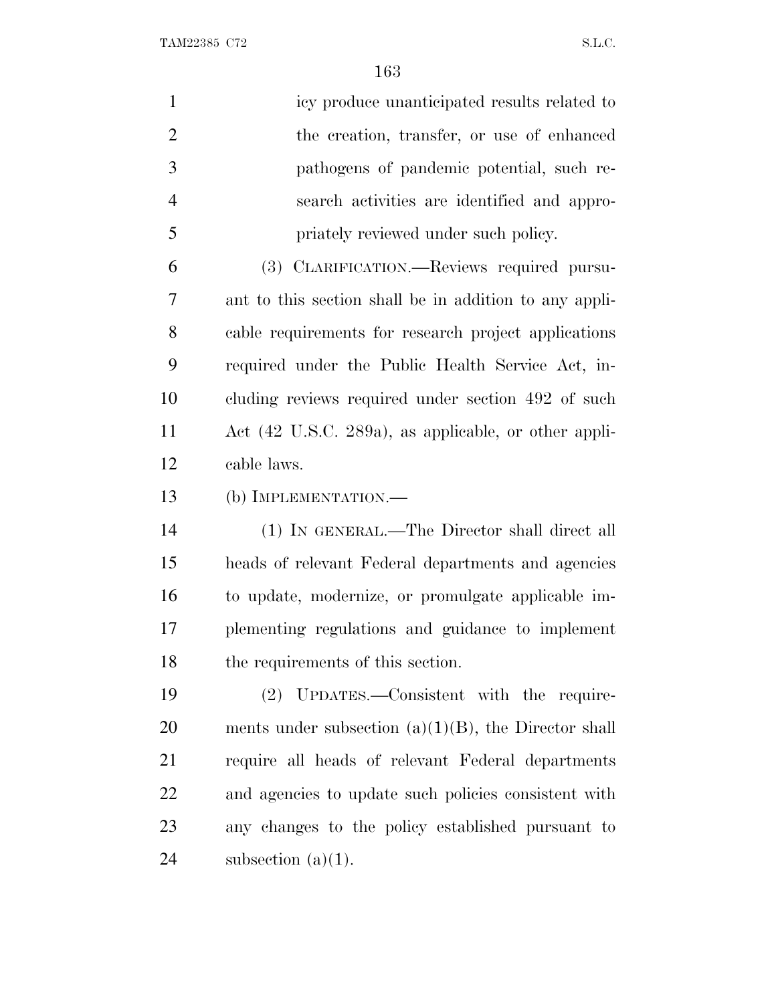| $\mathbf{1}$   | icy produce unanticipated results related to            |
|----------------|---------------------------------------------------------|
| $\overline{2}$ | the creation, transfer, or use of enhanced              |
| 3              | pathogens of pandemic potential, such re-               |
| $\overline{4}$ | search activities are identified and appro-             |
| 5              | priately reviewed under such policy.                    |
| 6              | (3) CLARIFICATION.—Reviews required pursu-              |
| 7              | ant to this section shall be in addition to any appli-  |
| 8              | cable requirements for research project applications    |
| 9              | required under the Public Health Service Act, in-       |
| 10             | cluding reviews required under section 492 of such      |
| 11             | Act (42 U.S.C. 289a), as applicable, or other appli-    |
| 12             | cable laws.                                             |
| 13             | (b) IMPLEMENTATION.—                                    |
| 14             | (1) IN GENERAL.—The Director shall direct all           |
| 15             | heads of relevant Federal departments and agencies      |
| 16             | to update, modernize, or promulgate applicable im-      |
| 17             | plementing regulations and guidance to implement        |
| 18             | the requirements of this section.                       |
| 19             | (2) UPDATES.—Consistent with the require-               |
| 20             | ments under subsection $(a)(1)(B)$ , the Director shall |
| 21             | require all heads of relevant Federal departments       |
| 22             | and agencies to update such policies consistent with    |
| 23             | any changes to the policy established pursuant to       |
| 24             | subsection $(a)(1)$ .                                   |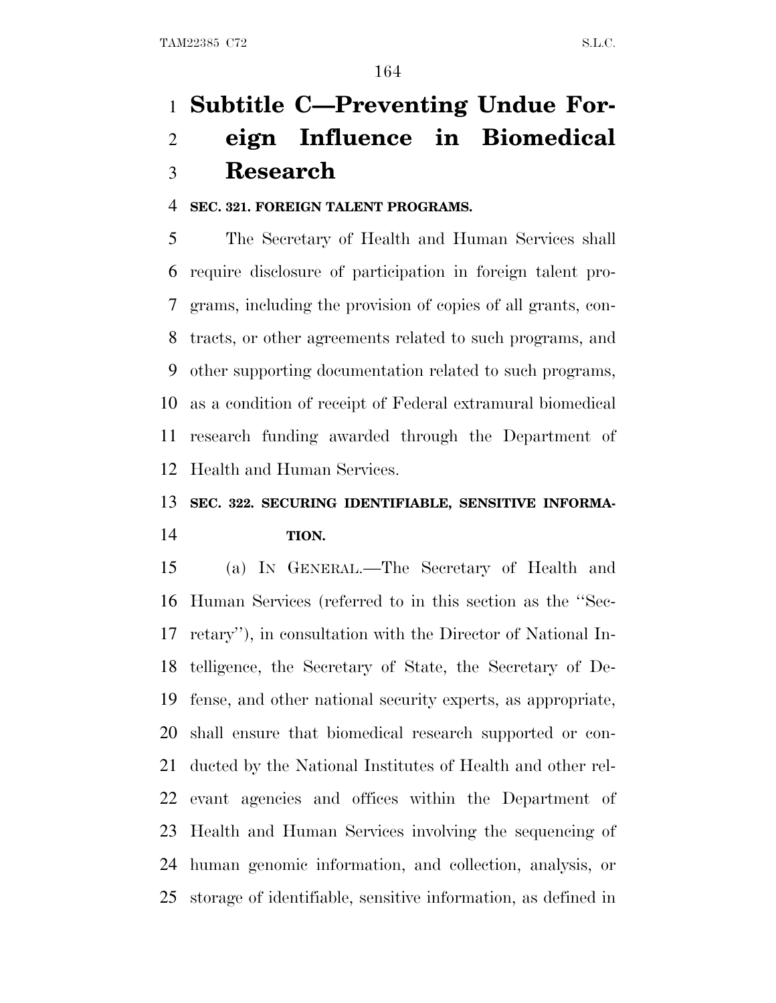# **Subtitle C—Preventing Undue For- eign Influence in Biomedical Research**

### **SEC. 321. FOREIGN TALENT PROGRAMS.**

 The Secretary of Health and Human Services shall require disclosure of participation in foreign talent pro- grams, including the provision of copies of all grants, con- tracts, or other agreements related to such programs, and other supporting documentation related to such programs, as a condition of receipt of Federal extramural biomedical research funding awarded through the Department of Health and Human Services.

## **SEC. 322. SECURING IDENTIFIABLE, SENSITIVE INFORMA-TION.**

 (a) I<sup>N</sup> GENERAL.—The Secretary of Health and Human Services (referred to in this section as the ''Sec- retary''), in consultation with the Director of National In- telligence, the Secretary of State, the Secretary of De- fense, and other national security experts, as appropriate, shall ensure that biomedical research supported or con- ducted by the National Institutes of Health and other rel- evant agencies and offices within the Department of Health and Human Services involving the sequencing of human genomic information, and collection, analysis, or storage of identifiable, sensitive information, as defined in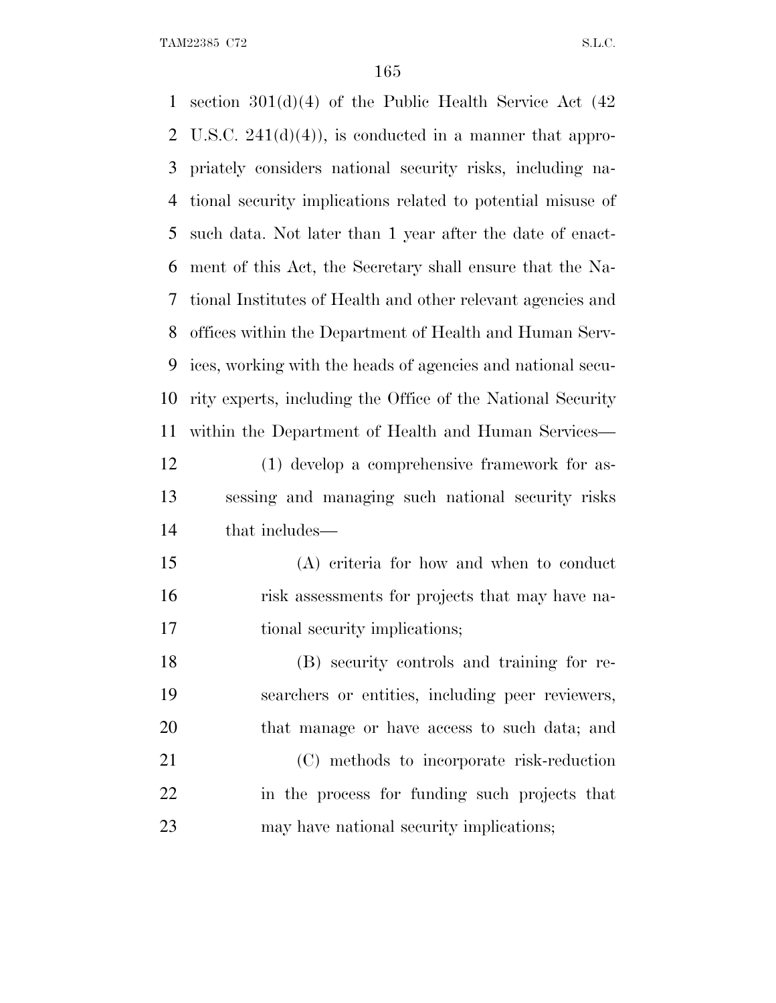section 301(d)(4) of the Public Health Service Act (42 2 U.S.C.  $241(d)(4)$ , is conducted in a manner that appro- priately considers national security risks, including na- tional security implications related to potential misuse of such data. Not later than 1 year after the date of enact- ment of this Act, the Secretary shall ensure that the Na- tional Institutes of Health and other relevant agencies and offices within the Department of Health and Human Serv- ices, working with the heads of agencies and national secu- rity experts, including the Office of the National Security within the Department of Health and Human Services— (1) develop a comprehensive framework for as- sessing and managing such national security risks that includes— (A) criteria for how and when to conduct risk assessments for projects that may have na- tional security implications; (B) security controls and training for re- searchers or entities, including peer reviewers, that manage or have access to such data; and (C) methods to incorporate risk-reduction in the process for funding such projects that may have national security implications;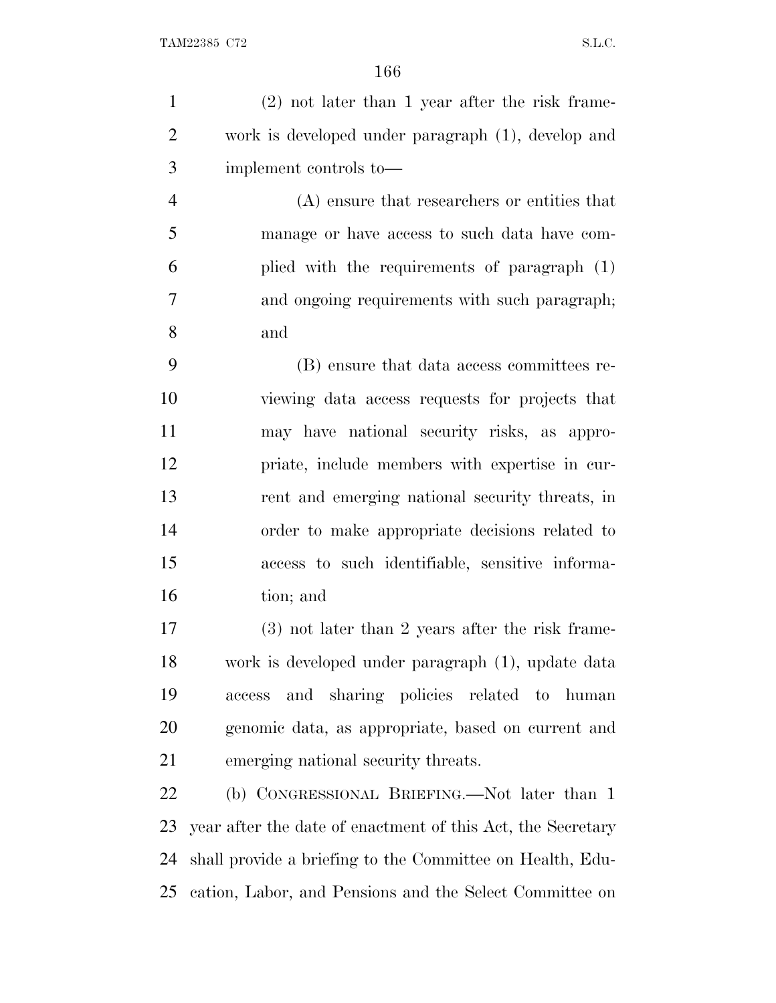(2) not later than 1 year after the risk frame- work is developed under paragraph (1), develop and implement controls to— (A) ensure that researchers or entities that manage or have access to such data have com-

 plied with the requirements of paragraph (1) and ongoing requirements with such paragraph; and

 (B) ensure that data access committees re- viewing data access requests for projects that may have national security risks, as appro- priate, include members with expertise in cur- rent and emerging national security threats, in order to make appropriate decisions related to access to such identifiable, sensitive informa-tion; and

 (3) not later than 2 years after the risk frame- work is developed under paragraph (1), update data access and sharing policies related to human genomic data, as appropriate, based on current and emerging national security threats.

 (b) CONGRESSIONAL BRIEFING.—Not later than 1 year after the date of enactment of this Act, the Secretary shall provide a briefing to the Committee on Health, Edu-cation, Labor, and Pensions and the Select Committee on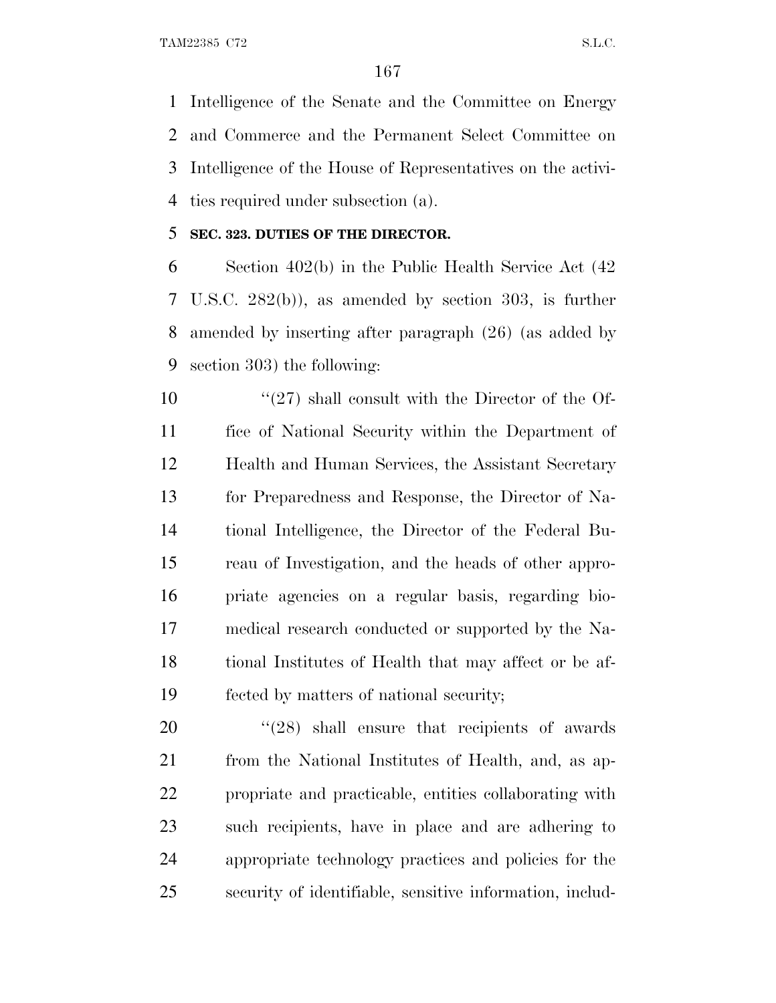Intelligence of the Senate and the Committee on Energy and Commerce and the Permanent Select Committee on Intelligence of the House of Representatives on the activi-ties required under subsection (a).

### **SEC. 323. DUTIES OF THE DIRECTOR.**

 Section 402(b) in the Public Health Service Act (42 U.S.C. 282(b)), as amended by section 303, is further amended by inserting after paragraph (26) (as added by section 303) the following:

 $\frac{10}{27}$  shall consult with the Director of the Of- fice of National Security within the Department of Health and Human Services, the Assistant Secretary for Preparedness and Response, the Director of Na- tional Intelligence, the Director of the Federal Bu- reau of Investigation, and the heads of other appro- priate agencies on a regular basis, regarding bio- medical research conducted or supported by the Na- tional Institutes of Health that may affect or be af-fected by matters of national security;

 $(28)$  shall ensure that recipients of awards from the National Institutes of Health, and, as ap- propriate and practicable, entities collaborating with such recipients, have in place and are adhering to appropriate technology practices and policies for the security of identifiable, sensitive information, includ-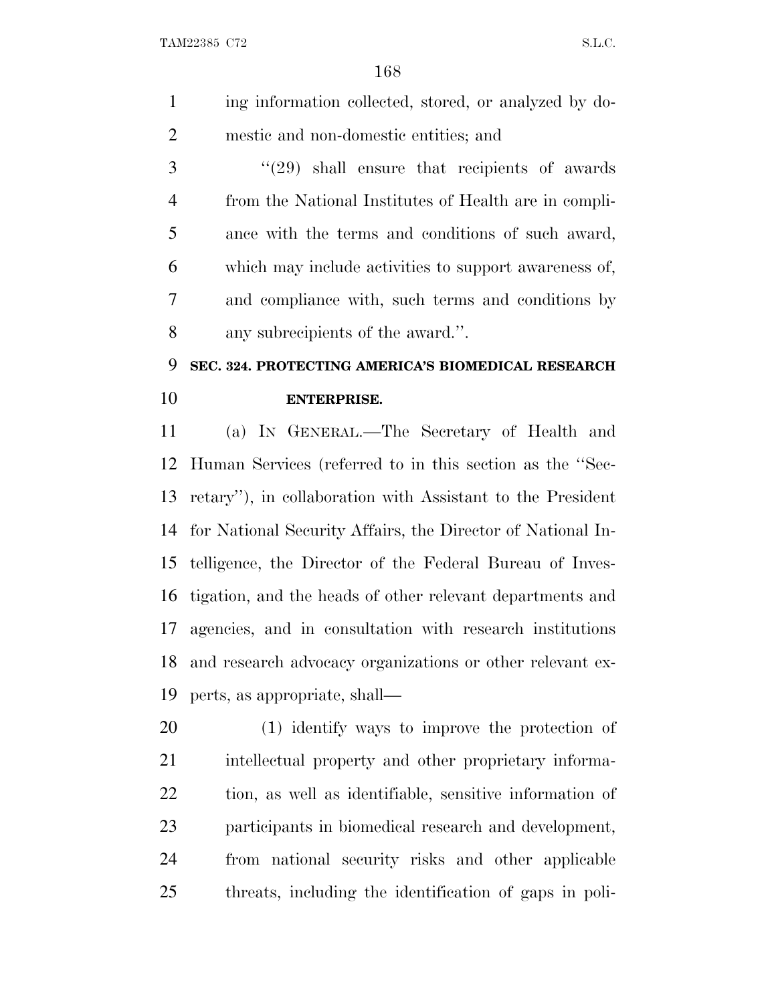ing information collected, stored, or analyzed by do-mestic and non-domestic entities; and

 ''(29) shall ensure that recipients of awards from the National Institutes of Health are in compli- ance with the terms and conditions of such award, which may include activities to support awareness of, and compliance with, such terms and conditions by any subrecipients of the award.''.

# **SEC. 324. PROTECTING AMERICA'S BIOMEDICAL RESEARCH ENTERPRISE.**

 (a) I<sup>N</sup> GENERAL.—The Secretary of Health and Human Services (referred to in this section as the ''Sec- retary''), in collaboration with Assistant to the President for National Security Affairs, the Director of National In- telligence, the Director of the Federal Bureau of Inves- tigation, and the heads of other relevant departments and agencies, and in consultation with research institutions and research advocacy organizations or other relevant ex-perts, as appropriate, shall—

 (1) identify ways to improve the protection of 21 intellectual property and other proprietary informa- tion, as well as identifiable, sensitive information of participants in biomedical research and development, from national security risks and other applicable threats, including the identification of gaps in poli-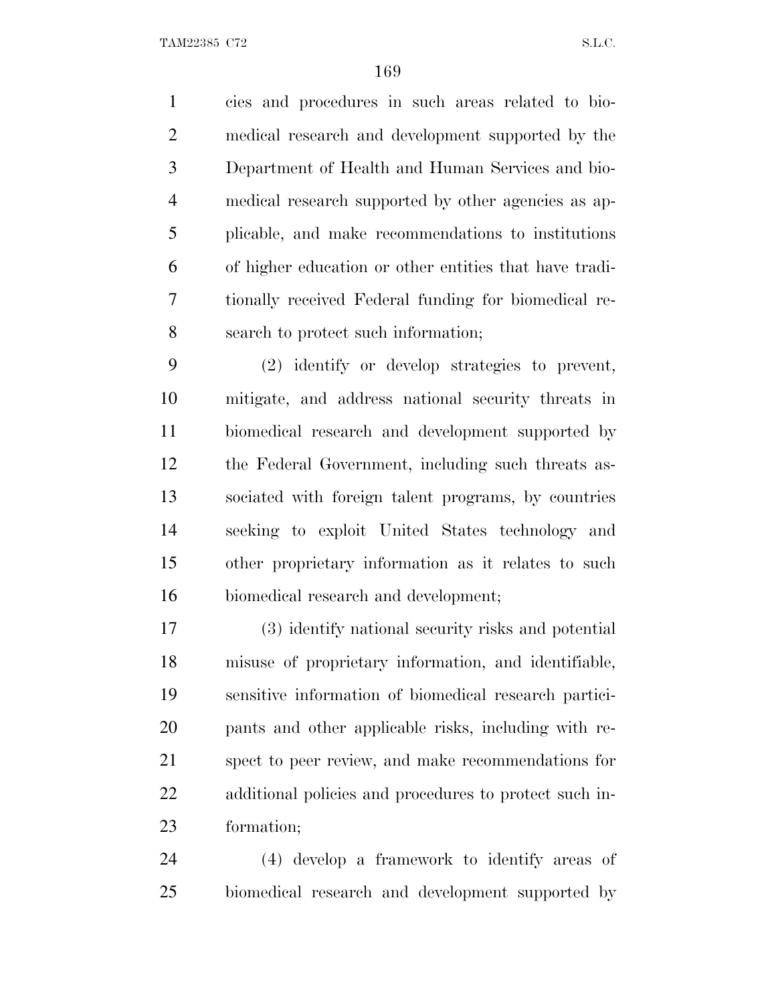cies and procedures in such areas related to bio- medical research and development supported by the Department of Health and Human Services and bio- medical research supported by other agencies as ap- plicable, and make recommendations to institutions of higher education or other entities that have tradi- tionally received Federal funding for biomedical re-search to protect such information;

 (2) identify or develop strategies to prevent, mitigate, and address national security threats in biomedical research and development supported by the Federal Government, including such threats as- sociated with foreign talent programs, by countries seeking to exploit United States technology and other proprietary information as it relates to such biomedical research and development;

 (3) identify national security risks and potential misuse of proprietary information, and identifiable, sensitive information of biomedical research partici- pants and other applicable risks, including with re- spect to peer review, and make recommendations for additional policies and procedures to protect such in-formation;

 (4) develop a framework to identify areas of biomedical research and development supported by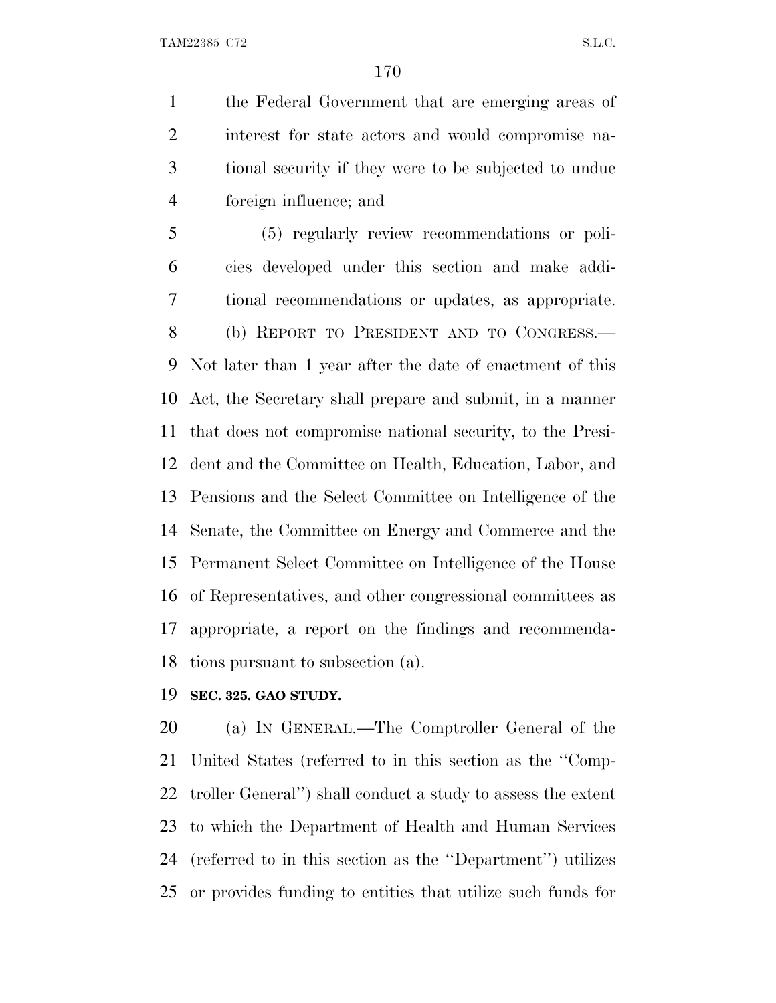the Federal Government that are emerging areas of interest for state actors and would compromise na- tional security if they were to be subjected to undue foreign influence; and

 (5) regularly review recommendations or poli- cies developed under this section and make addi- tional recommendations or updates, as appropriate. (b) REPORT TO PRESIDENT AND TO CONGRESS.— Not later than 1 year after the date of enactment of this Act, the Secretary shall prepare and submit, in a manner that does not compromise national security, to the Presi- dent and the Committee on Health, Education, Labor, and Pensions and the Select Committee on Intelligence of the Senate, the Committee on Energy and Commerce and the Permanent Select Committee on Intelligence of the House of Representatives, and other congressional committees as appropriate, a report on the findings and recommenda-tions pursuant to subsection (a).

**SEC. 325. GAO STUDY.**

 (a) I<sup>N</sup> GENERAL.—The Comptroller General of the United States (referred to in this section as the ''Comp- troller General'') shall conduct a study to assess the extent to which the Department of Health and Human Services (referred to in this section as the ''Department'') utilizes or provides funding to entities that utilize such funds for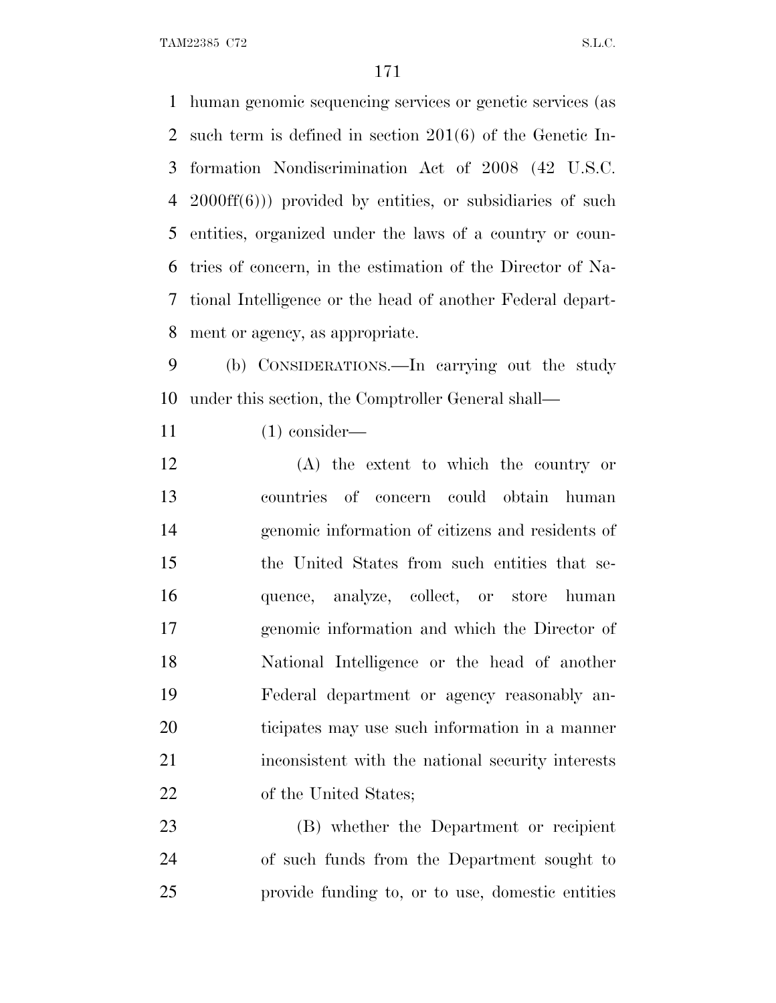human genomic sequencing services or genetic services (as such term is defined in section 201(6) of the Genetic In- formation Nondiscrimination Act of 2008 (42 U.S.C. 2000ff(6))) provided by entities, or subsidiaries of such entities, organized under the laws of a country or coun- tries of concern, in the estimation of the Director of Na- tional Intelligence or the head of another Federal depart-ment or agency, as appropriate.

 (b) CONSIDERATIONS.—In carrying out the study under this section, the Comptroller General shall—

(1) consider—

 (A) the extent to which the country or countries of concern could obtain human genomic information of citizens and residents of the United States from such entities that se- quence, analyze, collect, or store human genomic information and which the Director of National Intelligence or the head of another Federal department or agency reasonably an- ticipates may use such information in a manner inconsistent with the national security interests 22 of the United States;

 (B) whether the Department or recipient of such funds from the Department sought to provide funding to, or to use, domestic entities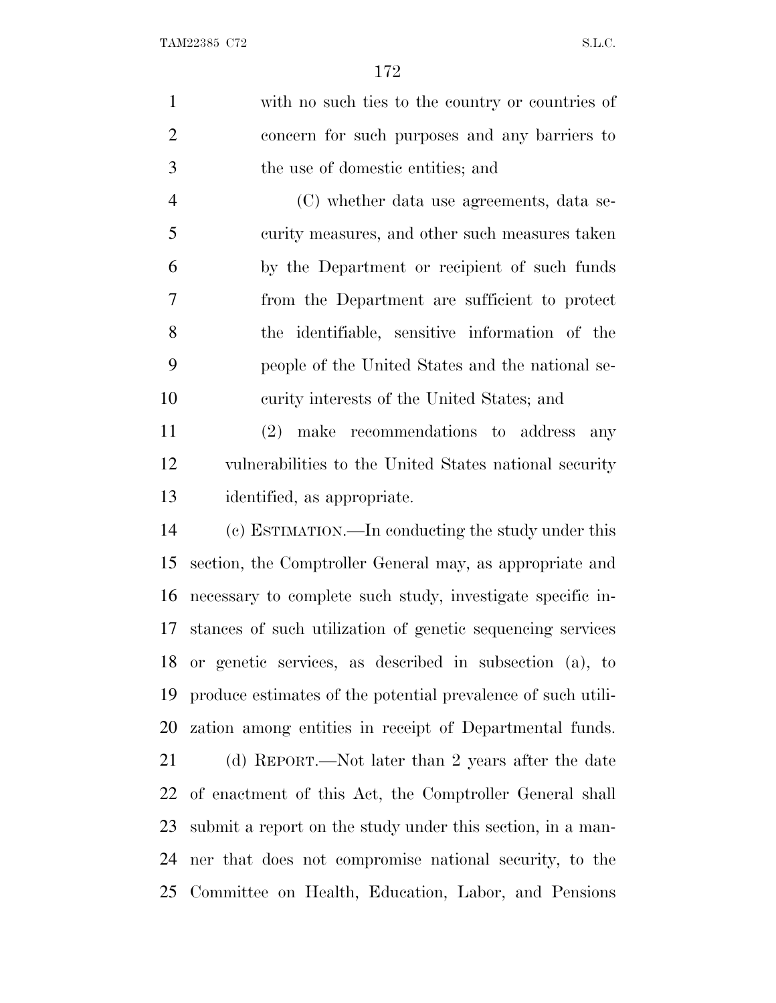with no such ties to the country or countries of concern for such purposes and any barriers to the use of domestic entities; and (C) whether data use agreements, data se- curity measures, and other such measures taken by the Department or recipient of such funds from the Department are sufficient to protect the identifiable, sensitive information of the people of the United States and the national se- curity interests of the United States; and (2) make recommendations to address any vulnerabilities to the United States national security identified, as appropriate. (c) ESTIMATION.—In conducting the study under this section, the Comptroller General may, as appropriate and necessary to complete such study, investigate specific in- stances of such utilization of genetic sequencing services or genetic services, as described in subsection (a), to produce estimates of the potential prevalence of such utili- zation among entities in receipt of Departmental funds. (d) REPORT.—Not later than 2 years after the date of enactment of this Act, the Comptroller General shall submit a report on the study under this section, in a man- ner that does not compromise national security, to the Committee on Health, Education, Labor, and Pensions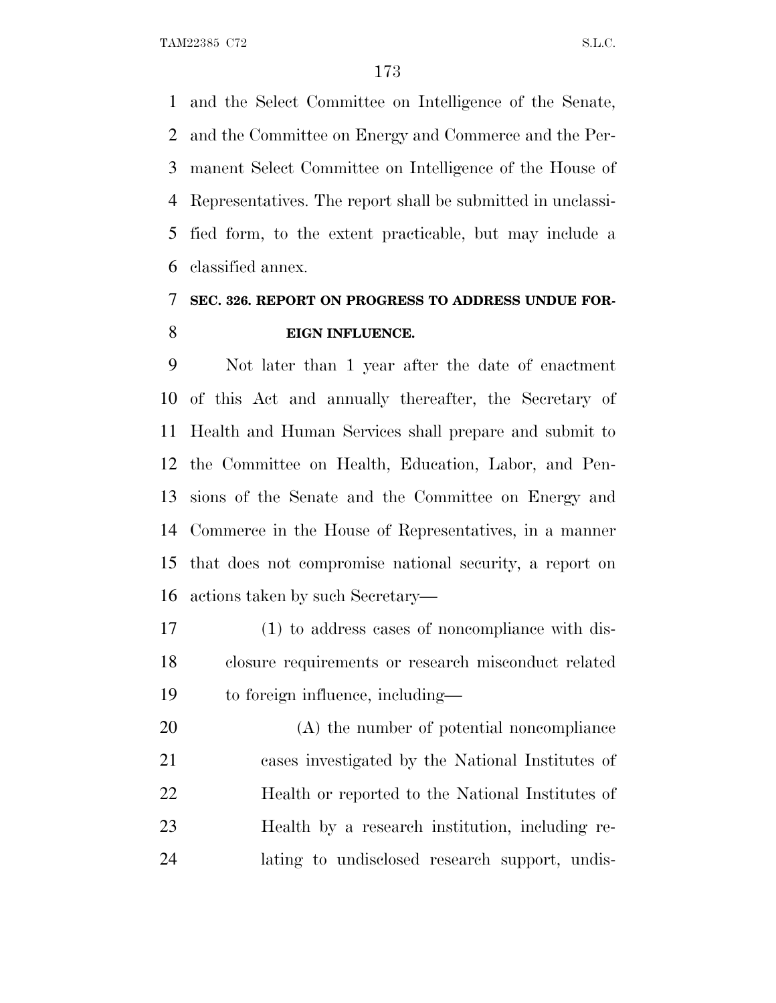and the Select Committee on Intelligence of the Senate, and the Committee on Energy and Commerce and the Per- manent Select Committee on Intelligence of the House of Representatives. The report shall be submitted in unclassi- fied form, to the extent practicable, but may include a classified annex.

### **SEC. 326. REPORT ON PROGRESS TO ADDRESS UNDUE FOR-EIGN INFLUENCE.**

 Not later than 1 year after the date of enactment of this Act and annually thereafter, the Secretary of Health and Human Services shall prepare and submit to the Committee on Health, Education, Labor, and Pen- sions of the Senate and the Committee on Energy and Commerce in the House of Representatives, in a manner that does not compromise national security, a report on actions taken by such Secretary—

 (1) to address cases of noncompliance with dis- closure requirements or research misconduct related to foreign influence, including—

 (A) the number of potential noncompliance cases investigated by the National Institutes of Health or reported to the National Institutes of Health by a research institution, including re-lating to undisclosed research support, undis-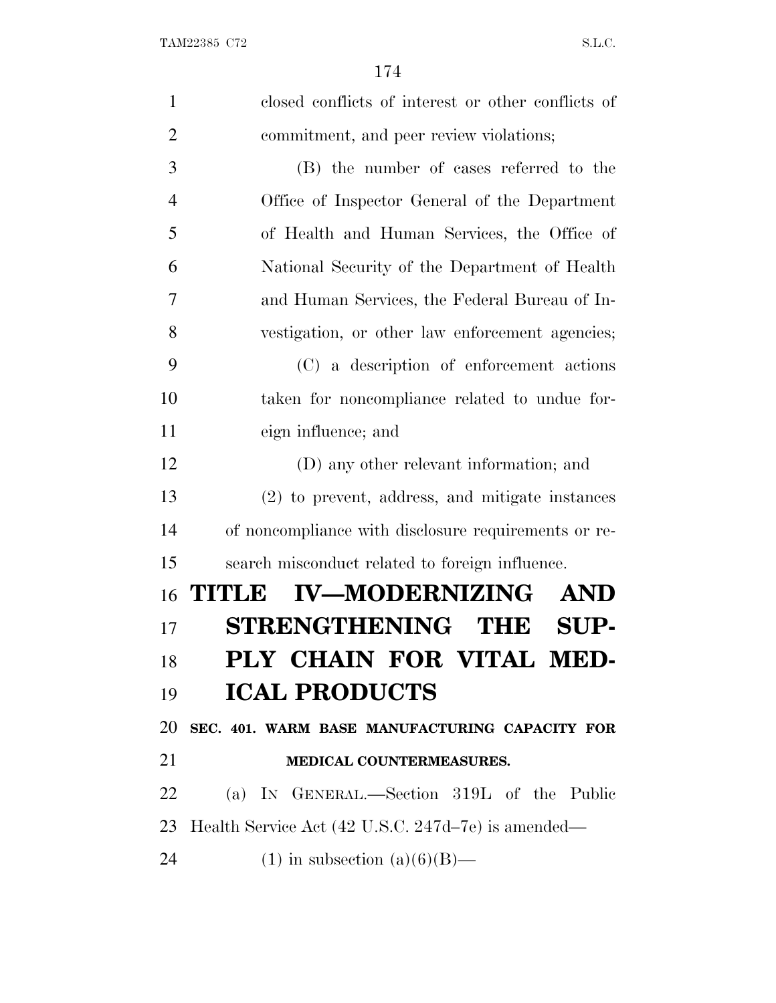| $\mathbf{1}$   | closed conflicts of interest or other conflicts of   |
|----------------|------------------------------------------------------|
| $\overline{2}$ | commitment, and peer review violations;              |
| 3              | (B) the number of cases referred to the              |
| $\overline{4}$ | Office of Inspector General of the Department        |
| 5              | of Health and Human Services, the Office of          |
| 6              | National Security of the Department of Health        |
| 7              | and Human Services, the Federal Bureau of In-        |
| 8              | vestigation, or other law enforcement agencies;      |
| 9              | (C) a description of enforcement actions             |
| 10             | taken for noncompliance related to undue for-        |
| 11             | eign influence; and                                  |
| 12             | (D) any other relevant information; and              |
| 13             | (2) to prevent, address, and mitigate instances      |
| 14             | of noncompliance with disclosure requirements or re- |
| 15             | search misconduct related to foreign influence.      |
| 16             | <b>IV-MODERNIZING</b><br>TITILE<br><b>AND</b>        |
| 17             | STRENGTHENING THE<br>SUP-                            |
| 18             | PLY CHAIN FOR VITAL MED-                             |
| 19             | <b>ICAL PRODUCTS</b>                                 |
| 20             | SEC. 401. WARM BASE MANUFACTURING CAPACITY FOR       |
| 21             | MEDICAL COUNTERMEASURES.                             |
| 22             | (a) IN GENERAL.—Section 319L of the Public           |
| 23             | Health Service Act (42 U.S.C. 247d–7e) is amended—   |
| 24             | $(1)$ in subsection $(a)(6)(B)$ —                    |
|                |                                                      |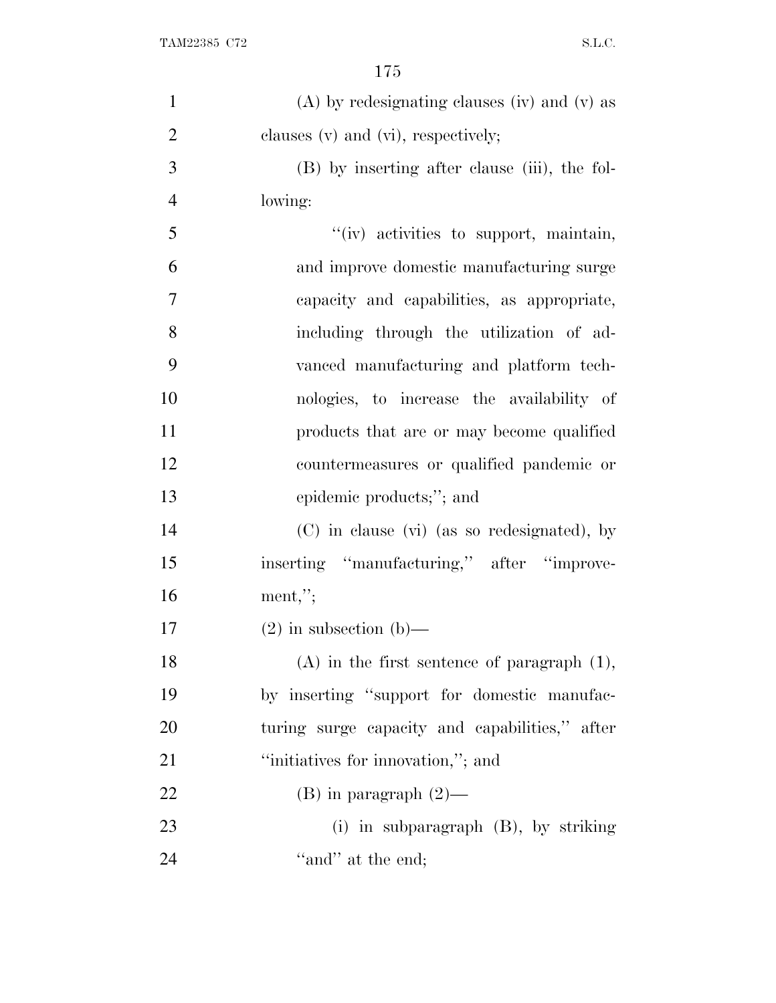| $\mathbf{1}$   | $(A)$ by redesignating clauses (iv) and (v) as   |
|----------------|--------------------------------------------------|
| $\overline{2}$ | clauses $(v)$ and $(vi)$ , respectively;         |
| 3              | (B) by inserting after clause (iii), the fol-    |
| $\overline{4}$ | lowing:                                          |
| 5              | "(iv) activities to support, maintain,           |
| 6              | and improve domestic manufacturing surge         |
| 7              | capacity and capabilities, as appropriate,       |
| 8              | including through the utilization of ad-         |
| 9              | vanced manufacturing and platform tech-          |
| 10             | nologies, to increase the availability of        |
| 11             | products that are or may become qualified        |
| 12             | countermeasures or qualified pandemic or         |
| 13             | epidemic products;"; and                         |
| 14             | (C) in clause (vi) (as so redesignated), by      |
| 15             | inserting "manufacturing," after "improve-       |
| 16             | $ment,$ ";                                       |
| 17             | $(2)$ in subsection $(b)$ —                      |
| 18             | $(A)$ in the first sentence of paragraph $(1)$ , |
| 19             | by inserting "support for domestic manufac-      |
| 20             | turing surge capacity and capabilities," after   |
| 21             | "initiatives for innovation,"; and               |
| 22             | $(B)$ in paragraph $(2)$ —                       |
| 23             | (i) in subparagraph $(B)$ , by striking          |
| 24             | "and" at the end;                                |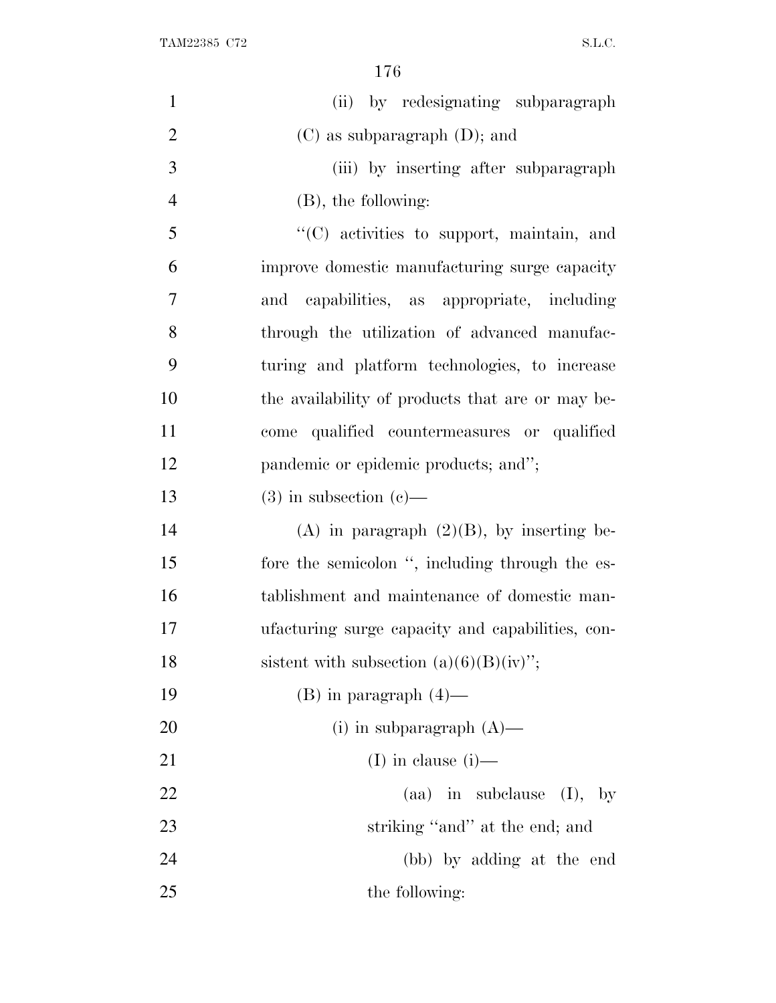| $\mathbf{1}$   | (ii) by redesignating subparagraph               |
|----------------|--------------------------------------------------|
| $\overline{2}$ | $(C)$ as subparagraph $(D)$ ; and                |
| 3              | (iii) by inserting after subparagraph            |
| $\overline{4}$ | $(B)$ , the following:                           |
| 5              | "(C) activities to support, maintain, and        |
| 6              | improve domestic manufacturing surge capacity    |
| 7              | and capabilities, as appropriate, including      |
| 8              | through the utilization of advanced manufac-     |
| 9              | turing and platform technologies, to increase    |
| 10             | the availability of products that are or may be- |
| 11             | qualified countermeasures or qualified<br>come   |
| 12             | pandemic or epidemic products; and";             |
| 13             | $(3)$ in subsection $(e)$ —                      |
| 14             | (A) in paragraph $(2)(B)$ , by inserting be-     |
| 15             | fore the semicolon ", including through the es-  |
| 16             | tablishment and maintenance of domestic man-     |
| 17             | ufacturing surge capacity and capabilities, con- |
| 18             | sistent with subsection $(a)(6)(B)(iv)$ ;        |
| 19             | $(B)$ in paragraph $(4)$ —                       |
| 20             | (i) in subparagraph $(A)$ —                      |
| 21             | (I) in clause $(i)$ —                            |
| 22             | (aa) in subclause<br>(I),<br>$-$ by              |
| 23             | striking "and" at the end; and                   |
| 24             | (bb) by adding at the end                        |
| 25             | the following:                                   |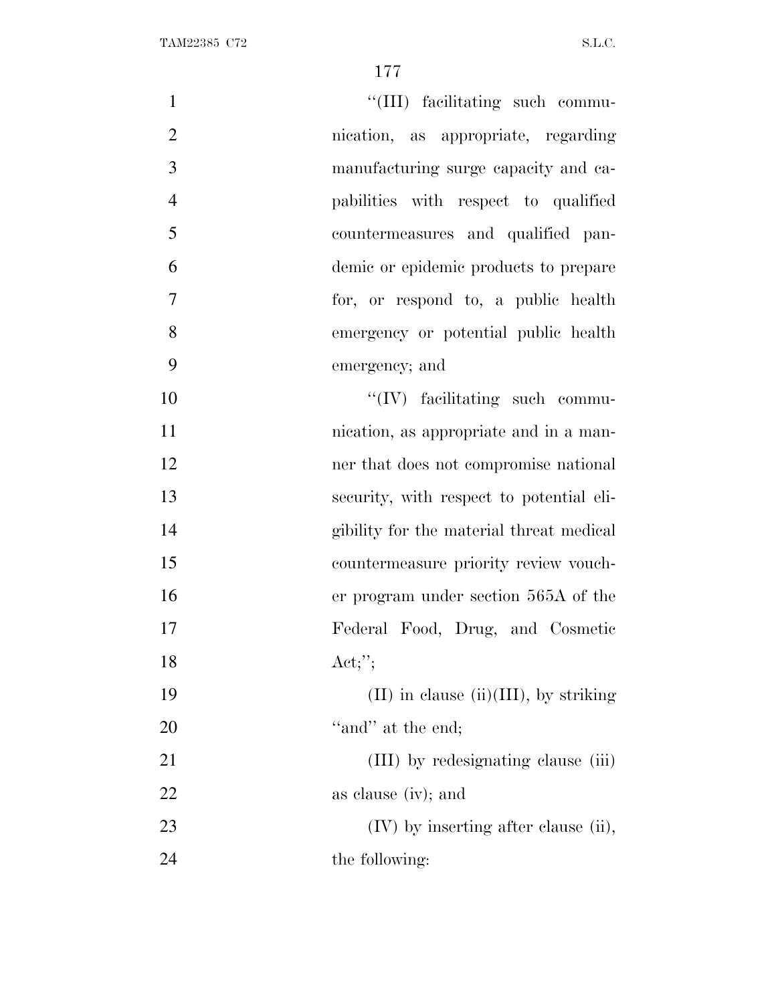| $\mathbf{1}$   | "(III) facilitating such commu-            |
|----------------|--------------------------------------------|
| $\overline{2}$ | nication, as appropriate, regarding        |
| 3              | manufacturing surge capacity and ca-       |
| $\overline{4}$ | pabilities with respect to qualified       |
| 5              | countermeasures and qualified pan-         |
| 6              | demic or epidemic products to prepare      |
| $\overline{7}$ | for, or respond to, a public health        |
| 8              | emergency or potential public health       |
| 9              | emergency; and                             |
| 10             | $\lq\lq (IV)$ facilitating such commu-     |
| 11             | nication, as appropriate and in a man-     |
| 12             | ner that does not compromise national      |
| 13             | security, with respect to potential eli-   |
| 14             | gibility for the material threat medical   |
| 15             | countermeasure priority review vouch-      |
| 16             | er program under section 565A of the       |
| 17             | Federal Food, Drug, and Cosmetic           |
| 18             | Act;";                                     |
| 19             | $(II)$ in clause $(ii)(III)$ , by striking |
| 20             | "and" at the end;                          |
| 21             | (III) by redesignating clause (iii)        |
| 22             | as clause (iv); and                        |
| 23             | $(IV)$ by inserting after clause (ii),     |
| 24             | the following:                             |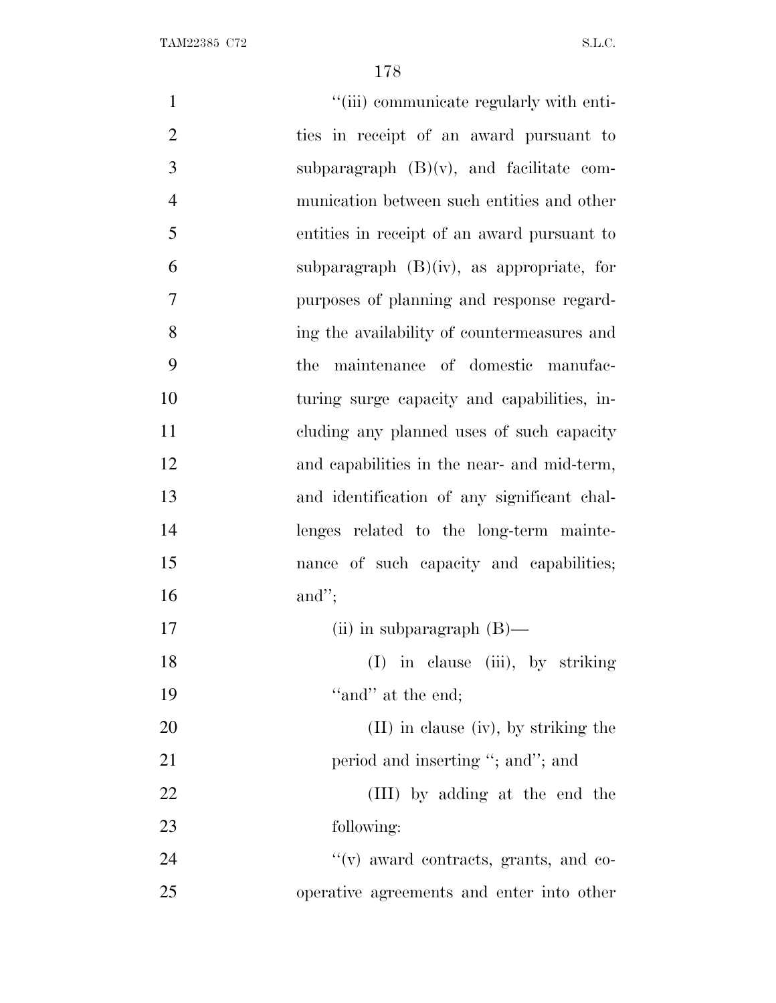| $\mathbf{1}$   | "(iii) communicate regularly with enti-      |
|----------------|----------------------------------------------|
| $\overline{2}$ | ties in receipt of an award pursuant to      |
| 3              | subparagraph $(B)(v)$ , and facilitate com-  |
| $\overline{4}$ | munication between such entities and other   |
| 5              | entities in receipt of an award pursuant to  |
| 6              | subparagraph $(B)(iv)$ , as appropriate, for |
| $\overline{7}$ | purposes of planning and response regard-    |
| 8              | ing the availability of countermeasures and  |
| 9              | the maintenance of domestic manufac-         |
| 10             | turing surge capacity and capabilities, in-  |
| 11             | cluding any planned uses of such capacity    |
| 12             | and capabilities in the near- and mid-term,  |
| 13             | and identification of any significant chal-  |
| 14             | lenges related to the long-term mainte-      |
| 15             | nance of such capacity and capabilities;     |
| 16             | and";                                        |
| 17             | (ii) in subparagraph $(B)$ —                 |
| 18             | (I) in clause (iii), by striking             |
| 19             | "and" at the end;                            |
| 20             | $(II)$ in clause (iv), by striking the       |
| 21             | period and inserting "; and"; and            |
| <u>22</u>      | (III) by adding at the end the               |
| 23             | following:                                   |
| 24             | "(v) award contracts, grants, and co-        |
| 25             | operative agreements and enter into other    |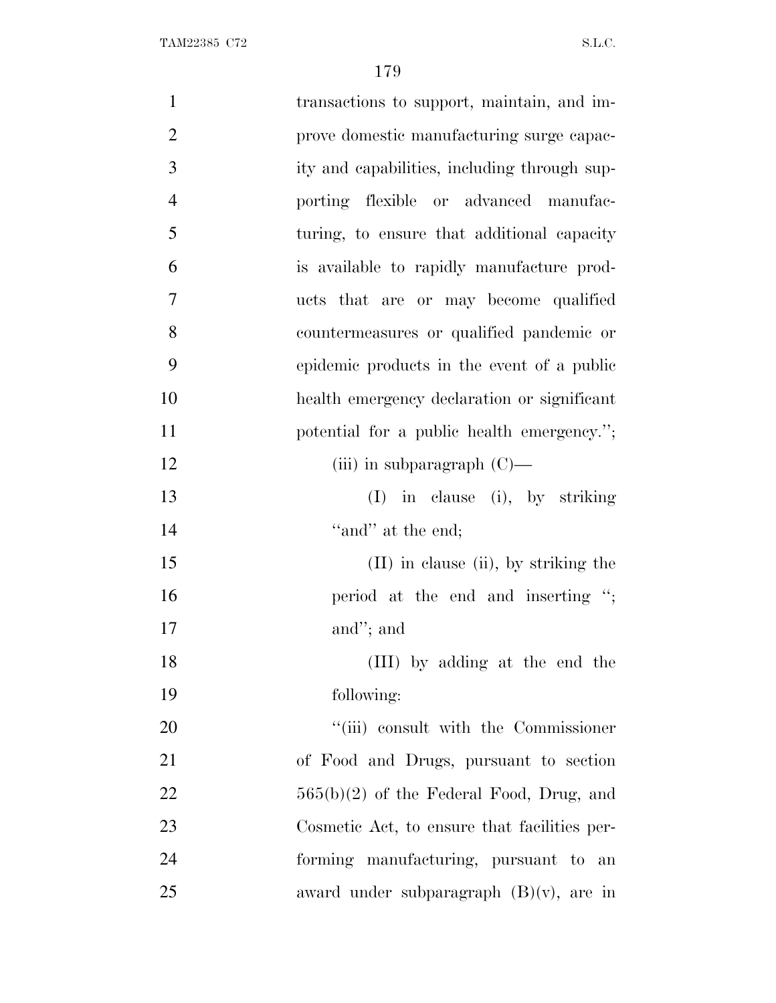| $\mathbf{1}$   | transactions to support, maintain, and im-   |
|----------------|----------------------------------------------|
| $\overline{2}$ | prove domestic manufacturing surge capac-    |
| 3              | ity and capabilities, including through sup- |
| $\overline{4}$ | porting flexible or advanced manufac-        |
| 5              | turing, to ensure that additional capacity   |
| 6              | is available to rapidly manufacture prod-    |
| 7              | ucts that are or may become qualified        |
| 8              | countermeasures or qualified pandemic or     |
| 9              | epidemic products in the event of a public   |
| 10             | health emergency declaration or significant  |
| 11             | potential for a public health emergency.";   |
| 12             | (iii) in subparagraph $(C)$ —                |
| 13             | $(I)$ in clause (i), by striking             |
| 14             | "and" at the end;                            |
| 15             | $(II)$ in clause $(ii)$ , by striking the    |
| 16             | period at the end and inserting ";           |
| 17             | and"; and                                    |
| 18             | (III) by adding at the end the               |
| 19             | following:                                   |
| 20             | "(iii) consult with the Commissioner         |
| 21             | of Food and Drugs, pursuant to section       |
| 22             | $565(b)(2)$ of the Federal Food, Drug, and   |
| 23             | Cosmetic Act, to ensure that facilities per- |
| 24             | forming manufacturing, pursuant to an        |
| 25             | award under subparagraph $(B)(v)$ , are in   |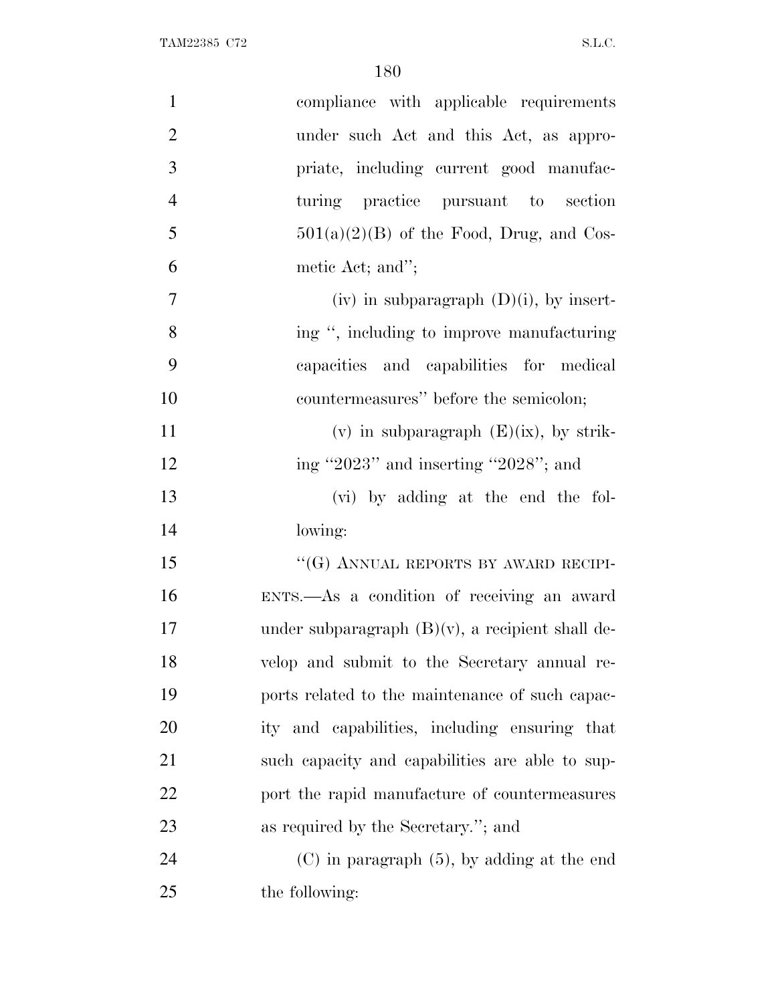| $\mathbf{1}$   | compliance with applicable requirements             |
|----------------|-----------------------------------------------------|
| $\mathbf{2}$   | under such Act and this Act, as appro-              |
| 3              | priate, including current good manufac-             |
| $\overline{4}$ | turing practice pursuant to section                 |
| 5              | $501(a)(2)(B)$ of the Food, Drug, and Cos-          |
| 6              | metic Act; and";                                    |
| $\tau$         | (iv) in subparagraph $(D)(i)$ , by insert-          |
| 8              | ing ", including to improve manufacturing           |
| 9              | capacities and capabilities for medical             |
| 10             | countermeasures" before the semicolon;              |
| 11             | (v) in subparagraph $(E)(ix)$ , by strik-           |
| 12             | ing "2023" and inserting "2028"; and                |
| 13             | (vi) by adding at the end the fol-                  |
| 14             | lowing:                                             |
| 15             | "(G) ANNUAL REPORTS BY AWARD RECIPI-                |
| 16             | ENTS.-As a condition of receiving an award          |
| 17             | under subparagraph $(B)(v)$ , a recipient shall de- |
| 18             | velop and submit to the Secretary annual re-        |
| 19             | ports related to the maintenance of such capac-     |
| 20             | ity and capabilities, including ensuring that       |
| 21             | such capacity and capabilities are able to sup-     |
| 22             | port the rapid manufacture of countermeasures       |
| 23             | as required by the Secretary."; and                 |
| 24             | $(C)$ in paragraph $(5)$ , by adding at the end     |
| 25             | the following:                                      |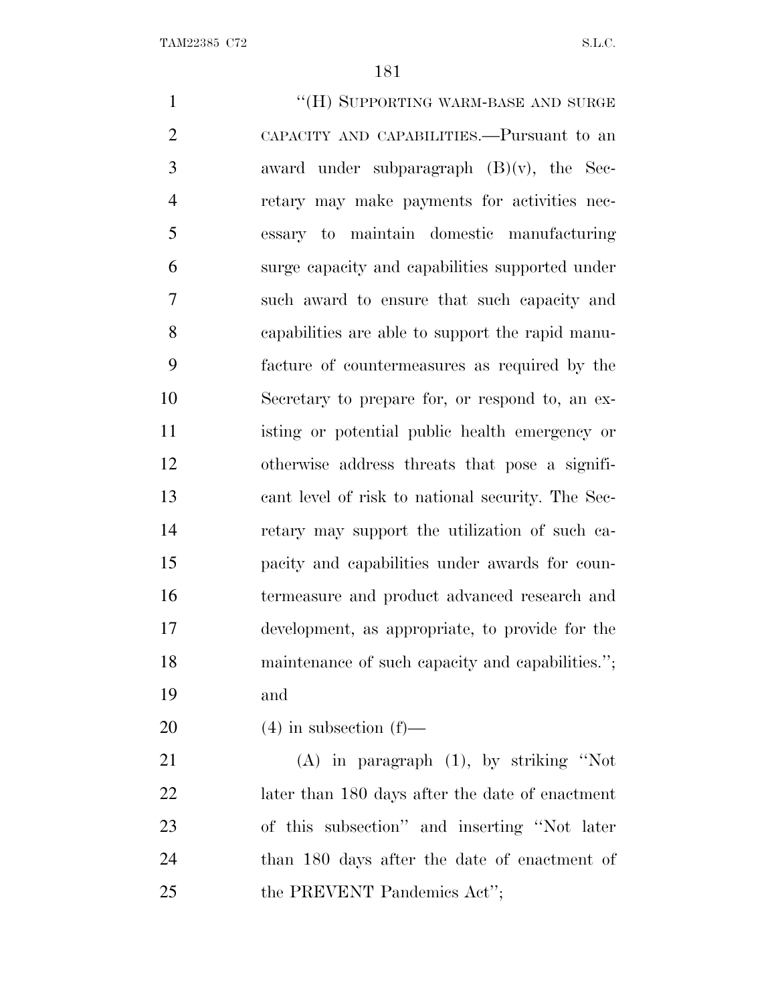1 ""(H) SUPPORTING WARM-BASE AND SURGE CAPACITY AND CAPABILITIES.—Pursuant to an award under subparagraph (B)(v), the Sec- retary may make payments for activities nec- essary to maintain domestic manufacturing surge capacity and capabilities supported under such award to ensure that such capacity and capabilities are able to support the rapid manu- facture of countermeasures as required by the Secretary to prepare for, or respond to, an ex- isting or potential public health emergency or otherwise address threats that pose a signifi- cant level of risk to national security. The Sec- retary may support the utilization of such ca- pacity and capabilities under awards for coun- termeasure and product advanced research and development, as appropriate, to provide for the maintenance of such capacity and capabilities.''; and  $(4)$  in subsection  $(f)$ — (A) in paragraph (1), by striking ''Not later than 180 days after the date of enactment of this subsection'' and inserting ''Not later

 than 180 days after the date of enactment of 25 the PREVENT Pandemics Act";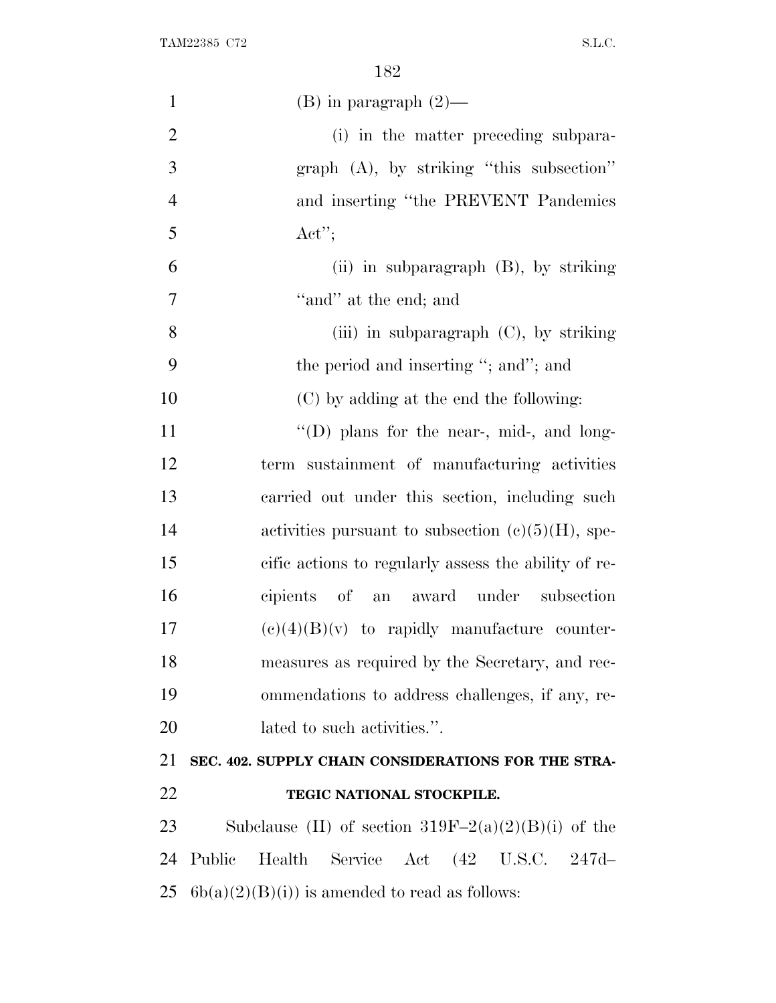| $\mathbf{1}$   | $(B)$ in paragraph $(2)$ —                            |
|----------------|-------------------------------------------------------|
| $\overline{2}$ | (i) in the matter preceding subpara-                  |
| 3              | $graph$ (A), by striking "this subsection"            |
| $\overline{4}$ | and inserting "the PREVENT Pandemics                  |
| 5              | $\text{Act}''$                                        |
| 6              | (ii) in subparagraph $(B)$ , by striking              |
| 7              | "and" at the end; and                                 |
| 8              | (iii) in subparagraph $(C)$ , by striking             |
| 9              | the period and inserting "; and"; and                 |
| 10             | (C) by adding at the end the following:               |
| 11             | $\lq\lq$ (D) plans for the near-, mid-, and long-     |
| 12             | term sustainment of manufacturing activities          |
| 13             | carried out under this section, including such        |
| 14             | activities pursuant to subsection $(c)(5)(H)$ , spe-  |
| 15             | cific actions to regularly assess the ability of re-  |
| 16             | cipients of an award under subsection                 |
| 17             | $(e)(4)(B)(v)$ to rapidly manufacture counter-        |
| 18             | measures as required by the Secretary, and rec-       |
| 19             | ommendations to address challenges, if any, re-       |
| 20             | lated to such activities.".                           |
| 21             | SEC. 402. SUPPLY CHAIN CONSIDERATIONS FOR THE STRA-   |
| 22             | TEGIC NATIONAL STOCKPILE.                             |
| 23             | Subclause (II) of section $319F-2(a)(2)(B)(i)$ of the |
| 24             | Public<br>Health<br>Service Act (42 U.S.C. 247d-      |
| 25             | $6b(a)(2)(B(i))$ is amended to read as follows:       |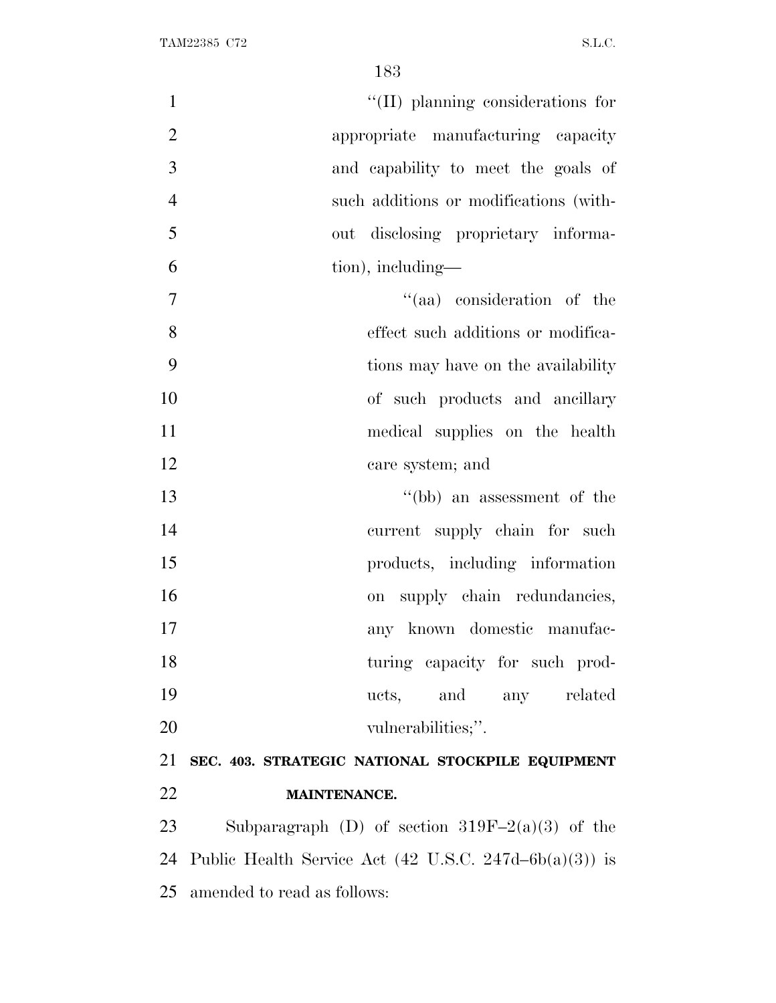$\text{``(II)}$  planning considerations for appropriate manufacturing capacity and capability to meet the goals of such additions or modifications (with- out disclosing proprietary informa- tion), including—  $"$ (aa) consideration of the effect such additions or modifica- tions may have on the availability of such products and ancillary 11 medical supplies on the health care system; and ''(bb) an assessment of the current supply chain for such 15 products, including information 16 on supply chain redundancies, any known domestic manufac-18 turing capacity for such prod- ucts, and any related 20 vulnerabilities;". **SEC. 403. STRATEGIC NATIONAL STOCKPILE EQUIPMENT MAINTENANCE.** Subparagraph (D) of section 319F–2(a)(3) of the 24 Public Health Service Act  $(42 \text{ U.S.C. } 247d - 6b(a)(3))$  is

amended to read as follows: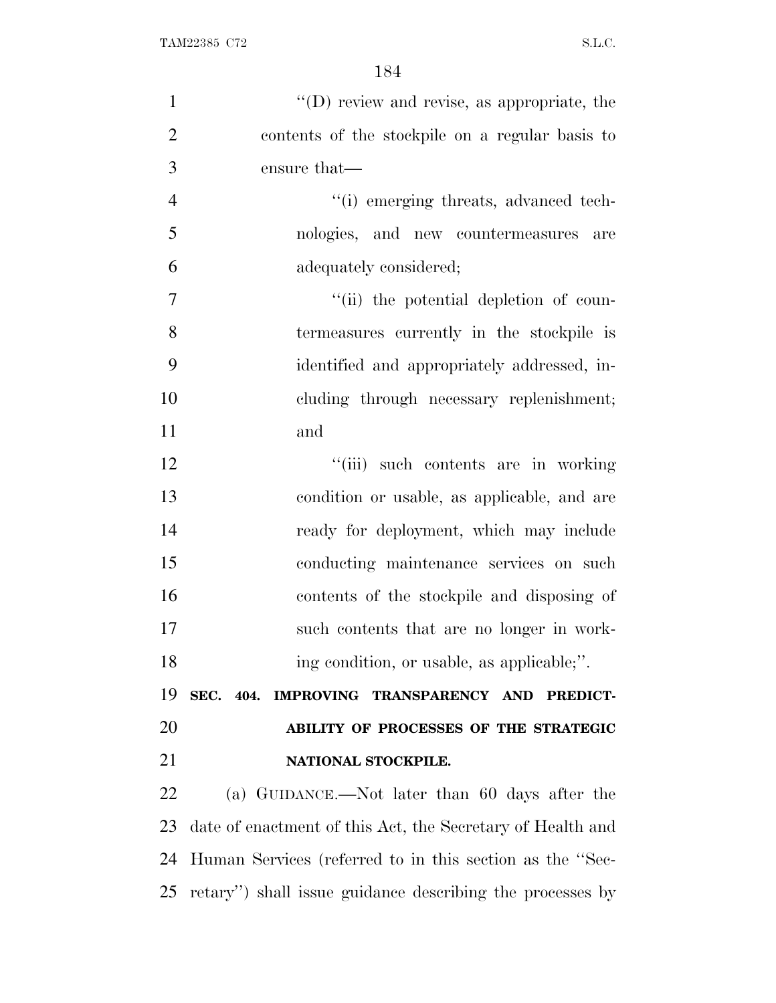| $\mathbf{1}$   | "(D) review and revise, as appropriate, the                |
|----------------|------------------------------------------------------------|
| $\overline{2}$ | contents of the stockpile on a regular basis to            |
| 3              | ensure that—                                               |
| $\overline{4}$ | "(i) emerging threats, advanced tech-                      |
| 5              | nologies, and new countermeasures are                      |
| 6              | adequately considered;                                     |
| $\tau$         | "(ii) the potential depletion of coun-                     |
| 8              | termeasures currently in the stockpile is                  |
| 9              | identified and appropriately addressed, in-                |
| 10             | cluding through necessary replenishment;                   |
| 11             | and                                                        |
| 12             | "(iii) such contents are in working                        |
| 13             | condition or usable, as applicable, and are                |
| 14             | ready for deployment, which may include                    |
| 15             | conducting maintenance services on such                    |
| 16             | contents of the stockpile and disposing of                 |
| 17             | such contents that are no longer in work-                  |
| 18             | ing condition, or usable, as applicable;".                 |
| 19             | SEC. 404. IMPROVING TRANSPARENCY AND PREDICT-              |
| 20             | ABILITY OF PROCESSES OF THE STRATEGIC                      |
| 21             | NATIONAL STOCKPILE.                                        |
| 22             | (a) GUIDANCE.—Not later than 60 days after the             |
| 23             | date of enactment of this Act, the Secretary of Health and |
| 24             | Human Services (referred to in this section as the "Sec-   |
| 25             | retary") shall issue guidance describing the processes by  |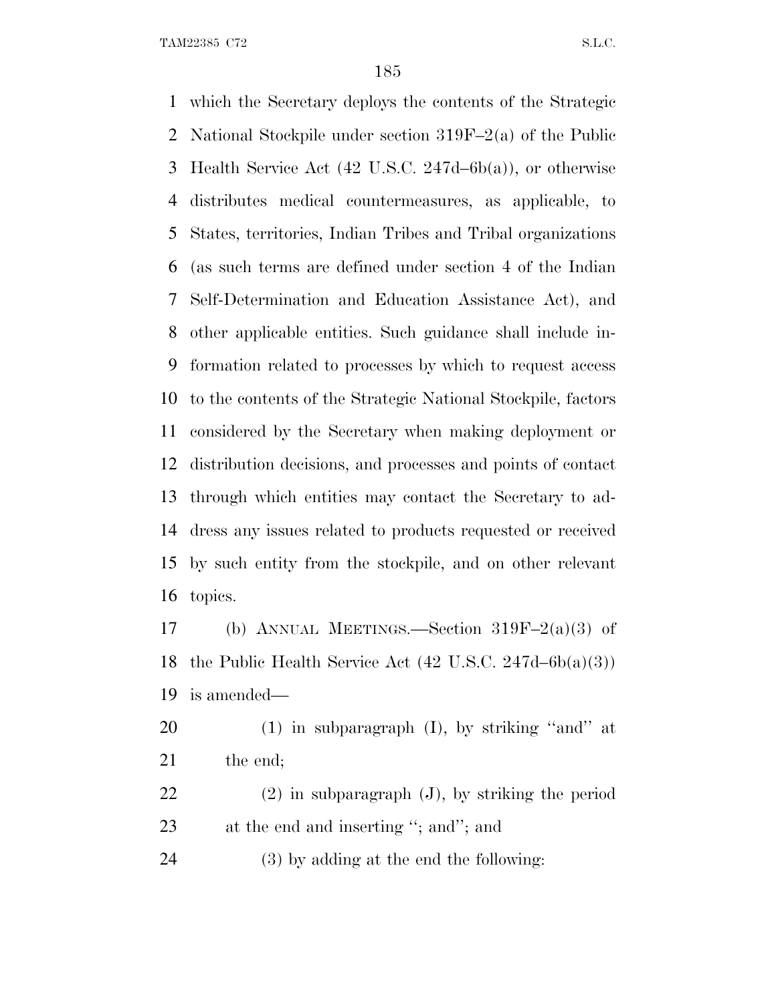TAM22385 C72 S.L.C.

 which the Secretary deploys the contents of the Strategic National Stockpile under section 319F–2(a) of the Public Health Service Act (42 U.S.C. 247d–6b(a)), or otherwise distributes medical countermeasures, as applicable, to States, territories, Indian Tribes and Tribal organizations (as such terms are defined under section 4 of the Indian Self-Determination and Education Assistance Act), and other applicable entities. Such guidance shall include in- formation related to processes by which to request access to the contents of the Strategic National Stockpile, factors considered by the Secretary when making deployment or distribution decisions, and processes and points of contact through which entities may contact the Secretary to ad- dress any issues related to products requested or received by such entity from the stockpile, and on other relevant topics.

 (b) ANNUAL MEETINGS.—Section 319F–2(a)(3) of the Public Health Service Act (42 U.S.C. 247d–6b(a)(3)) is amended—

 (1) in subparagraph (I), by striking ''and'' at 21 the end;

 (2) in subparagraph (J), by striking the period 23 at the end and inserting "; and"; and

(3) by adding at the end the following: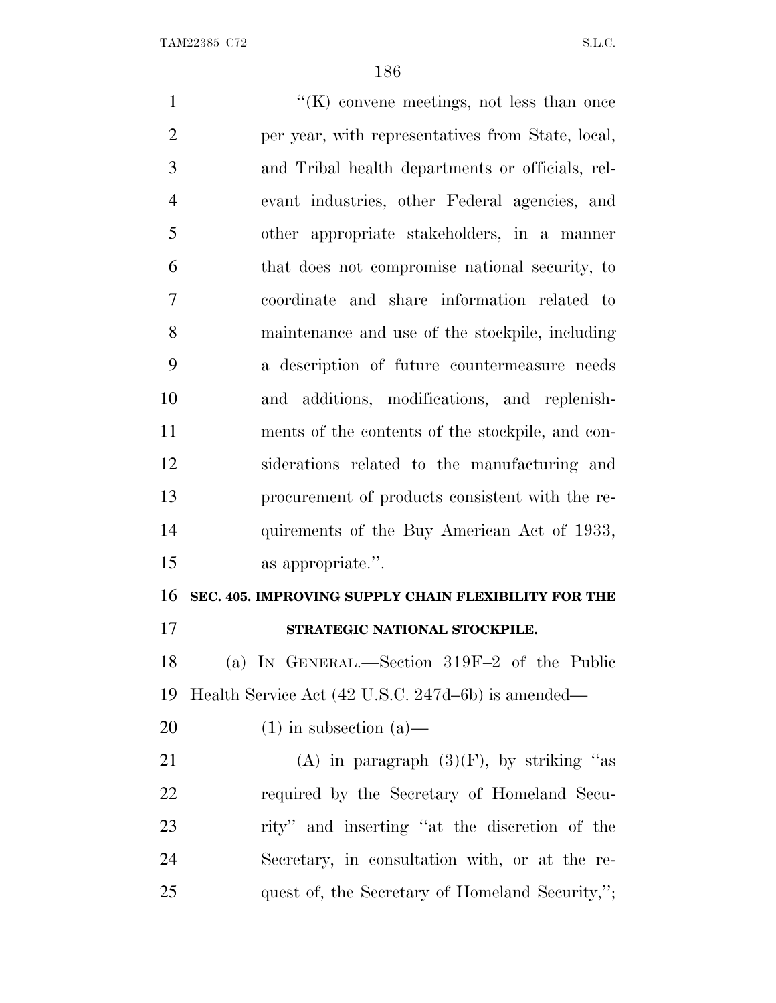1 ''(K) convene meetings, not less than once per year, with representatives from State, local, and Tribal health departments or officials, rel- evant industries, other Federal agencies, and other appropriate stakeholders, in a manner that does not compromise national security, to coordinate and share information related to maintenance and use of the stockpile, including a description of future countermeasure needs and additions, modifications, and replenish- ments of the contents of the stockpile, and con- siderations related to the manufacturing and procurement of products consistent with the re- quirements of the Buy American Act of 1933, as appropriate.''. **SEC. 405. IMPROVING SUPPLY CHAIN FLEXIBILITY FOR THE STRATEGIC NATIONAL STOCKPILE.** (a) I<sup>N</sup> GENERAL.—Section 319F–2 of the Public Health Service Act (42 U.S.C. 247d–6b) is amended—  $(1)$  in subsection  $(a)$ — 21 (A) in paragraph  $(3)(F)$ , by striking "as required by the Secretary of Homeland Secu- rity'' and inserting ''at the discretion of the Secretary, in consultation with, or at the re-25 quest of, the Secretary of Homeland Security,";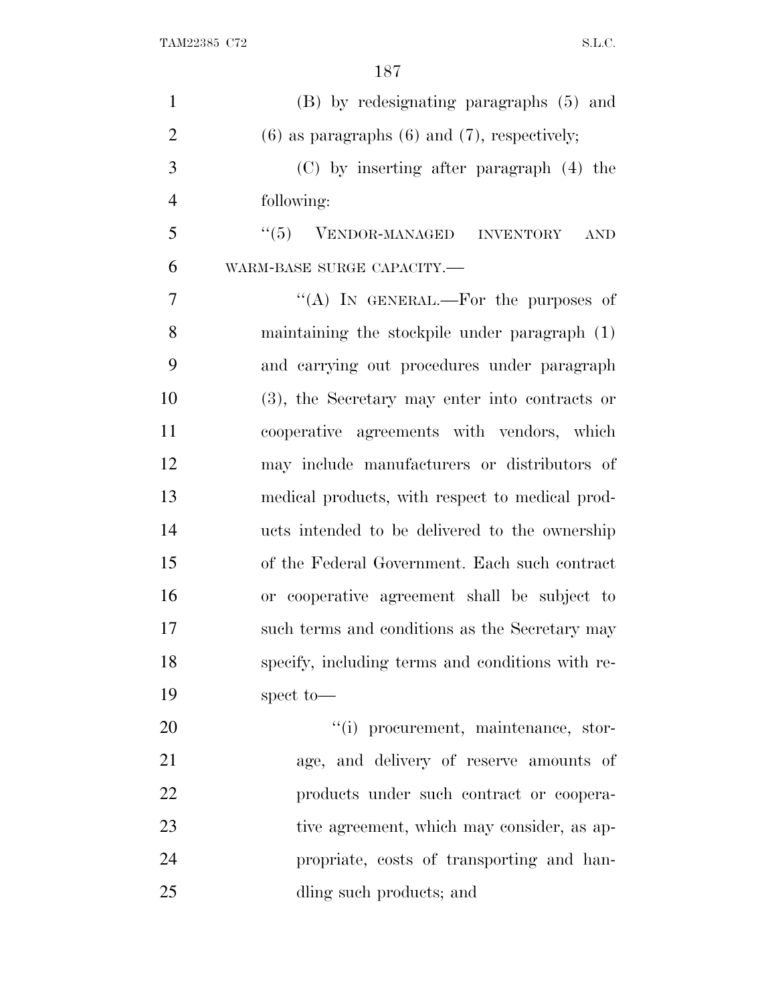| $\mathbf{1}$   | (B) by redesignating paragraphs (5) and             |
|----------------|-----------------------------------------------------|
| $\overline{2}$ | $(6)$ as paragraphs $(6)$ and $(7)$ , respectively; |
| 3              | $(C)$ by inserting after paragraph $(4)$ the        |
| $\overline{4}$ | following:                                          |
| 5              | $``(5)$ VENDOR-MANAGED INVENTORY<br><b>AND</b>      |
| 6              | WARM-BASE SURGE CAPACITY.-                          |
| 7              | "(A) IN GENERAL.—For the purposes of                |
| 8              | maintaining the stockpile under paragraph (1)       |
| 9              | and carrying out procedures under paragraph         |
| 10             | (3), the Secretary may enter into contracts or      |
| 11             | cooperative agreements with vendors, which          |
| 12             | may include manufacturers or distributors of        |
| 13             | medical products, with respect to medical prod-     |
| 14             | ucts intended to be delivered to the ownership      |
| 15             | of the Federal Government. Each such contract       |
| 16             | or cooperative agreement shall be subject to        |
| 17             | such terms and conditions as the Secretary may      |
| 18             | specify, including terms and conditions with re-    |
| 19             | spect to-                                           |
| 20             | "(i) procurement, maintenance, stor-                |
| 21             | age, and delivery of reserve amounts of             |
| 22             | products under such contract or coopera-            |
| 23             | tive agreement, which may consider, as ap-          |
| 24             | propriate, costs of transporting and han-           |
| 25             | dling such products; and                            |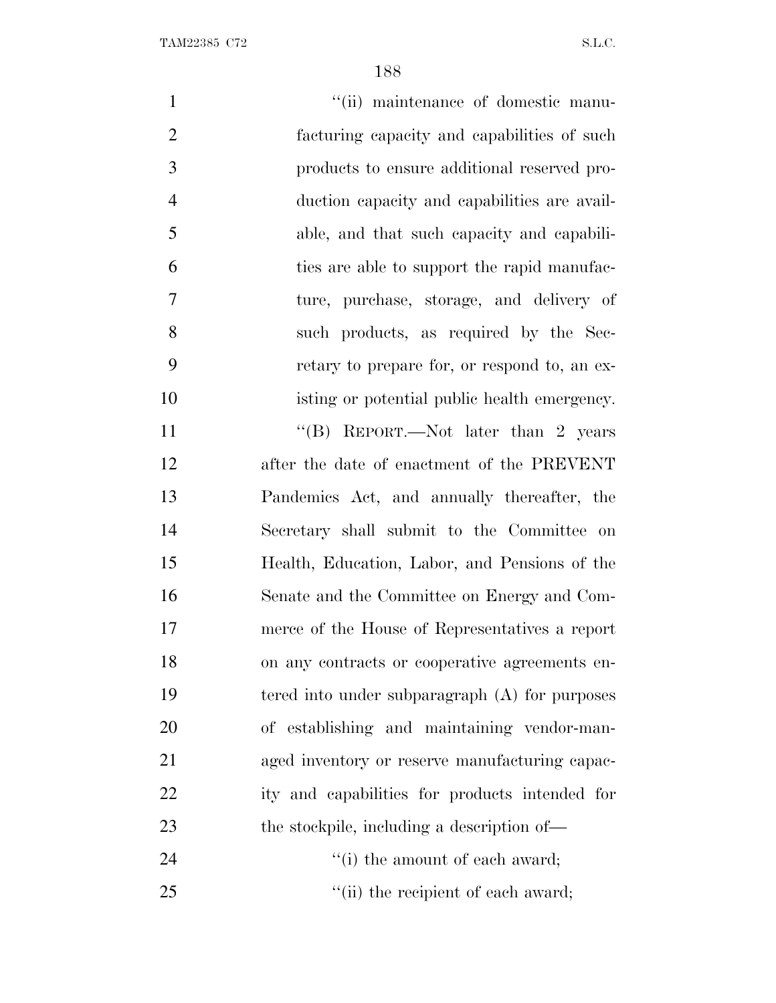| $\mathbf{1}$   | "(ii) maintenance of domestic manu-              |
|----------------|--------------------------------------------------|
| $\overline{2}$ | facturing capacity and capabilities of such      |
| 3              | products to ensure additional reserved pro-      |
| $\overline{4}$ | duction capacity and capabilities are avail-     |
| 5              | able, and that such capacity and capabili-       |
| 6              | ties are able to support the rapid manufac-      |
| 7              | ture, purchase, storage, and delivery of         |
| 8              | such products, as required by the Sec-           |
| 9              | retary to prepare for, or respond to, an ex-     |
| 10             | isting or potential public health emergency.     |
| 11             | "(B) REPORT.—Not later than 2 years              |
| 12             | after the date of enactment of the PREVENT       |
| 13             | Pandemics Act, and annually thereafter, the      |
| 14             | Secretary shall submit to the Committee on       |
| 15             | Health, Education, Labor, and Pensions of the    |
| 16             | Senate and the Committee on Energy and Com-      |
| 17             | merce of the House of Representatives a report   |
| 18             | on any contracts or cooperative agreements en-   |
| 19             | tered into under subparagraph $(A)$ for purposes |
| 20             | of establishing and maintaining vendor-man-      |
| 21             | aged inventory or reserve manufacturing capac-   |
| 22             | ity and capabilities for products intended for   |
| 23             | the stockpile, including a description of—       |
| 24             | "(i) the amount of each award;                   |
| 25             | "(ii) the recipient of each award;               |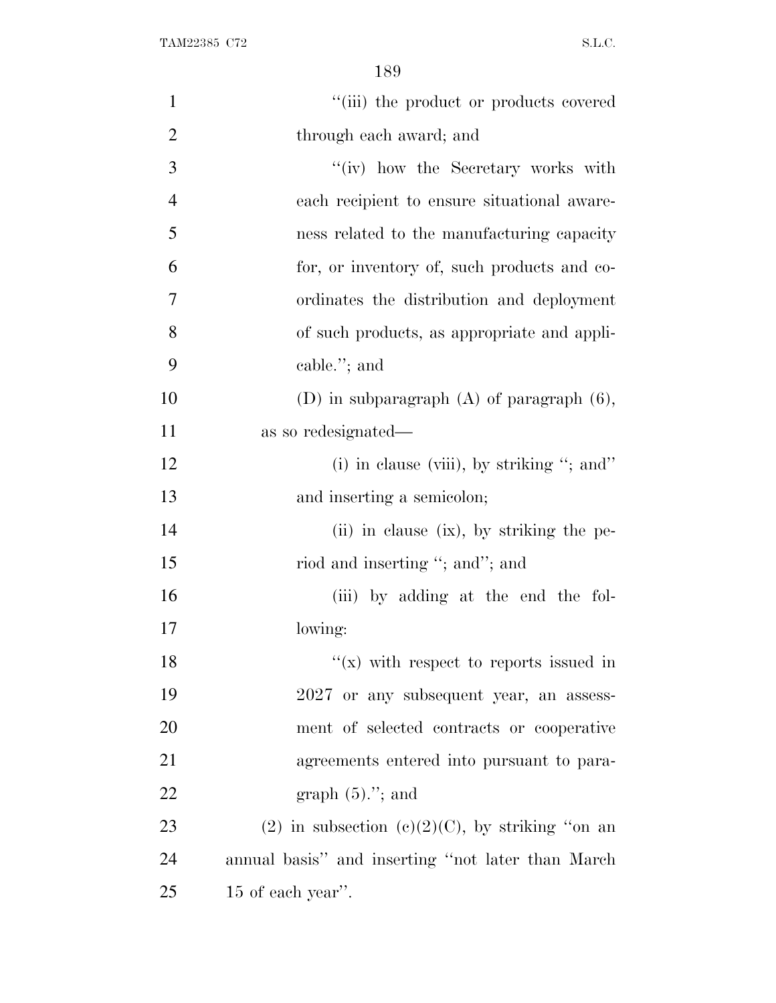| $\mathbf{1}$   | "(iii) the product or products covered             |
|----------------|----------------------------------------------------|
| $\overline{2}$ | through each award; and                            |
| 3              | "(iv) how the Secretary works with                 |
| $\overline{4}$ | each recipient to ensure situational aware-        |
| 5              | ness related to the manufacturing capacity         |
| 6              | for, or inventory of, such products and co-        |
| 7              | ordinates the distribution and deployment          |
| 8              | of such products, as appropriate and appli-        |
| 9              | cable."; and                                       |
| 10             | (D) in subparagraph $(A)$ of paragraph $(6)$ ,     |
| 11             | as so redesignated—                                |
| 12             | (i) in clause (viii), by striking "; and"          |
| 13             | and inserting a semicolon;                         |
| 14             | (ii) in clause (ix), by striking the pe-           |
| 15             | riod and inserting "; and"; and                    |
| 16             | (iii) by adding at the end the fol-                |
| 17             | lowing:                                            |
| 18             | "(x) with respect to reports issued in             |
| 19             | 2027 or any subsequent year, an assess-            |
| 20             | ment of selected contracts or cooperative          |
| 21             | agreements entered into pursuant to para-          |
| 22             | graph $(5)$ ."; and                                |
| 23             | (2) in subsection (c)(2)(C), by striking "on an    |
| 24             | annual basis" and inserting "not later than March" |
| 25             | 15 of each year".                                  |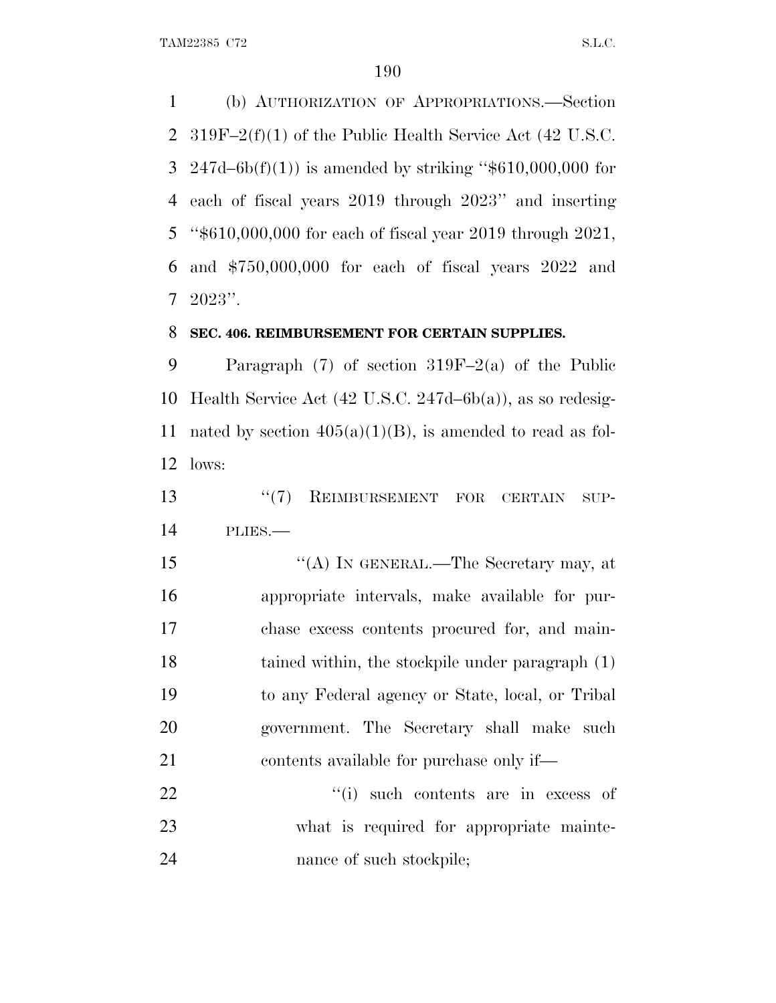(b) AUTHORIZATION OF APPROPRIATIONS.—Section 319F–2(f)(1) of the Public Health Service Act (42 U.S.C. 3 247d–6b(f)(1)) is amended by striking " $$610,000,000$  for each of fiscal years 2019 through 2023'' and inserting ''\$610,000,000 for each of fiscal year 2019 through 2021, and \$750,000,000 for each of fiscal years 2022 and 2023''.

#### **SEC. 406. REIMBURSEMENT FOR CERTAIN SUPPLIES.**

 Paragraph (7) of section 319F–2(a) of the Public Health Service Act (42 U.S.C. 247d–6b(a)), as so redesig-11 nated by section  $405(a)(1)(B)$ , is amended to read as fol-lows:

13 <sup>''</sup>(7) REIMBURSEMENT FOR CERTAIN SUP-PLIES.—

15 "(A) In GENERAL.—The Secretary may, at appropriate intervals, make available for pur- chase excess contents procured for, and main- tained within, the stockpile under paragraph (1) to any Federal agency or State, local, or Tribal government. The Secretary shall make such contents available for purchase only if—

22  $\frac{1}{2}$   $\frac{1}{2}$  such contents are in excess of what is required for appropriate mainte-24 nance of such stockpile;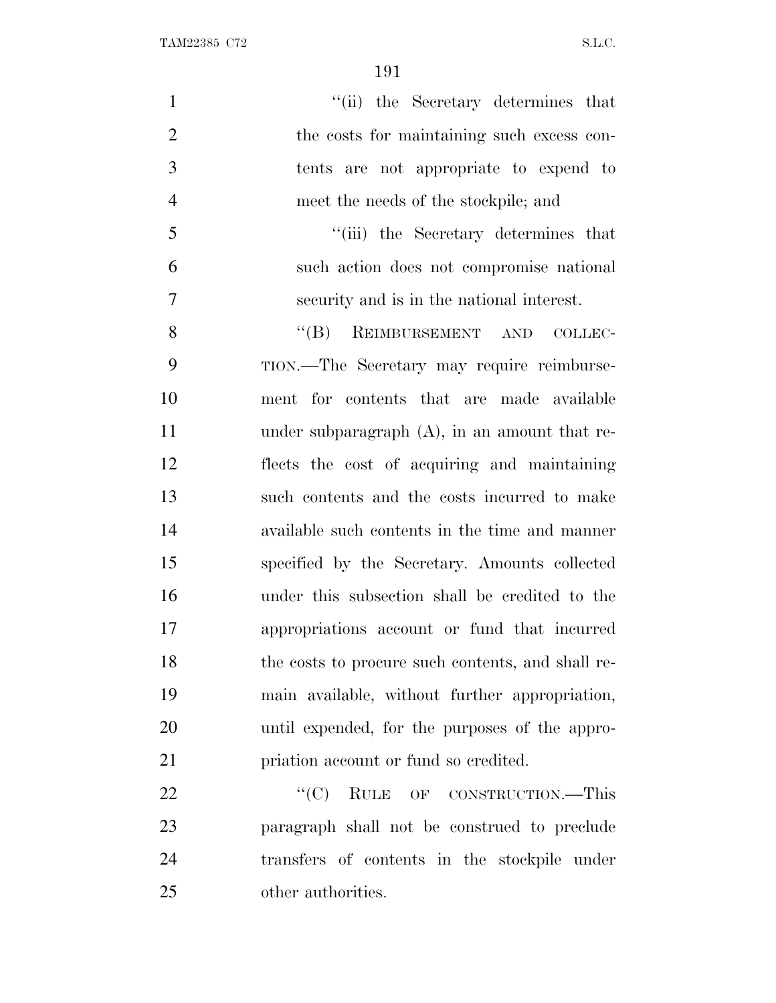TAM22385 C72 S.L.C.

| $\mathbf{1}$   | "(ii) the Secretary determines that               |
|----------------|---------------------------------------------------|
| $\overline{2}$ | the costs for maintaining such excess con-        |
| 3              | tents are not appropriate to expend to            |
| $\overline{4}$ | meet the needs of the stockpile; and              |
| 5              | "(iii) the Secretary determines that              |
| 6              | such action does not compromise national          |
| $\overline{7}$ | security and is in the national interest.         |
| 8              | "(B) REIMBURSEMENT AND COLLEC-                    |
| 9              | TION.—The Secretary may require reimburse-        |
| 10             | ment for contents that are made available         |
| 11             | under subparagraph $(A)$ , in an amount that re-  |
| 12             | flects the cost of acquiring and maintaining      |
| 13             | such contents and the costs incurred to make      |
| 14             | available such contents in the time and manner    |
| 15             | specified by the Secretary. Amounts collected     |
| 16             | under this subsection shall be credited to the    |
| 17             | appropriations account or fund that incurred      |
| 18             | the costs to procure such contents, and shall re- |
| 19             | main available, without further appropriation,    |
| 20             | until expended, for the purposes of the appro-    |
| 21             | priation account or fund so credited.             |
| 22             | "(C) RULE OF CONSTRUCTION.—This                   |
| 23             | paragraph shall not be construed to preclude      |
| 24             | transfers of contents in the stockpile under      |
| 25             | other authorities.                                |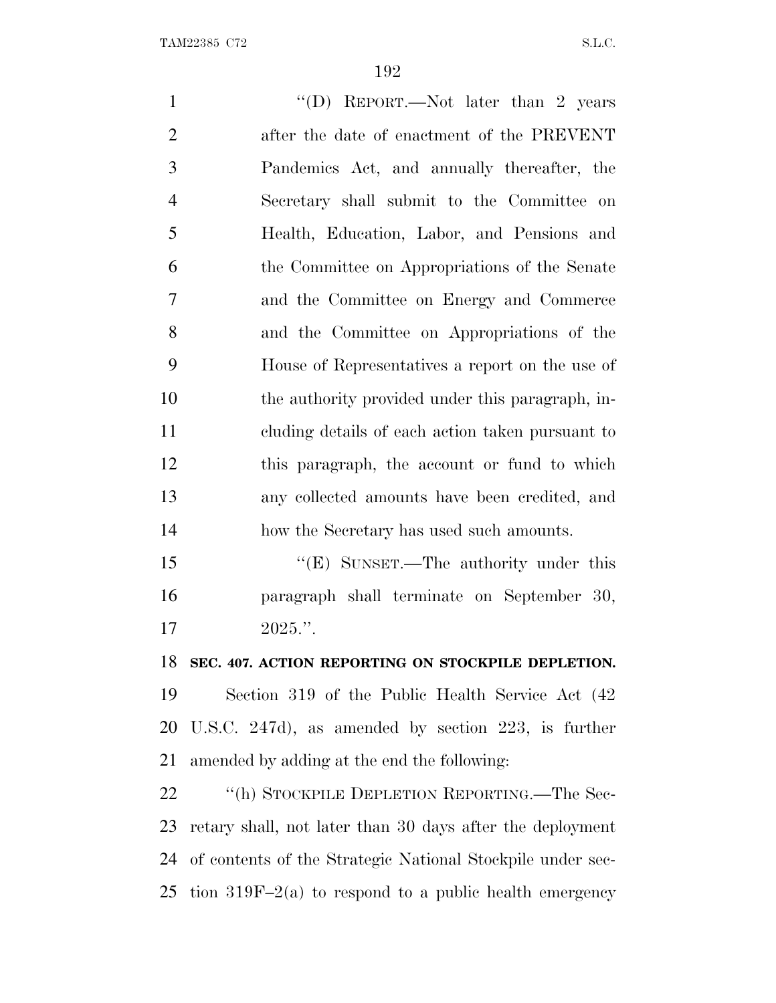1 ''(D) REPORT.—Not later than 2 years after the date of enactment of the PREVENT Pandemics Act, and annually thereafter, the Secretary shall submit to the Committee on Health, Education, Labor, and Pensions and the Committee on Appropriations of the Senate and the Committee on Energy and Commerce and the Committee on Appropriations of the House of Representatives a report on the use of the authority provided under this paragraph, in- cluding details of each action taken pursuant to this paragraph, the account or fund to which any collected amounts have been credited, and 14 how the Secretary has used such amounts. 15 "'(E) SUNSET.—The authority under this paragraph shall terminate on September 30,  $17 \t2025."$  **SEC. 407. ACTION REPORTING ON STOCKPILE DEPLETION.** Section 319 of the Public Health Service Act (42

 U.S.C. 247d), as amended by section 223, is further amended by adding at the end the following:

22 "(h) STOCKPILE DEPLETION REPORTING.—The Sec- retary shall, not later than 30 days after the deployment of contents of the Strategic National Stockpile under sec-25 tion  $319F-2(a)$  to respond to a public health emergency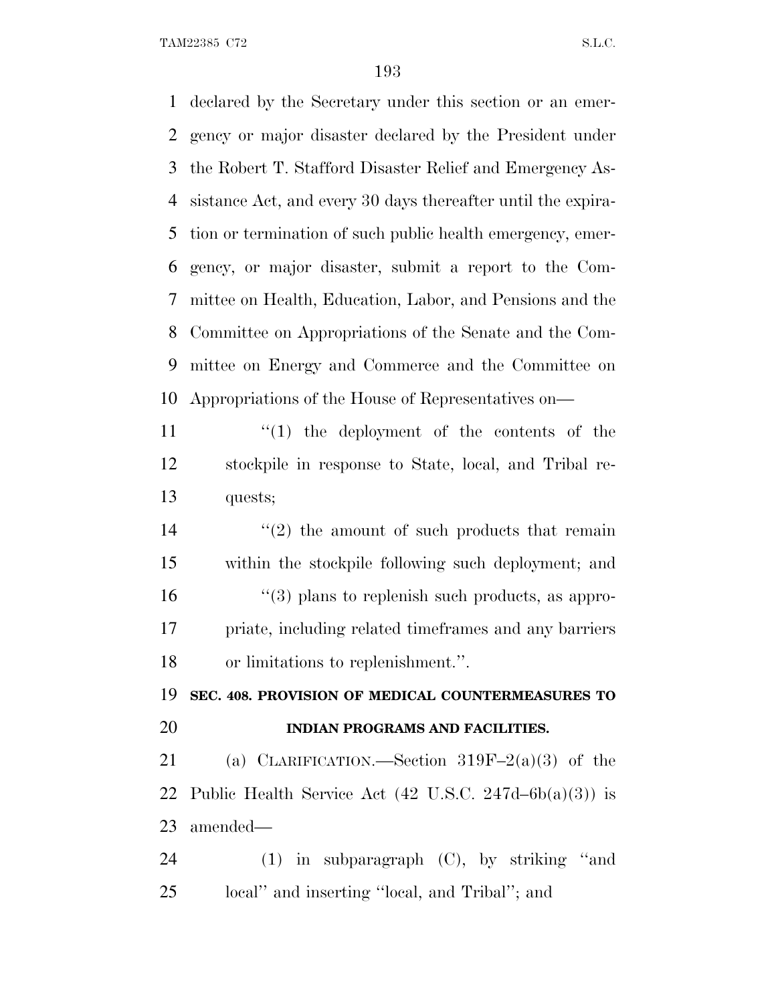TAM22385 C72 S.L.C.

 declared by the Secretary under this section or an emer- gency or major disaster declared by the President under the Robert T. Stafford Disaster Relief and Emergency As- sistance Act, and every 30 days thereafter until the expira- tion or termination of such public health emergency, emer- gency, or major disaster, submit a report to the Com- mittee on Health, Education, Labor, and Pensions and the Committee on Appropriations of the Senate and the Com- mittee on Energy and Commerce and the Committee on Appropriations of the House of Representatives on—  $\frac{1}{1}$  the deployment of the contents of the stockpile in response to State, local, and Tribal re-

quests;

 $(2)$  the amount of such products that remain within the stockpile following such deployment; and  $\frac{16}{2}$  ''(3) plans to replenish such products, as appro- priate, including related timeframes and any barriers or limitations to replenishment.''.

 **SEC. 408. PROVISION OF MEDICAL COUNTERMEASURES TO INDIAN PROGRAMS AND FACILITIES.**

21 (a) CLARIFICATION.—Section  $319F-2(a)(3)$  of the 22 Public Health Service Act  $(42 \text{ U.S.C. } 247d - 6b(a)(3))$  is amended—

 (1) in subparagraph (C), by striking ''and local'' and inserting ''local, and Tribal''; and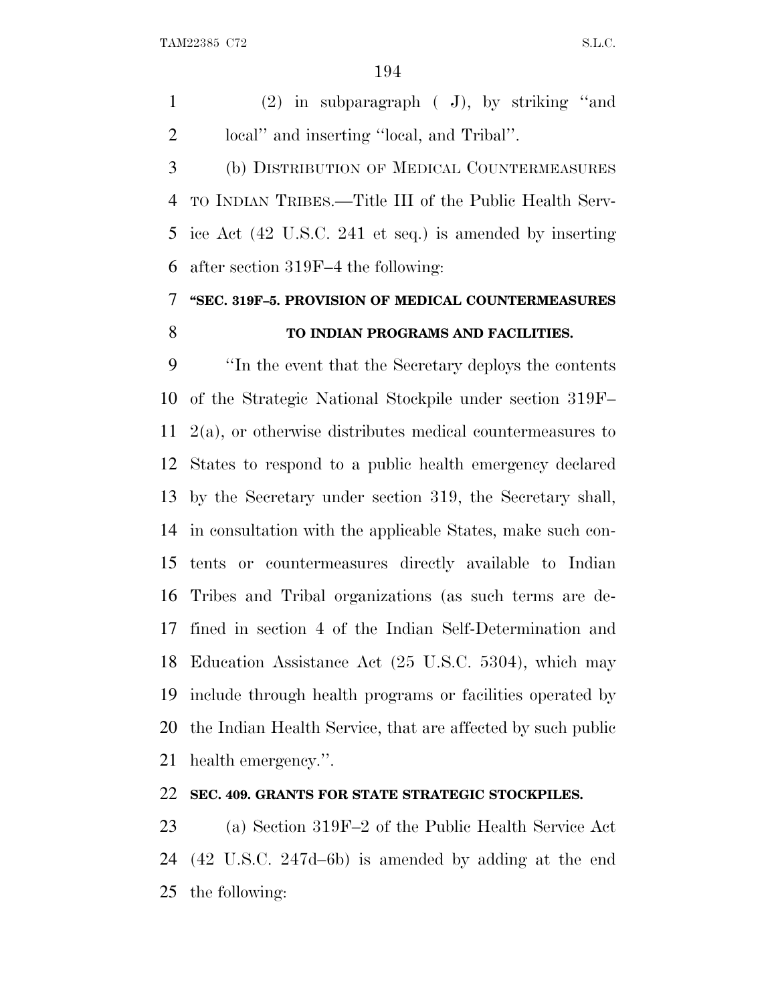(2) in subparagraph ( J), by striking ''and local'' and inserting ''local, and Tribal''.

 (b) DISTRIBUTION OF MEDICAL COUNTERMEASURES TO INDIAN TRIBES.—Title III of the Public Health Serv- ice Act (42 U.S.C. 241 et seq.) is amended by inserting after section 319F–4 the following:

# **''SEC. 319F–5. PROVISION OF MEDICAL COUNTERMEASURES TO INDIAN PROGRAMS AND FACILITIES.**

 ''In the event that the Secretary deploys the contents of the Strategic National Stockpile under section 319F– 2(a), or otherwise distributes medical countermeasures to States to respond to a public health emergency declared by the Secretary under section 319, the Secretary shall, in consultation with the applicable States, make such con- tents or countermeasures directly available to Indian Tribes and Tribal organizations (as such terms are de- fined in section 4 of the Indian Self-Determination and Education Assistance Act (25 U.S.C. 5304), which may include through health programs or facilities operated by the Indian Health Service, that are affected by such public health emergency.''.

## **SEC. 409. GRANTS FOR STATE STRATEGIC STOCKPILES.**

 (a) Section 319F–2 of the Public Health Service Act (42 U.S.C. 247d–6b) is amended by adding at the end the following: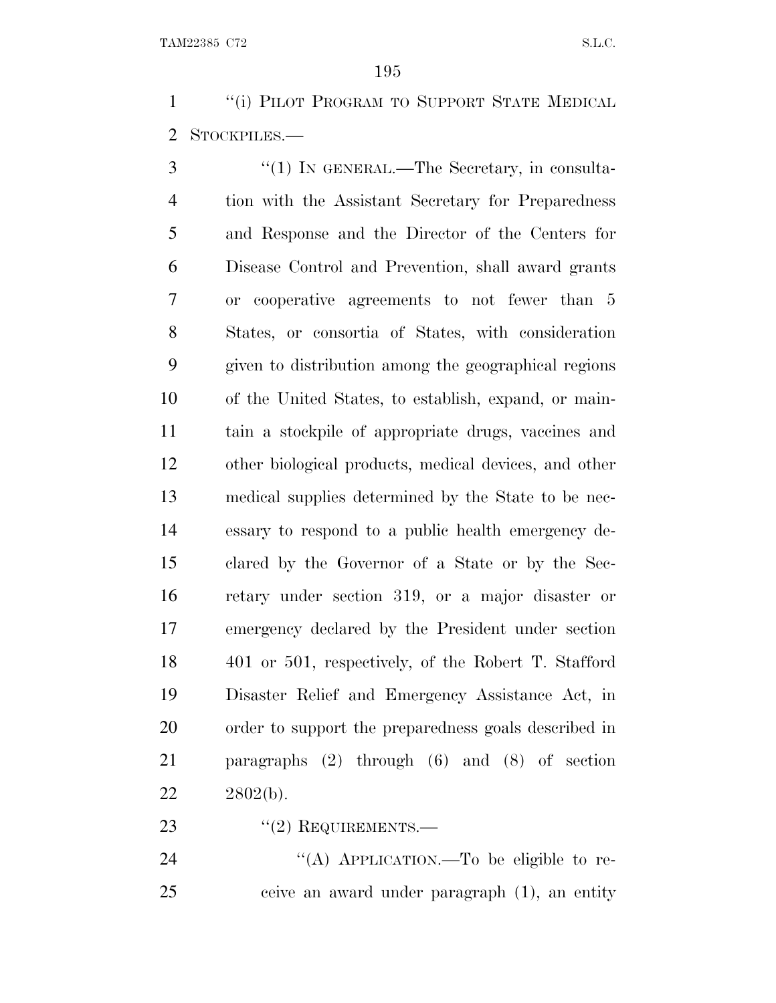1 "(i) PILOT PROGRAM TO SUPPORT STATE MEDICAL STOCKPILES.—

3 "(1) IN GENERAL.—The Secretary, in consulta- tion with the Assistant Secretary for Preparedness and Response and the Director of the Centers for Disease Control and Prevention, shall award grants or cooperative agreements to not fewer than 5 States, or consortia of States, with consideration given to distribution among the geographical regions of the United States, to establish, expand, or main- tain a stockpile of appropriate drugs, vaccines and other biological products, medical devices, and other medical supplies determined by the State to be nec- essary to respond to a public health emergency de- clared by the Governor of a State or by the Sec- retary under section 319, or a major disaster or emergency declared by the President under section 401 or 501, respectively, of the Robert T. Stafford Disaster Relief and Emergency Assistance Act, in order to support the preparedness goals described in paragraphs (2) through (6) and (8) of section 2802(b).

23 "(2) REQUIREMENTS.—

24 "(A) APPLICATION.—To be eligible to re-ceive an award under paragraph (1), an entity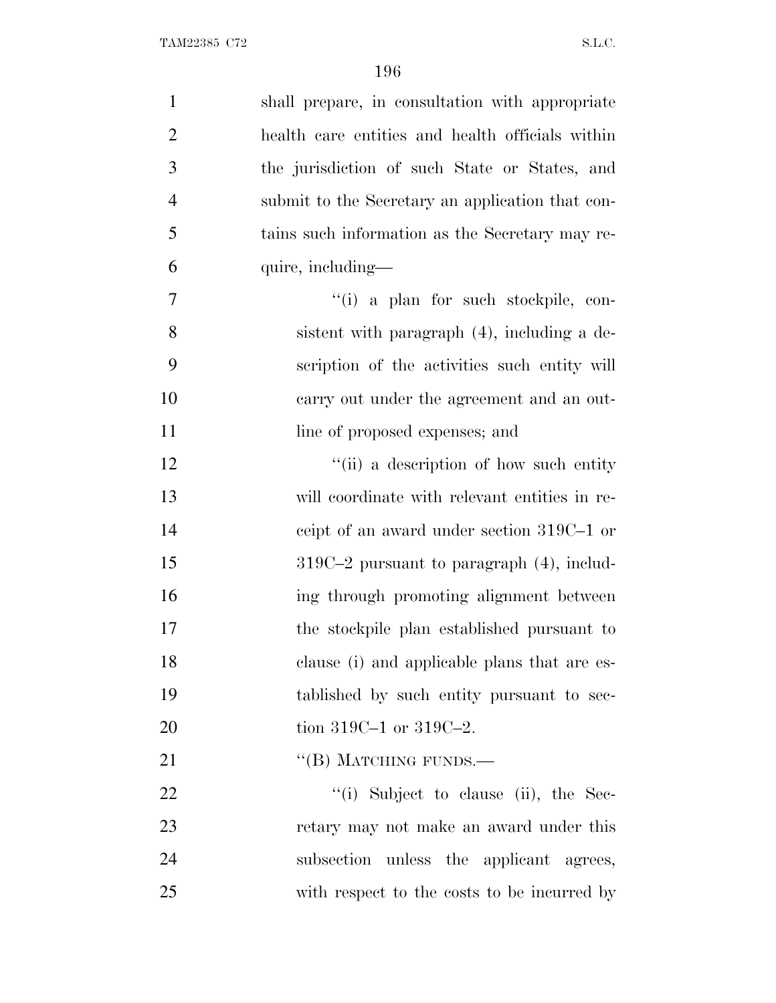| $\mathbf{1}$   | shall prepare, in consultation with appropriate  |
|----------------|--------------------------------------------------|
| $\overline{2}$ | health care entities and health officials within |
| 3              | the jurisdiction of such State or States, and    |
| $\overline{4}$ | submit to the Secretary an application that con- |
| 5              | tains such information as the Secretary may re-  |
| 6              | quire, including—                                |
| 7              | "(i) a plan for such stockpile, con-             |
| 8              | sistent with paragraph (4), including a de-      |
| 9              | scription of the activities such entity will     |
| 10             | carry out under the agreement and an out-        |
| 11             | line of proposed expenses; and                   |
| 12             | "(ii) a description of how such entity           |
| 13             | will coordinate with relevant entities in re-    |
| 14             | ceipt of an award under section 319C-1 or        |
| 15             | $319C-2$ pursuant to paragraph $(4)$ , includ-   |
| 16             | ing through promoting alignment between          |
| 17             | the stockpile plan established pursuant to       |
| 18             | clause (i) and applicable plans that are es-     |
| 19             | tablished by such entity pursuant to sec-        |
| 20             | tion 319C-1 or 319C-2.                           |
| 21             | $\lq\lq (B)$ MATCHING FUNDS.—                    |
| 22             | "(i) Subject to clause (ii), the Sec-            |
| 23             | retary may not make an award under this          |
| 24             | subsection unless the applicant agrees,          |
| 25             | with respect to the costs to be incurred by      |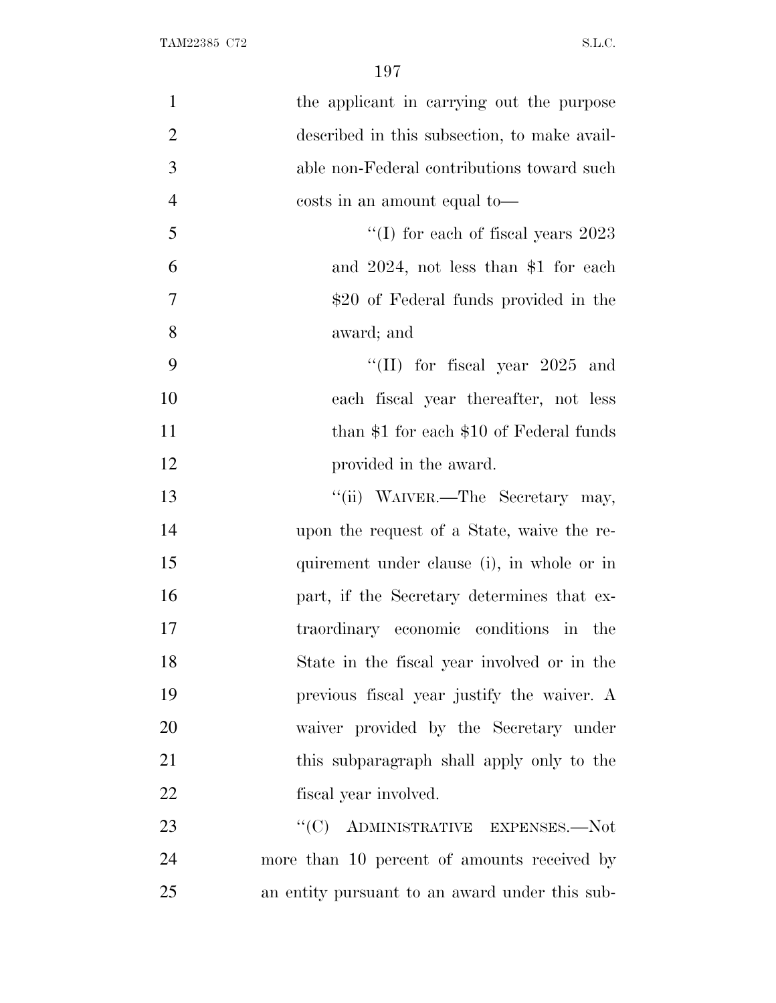| $\mathbf{1}$   | the applicant in carrying out the purpose      |
|----------------|------------------------------------------------|
| $\overline{2}$ | described in this subsection, to make avail-   |
| 3              | able non-Federal contributions toward such     |
| $\overline{4}$ | costs in an amount equal to—                   |
| 5              | "(I) for each of fiscal years $2023$           |
| 6              | and $2024$ , not less than \$1 for each        |
| 7              | \$20 of Federal funds provided in the          |
| 8              | award; and                                     |
| 9              | "(II) for fiscal year $2025$ and               |
| 10             | each fiscal year thereafter, not less          |
| 11             | than $$1$ for each $$10$ of Federal funds      |
| 12             | provided in the award.                         |
| 13             | "(ii) WAIVER.—The Secretary may,               |
| 14             | upon the request of a State, waive the re-     |
| 15             | quirement under clause (i), in whole or in     |
| 16             | part, if the Secretary determines that ex-     |
| 17             | traordinary economic conditions in the         |
| 18             | State in the fiscal year involved or in the    |
| 19             | previous fiscal year justify the waiver. A     |
| 20             | waiver provided by the Secretary under         |
| 21             | this subparagraph shall apply only to the      |
| 22             | fiscal year involved.                          |
| 23             | ADMINISTRATIVE EXPENSES.-Not<br>``(C)          |
| 24             | more than 10 percent of amounts received by    |
| 25             | an entity pursuant to an award under this sub- |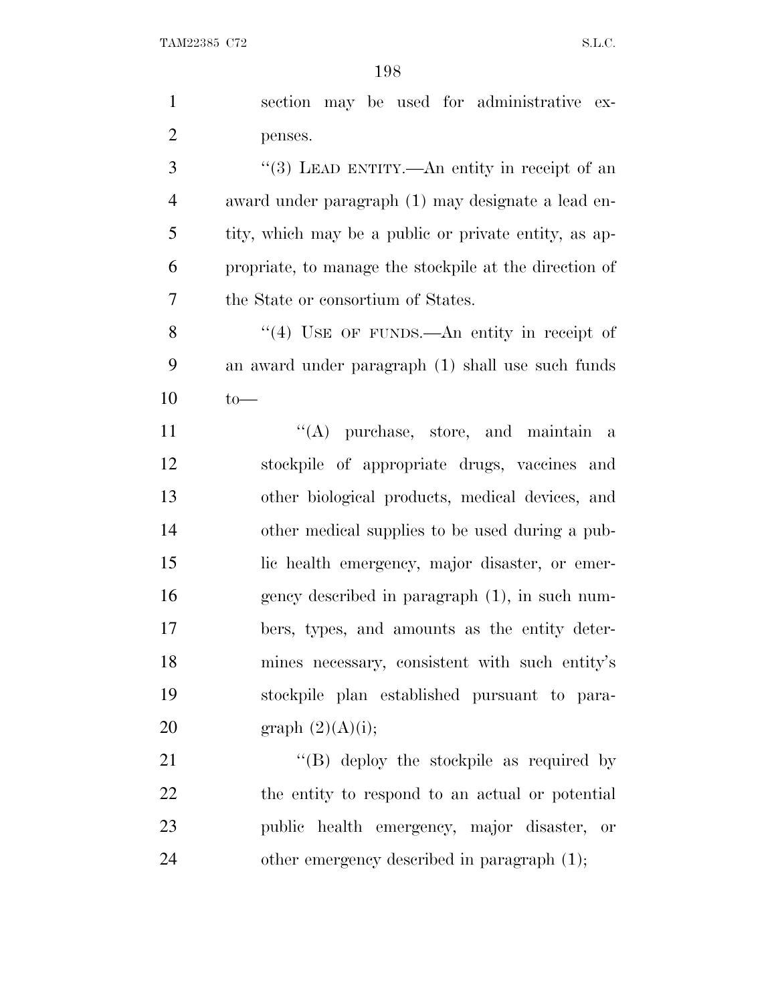|                | 190                                                    |
|----------------|--------------------------------------------------------|
| $\mathbf{1}$   | section may be used for administrative<br>$ex-$        |
| $\overline{2}$ | penses.                                                |
| 3              | "(3) LEAD ENTITY.—An entity in receipt of an           |
| $\overline{4}$ | award under paragraph (1) may designate a lead en-     |
| 5              | tity, which may be a public or private entity, as ap-  |
| 6              | propriate, to manage the stockpile at the direction of |
| 7              | the State or consortium of States.                     |
| 8              | "(4) USE OF FUNDS.—An entity in receipt of             |
| 9              | an award under paragraph (1) shall use such funds      |
| 10             | $to-$                                                  |
| 11             | $\lq\lq$ purchase, store, and maintain<br>a            |
| 12             | stockpile of appropriate drugs, vaccines and           |
| 13             | other biological products, medical devices, and        |
| 14             | other medical supplies to be used during a pub-        |
| 15             | lic health emergency, major disaster, or emer-         |
| 16             | gency described in paragraph (1), in such num-         |
| 17             | bers, types, and amounts as the entity deter-          |
| 18             | mines necessary, consistent with such entity's         |
| 19             | stockpile plan established pursuant to para-           |
| 20             | graph $(2)(A)(i);$                                     |
| 21             | $\lq\lq (B)$ deploy the stockpile as required by       |
| 22             | the entity to respond to an actual or potential        |
| 23             | public health emergency, major disaster, or            |

24 other emergency described in paragraph (1);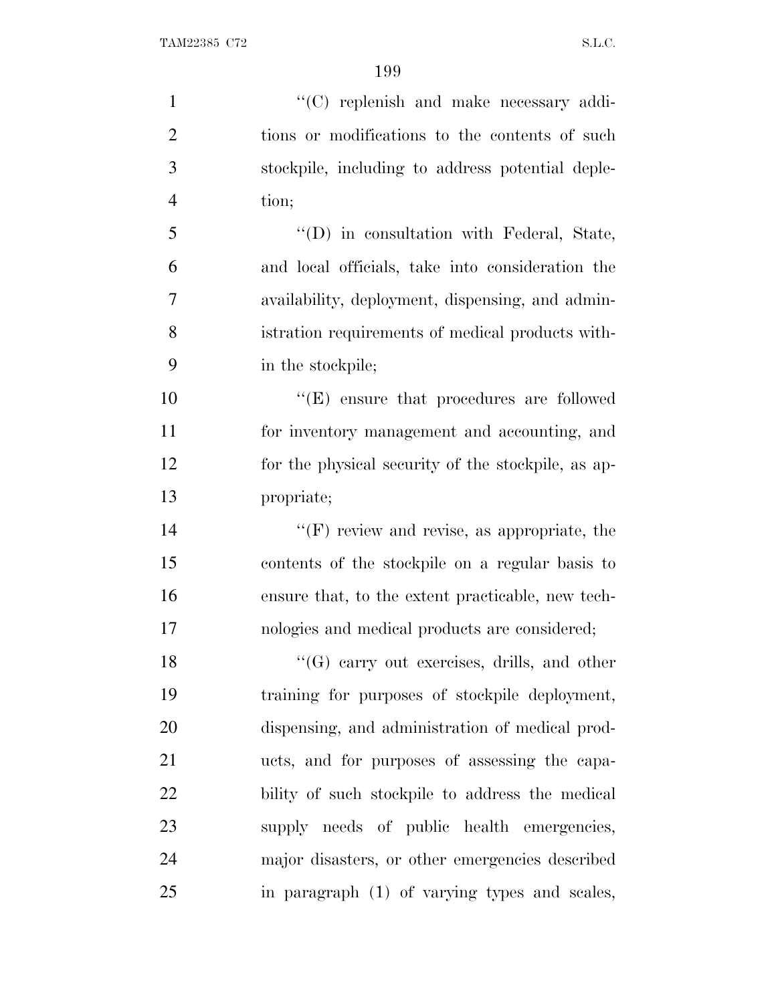$\lq(0)$  replenish and make necessary addi- tions or modifications to the contents of such stockpile, including to address potential deple- tion; 5 "'(D) in consultation with Federal, State, and local officials, take into consideration the availability, deployment, dispensing, and admin- istration requirements of medical products with- in the stockpile; ''(E) ensure that procedures are followed for inventory management and accounting, and for the physical security of the stockpile, as ap- propriate;  $\langle f$  review and revise, as appropriate, the contents of the stockpile on a regular basis to ensure that, to the extent practicable, new tech- nologies and medical products are considered; 18 ''(G) carry out exercises, drills, and other training for purposes of stockpile deployment, dispensing, and administration of medical prod- ucts, and for purposes of assessing the capa- bility of such stockpile to address the medical supply needs of public health emergencies, major disasters, or other emergencies described in paragraph (1) of varying types and scales,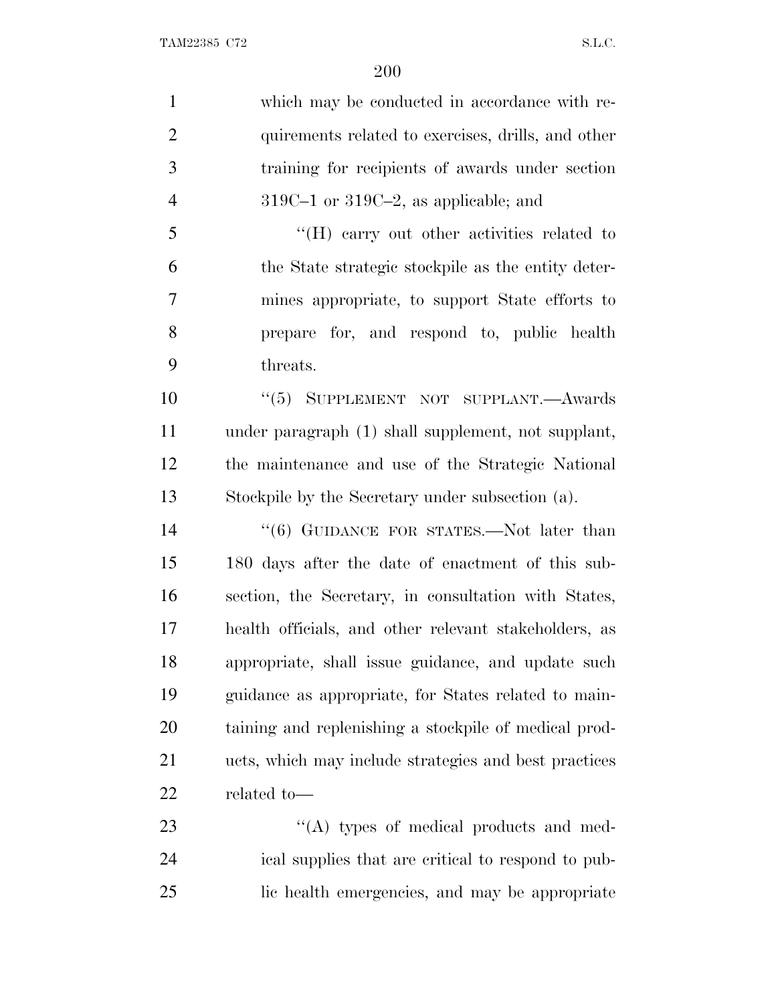which may be conducted in accordance with re-2 quirements related to exercises, drills, and other training for recipients of awards under section 319C–1 or 319C–2, as applicable; and ''(H) carry out other activities related to the State strategic stockpile as the entity deter- mines appropriate, to support State efforts to prepare for, and respond to, public health threats. 10 "(5) SUPPLEMENT NOT SUPPLANT.—Awards under paragraph (1) shall supplement, not supplant, the maintenance and use of the Strategic National Stockpile by the Secretary under subsection (a). 14 "(6) GUIDANCE FOR STATES.—Not later than 180 days after the date of enactment of this sub- section, the Secretary, in consultation with States, health officials, and other relevant stakeholders, as appropriate, shall issue guidance, and update such guidance as appropriate, for States related to main-

 taining and replenishing a stockpile of medical prod- ucts, which may include strategies and best practices related to—

23  $\langle (A)$  types of medical products and med- ical supplies that are critical to respond to pub-lic health emergencies, and may be appropriate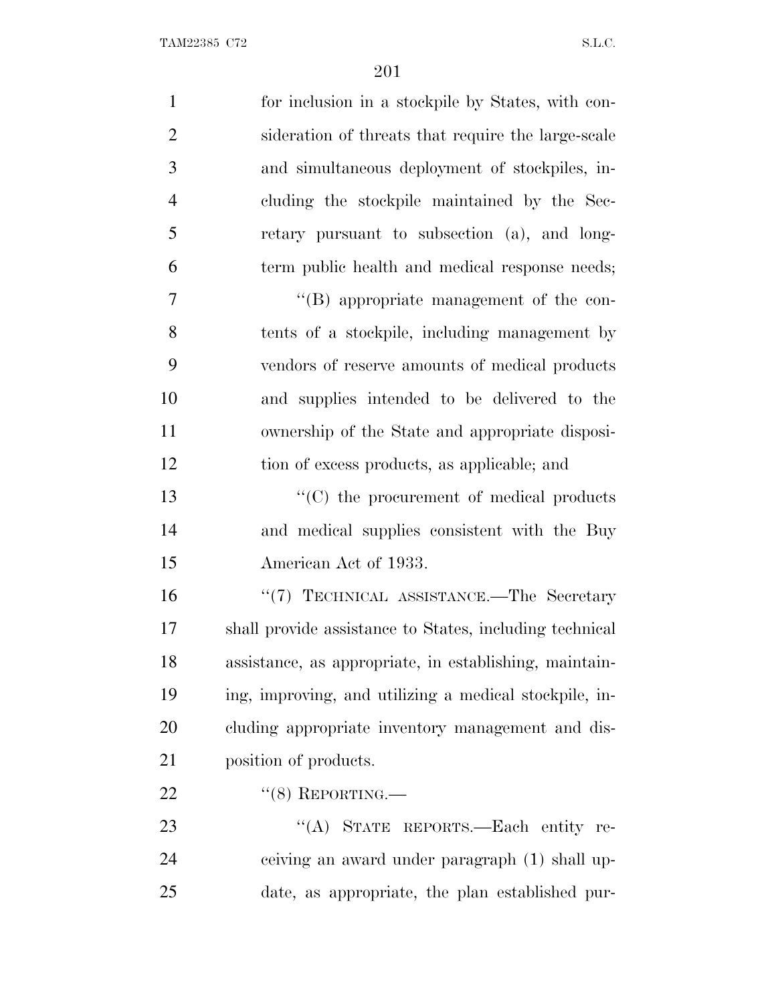| $\mathbf{1}$   | for inclusion in a stockpile by States, with con-       |
|----------------|---------------------------------------------------------|
| $\overline{2}$ | sideration of threats that require the large-scale      |
| 3              | and simultaneous deployment of stockpiles, in-          |
| $\overline{4}$ | cluding the stockpile maintained by the Sec-            |
| 5              | retary pursuant to subsection (a), and long-            |
| 6              | term public health and medical response needs;          |
| 7              | "(B) appropriate management of the con-                 |
| 8              | tents of a stockpile, including management by           |
| 9              | vendors of reserve amounts of medical products          |
| 10             | and supplies intended to be delivered to the            |
| 11             | ownership of the State and appropriate disposi-         |
| 12             | tion of excess products, as applicable; and             |
| 13             | $\lq\lq$ (C) the procurement of medical products        |
| 14             | and medical supplies consistent with the Buy            |
| 15             | American Act of 1933.                                   |
| 16             | "(7) TECHNICAL ASSISTANCE.-The Secretary                |
| 17             | shall provide assistance to States, including technical |
| 18             | assistance, as appropriate, in establishing, maintain-  |
| 19             | ing, improving, and utilizing a medical stockpile, in-  |
| 20             | cluding appropriate inventory management and dis-       |
| 21             | position of products.                                   |
| 22             | $``(8)$ REPORTING.—                                     |
| 23             | "(A) STATE REPORTS.—Each entity re-                     |
| 24             | ceiving an award under paragraph (1) shall up-          |
| 25             | date, as appropriate, the plan established pur-         |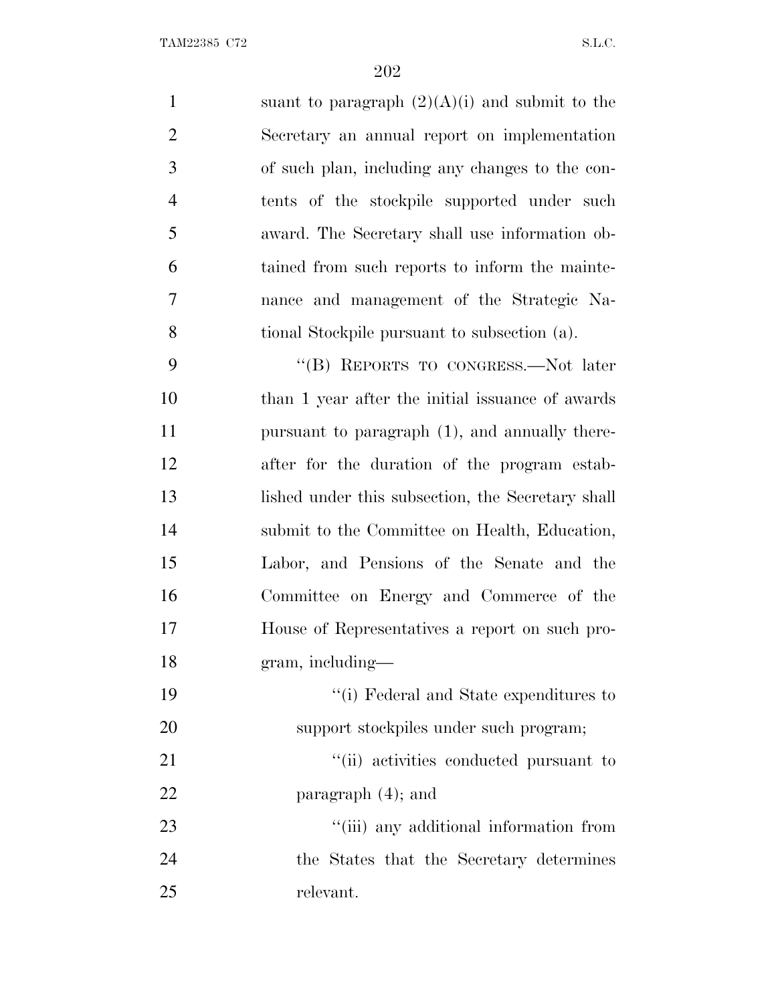1 suant to paragraph  $(2)(A)(i)$  and submit to the Secretary an annual report on implementation of such plan, including any changes to the con- tents of the stockpile supported under such award. The Secretary shall use information ob- tained from such reports to inform the mainte- nance and management of the Strategic Na-tional Stockpile pursuant to subsection (a).

 ''(B) REPORTS TO CONGRESS.—Not later than 1 year after the initial issuance of awards pursuant to paragraph (1), and annually there- after for the duration of the program estab- lished under this subsection, the Secretary shall submit to the Committee on Health, Education, Labor, and Pensions of the Senate and the Committee on Energy and Commerce of the House of Representatives a report on such pro-gram, including—

 ''(i) Federal and State expenditures to support stockpiles under such program;

21  $\frac{1}{1}$  activities conducted pursuant to 22 paragraph  $(4)$ ; and

23  $\frac{1}{1}$  (iii) any additional information from the States that the Secretary determines relevant.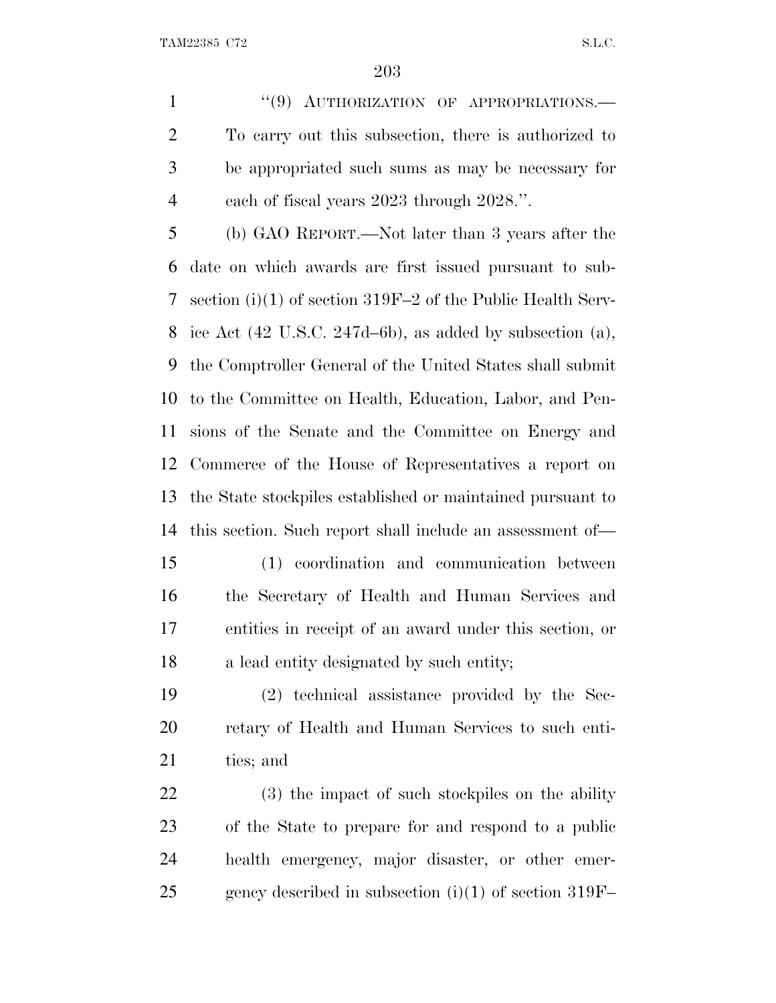1 "(9) AUTHORIZATION OF APPROPRIATIONS.— To carry out this subsection, there is authorized to be appropriated such sums as may be necessary for each of fiscal years 2023 through 2028.''.

 (b) GAO REPORT.—Not later than 3 years after the date on which awards are first issued pursuant to sub- section (i)(1) of section 319F–2 of the Public Health Serv- ice Act (42 U.S.C. 247d–6b), as added by subsection (a), the Comptroller General of the United States shall submit to the Committee on Health, Education, Labor, and Pen- sions of the Senate and the Committee on Energy and Commerce of the House of Representatives a report on the State stockpiles established or maintained pursuant to this section. Such report shall include an assessment of—

 (1) coordination and communication between the Secretary of Health and Human Services and entities in receipt of an award under this section, or a lead entity designated by such entity;

 (2) technical assistance provided by the Sec- retary of Health and Human Services to such enti-ties; and

 (3) the impact of such stockpiles on the ability of the State to prepare for and respond to a public health emergency, major disaster, or other emer-25 gency described in subsection  $(i)(1)$  of section 319F–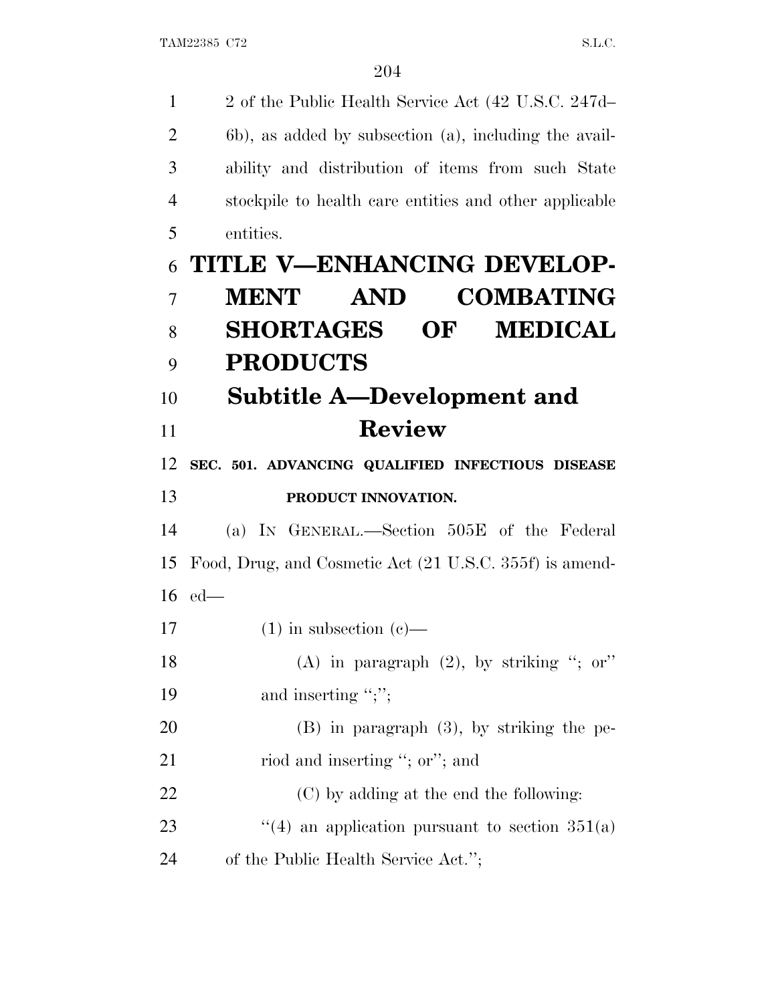| $\mathbf{1}$   | 2 of the Public Health Service Act (42 U.S.C. 247d–     |
|----------------|---------------------------------------------------------|
| $\overline{2}$ | 6b), as added by subsection (a), including the avail-   |
| 3              | ability and distribution of items from such State       |
| 4              | stockpile to health care entities and other applicable  |
| 5              | entities.                                               |
| 6              | TITLE V-ENHANCING DEVELOP-                              |
| $\overline{7}$ | <b>COMBATING</b><br><b>MENT</b><br><b>AND</b>           |
| 8              | <b>SHORTAGES OF</b><br><b>MEDICAL</b>                   |
| 9              | <b>PRODUCTS</b>                                         |
| 10             | Subtitle A—Development and                              |
| 11             | <b>Review</b>                                           |
| 12             | SEC. 501. ADVANCING QUALIFIED INFECTIOUS DISEASE        |
| 13             | PRODUCT INNOVATION.                                     |
| 14             | (a) IN GENERAL.—Section 505E of the Federal             |
| 15             | Food, Drug, and Cosmetic Act (21 U.S.C. 355f) is amend- |
| 16             | $ed$ —                                                  |
| 17             | $(1)$ in subsection $(e)$ —                             |
| 18             | (A) in paragraph $(2)$ , by striking "; or"             |
| 19             | and inserting " $;$ ";"                                 |
| 20             | $(B)$ in paragraph $(3)$ , by striking the pe-          |
|                |                                                         |
| 21             | riod and inserting "; or"; and                          |
| 22             | (C) by adding at the end the following:                 |
| 23             | "(4) an application pursuant to section $351(a)$        |
| 24             | of the Public Health Service Act.";                     |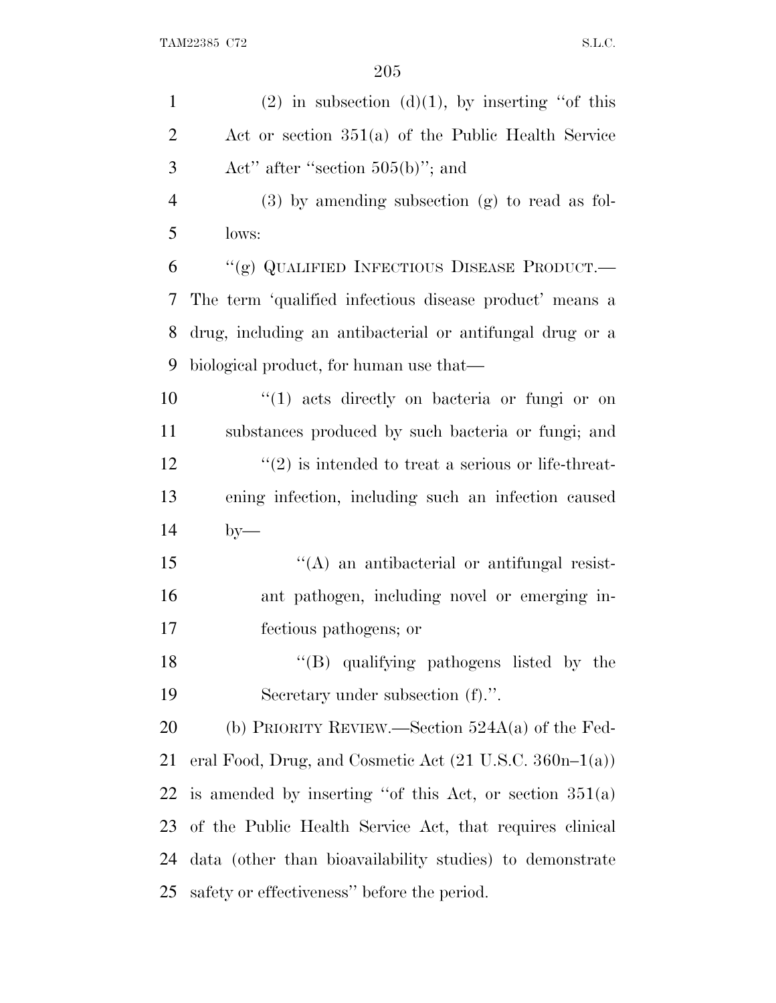| $\mathbf{1}$   | $(2)$ in subsection $(d)(1)$ , by inserting "of this                |
|----------------|---------------------------------------------------------------------|
| $\overline{2}$ | Act or section $351(a)$ of the Public Health Service                |
| 3              | Act" after "section $505(b)$ "; and                                 |
| $\overline{4}$ | $(3)$ by amending subsection $(g)$ to read as fol-                  |
| 5              | lows:                                                               |
| 6              | "(g) QUALIFIED INFECTIOUS DISEASE PRODUCT.—                         |
| 7              | The term 'qualified infectious disease product' means a             |
| 8              | drug, including an antibacterial or antifungal drug or a            |
| 9              | biological product, for human use that—                             |
| 10             | $\lq(1)$ acts directly on bacteria or fungi or on                   |
| 11             | substances produced by such bacteria or fungi; and                  |
| 12             | $\cdot\cdot\cdot(2)$ is intended to treat a serious or life-threat- |
| 13             | ening infection, including such an infection caused                 |
| 14             | $by-$                                                               |
| 15             | $\lq\lq$ and antibacterial or antifungal resist-                    |
| 16             | ant pathogen, including novel or emerging in-                       |
| 17             | fectious pathogens; or                                              |
| 18             | "(B) qualifying pathogens listed by the                             |
| 19             | Secretary under subsection (f).".                                   |
| 20             | (b) PRIORITY REVIEW.—Section $524A(a)$ of the Fed-                  |
| 21             | eral Food, Drug, and Cosmetic Act $(21 \text{ U.S.C. } 360n-1(a))$  |
| 22             | is amended by inserting "of this Act, or section $351(a)$           |
| 23             | of the Public Health Service Act, that requires clinical            |
| 24             | data (other than bioavailability studies) to demonstrate            |
| 25             | safety or effectiveness" before the period.                         |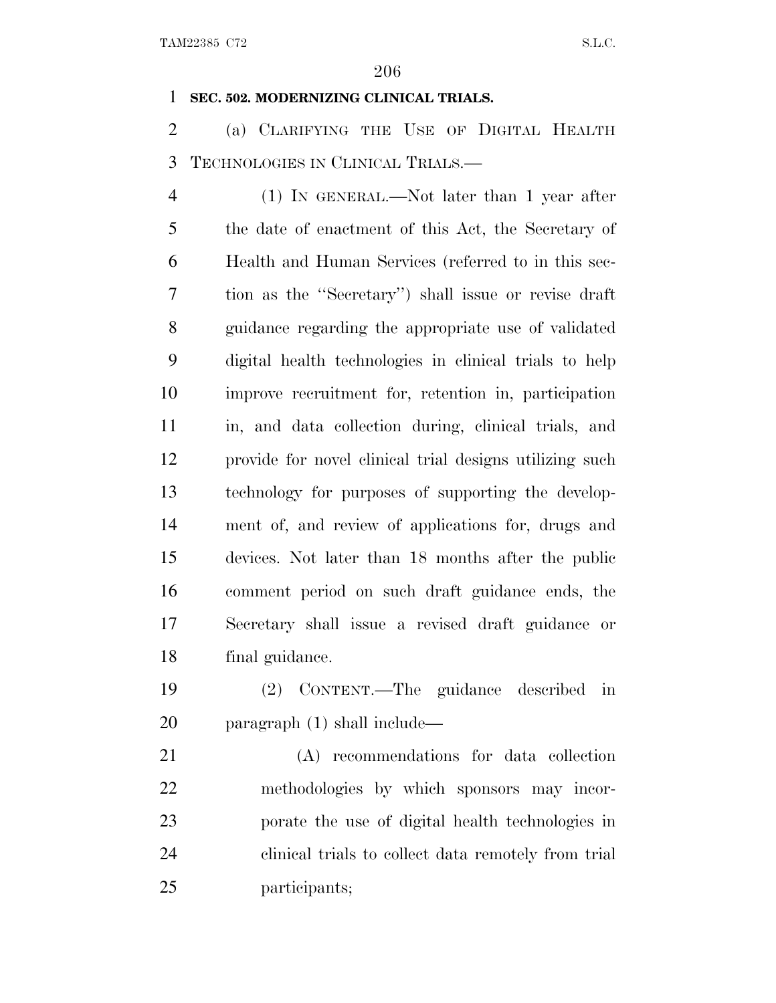### **SEC. 502. MODERNIZING CLINICAL TRIALS.**

 (a) CLARIFYING THE USE OF DIGITAL HEALTH TECHNOLOGIES IN CLINICAL TRIALS.—

 (1) IN GENERAL.—Not later than 1 year after the date of enactment of this Act, the Secretary of Health and Human Services (referred to in this sec- tion as the ''Secretary'') shall issue or revise draft guidance regarding the appropriate use of validated digital health technologies in clinical trials to help improve recruitment for, retention in, participation in, and data collection during, clinical trials, and provide for novel clinical trial designs utilizing such technology for purposes of supporting the develop- ment of, and review of applications for, drugs and devices. Not later than 18 months after the public comment period on such draft guidance ends, the Secretary shall issue a revised draft guidance or final guidance.

 (2) CONTENT.—The guidance described in paragraph (1) shall include—

 (A) recommendations for data collection methodologies by which sponsors may incor- porate the use of digital health technologies in clinical trials to collect data remotely from trial participants;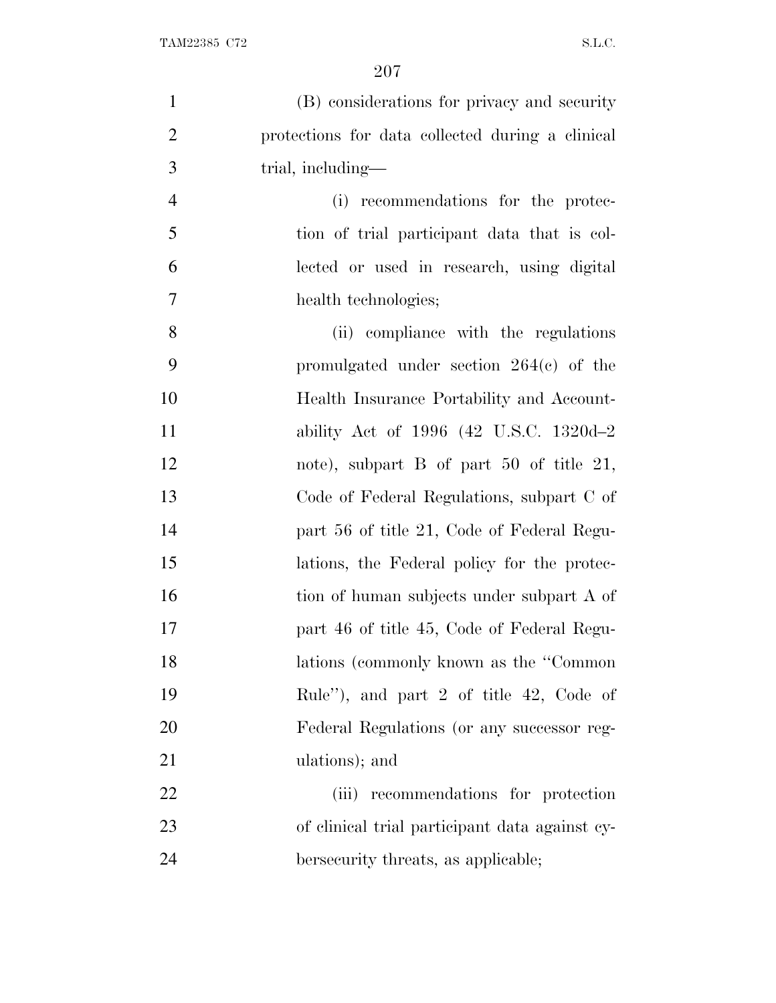| $\mathbf{1}$   | (B) considerations for privacy and security      |
|----------------|--------------------------------------------------|
|                |                                                  |
| $\overline{2}$ | protections for data collected during a clinical |
| 3              | trial, including—                                |
| $\overline{4}$ | (i) recommendations for the protec-              |
| 5              | tion of trial participant data that is col-      |
| 6              | lected or used in research, using digital        |
| $\tau$         | health technologies;                             |
| 8              | (ii) compliance with the regulations             |
| 9              | promulgated under section $264(e)$ of the        |
| 10             | Health Insurance Portability and Account-        |
| 11             | ability Act of 1996 (42 U.S.C. 1320d-2           |
| 12             | note), subpart $B$ of part $50$ of title $21$ ,  |
| 13             | Code of Federal Regulations, subpart C of        |
| 14             | part 56 of title 21, Code of Federal Regu-       |
| 15             | lations, the Federal policy for the protec-      |
| 16             | tion of human subjects under subpart A of        |
| 17             | part 46 of title 45, Code of Federal Regu-       |
| 18             | lations (commonly known as the "Common           |
| 19             | Rule"), and part 2 of title 42, Code of          |
| 20             | Federal Regulations (or any successor reg-       |
| 21             | ulations); and                                   |
| 22             | (iii) recommendations for protection             |
| 23             | of clinical trial participant data against cy-   |
| 24             | bersecurity threats, as applicable;              |
|                |                                                  |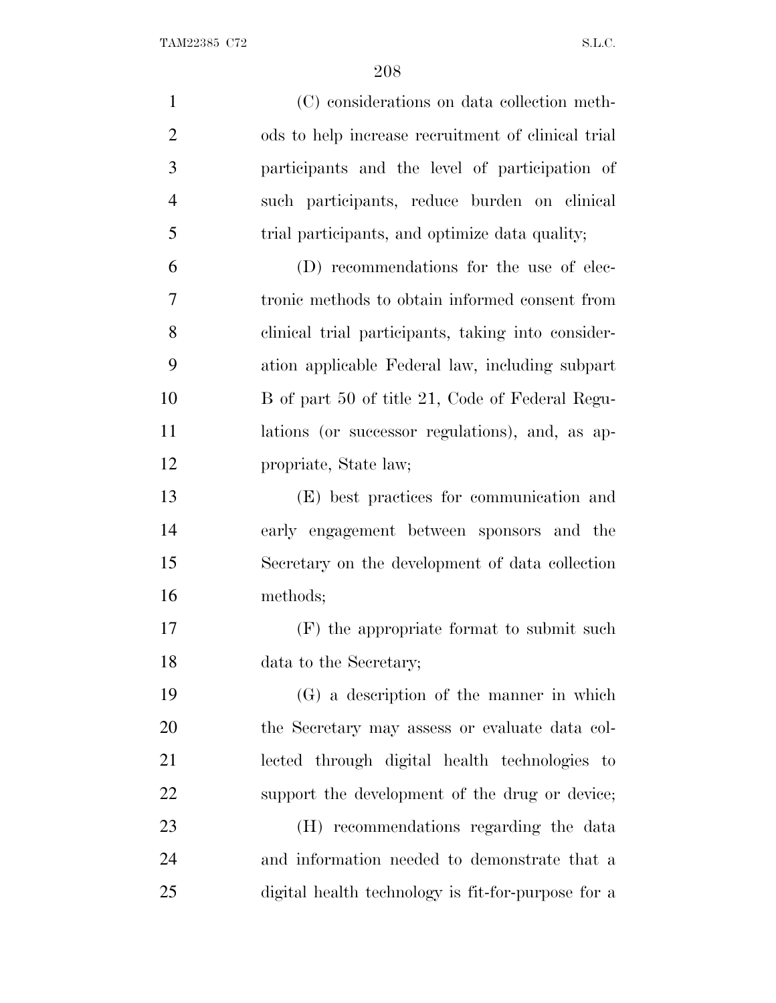TAM22385 C72 S.L.C.

| $\mathbf{1}$   | (C) considerations on data collection meth-        |
|----------------|----------------------------------------------------|
| $\overline{2}$ | ods to help increase recruitment of clinical trial |
| 3              | participants and the level of participation of     |
| $\overline{4}$ | such participants, reduce burden on clinical       |
| 5              | trial participants, and optimize data quality;     |
| 6              | (D) recommendations for the use of elec-           |
| 7              | tronic methods to obtain informed consent from     |
| 8              | clinical trial participants, taking into consider- |
| 9              | ation applicable Federal law, including subpart    |
| 10             | B of part 50 of title 21, Code of Federal Regu-    |
| 11             | lations (or successor regulations), and, as ap-    |
| 12             | propriate, State law;                              |
| 13             | (E) best practices for communication and           |
| 14             | early engagement between sponsors and the          |
| 15             | Secretary on the development of data collection    |
| 16             | methods;                                           |
| 17             | (F) the appropriate format to submit such          |
| 18             | data to the Secretary;                             |
| 19             | (G) a description of the manner in which           |
| 20             | the Secretary may assess or evaluate data col-     |
| 21             | lected through digital health technologies to      |
| 22             | support the development of the drug or device;     |
| 23             | (H) recommendations regarding the data             |
| 24             | and information needed to demonstrate that a       |
| 25             | digital health technology is fit-for-purpose for a |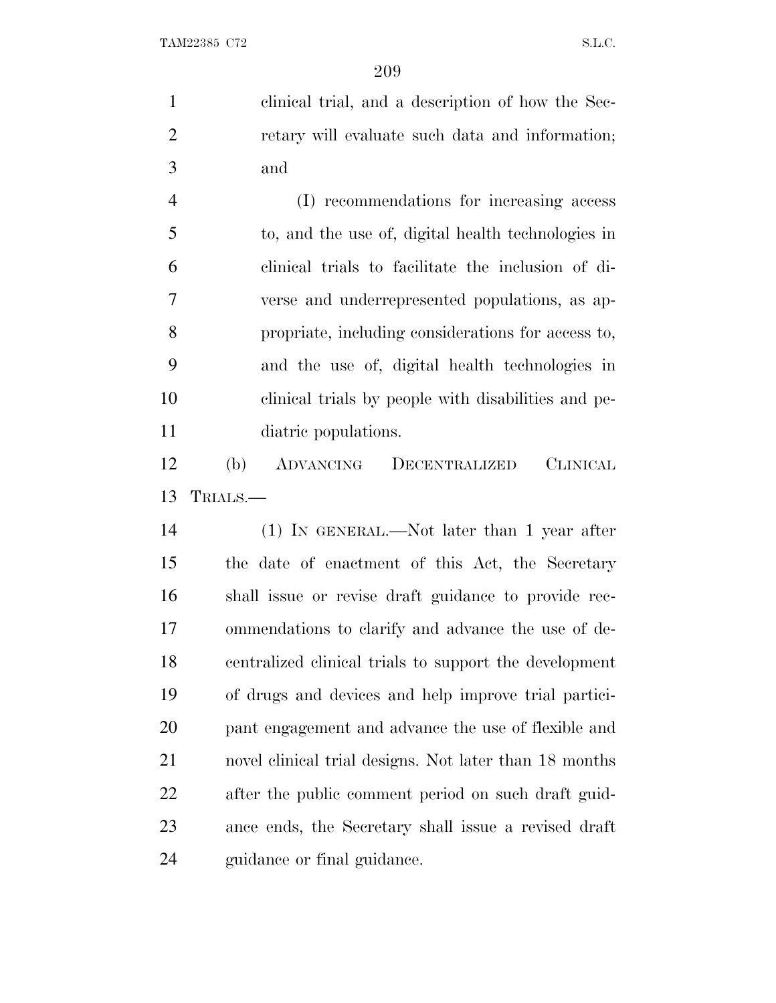clinical trial, and a description of how the Sec- retary will evaluate such data and information; and

 (I) recommendations for increasing access to, and the use of, digital health technologies in clinical trials to facilitate the inclusion of di- verse and underrepresented populations, as ap- propriate, including considerations for access to, and the use of, digital health technologies in clinical trials by people with disabilities and pe-diatric populations.

 (b) ADVANCING DECENTRALIZED CLINICAL TRIALS.—

 (1) IN GENERAL.—Not later than 1 year after the date of enactment of this Act, the Secretary shall issue or revise draft guidance to provide rec- ommendations to clarify and advance the use of de- centralized clinical trials to support the development of drugs and devices and help improve trial partici- pant engagement and advance the use of flexible and novel clinical trial designs. Not later than 18 months after the public comment period on such draft guid- ance ends, the Secretary shall issue a revised draft guidance or final guidance.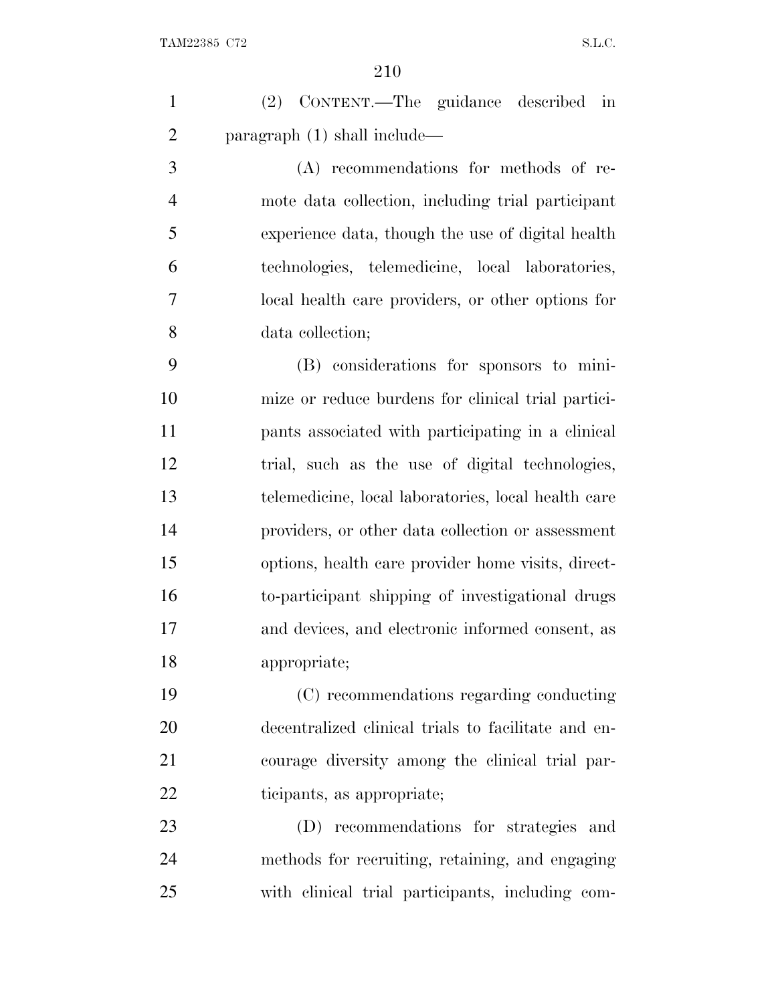| $\mathbf{1}$   | (2) CONTENT.—The guidance described<br>in           |
|----------------|-----------------------------------------------------|
| $\overline{2}$ | paragraph $(1)$ shall include—                      |
| 3              | (A) recommendations for methods of re-              |
| $\overline{4}$ | mote data collection, including trial participant   |
| 5              | experience data, though the use of digital health   |
| 6              | technologies, telemedicine, local laboratories,     |
| 7              | local health care providers, or other options for   |
| 8              | data collection;                                    |
| 9              | (B) considerations for sponsors to mini-            |
| 10             | mize or reduce burdens for clinical trial partici-  |
| 11             | pants associated with participating in a clinical   |
| 12             | trial, such as the use of digital technologies,     |
| 13             | telemedicine, local laboratories, local health care |
| 14             | providers, or other data collection or assessment   |
| 15             | options, health care provider home visits, direct-  |
| 16             | to-participant shipping of investigational drugs    |
| 17             | and devices, and electronic informed consent, as    |
| 18             | appropriate;                                        |
| 19             | (C) recommendations regarding conducting            |
| 20             | decentralized clinical trials to facilitate and en- |
| 21             | courage diversity among the clinical trial par-     |
| 22             | ticipants, as appropriate;                          |
| 23             | (D) recommendations for strategies and              |
| 24             | methods for recruiting, retaining, and engaging     |
| 25             | with clinical trial participants, including com-    |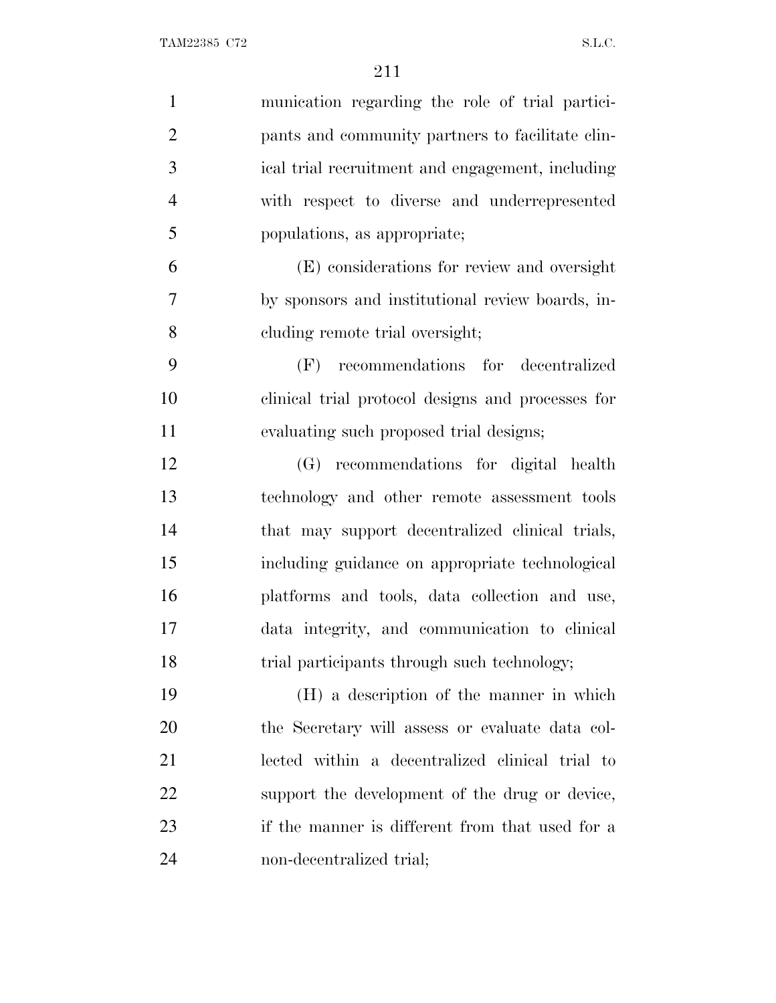| $\mathbf{1}$   | munication regarding the role of trial partici-   |
|----------------|---------------------------------------------------|
| $\overline{2}$ | pants and community partners to facilitate clin-  |
| 3              | ical trial recruitment and engagement, including  |
| $\overline{4}$ | with respect to diverse and underrepresented      |
| 5              | populations, as appropriate;                      |
| 6              | (E) considerations for review and oversight       |
| $\overline{7}$ | by sponsors and institutional review boards, in-  |
| 8              | cluding remote trial oversight;                   |
| 9              | (F) recommendations for decentralized             |
| 10             | clinical trial protocol designs and processes for |
| 11             | evaluating such proposed trial designs;           |
| 12             | (G) recommendations for digital health            |
| 13             | technology and other remote assessment tools      |
| 14             | that may support decentralized clinical trials,   |
| 15             | including guidance on appropriate technological   |
| 16             | platforms and tools, data collection and use,     |
| 17             | data integrity, and communication to clinical     |
| 18             | trial participants through such technology;       |
| 19             | (H) a description of the manner in which          |
| 20             | the Secretary will assess or evaluate data col-   |
| 21             | lected within a decentralized clinical trial to   |
| 22             | support the development of the drug or device,    |
| 23             | if the manner is different from that used for a   |
| 24             | non-decentralized trial;                          |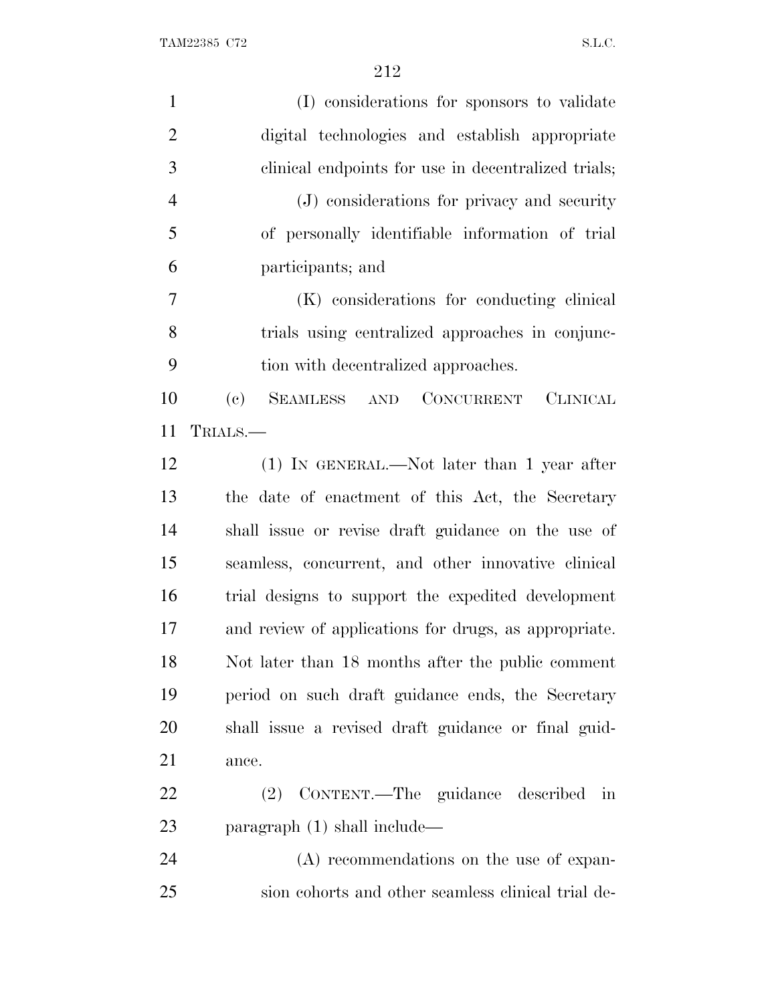| $\mathbf{1}$   | (I) considerations for sponsors to validate           |
|----------------|-------------------------------------------------------|
| $\overline{2}$ | digital technologies and establish appropriate        |
| 3              | clinical endpoints for use in decentralized trials;   |
| $\overline{4}$ | (J) considerations for privacy and security           |
| 5              | of personally identifiable information of trial       |
| 6              | participants; and                                     |
| $\overline{7}$ | (K) considerations for conducting clinical            |
| 8              | trials using centralized approaches in conjunc-       |
| 9              | tion with decentralized approaches.                   |
| 10             | SEAMLESS AND CONCURRENT CLINICAL<br>(e)               |
| 11             | TRIALS.—                                              |
| 12             | $(1)$ In GENERAL.—Not later than 1 year after         |
| 13             | the date of enactment of this Act, the Secretary      |
| 14             | shall issue or revise draft guidance on the use of    |
| 15             | seamless, concurrent, and other innovative clinical   |
| 16             | trial designs to support the expedited development    |
| 17             | and review of applications for drugs, as appropriate. |
| 18             | Not later than 18 months after the public comment     |
| 19             | period on such draft guidance ends, the Secretary     |
| 20             | shall issue a revised draft guidance or final guid-   |
| 21             | ance.                                                 |
| 22             | (2) CONTENT.—The guidance described in                |
| 23             | paragraph $(1)$ shall include—                        |
| 24             | (A) recommendations on the use of expan-              |
| 25             | sion cohorts and other seamless clinical trial de-    |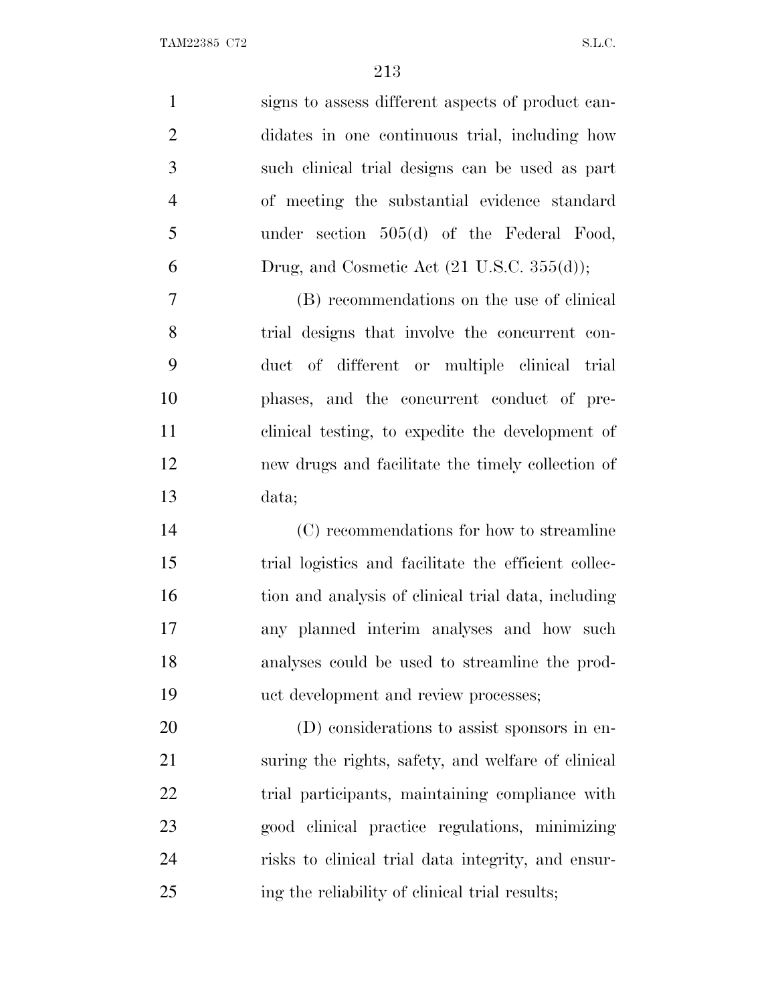| $\mathbf{1}$   | signs to assess different aspects of product can-     |
|----------------|-------------------------------------------------------|
| $\overline{2}$ | didates in one continuous trial, including how        |
| 3              | such clinical trial designs can be used as part       |
| $\overline{4}$ | of meeting the substantial evidence standard          |
| 5              | under section $505(d)$ of the Federal Food,           |
| 6              | Drug, and Cosmetic Act $(21 \text{ U.S.C. } 355(d));$ |
| 7              | (B) recommendations on the use of clinical            |
| 8              | trial designs that involve the concurrent con-        |
| 9              | duct of different or multiple clinical trial          |
| 10             | phases, and the concurrent conduct of pre-            |
| 11             | clinical testing, to expedite the development of      |
| 12             | new drugs and facilitate the timely collection of     |
| 13             | data;                                                 |
| 14             | (C) recommendations for how to streamline             |
| 15             | trial logistics and facilitate the efficient collec-  |
| 16             | tion and analysis of clinical trial data, including   |
| 17             | any planned interim analyses and how such             |
| 18             | analyses could be used to streamline the prod-        |
| 19             | uct development and review processes;                 |
| 20             | (D) considerations to assist sponsors in en-          |
| 21             | suring the rights, safety, and welfare of clinical    |
| 22             | trial participants, maintaining compliance with       |
| 23             | good clinical practice regulations, minimizing        |

 risks to clinical trial data integrity, and ensur-ing the reliability of clinical trial results;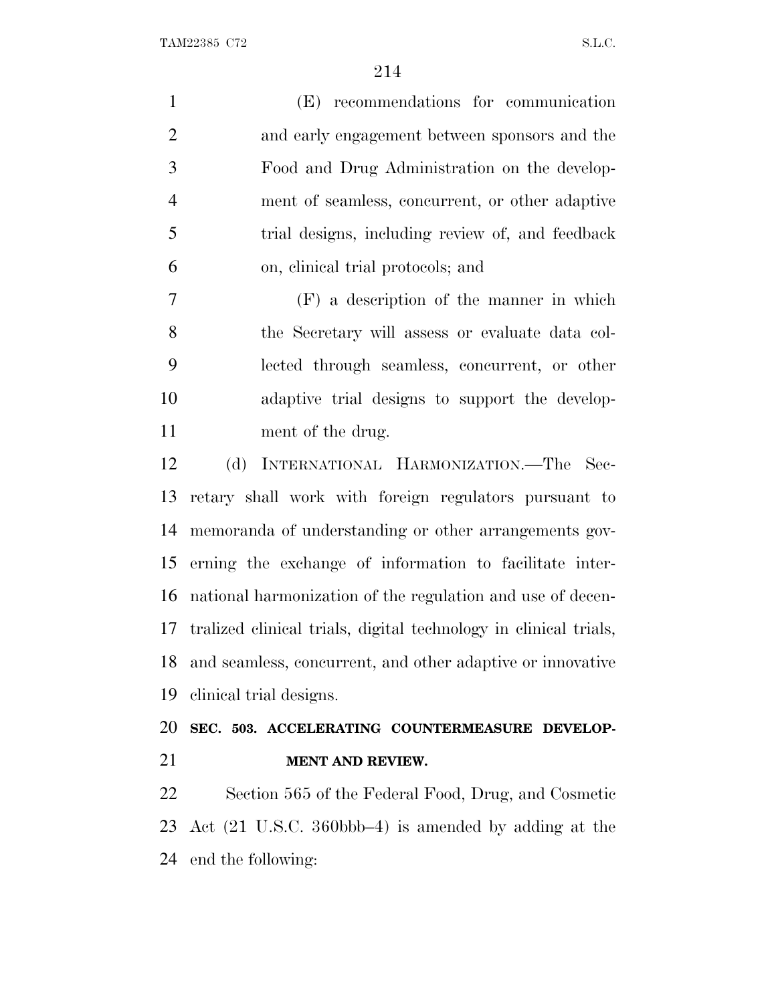TAM22385 C72 S.L.C.

| $\mathbf{1}$   | (E) recommendations for communication                            |
|----------------|------------------------------------------------------------------|
| $\overline{2}$ | and early engagement between sponsors and the                    |
| 3              | Food and Drug Administration on the develop-                     |
| $\overline{4}$ | ment of seamless, concurrent, or other adaptive                  |
| 5              | trial designs, including review of, and feedback                 |
| 6              | on, clinical trial protocols; and                                |
| 7              | $(F)$ a description of the manner in which                       |
| 8              | the Secretary will assess or evaluate data col-                  |
| 9              | lected through seamless, concurrent, or other                    |
| 10             | adaptive trial designs to support the develop-                   |
| 11             | ment of the drug.                                                |
| 12             | (d)<br>INTERNATIONAL HARMONIZATION.—The Sec-                     |
| 13             | retary shall work with foreign regulators pursuant to            |
| 14             | memoranda of understanding or other arrangements gov-            |
| 15             | erning the exchange of information to facilitate inter-          |
| 16             | national harmonization of the regulation and use of decen-       |
| 17             | tralized clinical trials, digital technology in clinical trials, |
| 18             | and seamless, concurrent, and other adaptive or innovative       |
|                |                                                                  |

clinical trial designs.

# **SEC. 503. ACCELERATING COUNTERMEASURE DEVELOP-MENT AND REVIEW.**

 Section 565 of the Federal Food, Drug, and Cosmetic Act (21 U.S.C. 360bbb–4) is amended by adding at the end the following: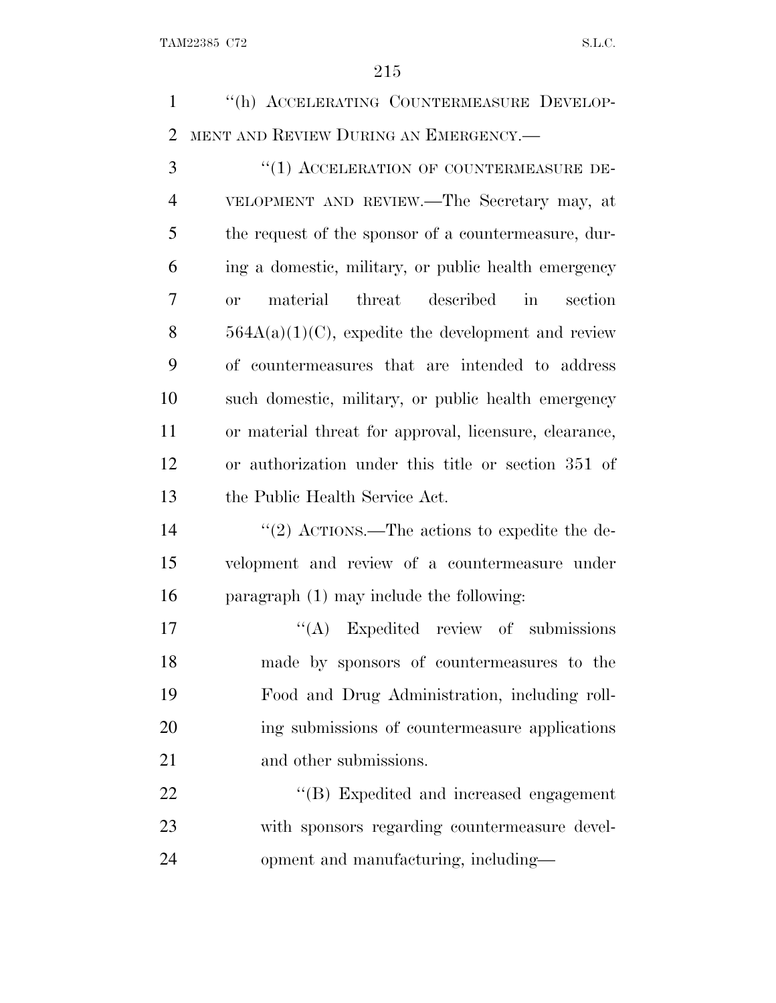''(h) ACCELERATING COUNTERMEASURE DEVELOP-MENT AND REVIEW DURING AN EMERGENCY.—

3 "(1) ACCELERATION OF COUNTERMEASURE DE- VELOPMENT AND REVIEW.—The Secretary may, at the request of the sponsor of a countermeasure, dur- ing a domestic, military, or public health emergency or material threat described in section  $564A(a)(1)(C)$ , expedite the development and review of countermeasures that are intended to address such domestic, military, or public health emergency or material threat for approval, licensure, clearance, or authorization under this title or section 351 of the Public Health Service Act.

14  $\frac{1}{2}$  ACTIONS.—The actions to expedite the de- velopment and review of a countermeasure under paragraph (1) may include the following:

17 "(A) Expedited review of submissions made by sponsors of countermeasures to the Food and Drug Administration, including roll- ing submissions of countermeasure applications 21 and other submissions.

22 "'(B) Expedited and increased engagement with sponsors regarding countermeasure devel-opment and manufacturing, including—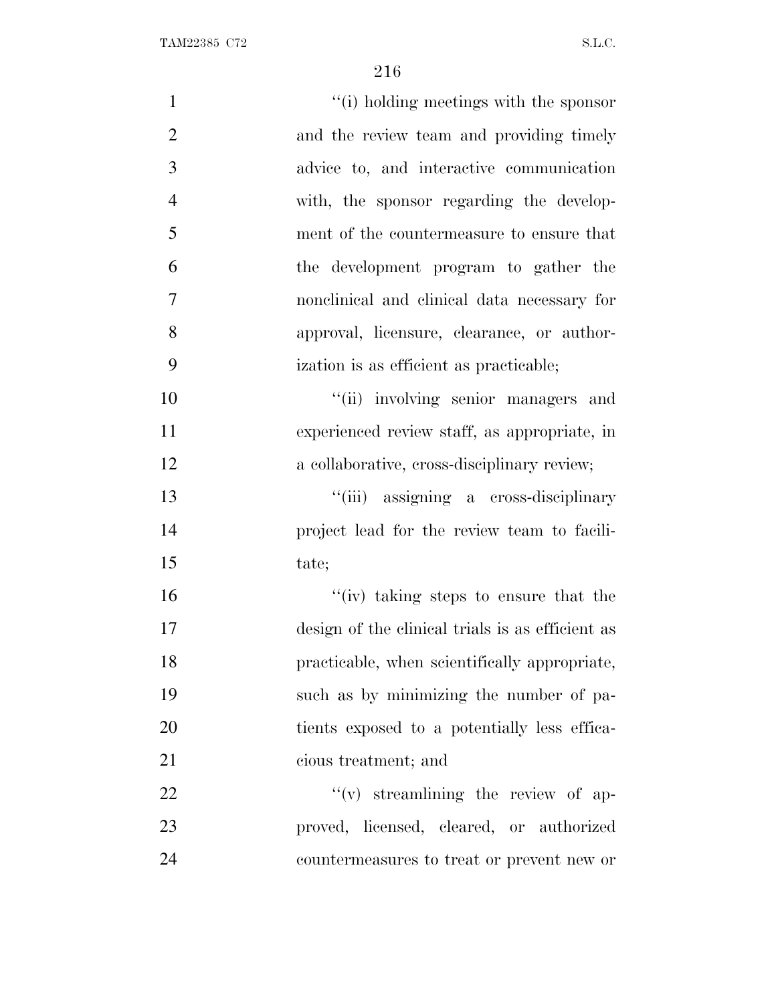| $\mathbf{1}$   | "(i) holding meetings with the sponsor           |
|----------------|--------------------------------------------------|
| $\overline{2}$ | and the review team and providing timely         |
| 3              | advice to, and interactive communication         |
| $\overline{4}$ | with, the sponsor regarding the develop-         |
| 5              | ment of the countermeasure to ensure that        |
| 6              | the development program to gather the            |
| $\tau$         | nonclinical and clinical data necessary for      |
| 8              | approval, licensure, clearance, or author-       |
| 9              | ization is as efficient as practicable;          |
| 10             | "(ii) involving senior managers and              |
| 11             | experienced review staff, as appropriate, in     |
| 12             | a collaborative, cross-disciplinary review;      |
| 13             | "(iii) assigning a cross-disciplinary            |
| 14             | project lead for the review team to facili-      |
| 15             | tate;                                            |
| 16             | "(iv) taking steps to ensure that the            |
| 17             | design of the clinical trials is as efficient as |
| 18             | practicable, when scientifically appropriate,    |
| 19             | such as by minimizing the number of pa-          |
| 20             | tients exposed to a potentially less effica-     |
| 21             | cious treatment; and                             |
| 22             | $f'(v)$ streamlining the review of ap-           |
| 23             | proved, licensed, cleared, or authorized         |
| 24             | countermeasures to treat or prevent new or       |
|                |                                                  |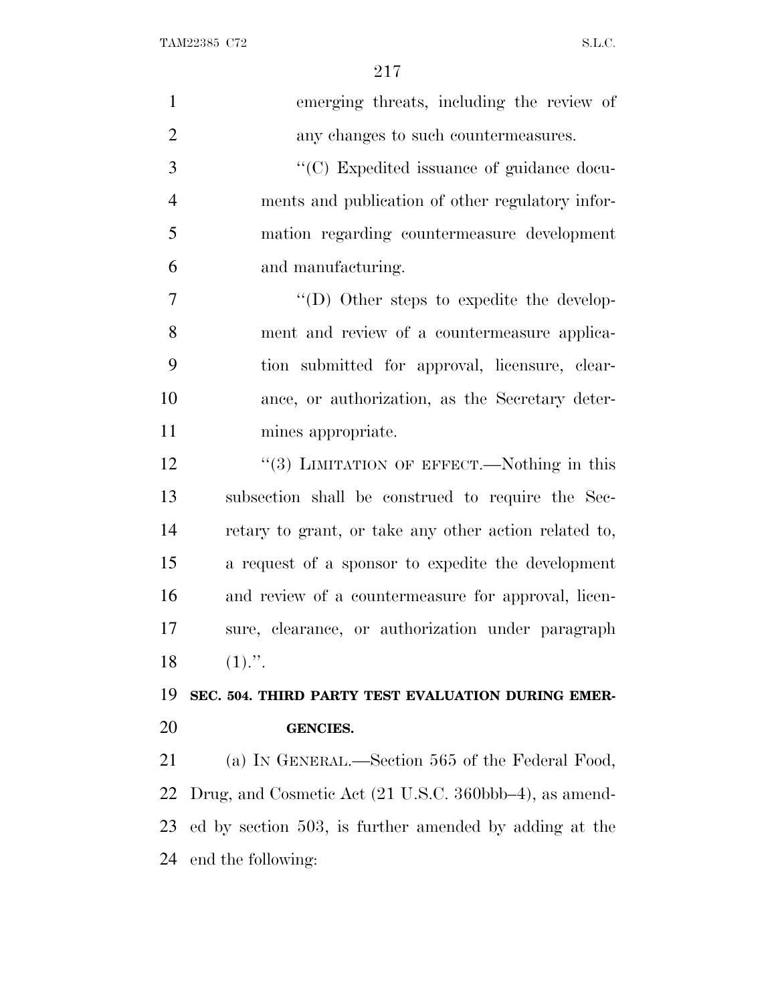| $\mathbf{1}$   | emerging threats, including the review of              |
|----------------|--------------------------------------------------------|
| $\overline{2}$ | any changes to such countermeasures.                   |
| 3              | "(C) Expedited issuance of guidance docu-              |
| $\overline{4}$ | ments and publication of other regulatory infor-       |
| 5              | mation regarding countermeasure development            |
| 6              | and manufacturing.                                     |
| $\overline{7}$ | "(D) Other steps to expedite the develop-              |
| 8              | ment and review of a countermeasure applica-           |
| 9              | tion submitted for approval, licensure, clear-         |
| 10             | ance, or authorization, as the Secretary deter-        |
| 11             | mines appropriate.                                     |
| 12             | "(3) LIMITATION OF EFFECT.—Nothing in this             |
| 13             | subsection shall be construed to require the Sec-      |
| 14             | retary to grant, or take any other action related to,  |
| 15             | a request of a sponsor to expedite the development     |
| 16             | and review of a countermeasure for approval, licen-    |
| 17             | sure, clearance, or authorization under paragraph      |
| 18             | $(1)$ .".                                              |
| 19             | SEC. 504. THIRD PARTY TEST EVALUATION DURING EMER-     |
| 20             | <b>GENCIES.</b>                                        |
| 21             | (a) IN GENERAL.—Section 565 of the Federal Food,       |
| 22             | Drug, and Cosmetic Act (21 U.S.C. 360bbb-4), as amend- |
| 23             | ed by section 503, is further amended by adding at the |
|                | 24 end the following:                                  |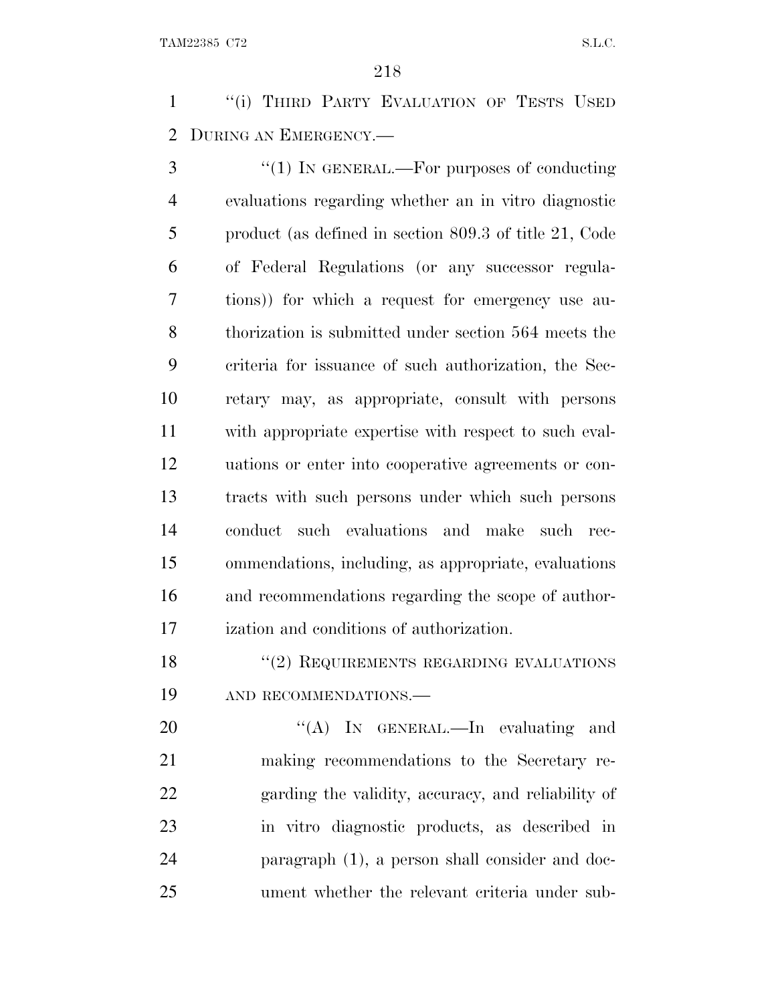1 "(i) THIRD PARTY EVALUATION OF TESTS USED DURING AN EMERGENCY.—

3 "(1) IN GENERAL.—For purposes of conducting evaluations regarding whether an in vitro diagnostic product (as defined in section 809.3 of title 21, Code of Federal Regulations (or any successor regula- tions)) for which a request for emergency use au- thorization is submitted under section 564 meets the criteria for issuance of such authorization, the Sec- retary may, as appropriate, consult with persons with appropriate expertise with respect to such eval- uations or enter into cooperative agreements or con- tracts with such persons under which such persons conduct such evaluations and make such rec- ommendations, including, as appropriate, evaluations and recommendations regarding the scope of author-ization and conditions of authorization.

18 "(2) REQUIREMENTS REGARDING EVALUATIONS AND RECOMMENDATIONS.—

20 "'(A) IN GENERAL.—In evaluating and making recommendations to the Secretary re- garding the validity, accuracy, and reliability of in vitro diagnostic products, as described in paragraph (1), a person shall consider and doc-ument whether the relevant criteria under sub-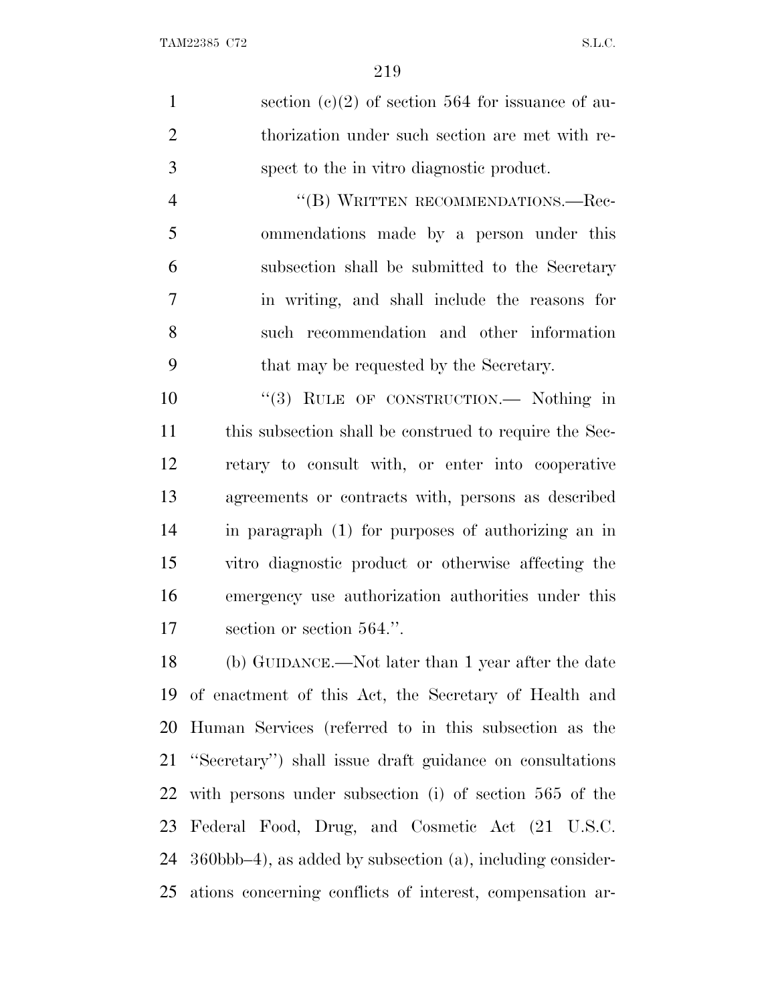1 section (c)(2) of section 564 for issuance of au- thorization under such section are met with re-spect to the in vitro diagnostic product.

4 "(B) WRITTEN RECOMMENDATIONS.—Rec- ommendations made by a person under this subsection shall be submitted to the Secretary in writing, and shall include the reasons for such recommendation and other information that may be requested by the Secretary.

10 "(3) RULE OF CONSTRUCTION.— Nothing in this subsection shall be construed to require the Sec- retary to consult with, or enter into cooperative agreements or contracts with, persons as described in paragraph (1) for purposes of authorizing an in vitro diagnostic product or otherwise affecting the emergency use authorization authorities under this section or section 564.''.

 (b) GUIDANCE.—Not later than 1 year after the date of enactment of this Act, the Secretary of Health and Human Services (referred to in this subsection as the ''Secretary'') shall issue draft guidance on consultations with persons under subsection (i) of section 565 of the Federal Food, Drug, and Cosmetic Act (21 U.S.C. 360bbb–4), as added by subsection (a), including consider-ations concerning conflicts of interest, compensation ar-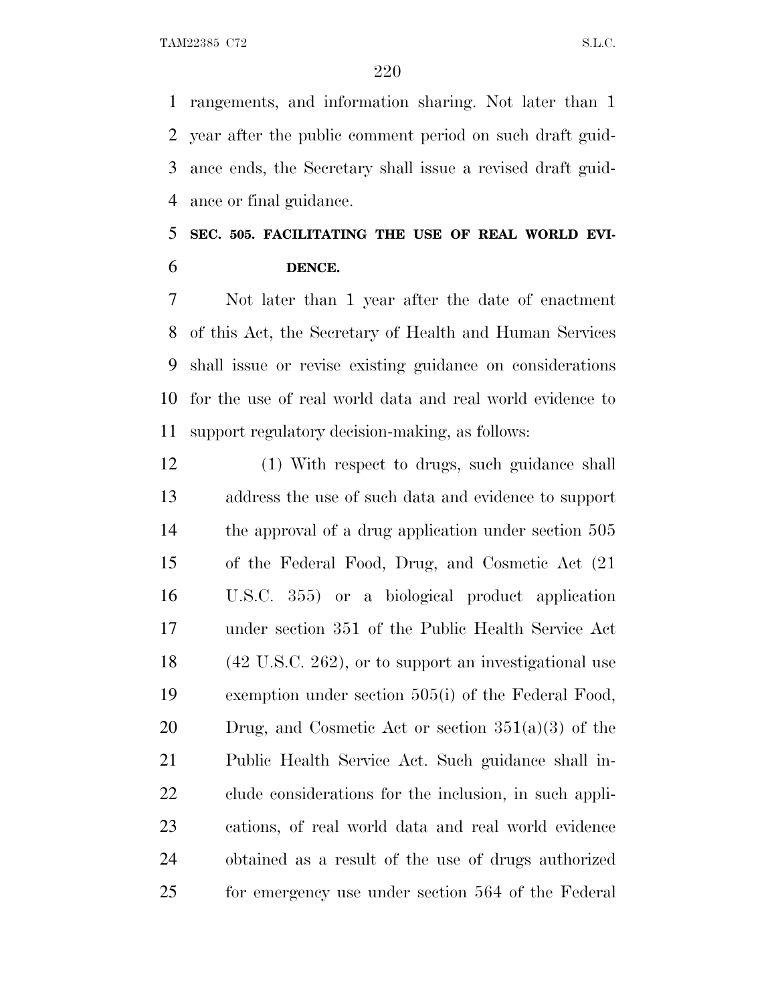rangements, and information sharing. Not later than 1 year after the public comment period on such draft guid- ance ends, the Secretary shall issue a revised draft guid-ance or final guidance.

# **SEC. 505. FACILITATING THE USE OF REAL WORLD EVI-DENCE.**

 Not later than 1 year after the date of enactment of this Act, the Secretary of Health and Human Services shall issue or revise existing guidance on considerations for the use of real world data and real world evidence to support regulatory decision-making, as follows:

 (1) With respect to drugs, such guidance shall address the use of such data and evidence to support the approval of a drug application under section 505 of the Federal Food, Drug, and Cosmetic Act (21 U.S.C. 355) or a biological product application under section 351 of the Public Health Service Act (42 U.S.C. 262), or to support an investigational use exemption under section 505(i) of the Federal Food, 20 Drug, and Cosmetic Act or section  $351(a)(3)$  of the Public Health Service Act. Such guidance shall in- clude considerations for the inclusion, in such appli- cations, of real world data and real world evidence obtained as a result of the use of drugs authorized for emergency use under section 564 of the Federal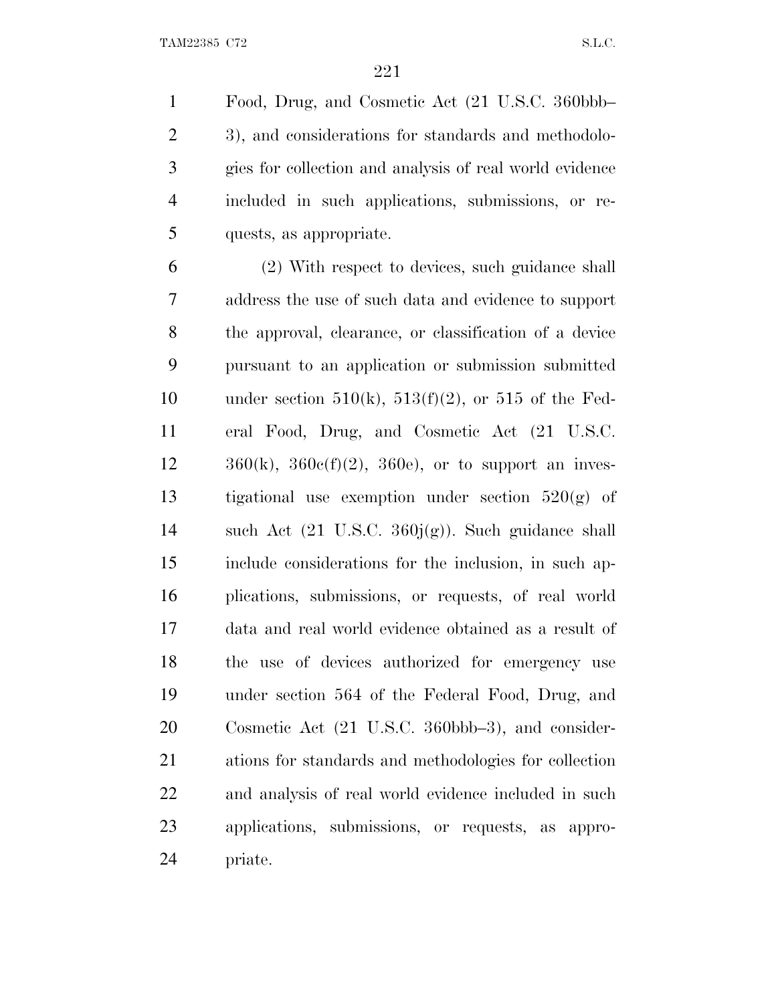Food, Drug, and Cosmetic Act (21 U.S.C. 360bbb– 3), and considerations for standards and methodolo- gies for collection and analysis of real world evidence included in such applications, submissions, or re-quests, as appropriate.

 (2) With respect to devices, such guidance shall address the use of such data and evidence to support the approval, clearance, or classification of a device pursuant to an application or submission submitted 10 under section  $510(k)$ ,  $513(f)(2)$ , or  $515$  of the Fed- eral Food, Drug, and Cosmetic Act (21 U.S.C.  $12 \t 360(k), 360e(f)(2), 360e$ , or to support an inves-13 tigational use exemption under section  $520(g)$  of such Act (21 U.S.C. 360j(g)). Such guidance shall include considerations for the inclusion, in such ap- plications, submissions, or requests, of real world data and real world evidence obtained as a result of the use of devices authorized for emergency use under section 564 of the Federal Food, Drug, and Cosmetic Act (21 U.S.C. 360bbb–3), and consider- ations for standards and methodologies for collection and analysis of real world evidence included in such applications, submissions, or requests, as appro-priate.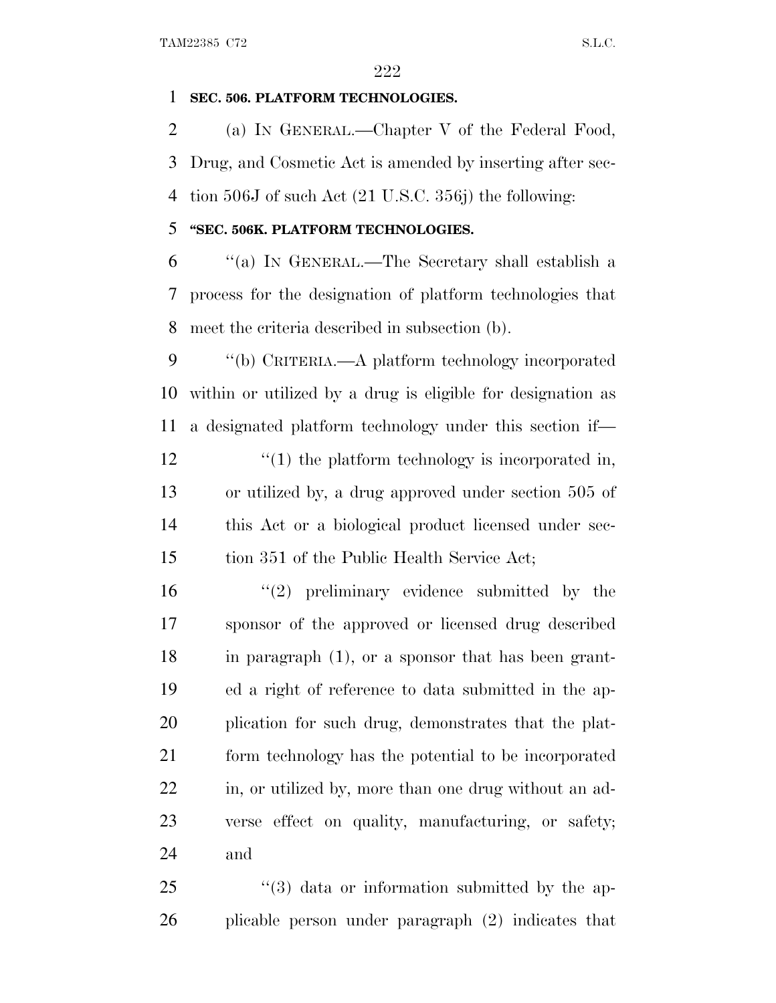### **SEC. 506. PLATFORM TECHNOLOGIES.**

 (a) I<sup>N</sup> GENERAL.—Chapter V of the Federal Food, Drug, and Cosmetic Act is amended by inserting after sec-tion 506J of such Act (21 U.S.C. 356j) the following:

### **''SEC. 506K. PLATFORM TECHNOLOGIES.**

 ''(a) I<sup>N</sup> GENERAL.—The Secretary shall establish a process for the designation of platform technologies that meet the criteria described in subsection (b).

 ''(b) CRITERIA.—A platform technology incorporated within or utilized by a drug is eligible for designation as a designated platform technology under this section if—  $\frac{1}{2}$  (1) the platform technology is incorporated in, or utilized by, a drug approved under section 505 of this Act or a biological product licensed under sec-tion 351 of the Public Health Service Act;

 ''(2) preliminary evidence submitted by the sponsor of the approved or licensed drug described in paragraph (1), or a sponsor that has been grant- ed a right of reference to data submitted in the ap- plication for such drug, demonstrates that the plat- form technology has the potential to be incorporated in, or utilized by, more than one drug without an ad- verse effect on quality, manufacturing, or safety; and

 ''(3) data or information submitted by the ap-plicable person under paragraph (2) indicates that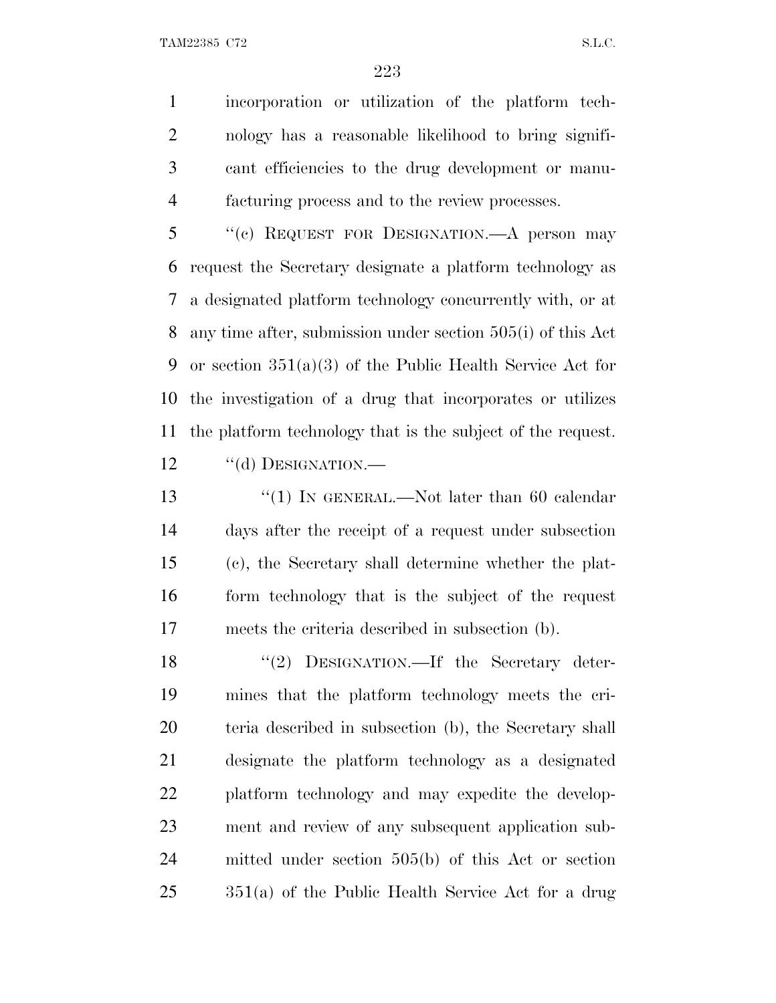incorporation or utilization of the platform tech- nology has a reasonable likelihood to bring signifi- cant efficiencies to the drug development or manu-facturing process and to the review processes.

 ''(c) REQUEST FOR DESIGNATION.—A person may request the Secretary designate a platform technology as a designated platform technology concurrently with, or at any time after, submission under section 505(i) of this Act or section 351(a)(3) of the Public Health Service Act for the investigation of a drug that incorporates or utilizes the platform technology that is the subject of the request. 12 "(d) DESIGNATION.—

13 ''(1) IN GENERAL.—Not later than 60 calendar days after the receipt of a request under subsection (c), the Secretary shall determine whether the plat- form technology that is the subject of the request meets the criteria described in subsection (b).

18 "(2) DESIGNATION.—If the Secretary deter- mines that the platform technology meets the cri- teria described in subsection (b), the Secretary shall designate the platform technology as a designated platform technology and may expedite the develop- ment and review of any subsequent application sub- mitted under section 505(b) of this Act or section 351(a) of the Public Health Service Act for a drug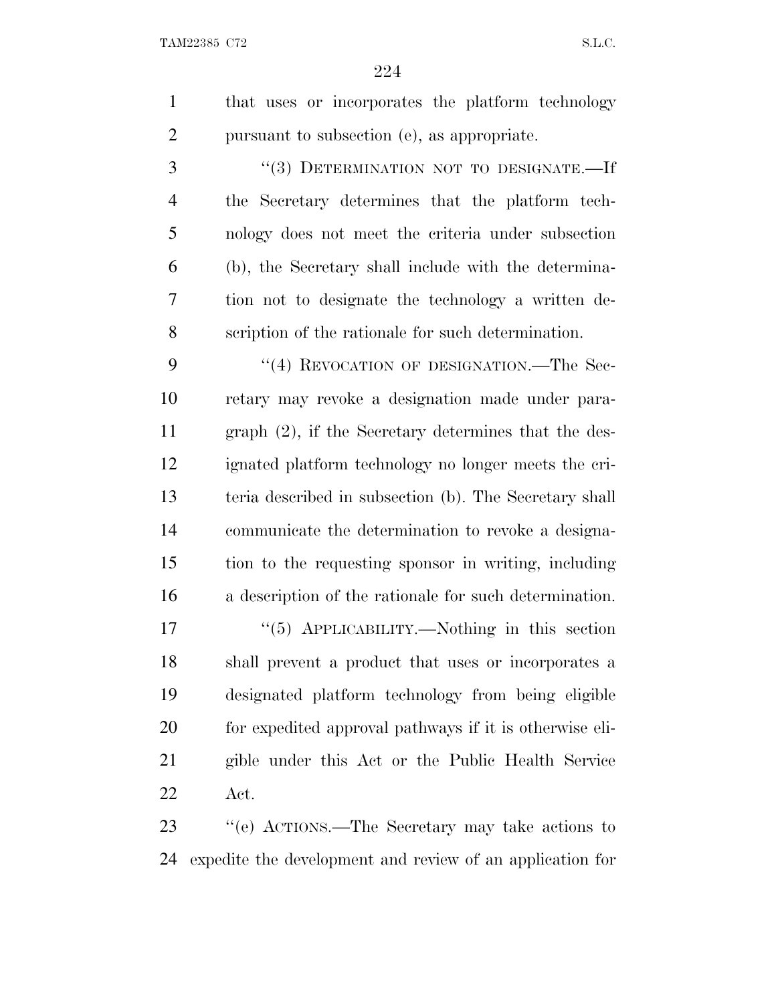| that uses or incorporates the platform technology |
|---------------------------------------------------|
| pursuant to subsection (e), as appropriate.       |

3 "(3) DETERMINATION NOT TO DESIGNATE.—If the Secretary determines that the platform tech- nology does not meet the criteria under subsection (b), the Secretary shall include with the determina- tion not to designate the technology a written de-scription of the rationale for such determination.

9 "(4) REVOCATION OF DESIGNATION.—The Sec- retary may revoke a designation made under para- graph (2), if the Secretary determines that the des- ignated platform technology no longer meets the cri- teria described in subsection (b). The Secretary shall communicate the determination to revoke a designa- tion to the requesting sponsor in writing, including a description of the rationale for such determination.

17 "(5) APPLICABILITY.—Nothing in this section shall prevent a product that uses or incorporates a designated platform technology from being eligible for expedited approval pathways if it is otherwise eli- gible under this Act or the Public Health Service Act.

 ''(e) ACTIONS.—The Secretary may take actions to expedite the development and review of an application for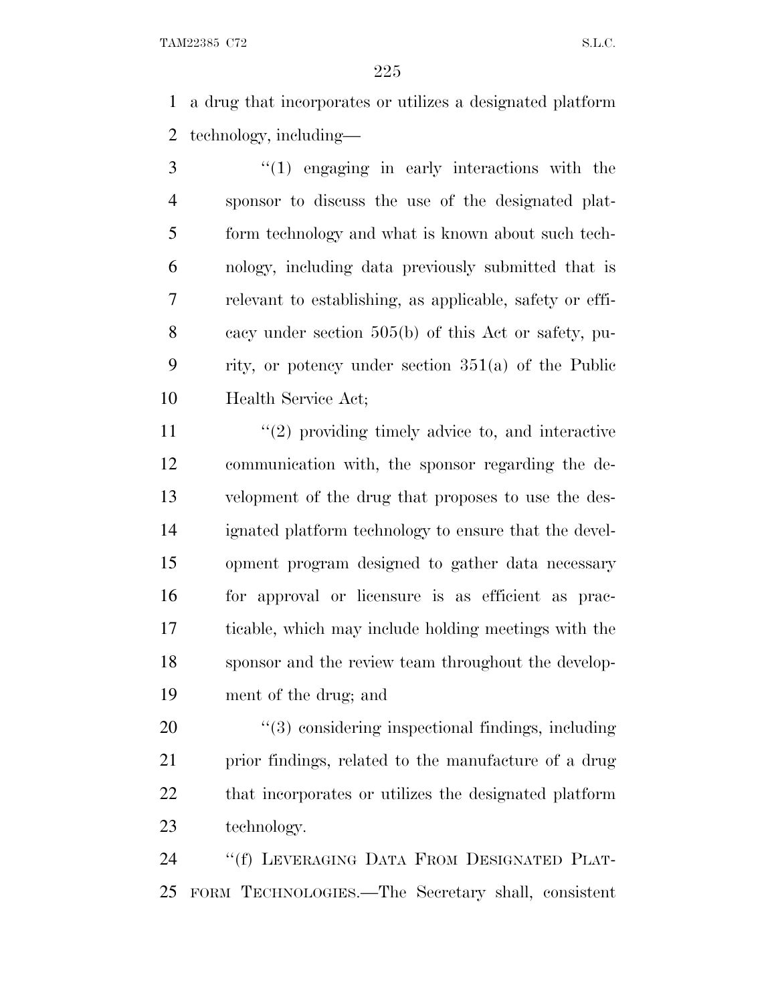a drug that incorporates or utilizes a designated platform technology, including—

 ''(1) engaging in early interactions with the sponsor to discuss the use of the designated plat- form technology and what is known about such tech- nology, including data previously submitted that is relevant to establishing, as applicable, safety or effi- cacy under section 505(b) of this Act or safety, pu- rity, or potency under section 351(a) of the Public Health Service Act;

11 ''(2) providing timely advice to, and interactive communication with, the sponsor regarding the de- velopment of the drug that proposes to use the des- ignated platform technology to ensure that the devel- opment program designed to gather data necessary for approval or licensure is as efficient as prac- ticable, which may include holding meetings with the sponsor and the review team throughout the develop-ment of the drug; and

 $\frac{4}{3}$  considering inspectional findings, including prior findings, related to the manufacture of a drug that incorporates or utilizes the designated platform technology.

 ''(f) LEVERAGING DATA FROM DESIGNATED PLAT-FORM TECHNOLOGIES.—The Secretary shall, consistent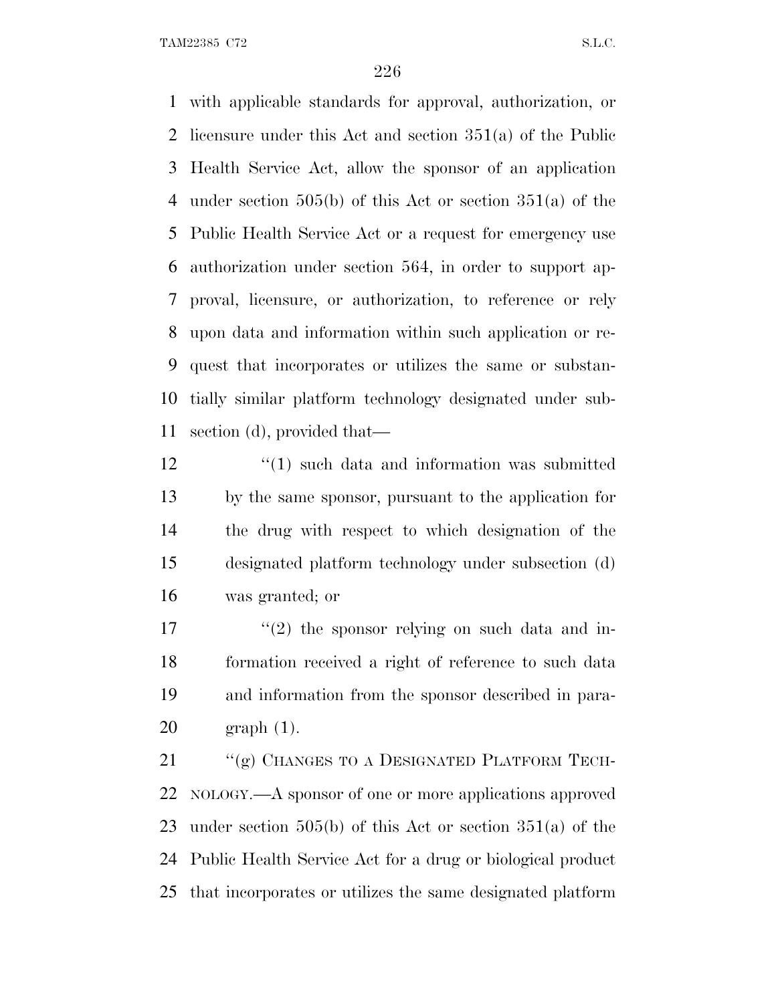with applicable standards for approval, authorization, or licensure under this Act and section 351(a) of the Public Health Service Act, allow the sponsor of an application under section 505(b) of this Act or section 351(a) of the Public Health Service Act or a request for emergency use authorization under section 564, in order to support ap- proval, licensure, or authorization, to reference or rely upon data and information within such application or re- quest that incorporates or utilizes the same or substan- tially similar platform technology designated under sub-section (d), provided that—

12 ''(1) such data and information was submitted by the same sponsor, pursuant to the application for the drug with respect to which designation of the designated platform technology under subsection (d) was granted; or

 $\frac{17}{2}$  ''(2) the sponsor relying on such data and in- formation received a right of reference to such data and information from the sponsor described in para-graph (1).

21 "(g) CHANGES TO A DESIGNATED PLATFORM TECH- NOLOGY.—A sponsor of one or more applications approved under section 505(b) of this Act or section 351(a) of the Public Health Service Act for a drug or biological product that incorporates or utilizes the same designated platform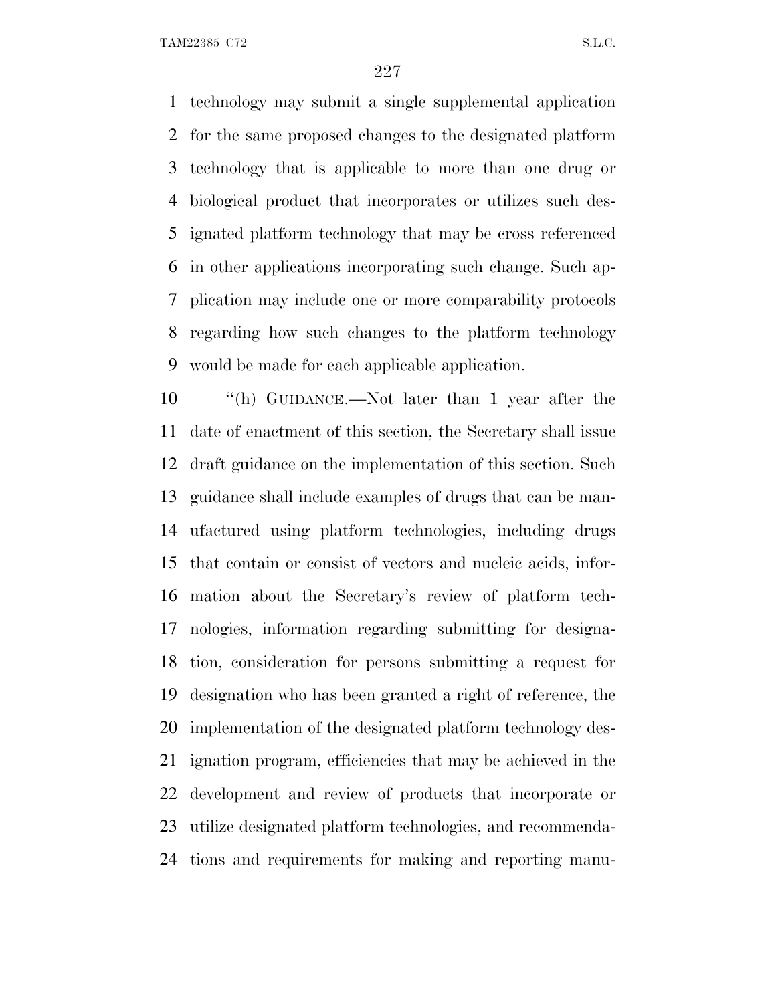technology may submit a single supplemental application for the same proposed changes to the designated platform technology that is applicable to more than one drug or biological product that incorporates or utilizes such des- ignated platform technology that may be cross referenced in other applications incorporating such change. Such ap- plication may include one or more comparability protocols regarding how such changes to the platform technology would be made for each applicable application.

 ''(h) GUIDANCE.—Not later than 1 year after the date of enactment of this section, the Secretary shall issue draft guidance on the implementation of this section. Such guidance shall include examples of drugs that can be man- ufactured using platform technologies, including drugs that contain or consist of vectors and nucleic acids, infor- mation about the Secretary's review of platform tech- nologies, information regarding submitting for designa- tion, consideration for persons submitting a request for designation who has been granted a right of reference, the implementation of the designated platform technology des- ignation program, efficiencies that may be achieved in the development and review of products that incorporate or utilize designated platform technologies, and recommenda-tions and requirements for making and reporting manu-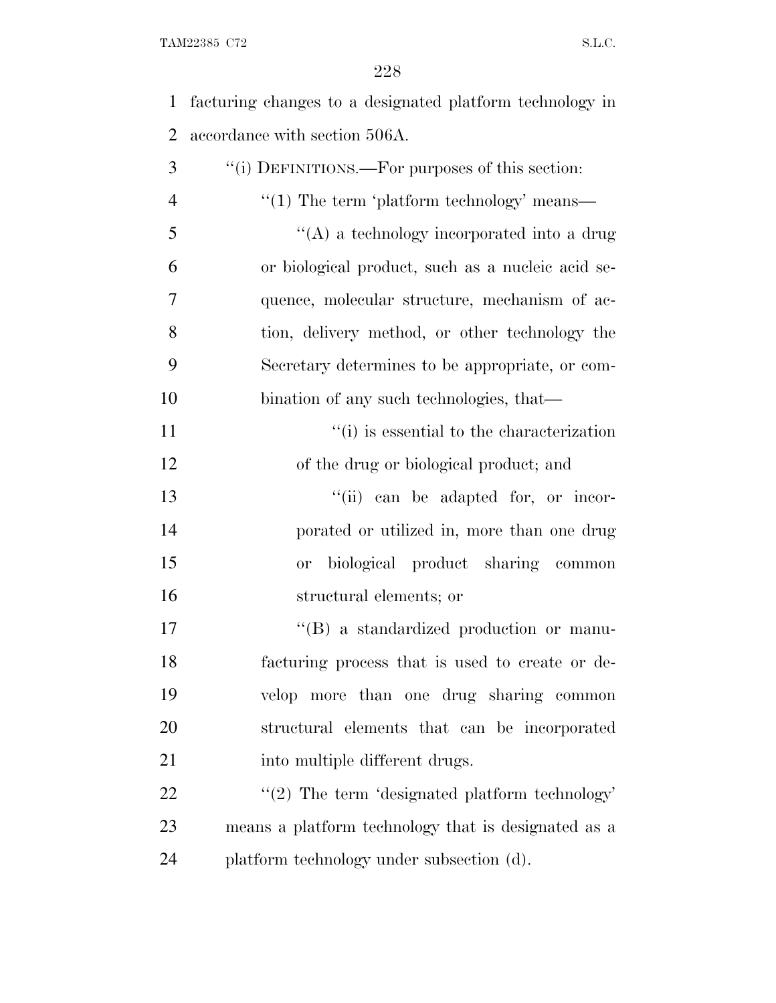facturing changes to a designated platform technology in accordance with section 506A.

| 3              | "(i) DEFINITIONS.—For purposes of this section:     |
|----------------|-----------------------------------------------------|
| $\overline{4}$ | $\lq(1)$ The term 'platform technology' means—      |
| 5              | "(A) a technology incorporated into a drug          |
| 6              | or biological product, such as a nucleic acid se-   |
| 7              | quence, molecular structure, mechanism of ac-       |
| 8              | tion, delivery method, or other technology the      |
| 9              | Secretary determines to be appropriate, or com-     |
| 10             | bination of any such technologies, that—            |
| 11             | "(i) is essential to the characterization           |
| 12             | of the drug or biological product; and              |
| 13             | "(ii) can be adapted for, or incor-                 |
| 14             | porated or utilized in, more than one drug          |
| 15             | biological product sharing common<br>or             |
| 16             | structural elements; or                             |
| 17             | "(B) a standardized production or manu-             |
| 18             | facturing process that is used to create or de-     |
| 19             | velop more than one drug sharing common             |
| 20             | structural elements that can be incorporated        |
| 21             | into multiple different drugs.                      |
| 22             | $\lq(2)$ The term 'designated platform technology'  |
| 23             | means a platform technology that is designated as a |
| 24             | platform technology under subsection (d).           |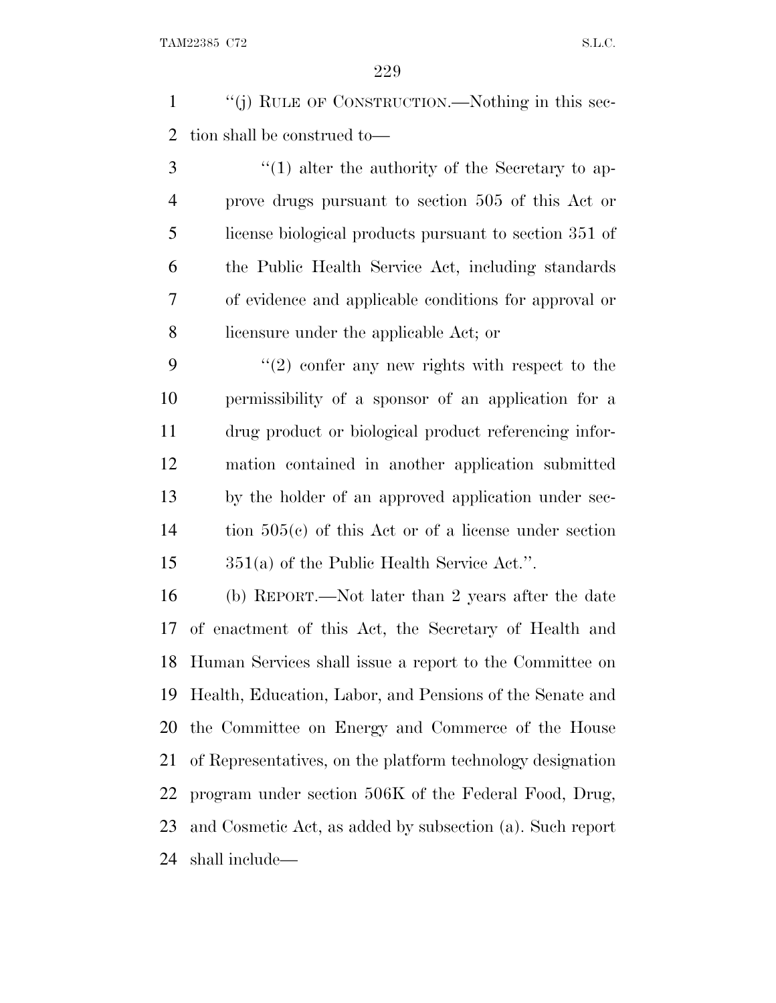''(j) RULE OF CONSTRUCTION.—Nothing in this sec-tion shall be construed to—

3 ''(1) alter the authority of the Secretary to ap- prove drugs pursuant to section 505 of this Act or license biological products pursuant to section 351 of the Public Health Service Act, including standards of evidence and applicable conditions for approval or licensure under the applicable Act; or

 $(2)$  confer any new rights with respect to the permissibility of a sponsor of an application for a drug product or biological product referencing infor- mation contained in another application submitted by the holder of an approved application under sec- tion 505(c) of this Act or of a license under section 351(a) of the Public Health Service Act.''.

 (b) REPORT.—Not later than 2 years after the date of enactment of this Act, the Secretary of Health and Human Services shall issue a report to the Committee on Health, Education, Labor, and Pensions of the Senate and the Committee on Energy and Commerce of the House of Representatives, on the platform technology designation program under section 506K of the Federal Food, Drug, and Cosmetic Act, as added by subsection (a). Such report shall include—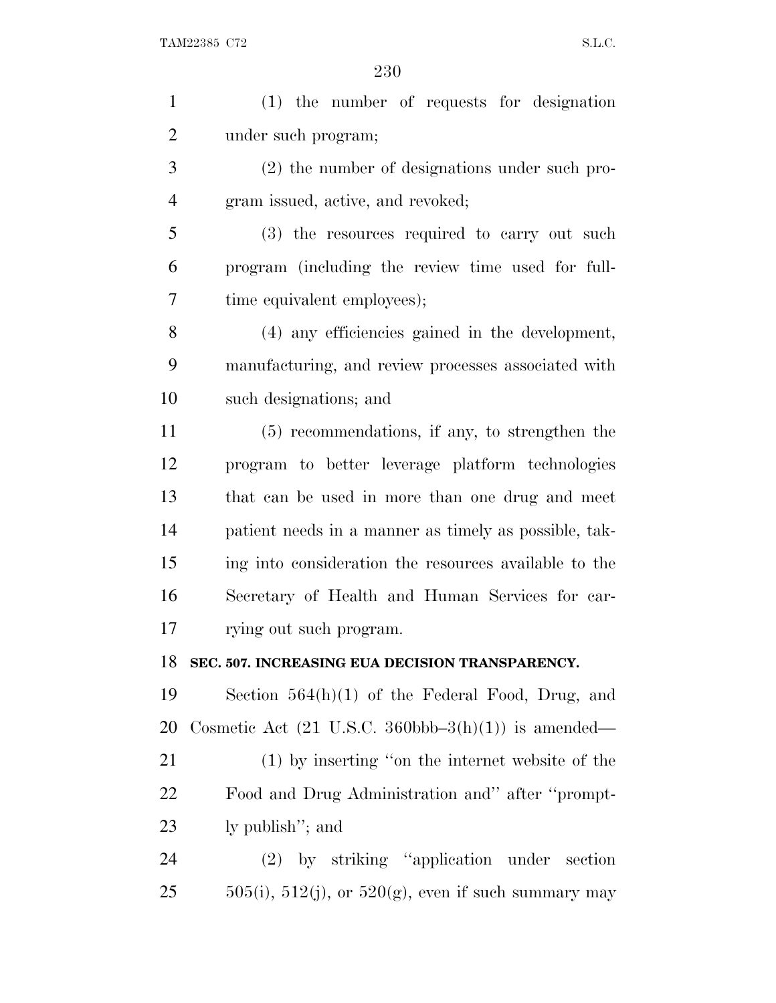| $\mathbf{1}$   | (1) the number of requests for designation                               |
|----------------|--------------------------------------------------------------------------|
| $\overline{2}$ | under such program;                                                      |
| 3              | (2) the number of designations under such pro-                           |
| $\overline{4}$ | gram issued, active, and revoked;                                        |
| 5              | (3) the resources required to carry out such                             |
| 6              | program (including the review time used for full-                        |
| 7              | time equivalent employees);                                              |
| 8              | (4) any efficiencies gained in the development,                          |
| 9              | manufacturing, and review processes associated with                      |
| 10             | such designations; and                                                   |
| 11             | $(5)$ recommendations, if any, to strengthen the                         |
| 12             | program to better leverage platform technologies                         |
| 13             | that can be used in more than one drug and meet                          |
| 14             | patient needs in a manner as timely as possible, tak-                    |
| 15             | ing into consideration the resources available to the                    |
| 16             | Secretary of Health and Human Services for car-                          |
| 17             | rying out such program.                                                  |
| 18             | SEC. 507. INCREASING EUA DECISION TRANSPARENCY.                          |
| 19             | Section $564(h)(1)$ of the Federal Food, Drug, and                       |
| 20             | Cosmetic Act $(21 \text{ U.S.C. } 360 \text{bbb} - 3(h)(1))$ is amended— |
| 21             | (1) by inserting "on the internet website of the                         |
| 22             | Food and Drug Administration and" after "prompt-                         |
| 23             | ly publish"; and                                                         |
| 24             | (2) by striking "application under section                               |
| 25             | $505(i)$ , $512(j)$ , or $520(g)$ , even if such summary may             |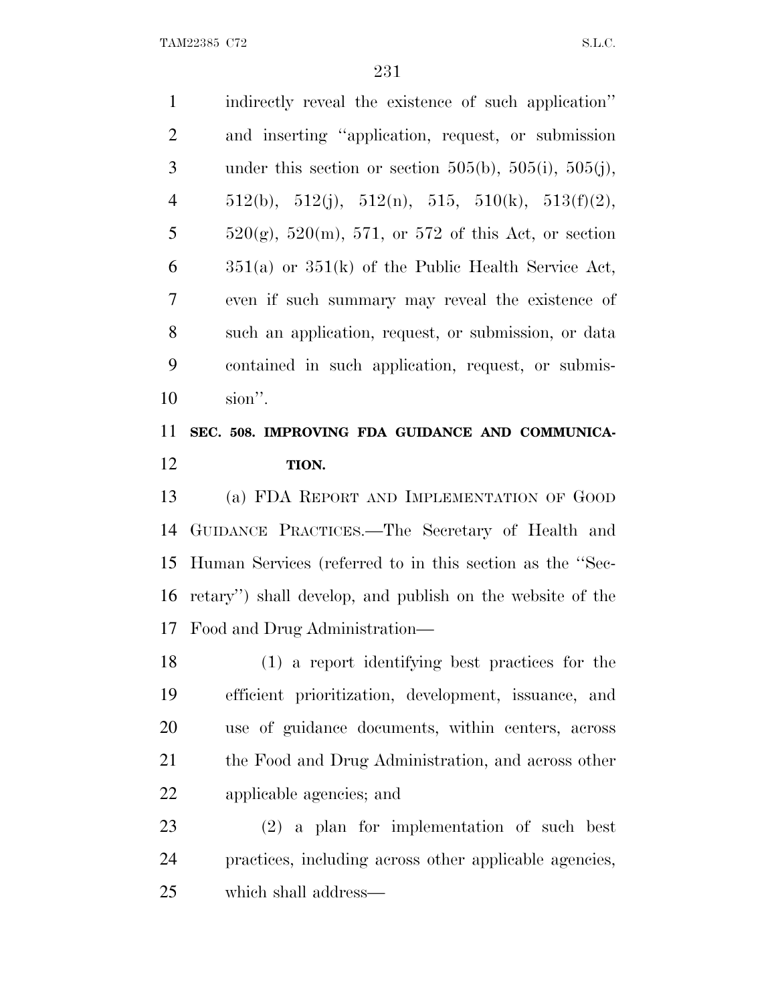indirectly reveal the existence of such application'' and inserting ''application, request, or submission 3 under this section or section  $505(b)$ ,  $505(i)$ ,  $505(j)$ , 4 512(b), 512(j), 512(n), 515, 510(k), 513(f)(2), 5  $520(g)$ , 520(m), 571, or 572 of this Act, or section  $6 \qquad$  351(a) or 351(k) of the Public Health Service Act, even if such summary may reveal the existence of such an application, request, or submission, or data contained in such application, request, or submis-sion''.

# **SEC. 508. IMPROVING FDA GUIDANCE AND COMMUNICA-TION.**

 (a) FDA REPORT AND IMPLEMENTATION OF GOOD GUIDANCE PRACTICES.—The Secretary of Health and Human Services (referred to in this section as the ''Sec- retary'') shall develop, and publish on the website of the Food and Drug Administration—

 (1) a report identifying best practices for the efficient prioritization, development, issuance, and use of guidance documents, within centers, across the Food and Drug Administration, and across other applicable agencies; and

 (2) a plan for implementation of such best practices, including across other applicable agencies, which shall address—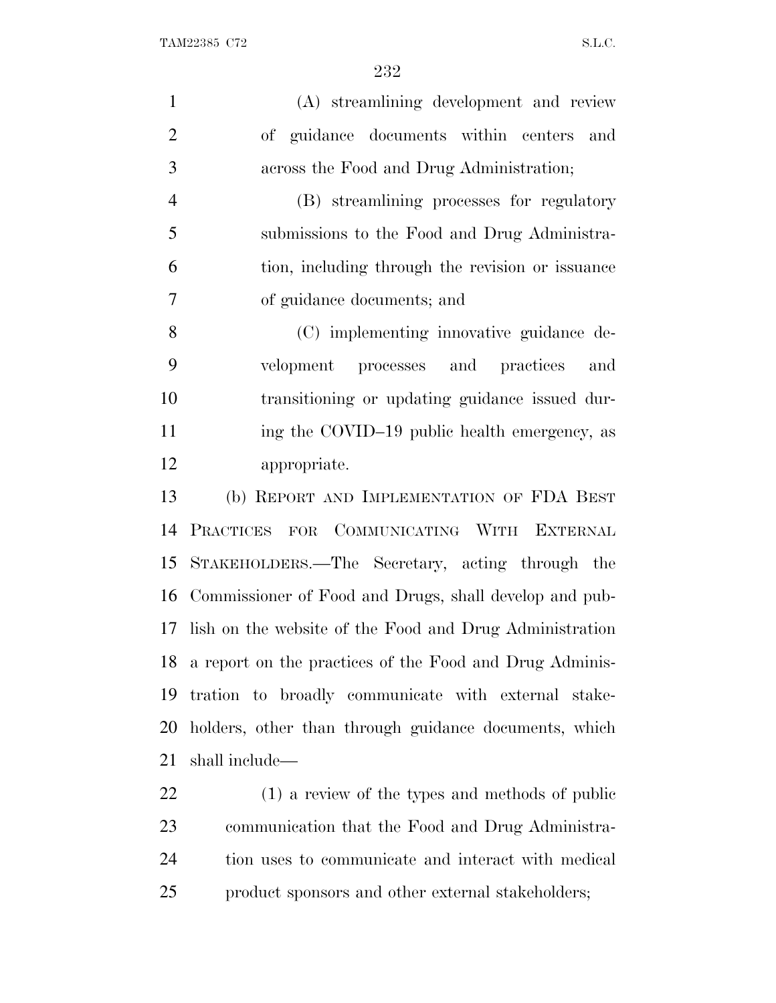| $\mathbf{1}$   | (A) streamlining development and review                    |
|----------------|------------------------------------------------------------|
| $\overline{2}$ | of guidance documents within centers<br>and                |
| 3              | across the Food and Drug Administration;                   |
| $\overline{4}$ | (B) streamlining processes for regulatory                  |
| 5              | submissions to the Food and Drug Administra-               |
| 6              | tion, including through the revision or issuance           |
| $\tau$         | of guidance documents; and                                 |
| 8              | (C) implementing innovative guidance de-                   |
| 9              | velopment processes and practices<br>and                   |
| 10             | transitioning or updating guidance issued dur-             |
| 11             | ing the COVID-19 public health emergency, as               |
| 12             | appropriate.                                               |
| 13             | (b) REPORT AND IMPLEMENTATION OF FDA BEST                  |
| 14             | PRACTICES FOR COMMUNICATING WITH EXTERNAL                  |
| 15             | STAKEHOLDERS.—The Secretary, acting through the            |
|                | 16 Commissioner of Food and Drugs, shall develop and pub-  |
| 17             | lish on the website of the Food and Drug Administration    |
|                | 18 a report on the practices of the Food and Drug Adminis- |
| 19             | tration to broadly communicate with external stake-        |
| 20             | holders, other than through guidance documents, which      |
| 21             | shall include—                                             |
|                |                                                            |

 (1) a review of the types and methods of public communication that the Food and Drug Administra- tion uses to communicate and interact with medical product sponsors and other external stakeholders;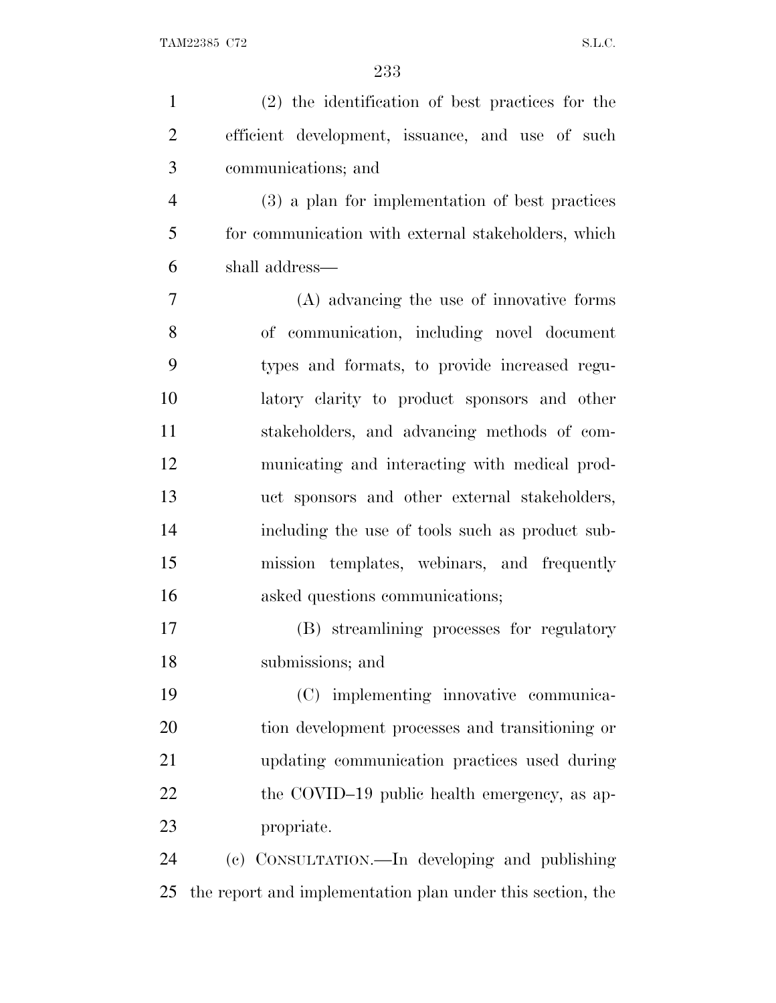| $\mathbf{1}$   | (2) the identification of best practices for the           |
|----------------|------------------------------------------------------------|
| $\overline{2}$ | efficient development, issuance, and use of such           |
| 3              | communications; and                                        |
| $\overline{4}$ | (3) a plan for implementation of best practices            |
| 5              | for communication with external stakeholders, which        |
| 6              | shall address—                                             |
| 7              | (A) advancing the use of innovative forms                  |
| 8              | of communication, including novel document                 |
| 9              | types and formats, to provide increased regu-              |
| 10             | latory clarity to product sponsors and other               |
| 11             | stakeholders, and advancing methods of com-                |
| 12             | municating and interacting with medical prod-              |
| 13             | uct sponsors and other external stakeholders,              |
| 14             | including the use of tools such as product sub-            |
| 15             | mission templates, webinars, and frequently                |
| 16             | asked questions communications;                            |
| 17             | (B) streamlining processes for regulatory                  |
| 18             | submissions; and                                           |
| 19             | (C) implementing innovative communica-                     |
| 20             | tion development processes and transitioning or            |
| 21             | updating communication practices used during               |
| 22             | the COVID-19 public health emergency, as ap-               |
| 23             | propriate.                                                 |
| 24             | (c) CONSULTATION.—In developing and publishing             |
| 25             | the report and implementation plan under this section, the |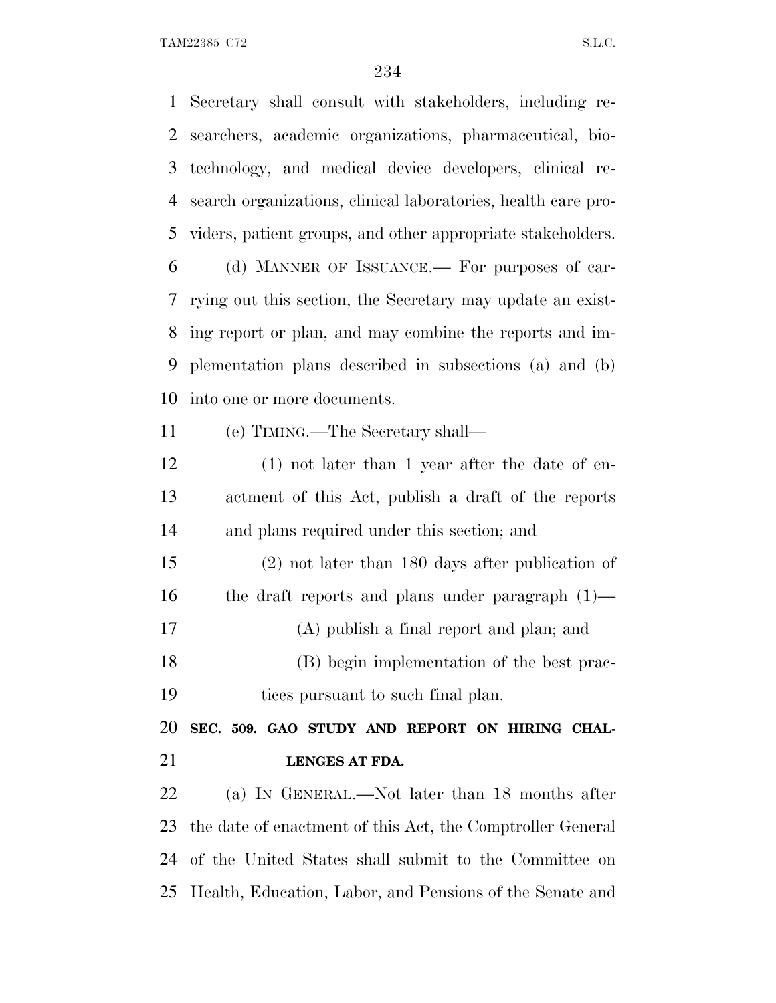Secretary shall consult with stakeholders, including re- searchers, academic organizations, pharmaceutical, bio- technology, and medical device developers, clinical re- search organizations, clinical laboratories, health care pro- viders, patient groups, and other appropriate stakeholders. (d) MANNER OF ISSUANCE.— For purposes of car- rying out this section, the Secretary may update an exist- ing report or plan, and may combine the reports and im- plementation plans described in subsections (a) and (b) into one or more documents. (e) TIMING.—The Secretary shall— (1) not later than 1 year after the date of en- actment of this Act, publish a draft of the reports and plans required under this section; and (2) not later than 180 days after publication of the draft reports and plans under paragraph (1)— (A) publish a final report and plan; and (B) begin implementation of the best prac- tices pursuant to such final plan. **SEC. 509. GAO STUDY AND REPORT ON HIRING CHAL- LENGES AT FDA.** (a) I<sup>N</sup> GENERAL.—Not later than 18 months after the date of enactment of this Act, the Comptroller General of the United States shall submit to the Committee on Health, Education, Labor, and Pensions of the Senate and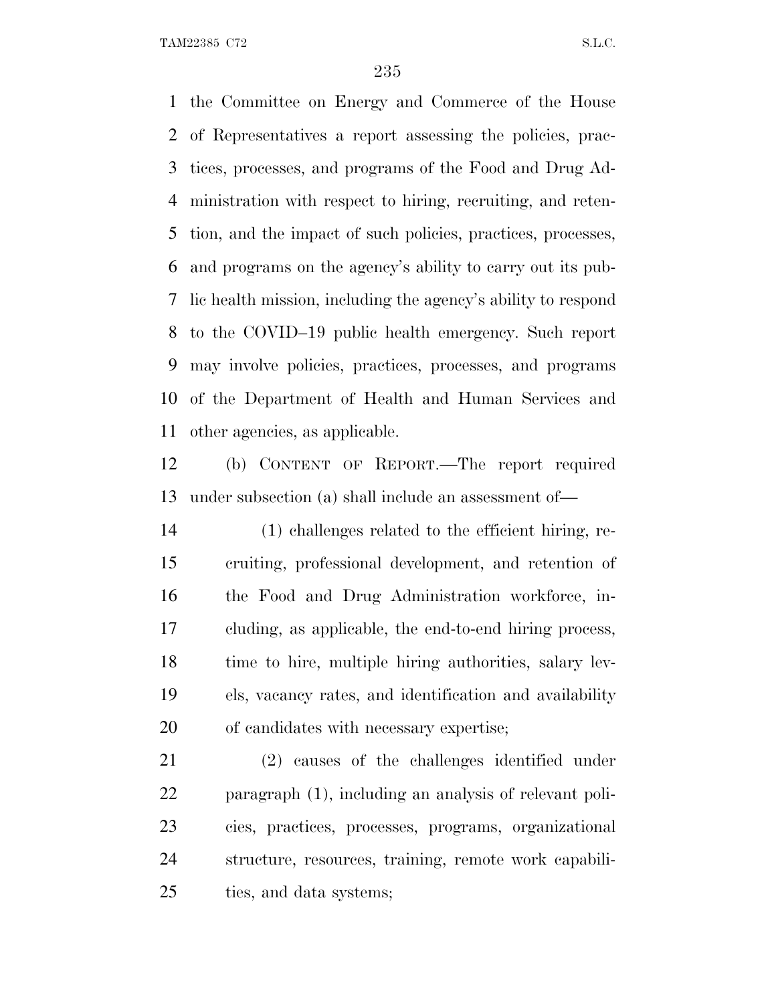the Committee on Energy and Commerce of the House of Representatives a report assessing the policies, prac- tices, processes, and programs of the Food and Drug Ad- ministration with respect to hiring, recruiting, and reten- tion, and the impact of such policies, practices, processes, and programs on the agency's ability to carry out its pub- lic health mission, including the agency's ability to respond to the COVID–19 public health emergency. Such report may involve policies, practices, processes, and programs of the Department of Health and Human Services and other agencies, as applicable.

 (b) CONTENT OF REPORT.—The report required under subsection (a) shall include an assessment of—

 (1) challenges related to the efficient hiring, re- cruiting, professional development, and retention of the Food and Drug Administration workforce, in- cluding, as applicable, the end-to-end hiring process, time to hire, multiple hiring authorities, salary lev- els, vacancy rates, and identification and availability of candidates with necessary expertise;

 (2) causes of the challenges identified under paragraph (1), including an analysis of relevant poli- cies, practices, processes, programs, organizational structure, resources, training, remote work capabili-ties, and data systems;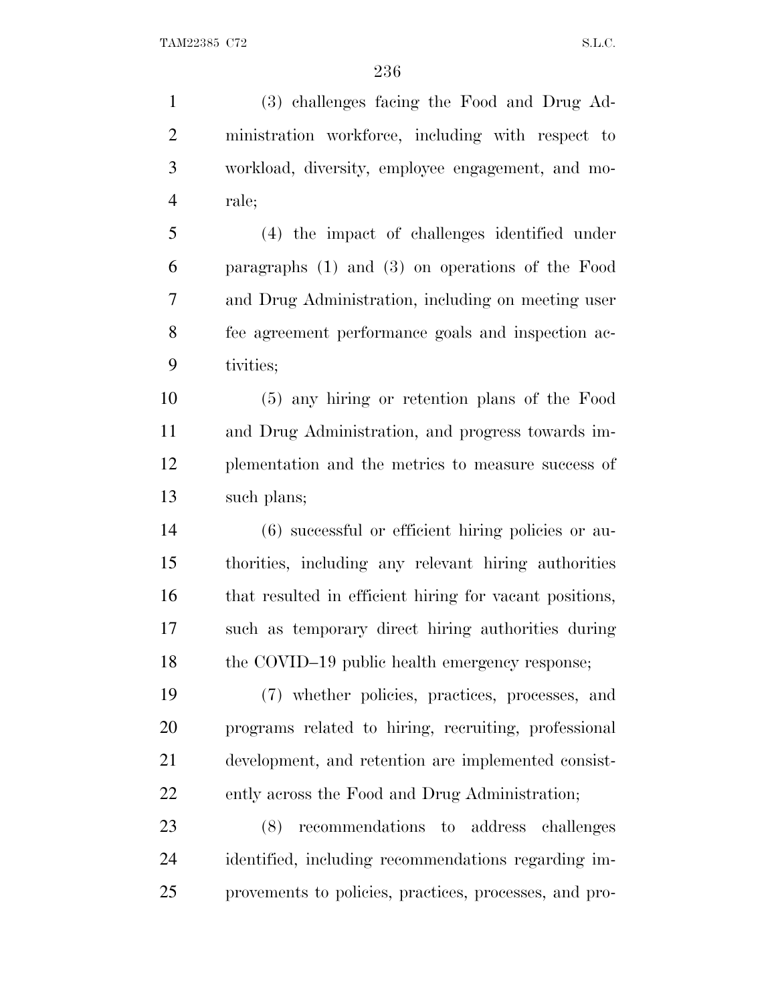(3) challenges facing the Food and Drug Ad- ministration workforce, including with respect to workload, diversity, employee engagement, and mo- rale; (4) the impact of challenges identified under paragraphs (1) and (3) on operations of the Food and Drug Administration, including on meeting user fee agreement performance goals and inspection ac- tivities; (5) any hiring or retention plans of the Food and Drug Administration, and progress towards im- plementation and the metrics to measure success of such plans; (6) successful or efficient hiring policies or au- thorities, including any relevant hiring authorities that resulted in efficient hiring for vacant positions, such as temporary direct hiring authorities during 18 the COVID–19 public health emergency response; (7) whether policies, practices, processes, and programs related to hiring, recruiting, professional development, and retention are implemented consist- ently across the Food and Drug Administration; (8) recommendations to address challenges identified, including recommendations regarding im-

provements to policies, practices, processes, and pro-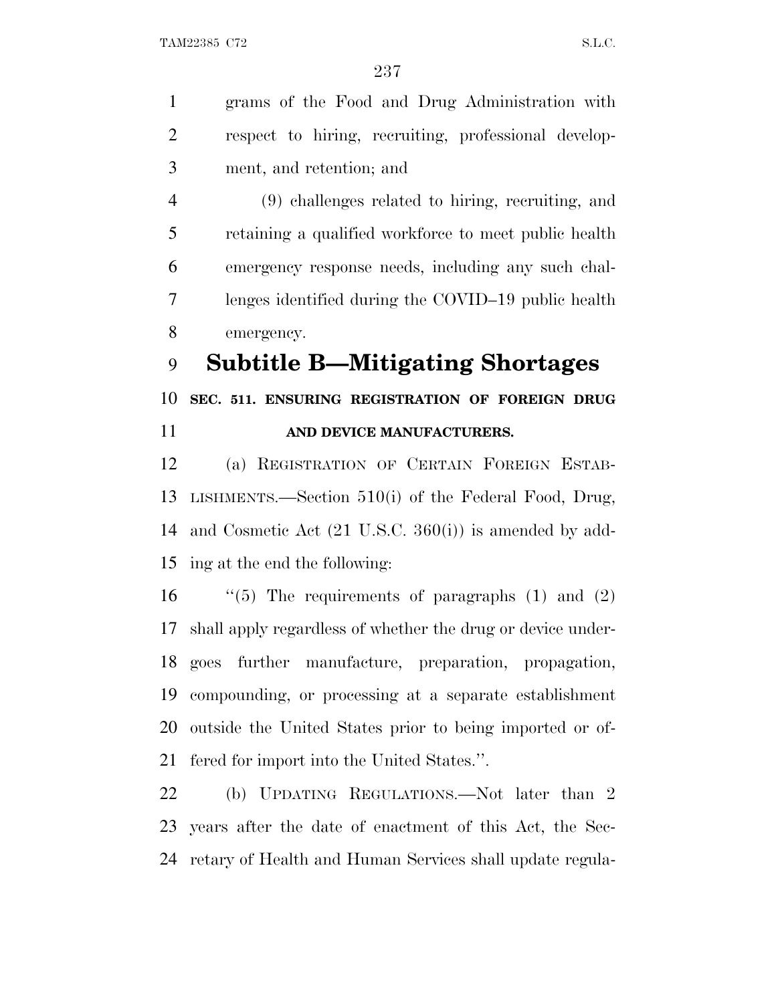grams of the Food and Drug Administration with respect to hiring, recruiting, professional develop-ment, and retention; and

 (9) challenges related to hiring, recruiting, and retaining a qualified workforce to meet public health emergency response needs, including any such chal- lenges identified during the COVID–19 public health emergency.

**Subtitle B—Mitigating Shortages**

 **SEC. 511. ENSURING REGISTRATION OF FOREIGN DRUG AND DEVICE MANUFACTURERS.**

 (a) REGISTRATION OF CERTAIN FOREIGN ESTAB- LISHMENTS.—Section 510(i) of the Federal Food, Drug, and Cosmetic Act (21 U.S.C. 360(i)) is amended by add-ing at the end the following:

 $\qquad$  "(5) The requirements of paragraphs (1) and (2) shall apply regardless of whether the drug or device under- goes further manufacture, preparation, propagation, compounding, or processing at a separate establishment outside the United States prior to being imported or of-fered for import into the United States.''.

 (b) UPDATING REGULATIONS.—Not later than 2 years after the date of enactment of this Act, the Sec-retary of Health and Human Services shall update regula-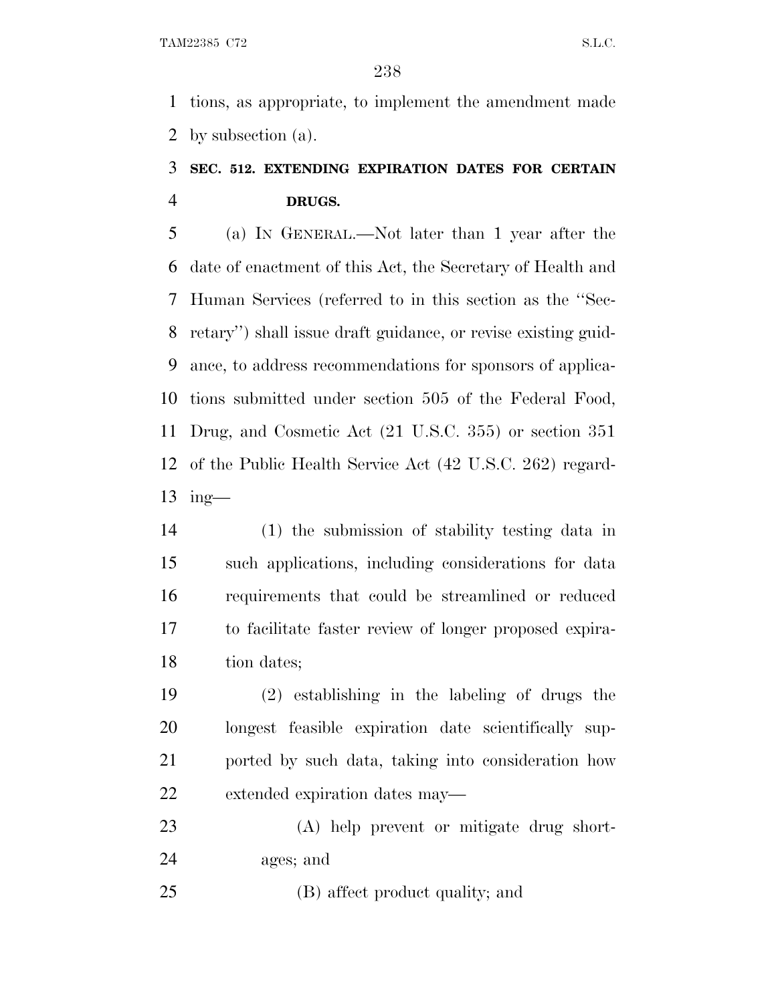tions, as appropriate, to implement the amendment made by subsection (a).

# **SEC. 512. EXTENDING EXPIRATION DATES FOR CERTAIN DRUGS.**

 (a) I<sup>N</sup> GENERAL.—Not later than 1 year after the date of enactment of this Act, the Secretary of Health and Human Services (referred to in this section as the ''Sec- retary'') shall issue draft guidance, or revise existing guid- ance, to address recommendations for sponsors of applica- tions submitted under section 505 of the Federal Food, Drug, and Cosmetic Act (21 U.S.C. 355) or section 351 of the Public Health Service Act (42 U.S.C. 262) regard-ing—

 (1) the submission of stability testing data in such applications, including considerations for data requirements that could be streamlined or reduced to facilitate faster review of longer proposed expira-18 tion dates;

 (2) establishing in the labeling of drugs the longest feasible expiration date scientifically sup- ported by such data, taking into consideration how extended expiration dates may—

 (A) help prevent or mitigate drug short-ages; and

(B) affect product quality; and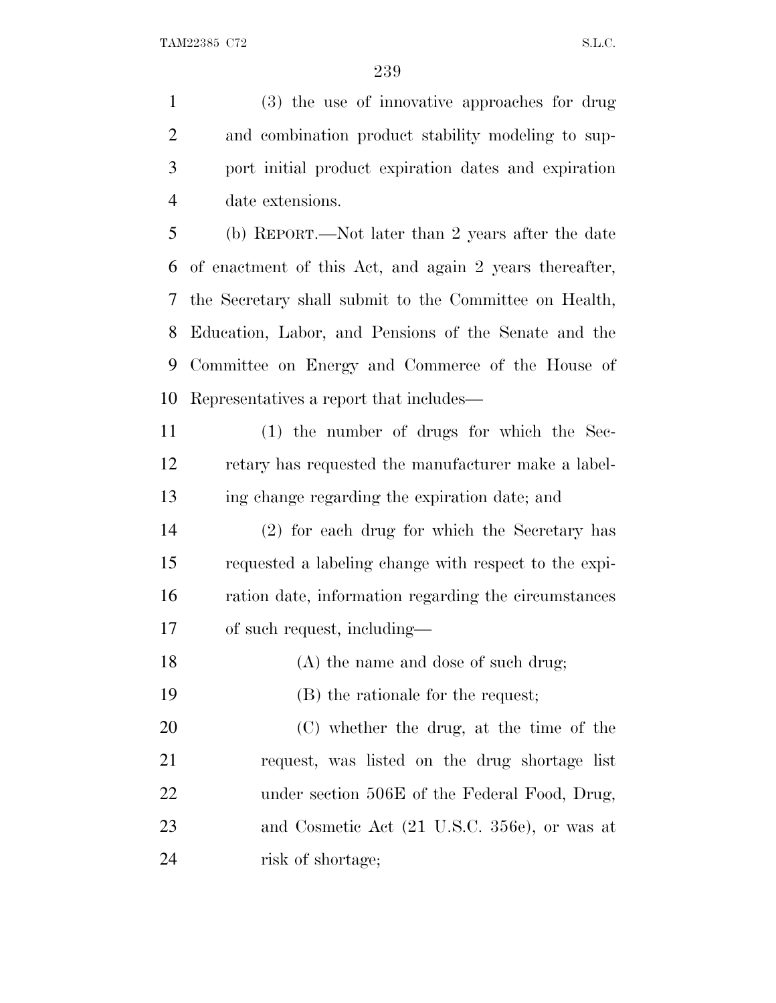(3) the use of innovative approaches for drug and combination product stability modeling to sup- port initial product expiration dates and expiration date extensions. (b) REPORT.—Not later than 2 years after the date

 of enactment of this Act, and again 2 years thereafter, the Secretary shall submit to the Committee on Health, Education, Labor, and Pensions of the Senate and the Committee on Energy and Commerce of the House of Representatives a report that includes—

 (1) the number of drugs for which the Sec- retary has requested the manufacturer make a label-ing change regarding the expiration date; and

 (2) for each drug for which the Secretary has requested a labeling change with respect to the expi- ration date, information regarding the circumstances of such request, including—

18 (A) the name and dose of such drug;

(B) the rationale for the request;

 (C) whether the drug, at the time of the request, was listed on the drug shortage list 22 under section 506E of the Federal Food, Drug, and Cosmetic Act (21 U.S.C. 356e), or was at risk of shortage;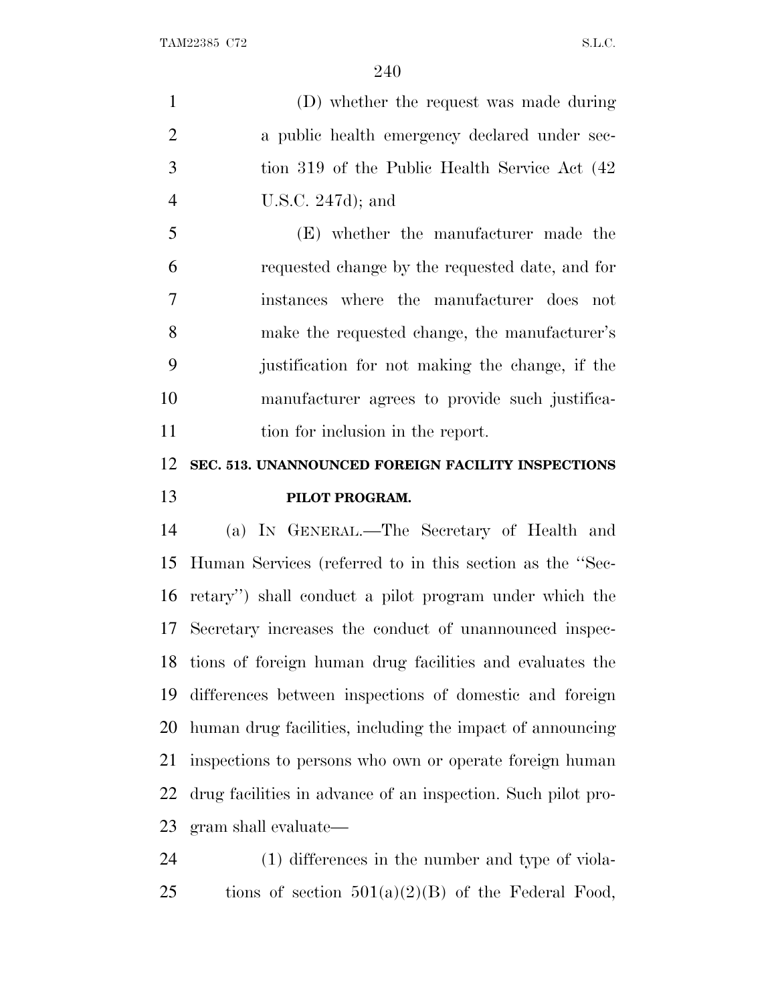(D) whether the request was made during a public health emergency declared under sec- tion 319 of the Public Health Service Act (42 U.S.C. 247d); and

 (E) whether the manufacturer made the requested change by the requested date, and for instances where the manufacturer does not make the requested change, the manufacturer's justification for not making the change, if the manufacturer agrees to provide such justifica-11 tion for inclusion in the report.

### **SEC. 513. UNANNOUNCED FOREIGN FACILITY INSPECTIONS PILOT PROGRAM.**

 (a) I<sup>N</sup> GENERAL.—The Secretary of Health and Human Services (referred to in this section as the ''Sec- retary'') shall conduct a pilot program under which the Secretary increases the conduct of unannounced inspec- tions of foreign human drug facilities and evaluates the differences between inspections of domestic and foreign human drug facilities, including the impact of announcing inspections to persons who own or operate foreign human drug facilities in advance of an inspection. Such pilot pro-gram shall evaluate—

 (1) differences in the number and type of viola-25 tions of section  $501(a)(2)(B)$  of the Federal Food,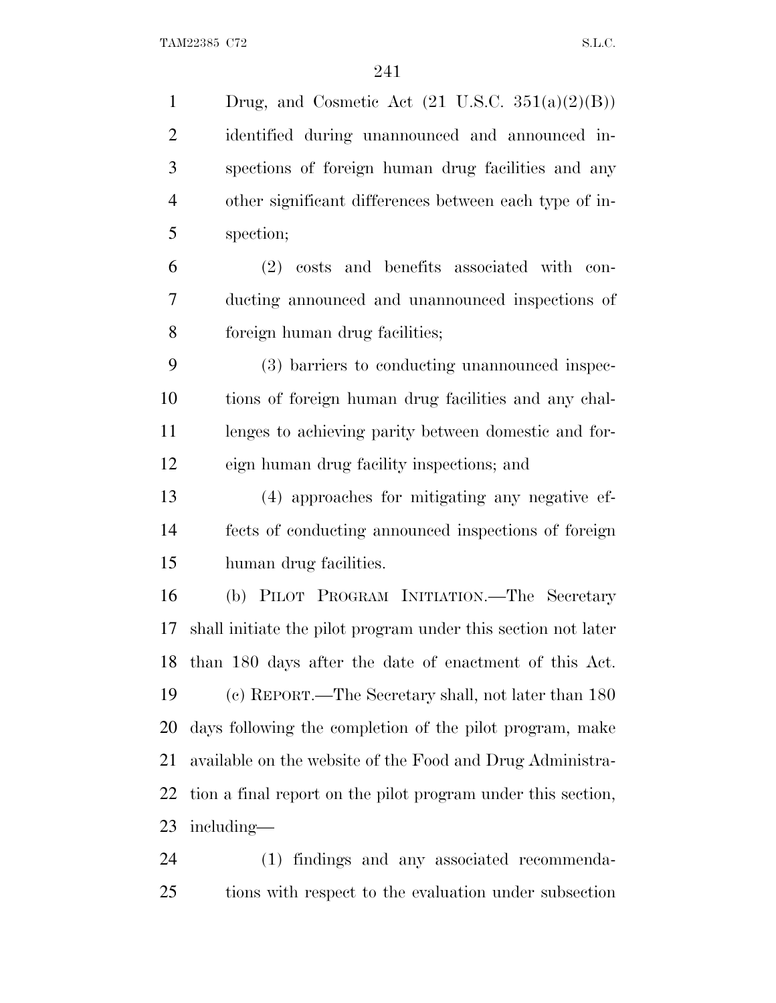1 Drug, and Cosmetic Act  $(21 \text{ U.S.C. } 351(a)(2)(B))$  identified during unannounced and announced in- spections of foreign human drug facilities and any other significant differences between each type of in- spection; (2) costs and benefits associated with con- ducting announced and unannounced inspections of foreign human drug facilities; (3) barriers to conducting unannounced inspec- tions of foreign human drug facilities and any chal- lenges to achieving parity between domestic and for- eign human drug facility inspections; and (4) approaches for mitigating any negative ef- fects of conducting announced inspections of foreign human drug facilities. (b) PILOT PROGRAM INITIATION.—The Secretary shall initiate the pilot program under this section not later than 180 days after the date of enactment of this Act. (c) REPORT.—The Secretary shall, not later than 180 days following the completion of the pilot program, make available on the website of the Food and Drug Administra- tion a final report on the pilot program under this section, including— (1) findings and any associated recommenda-

tions with respect to the evaluation under subsection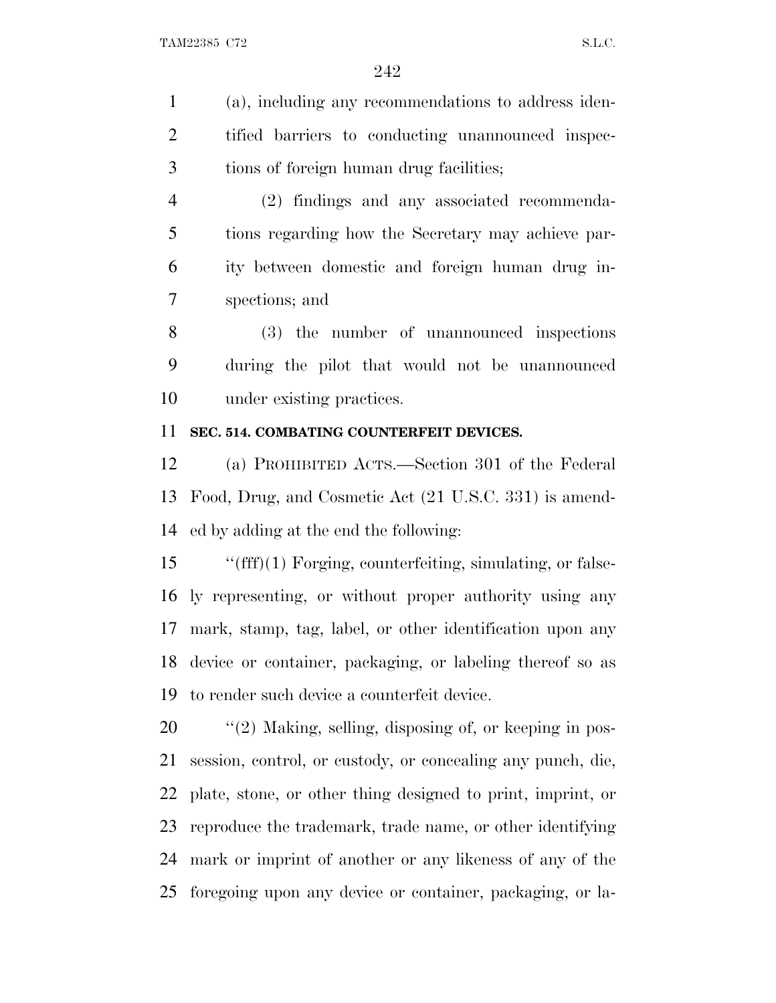(a), including any recommendations to address iden- tified barriers to conducting unannounced inspec-tions of foreign human drug facilities;

 (2) findings and any associated recommenda- tions regarding how the Secretary may achieve par- ity between domestic and foreign human drug in-spections; and

 (3) the number of unannounced inspections during the pilot that would not be unannounced under existing practices.

### **SEC. 514. COMBATING COUNTERFEIT DEVICES.**

 (a) PROHIBITED ACTS.—Section 301 of the Federal Food, Drug, and Cosmetic Act (21 U.S.C. 331) is amend-ed by adding at the end the following:

 ''(fff)(1) Forging, counterfeiting, simulating, or false- ly representing, or without proper authority using any mark, stamp, tag, label, or other identification upon any device or container, packaging, or labeling thereof so as to render such device a counterfeit device.

 $\frac{1}{2}$  (2) Making, selling, disposing of, or keeping in pos- session, control, or custody, or concealing any punch, die, plate, stone, or other thing designed to print, imprint, or reproduce the trademark, trade name, or other identifying mark or imprint of another or any likeness of any of the foregoing upon any device or container, packaging, or la-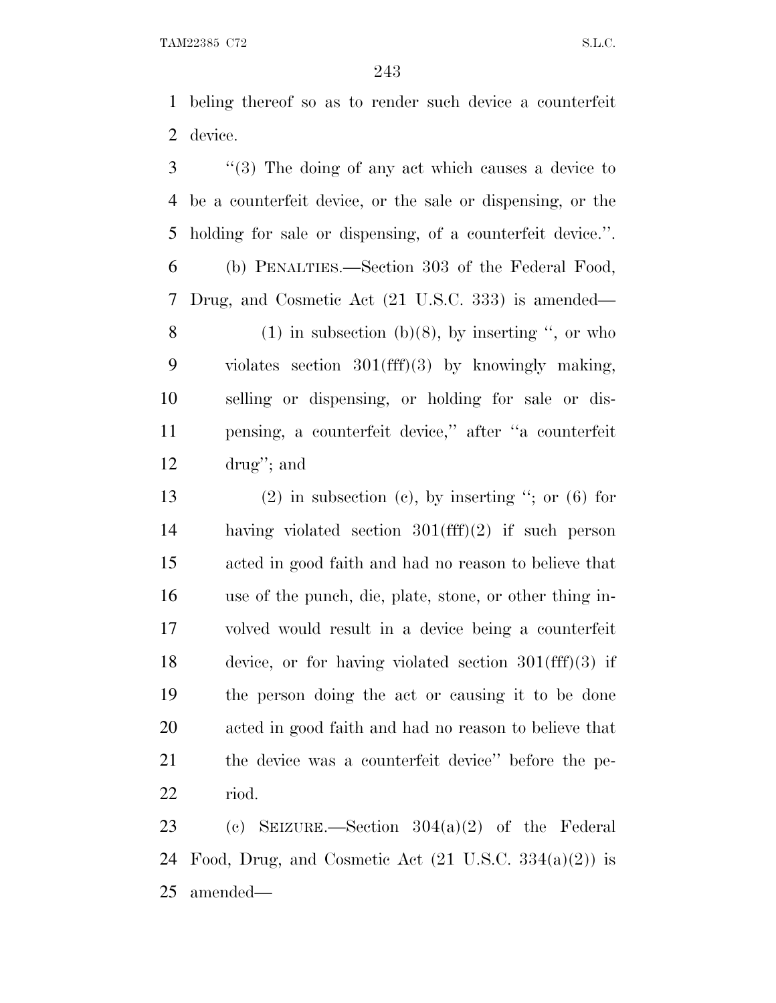beling thereof so as to render such device a counterfeit device.

 ''(3) The doing of any act which causes a device to be a counterfeit device, or the sale or dispensing, or the holding for sale or dispensing, of a counterfeit device.''.

 (b) PENALTIES.—Section 303 of the Federal Food, Drug, and Cosmetic Act (21 U.S.C. 333) is amended— 8 (1) in subsection (b)(8), by inserting  $\degree$ , or who violates section 301(fff)(3) by knowingly making,

 selling or dispensing, or holding for sale or dis- pensing, a counterfeit device,'' after ''a counterfeit drug''; and

13 (2) in subsection (c), by inserting  $\degree$ ; or (6) for having violated section 301(fff)(2) if such person acted in good faith and had no reason to believe that use of the punch, die, plate, stone, or other thing in- volved would result in a device being a counterfeit device, or for having violated section 301(fff)(3) if the person doing the act or causing it to be done acted in good faith and had no reason to believe that the device was a counterfeit device'' before the pe-riod.

 (c) SEIZURE.—Section 304(a)(2) of the Federal 24 Food, Drug, and Cosmetic Act  $(21 \text{ U.S.C. } 334(a)(2))$  is amended—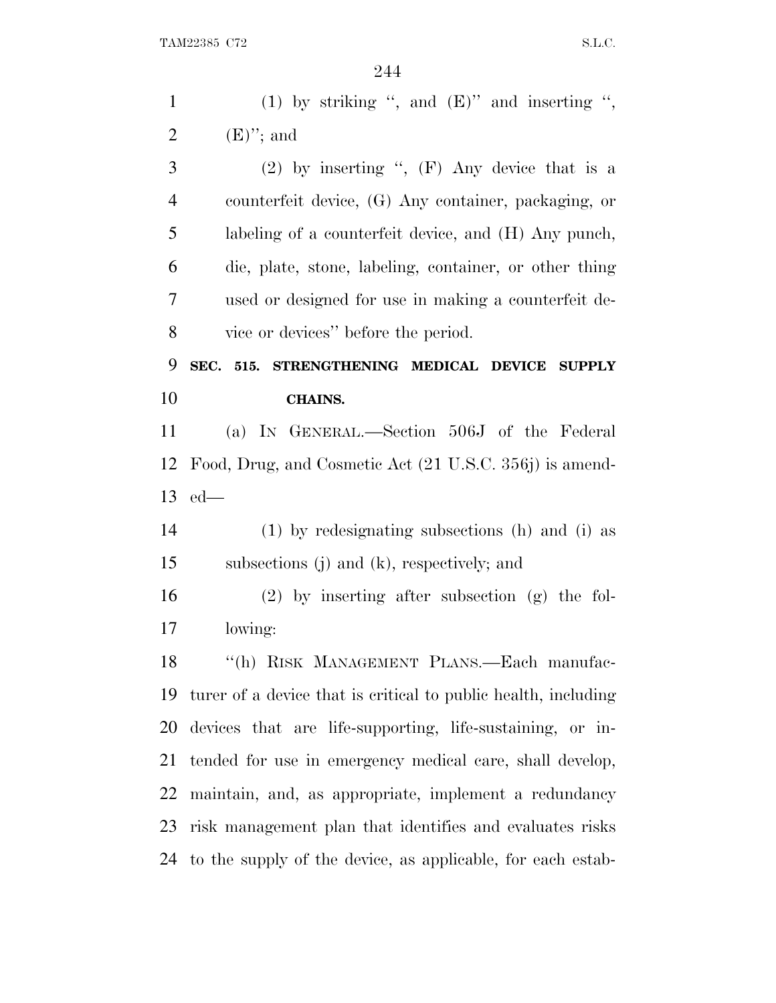| $\mathbf{1}$   | (1) by striking ", and $(E)$ " and inserting ",                |
|----------------|----------------------------------------------------------------|
| $\overline{2}$ | $(E)$ "; and                                                   |
| 3              | (2) by inserting ", $(F)$ Any device that is a                 |
| $\overline{4}$ | counterfeit device, (G) Any container, packaging, or           |
| 5              | labeling of a counterfeit device, and (H) Any punch,           |
| 6              | die, plate, stone, labeling, container, or other thing         |
| 7              | used or designed for use in making a counterfeit de-           |
| 8              | vice or devices" before the period.                            |
| 9              | SEC. 515. STRENGTHENING MEDICAL DEVICE SUPPLY                  |
| 10             | <b>CHAINS.</b>                                                 |
| 11             | (a) IN GENERAL.—Section 506J of the Federal                    |
|                | Food, Drug, and Cosmetic Act (21 U.S.C. 356j) is amend-        |
| 12             |                                                                |
|                | $13$ ed—                                                       |
| 14             | (1) by redesignating subsections (h) and (i) as                |
| 15             | subsections $(j)$ and $(k)$ , respectively; and                |
| 16             | $(2)$ by inserting after subsection $(g)$ the fol-             |
|                | lowing:                                                        |
| 18             | "(h) RISK MANAGEMENT PLANS.—Each manufac-                      |
| 17<br>19       | turer of a device that is critical to public health, including |
| 20             | devices that are life-supporting, life-sustaining, or in-      |
| 21             | tended for use in emergency medical care, shall develop,       |
| 22             | maintain, and, as appropriate, implement a redundancy          |
| 23             | risk management plan that identifies and evaluates risks       |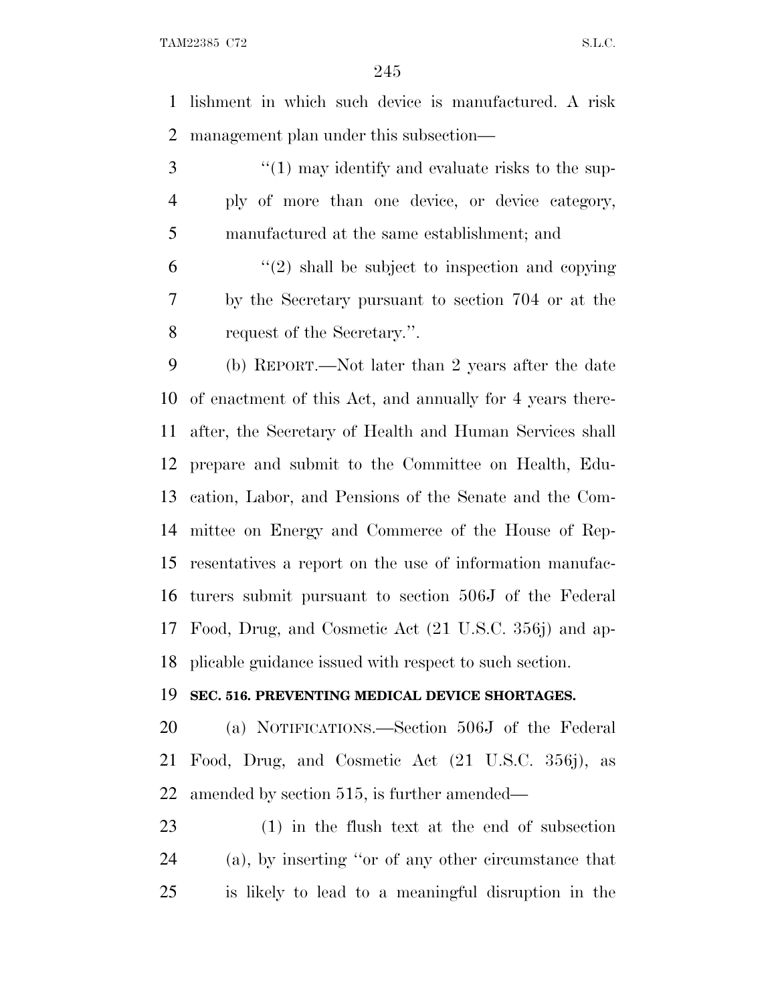lishment in which such device is manufactured. A risk management plan under this subsection—

3 ''(1) may identify and evaluate risks to the sup- ply of more than one device, or device category, manufactured at the same establishment; and

 $(2)$  shall be subject to inspection and copying by the Secretary pursuant to section 704 or at the request of the Secretary.''.

 (b) REPORT.—Not later than 2 years after the date of enactment of this Act, and annually for 4 years there- after, the Secretary of Health and Human Services shall prepare and submit to the Committee on Health, Edu- cation, Labor, and Pensions of the Senate and the Com- mittee on Energy and Commerce of the House of Rep- resentatives a report on the use of information manufac- turers submit pursuant to section 506J of the Federal Food, Drug, and Cosmetic Act (21 U.S.C. 356j) and ap-plicable guidance issued with respect to such section.

#### **SEC. 516. PREVENTING MEDICAL DEVICE SHORTAGES.**

 (a) NOTIFICATIONS.—Section 506J of the Federal Food, Drug, and Cosmetic Act (21 U.S.C. 356j), as amended by section 515, is further amended—

 (1) in the flush text at the end of subsection (a), by inserting ''or of any other circumstance that is likely to lead to a meaningful disruption in the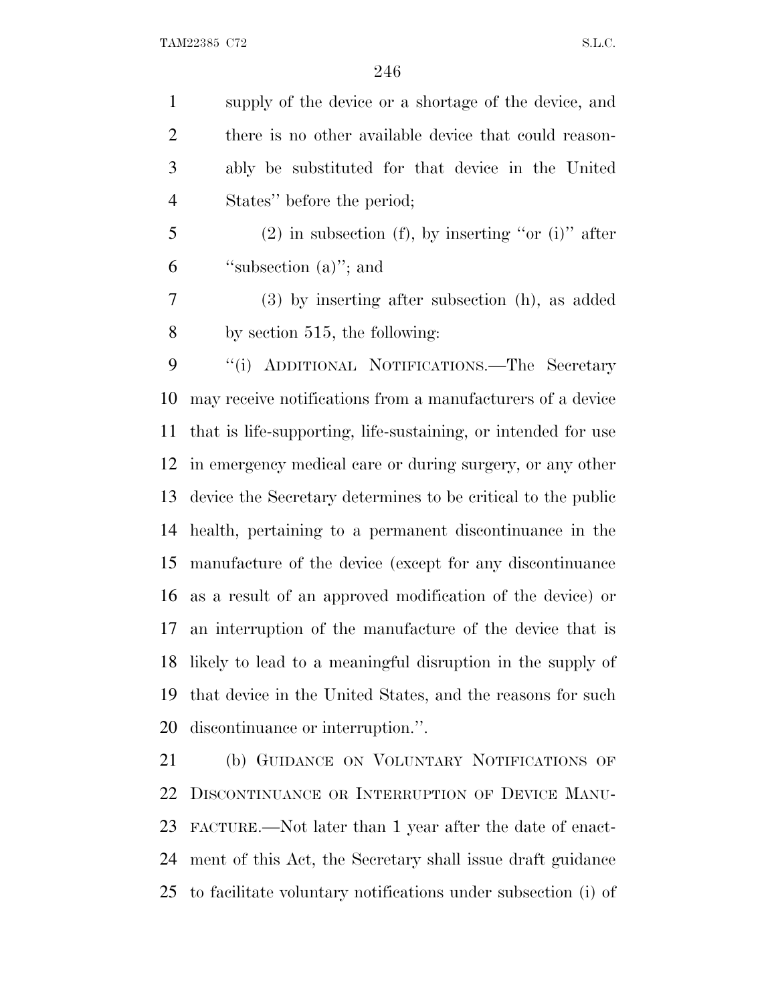supply of the device or a shortage of the device, and 2 there is no other available device that could reason- ably be substituted for that device in the United States'' before the period;

 (2) in subsection (f), by inserting "or (i)" after ''subsection (a)''; and

 (3) by inserting after subsection (h), as added by section 515, the following:

 ''(i) ADDITIONAL NOTIFICATIONS.—The Secretary may receive notifications from a manufacturers of a device that is life-supporting, life-sustaining, or intended for use in emergency medical care or during surgery, or any other device the Secretary determines to be critical to the public health, pertaining to a permanent discontinuance in the manufacture of the device (except for any discontinuance as a result of an approved modification of the device) or an interruption of the manufacture of the device that is likely to lead to a meaningful disruption in the supply of that device in the United States, and the reasons for such discontinuance or interruption.''.

 (b) GUIDANCE ON VOLUNTARY NOTIFICATIONS OF DISCONTINUANCE OR INTERRUPTION OF DEVICE MANU- FACTURE.—Not later than 1 year after the date of enact- ment of this Act, the Secretary shall issue draft guidance to facilitate voluntary notifications under subsection (i) of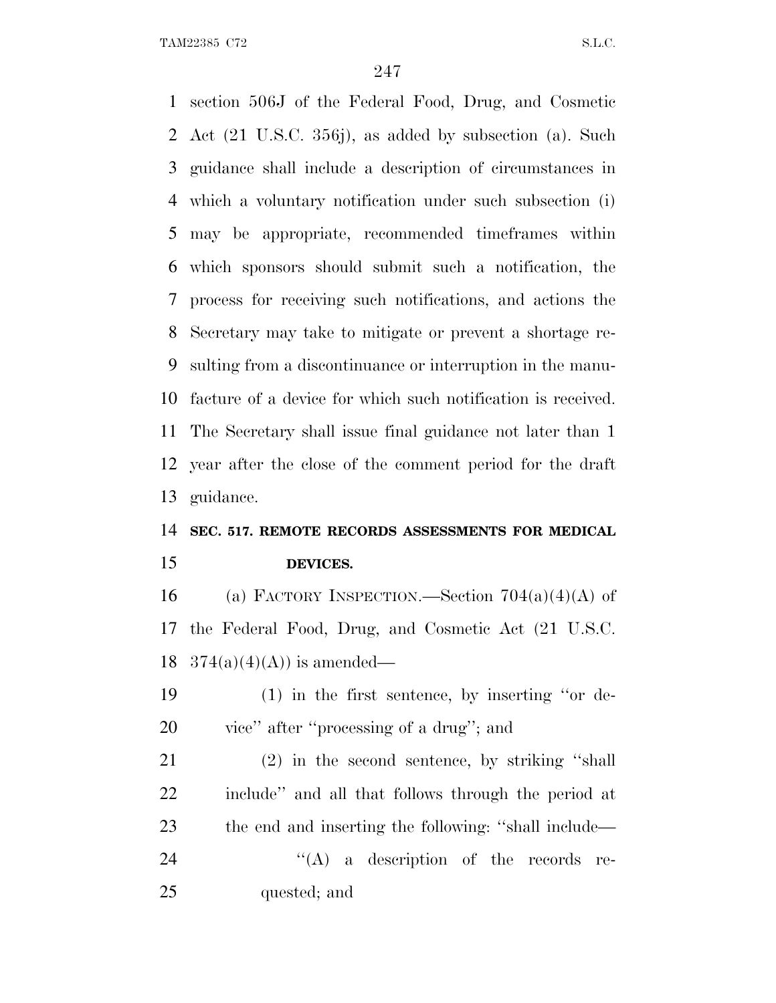section 506J of the Federal Food, Drug, and Cosmetic Act (21 U.S.C. 356j), as added by subsection (a). Such guidance shall include a description of circumstances in which a voluntary notification under such subsection (i) may be appropriate, recommended timeframes within which sponsors should submit such a notification, the process for receiving such notifications, and actions the Secretary may take to mitigate or prevent a shortage re- sulting from a discontinuance or interruption in the manu- facture of a device for which such notification is received. The Secretary shall issue final guidance not later than 1 year after the close of the comment period for the draft guidance.

### **SEC. 517. REMOTE RECORDS ASSESSMENTS FOR MEDICAL DEVICES.**

16 (a) FACTORY INSPECTION.—Section  $704(a)(4)(A)$  of the Federal Food, Drug, and Cosmetic Act (21 U.S.C. 18  $374(a)(4)(A)$  is amended—

 (1) in the first sentence, by inserting ''or de-vice'' after ''processing of a drug''; and

 (2) in the second sentence, by striking ''shall include'' and all that follows through the period at the end and inserting the following: ''shall include—  $((A)$  a description of the records re-quested; and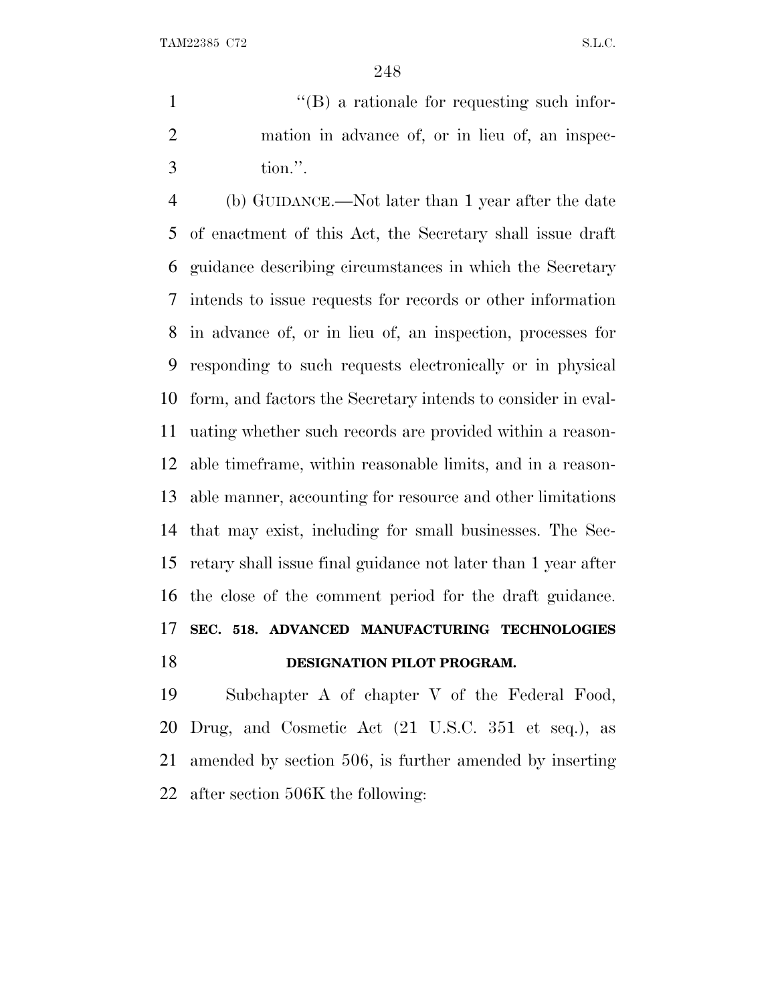$'$ (B) a rationale for requesting such infor- mation in advance of, or in lieu of, an inspec-tion.''.

 (b) GUIDANCE.—Not later than 1 year after the date of enactment of this Act, the Secretary shall issue draft guidance describing circumstances in which the Secretary intends to issue requests for records or other information in advance of, or in lieu of, an inspection, processes for responding to such requests electronically or in physical form, and factors the Secretary intends to consider in eval- uating whether such records are provided within a reason- able timeframe, within reasonable limits, and in a reason- able manner, accounting for resource and other limitations that may exist, including for small businesses. The Sec- retary shall issue final guidance not later than 1 year after the close of the comment period for the draft guidance. **SEC. 518. ADVANCED MANUFACTURING TECHNOLOGIES DESIGNATION PILOT PROGRAM.** 

 Subchapter A of chapter V of the Federal Food, Drug, and Cosmetic Act (21 U.S.C. 351 et seq.), as amended by section 506, is further amended by inserting after section 506K the following: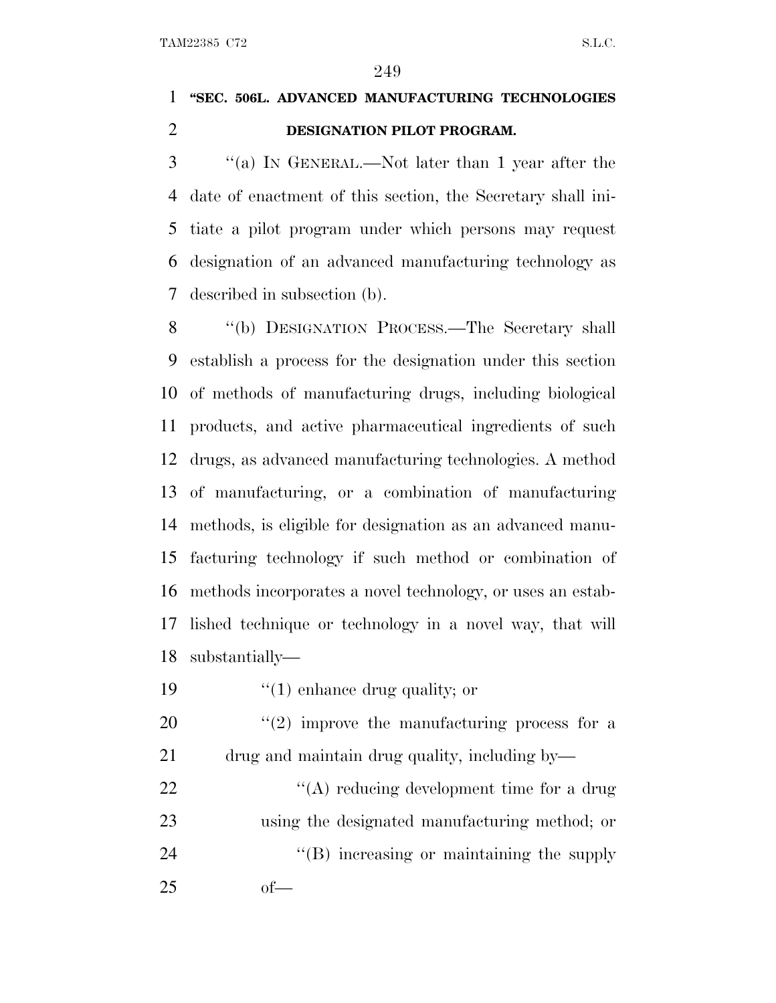# **''SEC. 506L. ADVANCED MANUFACTURING TECHNOLOGIES DESIGNATION PILOT PROGRAM.**

 ''(a) I<sup>N</sup> GENERAL.—Not later than 1 year after the date of enactment of this section, the Secretary shall ini- tiate a pilot program under which persons may request designation of an advanced manufacturing technology as described in subsection (b).

 ''(b) DESIGNATION PROCESS.—The Secretary shall establish a process for the designation under this section of methods of manufacturing drugs, including biological products, and active pharmaceutical ingredients of such drugs, as advanced manufacturing technologies. A method of manufacturing, or a combination of manufacturing methods, is eligible for designation as an advanced manu- facturing technology if such method or combination of methods incorporates a novel technology, or uses an estab- lished technique or technology in a novel way, that will substantially—

19  $\frac{1}{2}$  (1) enhance drug quality; or

20  $\frac{u(2)}{2}$  improve the manufacturing process for a drug and maintain drug quality, including by—

22 ''(A) reducing development time for a drug using the designated manufacturing method; or 24  $\langle$  (B) increasing or maintaining the supply of—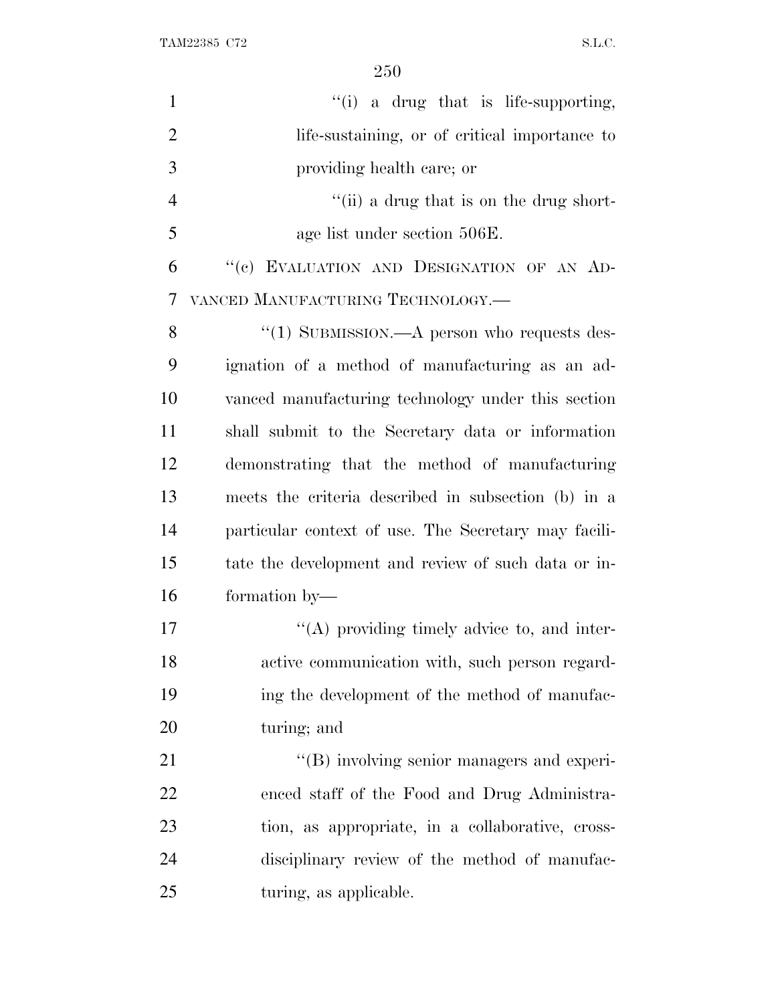| $\mathbf{1}$   | "(i) a drug that is life-supporting,                 |
|----------------|------------------------------------------------------|
| $\overline{2}$ | life-sustaining, or of critical importance to        |
| 3              | providing health care; or                            |
| $\overline{4}$ | "(ii) a drug that is on the drug short-              |
| 5              | age list under section 506E.                         |
| 6              | "(c) EVALUATION AND DESIGNATION OF AN AD-            |
| 7              | VANCED MANUFACTURING TECHNOLOGY.—                    |
| 8              | $\lq(1)$ SUBMISSION.—A person who requests des-      |
| 9              | ignation of a method of manufacturing as an ad-      |
| 10             | vanced manufacturing technology under this section   |
| 11             | shall submit to the Secretary data or information    |
| 12             | demonstrating that the method of manufacturing       |
| 13             | meets the criteria described in subsection (b) in a  |
| 14             | particular context of use. The Secretary may facili- |
| 15             | tate the development and review of such data or in-  |
| 16             | formation by-                                        |
| 17             | $\lq\lq$ providing timely advice to, and inter-      |
| 18             | active communication with, such person regard-       |
| 19             | ing the development of the method of manufac-        |
| 20             | turing; and                                          |
| 21             | "(B) involving senior managers and experi-           |
| 22             | enced staff of the Food and Drug Administra-         |
| 23             | tion, as appropriate, in a collaborative, cross-     |
| 24             | disciplinary review of the method of manufac-        |
| 25             | turing, as applicable.                               |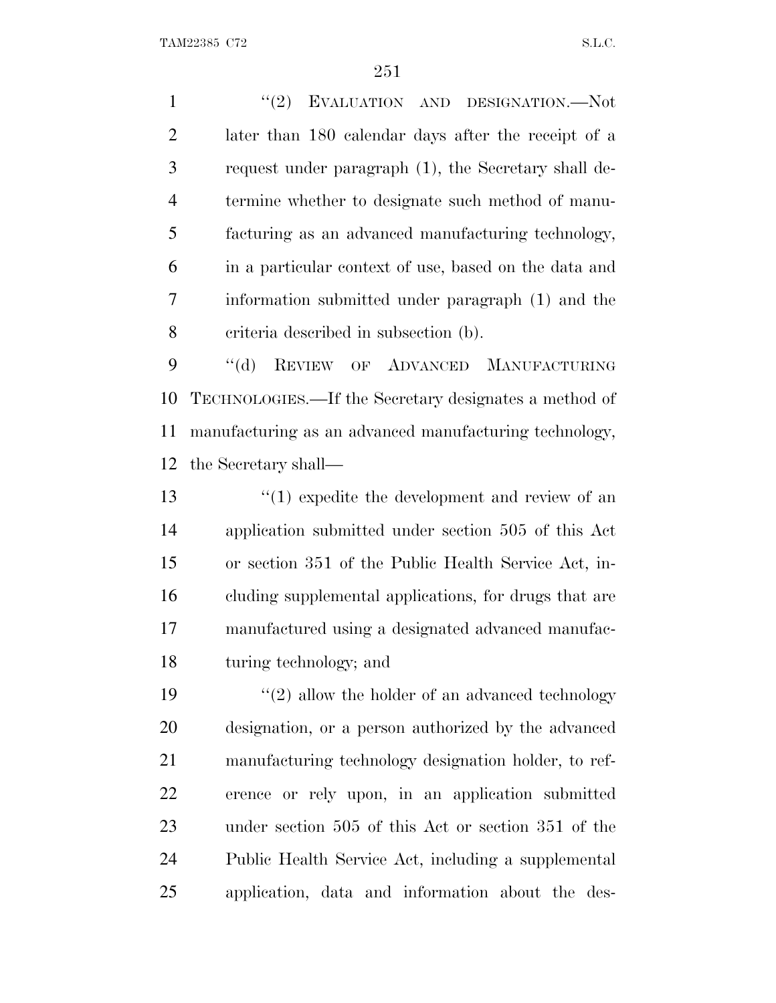1 "(2) EVALUATION AND DESIGNATION.—Not later than 180 calendar days after the receipt of a request under paragraph (1), the Secretary shall de- termine whether to designate such method of manu- facturing as an advanced manufacturing technology, in a particular context of use, based on the data and information submitted under paragraph (1) and the criteria described in subsection (b).

 ''(d) REVIEW OF ADVANCED MANUFACTURING TECHNOLOGIES.—If the Secretary designates a method of manufacturing as an advanced manufacturing technology, the Secretary shall—

13 ''(1) expedite the development and review of an application submitted under section 505 of this Act or section 351 of the Public Health Service Act, in- cluding supplemental applications, for drugs that are manufactured using a designated advanced manufac-turing technology; and

 $\frac{1}{2}$  allow the holder of an advanced technology designation, or a person authorized by the advanced manufacturing technology designation holder, to ref- erence or rely upon, in an application submitted under section 505 of this Act or section 351 of the Public Health Service Act, including a supplemental application, data and information about the des-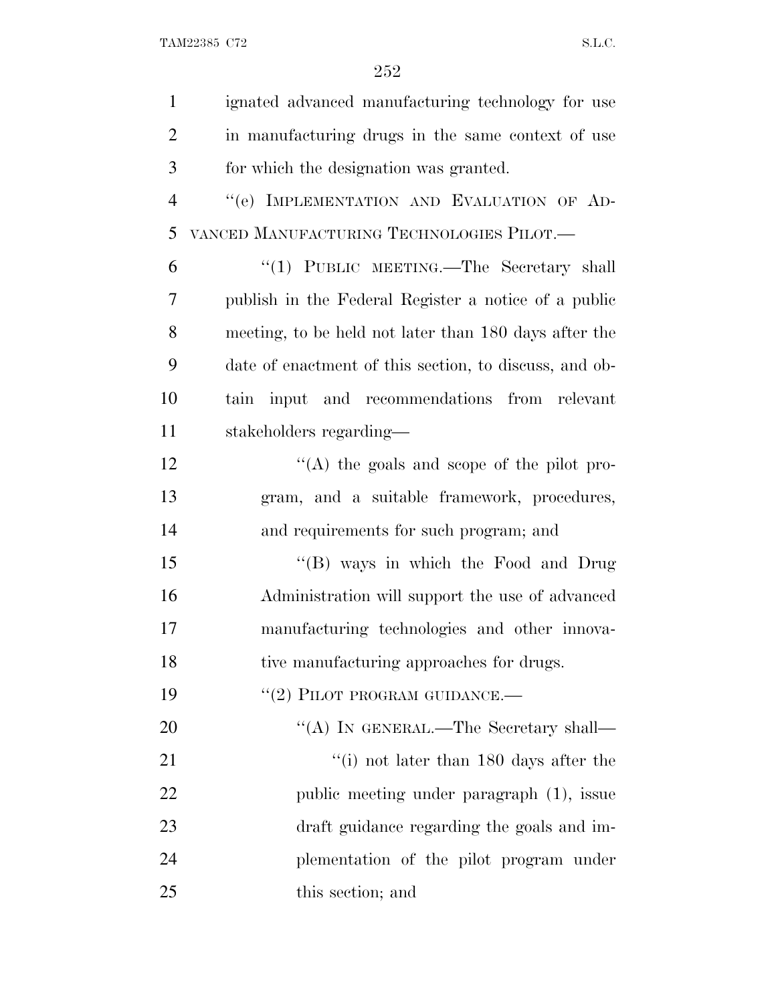| $\mathbf{1}$   | ignated advanced manufacturing technology for use      |
|----------------|--------------------------------------------------------|
| $\overline{2}$ | in manufacturing drugs in the same context of use      |
| 3              | for which the designation was granted.                 |
| $\overline{4}$ | "(e) IMPLEMENTATION AND EVALUATION OF AD-              |
| 5              | VANCED MANUFACTURING TECHNOLOGIES PILOT.—              |
| 6              | "(1) PUBLIC MEETING.—The Secretary shall               |
| 7              | publish in the Federal Register a notice of a public   |
| 8              | meeting, to be held not later than 180 days after the  |
| 9              | date of enactment of this section, to discuss, and ob- |
| 10             | tain input and recommendations from relevant           |
| 11             | stakeholders regarding—                                |
| 12             | "(A) the goals and scope of the pilot pro-             |
| 13             | gram, and a suitable framework, procedures,            |
| 14             | and requirements for such program; and                 |
| 15             | "(B) ways in which the Food and Drug                   |
| 16             | Administration will support the use of advanced        |
| 17             | manufacturing technologies and other innova-           |
| 18             | tive manufacturing approaches for drugs.               |
| 19             | $``(2)$ PILOT PROGRAM GUIDANCE.—                       |
| 20             | "(A) IN GENERAL.—The Secretary shall—                  |
| 21             | $\lq\lq$ (i) not later than 180 days after the         |
| 22             | public meeting under paragraph (1), issue              |
| 23             | draft guidance regarding the goals and im-             |
| 24             | plementation of the pilot program under                |
| 25             | this section; and                                      |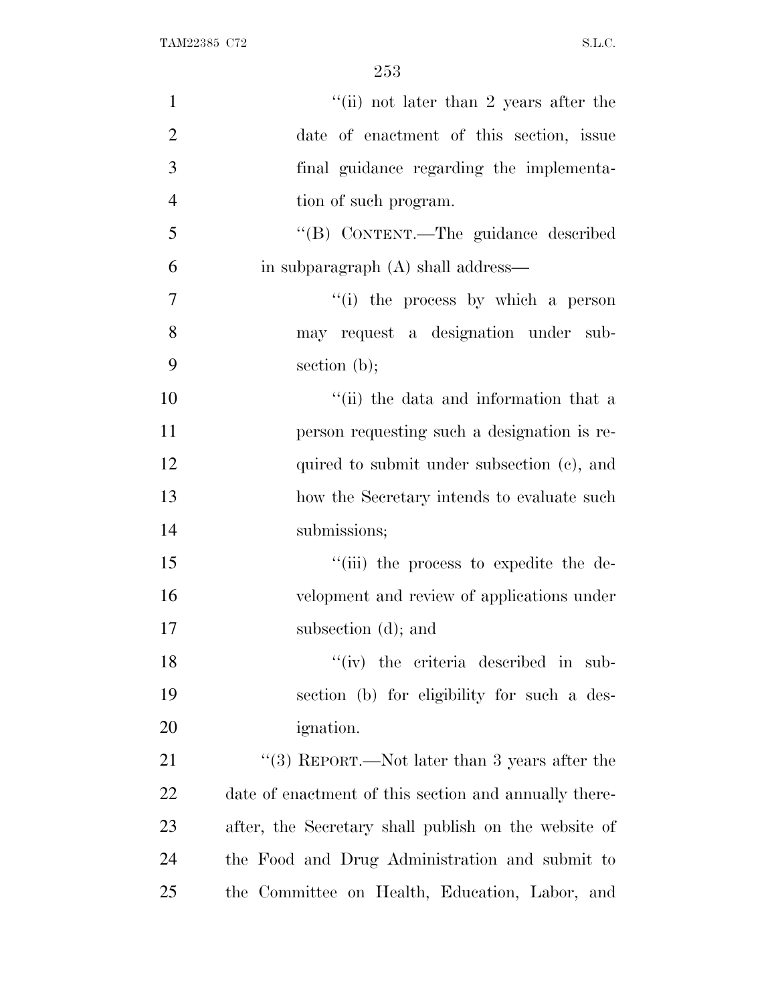| $\mathbf{1}$   | "(ii) not later than 2 years after the                |
|----------------|-------------------------------------------------------|
| $\overline{2}$ | date of enactment of this section, issue              |
| 3              | final guidance regarding the implementa-              |
| $\overline{4}$ | tion of such program.                                 |
| 5              | "(B) CONTENT.—The guidance described                  |
| 6              | in subparagraph (A) shall address—                    |
| 7              | "(i) the process by which a person                    |
| 8              | may request a designation under sub-                  |
| 9              | section $(b)$ ;                                       |
| 10             | "(ii) the data and information that a                 |
| 11             | person requesting such a designation is re-           |
| 12             | quired to submit under subsection (c), and            |
| 13             | how the Secretary intends to evaluate such            |
| 14             | submissions;                                          |
| 15             | "(iii) the process to expedite the de-                |
| 16             | velopment and review of applications under            |
| 17             | subsection (d); and                                   |
| 18             | $``(iv)$ the criteria described in sub-               |
| 19             | section (b) for eligibility for such a des-           |
| 20             | <i>ignation.</i>                                      |
| 21             | "(3) REPORT.—Not later than 3 years after the         |
| 22             | date of enactment of this section and annually there- |
| 23             | after, the Secretary shall publish on the website of  |
| 24             | the Food and Drug Administration and submit to        |
| 25             | the Committee on Health, Education, Labor, and        |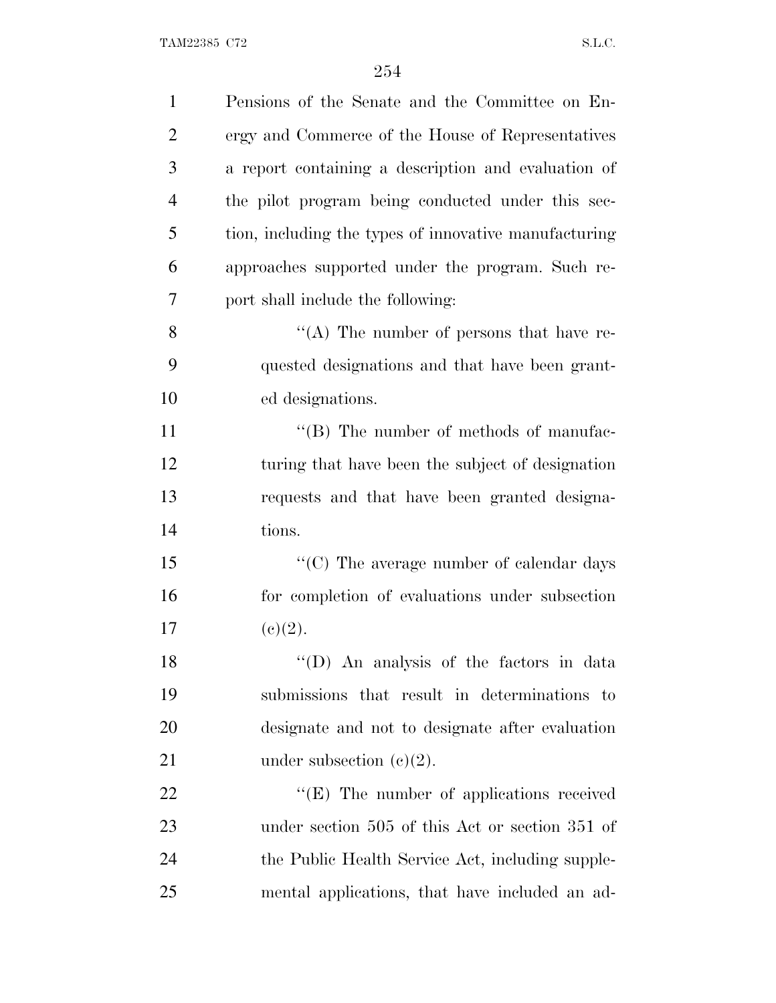| $\mathbf{1}$   | Pensions of the Senate and the Committee on En-       |
|----------------|-------------------------------------------------------|
| $\overline{2}$ | ergy and Commerce of the House of Representatives     |
| 3              | a report containing a description and evaluation of   |
| $\overline{4}$ | the pilot program being conducted under this sec-     |
| 5              | tion, including the types of innovative manufacturing |
| 6              | approaches supported under the program. Such re-      |
| 7              | port shall include the following:                     |
| 8              | "(A) The number of persons that have re-              |
| 9              | quested designations and that have been grant-        |
| 10             | ed designations.                                      |
| 11             | $\lq\lq$ (B) The number of methods of manufac-        |
| 12             | turing that have been the subject of designation      |
| 13             | requests and that have been granted designa-          |
| 14             | tions.                                                |
| 15             | $\lq\lq$ (C) The average number of calendar days      |
| 16             | for completion of evaluations under subsection        |
| 17             | (c)(2).                                               |
| 18             | "(D) An analysis of the factors in data               |
| 19             | submissions that result in determinations to          |
| 20             | designate and not to designate after evaluation       |
| 21             | under subsection $(e)(2)$ .                           |
| 22             | $\lq\lq(E)$ The number of applications received       |
| 23             | under section 505 of this Act or section 351 of       |
| 24             | the Public Health Service Act, including supple-      |
| 25             | mental applications, that have included an ad-        |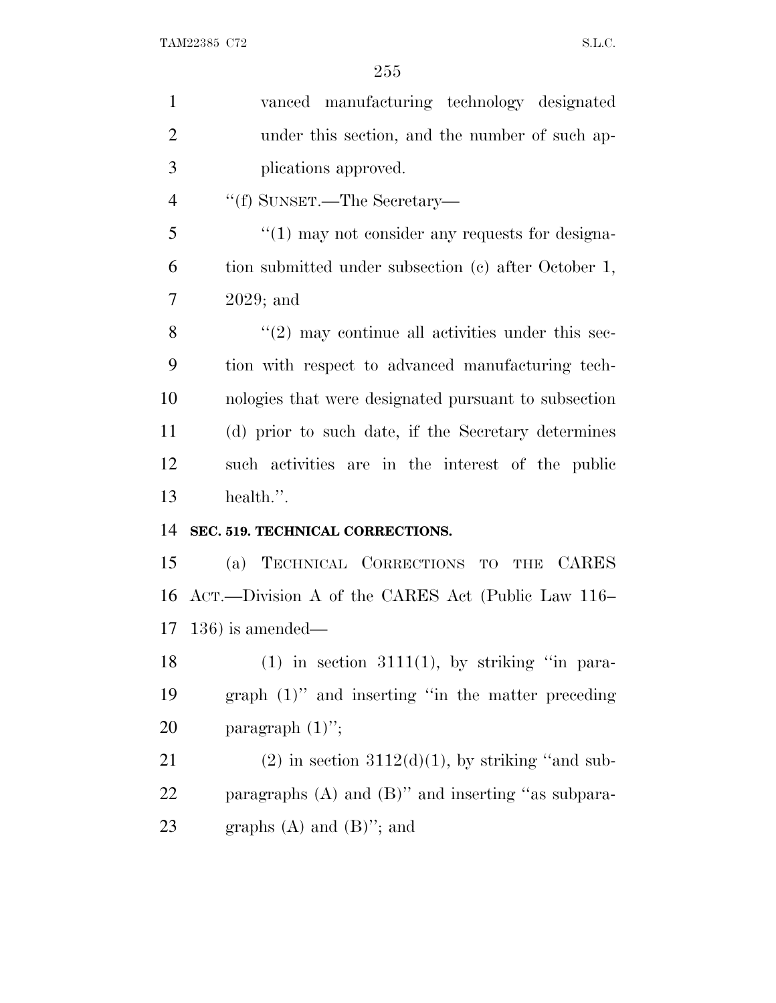| $\mathbf{1}$   | vanced manufacturing technology designated              |
|----------------|---------------------------------------------------------|
| $\overline{2}$ | under this section, and the number of such ap-          |
| 3              | plications approved.                                    |
| $\overline{4}$ | "(f) SUNSET.—The Secretary—                             |
| 5              | $\cdot$ (1) may not consider any requests for designa-  |
| 6              | tion submitted under subsection (c) after October 1,    |
| 7              | $2029$ ; and                                            |
| 8              | $\lq(2)$ may continue all activities under this sec-    |
| 9              | tion with respect to advanced manufacturing tech-       |
| 10             | nologies that were designated pursuant to subsection    |
| 11             | (d) prior to such date, if the Secretary determines     |
| 12             | such activities are in the interest of the public       |
| 13             | health.".                                               |
| 14             | SEC. 519. TECHNICAL CORRECTIONS.                        |
| 15             | (a) TECHNICAL CORRECTIONS TO<br>THE CARES               |
| 16             | ACT.—Division A of the CARES Act (Public Law 116–       |
| 17             | $(136)$ is amended—                                     |
| 18             | $(1)$ in section 3111(1), by striking "in para-         |
| 19             | $graph (1)$ " and inserting "in the matter preceding    |
| 20             | paragraph $(1)$ ";                                      |
| 21             | $(2)$ in section 3112 $(d)(1)$ , by striking "and sub-  |
| 22             | paragraphs $(A)$ and $(B)$ " and inserting "as subpara- |
| 23             | graphs $(A)$ and $(B)$ "; and                           |